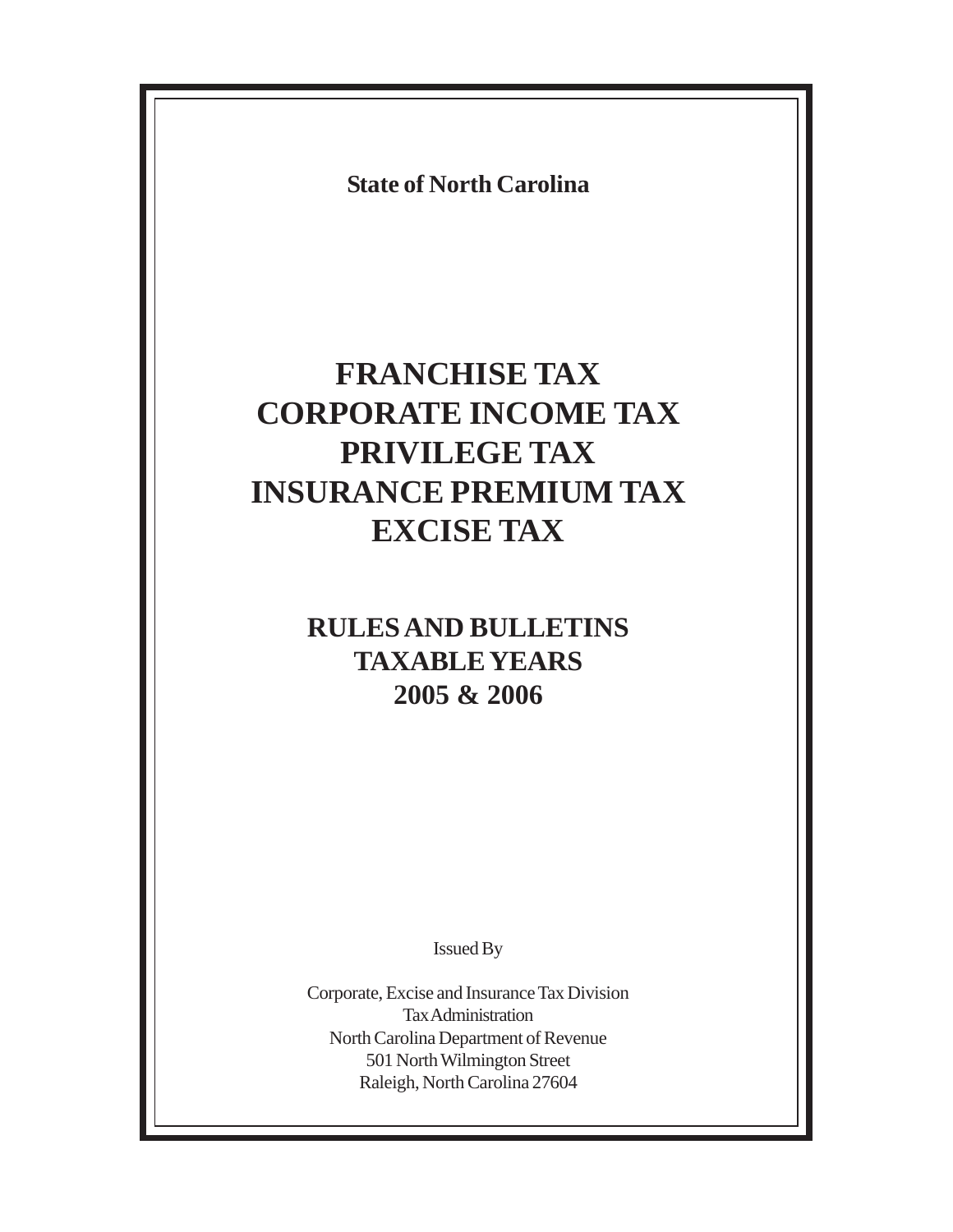**State of North Carolina**

# **FRANCHISE TAX CORPORATE INCOME TAX PRIVILEGE TAX INSURANCE PREMIUM TAX EXCISE TAX**

## **RULES AND BULLETINS TAXABLE YEARS 2005 & 2006**

Issued By

Corporate, Excise and Insurance Tax Division Tax Administration North Carolina Department of Revenue 501 North Wilmington Street Raleigh, North Carolina 27604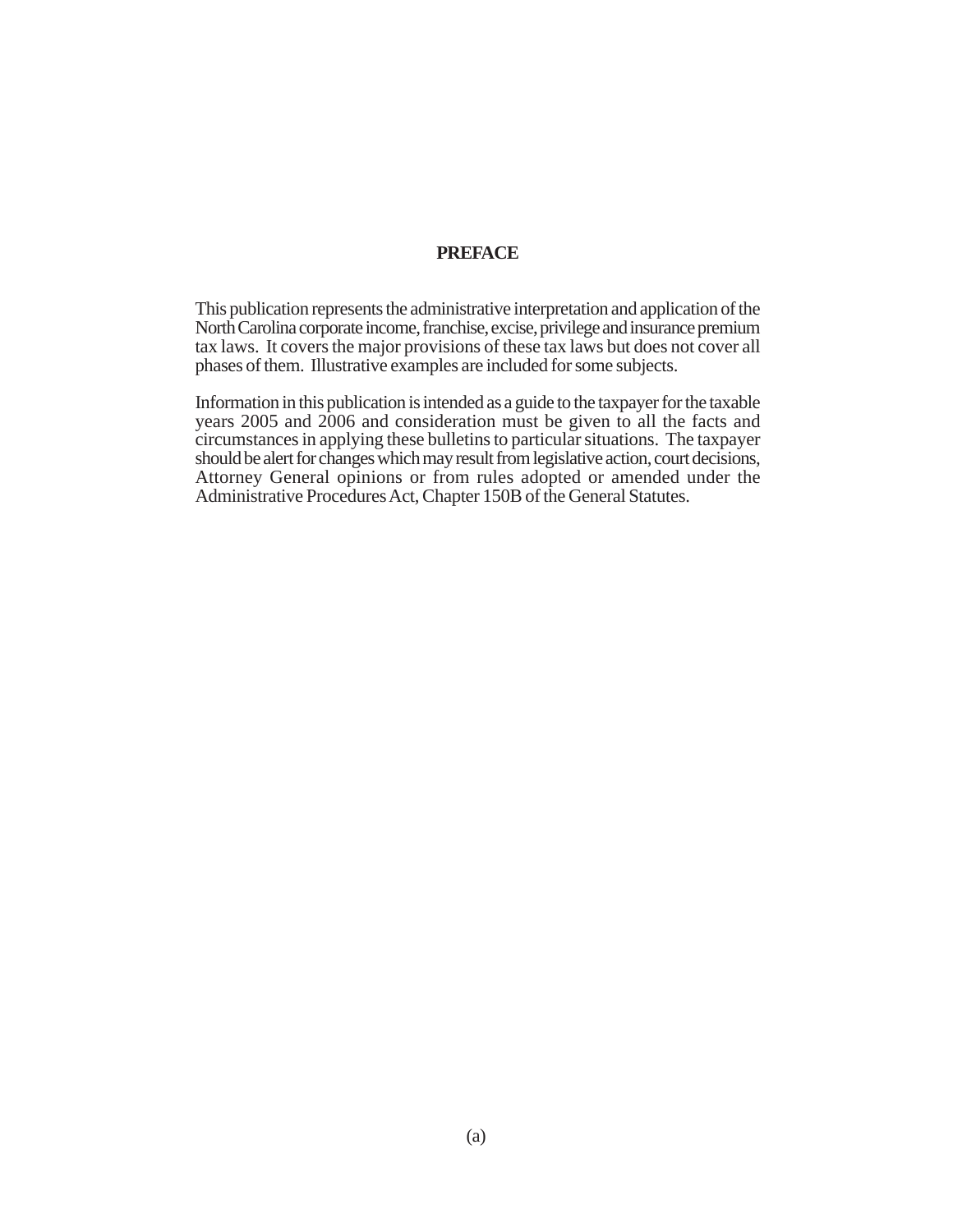#### **PREFACE**

This publication represents the administrative interpretation and application of the North Carolina corporate income, franchise, excise, privilege and insurance premium tax laws. It covers the major provisions of these tax laws but does not cover all phases of them. Illustrative examples are included for some subjects.

Information in this publication is intended as a guide to the taxpayer for the taxable years 2005 and 2006 and consideration must be given to all the facts and circumstances in applying these bulletins to particular situations. The taxpayer should be alert for changes which may result from legislative action, court decisions, Attorney General opinions or from rules adopted or amended under the Administrative Procedures Act, Chapter 150B of the General Statutes.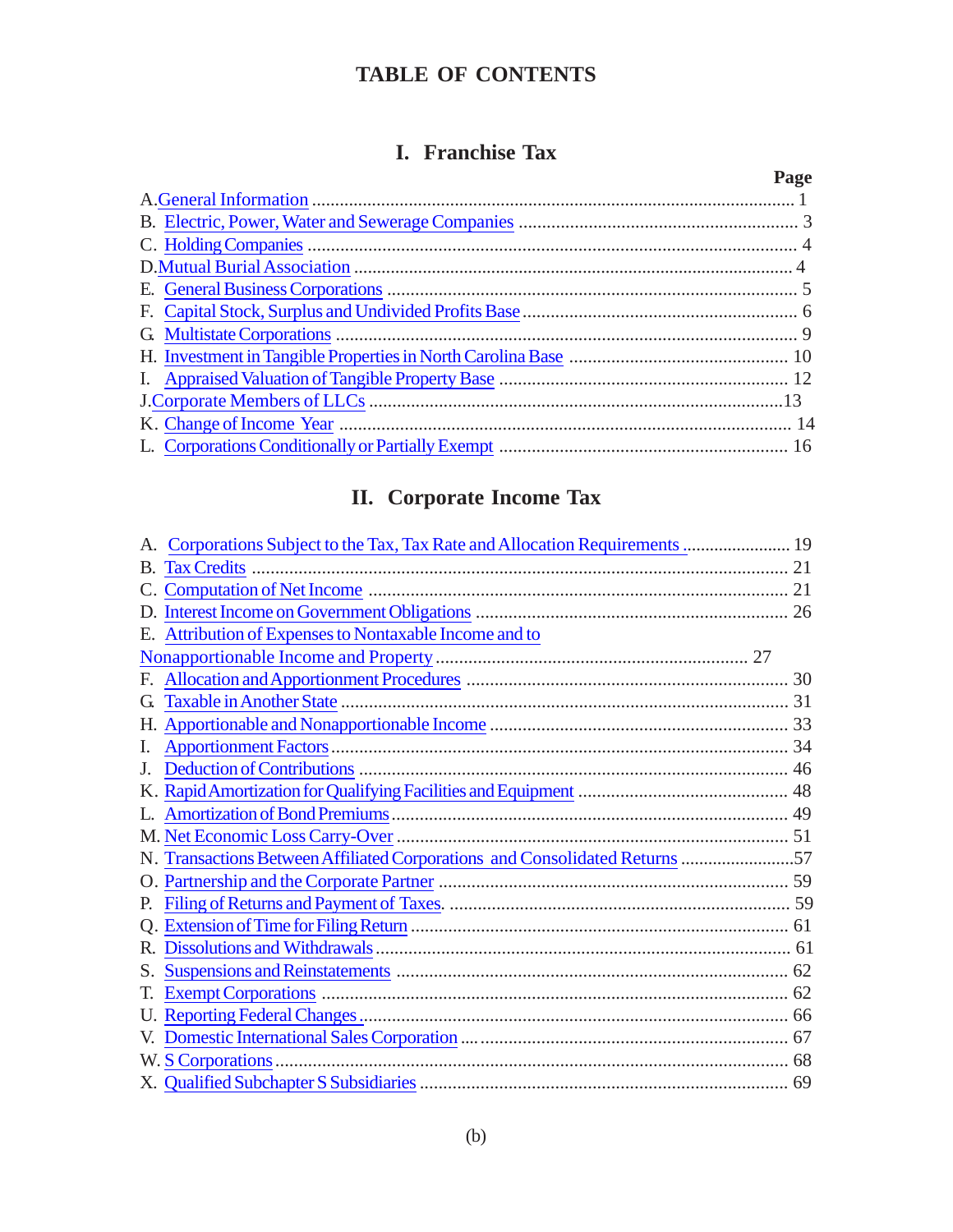## **TABLE OF CONTENTS**

## **I. Franchise Tax**

| Page |
|------|
|      |
|      |
|      |
|      |
|      |
|      |
|      |
|      |
|      |
|      |
|      |
|      |

## **II. Corporate Income Tax**

| Corporations Subject to the Tax, Tax Rate and Allocation Requirements  19   |  |
|-----------------------------------------------------------------------------|--|
|                                                                             |  |
| C.                                                                          |  |
|                                                                             |  |
| E. Attribution of Expenses to Nontaxable Income and to                      |  |
|                                                                             |  |
|                                                                             |  |
| $\mathbf G$                                                                 |  |
|                                                                             |  |
| Ι.                                                                          |  |
| J.                                                                          |  |
|                                                                             |  |
|                                                                             |  |
|                                                                             |  |
| N. Transactions Between Affiliated Corporations and Consolidated Returns 57 |  |
|                                                                             |  |
| Р.                                                                          |  |
|                                                                             |  |
|                                                                             |  |
| S.                                                                          |  |
| T.                                                                          |  |
|                                                                             |  |
|                                                                             |  |
|                                                                             |  |
|                                                                             |  |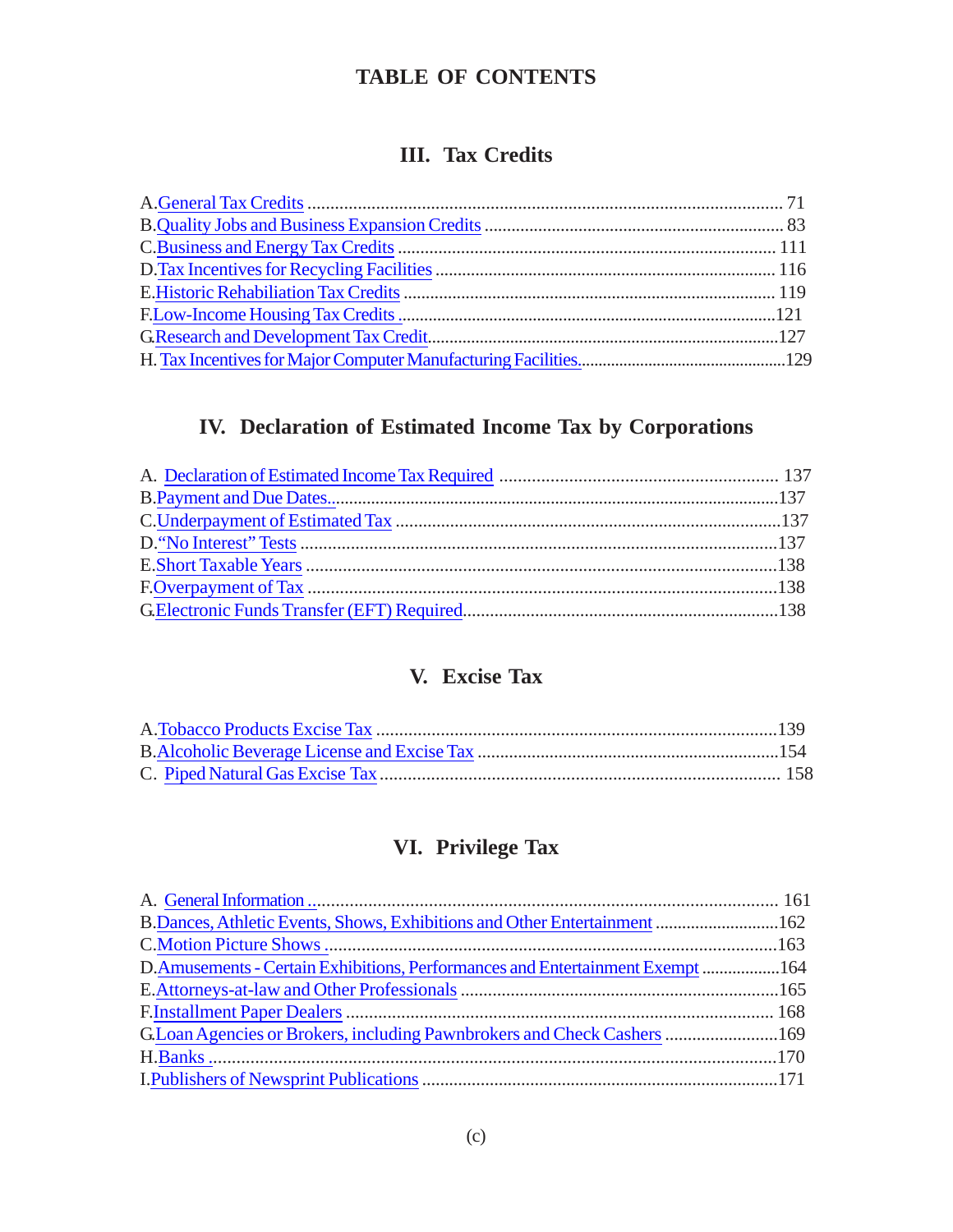## **TABLE OF CONTENTS**

## **III. Tax Credits**

## **IV. Declaration of Estimated Income Tax by Corporations**

## **V. Excise Tax**

## **VI. Privilege Tax**

| B. Dances, Athletic Events, Shows, Exhibitions and Other Entertainment  162   |  |
|-------------------------------------------------------------------------------|--|
|                                                                               |  |
| D.Amusements - Certain Exhibitions, Performances and Entertainment Exempt 164 |  |
|                                                                               |  |
|                                                                               |  |
| G.Loan Agencies or Brokers, including Pawnbrokers and Check Cashers  169      |  |
|                                                                               |  |
|                                                                               |  |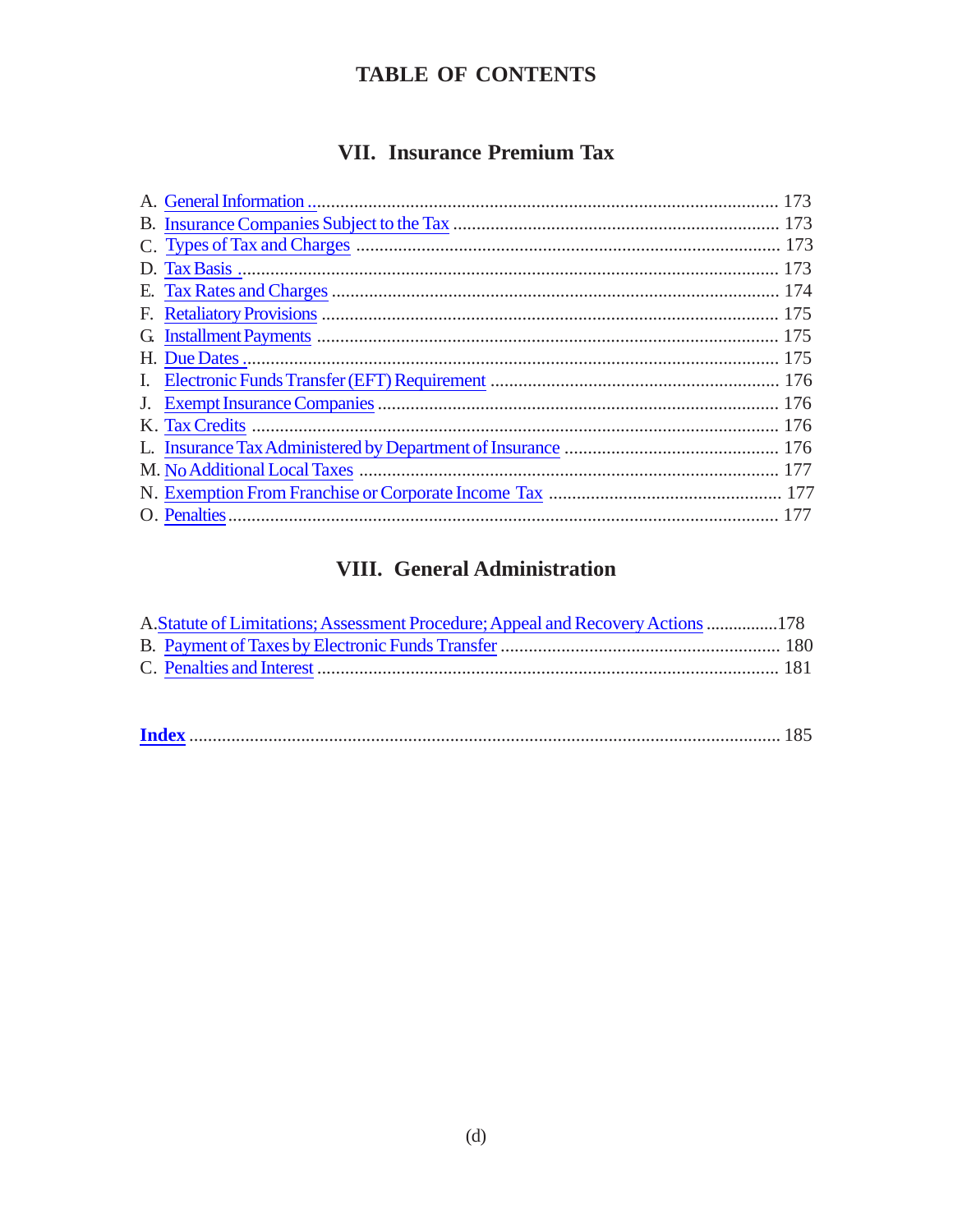## **TABLE OF CONTENTS**

## VII. Insurance Premium Tax

## **VIII.** General Administration

| A. Statute of Limitations; Assessment Procedure; Appeal and Recovery Actions 178 |  |
|----------------------------------------------------------------------------------|--|
|                                                                                  |  |
|                                                                                  |  |
|                                                                                  |  |

|--|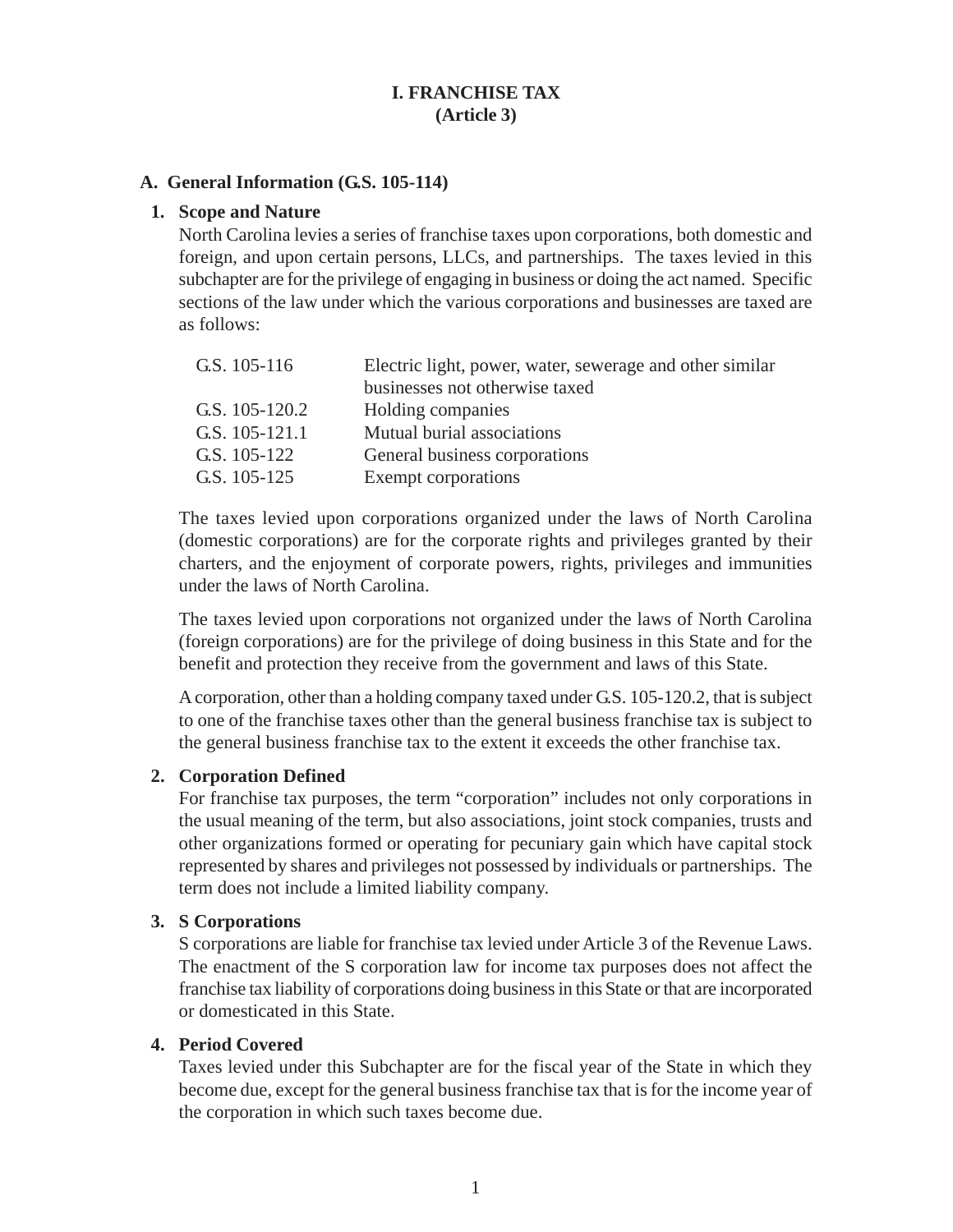## **I. FRANCHISE TAX (Article 3)**

#### <span id="page-5-0"></span>**A. General Information (G.S. 105-114)**

#### **1. Scope and Nature**

North Carolina levies a series of franchise taxes upon corporations, both domestic and foreign, and upon certain persons, LLCs, and partnerships. The taxes levied in this subchapter are for the privilege of engaging in business or doing the act named. Specific sections of the law under which the various corporations and businesses are taxed are as follows:

| G.S. 105-116   | Electric light, power, water, sewerage and other similar |
|----------------|----------------------------------------------------------|
|                | businesses not otherwise taxed                           |
| G.S. 105-120.2 | Holding companies                                        |
| G.S. 105-121.1 | Mutual burial associations                               |
| G.S. 105-122   | General business corporations                            |
| G.S. 105-125   | Exempt corporations                                      |

The taxes levied upon corporations organized under the laws of North Carolina (domestic corporations) are for the corporate rights and privileges granted by their charters, and the enjoyment of corporate powers, rights, privileges and immunities under the laws of North Carolina.

The taxes levied upon corporations not organized under the laws of North Carolina (foreign corporations) are for the privilege of doing business in this State and for the benefit and protection they receive from the government and laws of this State.

A corporation, other than a holding company taxed under G.S. 105-120.2, that is subject to one of the franchise taxes other than the general business franchise tax is subject to the general business franchise tax to the extent it exceeds the other franchise tax.

#### **2. Corporation Defined**

For franchise tax purposes, the term "corporation" includes not only corporations in the usual meaning of the term, but also associations, joint stock companies, trusts and other organizations formed or operating for pecuniary gain which have capital stock represented by shares and privileges not possessed by individuals or partnerships. The term does not include a limited liability company.

#### **3. S Corporations**

S corporations are liable for franchise tax levied under Article 3 of the Revenue Laws. The enactment of the S corporation law for income tax purposes does not affect the franchise tax liability of corporations doing business in this State or that are incorporated or domesticated in this State.

#### **4. Period Covered**

Taxes levied under this Subchapter are for the fiscal year of the State in which they become due, except for the general business franchise tax that is for the income year of the corporation in which such taxes become due.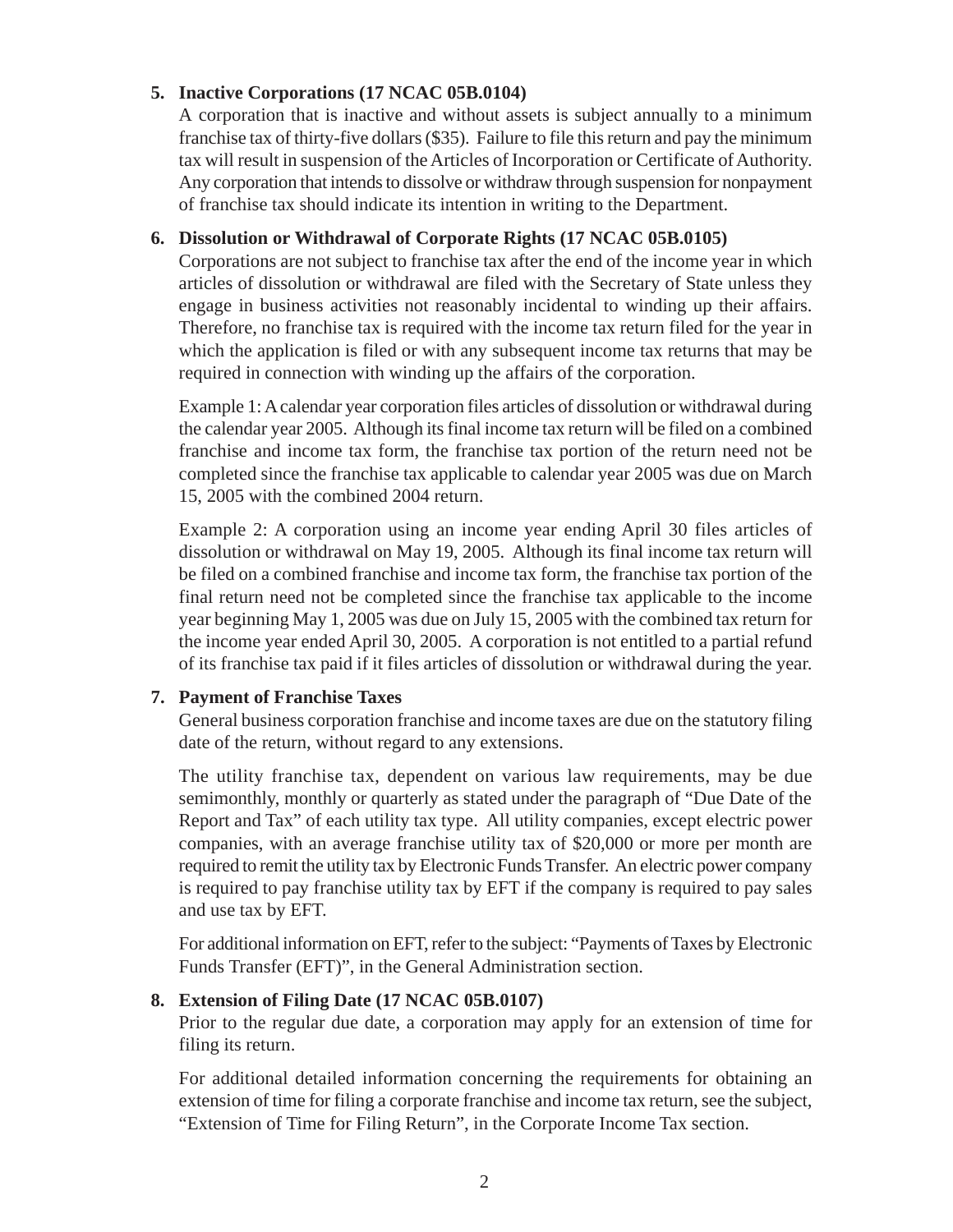## **5. Inactive Corporations (17 NCAC 05B.0104)**

A corporation that is inactive and without assets is subject annually to a minimum franchise tax of thirty-five dollars (\$35). Failure to file this return and pay the minimum tax will result in suspension of the Articles of Incorporation or Certificate of Authority. Any corporation that intends to dissolve or withdraw through suspension for nonpayment of franchise tax should indicate its intention in writing to the Department.

## **6. Dissolution or Withdrawal of Corporate Rights (17 NCAC 05B.0105)**

Corporations are not subject to franchise tax after the end of the income year in which articles of dissolution or withdrawal are filed with the Secretary of State unless they engage in business activities not reasonably incidental to winding up their affairs. Therefore, no franchise tax is required with the income tax return filed for the year in which the application is filed or with any subsequent income tax returns that may be required in connection with winding up the affairs of the corporation.

Example 1:A calendar year corporation files articles of dissolution or withdrawal during the calendar year 2005. Although its final income tax return will be filed on a combined franchise and income tax form, the franchise tax portion of the return need not be completed since the franchise tax applicable to calendar year 2005 was due on March 15, 2005 with the combined 2004 return.

Example 2: A corporation using an income year ending April 30 files articles of dissolution or withdrawal on May 19, 2005. Although its final income tax return will be filed on a combined franchise and income tax form, the franchise tax portion of the final return need not be completed since the franchise tax applicable to the income year beginning May 1, 2005 was due on July 15, 2005 with the combined tax return for the income year ended April 30, 2005. A corporation is not entitled to a partial refund of its franchise tax paid if it files articles of dissolution or withdrawal during the year.

## **7. Payment of Franchise Taxes**

General business corporation franchise and income taxes are due on the statutory filing date of the return, without regard to any extensions.

The utility franchise tax, dependent on various law requirements, may be due semimonthly, monthly or quarterly as stated under the paragraph of "Due Date of the Report and Tax" of each utility tax type. All utility companies, except electric power companies, with an average franchise utility tax of \$20,000 or more per month are required to remit the utility tax by Electronic Funds Transfer. An electric power company is required to pay franchise utility tax by EFT if the company is required to pay sales and use tax by EFT.

For additional information on EFT, refer to the subject: "Payments of Taxes by Electronic Funds Transfer (EFT)", in the General Administration section.

## **8. Extension of Filing Date (17 NCAC 05B.0107)**

Prior to the regular due date, a corporation may apply for an extension of time for filing its return.

For additional detailed information concerning the requirements for obtaining an extension of time for filing a corporate franchise and income tax return, see the subject, "Extension of Time for Filing Return", in the Corporate Income Tax section.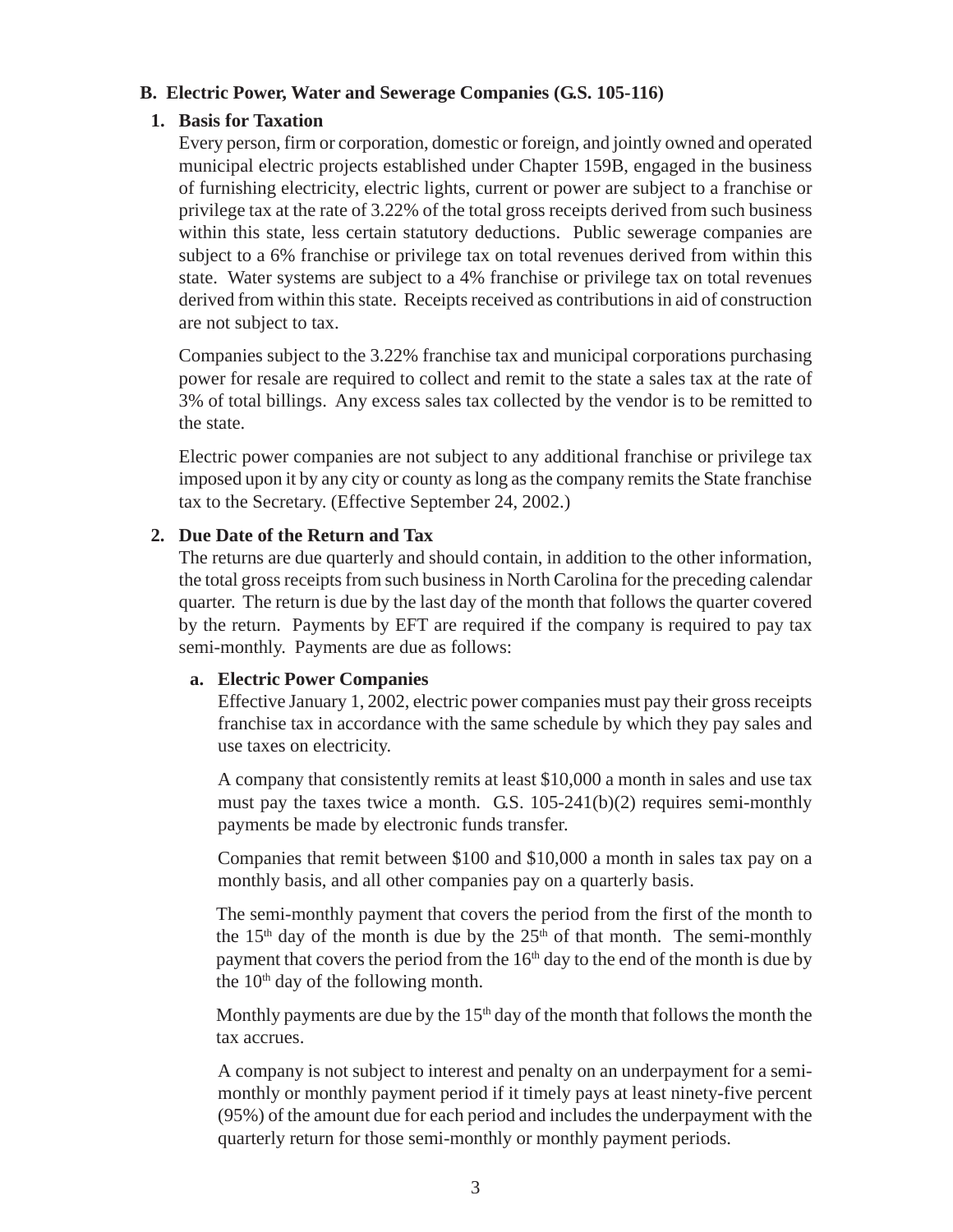#### <span id="page-7-0"></span>**B. Electric Power, Water and Sewerage Companies (G.S. 105-116)**

#### **1. Basis for Taxation**

Every person, firm or corporation, domestic or foreign, and jointly owned and operated municipal electric projects established under Chapter 159B, engaged in the business of furnishing electricity, electric lights, current or power are subject to a franchise or privilege tax at the rate of 3.22% of the total gross receipts derived from such business within this state, less certain statutory deductions. Public sewerage companies are subject to a 6% franchise or privilege tax on total revenues derived from within this state. Water systems are subject to a 4% franchise or privilege tax on total revenues derived from within this state. Receipts received as contributions in aid of construction are not subject to tax.

Companies subject to the 3.22% franchise tax and municipal corporations purchasing power for resale are required to collect and remit to the state a sales tax at the rate of 3% of total billings. Any excess sales tax collected by the vendor is to be remitted to the state.

Electric power companies are not subject to any additional franchise or privilege tax imposed upon it by any city or county as long as the company remits the State franchise tax to the Secretary. (Effective September 24, 2002.)

#### **2. Due Date of the Return and Tax**

The returns are due quarterly and should contain, in addition to the other information, the total gross receipts from such business in North Carolina for the preceding calendar quarter. The return is due by the last day of the month that follows the quarter covered by the return. Payments by EFT are required if the company is required to pay tax semi-monthly. Payments are due as follows:

#### **a. Electric Power Companies**

Effective January 1, 2002, electric power companies must pay their gross receipts franchise tax in accordance with the same schedule by which they pay sales and use taxes on electricity.

A company that consistently remits at least \$10,000 a month in sales and use tax must pay the taxes twice a month. G.S. 105-241(b)(2) requires semi-monthly payments be made by electronic funds transfer.

Companies that remit between \$100 and \$10,000 a month in sales tax pay on a monthly basis, and all other companies pay on a quarterly basis.

The semi-monthly payment that covers the period from the first of the month to the 15<sup>th</sup> day of the month is due by the  $25<sup>th</sup>$  of that month. The semi-monthly payment that covers the period from the  $16<sup>th</sup>$  day to the end of the month is due by the  $10<sup>th</sup>$  day of the following month.

Monthly payments are due by the  $15<sup>th</sup>$  day of the month that follows the month the tax accrues.

A company is not subject to interest and penalty on an underpayment for a semimonthly or monthly payment period if it timely pays at least ninety-five percent (95%) of the amount due for each period and includes the underpayment with the quarterly return for those semi-monthly or monthly payment periods.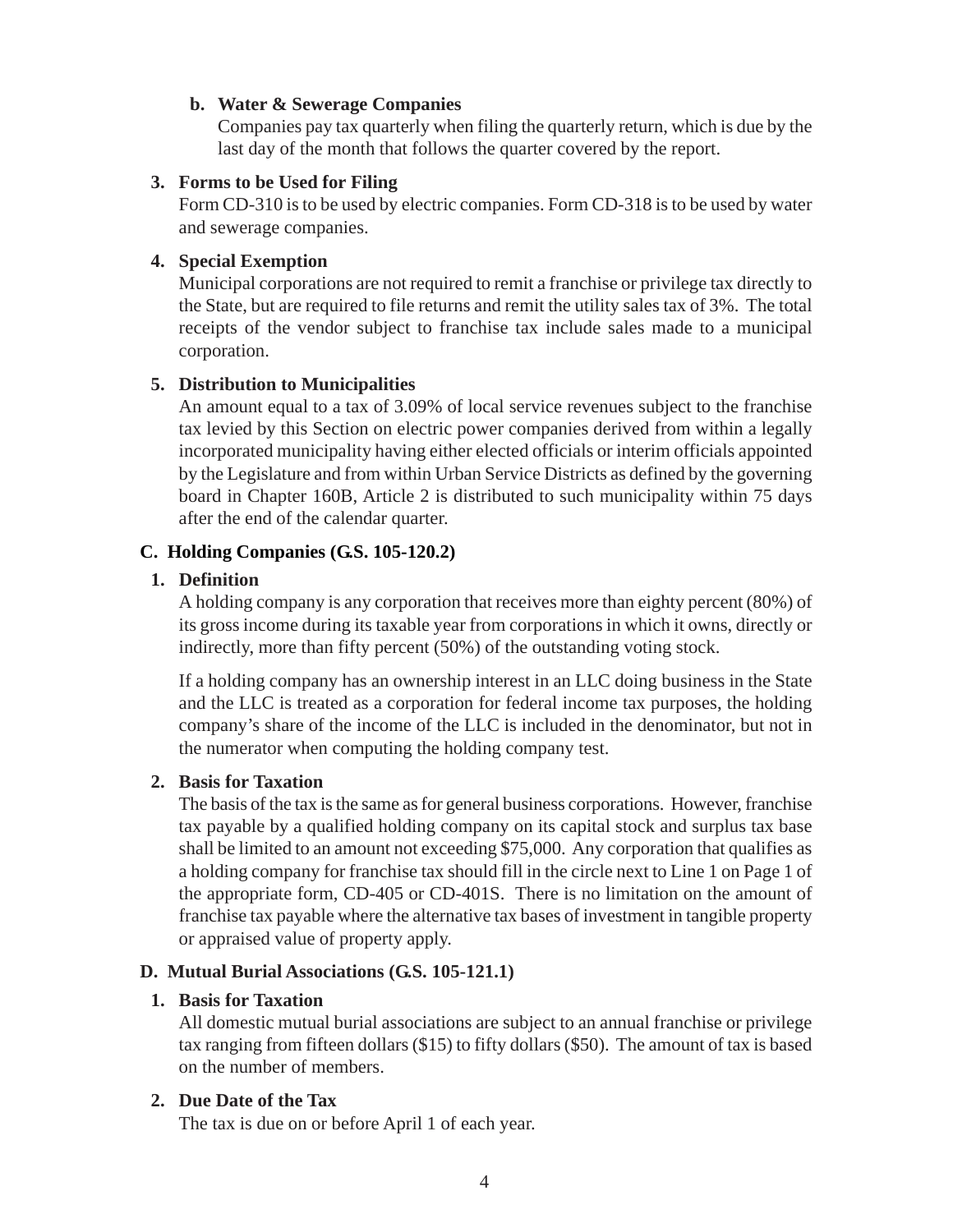#### <span id="page-8-0"></span>**b. Water & Sewerage Companies**

Companies pay tax quarterly when filing the quarterly return, which is due by the last day of the month that follows the quarter covered by the report.

#### **3. Forms to be Used for Filing**

Form CD-310 is to be used by electric companies. Form CD-318 is to be used by water and sewerage companies.

#### **4. Special Exemption**

Municipal corporations are not required to remit a franchise or privilege tax directly to the State, but are required to file returns and remit the utility sales tax of 3%. The total receipts of the vendor subject to franchise tax include sales made to a municipal corporation.

#### **5. Distribution to Municipalities**

An amount equal to a tax of 3.09% of local service revenues subject to the franchise tax levied by this Section on electric power companies derived from within a legally incorporated municipality having either elected officials or interim officials appointed by the Legislature and from within Urban Service Districts as defined by the governing board in Chapter 160B, Article 2 is distributed to such municipality within 75 days after the end of the calendar quarter.

#### **C. Holding Companies (G.S. 105-120.2)**

#### **1. Definition**

A holding company is any corporation that receives more than eighty percent (80%) of its gross income during its taxable year from corporations in which it owns, directly or indirectly, more than fifty percent (50%) of the outstanding voting stock.

If a holding company has an ownership interest in an LLC doing business in the State and the LLC is treated as a corporation for federal income tax purposes, the holding company's share of the income of the LLC is included in the denominator, but not in the numerator when computing the holding company test.

## **2. Basis for Taxation**

The basis of the tax is the same as for general business corporations. However, franchise tax payable by a qualified holding company on its capital stock and surplus tax base shall be limited to an amount not exceeding \$75,000. Any corporation that qualifies as a holding company for franchise tax should fill in the circle next to Line 1 on Page 1 of the appropriate form, CD-405 or CD-401S. There is no limitation on the amount of franchise tax payable where the alternative tax bases of investment in tangible property or appraised value of property apply.

## **D. Mutual Burial Associations (G.S. 105-121.1)**

## **1. Basis for Taxation**

All domestic mutual burial associations are subject to an annual franchise or privilege tax ranging from fifteen dollars (\$15) to fifty dollars (\$50). The amount of tax is based on the number of members.

## **2. Due Date of the Tax**

The tax is due on or before April 1 of each year.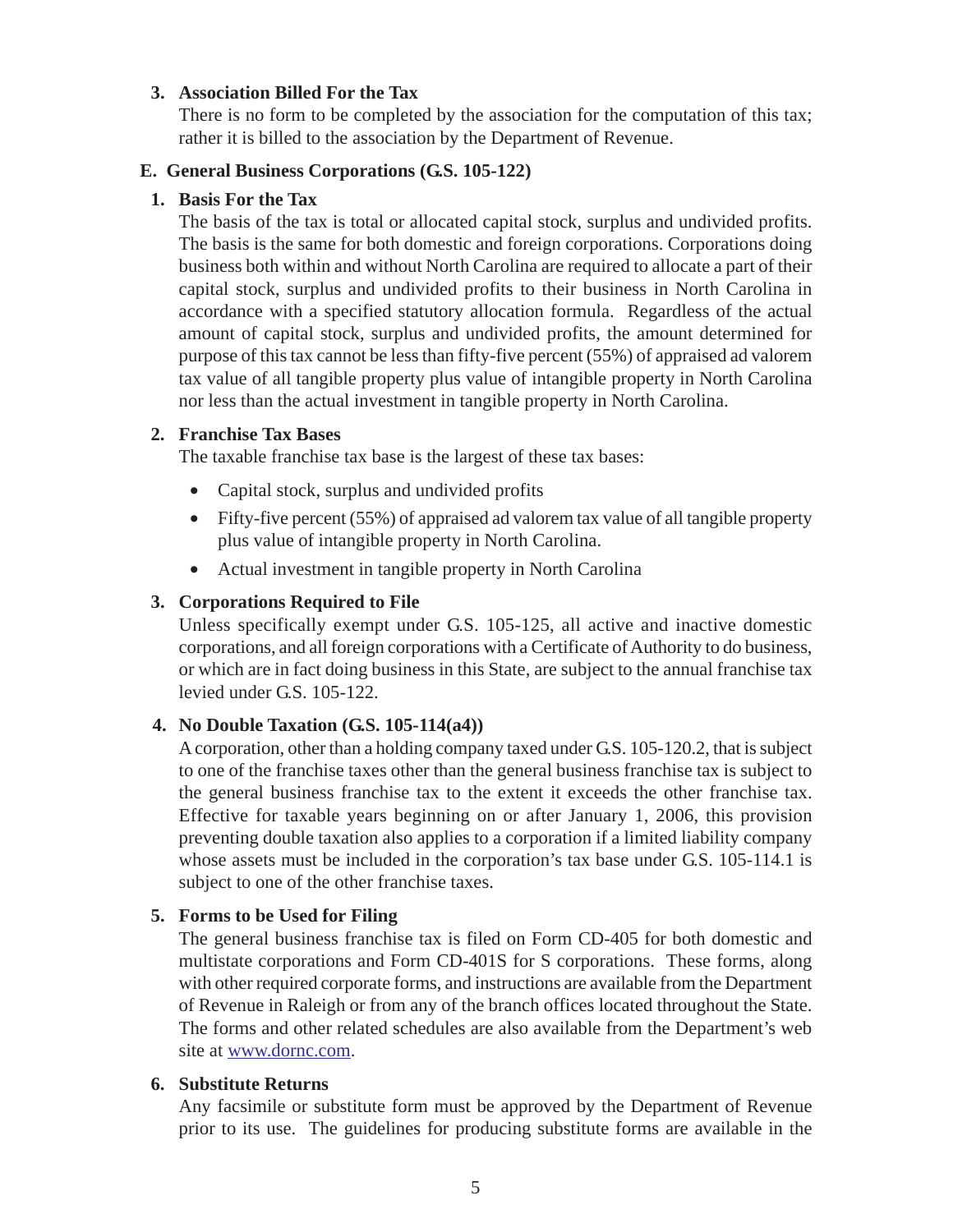#### <span id="page-9-0"></span>**3. Association Billed For the Tax**

There is no form to be completed by the association for the computation of this tax; rather it is billed to the association by the Department of Revenue.

#### **E. General Business Corporations (G.S. 105-122)**

#### **1. Basis For the Tax**

The basis of the tax is total or allocated capital stock, surplus and undivided profits. The basis is the same for both domestic and foreign corporations. Corporations doing business both within and without North Carolina are required to allocate a part of their capital stock, surplus and undivided profits to their business in North Carolina in accordance with a specified statutory allocation formula. Regardless of the actual amount of capital stock, surplus and undivided profits, the amount determined for purpose of this tax cannot be less than fifty-five percent (55%) of appraised ad valorem tax value of all tangible property plus value of intangible property in North Carolina nor less than the actual investment in tangible property in North Carolina.

#### **2. Franchise Tax Bases**

The taxable franchise tax base is the largest of these tax bases:

- Capital stock, surplus and undivided profits
- Fifty-five percent (55%) of appraised ad valorem tax value of all tangible property plus value of intangible property in North Carolina.
- Actual investment in tangible property in North Carolina

#### **3. Corporations Required to File**

Unless specifically exempt under G.S. 105-125, all active and inactive domestic corporations, and all foreign corporations with a Certificate of Authority to do business, or which are in fact doing business in this State, are subject to the annual franchise tax levied under G.S. 105-122.

## **4. No Double Taxation (G.S. 105-114(a4))**

A corporation, other than a holding company taxed under G.S. 105-120.2, that is subject to one of the franchise taxes other than the general business franchise tax is subject to the general business franchise tax to the extent it exceeds the other franchise tax. Effective for taxable years beginning on or after January 1, 2006, this provision preventing double taxation also applies to a corporation if a limited liability company whose assets must be included in the corporation's tax base under G.S. 105-114.1 is subject to one of the other franchise taxes.

## **5. Forms to be Used for Filing**

The general business franchise tax is filed on Form CD-405 for both domestic and multistate corporations and Form CD-401S for S corporations. These forms, along with other required corporate forms, and instructions are available from the Department of Revenue in Raleigh or from any of the branch offices located throughout the State. The forms and other related schedules are also available from the Department's web site at www.dornc.com.

#### **6. Substitute Returns**

Any facsimile or substitute form must be approved by the Department of Revenue prior to its use. The guidelines for producing substitute forms are available in the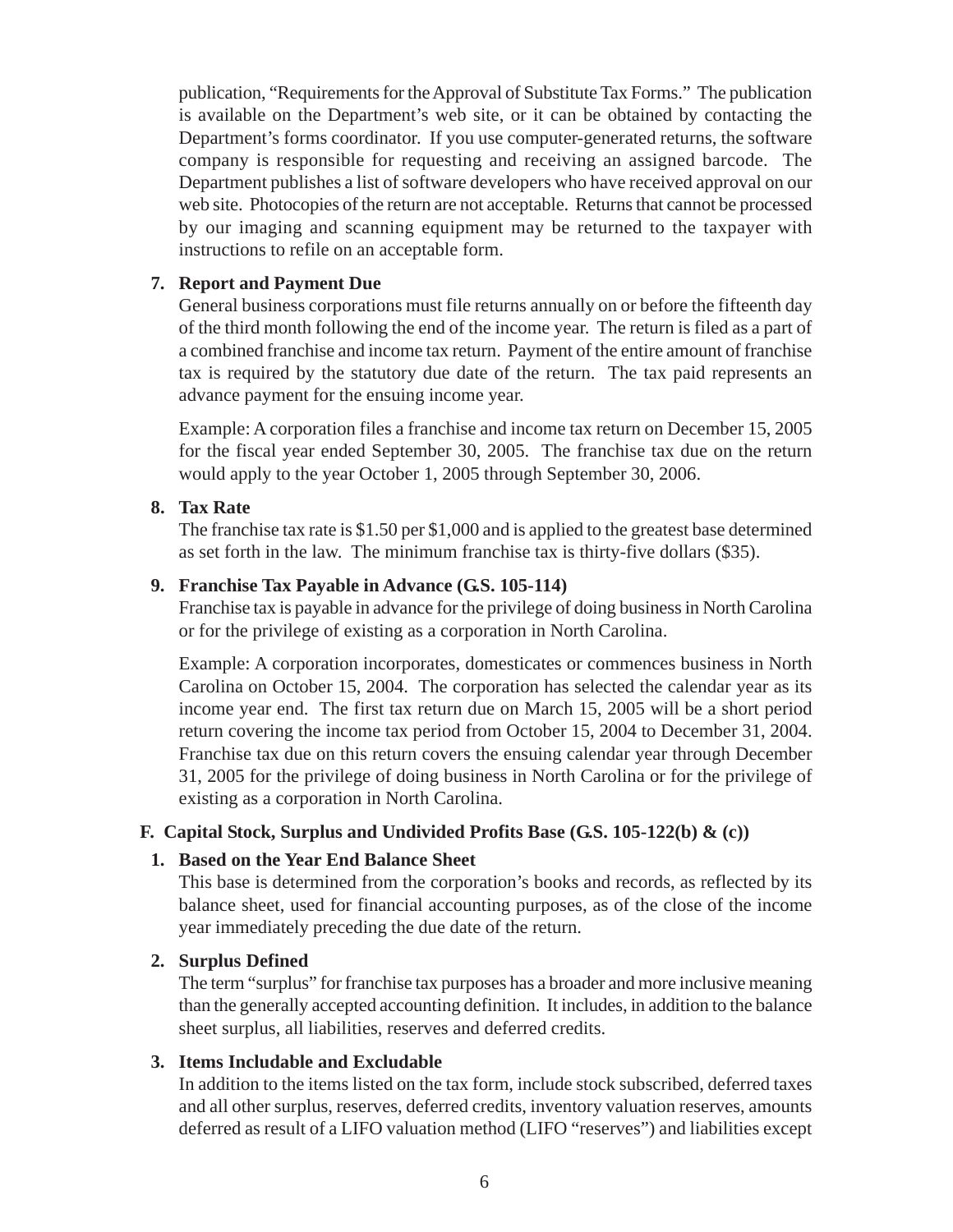<span id="page-10-0"></span>publication, "Requirements for the Approval of Substitute Tax Forms." The publication is available on the Department's web site, or it can be obtained by contacting the Department's forms coordinator. If you use computer-generated returns, the software company is responsible for requesting and receiving an assigned barcode. The Department publishes a list of software developers who have received approval on our web site. Photocopies of the return are not acceptable. Returns that cannot be processed by our imaging and scanning equipment may be returned to the taxpayer with instructions to refile on an acceptable form.

### **7. Report and Payment Due**

General business corporations must file returns annually on or before the fifteenth day of the third month following the end of the income year. The return is filed as a part of a combined franchise and income tax return. Payment of the entire amount of franchise tax is required by the statutory due date of the return. The tax paid represents an advance payment for the ensuing income year.

Example: A corporation files a franchise and income tax return on December 15, 2005 for the fiscal year ended September 30, 2005. The franchise tax due on the return would apply to the year October 1, 2005 through September 30, 2006.

#### **8. Tax Rate**

The franchise tax rate is \$1.50 per \$1,000 and is applied to the greatest base determined as set forth in the law. The minimum franchise tax is thirty-five dollars (\$35).

#### **9. Franchise Tax Payable in Advance (G.S. 105-114)**

Franchise tax is payable in advance for the privilege of doing business in North Carolina or for the privilege of existing as a corporation in North Carolina.

Example: A corporation incorporates, domesticates or commences business in North Carolina on October 15, 2004. The corporation has selected the calendar year as its income year end. The first tax return due on March 15, 2005 will be a short period return covering the income tax period from October 15, 2004 to December 31, 2004. Franchise tax due on this return covers the ensuing calendar year through December 31, 2005 for the privilege of doing business in North Carolina or for the privilege of existing as a corporation in North Carolina.

## **F. Capital Stock, Surplus and Undivided Profits Base (G.S. 105-122(b) & (c))**

#### **1. Based on the Year End Balance Sheet**

This base is determined from the corporation's books and records, as reflected by its balance sheet, used for financial accounting purposes, as of the close of the income year immediately preceding the due date of the return.

#### **2. Surplus Defined**

The term "surplus" for franchise tax purposes has a broader and more inclusive meaning than the generally accepted accounting definition. It includes, in addition to the balance sheet surplus, all liabilities, reserves and deferred credits.

#### **3. Items Includable and Excludable**

In addition to the items listed on the tax form, include stock subscribed, deferred taxes and all other surplus, reserves, deferred credits, inventory valuation reserves, amounts deferred as result of a LIFO valuation method (LIFO "reserves") and liabilities except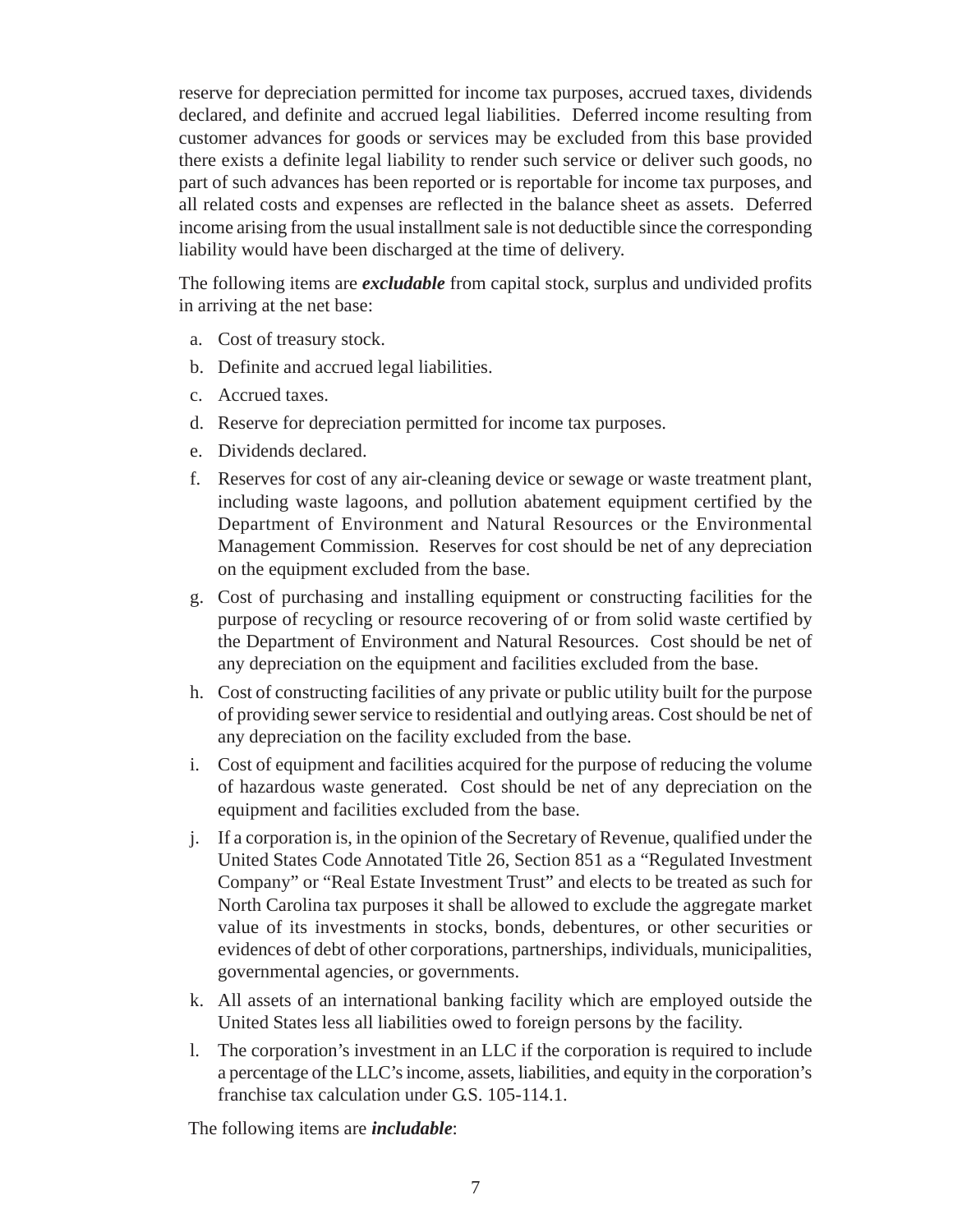reserve for depreciation permitted for income tax purposes, accrued taxes, dividends declared, and definite and accrued legal liabilities. Deferred income resulting from customer advances for goods or services may be excluded from this base provided there exists a definite legal liability to render such service or deliver such goods, no part of such advances has been reported or is reportable for income tax purposes, and all related costs and expenses are reflected in the balance sheet as assets. Deferred income arising from the usual installment sale is not deductible since the corresponding liability would have been discharged at the time of delivery.

The following items are *excludable* from capital stock, surplus and undivided profits in arriving at the net base:

- a. Cost of treasury stock.
- b. Definite and accrued legal liabilities.
- c. Accrued taxes.
- d. Reserve for depreciation permitted for income tax purposes.
- e. Dividends declared.
- f. Reserves for cost of any air-cleaning device or sewage or waste treatment plant, including waste lagoons, and pollution abatement equipment certified by the Department of Environment and Natural Resources or the Environmental Management Commission. Reserves for cost should be net of any depreciation on the equipment excluded from the base.
- g. Cost of purchasing and installing equipment or constructing facilities for the purpose of recycling or resource recovering of or from solid waste certified by the Department of Environment and Natural Resources. Cost should be net of any depreciation on the equipment and facilities excluded from the base.
- h. Cost of constructing facilities of any private or public utility built for the purpose of providing sewer service to residential and outlying areas. Cost should be net of any depreciation on the facility excluded from the base.
- i. Cost of equipment and facilities acquired for the purpose of reducing the volume of hazardous waste generated. Cost should be net of any depreciation on the equipment and facilities excluded from the base.
- j. If a corporation is, in the opinion of the Secretary of Revenue, qualified under the United States Code Annotated Title 26, Section 851 as a "Regulated Investment Company" or "Real Estate Investment Trust" and elects to be treated as such for North Carolina tax purposes it shall be allowed to exclude the aggregate market value of its investments in stocks, bonds, debentures, or other securities or evidences of debt of other corporations, partnerships, individuals, municipalities, governmental agencies, or governments.
- k. All assets of an international banking facility which are employed outside the United States less all liabilities owed to foreign persons by the facility.
- l. The corporation's investment in an LLC if the corporation is required to include a percentage of the LLC's income, assets, liabilities, and equity in the corporation's franchise tax calculation under G.S. 105-114.1.

The following items are *includable*: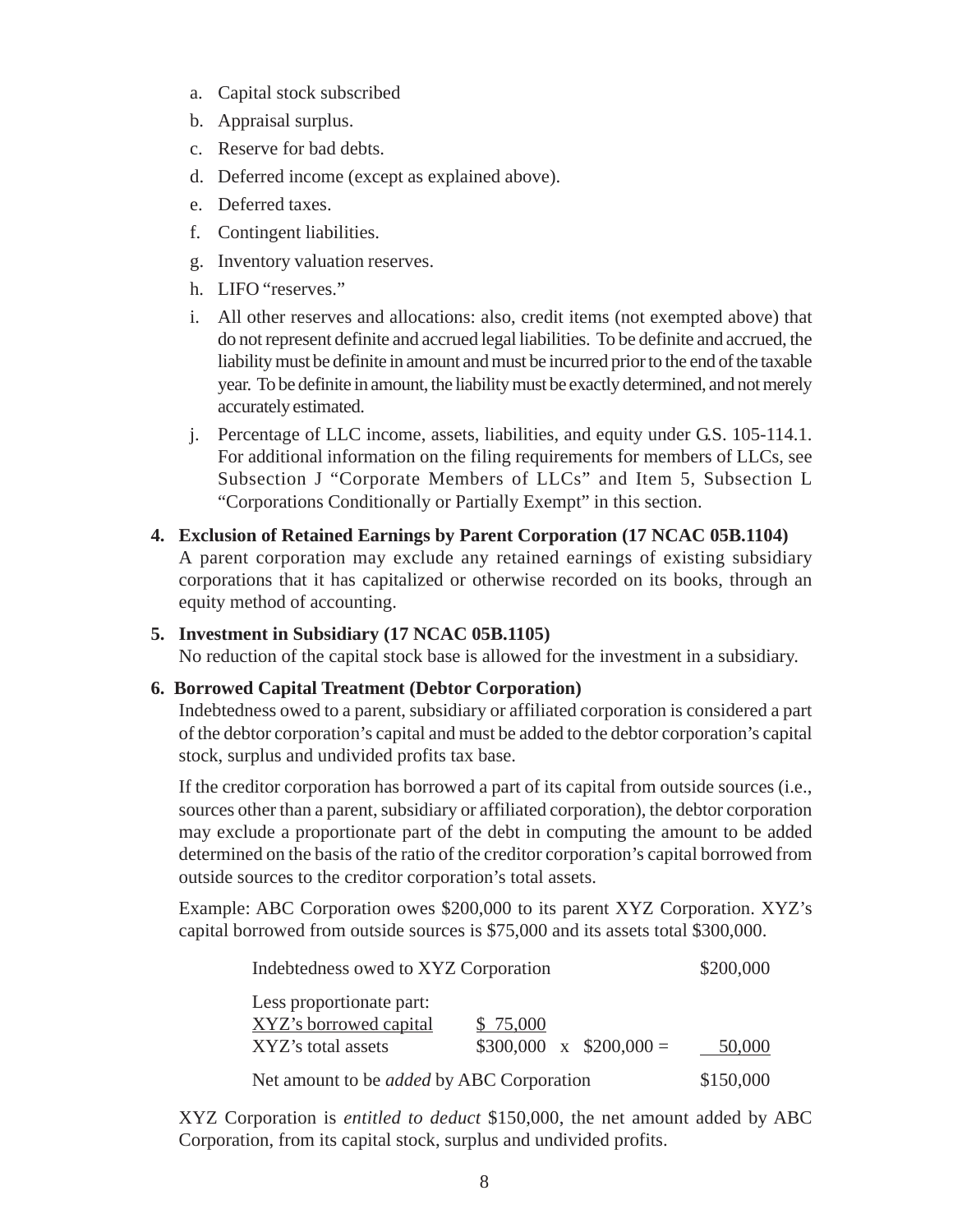- a. Capital stock subscribed
- b. Appraisal surplus.
- c. Reserve for bad debts.
- d. Deferred income (except as explained above).
- e. Deferred taxes.
- f. Contingent liabilities.
- g. Inventory valuation reserves.
- h. LIFO "reserves."
- i. All other reserves and allocations: also, credit items (not exempted above) that do not represent definite and accrued legal liabilities. To be definite and accrued, the liability must be definite in amount and must be incurred prior to the end of the taxable year. To be definite in amount, the liability must be exactly determined, and not merely accurately estimated.
- j. Percentage of LLC income, assets, liabilities, and equity under G.S. 105-114.1. For additional information on the filing requirements for members of LLCs, see Subsection J "Corporate Members of LLCs" and Item 5, Subsection L "Corporations Conditionally or Partially Exempt" in this section.
- **4. Exclusion of Retained Earnings by Parent Corporation (17 NCAC 05B.1104)** A parent corporation may exclude any retained earnings of existing subsidiary corporations that it has capitalized or otherwise recorded on its books, through an equity method of accounting.
- **5. Investment in Subsidiary (17 NCAC 05B.1105)** No reduction of the capital stock base is allowed for the investment in a subsidiary.

## **6. Borrowed Capital Treatment (Debtor Corporation)**

Indebtedness owed to a parent, subsidiary or affiliated corporation is considered a part of the debtor corporation's capital and must be added to the debtor corporation's capital stock, surplus and undivided profits tax base.

If the creditor corporation has borrowed a part of its capital from outside sources (i.e., sources other than a parent, subsidiary or affiliated corporation), the debtor corporation may exclude a proportionate part of the debt in computing the amount to be added determined on the basis of the ratio of the creditor corporation's capital borrowed from outside sources to the creditor corporation's total assets.

Example: ABC Corporation owes \$200,000 to its parent XYZ Corporation. XYZ's capital borrowed from outside sources is \$75,000 and its assets total \$300,000.

| Indebtedness owed to XYZ Corporation               |                              | \$200,000 |
|----------------------------------------------------|------------------------------|-----------|
| Less proportionate part:<br>XYZ's borrowed capital | \$75,000                     |           |
| XYZ's total assets                                 | $$300,000 \times $200,000 =$ | 50,000    |
| Net amount to be <i>added</i> by ABC Corporation   |                              | \$150,000 |

XYZ Corporation is *entitled to deduct* \$150,000, the net amount added by ABC Corporation, from its capital stock, surplus and undivided profits.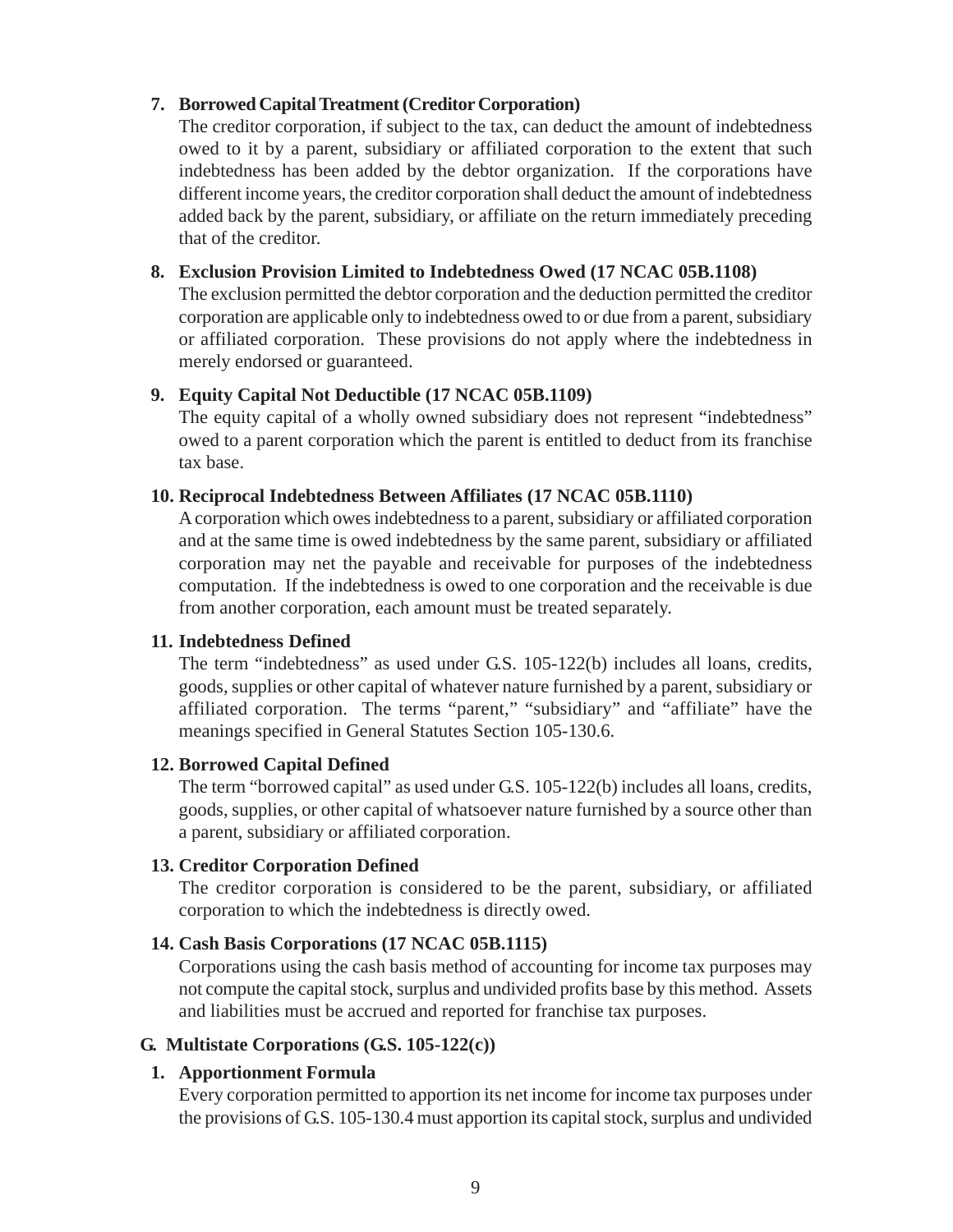## <span id="page-13-0"></span>**7. Borrowed Capital Treatment (Creditor Corporation)**

The creditor corporation, if subject to the tax, can deduct the amount of indebtedness owed to it by a parent, subsidiary or affiliated corporation to the extent that such indebtedness has been added by the debtor organization. If the corporations have different income years, the creditor corporation shall deduct the amount of indebtedness added back by the parent, subsidiary, or affiliate on the return immediately preceding that of the creditor.

#### **8. Exclusion Provision Limited to Indebtedness Owed (17 NCAC 05B.1108)**

The exclusion permitted the debtor corporation and the deduction permitted the creditor corporation are applicable only to indebtedness owed to or due from a parent, subsidiary or affiliated corporation. These provisions do not apply where the indebtedness in merely endorsed or guaranteed.

#### **9. Equity Capital Not Deductible (17 NCAC 05B.1109)**

The equity capital of a wholly owned subsidiary does not represent "indebtedness" owed to a parent corporation which the parent is entitled to deduct from its franchise tax base.

#### **10. Reciprocal Indebtedness Between Affiliates (17 NCAC 05B.1110)**

A corporation which owes indebtedness to a parent, subsidiary or affiliated corporation and at the same time is owed indebtedness by the same parent, subsidiary or affiliated corporation may net the payable and receivable for purposes of the indebtedness computation. If the indebtedness is owed to one corporation and the receivable is due from another corporation, each amount must be treated separately.

#### **11. Indebtedness Defined**

The term "indebtedness" as used under G.S. 105-122(b) includes all loans, credits, goods, supplies or other capital of whatever nature furnished by a parent, subsidiary or affiliated corporation. The terms "parent," "subsidiary" and "affiliate" have the meanings specified in General Statutes Section 105-130.6.

#### **12. Borrowed Capital Defined**

The term "borrowed capital" as used under G.S. 105-122(b) includes all loans, credits, goods, supplies, or other capital of whatsoever nature furnished by a source other than a parent, subsidiary or affiliated corporation.

#### **13. Creditor Corporation Defined**

The creditor corporation is considered to be the parent, subsidiary, or affiliated corporation to which the indebtedness is directly owed.

#### **14. Cash Basis Corporations (17 NCAC 05B.1115)**

Corporations using the cash basis method of accounting for income tax purposes may not compute the capital stock, surplus and undivided profits base by this method. Assets and liabilities must be accrued and reported for franchise tax purposes.

#### **G. Multistate Corporations (G.S. 105-122(c))**

#### **1. Apportionment Formula**

Every corporation permitted to apportion its net income for income tax purposes under the provisions of G.S. 105-130.4 must apportion its capital stock, surplus and undivided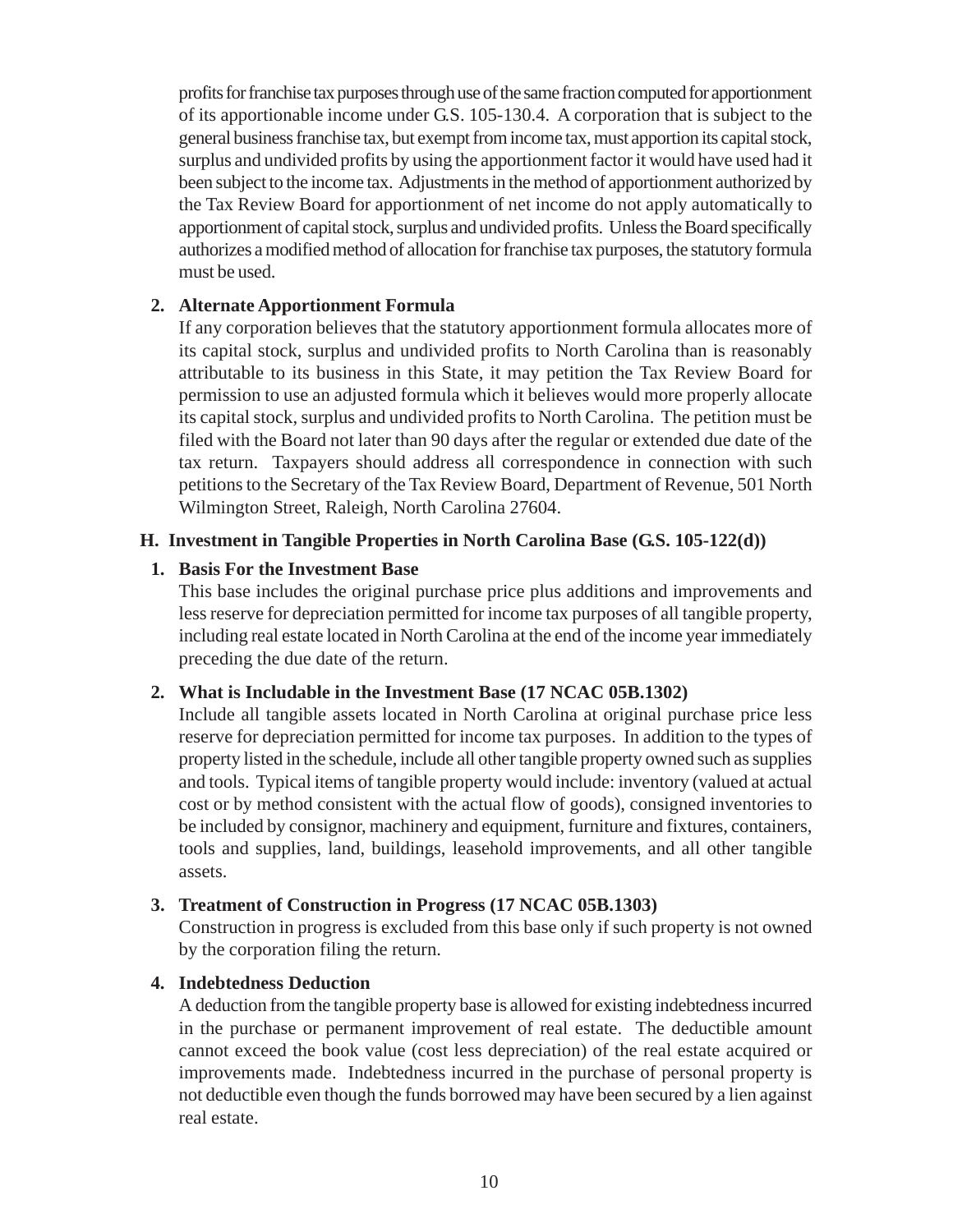<span id="page-14-0"></span>profits for franchise tax purposes through use of the same fraction computed for apportionment of its apportionable income under G.S. 105-130.4. A corporation that is subject to the general business franchise tax, but exempt from income tax, must apportion its capital stock, surplus and undivided profits by using the apportionment factor it would have used had it been subject to the income tax. Adjustments in the method of apportionment authorized by the Tax Review Board for apportionment of net income do not apply automatically to apportionment of capital stock, surplus and undivided profits. Unless the Board specifically authorizes a modified method of allocation for franchise tax purposes, the statutory formula must be used.

#### **2. Alternate Apportionment Formula**

If any corporation believes that the statutory apportionment formula allocates more of its capital stock, surplus and undivided profits to North Carolina than is reasonably attributable to its business in this State, it may petition the Tax Review Board for permission to use an adjusted formula which it believes would more properly allocate its capital stock, surplus and undivided profits to North Carolina. The petition must be filed with the Board not later than 90 days after the regular or extended due date of the tax return. Taxpayers should address all correspondence in connection with such petitions to the Secretary of the Tax Review Board, Department of Revenue, 501 North Wilmington Street, Raleigh, North Carolina 27604.

#### **H. Investment in Tangible Properties in North Carolina Base (G.S. 105-122(d))**

#### **1. Basis For the Investment Base**

This base includes the original purchase price plus additions and improvements and less reserve for depreciation permitted for income tax purposes of all tangible property, including real estate located in North Carolina at the end of the income year immediately preceding the due date of the return.

#### **2. What is Includable in the Investment Base (17 NCAC 05B.1302)**

Include all tangible assets located in North Carolina at original purchase price less reserve for depreciation permitted for income tax purposes. In addition to the types of property listed in the schedule, include all other tangible property owned such as supplies and tools. Typical items of tangible property would include: inventory (valued at actual cost or by method consistent with the actual flow of goods), consigned inventories to be included by consignor, machinery and equipment, furniture and fixtures, containers, tools and supplies, land, buildings, leasehold improvements, and all other tangible assets.

#### **3. Treatment of Construction in Progress (17 NCAC 05B.1303)**

Construction in progress is excluded from this base only if such property is not owned by the corporation filing the return.

## **4. Indebtedness Deduction**

A deduction from the tangible property base is allowed for existing indebtedness incurred in the purchase or permanent improvement of real estate. The deductible amount cannot exceed the book value (cost less depreciation) of the real estate acquired or improvements made. Indebtedness incurred in the purchase of personal property is not deductible even though the funds borrowed may have been secured by a lien against real estate.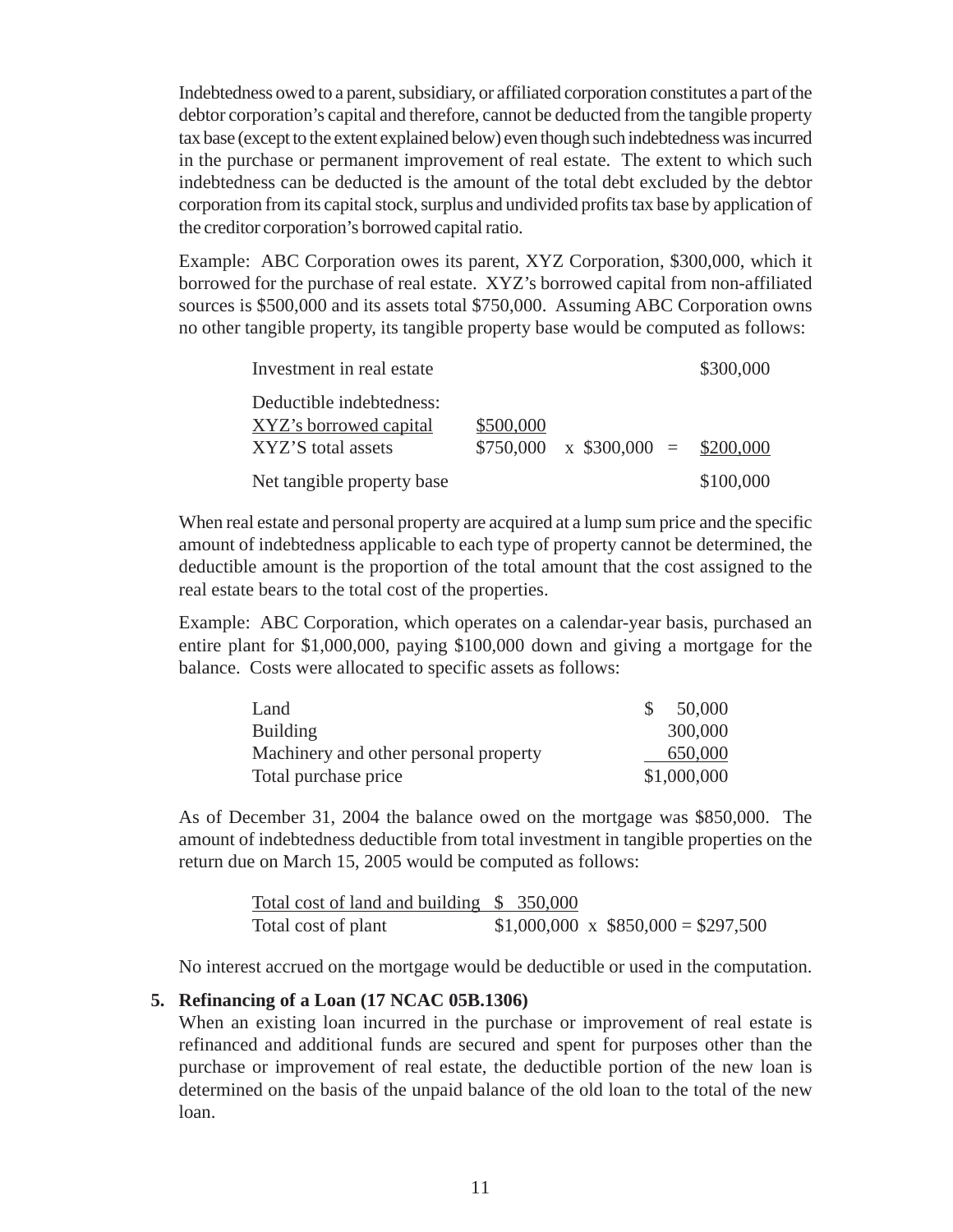Indebtedness owed to a parent, subsidiary, or affiliated corporation constitutes a part of the debtor corporation's capital and therefore, cannot be deducted from the tangible property tax base (except to the extent explained below) even though such indebtedness was incurred in the purchase or permanent improvement of real estate. The extent to which such indebtedness can be deducted is the amount of the total debt excluded by the debtor corporation from its capital stock, surplus and undivided profits tax base by application of the creditor corporation's borrowed capital ratio.

Example: ABC Corporation owes its parent, XYZ Corporation, \$300,000, which it borrowed for the purchase of real estate. XYZ's borrowed capital from non-affiliated sources is \$500,000 and its assets total \$750,000. Assuming ABC Corporation owns no other tangible property, its tangible property base would be computed as follows:

| Investment in real estate                          |           |                                       | \$300,000 |
|----------------------------------------------------|-----------|---------------------------------------|-----------|
| Deductible indebtedness:<br>XYZ's borrowed capital | \$500,000 |                                       |           |
| XYZ'S total assets                                 |           | $$750,000 \times $300,000 = $200,000$ |           |
| Net tangible property base                         |           |                                       | \$100,000 |

When real estate and personal property are acquired at a lump sum price and the specific amount of indebtedness applicable to each type of property cannot be determined, the deductible amount is the proportion of the total amount that the cost assigned to the real estate bears to the total cost of the properties.

Example: ABC Corporation, which operates on a calendar-year basis, purchased an entire plant for \$1,000,000, paying \$100,000 down and giving a mortgage for the balance. Costs were allocated to specific assets as follows:

| Land                                  | 50,000      |
|---------------------------------------|-------------|
| <b>Building</b>                       | 300,000     |
| Machinery and other personal property | 650,000     |
| Total purchase price                  | \$1,000,000 |

As of December 31, 2004 the balance owed on the mortgage was \$850,000. The amount of indebtedness deductible from total investment in tangible properties on the return due on March 15, 2005 would be computed as follows:

> Total cost of land and building \$ 350,000 Total cost of plant  $$1,000,000 \times $850,000 = $297,500$

No interest accrued on the mortgage would be deductible or used in the computation.

#### **5. Refinancing of a Loan (17 NCAC 05B.1306)**

When an existing loan incurred in the purchase or improvement of real estate is refinanced and additional funds are secured and spent for purposes other than the purchase or improvement of real estate, the deductible portion of the new loan is determined on the basis of the unpaid balance of the old loan to the total of the new loan.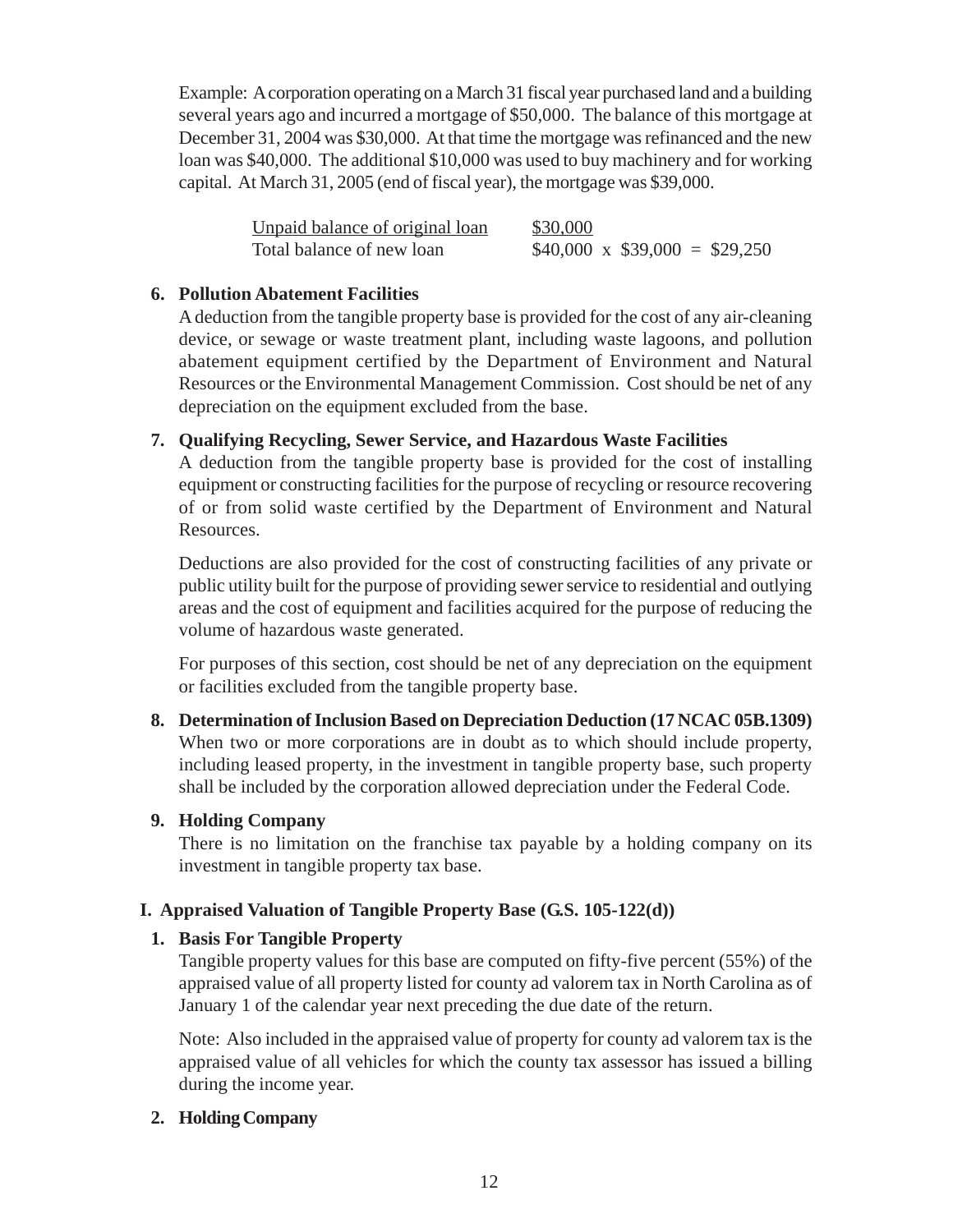<span id="page-16-0"></span>Example: A corporation operating on a March 31 fiscal year purchased land and a building several years ago and incurred a mortgage of \$50,000. The balance of this mortgage at December 31, 2004 was \$30,000. At that time the mortgage was refinanced and the new loan was \$40,000. The additional \$10,000 was used to buy machinery and for working capital. At March 31, 2005 (end of fiscal year), the mortgage was \$39,000.

| Unpaid balance of original loan | \$30,000                           |
|---------------------------------|------------------------------------|
| Total balance of new loan       | $$40,000 \times $39,000 = $29,250$ |

### **6. Pollution Abatement Facilities**

A deduction from the tangible property base is provided for the cost of any air-cleaning device, or sewage or waste treatment plant, including waste lagoons, and pollution abatement equipment certified by the Department of Environment and Natural Resources or the Environmental Management Commission. Cost should be net of any depreciation on the equipment excluded from the base.

## **7. Qualifying Recycling, Sewer Service, and Hazardous Waste Facilities**

A deduction from the tangible property base is provided for the cost of installing equipment or constructing facilities for the purpose of recycling or resource recovering of or from solid waste certified by the Department of Environment and Natural Resources.

Deductions are also provided for the cost of constructing facilities of any private or public utility built for the purpose of providing sewer service to residential and outlying areas and the cost of equipment and facilities acquired for the purpose of reducing the volume of hazardous waste generated.

For purposes of this section, cost should be net of any depreciation on the equipment or facilities excluded from the tangible property base.

## **8. Determination of Inclusion Based on Depreciation Deduction (17 NCAC 05B.1309)** When two or more corporations are in doubt as to which should include property, including leased property, in the investment in tangible property base, such property shall be included by the corporation allowed depreciation under the Federal Code.

#### **9. Holding Company**

There is no limitation on the franchise tax payable by a holding company on its investment in tangible property tax base.

## **I. Appraised Valuation of Tangible Property Base (G.S. 105-122(d))**

#### **1. Basis For Tangible Property**

Tangible property values for this base are computed on fifty-five percent (55%) of the appraised value of all property listed for county ad valorem tax in North Carolina as of January 1 of the calendar year next preceding the due date of the return.

Note: Also included in the appraised value of property for county ad valorem tax is the appraised value of all vehicles for which the county tax assessor has issued a billing during the income year.

#### **2. Holding Company**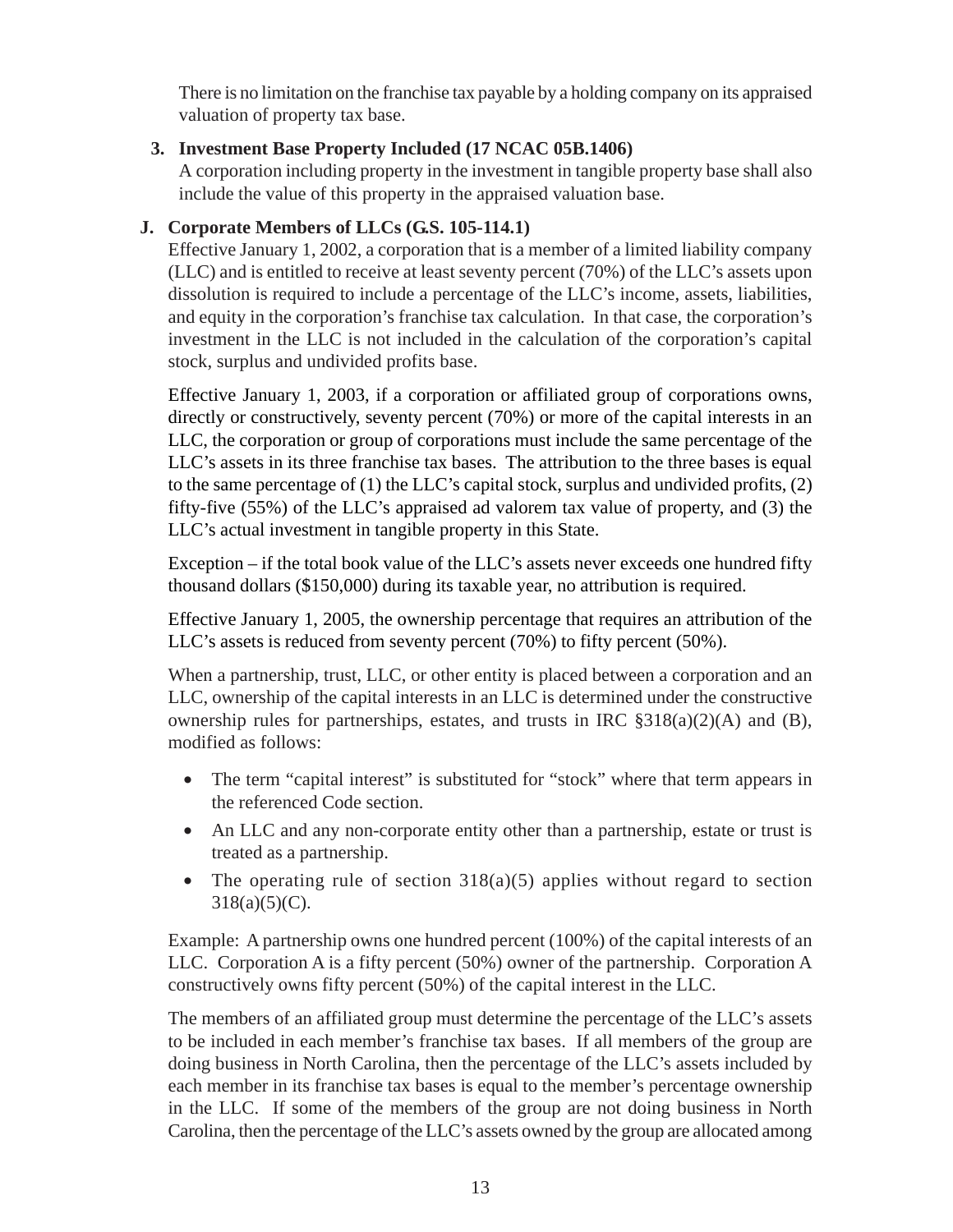<span id="page-17-0"></span>There is no limitation on the franchise tax payable by a holding company on its appraised valuation of property tax base.

## **3. Investment Base Property Included (17 NCAC 05B.1406)**

A corporation including property in the investment in tangible property base shall also include the value of this property in the appraised valuation base.

## **J. Corporate Members of LLCs (G.S. 105-114.1)**

Effective January 1, 2002, a corporation that is a member of a limited liability company (LLC) and is entitled to receive at least seventy percent (70%) of the LLC's assets upon dissolution is required to include a percentage of the LLC's income, assets, liabilities, and equity in the corporation's franchise tax calculation. In that case, the corporation's investment in the LLC is not included in the calculation of the corporation's capital stock, surplus and undivided profits base.

Effective January 1, 2003, if a corporation or affiliated group of corporations owns, directly or constructively, seventy percent (70%) or more of the capital interests in an LLC, the corporation or group of corporations must include the same percentage of the LLC's assets in its three franchise tax bases. The attribution to the three bases is equal to the same percentage of (1) the LLC's capital stock, surplus and undivided profits, (2) fifty-five (55%) of the LLC's appraised ad valorem tax value of property, and (3) the LLC's actual investment in tangible property in this State.

Exception – if the total book value of the LLC's assets never exceeds one hundred fifty thousand dollars (\$150,000) during its taxable year, no attribution is required.

Effective January 1, 2005, the ownership percentage that requires an attribution of the LLC's assets is reduced from seventy percent (70%) to fifty percent (50%).

When a partnership, trust, LLC, or other entity is placed between a corporation and an LLC, ownership of the capital interests in an LLC is determined under the constructive ownership rules for partnerships, estates, and trusts in IRC §318(a)(2)(A) and (B), modified as follows:

- The term "capital interest" is substituted for "stock" where that term appears in the referenced Code section.
- An LLC and any non-corporate entity other than a partnership, estate or trust is treated as a partnership.
- The operating rule of section  $318(a)(5)$  applies without regard to section  $318(a)(5)(C)$ .

Example: A partnership owns one hundred percent (100%) of the capital interests of an LLC. Corporation A is a fifty percent (50%) owner of the partnership. Corporation A constructively owns fifty percent (50%) of the capital interest in the LLC.

The members of an affiliated group must determine the percentage of the LLC's assets to be included in each member's franchise tax bases. If all members of the group are doing business in North Carolina, then the percentage of the LLC's assets included by each member in its franchise tax bases is equal to the member's percentage ownership in the LLC. If some of the members of the group are not doing business in North Carolina, then the percentage of the LLC's assets owned by the group are allocated among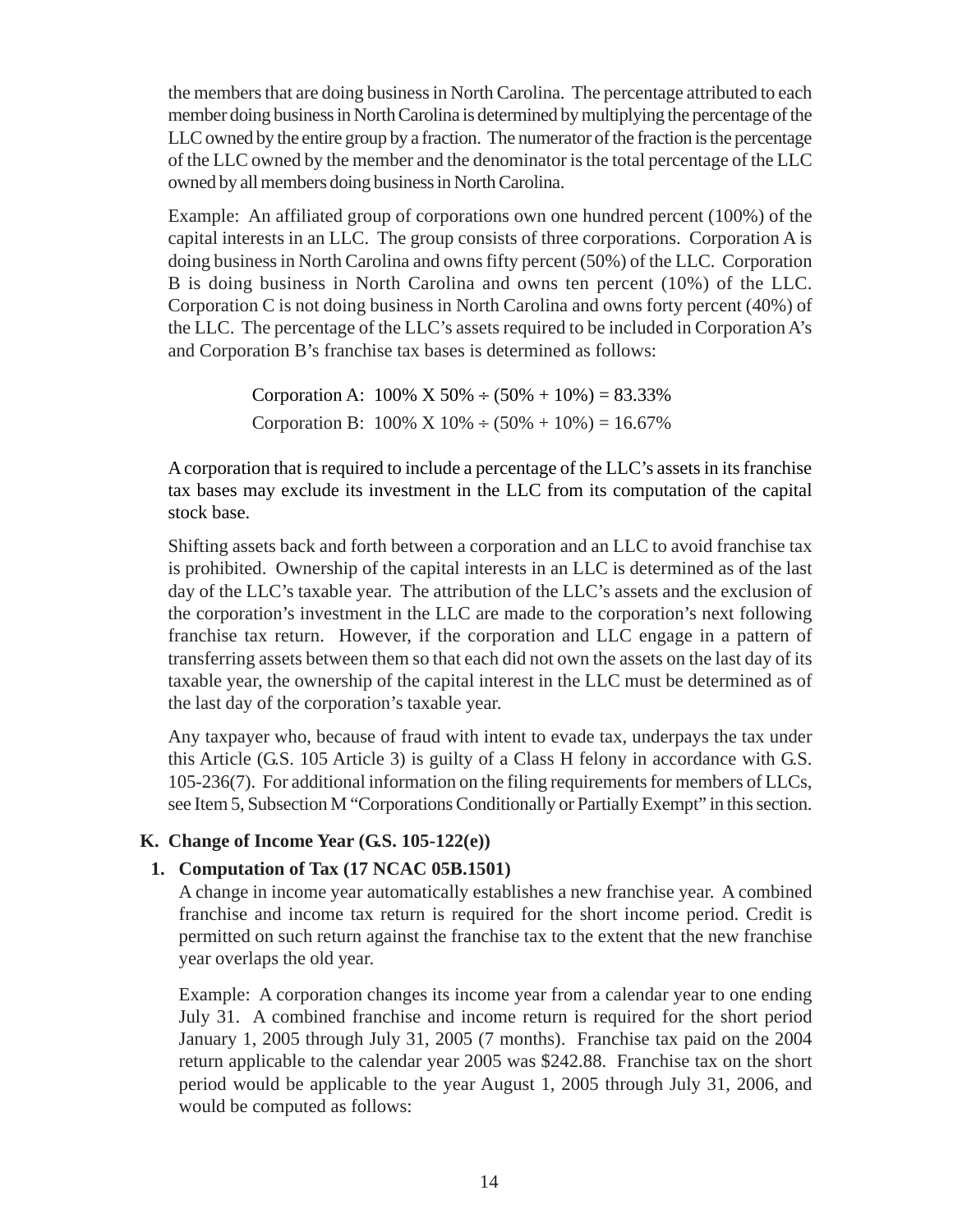<span id="page-18-0"></span>the members that are doing business in North Carolina. The percentage attributed to each member doing business in North Carolina is determined by multiplying the percentage of the LLC owned by the entire group by a fraction. The numerator of the fraction is the percentage of the LLC owned by the member and the denominator is the total percentage of the LLC owned by all members doing business in North Carolina.

Example: An affiliated group of corporations own one hundred percent (100%) of the capital interests in an LLC. The group consists of three corporations. Corporation A is doing business in North Carolina and owns fifty percent (50%) of the LLC. Corporation B is doing business in North Carolina and owns ten percent (10%) of the LLC. Corporation C is not doing business in North Carolina and owns forty percent (40%) of the LLC. The percentage of the LLC's assets required to be included in Corporation A's and Corporation B's franchise tax bases is determined as follows:

> Corporation A:  $100\%$  X  $50\% \div (50\% + 10\%) = 83.33\%$ Corporation B:  $100\% \times 10\% \div (50\% + 10\%) = 16.67\%$

A corporation that is required to include a percentage of the LLC's assets in its franchise tax bases may exclude its investment in the LLC from its computation of the capital stock base.

Shifting assets back and forth between a corporation and an LLC to avoid franchise tax is prohibited. Ownership of the capital interests in an LLC is determined as of the last day of the LLC's taxable year. The attribution of the LLC's assets and the exclusion of the corporation's investment in the LLC are made to the corporation's next following franchise tax return. However, if the corporation and LLC engage in a pattern of transferring assets between them so that each did not own the assets on the last day of its taxable year, the ownership of the capital interest in the LLC must be determined as of the last day of the corporation's taxable year.

Any taxpayer who, because of fraud with intent to evade tax, underpays the tax under this Article (G.S. 105 Article 3) is guilty of a Class H felony in accordance with G.S. 105-236(7). For additional information on the filing requirements for members of LLCs, see Item 5, Subsection M "Corporations Conditionally or Partially Exempt" in this section.

## **K. Change of Income Year (G.S. 105-122(e))**

## **1. Computation of Tax (17 NCAC 05B.1501)**

A change in income year automatically establishes a new franchise year. A combined franchise and income tax return is required for the short income period. Credit is permitted on such return against the franchise tax to the extent that the new franchise year overlaps the old year.

Example: A corporation changes its income year from a calendar year to one ending July 31. A combined franchise and income return is required for the short period January 1, 2005 through July 31, 2005 (7 months). Franchise tax paid on the 2004 return applicable to the calendar year 2005 was \$242.88. Franchise tax on the short period would be applicable to the year August 1, 2005 through July 31, 2006, and would be computed as follows: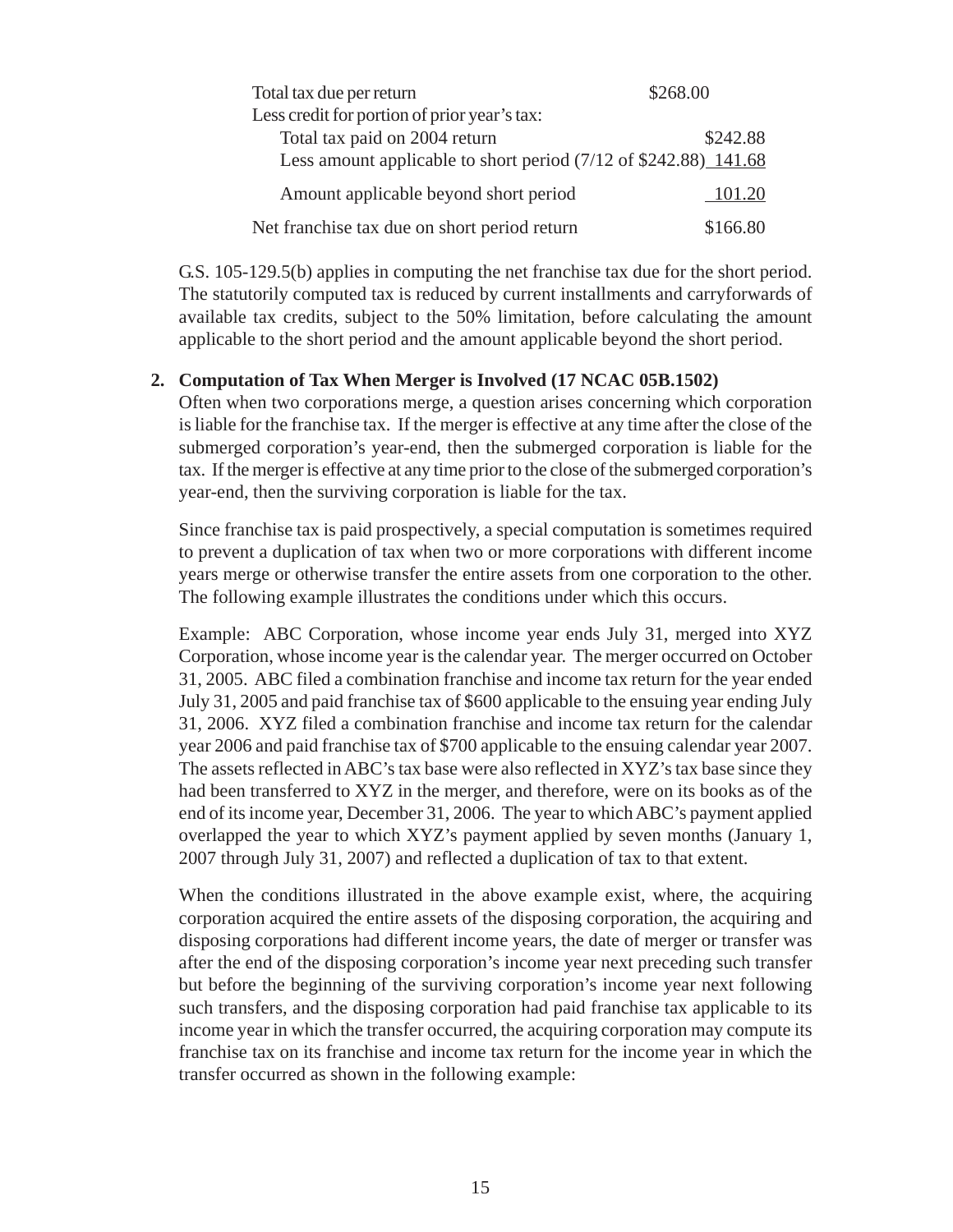| Total tax due per return                                                   | \$268.00 |
|----------------------------------------------------------------------------|----------|
| Less credit for portion of prior year's tax:                               |          |
| Total tax paid on 2004 return                                              | \$242.88 |
| Less amount applicable to short period $(7/12 \text{ of } $242.88)$ 141.68 |          |
| Amount applicable beyond short period                                      | 101.20   |
| Net franchise tax due on short period return                               | \$166.80 |

G.S. 105-129.5(b) applies in computing the net franchise tax due for the short period. The statutorily computed tax is reduced by current installments and carryforwards of available tax credits, subject to the 50% limitation, before calculating the amount applicable to the short period and the amount applicable beyond the short period.

## **2. Computation of Tax When Merger is Involved (17 NCAC 05B.1502)**

Often when two corporations merge, a question arises concerning which corporation is liable for the franchise tax. If the merger is effective at any time after the close of the submerged corporation's year-end, then the submerged corporation is liable for the tax. If the merger is effective at any time prior to the close of the submerged corporation's year-end, then the surviving corporation is liable for the tax.

Since franchise tax is paid prospectively, a special computation is sometimes required to prevent a duplication of tax when two or more corporations with different income years merge or otherwise transfer the entire assets from one corporation to the other. The following example illustrates the conditions under which this occurs.

Example: ABC Corporation, whose income year ends July 31, merged into XYZ Corporation, whose income year is the calendar year. The merger occurred on October 31, 2005. ABC filed a combination franchise and income tax return for the year ended July 31, 2005 and paid franchise tax of \$600 applicable to the ensuing year ending July 31, 2006. XYZ filed a combination franchise and income tax return for the calendar year 2006 and paid franchise tax of \$700 applicable to the ensuing calendar year 2007. The assets reflected in ABC's tax base were also reflected in XYZ's tax base since they had been transferred to XYZ in the merger, and therefore, were on its books as of the end of its income year, December 31, 2006. The year to which ABC's payment applied overlapped the year to which XYZ's payment applied by seven months (January 1, 2007 through July 31, 2007) and reflected a duplication of tax to that extent.

When the conditions illustrated in the above example exist, where, the acquiring corporation acquired the entire assets of the disposing corporation, the acquiring and disposing corporations had different income years, the date of merger or transfer was after the end of the disposing corporation's income year next preceding such transfer but before the beginning of the surviving corporation's income year next following such transfers, and the disposing corporation had paid franchise tax applicable to its income year in which the transfer occurred, the acquiring corporation may compute its franchise tax on its franchise and income tax return for the income year in which the transfer occurred as shown in the following example: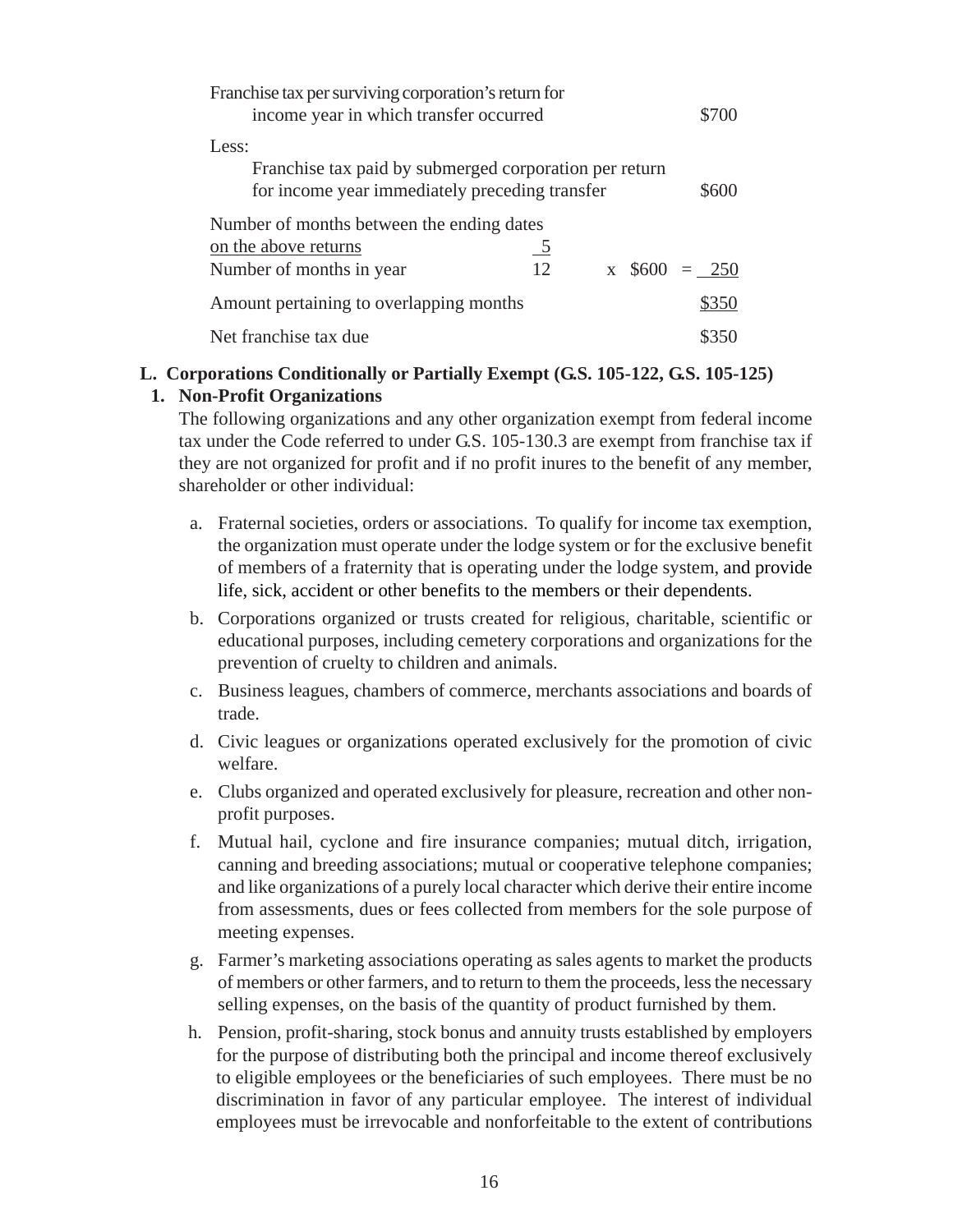<span id="page-20-0"></span>

| Franchise tax per surviving corporation's return for<br>income year in which transfer occurred                    |                      |  | \$700              |
|-------------------------------------------------------------------------------------------------------------------|----------------------|--|--------------------|
| Less:<br>Franchise tax paid by submerged corporation per return<br>for income year immediately preceding transfer |                      |  | \$600              |
| Number of months between the ending dates<br>on the above returns<br>Number of months in year                     | $\overline{5}$<br>12 |  | $x \, \$600 = 250$ |
| Amount pertaining to overlapping months                                                                           |                      |  | \$350              |
| Net franchise tax due                                                                                             |                      |  |                    |

## **L. Corporations Conditionally or Partially Exempt (G.S. 105-122, G.S. 105-125)**

#### **1. Non-Profit Organizations**

The following organizations and any other organization exempt from federal income tax under the Code referred to under G.S. 105-130.3 are exempt from franchise tax if they are not organized for profit and if no profit inures to the benefit of any member, shareholder or other individual:

- a. Fraternal societies, orders or associations. To qualify for income tax exemption, the organization must operate under the lodge system or for the exclusive benefit of members of a fraternity that is operating under the lodge system, and provide life, sick, accident or other benefits to the members or their dependents.
- b. Corporations organized or trusts created for religious, charitable, scientific or educational purposes, including cemetery corporations and organizations for the prevention of cruelty to children and animals.
- c. Business leagues, chambers of commerce, merchants associations and boards of trade.
- d. Civic leagues or organizations operated exclusively for the promotion of civic welfare.
- e. Clubs organized and operated exclusively for pleasure, recreation and other nonprofit purposes.
- f. Mutual hail, cyclone and fire insurance companies; mutual ditch, irrigation, canning and breeding associations; mutual or cooperative telephone companies; and like organizations of a purely local character which derive their entire income from assessments, dues or fees collected from members for the sole purpose of meeting expenses.
- g. Farmer's marketing associations operating as sales agents to market the products of members or other farmers, and to return to them the proceeds, less the necessary selling expenses, on the basis of the quantity of product furnished by them.
- h. Pension, profit-sharing, stock bonus and annuity trusts established by employers for the purpose of distributing both the principal and income thereof exclusively to eligible employees or the beneficiaries of such employees. There must be no discrimination in favor of any particular employee. The interest of individual employees must be irrevocable and nonforfeitable to the extent of contributions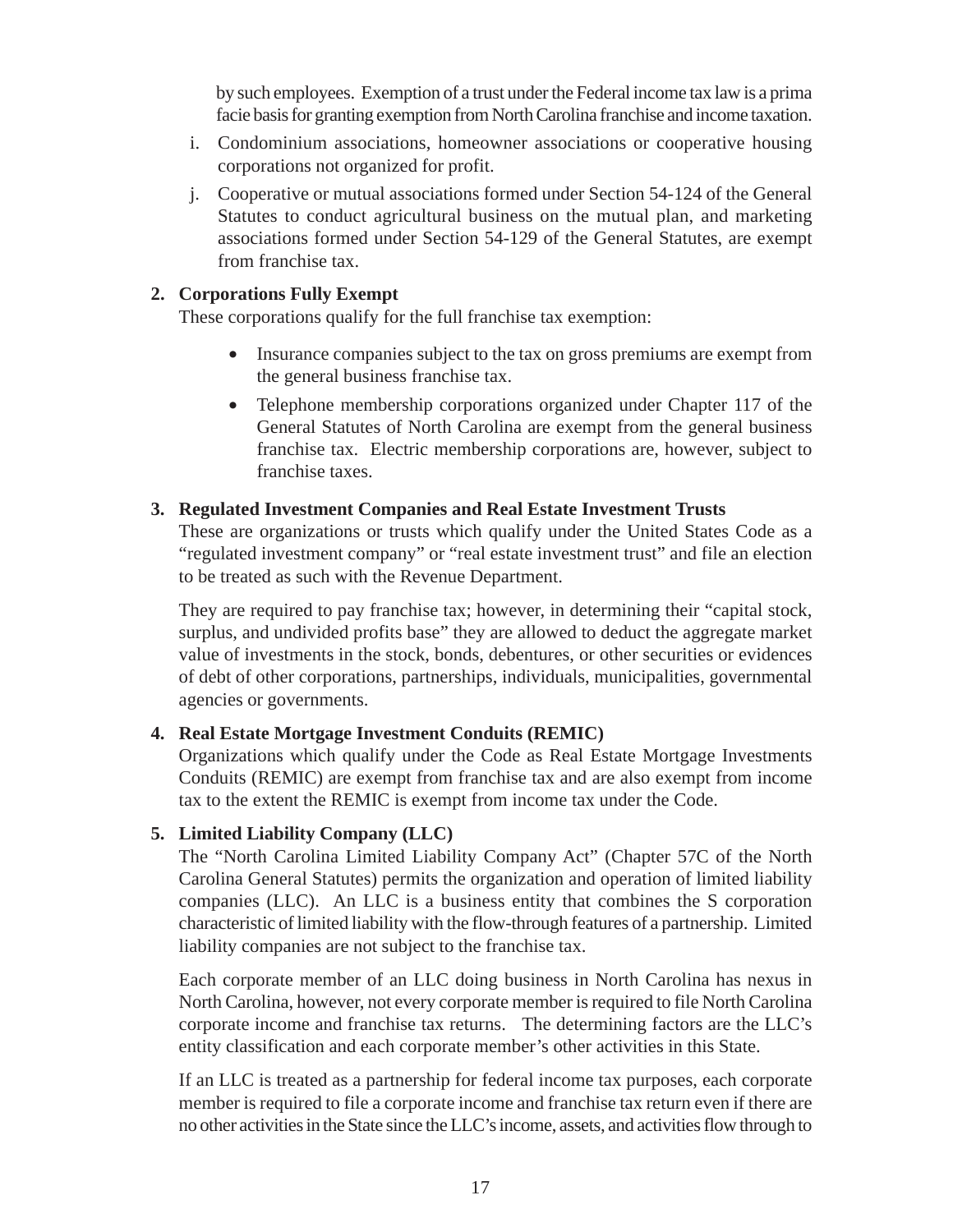by such employees. Exemption of a trust under the Federal income tax law is a prima facie basis for granting exemption from North Carolina franchise and income taxation.

- i. Condominium associations, homeowner associations or cooperative housing corporations not organized for profit.
- j. Cooperative or mutual associations formed under Section 54-124 of the General Statutes to conduct agricultural business on the mutual plan, and marketing associations formed under Section 54-129 of the General Statutes, are exempt from franchise tax.

### **2. Corporations Fully Exempt**

These corporations qualify for the full franchise tax exemption:

- Insurance companies subject to the tax on gross premiums are exempt from the general business franchise tax.
- Telephone membership corporations organized under Chapter 117 of the General Statutes of North Carolina are exempt from the general business franchise tax. Electric membership corporations are, however, subject to franchise taxes.

#### **3. Regulated Investment Companies and Real Estate Investment Trusts**

These are organizations or trusts which qualify under the United States Code as a "regulated investment company" or "real estate investment trust" and file an election to be treated as such with the Revenue Department.

They are required to pay franchise tax; however, in determining their "capital stock, surplus, and undivided profits base" they are allowed to deduct the aggregate market value of investments in the stock, bonds, debentures, or other securities or evidences of debt of other corporations, partnerships, individuals, municipalities, governmental agencies or governments.

## **4. Real Estate Mortgage Investment Conduits (REMIC)**

Organizations which qualify under the Code as Real Estate Mortgage Investments Conduits (REMIC) are exempt from franchise tax and are also exempt from income tax to the extent the REMIC is exempt from income tax under the Code.

## **5. Limited Liability Company (LLC)**

The "North Carolina Limited Liability Company Act" (Chapter 57C of the North Carolina General Statutes) permits the organization and operation of limited liability companies (LLC). An LLC is a business entity that combines the S corporation characteristic of limited liability with the flow-through features of a partnership. Limited liability companies are not subject to the franchise tax.

Each corporate member of an LLC doing business in North Carolina has nexus in North Carolina, however, not every corporate member is required to file North Carolina corporate income and franchise tax returns. The determining factors are the LLC's entity classification and each corporate member's other activities in this State.

If an LLC is treated as a partnership for federal income tax purposes, each corporate member is required to file a corporate income and franchise tax return even if there are no other activities in the State since the LLC's income, assets, and activities flow through to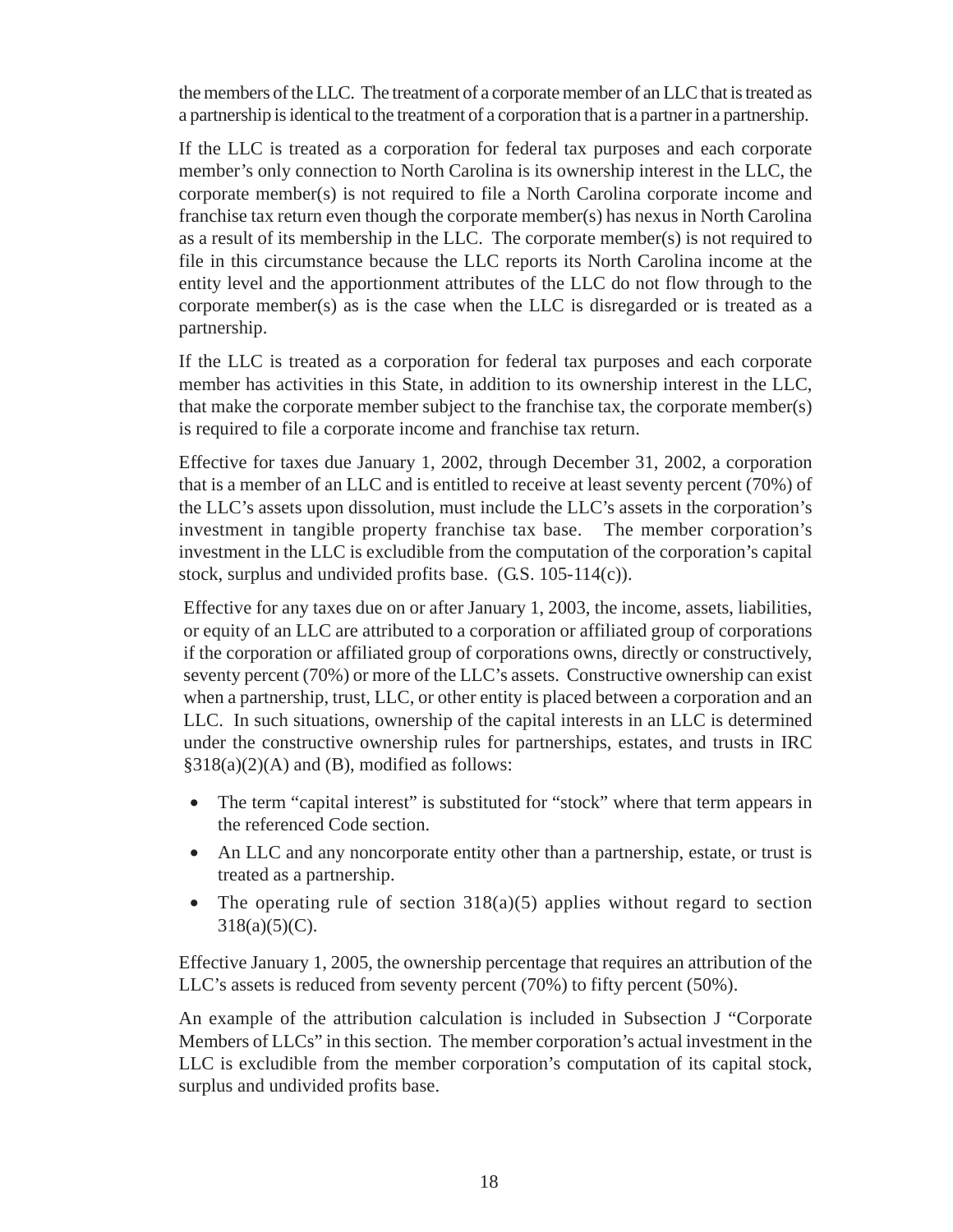the members of the LLC. The treatment of a corporate member of an LLC that is treated as a partnership is identical to the treatment of a corporation that is a partner in a partnership.

If the LLC is treated as a corporation for federal tax purposes and each corporate member's only connection to North Carolina is its ownership interest in the LLC, the corporate member(s) is not required to file a North Carolina corporate income and franchise tax return even though the corporate member(s) has nexus in North Carolina as a result of its membership in the LLC. The corporate member(s) is not required to file in this circumstance because the LLC reports its North Carolina income at the entity level and the apportionment attributes of the LLC do not flow through to the corporate member(s) as is the case when the LLC is disregarded or is treated as a partnership.

If the LLC is treated as a corporation for federal tax purposes and each corporate member has activities in this State, in addition to its ownership interest in the LLC, that make the corporate member subject to the franchise tax, the corporate member(s) is required to file a corporate income and franchise tax return.

Effective for taxes due January 1, 2002, through December 31, 2002, a corporation that is a member of an LLC and is entitled to receive at least seventy percent (70%) of the LLC's assets upon dissolution, must include the LLC's assets in the corporation's investment in tangible property franchise tax base. The member corporation's investment in the LLC is excludible from the computation of the corporation's capital stock, surplus and undivided profits base. (G.S. 105-114(c)).

Effective for any taxes due on or after January 1, 2003, the income, assets, liabilities, or equity of an LLC are attributed to a corporation or affiliated group of corporations if the corporation or affiliated group of corporations owns, directly or constructively, seventy percent (70%) or more of the LLC's assets. Constructive ownership can exist when a partnership, trust, LLC, or other entity is placed between a corporation and an LLC. In such situations, ownership of the capital interests in an LLC is determined under the constructive ownership rules for partnerships, estates, and trusts in IRC  $§318(a)(2)(A)$  and (B), modified as follows:

- The term "capital interest" is substituted for "stock" where that term appears in the referenced Code section.
- An LLC and any noncorporate entity other than a partnership, estate, or trust is treated as a partnership.
- The operating rule of section  $318(a)(5)$  applies without regard to section  $318(a)(5)(C)$ .

Effective January 1, 2005, the ownership percentage that requires an attribution of the LLC's assets is reduced from seventy percent (70%) to fifty percent (50%).

An example of the attribution calculation is included in Subsection J "Corporate Members of LLCs" in this section. The member corporation's actual investment in the LLC is excludible from the member corporation's computation of its capital stock, surplus and undivided profits base.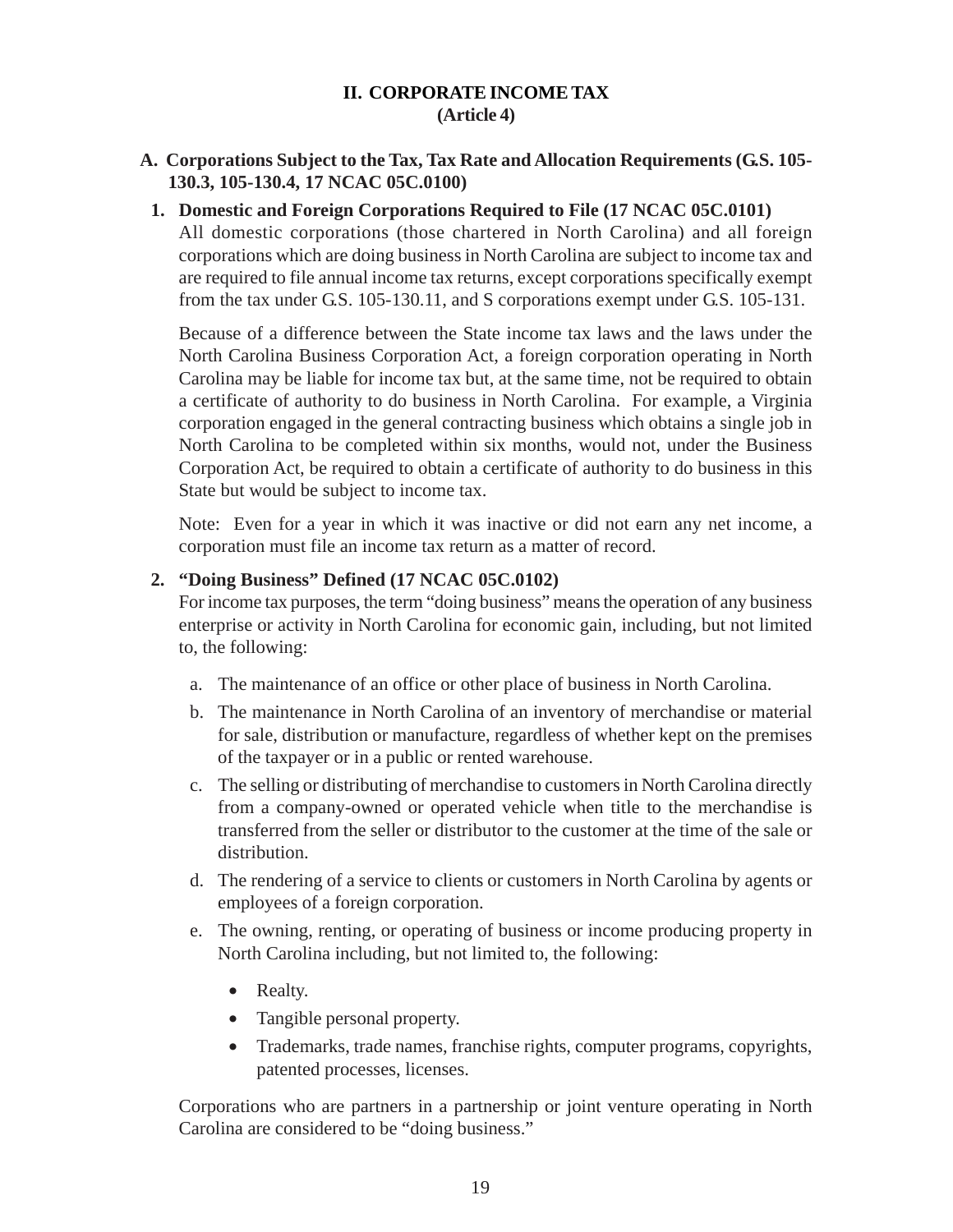## **II. CORPORATE INCOME TAX (Article 4)**

## <span id="page-23-0"></span>**A. Corporations Subject to the Tax, Tax Rate and Allocation Requirements (G.S. 105- 130.3, 105-130.4, 17 NCAC 05C.0100)**

### **1. Domestic and Foreign Corporations Required to File (17 NCAC 05C.0101)**

All domestic corporations (those chartered in North Carolina) and all foreign corporations which are doing business in North Carolina are subject to income tax and are required to file annual income tax returns, except corporations specifically exempt from the tax under G.S. 105-130.11, and S corporations exempt under G.S. 105-131.

Because of a difference between the State income tax laws and the laws under the North Carolina Business Corporation Act, a foreign corporation operating in North Carolina may be liable for income tax but, at the same time, not be required to obtain a certificate of authority to do business in North Carolina. For example, a Virginia corporation engaged in the general contracting business which obtains a single job in North Carolina to be completed within six months, would not, under the Business Corporation Act, be required to obtain a certificate of authority to do business in this State but would be subject to income tax.

Note: Even for a year in which it was inactive or did not earn any net income, a corporation must file an income tax return as a matter of record.

#### **2. "Doing Business" Defined (17 NCAC 05C.0102)**

For income tax purposes, the term "doing business" means the operation of any business enterprise or activity in North Carolina for economic gain, including, but not limited to, the following:

- a. The maintenance of an office or other place of business in North Carolina.
- b. The maintenance in North Carolina of an inventory of merchandise or material for sale, distribution or manufacture, regardless of whether kept on the premises of the taxpayer or in a public or rented warehouse.
- c. The selling or distributing of merchandise to customers in North Carolina directly from a company-owned or operated vehicle when title to the merchandise is transferred from the seller or distributor to the customer at the time of the sale or distribution.
- d. The rendering of a service to clients or customers in North Carolina by agents or employees of a foreign corporation.
- e. The owning, renting, or operating of business or income producing property in North Carolina including, but not limited to, the following:
	- Realty.
	- Tangible personal property.
	- Trademarks, trade names, franchise rights, computer programs, copyrights, patented processes, licenses.

Corporations who are partners in a partnership or joint venture operating in North Carolina are considered to be "doing business."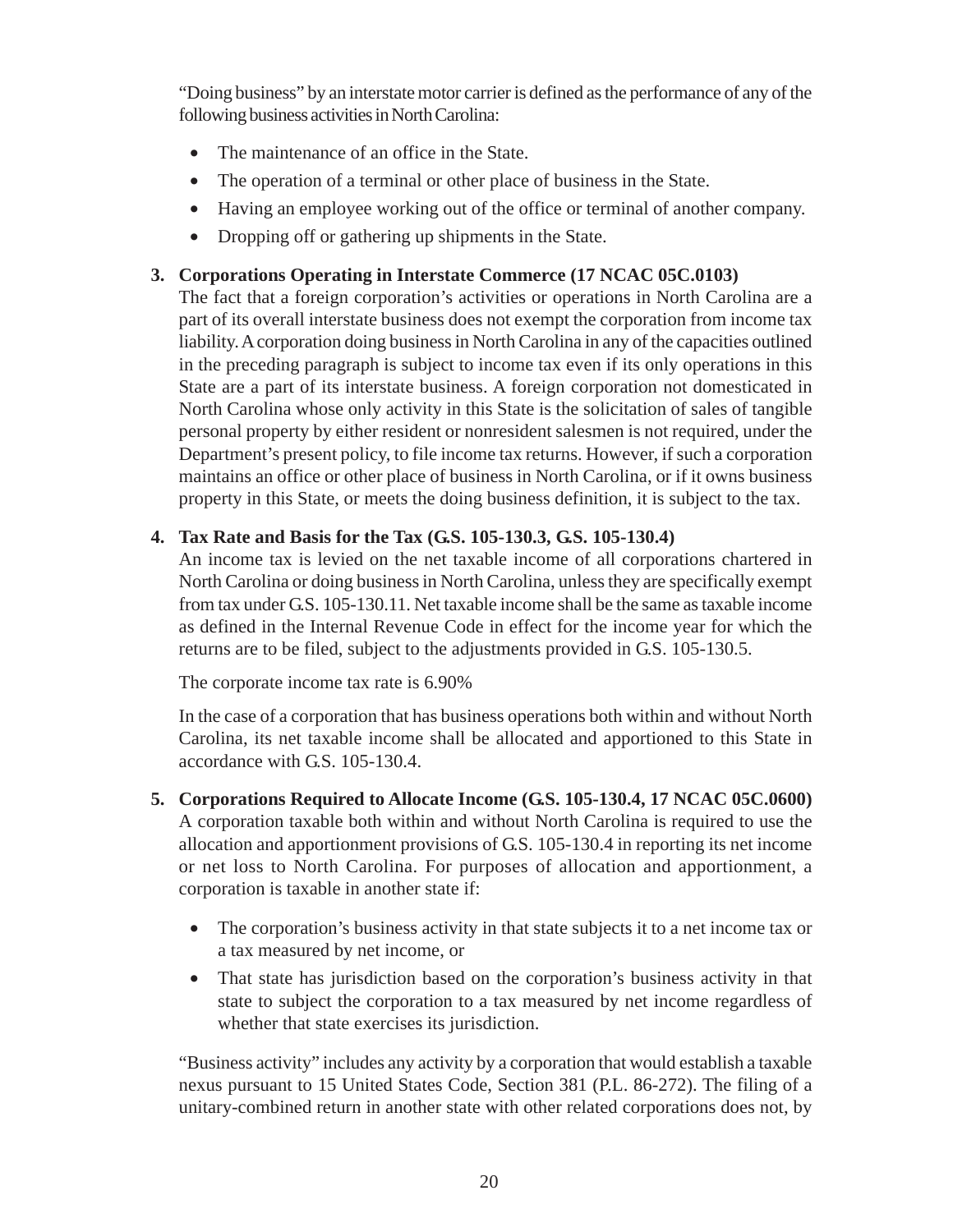"Doing business" by an interstate motor carrier is defined as the performance of any of the following business activities in North Carolina:

- The maintenance of an office in the State.
- The operation of a terminal or other place of business in the State.
- Having an employee working out of the office or terminal of another company.
- Dropping off or gathering up shipments in the State.

## **3. Corporations Operating in Interstate Commerce (17 NCAC 05C.0103)**

The fact that a foreign corporation's activities or operations in North Carolina are a part of its overall interstate business does not exempt the corporation from income tax liability. A corporation doing business in North Carolina in any of the capacities outlined in the preceding paragraph is subject to income tax even if its only operations in this State are a part of its interstate business. A foreign corporation not domesticated in North Carolina whose only activity in this State is the solicitation of sales of tangible personal property by either resident or nonresident salesmen is not required, under the Department's present policy, to file income tax returns. However, if such a corporation maintains an office or other place of business in North Carolina, or if it owns business property in this State, or meets the doing business definition, it is subject to the tax.

## **4. Tax Rate and Basis for the Tax (G.S. 105-130.3, G.S. 105-130.4)**

An income tax is levied on the net taxable income of all corporations chartered in North Carolina or doing business in North Carolina, unless they are specifically exempt from tax under G.S. 105-130.11. Net taxable income shall be the same as taxable income as defined in the Internal Revenue Code in effect for the income year for which the returns are to be filed, subject to the adjustments provided in G.S. 105-130.5.

The corporate income tax rate is 6.90%

In the case of a corporation that has business operations both within and without North Carolina, its net taxable income shall be allocated and apportioned to this State in accordance with G.S. 105-130.4.

- **5. Corporations Required to Allocate Income (G.S. 105-130.4, 17 NCAC 05C.0600)** A corporation taxable both within and without North Carolina is required to use the allocation and apportionment provisions of G.S. 105-130.4 in reporting its net income or net loss to North Carolina. For purposes of allocation and apportionment, a corporation is taxable in another state if:
	- The corporation's business activity in that state subjects it to a net income tax or a tax measured by net income, or
	- That state has jurisdiction based on the corporation's business activity in that state to subject the corporation to a tax measured by net income regardless of whether that state exercises its jurisdiction.

"Business activity" includes any activity by a corporation that would establish a taxable nexus pursuant to 15 United States Code, Section 381 (P.L. 86-272). The filing of a unitary-combined return in another state with other related corporations does not, by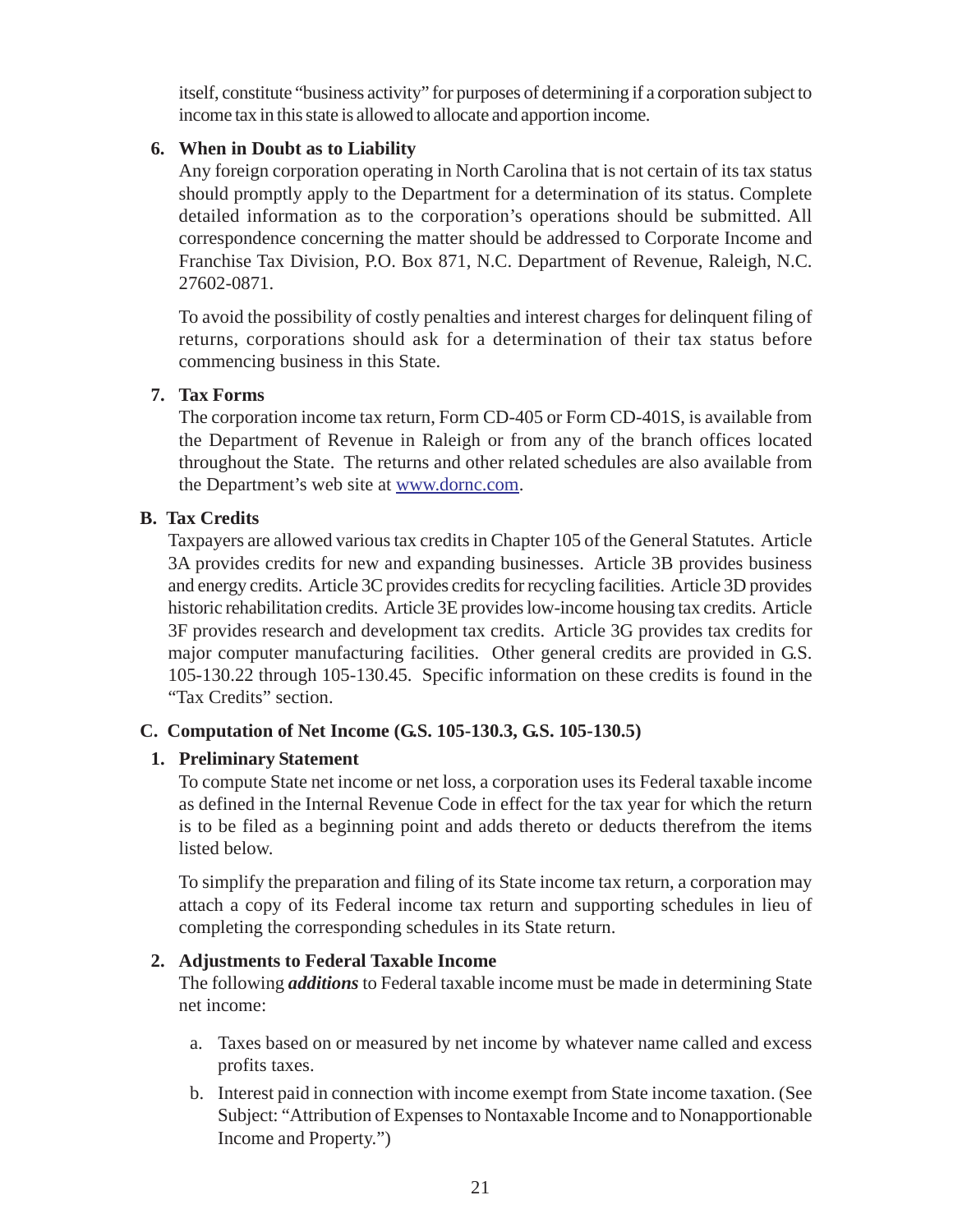<span id="page-25-0"></span>itself, constitute "business activity" for purposes of determining if a corporation subject to income tax in this state is allowed to allocate and apportion income.

## **6. When in Doubt as to Liability**

Any foreign corporation operating in North Carolina that is not certain of its tax status should promptly apply to the Department for a determination of its status. Complete detailed information as to the corporation's operations should be submitted. All correspondence concerning the matter should be addressed to Corporate Income and Franchise Tax Division, P.O. Box 871, N.C. Department of Revenue, Raleigh, N.C. 27602-0871.

To avoid the possibility of costly penalties and interest charges for delinquent filing of returns, corporations should ask for a determination of their tax status before commencing business in this State.

## **7. Tax Forms**

The corporation income tax return, Form CD-405 or Form CD-401S, is available from the Department of Revenue in Raleigh or from any of the branch offices located throughout the State. The returns and other related schedules are also available from the Department's web site at www.dornc.com.

## **B. Tax Credits**

Taxpayers are allowed various tax credits in Chapter 105 of the General Statutes. Article 3A provides credits for new and expanding businesses. Article 3B provides business and energy credits. Article 3C provides credits for recycling facilities. Article 3D provides historic rehabilitation credits. Article 3E provides low-income housing tax credits. Article 3F provides research and development tax credits. Article 3G provides tax credits for major computer manufacturing facilities. Other general credits are provided in G.S. 105-130.22 through 105-130.45. Specific information on these credits is found in the "Tax Credits" section.

## **C. Computation of Net Income (G.S. 105-130.3, G.S. 105-130.5)**

## **1. Preliminary Statement**

To compute State net income or net loss, a corporation uses its Federal taxable income as defined in the Internal Revenue Code in effect for the tax year for which the return is to be filed as a beginning point and adds thereto or deducts therefrom the items listed below.

To simplify the preparation and filing of its State income tax return, a corporation may attach a copy of its Federal income tax return and supporting schedules in lieu of completing the corresponding schedules in its State return.

## **2. Adjustments to Federal Taxable Income**

The following *additions* to Federal taxable income must be made in determining State net income:

- a. Taxes based on or measured by net income by whatever name called and excess profits taxes.
- b. Interest paid in connection with income exempt from State income taxation. (See Subject: "Attribution of Expenses to Nontaxable Income and to Nonapportionable Income and Property.")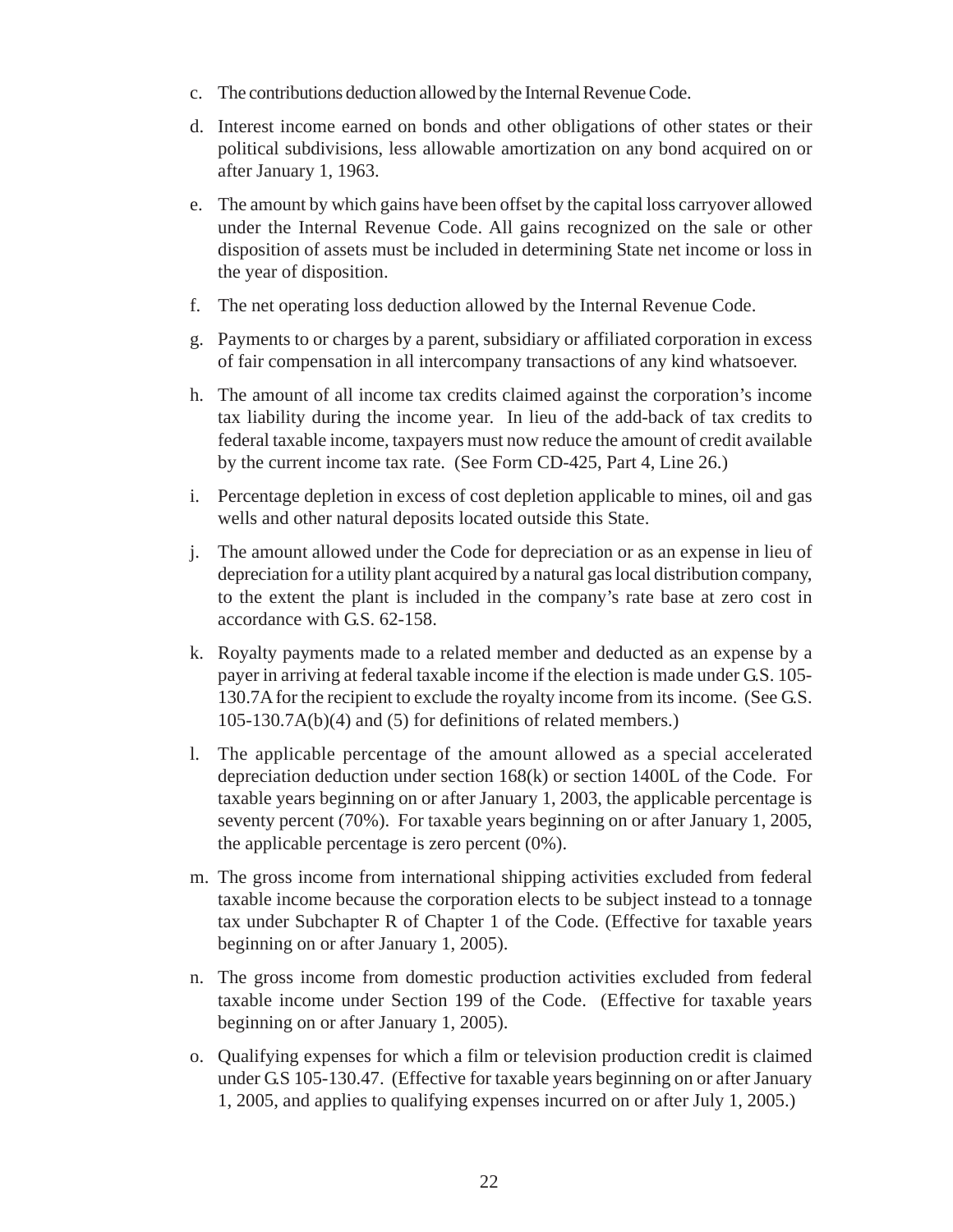- c. The contributions deduction allowed by the Internal Revenue Code.
- d. Interest income earned on bonds and other obligations of other states or their political subdivisions, less allowable amortization on any bond acquired on or after January 1, 1963.
- e. The amount by which gains have been offset by the capital loss carryover allowed under the Internal Revenue Code. All gains recognized on the sale or other disposition of assets must be included in determining State net income or loss in the year of disposition.
- f. The net operating loss deduction allowed by the Internal Revenue Code.
- g. Payments to or charges by a parent, subsidiary or affiliated corporation in excess of fair compensation in all intercompany transactions of any kind whatsoever.
- h. The amount of all income tax credits claimed against the corporation's income tax liability during the income year. In lieu of the add-back of tax credits to federal taxable income, taxpayers must now reduce the amount of credit available by the current income tax rate. (See Form CD-425, Part 4, Line 26.)
- i. Percentage depletion in excess of cost depletion applicable to mines, oil and gas wells and other natural deposits located outside this State.
- j. The amount allowed under the Code for depreciation or as an expense in lieu of depreciation for a utility plant acquired by a natural gas local distribution company, to the extent the plant is included in the company's rate base at zero cost in accordance with G.S. 62-158.
- k. Royalty payments made to a related member and deducted as an expense by a payer in arriving at federal taxable income if the election is made under G.S. 105- 130.7A for the recipient to exclude the royalty income from its income. (See G.S. 105-130.7A(b)(4) and (5) for definitions of related members.)
- l. The applicable percentage of the amount allowed as a special accelerated depreciation deduction under section 168(k) or section 1400L of the Code. For taxable years beginning on or after January 1, 2003, the applicable percentage is seventy percent (70%). For taxable years beginning on or after January 1, 2005, the applicable percentage is zero percent (0%).
- m. The gross income from international shipping activities excluded from federal taxable income because the corporation elects to be subject instead to a tonnage tax under Subchapter R of Chapter 1 of the Code. (Effective for taxable years beginning on or after January 1, 2005).
- n. The gross income from domestic production activities excluded from federal taxable income under Section 199 of the Code. (Effective for taxable years beginning on or after January 1, 2005).
- o. Qualifying expenses for which a film or television production credit is claimed under G.S 105-130.47. (Effective for taxable years beginning on or after January 1, 2005, and applies to qualifying expenses incurred on or after July 1, 2005.)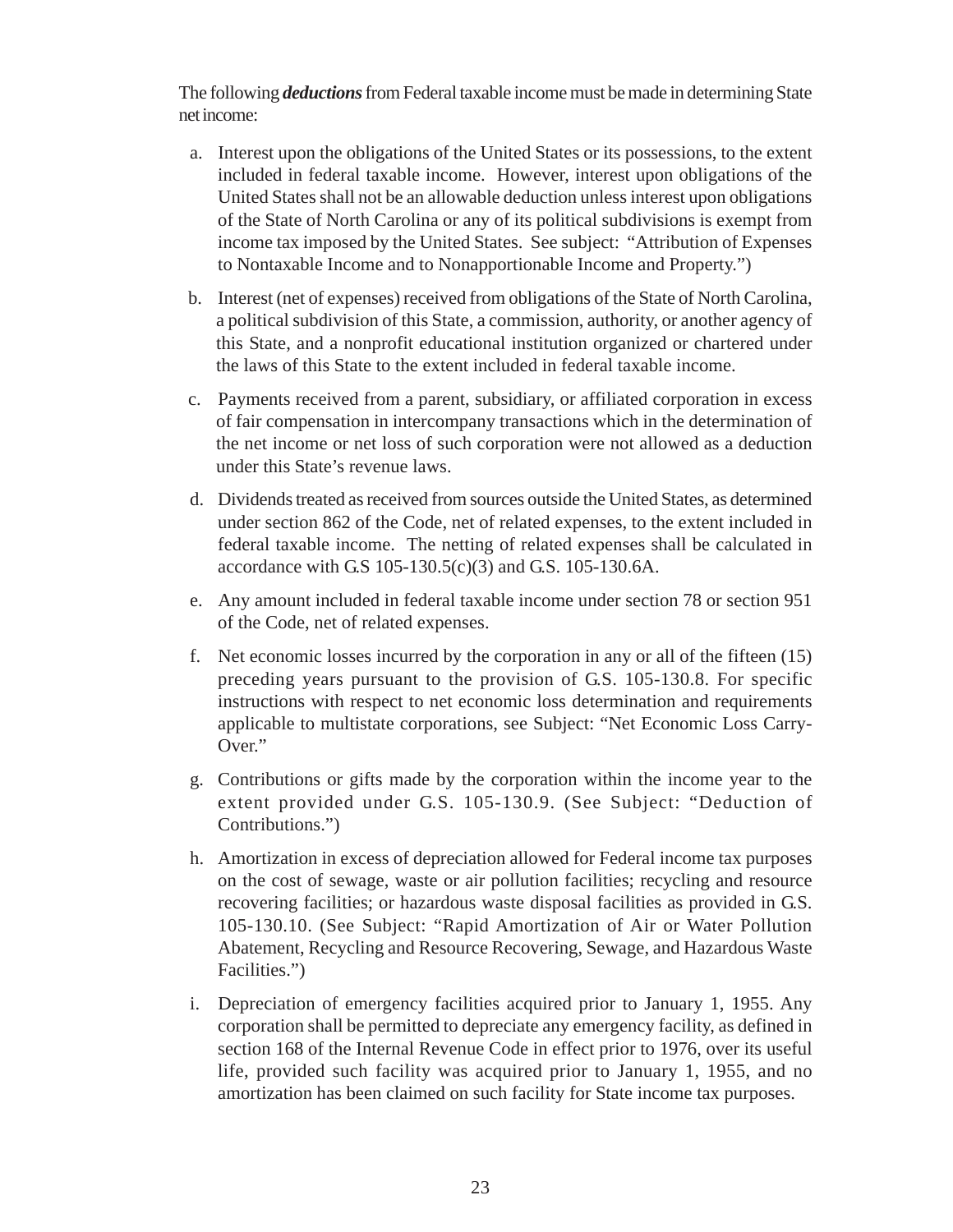The following *deductions*from Federal taxable income must be made in determining State net income:

- a. Interest upon the obligations of the United States or its possessions, to the extent included in federal taxable income. However, interest upon obligations of the United States shall not be an allowable deduction unless interest upon obligations of the State of North Carolina or any of its political subdivisions is exempt from income tax imposed by the United States. See subject: "Attribution of Expenses to Nontaxable Income and to Nonapportionable Income and Property.")
- b. Interest (net of expenses) received from obligations of the State of North Carolina, a political subdivision of this State, a commission, authority, or another agency of this State, and a nonprofit educational institution organized or chartered under the laws of this State to the extent included in federal taxable income.
- c. Payments received from a parent, subsidiary, or affiliated corporation in excess of fair compensation in intercompany transactions which in the determination of the net income or net loss of such corporation were not allowed as a deduction under this State's revenue laws.
- d. Dividends treated as received from sources outside the United States, as determined under section 862 of the Code, net of related expenses, to the extent included in federal taxable income. The netting of related expenses shall be calculated in accordance with G.S 105-130.5(c)(3) and G.S. 105-130.6A.
- e. Any amount included in federal taxable income under section 78 or section 951 of the Code, net of related expenses.
- f. Net economic losses incurred by the corporation in any or all of the fifteen (15) preceding years pursuant to the provision of G.S. 105-130.8. For specific instructions with respect to net economic loss determination and requirements applicable to multistate corporations, see Subject: "Net Economic Loss Carry-Over."
- g. Contributions or gifts made by the corporation within the income year to the extent provided under G.S. 105-130.9. (See Subject: "Deduction of Contributions.")
- h. Amortization in excess of depreciation allowed for Federal income tax purposes on the cost of sewage, waste or air pollution facilities; recycling and resource recovering facilities; or hazardous waste disposal facilities as provided in G.S. 105-130.10. (See Subject: "Rapid Amortization of Air or Water Pollution Abatement, Recycling and Resource Recovering, Sewage, and Hazardous Waste Facilities.")
- i. Depreciation of emergency facilities acquired prior to January 1, 1955. Any corporation shall be permitted to depreciate any emergency facility, as defined in section 168 of the Internal Revenue Code in effect prior to 1976, over its useful life, provided such facility was acquired prior to January 1, 1955, and no amortization has been claimed on such facility for State income tax purposes.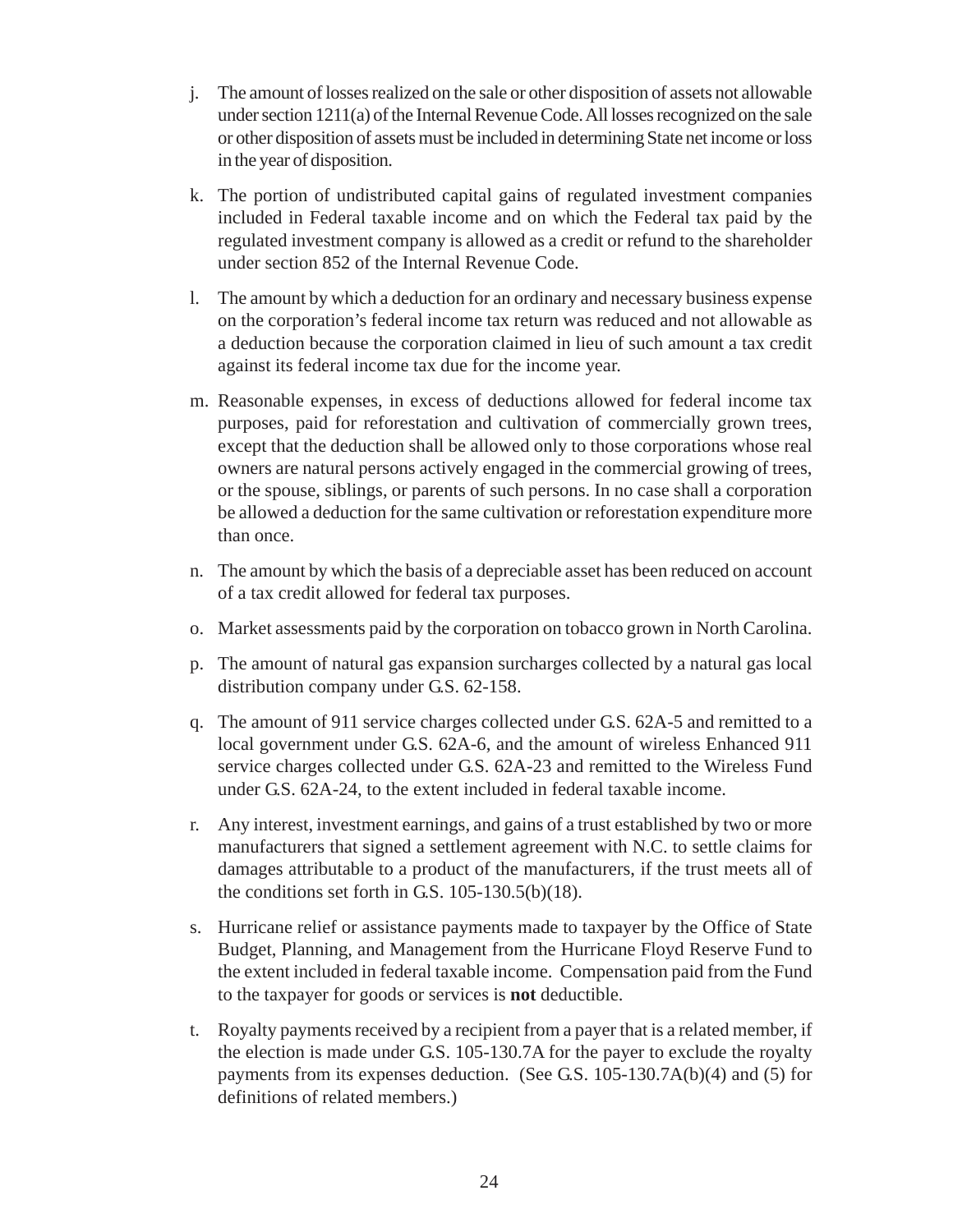- j. The amount of losses realized on the sale or other disposition of assets not allowable under section 1211(a) of the Internal Revenue Code. All losses recognized on the sale or other disposition of assets must be included in determining State net income or loss in the year of disposition.
- k. The portion of undistributed capital gains of regulated investment companies included in Federal taxable income and on which the Federal tax paid by the regulated investment company is allowed as a credit or refund to the shareholder under section 852 of the Internal Revenue Code.
- l. The amount by which a deduction for an ordinary and necessary business expense on the corporation's federal income tax return was reduced and not allowable as a deduction because the corporation claimed in lieu of such amount a tax credit against its federal income tax due for the income year.
- m. Reasonable expenses, in excess of deductions allowed for federal income tax purposes, paid for reforestation and cultivation of commercially grown trees, except that the deduction shall be allowed only to those corporations whose real owners are natural persons actively engaged in the commercial growing of trees, or the spouse, siblings, or parents of such persons. In no case shall a corporation be allowed a deduction for the same cultivation or reforestation expenditure more than once.
- n. The amount by which the basis of a depreciable asset has been reduced on account of a tax credit allowed for federal tax purposes.
- o. Market assessments paid by the corporation on tobacco grown in North Carolina.
- p. The amount of natural gas expansion surcharges collected by a natural gas local distribution company under G.S. 62-158.
- q. The amount of 911 service charges collected under G.S. 62A-5 and remitted to a local government under G.S. 62A-6, and the amount of wireless Enhanced 911 service charges collected under G.S. 62A-23 and remitted to the Wireless Fund under G.S. 62A-24, to the extent included in federal taxable income.
- r. Any interest, investment earnings, and gains of a trust established by two or more manufacturers that signed a settlement agreement with N.C. to settle claims for damages attributable to a product of the manufacturers, if the trust meets all of the conditions set forth in G.S. 105-130.5(b)(18).
- s. Hurricane relief or assistance payments made to taxpayer by the Office of State Budget, Planning, and Management from the Hurricane Floyd Reserve Fund to the extent included in federal taxable income. Compensation paid from the Fund to the taxpayer for goods or services is **not** deductible.
- t. Royalty payments received by a recipient from a payer that is a related member, if the election is made under G.S. 105-130.7A for the payer to exclude the royalty payments from its expenses deduction. (See G.S. 105-130.7A(b)(4) and (5) for definitions of related members.)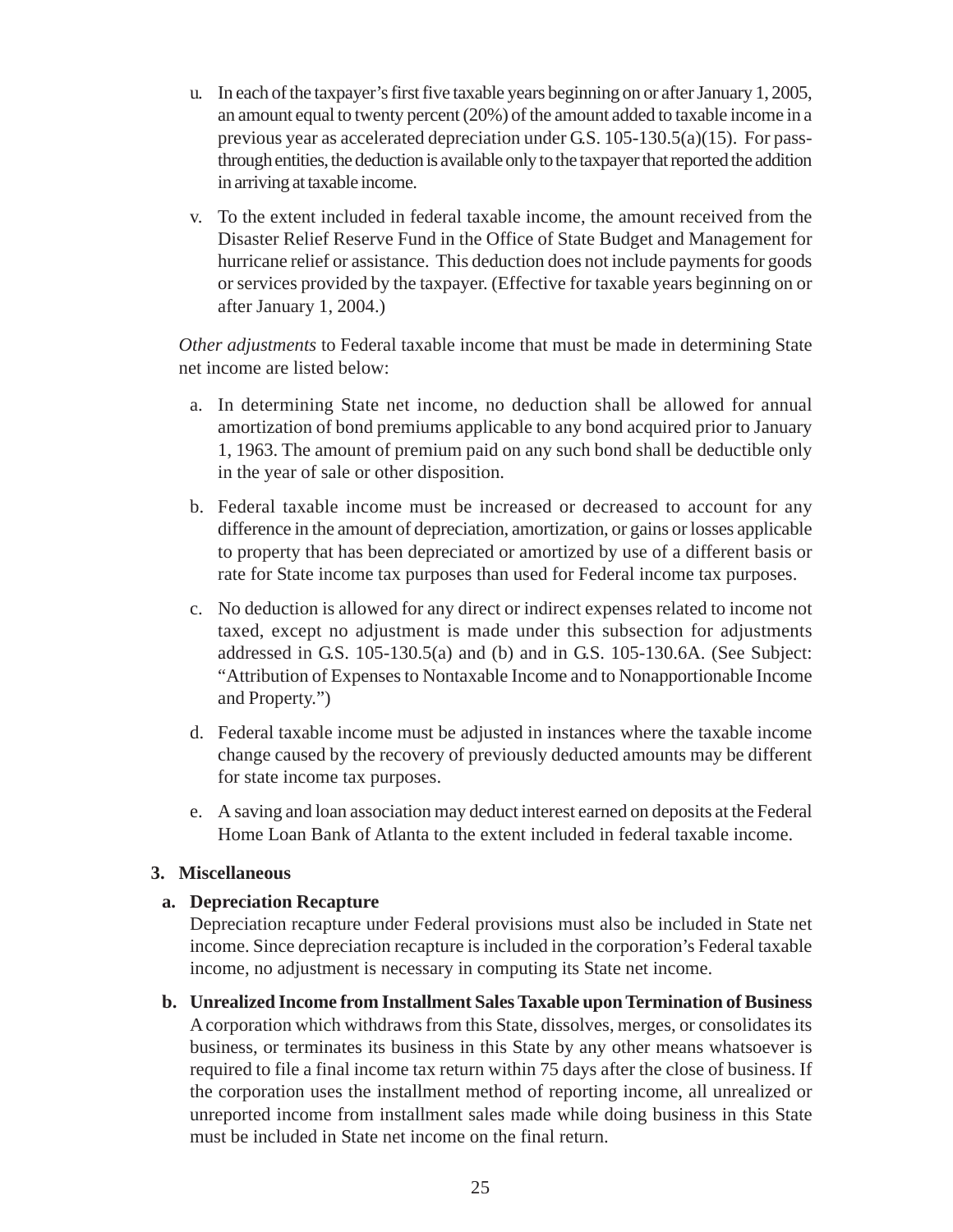- u. In each of the taxpayer's first five taxable years beginning on or after January 1, 2005, an amount equal to twenty percent (20%) of the amount added to taxable income in a previous year as accelerated depreciation under G.S. 105-130.5(a)(15). For passthrough entities, the deduction is available only to the taxpayer that reported the addition in arriving at taxable income.
- v. To the extent included in federal taxable income, the amount received from the Disaster Relief Reserve Fund in the Office of State Budget and Management for hurricane relief or assistance. This deduction does not include payments for goods or services provided by the taxpayer. (Effective for taxable years beginning on or after January 1, 2004.)

*Other adjustments* to Federal taxable income that must be made in determining State net income are listed below:

- a. In determining State net income, no deduction shall be allowed for annual amortization of bond premiums applicable to any bond acquired prior to January 1, 1963. The amount of premium paid on any such bond shall be deductible only in the year of sale or other disposition.
- b. Federal taxable income must be increased or decreased to account for any difference in the amount of depreciation, amortization, or gains or losses applicable to property that has been depreciated or amortized by use of a different basis or rate for State income tax purposes than used for Federal income tax purposes.
- c. No deduction is allowed for any direct or indirect expenses related to income not taxed, except no adjustment is made under this subsection for adjustments addressed in G.S. 105-130.5(a) and (b) and in G.S. 105-130.6A. (See Subject: "Attribution of Expenses to Nontaxable Income and to Nonapportionable Income and Property.")
- d. Federal taxable income must be adjusted in instances where the taxable income change caused by the recovery of previously deducted amounts may be different for state income tax purposes.
- e. A saving and loan association may deduct interest earned on deposits at the Federal Home Loan Bank of Atlanta to the extent included in federal taxable income.

## **3. Miscellaneous**

## **a. Depreciation Recapture**

Depreciation recapture under Federal provisions must also be included in State net income. Since depreciation recapture is included in the corporation's Federal taxable income, no adjustment is necessary in computing its State net income.

**b. Unrealized Income from Installment Sales Taxable upon Termination of Business** A corporation which withdraws from this State, dissolves, merges, or consolidates its business, or terminates its business in this State by any other means whatsoever is required to file a final income tax return within 75 days after the close of business. If the corporation uses the installment method of reporting income, all unrealized or unreported income from installment sales made while doing business in this State must be included in State net income on the final return.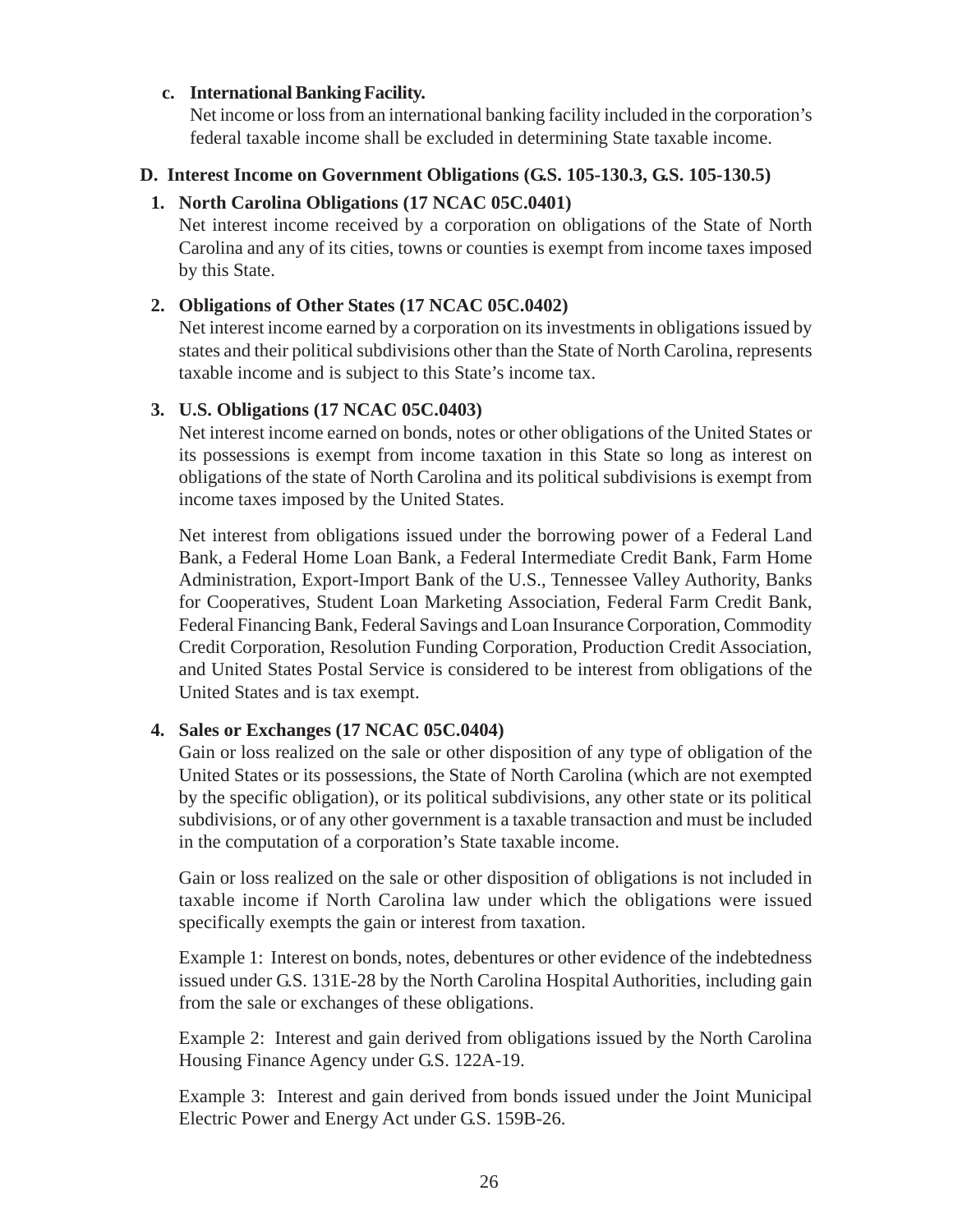#### <span id="page-30-0"></span>**c. International Banking Facility.**

Net income or loss from an international banking facility included in the corporation's federal taxable income shall be excluded in determining State taxable income.

## **D. Interest Income on Government Obligations (G.S. 105-130.3, G.S. 105-130.5)**

### **1. North Carolina Obligations (17 NCAC 05C.0401)**

Net interest income received by a corporation on obligations of the State of North Carolina and any of its cities, towns or counties is exempt from income taxes imposed by this State.

### **2. Obligations of Other States (17 NCAC 05C.0402)**

Net interest income earned by a corporation on its investments in obligations issued by states and their political subdivisions other than the State of North Carolina, represents taxable income and is subject to this State's income tax.

#### **3. U.S. Obligations (17 NCAC 05C.0403)**

Net interest income earned on bonds, notes or other obligations of the United States or its possessions is exempt from income taxation in this State so long as interest on obligations of the state of North Carolina and its political subdivisions is exempt from income taxes imposed by the United States.

Net interest from obligations issued under the borrowing power of a Federal Land Bank, a Federal Home Loan Bank, a Federal Intermediate Credit Bank, Farm Home Administration, Export-Import Bank of the U.S., Tennessee Valley Authority, Banks for Cooperatives, Student Loan Marketing Association, Federal Farm Credit Bank, Federal Financing Bank, Federal Savings and Loan Insurance Corporation, Commodity Credit Corporation, Resolution Funding Corporation, Production Credit Association, and United States Postal Service is considered to be interest from obligations of the United States and is tax exempt.

## **4. Sales or Exchanges (17 NCAC 05C.0404)**

Gain or loss realized on the sale or other disposition of any type of obligation of the United States or its possessions, the State of North Carolina (which are not exempted by the specific obligation), or its political subdivisions, any other state or its political subdivisions, or of any other government is a taxable transaction and must be included in the computation of a corporation's State taxable income.

Gain or loss realized on the sale or other disposition of obligations is not included in taxable income if North Carolina law under which the obligations were issued specifically exempts the gain or interest from taxation.

Example 1: Interest on bonds, notes, debentures or other evidence of the indebtedness issued under G.S. 131E-28 by the North Carolina Hospital Authorities, including gain from the sale or exchanges of these obligations.

Example 2: Interest and gain derived from obligations issued by the North Carolina Housing Finance Agency under G.S. 122A-19.

Example 3: Interest and gain derived from bonds issued under the Joint Municipal Electric Power and Energy Act under G.S. 159B-26.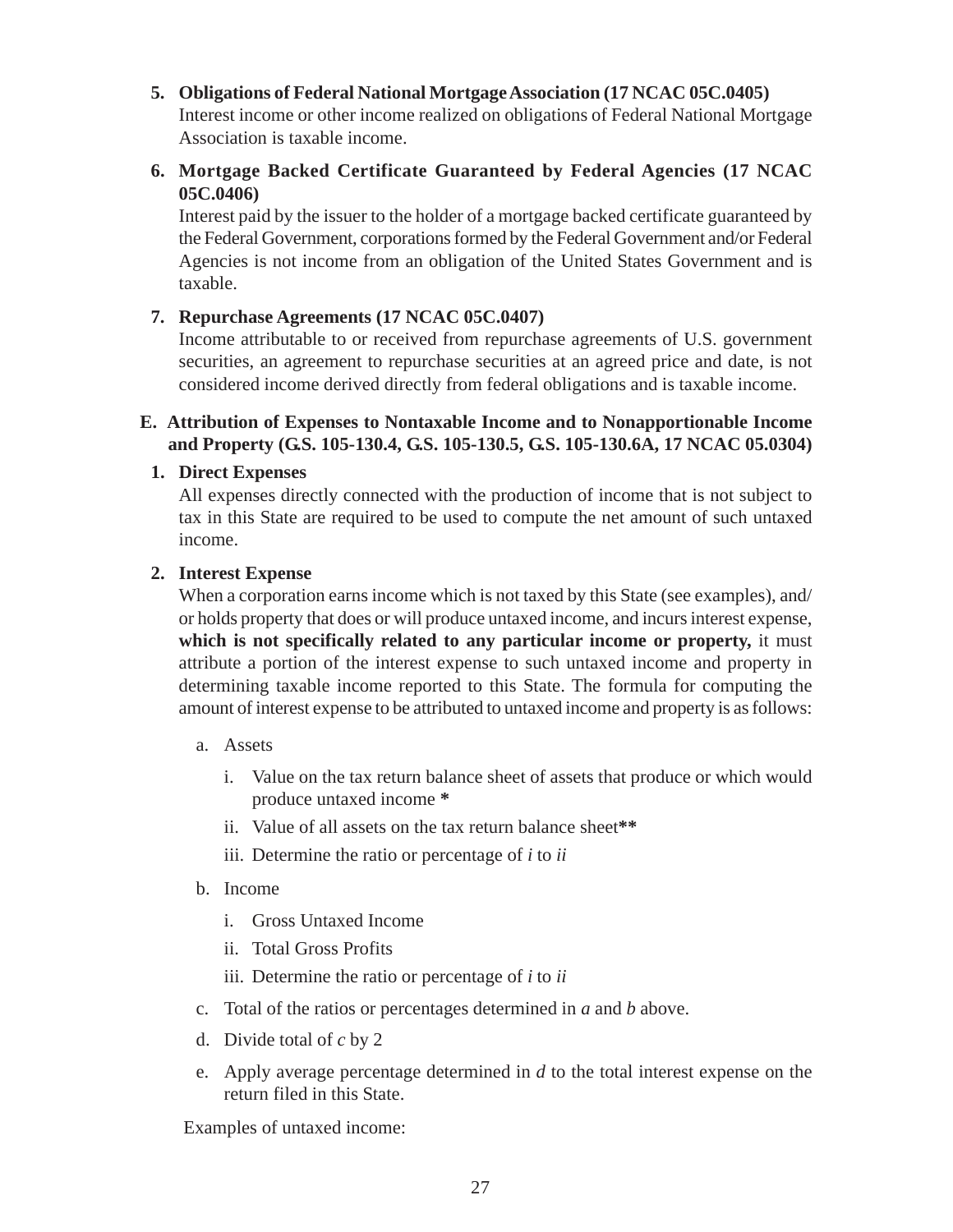<span id="page-31-0"></span>**5. Obligations of Federal National Mortgage Association (17 NCAC 05C.0405)**

Interest income or other income realized on obligations of Federal National Mortgage Association is taxable income.

**6. Mortgage Backed Certificate Guaranteed by Federal Agencies (17 NCAC 05C.0406)**

Interest paid by the issuer to the holder of a mortgage backed certificate guaranteed by the Federal Government, corporations formed by the Federal Government and/or Federal Agencies is not income from an obligation of the United States Government and is taxable.

## **7. Repurchase Agreements (17 NCAC 05C.0407)**

Income attributable to or received from repurchase agreements of U.S. government securities, an agreement to repurchase securities at an agreed price and date, is not considered income derived directly from federal obligations and is taxable income.

#### **E. Attribution of Expenses to Nontaxable Income and to Nonapportionable Income and Property (G.S. 105-130.4, G.S. 105-130.5, G.S. 105-130.6A, 17 NCAC 05.0304)**

#### **1. Direct Expenses**

All expenses directly connected with the production of income that is not subject to tax in this State are required to be used to compute the net amount of such untaxed income.

#### **2. Interest Expense**

When a corporation earns income which is not taxed by this State (see examples), and/ or holds property that does or will produce untaxed income, and incurs interest expense, which is not specifically related to any particular income or property, it must attribute a portion of the interest expense to such untaxed income and property in determining taxable income reported to this State. The formula for computing the amount of interest expense to be attributed to untaxed income and property is as follows:

- a. Assets
	- i. Value on the tax return balance sheet of assets that produce or which would produce untaxed income **\***
	- ii. Value of all assets on the tax return balance sheet**\*\***
	- iii. Determine the ratio or percentage of *i* to *ii*
- b. Income
	- i. Gross Untaxed Income
	- ii. Total Gross Profits

iii. Determine the ratio or percentage of *i* to *ii*

- c. Total of the ratios or percentages determined in *a* and *b* above.
- d. Divide total of *c* by 2
- e. Apply average percentage determined in *d* to the total interest expense on the return filed in this State.

Examples of untaxed income: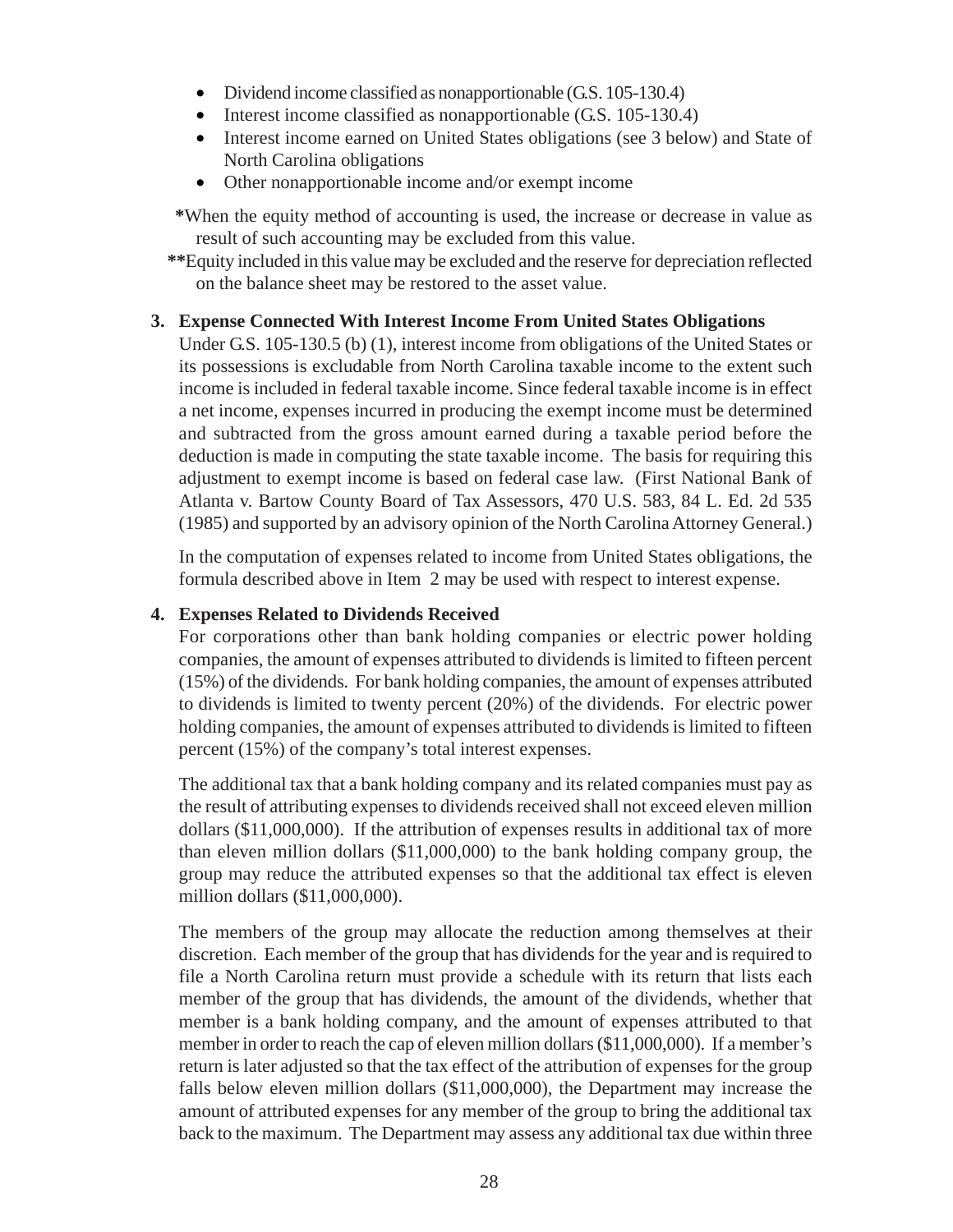- Dividend income classified as nonapportionable (G.S. 105-130.4)
- Interest income classified as nonapportionable (G.S. 105-130.4)
- Interest income earned on United States obligations (see 3 below) and State of North Carolina obligations
- Other nonapportionable income and/or exempt income

 **\***When the equity method of accounting is used, the increase or decrease in value as result of such accounting may be excluded from this value.

 **\*\***Equity included in this value may be excluded and the reserve for depreciation reflected on the balance sheet may be restored to the asset value.

## **3. Expense Connected With Interest Income From United States Obligations**

Under G.S. 105-130.5 (b) (1), interest income from obligations of the United States or its possessions is excludable from North Carolina taxable income to the extent such income is included in federal taxable income. Since federal taxable income is in effect a net income, expenses incurred in producing the exempt income must be determined and subtracted from the gross amount earned during a taxable period before the deduction is made in computing the state taxable income. The basis for requiring this adjustment to exempt income is based on federal case law. (First National Bank of Atlanta v. Bartow County Board of Tax Assessors, 470 U.S. 583, 84 L. Ed. 2d 535 (1985) and supported by an advisory opinion of the North Carolina Attorney General.)

In the computation of expenses related to income from United States obligations, the formula described above in Item 2 may be used with respect to interest expense.

## **4. Expenses Related to Dividends Received**

For corporations other than bank holding companies or electric power holding companies, the amount of expenses attributed to dividends is limited to fifteen percent (15%) of the dividends. For bank holding companies, the amount of expenses attributed to dividends is limited to twenty percent (20%) of the dividends. For electric power holding companies, the amount of expenses attributed to dividends is limited to fifteen percent (15%) of the company's total interest expenses.

The additional tax that a bank holding company and its related companies must pay as the result of attributing expenses to dividends received shall not exceed eleven million dollars (\$11,000,000). If the attribution of expenses results in additional tax of more than eleven million dollars (\$11,000,000) to the bank holding company group, the group may reduce the attributed expenses so that the additional tax effect is eleven million dollars (\$11,000,000).

The members of the group may allocate the reduction among themselves at their discretion. Each member of the group that has dividends for the year and is required to file a North Carolina return must provide a schedule with its return that lists each member of the group that has dividends, the amount of the dividends, whether that member is a bank holding company, and the amount of expenses attributed to that member in order to reach the cap of eleven million dollars (\$11,000,000). If a member's return is later adjusted so that the tax effect of the attribution of expenses for the group falls below eleven million dollars (\$11,000,000), the Department may increase the amount of attributed expenses for any member of the group to bring the additional tax back to the maximum. The Department may assess any additional tax due within three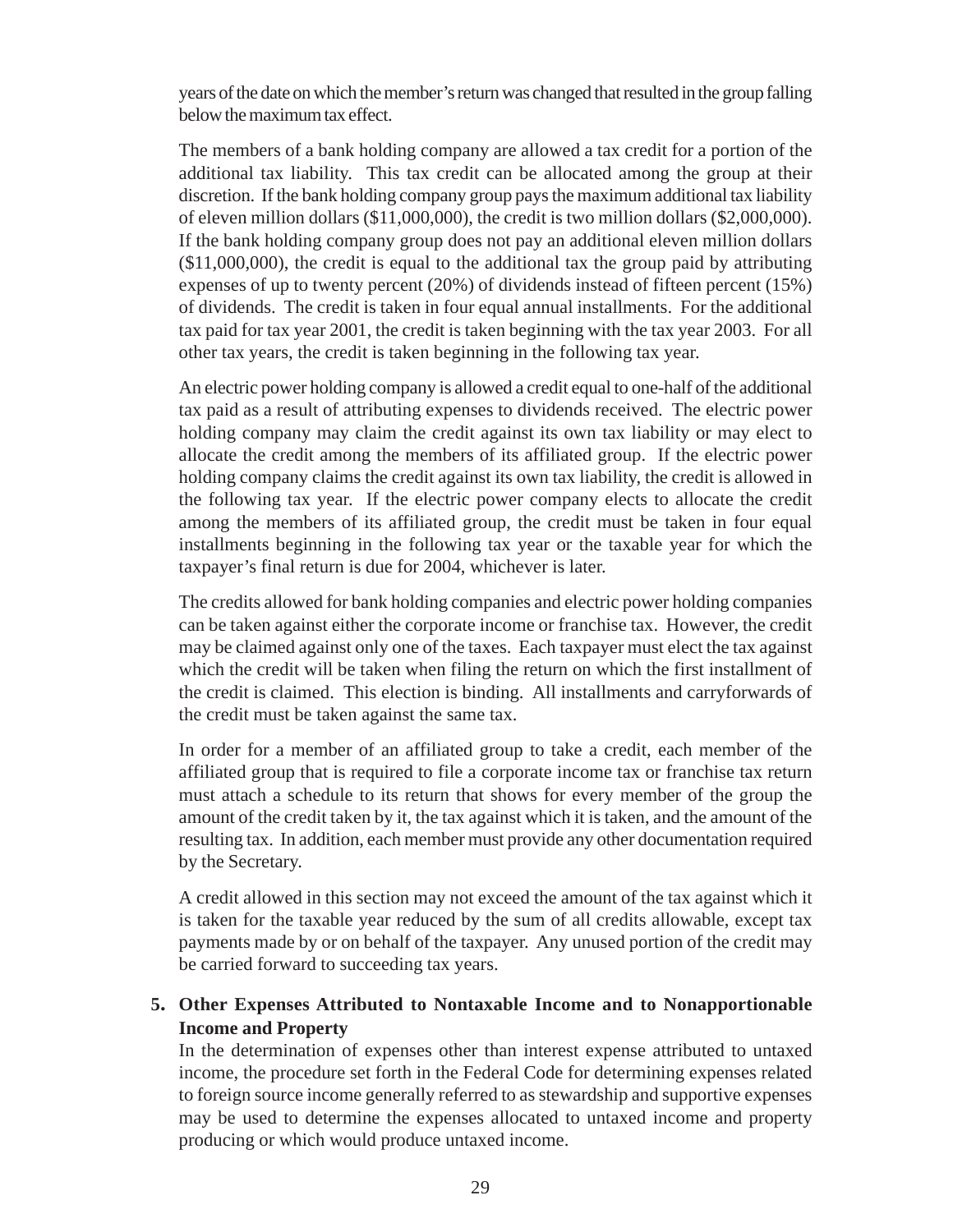years of the date on which the member's return was changed that resulted in the group falling below the maximum tax effect.

The members of a bank holding company are allowed a tax credit for a portion of the additional tax liability. This tax credit can be allocated among the group at their discretion. If the bank holding company group pays the maximum additional tax liability of eleven million dollars (\$11,000,000), the credit is two million dollars (\$2,000,000). If the bank holding company group does not pay an additional eleven million dollars (\$11,000,000), the credit is equal to the additional tax the group paid by attributing expenses of up to twenty percent (20%) of dividends instead of fifteen percent (15%) of dividends. The credit is taken in four equal annual installments. For the additional tax paid for tax year 2001, the credit is taken beginning with the tax year 2003. For all other tax years, the credit is taken beginning in the following tax year.

An electric power holding company is allowed a credit equal to one-half of the additional tax paid as a result of attributing expenses to dividends received. The electric power holding company may claim the credit against its own tax liability or may elect to allocate the credit among the members of its affiliated group. If the electric power holding company claims the credit against its own tax liability, the credit is allowed in the following tax year. If the electric power company elects to allocate the credit among the members of its affiliated group, the credit must be taken in four equal installments beginning in the following tax year or the taxable year for which the taxpayer's final return is due for 2004, whichever is later.

The credits allowed for bank holding companies and electric power holding companies can be taken against either the corporate income or franchise tax. However, the credit may be claimed against only one of the taxes. Each taxpayer must elect the tax against which the credit will be taken when filing the return on which the first installment of the credit is claimed. This election is binding. All installments and carryforwards of the credit must be taken against the same tax.

In order for a member of an affiliated group to take a credit, each member of the affiliated group that is required to file a corporate income tax or franchise tax return must attach a schedule to its return that shows for every member of the group the amount of the credit taken by it, the tax against which it is taken, and the amount of the resulting tax. In addition, each member must provide any other documentation required by the Secretary.

A credit allowed in this section may not exceed the amount of the tax against which it is taken for the taxable year reduced by the sum of all credits allowable, except tax payments made by or on behalf of the taxpayer. Any unused portion of the credit may be carried forward to succeeding tax years.

## **5. Other Expenses Attributed to Nontaxable Income and to Nonapportionable Income and Property**

In the determination of expenses other than interest expense attributed to untaxed income, the procedure set forth in the Federal Code for determining expenses related to foreign source income generally referred to as stewardship and supportive expenses may be used to determine the expenses allocated to untaxed income and property producing or which would produce untaxed income.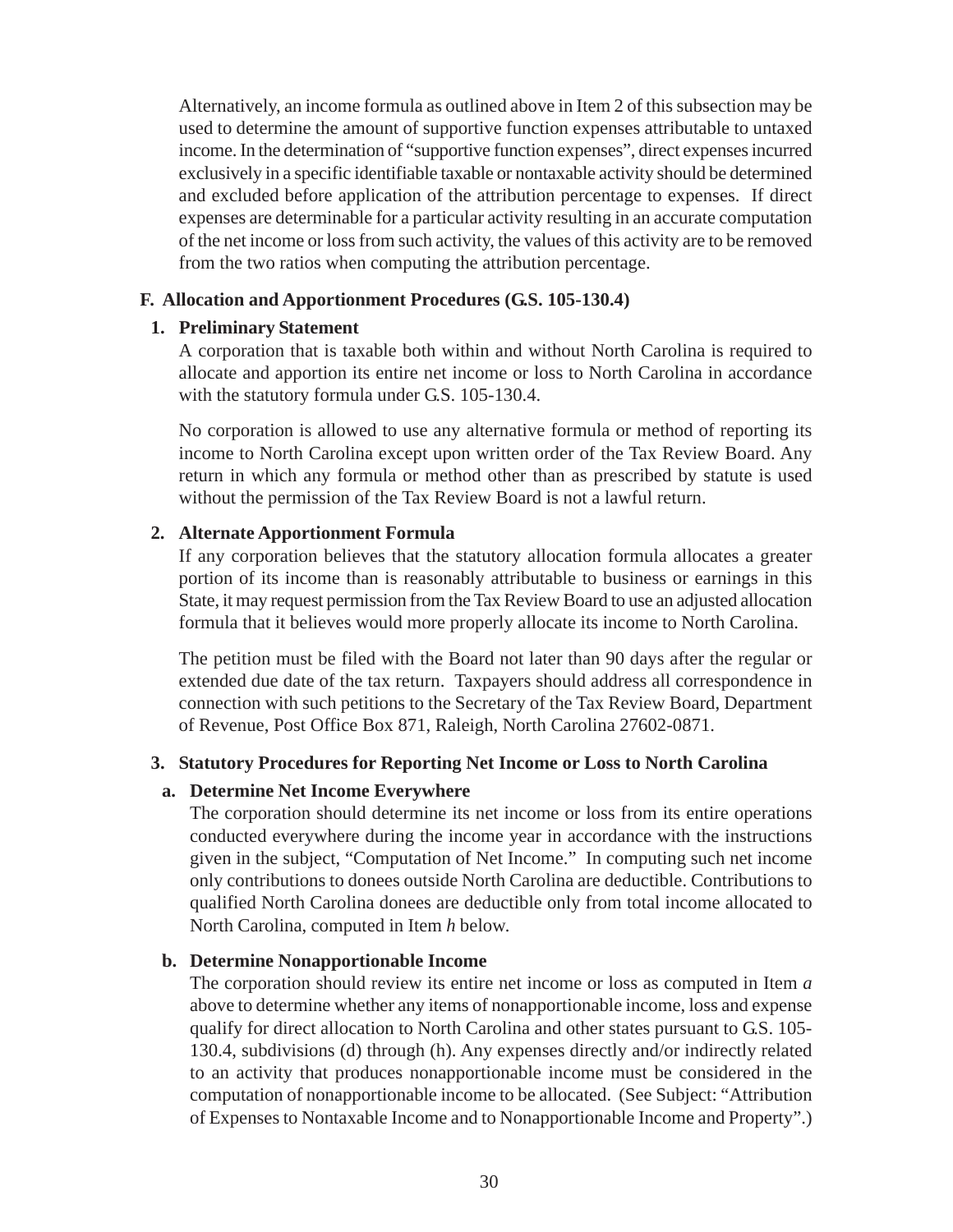<span id="page-34-0"></span>Alternatively, an income formula as outlined above in Item 2 of this subsection may be used to determine the amount of supportive function expenses attributable to untaxed income. In the determination of "supportive function expenses", direct expenses incurred exclusively in a specific identifiable taxable or nontaxable activity should be determined and excluded before application of the attribution percentage to expenses. If direct expenses are determinable for a particular activity resulting in an accurate computation of the net income or loss from such activity, the values of this activity are to be removed from the two ratios when computing the attribution percentage.

#### **F. Allocation and Apportionment Procedures (G.S. 105-130.4)**

#### **1. Preliminary Statement**

A corporation that is taxable both within and without North Carolina is required to allocate and apportion its entire net income or loss to North Carolina in accordance with the statutory formula under G.S. 105-130.4.

No corporation is allowed to use any alternative formula or method of reporting its income to North Carolina except upon written order of the Tax Review Board. Any return in which any formula or method other than as prescribed by statute is used without the permission of the Tax Review Board is not a lawful return.

#### **2. Alternate Apportionment Formula**

If any corporation believes that the statutory allocation formula allocates a greater portion of its income than is reasonably attributable to business or earnings in this State, it may request permission from the Tax Review Board to use an adjusted allocation formula that it believes would more properly allocate its income to North Carolina.

The petition must be filed with the Board not later than 90 days after the regular or extended due date of the tax return. Taxpayers should address all correspondence in connection with such petitions to the Secretary of the Tax Review Board, Department of Revenue, Post Office Box 871, Raleigh, North Carolina 27602-0871.

#### **3. Statutory Procedures for Reporting Net Income or Loss to North Carolina**

#### **a. Determine Net Income Everywhere**

The corporation should determine its net income or loss from its entire operations conducted everywhere during the income year in accordance with the instructions given in the subject, "Computation of Net Income." In computing such net income only contributions to donees outside North Carolina are deductible. Contributions to qualified North Carolina donees are deductible only from total income allocated to North Carolina, computed in Item *h* below*.*

#### **b. Determine Nonapportionable Income**

The corporation should review its entire net income or loss as computed in Item *a* above to determine whether any items of nonapportionable income, loss and expense qualify for direct allocation to North Carolina and other states pursuant to G.S. 105- 130.4, subdivisions (d) through (h). Any expenses directly and/or indirectly related to an activity that produces nonapportionable income must be considered in the computation of nonapportionable income to be allocated. (See Subject: "Attribution of Expenses to Nontaxable Income and to Nonapportionable Income and Property".)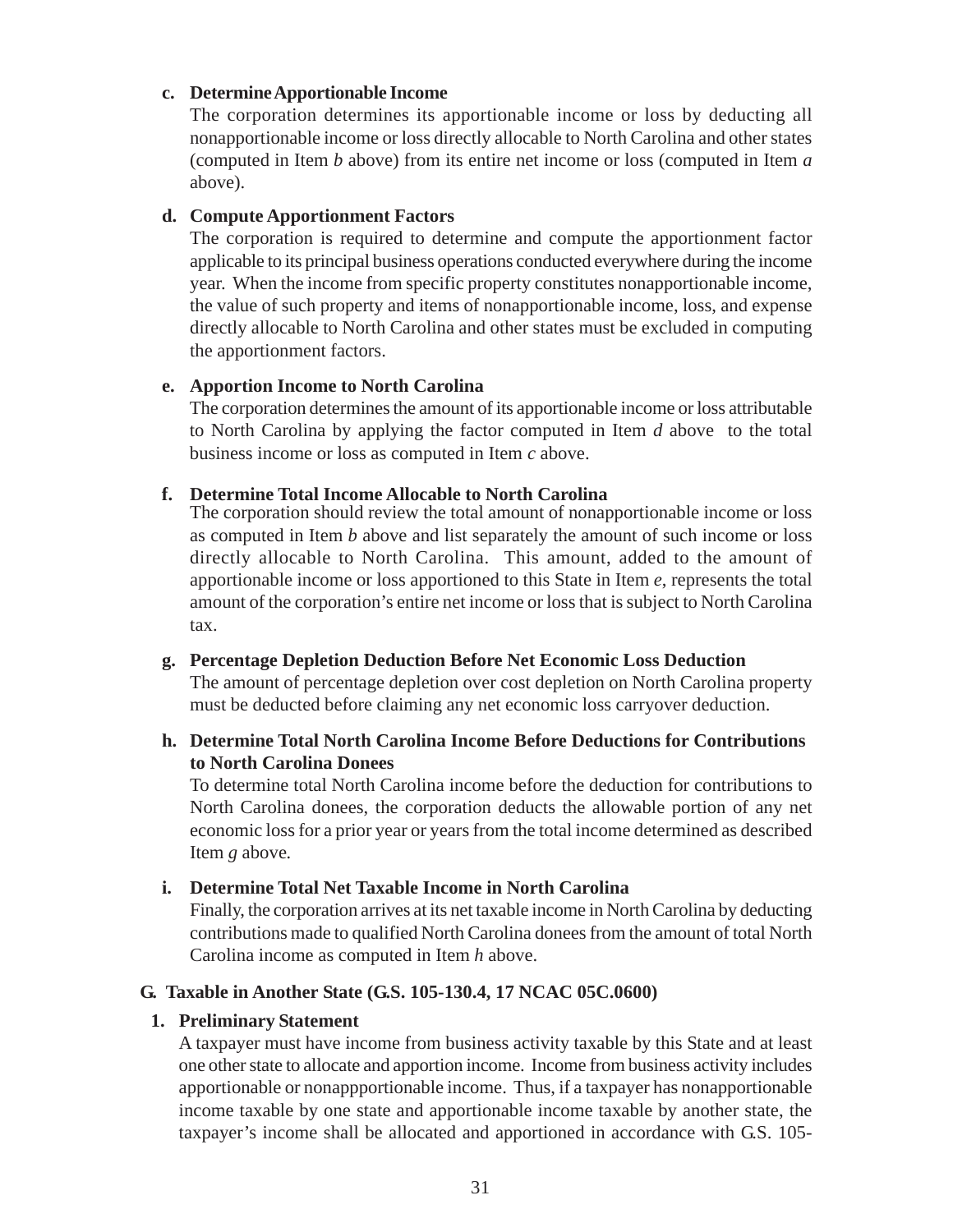#### <span id="page-35-0"></span>**c. Determine Apportionable Income**

The corporation determines its apportionable income or loss by deducting all nonapportionable income or loss directly allocable to North Carolina and other states (computed in Item *b* above) from its entire net income or loss (computed in Item *a* above).

#### **d. Compute Apportionment Factors**

The corporation is required to determine and compute the apportionment factor applicable to its principal business operations conducted everywhere during the income year. When the income from specific property constitutes nonapportionable income, the value of such property and items of nonapportionable income, loss, and expense directly allocable to North Carolina and other states must be excluded in computing the apportionment factors.

#### **e. Apportion Income to North Carolina**

The corporation determines the amount of its apportionable income or loss attributable to North Carolina by applying the factor computed in Item *d* above to the total business income or loss as computed in Item *c* above.

#### **f. Determine Total Income Allocable to North Carolina**

The corporation should review the total amount of nonapportionable income or loss as computed in Item *b* above and list separately the amount of such income or loss directly allocable to North Carolina. This amount, added to the amount of apportionable income or loss apportioned to this State in Item *e*, represents the total amount of the corporation's entire net income or loss that is subject to North Carolina tax.

#### **g. Percentage Depletion Deduction Before Net Economic Loss Deduction**

The amount of percentage depletion over cost depletion on North Carolina property must be deducted before claiming any net economic loss carryover deduction.

#### **h. Determine Total North Carolina Income Before Deductions for Contributions to North Carolina Donees**

To determine total North Carolina income before the deduction for contributions to North Carolina donees, the corporation deducts the allowable portion of any net economic loss for a prior year or years from the total income determined as described Item *g* above*.*

#### **i. Determine Total Net Taxable Income in North Carolina**

Finally, the corporation arrives at its net taxable income in North Carolina by deducting contributions made to qualified North Carolina donees from the amount of total North Carolina income as computed in Item *h* above.

#### **G. Taxable in Another State (G.S. 105-130.4, 17 NCAC 05C.0600)**

#### **1. Preliminary Statement**

A taxpayer must have income from business activity taxable by this State and at least one other state to allocate and apportion income. Income from business activity includes apportionable or nonappportionable income. Thus, if a taxpayer has nonapportionable income taxable by one state and apportionable income taxable by another state, the taxpayer's income shall be allocated and apportioned in accordance with G.S. 105-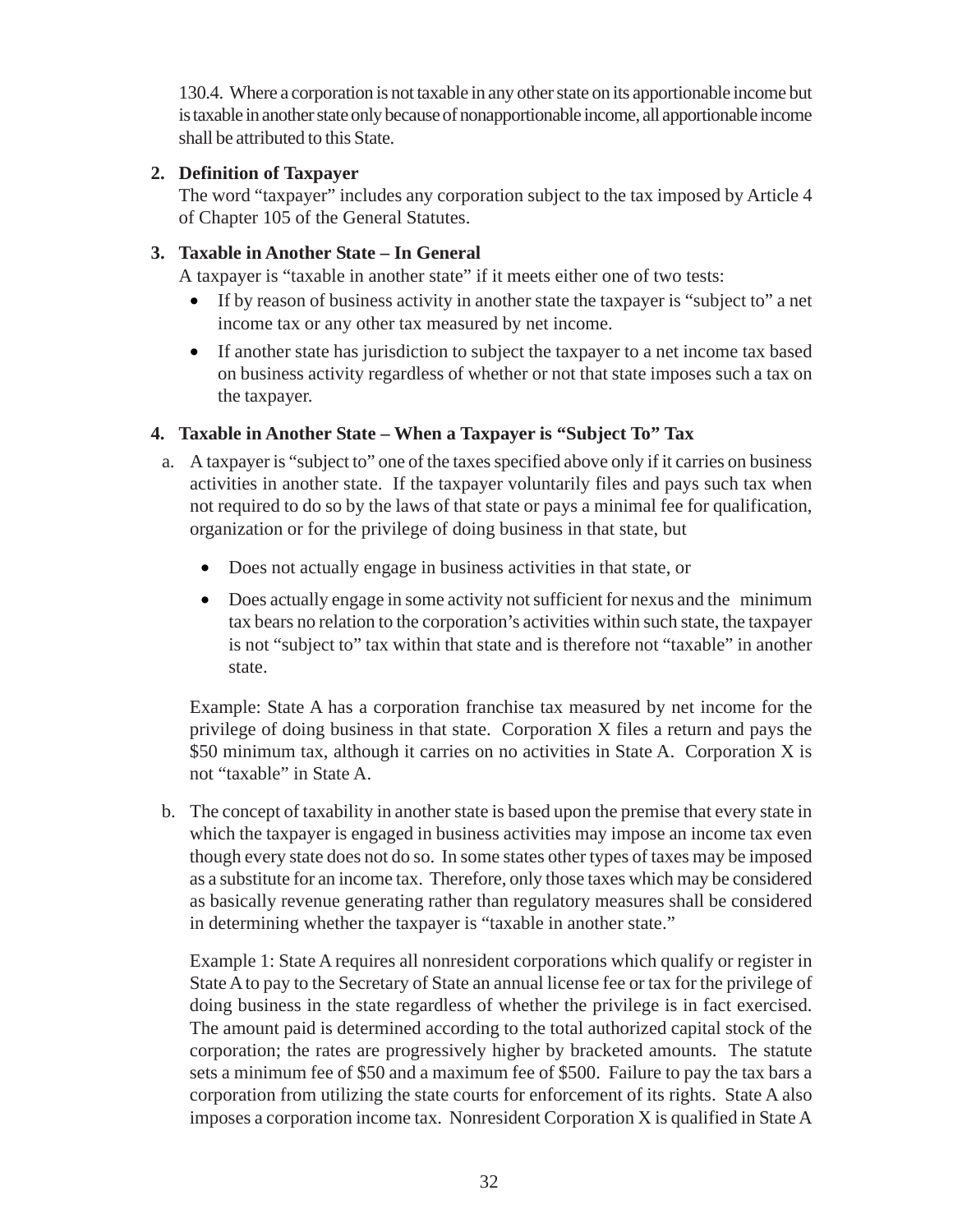130.4. Where a corporation is not taxable in any other state on its apportionable income but is taxable in another state only because of nonapportionable income, all apportionable income shall be attributed to this State.

## **2. Definition of Taxpayer**

The word "taxpayer" includes any corporation subject to the tax imposed by Article 4 of Chapter 105 of the General Statutes.

## **3. Taxable in Another State – In General**

A taxpayer is "taxable in another state" if it meets either one of two tests:

- If by reason of business activity in another state the taxpayer is "subject to" a net income tax or any other tax measured by net income.
- If another state has jurisdiction to subject the taxpayer to a net income tax based on business activity regardless of whether or not that state imposes such a tax on the taxpayer.

## **4. Taxable in Another State – When a Taxpayer is "Subject To" Tax**

- a. A taxpayer is "subject to" one of the taxes specified above only if it carries on business activities in another state. If the taxpayer voluntarily files and pays such tax when not required to do so by the laws of that state or pays a minimal fee for qualification, organization or for the privilege of doing business in that state, but
	- Does not actually engage in business activities in that state, or
	- Does actually engage in some activity not sufficient for nexus and the minimum tax bears no relation to the corporation's activities within such state, the taxpayer is not "subject to" tax within that state and is therefore not "taxable" in another state.

Example: State A has a corporation franchise tax measured by net income for the privilege of doing business in that state. Corporation X files a return and pays the \$50 minimum tax, although it carries on no activities in State A. Corporation X is not "taxable" in State A.

b. The concept of taxability in another state is based upon the premise that every state in which the taxpayer is engaged in business activities may impose an income tax even though every state does not do so. In some states other types of taxes may be imposed as a substitute for an income tax. Therefore, only those taxes which may be considered as basically revenue generating rather than regulatory measures shall be considered in determining whether the taxpayer is "taxable in another state."

Example 1: State A requires all nonresident corporations which qualify or register in State A to pay to the Secretary of State an annual license fee or tax for the privilege of doing business in the state regardless of whether the privilege is in fact exercised. The amount paid is determined according to the total authorized capital stock of the corporation; the rates are progressively higher by bracketed amounts. The statute sets a minimum fee of \$50 and a maximum fee of \$500. Failure to pay the tax bars a corporation from utilizing the state courts for enforcement of its rights. State A also imposes a corporation income tax. Nonresident Corporation X is qualified in State A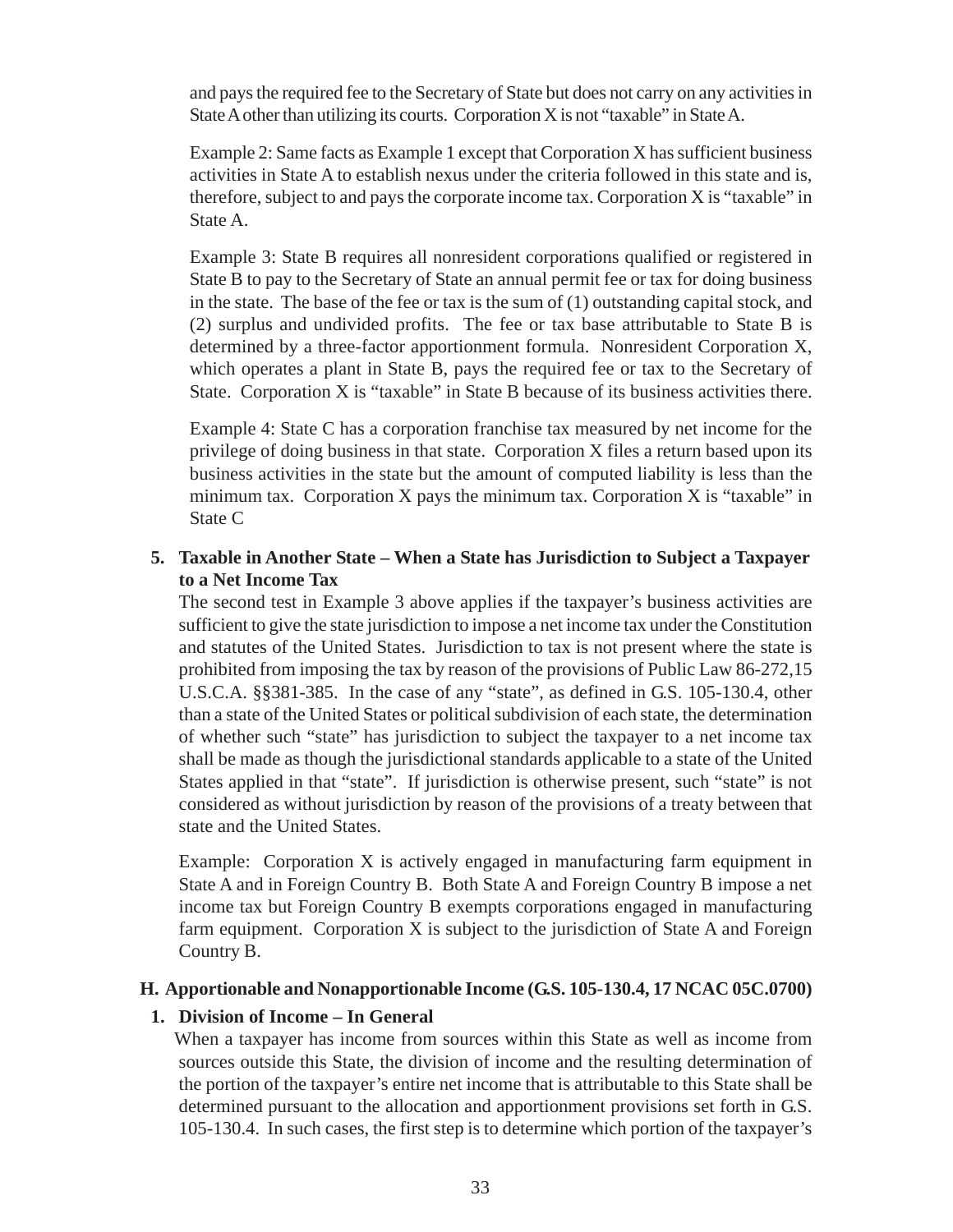and pays the required fee to the Secretary of State but does not carry on any activities in State A other than utilizing its courts. Corporation X is not "taxable" in State A.

Example 2: Same facts as Example 1 except that Corporation X has sufficient business activities in State A to establish nexus under the criteria followed in this state and is, therefore, subject to and pays the corporate income tax. Corporation X is "taxable" in State A.

Example 3: State B requires all nonresident corporations qualified or registered in State B to pay to the Secretary of State an annual permit fee or tax for doing business in the state. The base of the fee or tax is the sum of  $(1)$  outstanding capital stock, and (2) surplus and undivided profits. The fee or tax base attributable to State B is determined by a three-factor apportionment formula. Nonresident Corporation X, which operates a plant in State B, pays the required fee or tax to the Secretary of State. Corporation X is "taxable" in State B because of its business activities there.

Example 4: State C has a corporation franchise tax measured by net income for the privilege of doing business in that state. Corporation X files a return based upon its business activities in the state but the amount of computed liability is less than the minimum tax. Corporation X pays the minimum tax. Corporation X is "taxable" in State C

### **5. Taxable in Another State – When a State has Jurisdiction to Subject a Taxpayer to a Net Income Tax**

The second test in Example 3 above applies if the taxpayer's business activities are sufficient to give the state jurisdiction to impose a net income tax under the Constitution and statutes of the United States. Jurisdiction to tax is not present where the state is prohibited from imposing the tax by reason of the provisions of Public Law 86-272,15 U.S.C.A. §§381-385. In the case of any "state", as defined in G.S. 105-130.4, other than a state of the United States or political subdivision of each state, the determination of whether such "state" has jurisdiction to subject the taxpayer to a net income tax shall be made as though the jurisdictional standards applicable to a state of the United States applied in that "state". If jurisdiction is otherwise present, such "state" is not considered as without jurisdiction by reason of the provisions of a treaty between that state and the United States.

Example: Corporation X is actively engaged in manufacturing farm equipment in State A and in Foreign Country B. Both State A and Foreign Country B impose a net income tax but Foreign Country B exempts corporations engaged in manufacturing farm equipment. Corporation X is subject to the jurisdiction of State A and Foreign Country B.

### **H. Apportionable and Nonapportionable Income (G.S. 105-130.4, 17 NCAC 05C.0700)**

### **1. Division of Income – In General**

 When a taxpayer has income from sources within this State as well as income from sources outside this State, the division of income and the resulting determination of the portion of the taxpayer's entire net income that is attributable to this State shall be determined pursuant to the allocation and apportionment provisions set forth in G.S. 105-130.4. In such cases, the first step is to determine which portion of the taxpayer's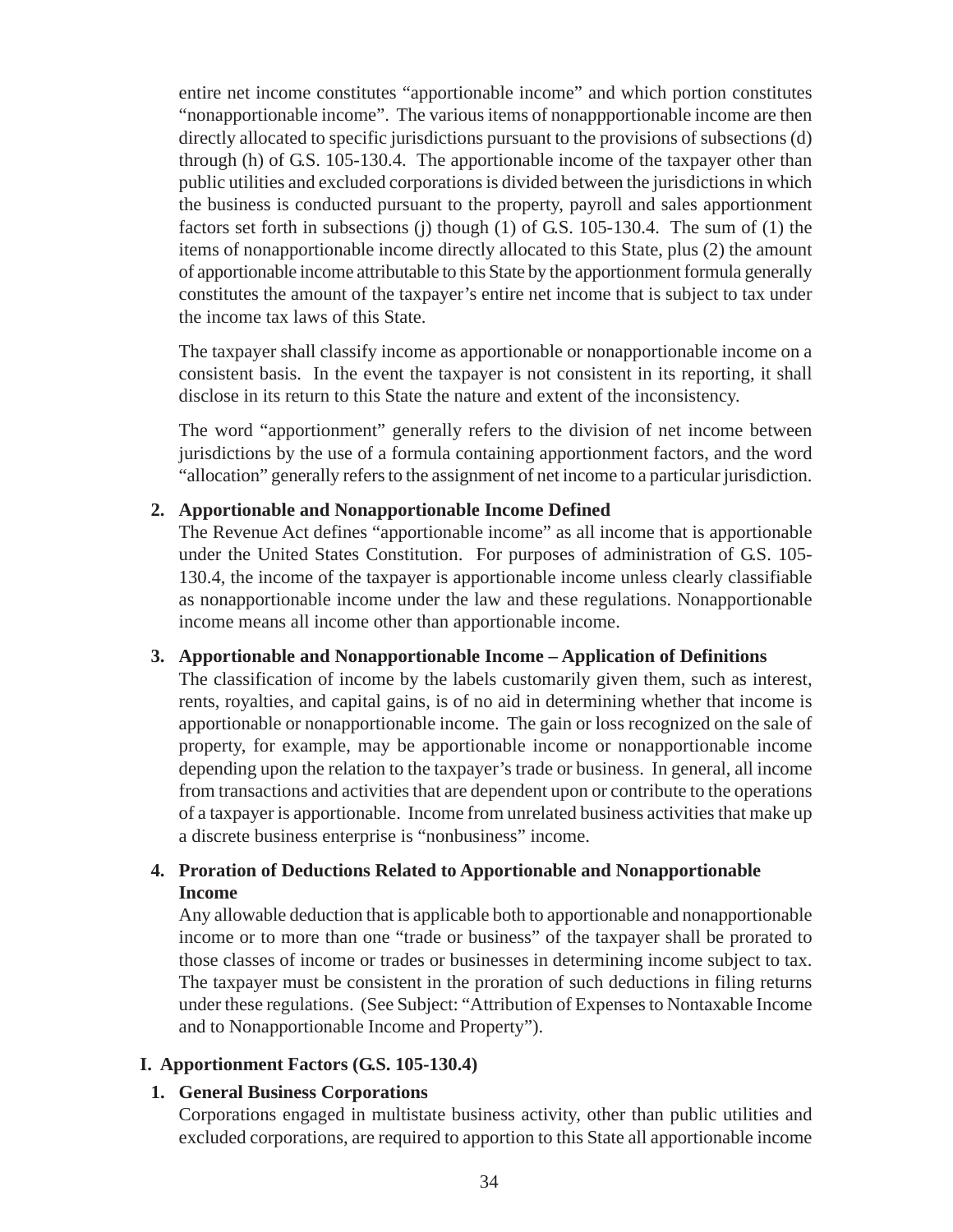entire net income constitutes "apportionable income" and which portion constitutes "nonapportionable income". The various items of nonappportionable income are then directly allocated to specific jurisdictions pursuant to the provisions of subsections (d) through (h) of G.S. 105-130.4. The apportionable income of the taxpayer other than public utilities and excluded corporations is divided between the jurisdictions in which the business is conducted pursuant to the property, payroll and sales apportionment factors set forth in subsections (j) though (1) of G.S. 105-130.4. The sum of (1) the items of nonapportionable income directly allocated to this State, plus (2) the amount of apportionable income attributable to this State by the apportionment formula generally constitutes the amount of the taxpayer's entire net income that is subject to tax under the income tax laws of this State.

The taxpayer shall classify income as apportionable or nonapportionable income on a consistent basis. In the event the taxpayer is not consistent in its reporting, it shall disclose in its return to this State the nature and extent of the inconsistency.

The word "apportionment" generally refers to the division of net income between jurisdictions by the use of a formula containing apportionment factors, and the word "allocation" generally refers to the assignment of net income to a particular jurisdiction.

### **2. Apportionable and Nonapportionable Income Defined**

The Revenue Act defines "apportionable income" as all income that is apportionable under the United States Constitution. For purposes of administration of G.S. 105- 130.4, the income of the taxpayer is apportionable income unless clearly classifiable as nonapportionable income under the law and these regulations. Nonapportionable income means all income other than apportionable income.

### **3. Apportionable and Nonapportionable Income – Application of Definitions**

The classification of income by the labels customarily given them, such as interest, rents, royalties, and capital gains, is of no aid in determining whether that income is apportionable or nonapportionable income. The gain or loss recognized on the sale of property, for example, may be apportionable income or nonapportionable income depending upon the relation to the taxpayer's trade or business. In general, all income from transactions and activities that are dependent upon or contribute to the operations of a taxpayer is apportionable. Income from unrelated business activities that make up a discrete business enterprise is "nonbusiness" income.

## **4. Proration of Deductions Related to Apportionable and Nonapportionable Income**

Any allowable deduction that is applicable both to apportionable and nonapportionable income or to more than one "trade or business" of the taxpayer shall be prorated to those classes of income or trades or businesses in determining income subject to tax. The taxpayer must be consistent in the proration of such deductions in filing returns under these regulations. (See Subject: "Attribution of Expenses to Nontaxable Income and to Nonapportionable Income and Property").

### **I. Apportionment Factors (G.S. 105-130.4)**

#### **1. General Business Corporations**

Corporations engaged in multistate business activity, other than public utilities and excluded corporations, are required to apportion to this State all apportionable income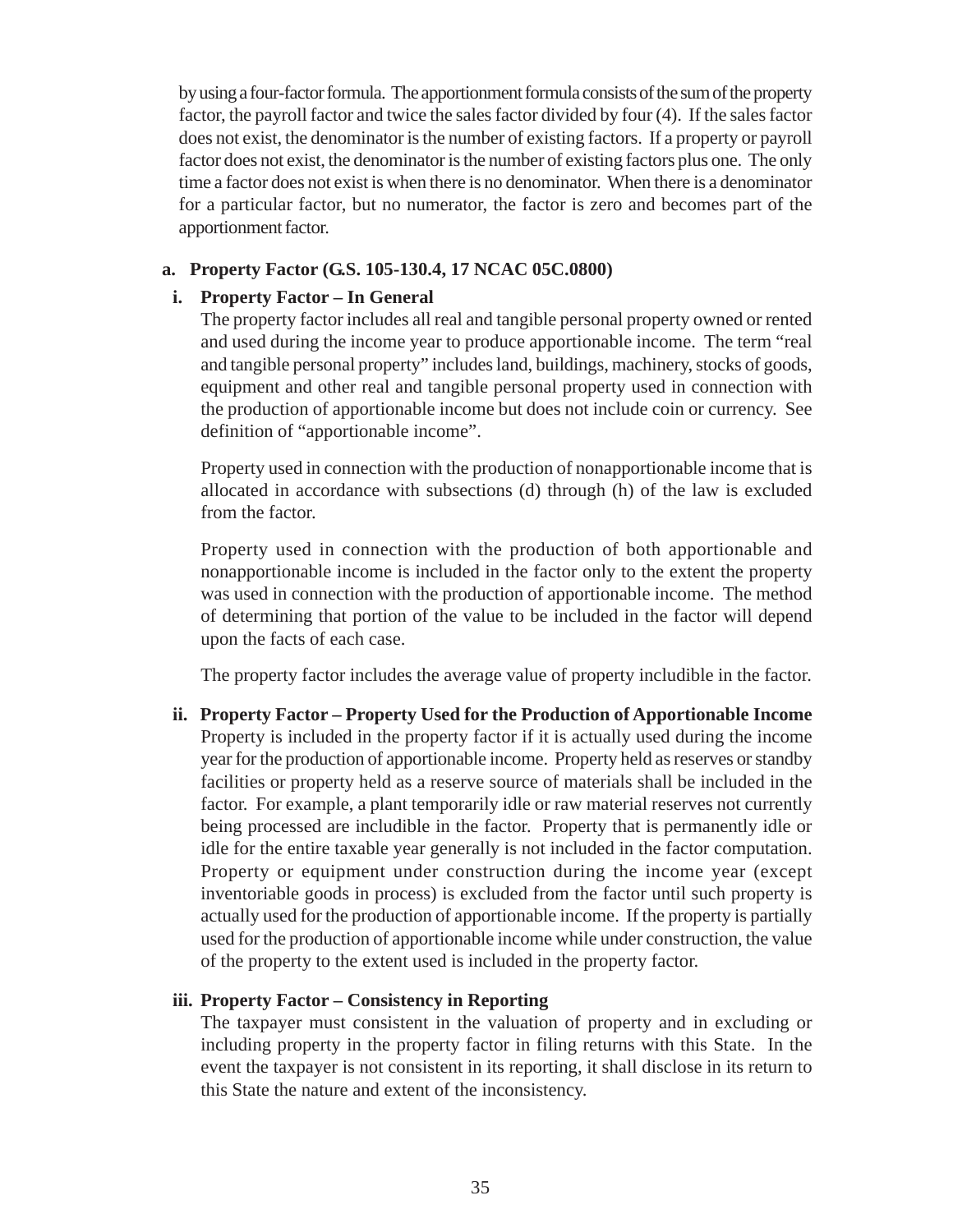by using a four-factor formula. The apportionment formula consists of the sum of the property factor, the payroll factor and twice the sales factor divided by four (4). If the sales factor does not exist, the denominator is the number of existing factors. If a property or payroll factor does not exist, the denominator is the number of existing factors plus one. The only time a factor does not exist is when there is no denominator. When there is a denominator for a particular factor, but no numerator, the factor is zero and becomes part of the apportionment factor.

#### **a. Property Factor (G.S. 105-130.4, 17 NCAC 05C.0800)**

### **i. Property Factor – In General**

The property factor includes all real and tangible personal property owned or rented and used during the income year to produce apportionable income. The term "real and tangible personal property" includes land, buildings, machinery, stocks of goods, equipment and other real and tangible personal property used in connection with the production of apportionable income but does not include coin or currency. See definition of "apportionable income".

Property used in connection with the production of nonapportionable income that is allocated in accordance with subsections (d) through (h) of the law is excluded from the factor.

Property used in connection with the production of both apportionable and nonapportionable income is included in the factor only to the extent the property was used in connection with the production of apportionable income. The method of determining that portion of the value to be included in the factor will depend upon the facts of each case.

The property factor includes the average value of property includible in the factor.

**ii. Property Factor – Property Used for the Production of Apportionable Income** Property is included in the property factor if it is actually used during the income year for the production of apportionable income. Property held as reserves or standby facilities or property held as a reserve source of materials shall be included in the factor. For example, a plant temporarily idle or raw material reserves not currently being processed are includible in the factor. Property that is permanently idle or idle for the entire taxable year generally is not included in the factor computation. Property or equipment under construction during the income year (except inventoriable goods in process) is excluded from the factor until such property is actually used for the production of apportionable income. If the property is partially used for the production of apportionable income while under construction, the value of the property to the extent used is included in the property factor.

### **iii. Property Factor – Consistency in Reporting**

The taxpayer must consistent in the valuation of property and in excluding or including property in the property factor in filing returns with this State. In the event the taxpayer is not consistent in its reporting, it shall disclose in its return to this State the nature and extent of the inconsistency.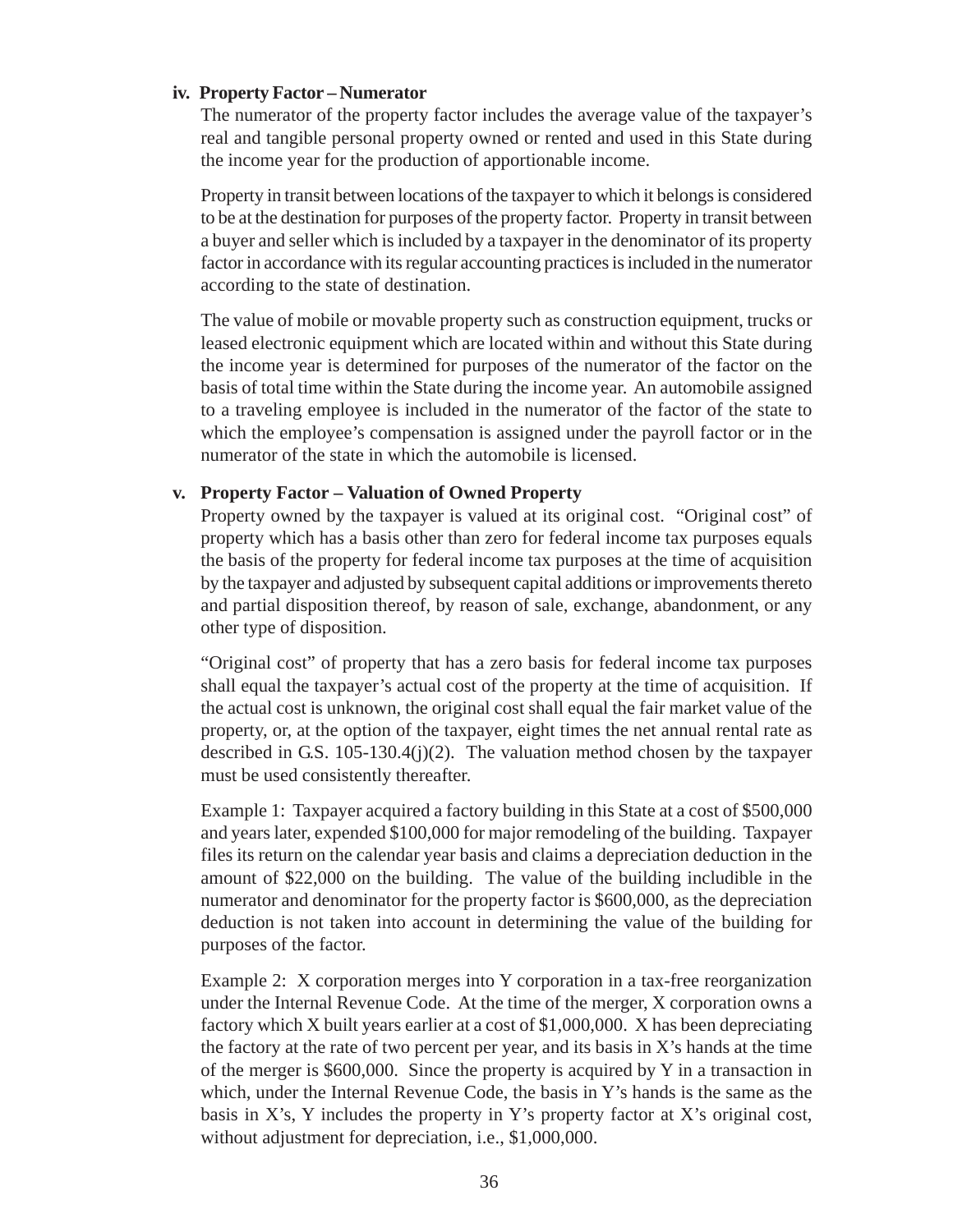#### **iv. Property Factor – Numerator**

The numerator of the property factor includes the average value of the taxpayer's real and tangible personal property owned or rented and used in this State during the income year for the production of apportionable income.

Property in transit between locations of the taxpayer to which it belongs is considered to be at the destination for purposes of the property factor. Property in transit between a buyer and seller which is included by a taxpayer in the denominator of its property factor in accordance with its regular accounting practices is included in the numerator according to the state of destination.

The value of mobile or movable property such as construction equipment, trucks or leased electronic equipment which are located within and without this State during the income year is determined for purposes of the numerator of the factor on the basis of total time within the State during the income year. An automobile assigned to a traveling employee is included in the numerator of the factor of the state to which the employee's compensation is assigned under the payroll factor or in the numerator of the state in which the automobile is licensed.

### **v. Property Factor – Valuation of Owned Property**

Property owned by the taxpayer is valued at its original cost. "Original cost" of property which has a basis other than zero for federal income tax purposes equals the basis of the property for federal income tax purposes at the time of acquisition by the taxpayer and adjusted by subsequent capital additions or improvements thereto and partial disposition thereof, by reason of sale, exchange, abandonment, or any other type of disposition.

"Original cost" of property that has a zero basis for federal income tax purposes shall equal the taxpayer's actual cost of the property at the time of acquisition. If the actual cost is unknown, the original cost shall equal the fair market value of the property, or, at the option of the taxpayer, eight times the net annual rental rate as described in G.S. 105-130.4(j)(2). The valuation method chosen by the taxpayer must be used consistently thereafter.

Example 1: Taxpayer acquired a factory building in this State at a cost of \$500,000 and years later, expended \$100,000 for major remodeling of the building. Taxpayer files its return on the calendar year basis and claims a depreciation deduction in the amount of \$22,000 on the building. The value of the building includible in the numerator and denominator for the property factor is \$600,000, as the depreciation deduction is not taken into account in determining the value of the building for purposes of the factor.

Example 2: X corporation merges into Y corporation in a tax-free reorganization under the Internal Revenue Code. At the time of the merger, X corporation owns a factory which X built years earlier at a cost of \$1,000,000. X has been depreciating the factory at the rate of two percent per year, and its basis in  $X$ 's hands at the time of the merger is \$600,000. Since the property is acquired by Y in a transaction in which, under the Internal Revenue Code, the basis in Y's hands is the same as the basis in X's, Y includes the property in Y's property factor at X's original cost, without adjustment for depreciation, i.e., \$1,000,000.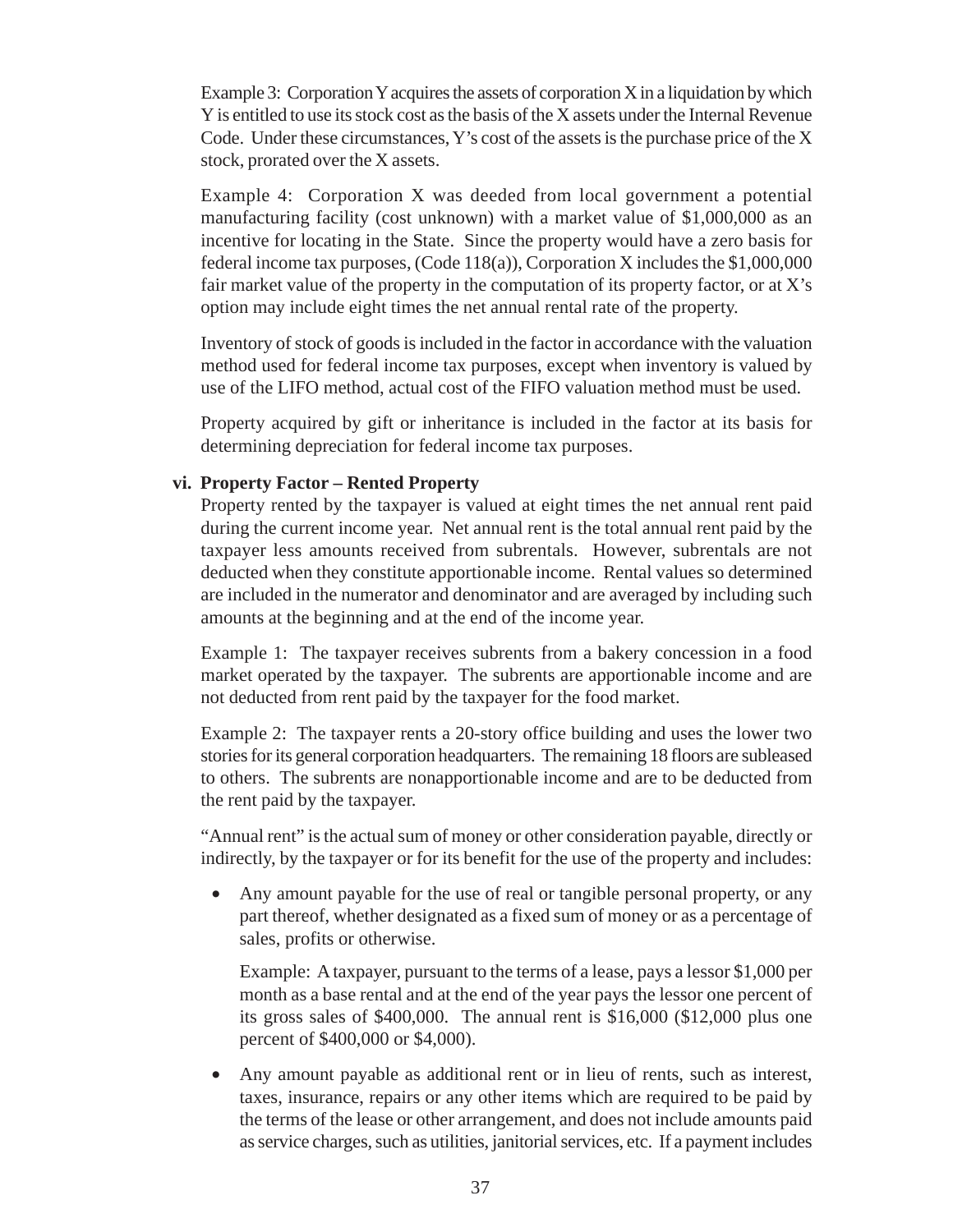Example 3: Corporation Y acquires the assets of corporation X in a liquidation by which Y is entitled to use its stock cost as the basis of the X assets under the Internal Revenue Code. Under these circumstances, Y's cost of the assets is the purchase price of the X stock, prorated over the X assets.

Example 4: Corporation X was deeded from local government a potential manufacturing facility (cost unknown) with a market value of \$1,000,000 as an incentive for locating in the State. Since the property would have a zero basis for federal income tax purposes, (Code 118(a)), Corporation X includes the \$1,000,000 fair market value of the property in the computation of its property factor, or at  $X$ 's option may include eight times the net annual rental rate of the property.

Inventory of stock of goods is included in the factor in accordance with the valuation method used for federal income tax purposes, except when inventory is valued by use of the LIFO method, actual cost of the FIFO valuation method must be used.

Property acquired by gift or inheritance is included in the factor at its basis for determining depreciation for federal income tax purposes.

#### **vi. Property Factor – Rented Property**

Property rented by the taxpayer is valued at eight times the net annual rent paid during the current income year. Net annual rent is the total annual rent paid by the taxpayer less amounts received from subrentals. However, subrentals are not deducted when they constitute apportionable income. Rental values so determined are included in the numerator and denominator and are averaged by including such amounts at the beginning and at the end of the income year.

Example 1: The taxpayer receives subrents from a bakery concession in a food market operated by the taxpayer. The subrents are apportionable income and are not deducted from rent paid by the taxpayer for the food market.

Example 2: The taxpayer rents a 20-story office building and uses the lower two stories for its general corporation headquarters. The remaining 18 floors are subleased to others. The subrents are nonapportionable income and are to be deducted from the rent paid by the taxpayer.

"Annual rent" is the actual sum of money or other consideration payable, directly or indirectly, by the taxpayer or for its benefit for the use of the property and includes:

• Any amount payable for the use of real or tangible personal property, or any part thereof, whether designated as a fixed sum of money or as a percentage of sales, profits or otherwise.

Example: A taxpayer, pursuant to the terms of a lease, pays a lessor \$1,000 per month as a base rental and at the end of the year pays the lessor one percent of its gross sales of \$400,000. The annual rent is \$16,000 (\$12,000 plus one percent of \$400,000 or \$4,000).

• Any amount payable as additional rent or in lieu of rents, such as interest, taxes, insurance, repairs or any other items which are required to be paid by the terms of the lease or other arrangement, and does not include amounts paid as service charges, such as utilities, janitorial services, etc. If a payment includes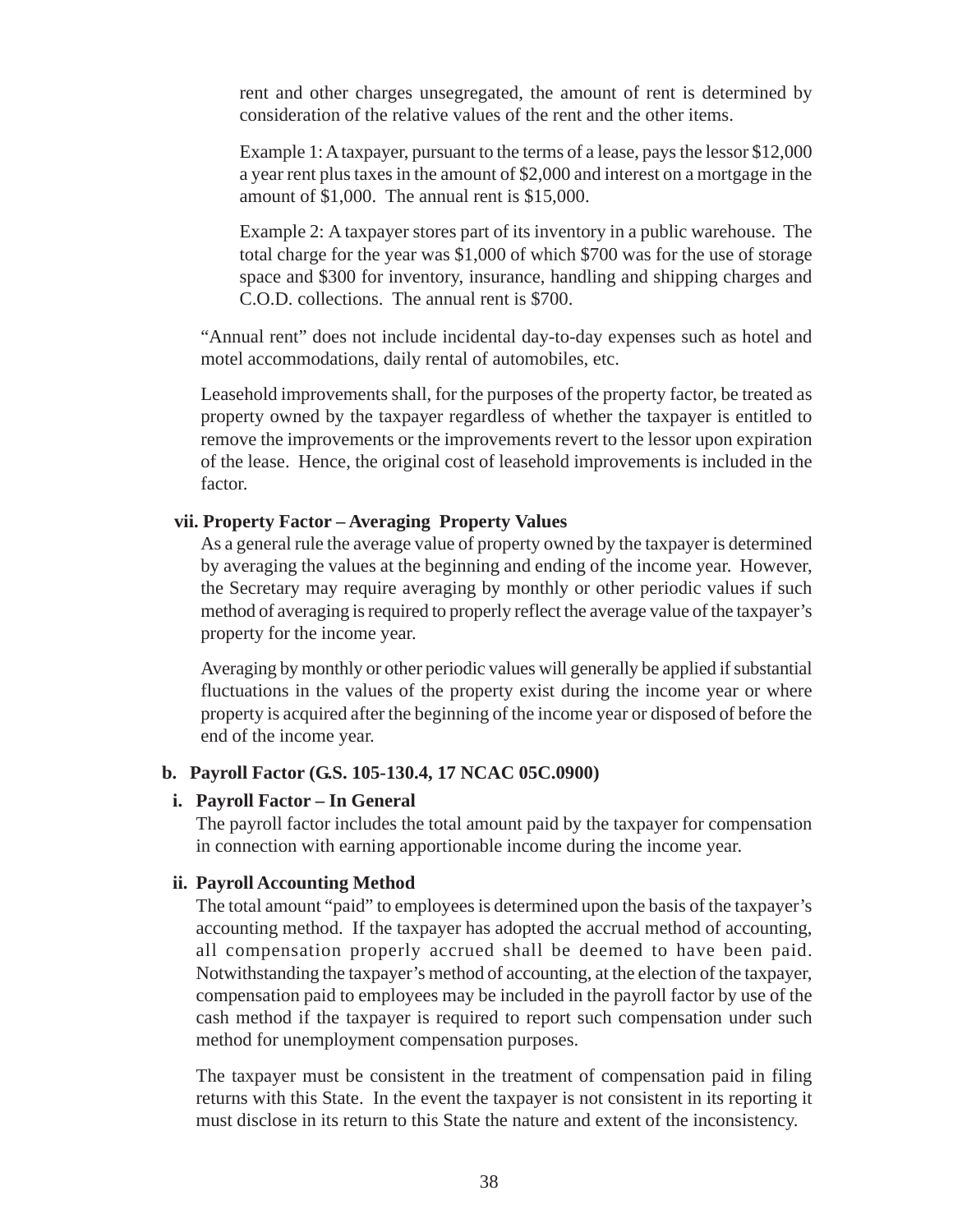rent and other charges unsegregated, the amount of rent is determined by consideration of the relative values of the rent and the other items.

Example 1: A taxpayer, pursuant to the terms of a lease, pays the lessor \$12,000 a year rent plus taxes in the amount of \$2,000 and interest on a mortgage in the amount of \$1,000. The annual rent is \$15,000.

Example 2: A taxpayer stores part of its inventory in a public warehouse. The total charge for the year was \$1,000 of which \$700 was for the use of storage space and \$300 for inventory, insurance, handling and shipping charges and C.O.D. collections. The annual rent is \$700.

"Annual rent" does not include incidental day-to-day expenses such as hotel and motel accommodations, daily rental of automobiles, etc.

Leasehold improvements shall, for the purposes of the property factor, be treated as property owned by the taxpayer regardless of whether the taxpayer is entitled to remove the improvements or the improvements revert to the lessor upon expiration of the lease. Hence, the original cost of leasehold improvements is included in the factor.

#### **vii. Property Factor – Averaging Property Values**

As a general rule the average value of property owned by the taxpayer is determined by averaging the values at the beginning and ending of the income year. However, the Secretary may require averaging by monthly or other periodic values if such method of averaging is required to properly reflect the average value of the taxpayer's property for the income year.

Averaging by monthly or other periodic values will generally be applied if substantial fluctuations in the values of the property exist during the income year or where property is acquired after the beginning of the income year or disposed of before the end of the income year.

#### **b. Payroll Factor (G.S. 105-130.4, 17 NCAC 05C.0900)**

#### **i. Payroll Factor – In General**

The payroll factor includes the total amount paid by the taxpayer for compensation in connection with earning apportionable income during the income year.

#### **ii. Payroll Accounting Method**

The total amount "paid" to employees is determined upon the basis of the taxpayer's accounting method. If the taxpayer has adopted the accrual method of accounting, all compensation properly accrued shall be deemed to have been paid. Notwithstanding the taxpayer's method of accounting, at the election of the taxpayer, compensation paid to employees may be included in the payroll factor by use of the cash method if the taxpayer is required to report such compensation under such method for unemployment compensation purposes.

The taxpayer must be consistent in the treatment of compensation paid in filing returns with this State. In the event the taxpayer is not consistent in its reporting it must disclose in its return to this State the nature and extent of the inconsistency.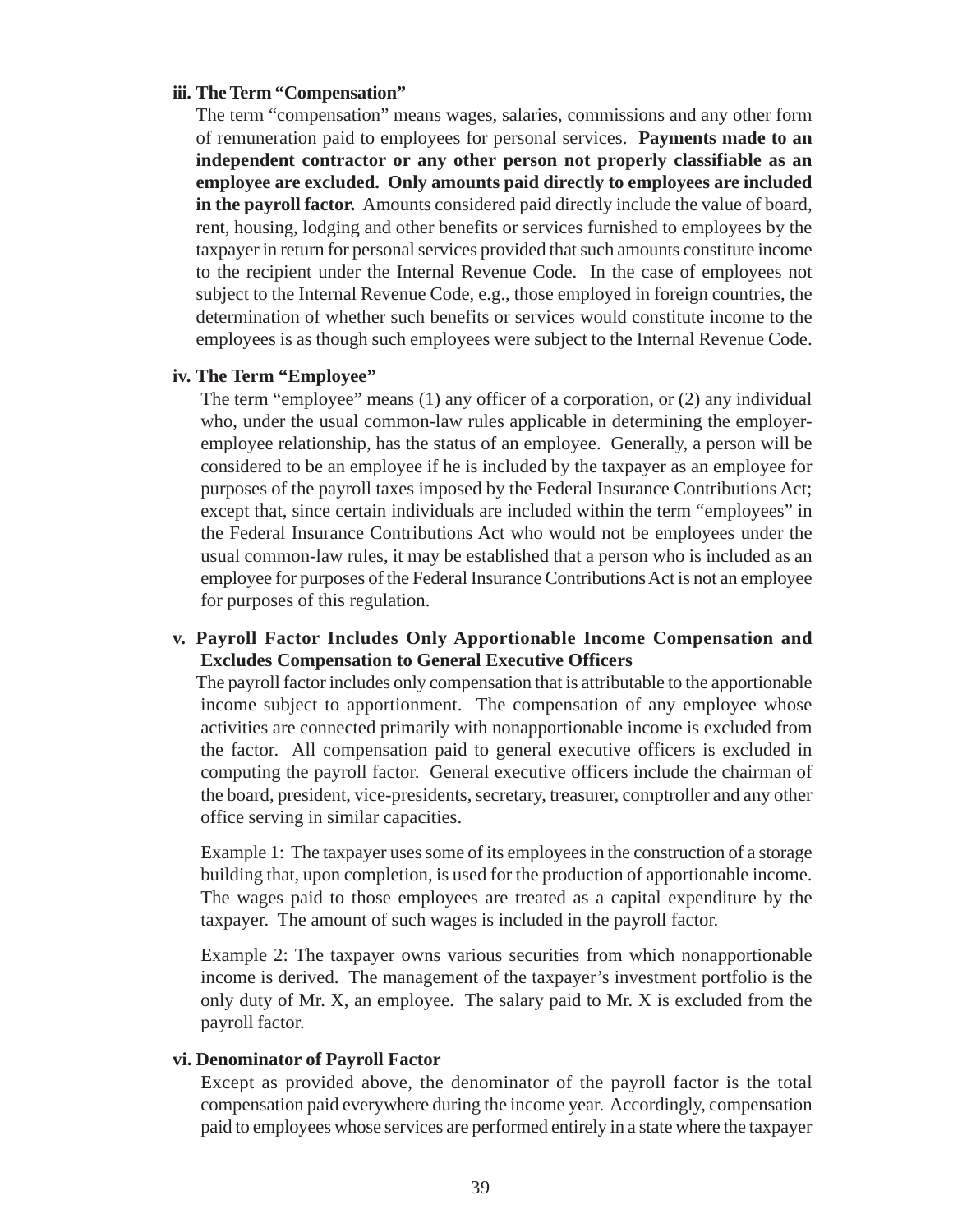#### **iii. The Term "Compensation"**

The term "compensation" means wages, salaries, commissions and any other form of remuneration paid to employees for personal services. **Payments made to an independent contractor or any other person not properly classifiable as an employee are excluded. Only amounts paid directly to employees are included in the payroll factor.** Amounts considered paid directly include the value of board, rent, housing, lodging and other benefits or services furnished to employees by the taxpayer in return for personal services provided that such amounts constitute income to the recipient under the Internal Revenue Code. In the case of employees not subject to the Internal Revenue Code, e.g., those employed in foreign countries, the determination of whether such benefits or services would constitute income to the employees is as though such employees were subject to the Internal Revenue Code.

#### **iv. The Term "Employee"**

The term "employee" means (1) any officer of a corporation, or (2) any individual who, under the usual common-law rules applicable in determining the employeremployee relationship, has the status of an employee. Generally, a person will be considered to be an employee if he is included by the taxpayer as an employee for purposes of the payroll taxes imposed by the Federal Insurance Contributions Act; except that, since certain individuals are included within the term "employees" in the Federal Insurance Contributions Act who would not be employees under the usual common-law rules, it may be established that a person who is included as an employee for purposes of the Federal Insurance Contributions Act is not an employee for purposes of this regulation.

#### **v. Payroll Factor Includes Only Apportionable Income Compensation and Excludes Compensation to General Executive Officers**

The payroll factor includes only compensation that is attributable to the apportionable income subject to apportionment. The compensation of any employee whose activities are connected primarily with nonapportionable income is excluded from the factor. All compensation paid to general executive officers is excluded in computing the payroll factor. General executive officers include the chairman of the board, president, vice-presidents, secretary, treasurer, comptroller and any other office serving in similar capacities.

Example 1: The taxpayer uses some of its employees in the construction of a storage building that, upon completion, is used for the production of apportionable income. The wages paid to those employees are treated as a capital expenditure by the taxpayer. The amount of such wages is included in the payroll factor.

Example 2: The taxpayer owns various securities from which nonapportionable income is derived. The management of the taxpayer's investment portfolio is the only duty of Mr. X, an employee. The salary paid to Mr. X is excluded from the payroll factor.

#### **vi. Denominator of Payroll Factor**

Except as provided above, the denominator of the payroll factor is the total compensation paid everywhere during the income year. Accordingly, compensation paid to employees whose services are performed entirely in a state where the taxpayer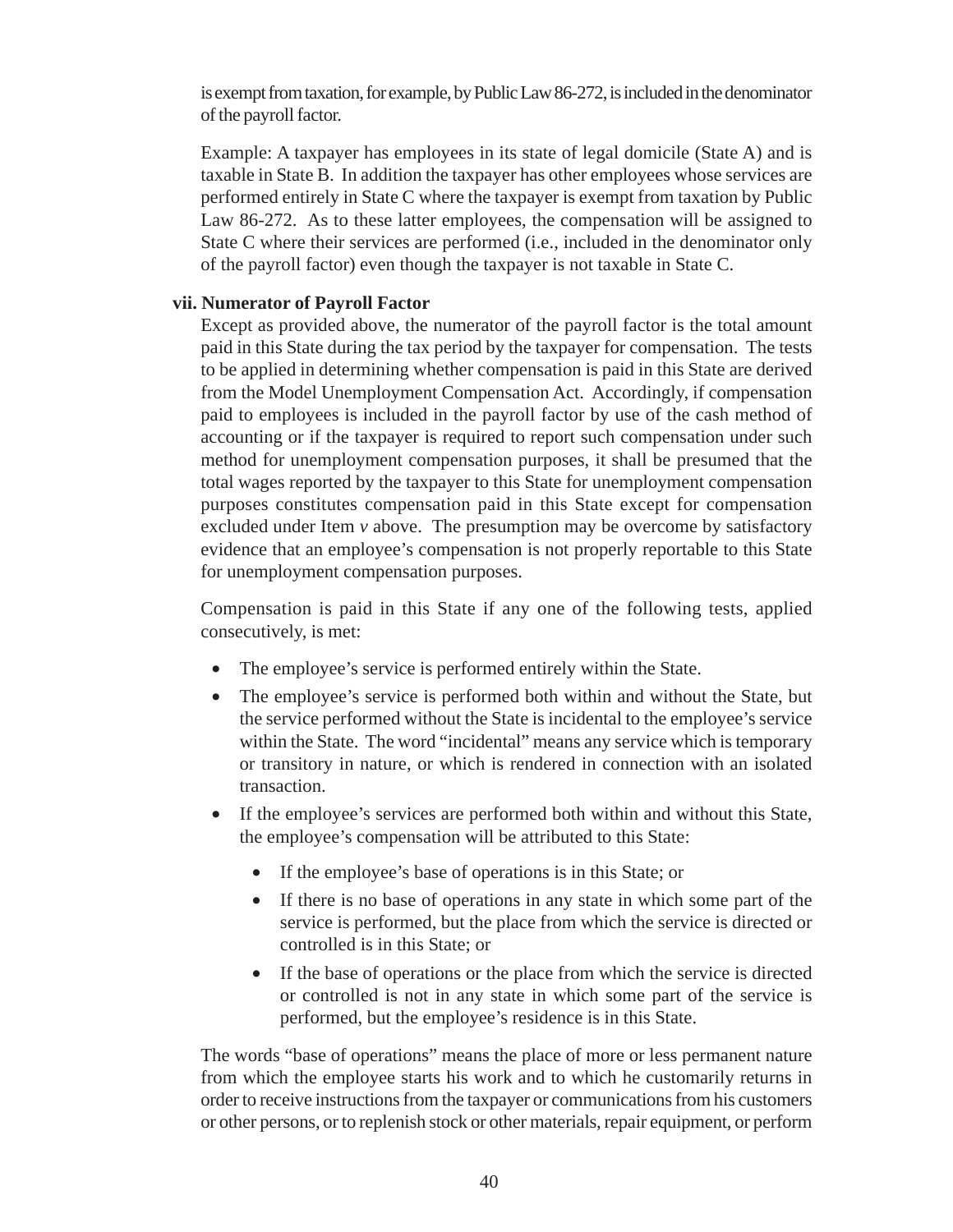is exempt from taxation, for example, by Public Law 86-272, is included in the denominator of the payroll factor.

Example: A taxpayer has employees in its state of legal domicile (State A) and is taxable in State B. In addition the taxpayer has other employees whose services are performed entirely in State C where the taxpayer is exempt from taxation by Public Law 86-272. As to these latter employees, the compensation will be assigned to State C where their services are performed (i.e., included in the denominator only of the payroll factor) even though the taxpayer is not taxable in State C.

### **vii. Numerator of Payroll Factor**

Except as provided above, the numerator of the payroll factor is the total amount paid in this State during the tax period by the taxpayer for compensation. The tests to be applied in determining whether compensation is paid in this State are derived from the Model Unemployment Compensation Act. Accordingly, if compensation paid to employees is included in the payroll factor by use of the cash method of accounting or if the taxpayer is required to report such compensation under such method for unemployment compensation purposes, it shall be presumed that the total wages reported by the taxpayer to this State for unemployment compensation purposes constitutes compensation paid in this State except for compensation excluded under Item *v* above. The presumption may be overcome by satisfactory evidence that an employee's compensation is not properly reportable to this State for unemployment compensation purposes.

Compensation is paid in this State if any one of the following tests, applied consecutively, is met:

- The employee's service is performed entirely within the State.
- The employee's service is performed both within and without the State, but the service performed without the State is incidental to the employee's service within the State. The word "incidental" means any service which is temporary or transitory in nature, or which is rendered in connection with an isolated transaction.
- If the employee's services are performed both within and without this State, the employee's compensation will be attributed to this State:
	- If the employee's base of operations is in this State; or
	- If there is no base of operations in any state in which some part of the service is performed, but the place from which the service is directed or controlled is in this State; or
	- If the base of operations or the place from which the service is directed or controlled is not in any state in which some part of the service is performed, but the employee's residence is in this State.

The words "base of operations" means the place of more or less permanent nature from which the employee starts his work and to which he customarily returns in order to receive instructions from the taxpayer or communications from his customers or other persons, or to replenish stock or other materials, repair equipment, or perform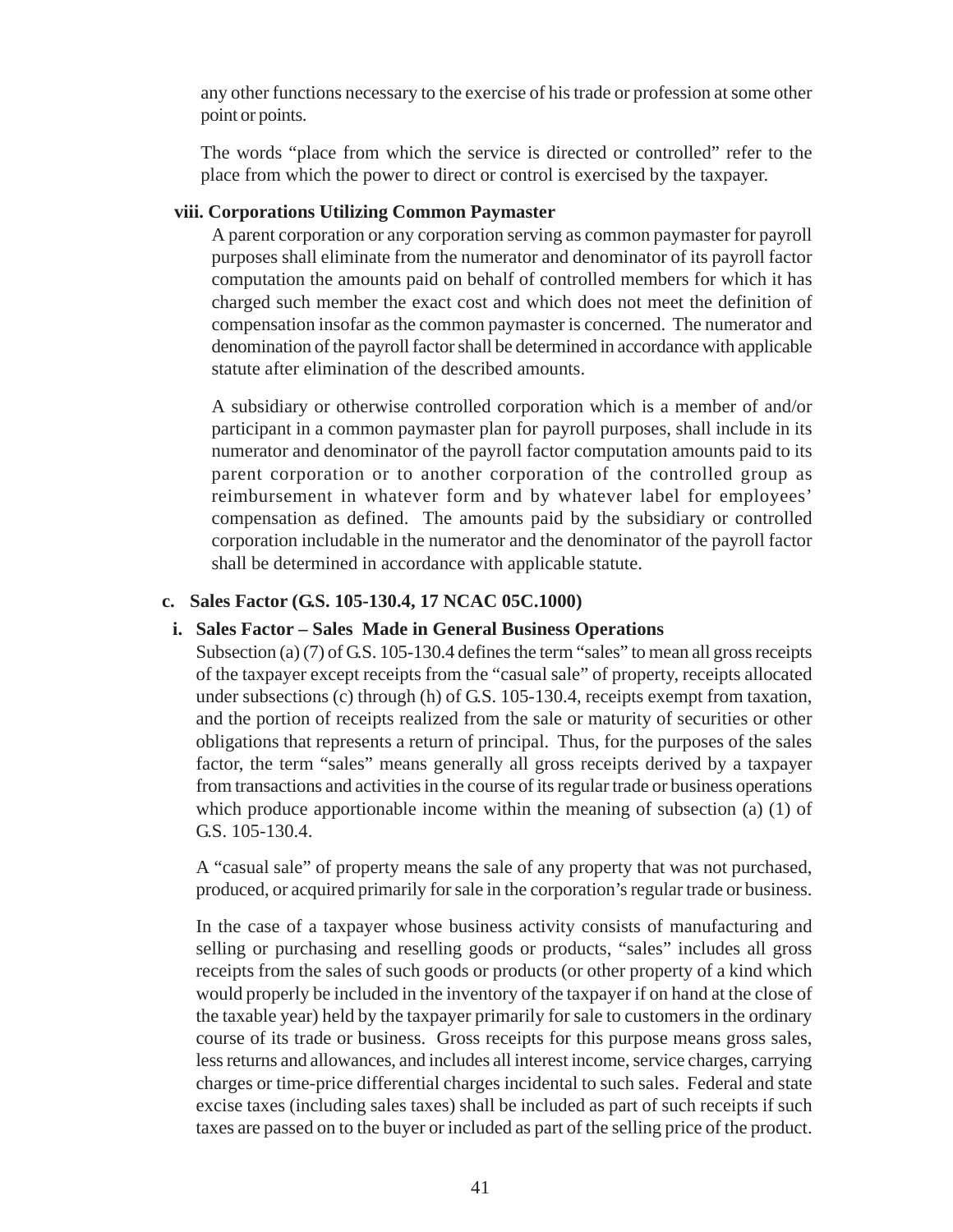any other functions necessary to the exercise of his trade or profession at some other point or points.

The words "place from which the service is directed or controlled" refer to the place from which the power to direct or control is exercised by the taxpayer.

### **viii. Corporations Utilizing Common Paymaster**

A parent corporation or any corporation serving as common paymaster for payroll purposes shall eliminate from the numerator and denominator of its payroll factor computation the amounts paid on behalf of controlled members for which it has charged such member the exact cost and which does not meet the definition of compensation insofar as the common paymaster is concerned. The numerator and denomination of the payroll factor shall be determined in accordance with applicable statute after elimination of the described amounts.

A subsidiary or otherwise controlled corporation which is a member of and/or participant in a common paymaster plan for payroll purposes, shall include in its numerator and denominator of the payroll factor computation amounts paid to its parent corporation or to another corporation of the controlled group as reimbursement in whatever form and by whatever label for employees' compensation as defined. The amounts paid by the subsidiary or controlled corporation includable in the numerator and the denominator of the payroll factor shall be determined in accordance with applicable statute.

### **c. Sales Factor (G.S. 105-130.4, 17 NCAC 05C.1000)**

#### **i. Sales Factor – Sales Made in General Business Operations**

Subsection (a) (7) of G.S. 105-130.4 defines the term "sales" to mean all gross receipts of the taxpayer except receipts from the "casual sale" of property, receipts allocated under subsections (c) through (h) of G.S. 105-130.4, receipts exempt from taxation, and the portion of receipts realized from the sale or maturity of securities or other obligations that represents a return of principal. Thus, for the purposes of the sales factor, the term "sales" means generally all gross receipts derived by a taxpayer from transactions and activities in the course of its regular trade or business operations which produce apportionable income within the meaning of subsection (a) (1) of G.S. 105-130.4.

A "casual sale" of property means the sale of any property that was not purchased, produced, or acquired primarily for sale in the corporation's regular trade or business.

In the case of a taxpayer whose business activity consists of manufacturing and selling or purchasing and reselling goods or products, "sales" includes all gross receipts from the sales of such goods or products (or other property of a kind which would properly be included in the inventory of the taxpayer if on hand at the close of the taxable year) held by the taxpayer primarily for sale to customers in the ordinary course of its trade or business. Gross receipts for this purpose means gross sales, less returns and allowances, and includes all interest income, service charges, carrying charges or time-price differential charges incidental to such sales. Federal and state excise taxes (including sales taxes) shall be included as part of such receipts if such taxes are passed on to the buyer or included as part of the selling price of the product.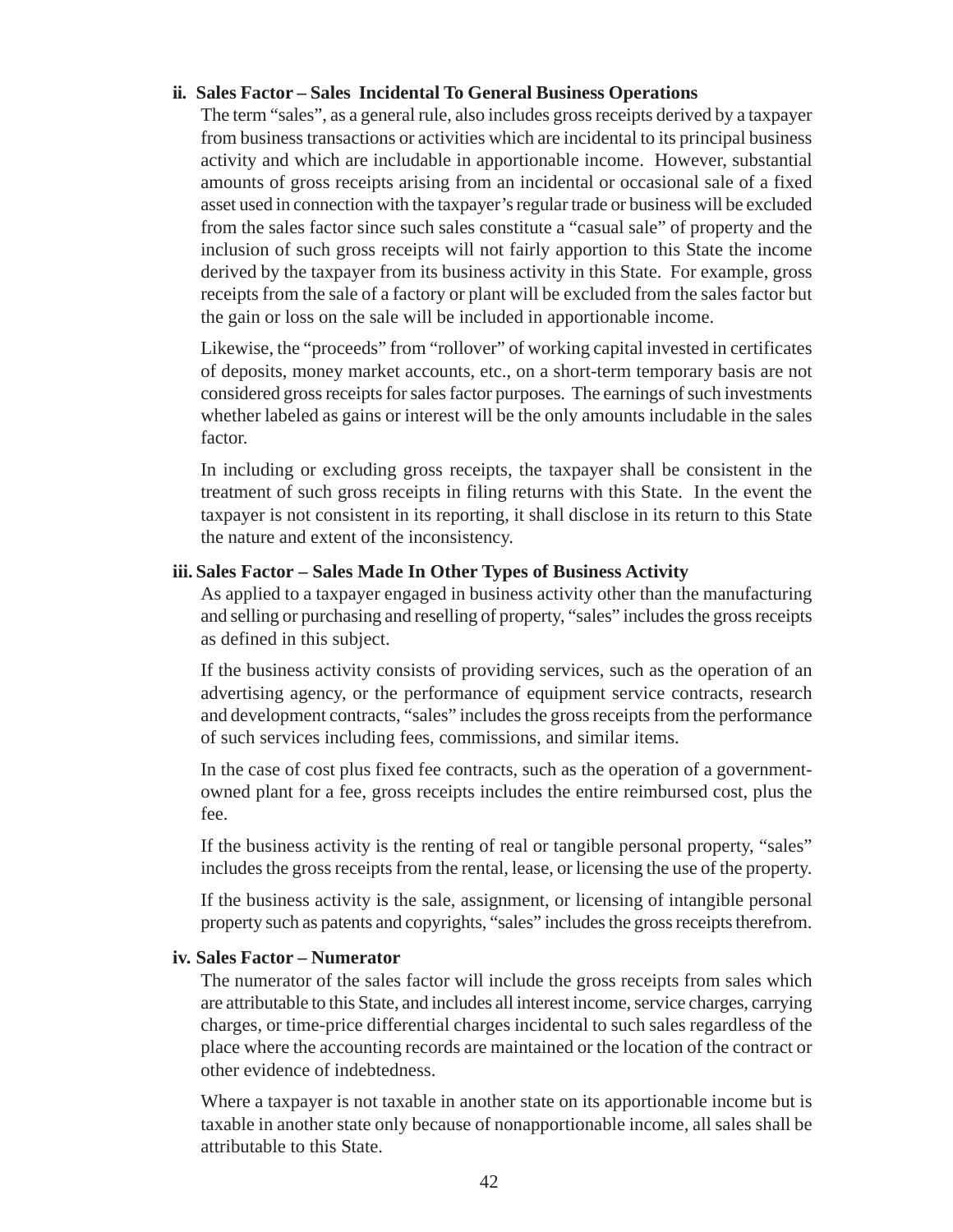#### **ii. Sales Factor – Sales Incidental To General Business Operations**

The term "sales", as a general rule, also includes gross receipts derived by a taxpayer from business transactions or activities which are incidental to its principal business activity and which are includable in apportionable income. However, substantial amounts of gross receipts arising from an incidental or occasional sale of a fixed asset used in connection with the taxpayer's regular trade or business will be excluded from the sales factor since such sales constitute a "casual sale" of property and the inclusion of such gross receipts will not fairly apportion to this State the income derived by the taxpayer from its business activity in this State. For example, gross receipts from the sale of a factory or plant will be excluded from the sales factor but the gain or loss on the sale will be included in apportionable income.

Likewise, the "proceeds" from "rollover" of working capital invested in certificates of deposits, money market accounts, etc., on a short-term temporary basis are not considered gross receipts for sales factor purposes. The earnings of such investments whether labeled as gains or interest will be the only amounts includable in the sales factor.

In including or excluding gross receipts, the taxpayer shall be consistent in the treatment of such gross receipts in filing returns with this State. In the event the taxpayer is not consistent in its reporting, it shall disclose in its return to this State the nature and extent of the inconsistency.

#### **iii. Sales Factor – Sales Made In Other Types of Business Activity**

As applied to a taxpayer engaged in business activity other than the manufacturing and selling or purchasing and reselling of property, "sales" includes the gross receipts as defined in this subject.

If the business activity consists of providing services, such as the operation of an advertising agency, or the performance of equipment service contracts, research and development contracts, "sales" includes the gross receipts from the performance of such services including fees, commissions, and similar items.

In the case of cost plus fixed fee contracts, such as the operation of a governmentowned plant for a fee, gross receipts includes the entire reimbursed cost, plus the fee.

If the business activity is the renting of real or tangible personal property, "sales" includes the gross receipts from the rental, lease, or licensing the use of the property.

If the business activity is the sale, assignment, or licensing of intangible personal property such as patents and copyrights, "sales" includes the gross receipts therefrom.

#### **iv. Sales Factor – Numerator**

The numerator of the sales factor will include the gross receipts from sales which are attributable to this State, and includes all interest income, service charges, carrying charges, or time-price differential charges incidental to such sales regardless of the place where the accounting records are maintained or the location of the contract or other evidence of indebtedness.

Where a taxpayer is not taxable in another state on its apportionable income but is taxable in another state only because of nonapportionable income, all sales shall be attributable to this State.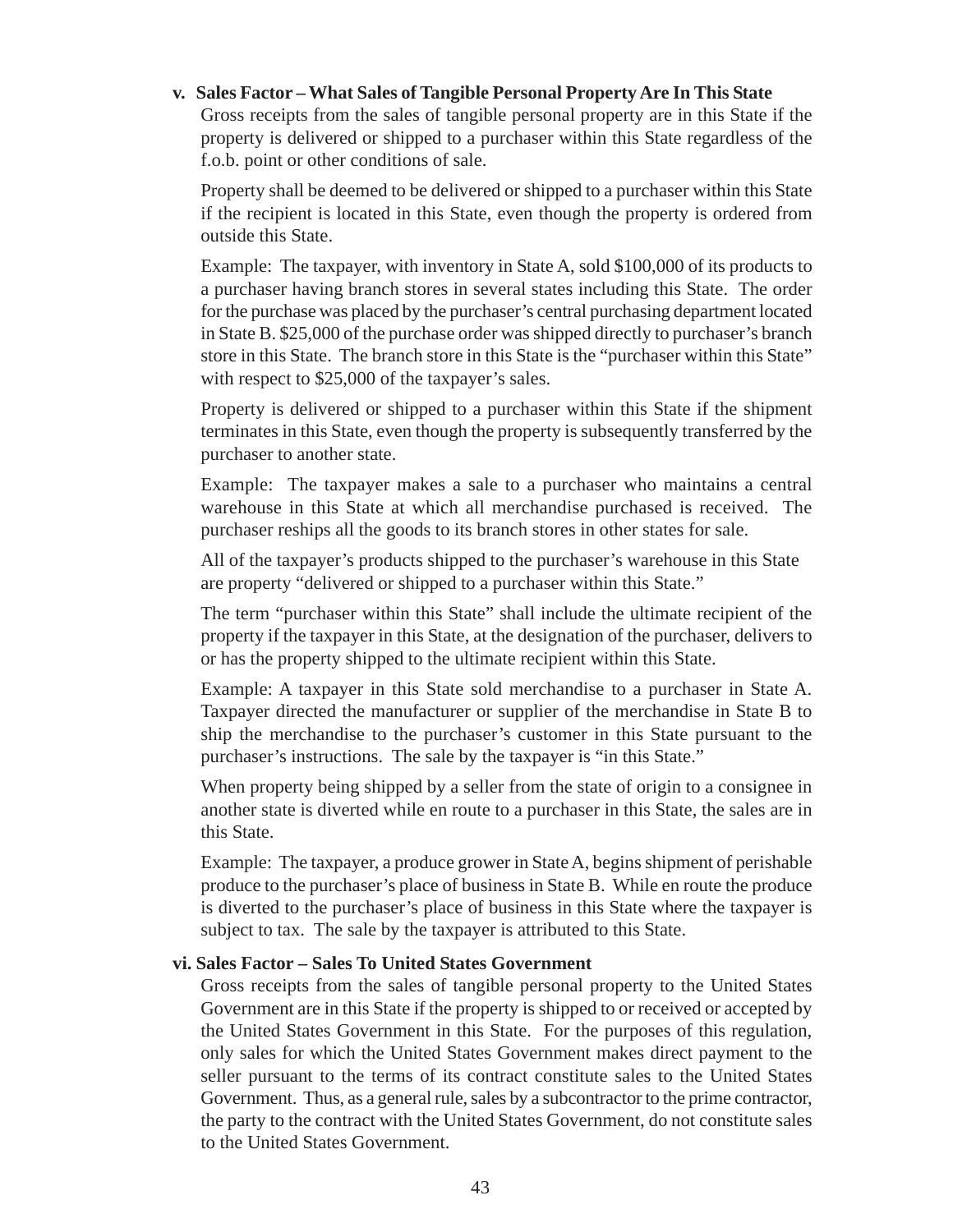#### **v. Sales Factor – What Sales of Tangible Personal Property Are In This State**

Gross receipts from the sales of tangible personal property are in this State if the property is delivered or shipped to a purchaser within this State regardless of the f.o.b. point or other conditions of sale.

Property shall be deemed to be delivered or shipped to a purchaser within this State if the recipient is located in this State, even though the property is ordered from outside this State.

Example: The taxpayer, with inventory in State A, sold \$100,000 of its products to a purchaser having branch stores in several states including this State. The order for the purchase was placed by the purchaser's central purchasing department located in State B. \$25,000 of the purchase order was shipped directly to purchaser's branch store in this State. The branch store in this State is the "purchaser within this State" with respect to \$25,000 of the taxpayer's sales.

Property is delivered or shipped to a purchaser within this State if the shipment terminates in this State, even though the property is subsequently transferred by the purchaser to another state.

Example: The taxpayer makes a sale to a purchaser who maintains a central warehouse in this State at which all merchandise purchased is received. The purchaser reships all the goods to its branch stores in other states for sale.

All of the taxpayer's products shipped to the purchaser's warehouse in this State are property "delivered or shipped to a purchaser within this State."

The term "purchaser within this State" shall include the ultimate recipient of the property if the taxpayer in this State, at the designation of the purchaser, delivers to or has the property shipped to the ultimate recipient within this State.

Example: A taxpayer in this State sold merchandise to a purchaser in State A. Taxpayer directed the manufacturer or supplier of the merchandise in State B to ship the merchandise to the purchaser's customer in this State pursuant to the purchaser's instructions. The sale by the taxpayer is "in this State."

When property being shipped by a seller from the state of origin to a consignee in another state is diverted while en route to a purchaser in this State, the sales are in this State.

Example: The taxpayer, a produce grower in State A, begins shipment of perishable produce to the purchaser's place of business in State B. While en route the produce is diverted to the purchaser's place of business in this State where the taxpayer is subject to tax. The sale by the taxpayer is attributed to this State.

#### **vi. Sales Factor – Sales To United States Government**

Gross receipts from the sales of tangible personal property to the United States Government are in this State if the property is shipped to or received or accepted by the United States Government in this State. For the purposes of this regulation, only sales for which the United States Government makes direct payment to the seller pursuant to the terms of its contract constitute sales to the United States Government. Thus, as a general rule, sales by a subcontractor to the prime contractor, the party to the contract with the United States Government, do not constitute sales to the United States Government.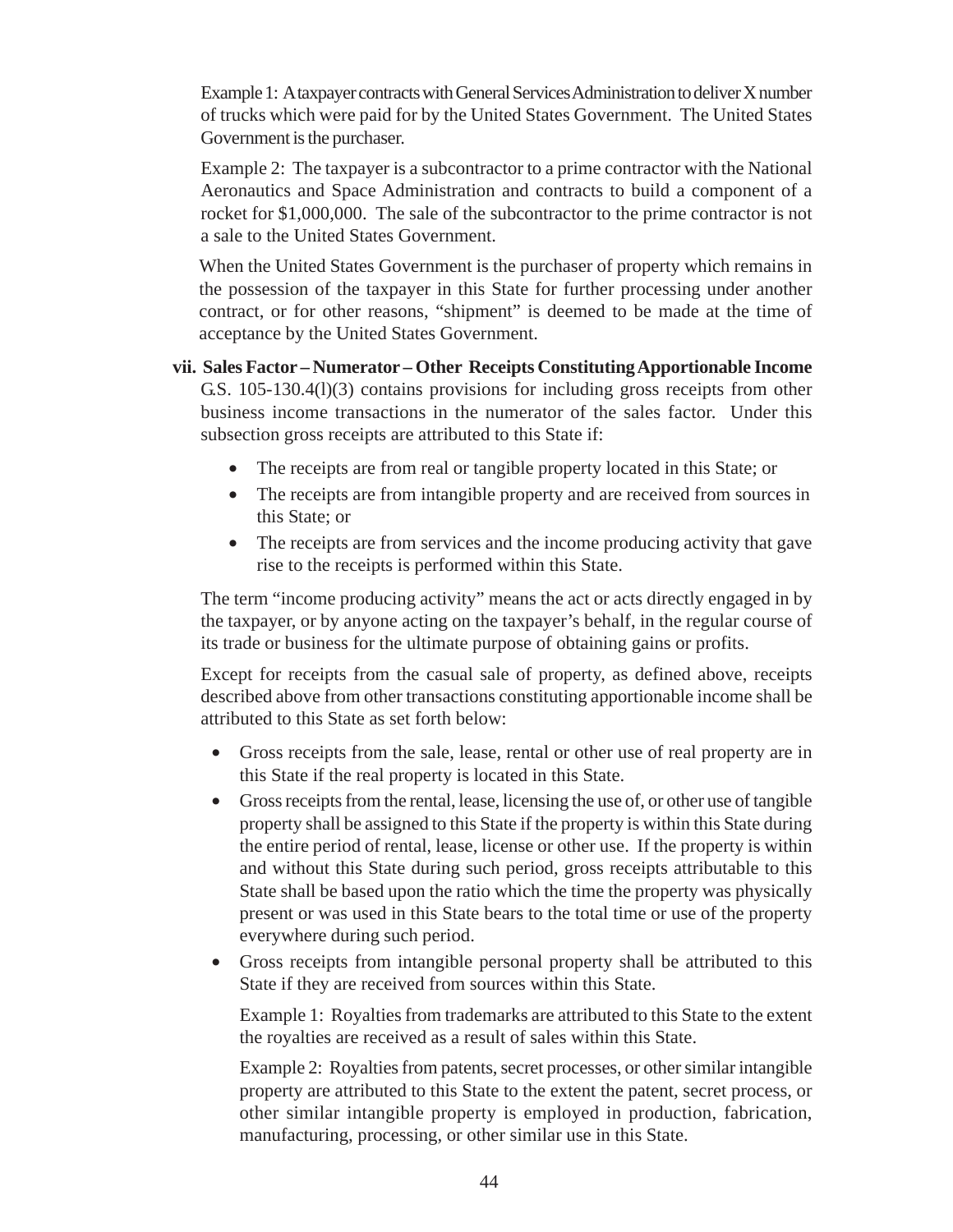Example 1: A taxpayer contracts with General Services Administration to deliver X number of trucks which were paid for by the United States Government. The United States Government is the purchaser.

Example 2: The taxpayer is a subcontractor to a prime contractor with the National Aeronautics and Space Administration and contracts to build a component of a rocket for \$1,000,000. The sale of the subcontractor to the prime contractor is not a sale to the United States Government.

When the United States Government is the purchaser of property which remains in the possession of the taxpayer in this State for further processing under another contract, or for other reasons, "shipment" is deemed to be made at the time of acceptance by the United States Government.

**vii. Sales Factor – Numerator – Other Receipts Constituting Apportionable Income** G.S. 105-130.4(l)(3) contains provisions for including gross receipts from other business income transactions in the numerator of the sales factor. Under this subsection gross receipts are attributed to this State if:

- The receipts are from real or tangible property located in this State; or
- The receipts are from intangible property and are received from sources in this State; or
- The receipts are from services and the income producing activity that gave rise to the receipts is performed within this State.

The term "income producing activity" means the act or acts directly engaged in by the taxpayer, or by anyone acting on the taxpayer's behalf, in the regular course of its trade or business for the ultimate purpose of obtaining gains or profits.

Except for receipts from the casual sale of property, as defined above, receipts described above from other transactions constituting apportionable income shall be attributed to this State as set forth below:

- Gross receipts from the sale, lease, rental or other use of real property are in this State if the real property is located in this State.
- Gross receipts from the rental, lease, licensing the use of, or other use of tangible property shall be assigned to this State if the property is within this State during the entire period of rental, lease, license or other use. If the property is within and without this State during such period, gross receipts attributable to this State shall be based upon the ratio which the time the property was physically present or was used in this State bears to the total time or use of the property everywhere during such period.
- Gross receipts from intangible personal property shall be attributed to this State if they are received from sources within this State.

Example 1: Royalties from trademarks are attributed to this State to the extent the royalties are received as a result of sales within this State.

Example 2: Royalties from patents, secret processes, or other similar intangible property are attributed to this State to the extent the patent, secret process, or other similar intangible property is employed in production, fabrication, manufacturing, processing, or other similar use in this State.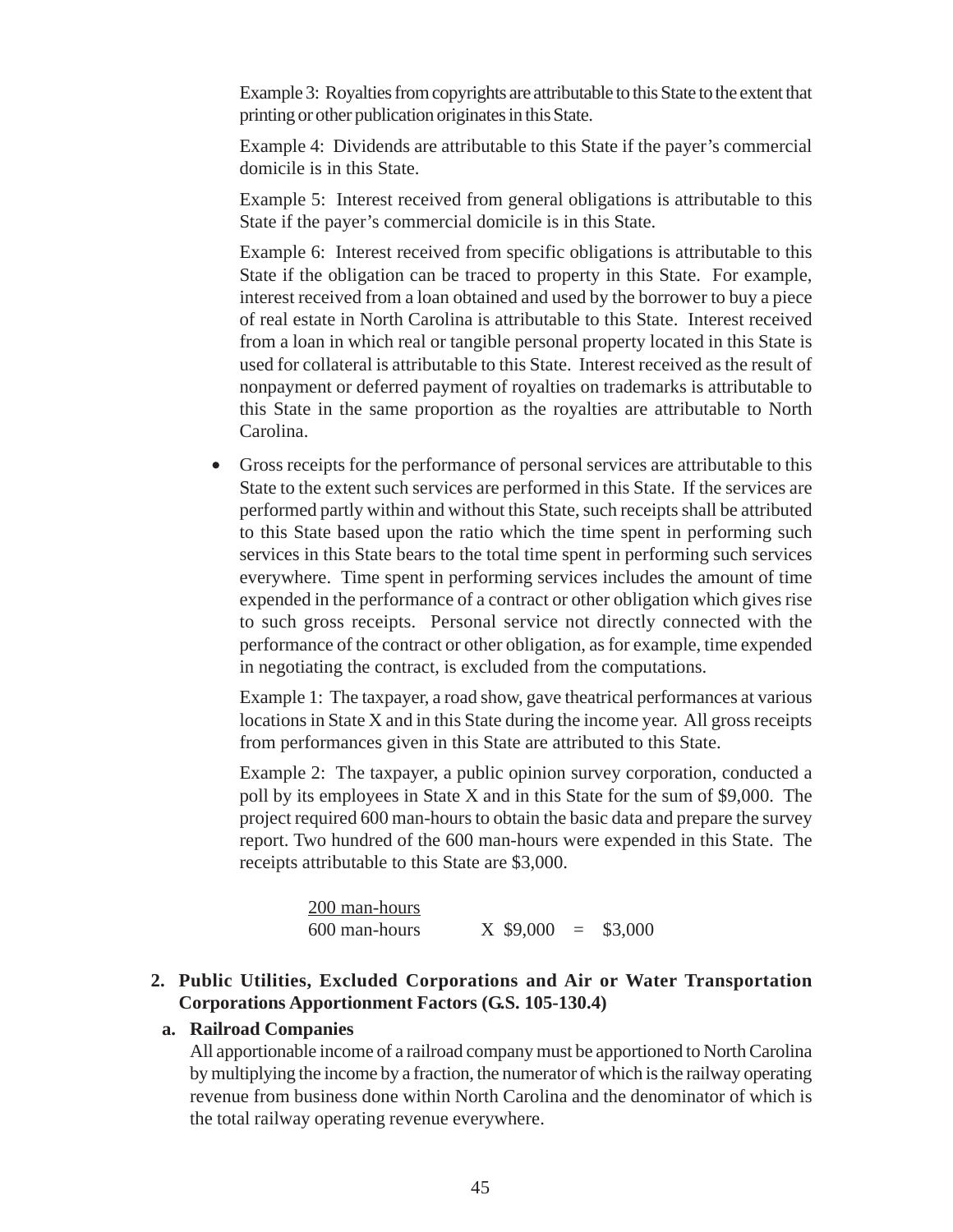Example 3: Royalties from copyrights are attributable to this State to the extent that printing or other publication originates in this State.

Example 4: Dividends are attributable to this State if the payer's commercial domicile is in this State.

Example 5: Interest received from general obligations is attributable to this State if the payer's commercial domicile is in this State.

Example 6: Interest received from specific obligations is attributable to this State if the obligation can be traced to property in this State. For example, interest received from a loan obtained and used by the borrower to buy a piece of real estate in North Carolina is attributable to this State. Interest received from a loan in which real or tangible personal property located in this State is used for collateral is attributable to this State. Interest received as the result of nonpayment or deferred payment of royalties on trademarks is attributable to this State in the same proportion as the royalties are attributable to North Carolina.

• Gross receipts for the performance of personal services are attributable to this State to the extent such services are performed in this State. If the services are performed partly within and without this State, such receipts shall be attributed to this State based upon the ratio which the time spent in performing such services in this State bears to the total time spent in performing such services everywhere. Time spent in performing services includes the amount of time expended in the performance of a contract or other obligation which gives rise to such gross receipts. Personal service not directly connected with the performance of the contract or other obligation, as for example, time expended in negotiating the contract, is excluded from the computations.

Example 1: The taxpayer, a road show, gave theatrical performances at various locations in State X and in this State during the income year. All gross receipts from performances given in this State are attributed to this State.

Example 2: The taxpayer, a public opinion survey corporation, conducted a poll by its employees in State X and in this State for the sum of \$9,000. The project required 600 man-hours to obtain the basic data and prepare the survey report. Two hundred of the 600 man-hours were expended in this State. The receipts attributable to this State are \$3,000.

| 200 man-hours |                       |  |
|---------------|-----------------------|--|
| 600 man-hours | $X$ \$9,000 = \$3,000 |  |

### **2. Public Utilities, Excluded Corporations and Air or Water Transportation Corporations Apportionment Factors (G.S. 105-130.4)**

#### **a. Railroad Companies**

All apportionable income of a railroad company must be apportioned to North Carolina by multiplying the income by a fraction, the numerator of which is the railway operating revenue from business done within North Carolina and the denominator of which is the total railway operating revenue everywhere.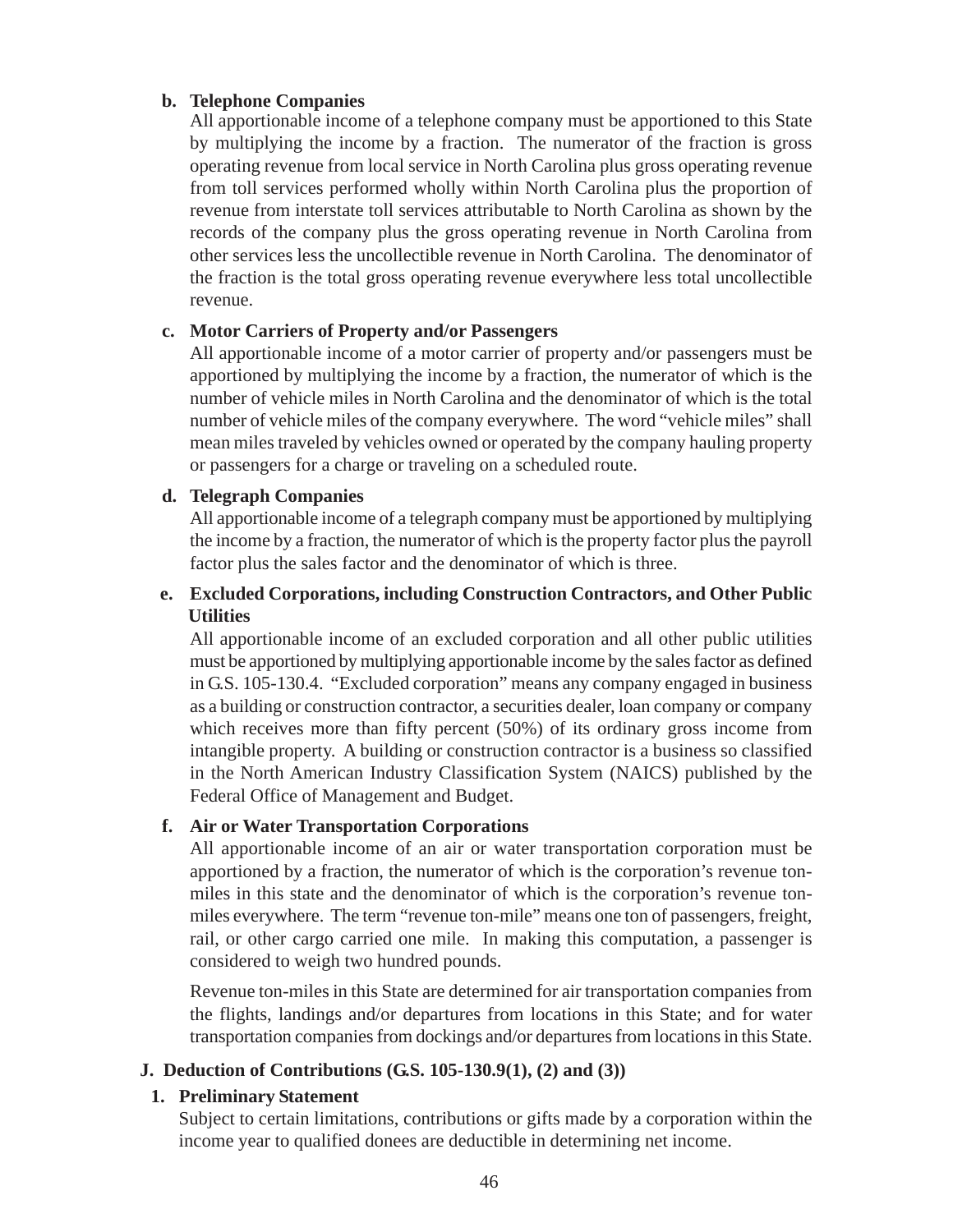### **b. Telephone Companies**

All apportionable income of a telephone company must be apportioned to this State by multiplying the income by a fraction. The numerator of the fraction is gross operating revenue from local service in North Carolina plus gross operating revenue from toll services performed wholly within North Carolina plus the proportion of revenue from interstate toll services attributable to North Carolina as shown by the records of the company plus the gross operating revenue in North Carolina from other services less the uncollectible revenue in North Carolina. The denominator of the fraction is the total gross operating revenue everywhere less total uncollectible revenue.

### **c. Motor Carriers of Property and/or Passengers**

All apportionable income of a motor carrier of property and/or passengers must be apportioned by multiplying the income by a fraction, the numerator of which is the number of vehicle miles in North Carolina and the denominator of which is the total number of vehicle miles of the company everywhere. The word "vehicle miles" shall mean miles traveled by vehicles owned or operated by the company hauling property or passengers for a charge or traveling on a scheduled route.

### **d. Telegraph Companies**

All apportionable income of a telegraph company must be apportioned by multiplying the income by a fraction, the numerator of which is the property factor plus the payroll factor plus the sales factor and the denominator of which is three.

## **e. Excluded Corporations, including Construction Contractors, and Other Public Utilities**

All apportionable income of an excluded corporation and all other public utilities must be apportioned by multiplying apportionable income by the sales factor as defined in G.S. 105-130.4. "Excluded corporation" means any company engaged in business as a building or construction contractor, a securities dealer, loan company or company which receives more than fifty percent (50%) of its ordinary gross income from intangible property. A building or construction contractor is a business so classified in the North American Industry Classification System (NAICS) published by the Federal Office of Management and Budget.

### **f. Air or Water Transportation Corporations**

All apportionable income of an air or water transportation corporation must be apportioned by a fraction, the numerator of which is the corporation's revenue tonmiles in this state and the denominator of which is the corporation's revenue tonmiles everywhere. The term "revenue ton-mile" means one ton of passengers, freight, rail, or other cargo carried one mile. In making this computation, a passenger is considered to weigh two hundred pounds.

Revenue ton-miles in this State are determined for air transportation companies from the flights, landings and/or departures from locations in this State; and for water transportation companies from dockings and/or departures from locations in this State.

### **J. Deduction of Contributions (G.S. 105-130.9(1), (2) and (3))**

### **1. Preliminary Statement**

Subject to certain limitations, contributions or gifts made by a corporation within the income year to qualified donees are deductible in determining net income.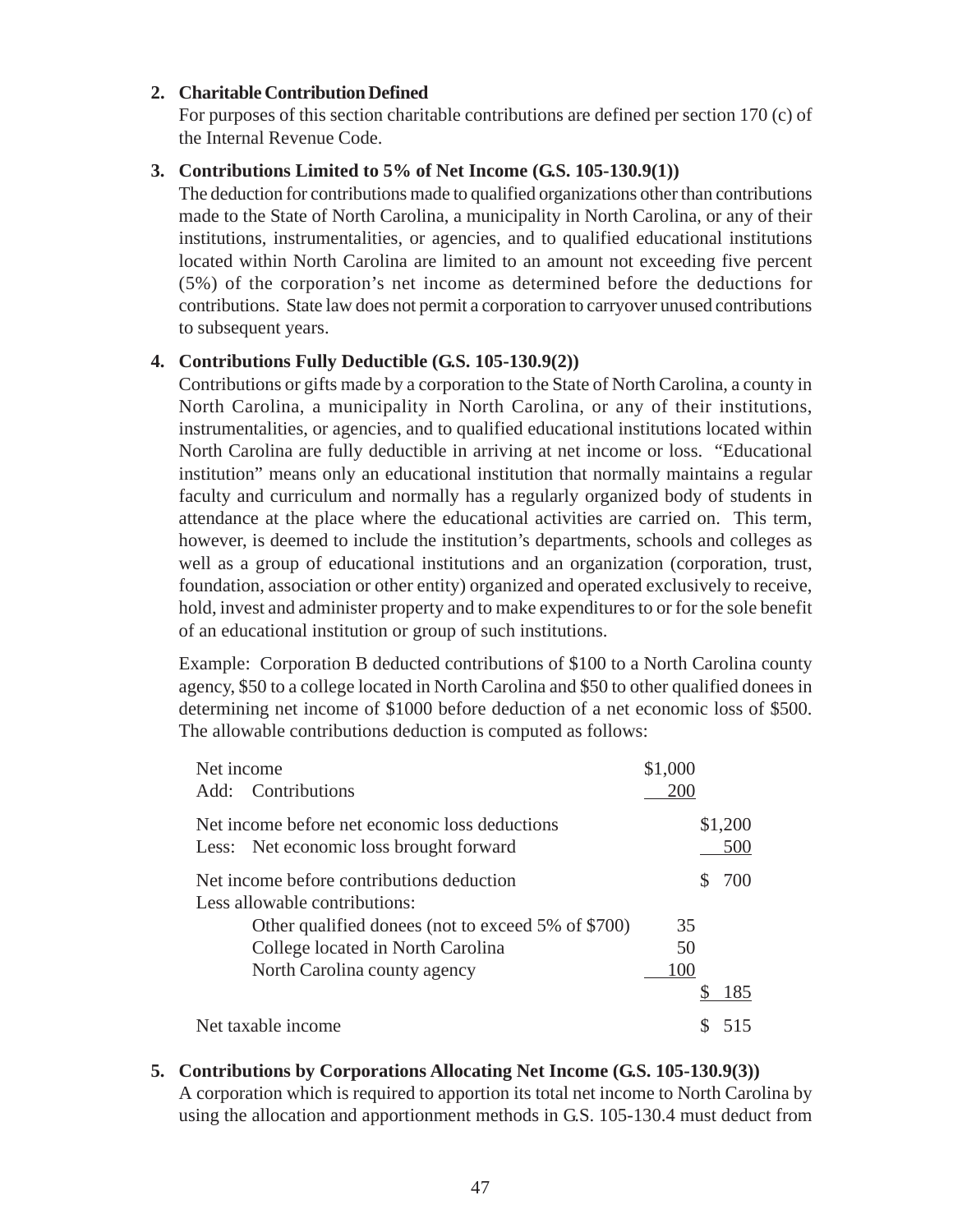### **2. Charitable Contribution Defined**

For purposes of this section charitable contributions are defined per section 170 (c) of the Internal Revenue Code.

### **3. Contributions Limited to 5% of Net Income (G.S. 105-130.9(1))**

The deduction for contributions made to qualified organizations other than contributions made to the State of North Carolina, a municipality in North Carolina, or any of their institutions, instrumentalities, or agencies, and to qualified educational institutions located within North Carolina are limited to an amount not exceeding five percent (5%) of the corporation's net income as determined before the deductions for contributions. State law does not permit a corporation to carryover unused contributions to subsequent years.

### **4. Contributions Fully Deductible (G.S. 105-130.9(2))**

Contributions or gifts made by a corporation to the State of North Carolina, a county in North Carolina, a municipality in North Carolina, or any of their institutions, instrumentalities, or agencies, and to qualified educational institutions located within North Carolina are fully deductible in arriving at net income or loss. "Educational institution" means only an educational institution that normally maintains a regular faculty and curriculum and normally has a regularly organized body of students in attendance at the place where the educational activities are carried on. This term, however, is deemed to include the institution's departments, schools and colleges as well as a group of educational institutions and an organization (corporation, trust, foundation, association or other entity) organized and operated exclusively to receive, hold, invest and administer property and to make expenditures to or for the sole benefit of an educational institution or group of such institutions.

Example: Corporation B deducted contributions of \$100 to a North Carolina county agency, \$50 to a college located in North Carolina and \$50 to other qualified donees in determining net income of \$1000 before deduction of a net economic loss of \$500. The allowable contributions deduction is computed as follows:

| Net income<br>Add: Contributions                                                          | \$1,000<br>200 |                |
|-------------------------------------------------------------------------------------------|----------------|----------------|
| Net income before net economic loss deductions<br>Less: Net economic loss brought forward |                | \$1,200<br>500 |
| Net income before contributions deduction<br>Less allowable contributions:                |                | 700            |
| Other qualified donees (not to exceed 5% of \$700)                                        | 35             |                |
| College located in North Carolina                                                         | 50             |                |
| North Carolina county agency                                                              | 100            |                |
|                                                                                           |                | 185            |
| Net taxable income                                                                        |                |                |

**5. Contributions by Corporations Allocating Net Income (G.S. 105-130.9(3))** A corporation which is required to apportion its total net income to North Carolina by using the allocation and apportionment methods in G.S. 105-130.4 must deduct from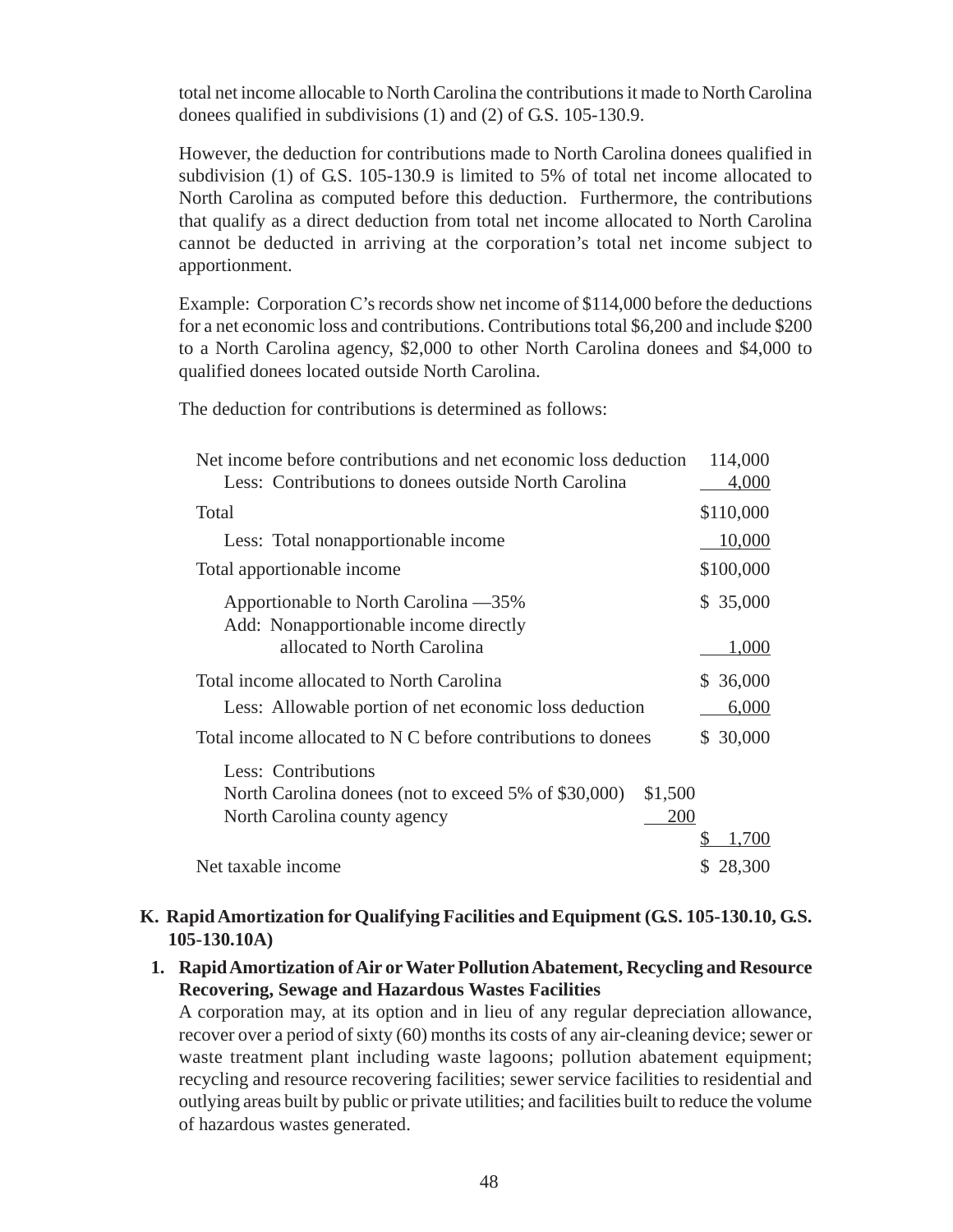total net income allocable to North Carolina the contributions it made to North Carolina donees qualified in subdivisions (1) and (2) of G.S. 105-130.9.

However, the deduction for contributions made to North Carolina donees qualified in subdivision (1) of G.S. 105-130.9 is limited to 5% of total net income allocated to North Carolina as computed before this deduction. Furthermore, the contributions that qualify as a direct deduction from total net income allocated to North Carolina cannot be deducted in arriving at the corporation's total net income subject to apportionment.

Example: Corporation C's records show net income of \$114,000 before the deductions for a net economic loss and contributions. Contributions total \$6,200 and include \$200 to a North Carolina agency, \$2,000 to other North Carolina donees and \$4,000 to qualified donees located outside North Carolina.

The deduction for contributions is determined as follows:

| Net income before contributions and net economic loss deduction | 114,000      |
|-----------------------------------------------------------------|--------------|
| Less: Contributions to donees outside North Carolina            | 4,000        |
| Total                                                           | \$110,000    |
| Less: Total nonapportionable income                             | 10,000       |
| Total apportionable income                                      | \$100,000    |
| Apportionable to North Carolina —35%                            | \$ 35,000    |
| Add: Nonapportionable income directly                           |              |
| allocated to North Carolina                                     | 1,000        |
| Total income allocated to North Carolina                        | \$ 36,000    |
| Less: Allowable portion of net economic loss deduction          | 6,000        |
| Total income allocated to N C before contributions to donees    | 30,000<br>S. |
| Less: Contributions                                             |              |
| North Carolina donees (not to exceed 5% of \$30,000)<br>\$1,500 |              |
| 200<br>North Carolina county agency                             |              |
|                                                                 | 1,700        |
| Net taxable income                                              | 28,300<br>S  |

## **K. Rapid Amortization for Qualifying Facilities and Equipment (G.S. 105-130.10, G.S. 105-130.10A)**

### **1. Rapid Amortization of Air or Water Pollution Abatement, Recycling and Resource Recovering, Sewage and Hazardous Wastes Facilities**

A corporation may, at its option and in lieu of any regular depreciation allowance, recover over a period of sixty (60) months its costs of any air-cleaning device; sewer or waste treatment plant including waste lagoons; pollution abatement equipment; recycling and resource recovering facilities; sewer service facilities to residential and outlying areas built by public or private utilities; and facilities built to reduce the volume of hazardous wastes generated.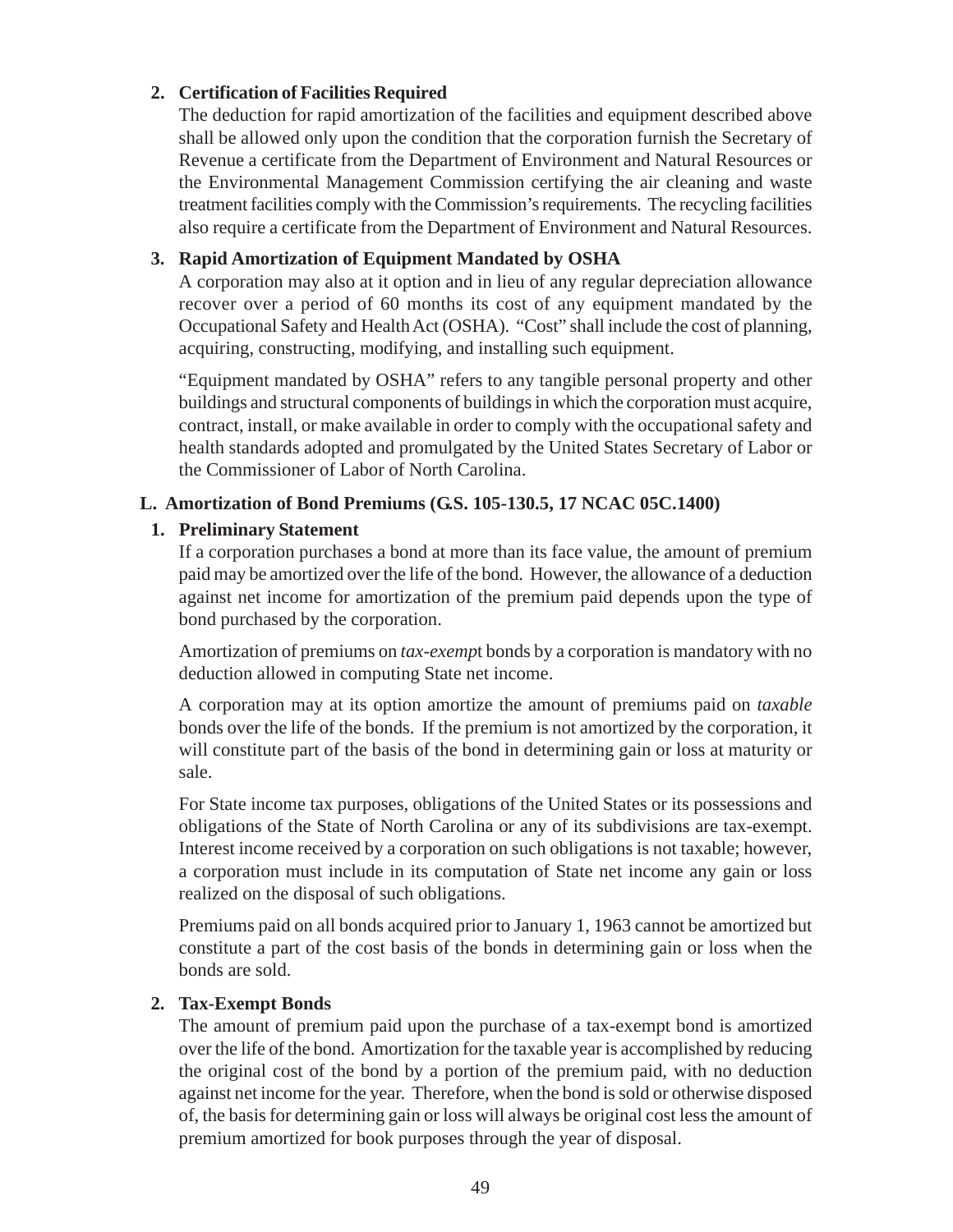### **2. Certification of Facilities Required**

The deduction for rapid amortization of the facilities and equipment described above shall be allowed only upon the condition that the corporation furnish the Secretary of Revenue a certificate from the Department of Environment and Natural Resources or the Environmental Management Commission certifying the air cleaning and waste treatment facilities comply with the Commission's requirements. The recycling facilities also require a certificate from the Department of Environment and Natural Resources.

## **3. Rapid Amortization of Equipment Mandated by OSHA**

A corporation may also at it option and in lieu of any regular depreciation allowance recover over a period of 60 months its cost of any equipment mandated by the Occupational Safety and Health Act (OSHA). "Cost" shall include the cost of planning, acquiring, constructing, modifying, and installing such equipment.

"Equipment mandated by OSHA" refers to any tangible personal property and other buildings and structural components of buildings in which the corporation must acquire, contract, install, or make available in order to comply with the occupational safety and health standards adopted and promulgated by the United States Secretary of Labor or the Commissioner of Labor of North Carolina.

## **L. Amortization of Bond Premiums (G.S. 105-130.5, 17 NCAC 05C.1400)**

## **1. Preliminary Statement**

If a corporation purchases a bond at more than its face value, the amount of premium paid may be amortized over the life of the bond. However, the allowance of a deduction against net income for amortization of the premium paid depends upon the type of bond purchased by the corporation.

Amortization of premiums on *tax-exemp*t bonds by a corporation is mandatory with no deduction allowed in computing State net income.

A corporation may at its option amortize the amount of premiums paid on *taxable* bonds over the life of the bonds. If the premium is not amortized by the corporation, it will constitute part of the basis of the bond in determining gain or loss at maturity or sale.

For State income tax purposes, obligations of the United States or its possessions and obligations of the State of North Carolina or any of its subdivisions are tax-exempt. Interest income received by a corporation on such obligations is not taxable; however, a corporation must include in its computation of State net income any gain or loss realized on the disposal of such obligations.

Premiums paid on all bonds acquired prior to January 1, 1963 cannot be amortized but constitute a part of the cost basis of the bonds in determining gain or loss when the bonds are sold.

### **2. Tax-Exempt Bonds**

The amount of premium paid upon the purchase of a tax-exempt bond is amortized over the life of the bond. Amortization for the taxable year is accomplished by reducing the original cost of the bond by a portion of the premium paid, with no deduction against net income for the year. Therefore, when the bond is sold or otherwise disposed of, the basis for determining gain or loss will always be original cost less the amount of premium amortized for book purposes through the year of disposal.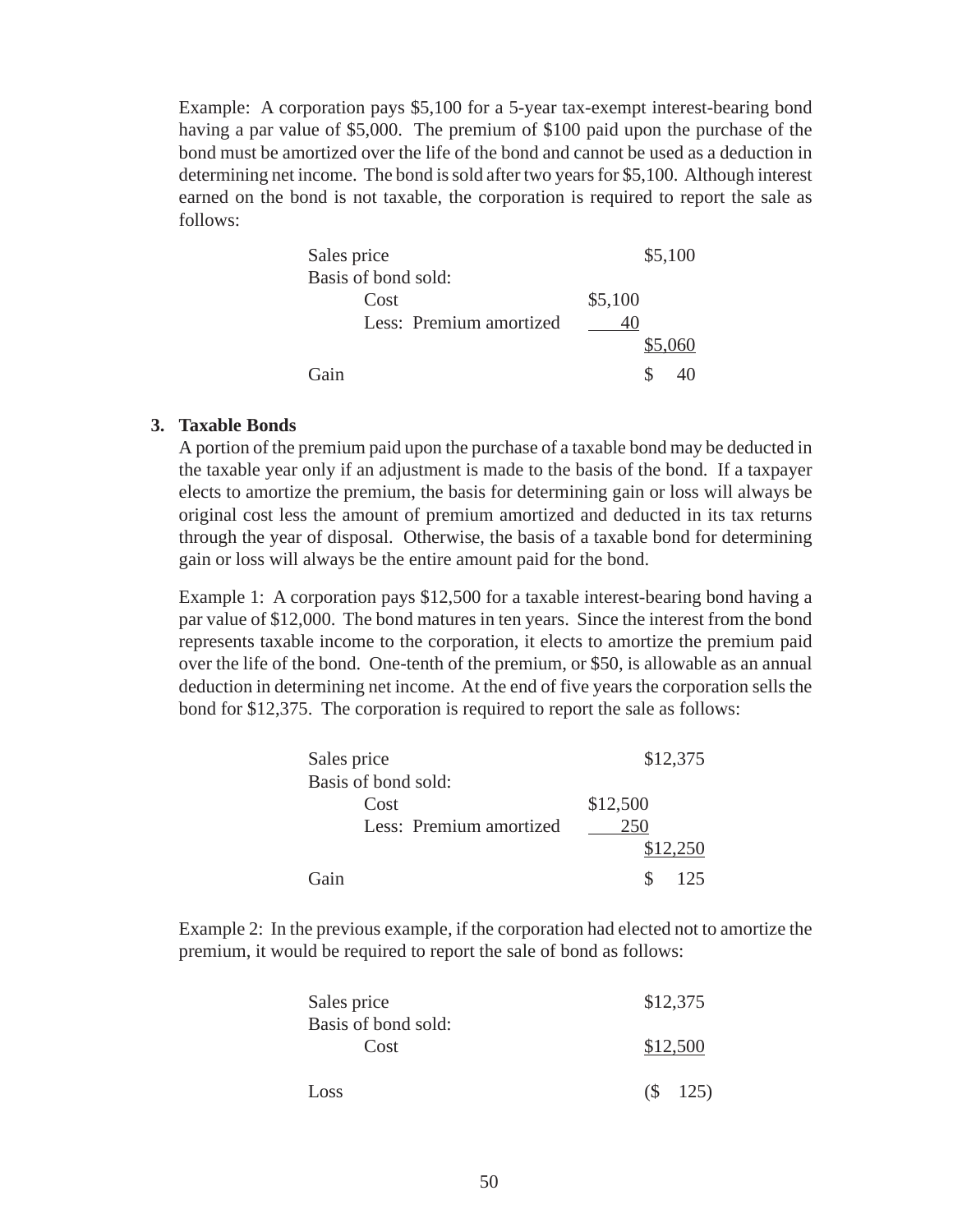Example: A corporation pays \$5,100 for a 5-year tax-exempt interest-bearing bond having a par value of \$5,000. The premium of \$100 paid upon the purchase of the bond must be amortized over the life of the bond and cannot be used as a deduction in determining net income. The bond is sold after two years for \$5,100. Although interest earned on the bond is not taxable, the corporation is required to report the sale as follows:

| Sales price             | \$5,100 |
|-------------------------|---------|
| Basis of bond sold:     |         |
| Cost                    | \$5,100 |
| Less: Premium amortized |         |
|                         | \$5,060 |
| Gain                    | S       |

#### **3. Taxable Bonds**

A portion of the premium paid upon the purchase of a taxable bond may be deducted in the taxable year only if an adjustment is made to the basis of the bond. If a taxpayer elects to amortize the premium, the basis for determining gain or loss will always be original cost less the amount of premium amortized and deducted in its tax returns through the year of disposal. Otherwise, the basis of a taxable bond for determining gain or loss will always be the entire amount paid for the bond.

Example 1: A corporation pays \$12,500 for a taxable interest-bearing bond having a par value of \$12,000. The bond matures in ten years. Since the interest from the bond represents taxable income to the corporation, it elects to amortize the premium paid over the life of the bond. One-tenth of the premium, or \$50, is allowable as an annual deduction in determining net income. At the end of five years the corporation sells the bond for \$12,375. The corporation is required to report the sale as follows:

| Sales price             | \$12,375 |
|-------------------------|----------|
| Basis of bond sold:     |          |
| Cost                    | \$12,500 |
| Less: Premium amortized |          |
|                         | \$12,250 |
| Gain                    | 125      |

Example 2: In the previous example, if the corporation had elected not to amortize the premium, it would be required to report the sale of bond as follows:

| Sales price<br>Basis of bond sold: | \$12,375    |
|------------------------------------|-------------|
| Cost                               | \$12,500    |
| Loss                               | $(S \t125)$ |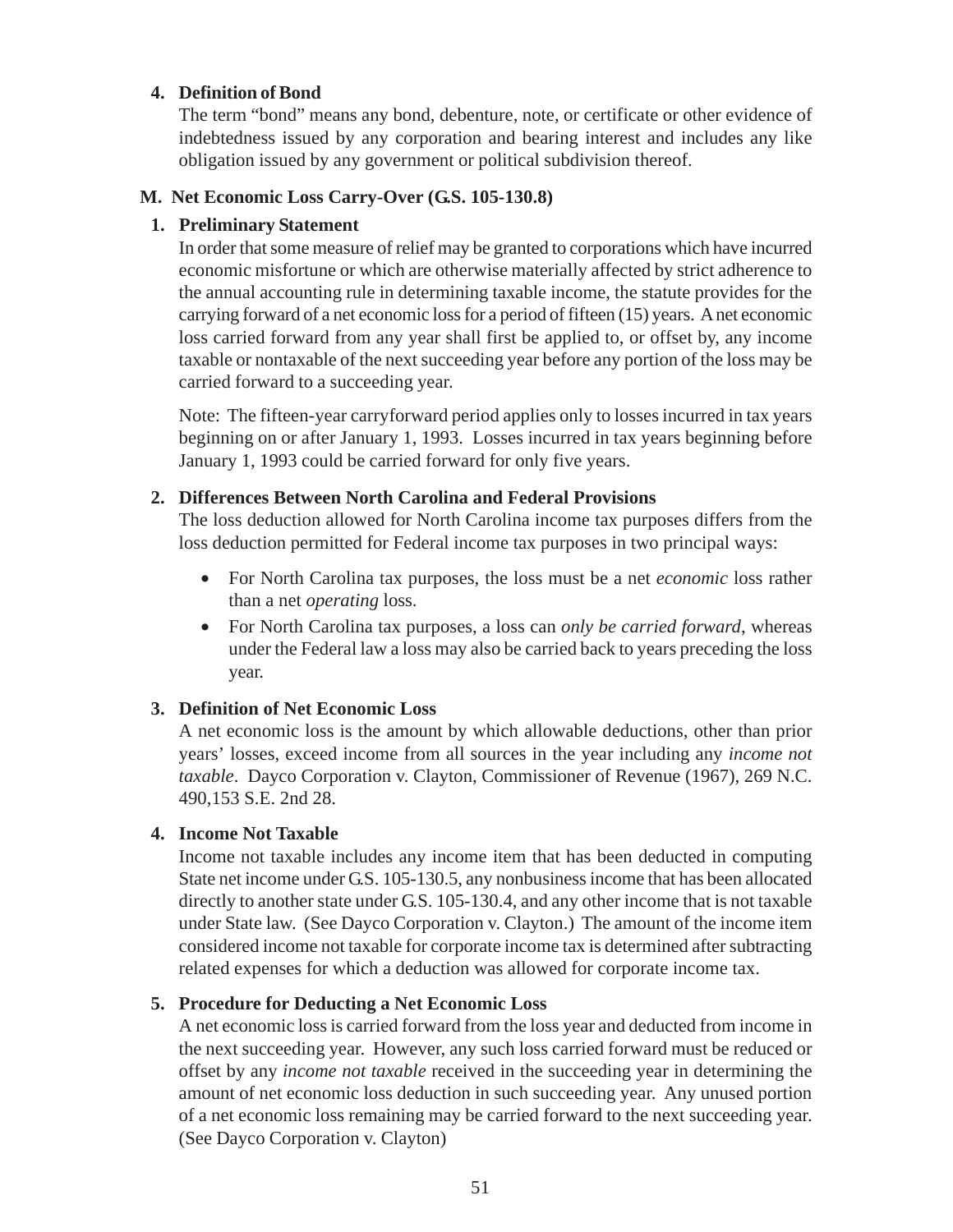### **4. Definition of Bond**

The term "bond" means any bond, debenture, note, or certificate or other evidence of indebtedness issued by any corporation and bearing interest and includes any like obligation issued by any government or political subdivision thereof.

#### **M. Net Economic Loss Carry-Over (G.S. 105-130.8)**

### **1. Preliminary Statement**

In order that some measure of relief may be granted to corporations which have incurred economic misfortune or which are otherwise materially affected by strict adherence to the annual accounting rule in determining taxable income, the statute provides for the carrying forward of a net economic loss for a period of fifteen (15) years. A net economic loss carried forward from any year shall first be applied to, or offset by, any income taxable or nontaxable of the next succeeding year before any portion of the loss may be carried forward to a succeeding year.

Note: The fifteen-year carryforward period applies only to losses incurred in tax years beginning on or after January 1, 1993. Losses incurred in tax years beginning before January 1, 1993 could be carried forward for only five years.

### **2. Differences Between North Carolina and Federal Provisions**

The loss deduction allowed for North Carolina income tax purposes differs from the loss deduction permitted for Federal income tax purposes in two principal ways:

- For North Carolina tax purposes, the loss must be a net *economic* loss rather than a net *operating* loss.
- For North Carolina tax purposes, a loss can *only be carried forward*, whereas under the Federal law a loss may also be carried back to years preceding the loss year.

### **3. Definition of Net Economic Loss**

A net economic loss is the amount by which allowable deductions, other than prior years' losses, exceed income from all sources in the year including any *income not taxable*. Dayco Corporation v. Clayton, Commissioner of Revenue (1967), 269 N.C. 490,153 S.E. 2nd 28.

### **4. Income Not Taxable**

Income not taxable includes any income item that has been deducted in computing State net income under G.S. 105-130.5, any nonbusiness income that has been allocated directly to another state under G.S. 105-130.4, and any other income that is not taxable under State law. (See Dayco Corporation v. Clayton.) The amount of the income item considered income not taxable for corporate income tax is determined after subtracting related expenses for which a deduction was allowed for corporate income tax.

### **5. Procedure for Deducting a Net Economic Loss**

A net economic loss is carried forward from the loss year and deducted from income in the next succeeding year. However, any such loss carried forward must be reduced or offset by any *income not taxable* received in the succeeding year in determining the amount of net economic loss deduction in such succeeding year. Any unused portion of a net economic loss remaining may be carried forward to the next succeeding year. (See Dayco Corporation v. Clayton)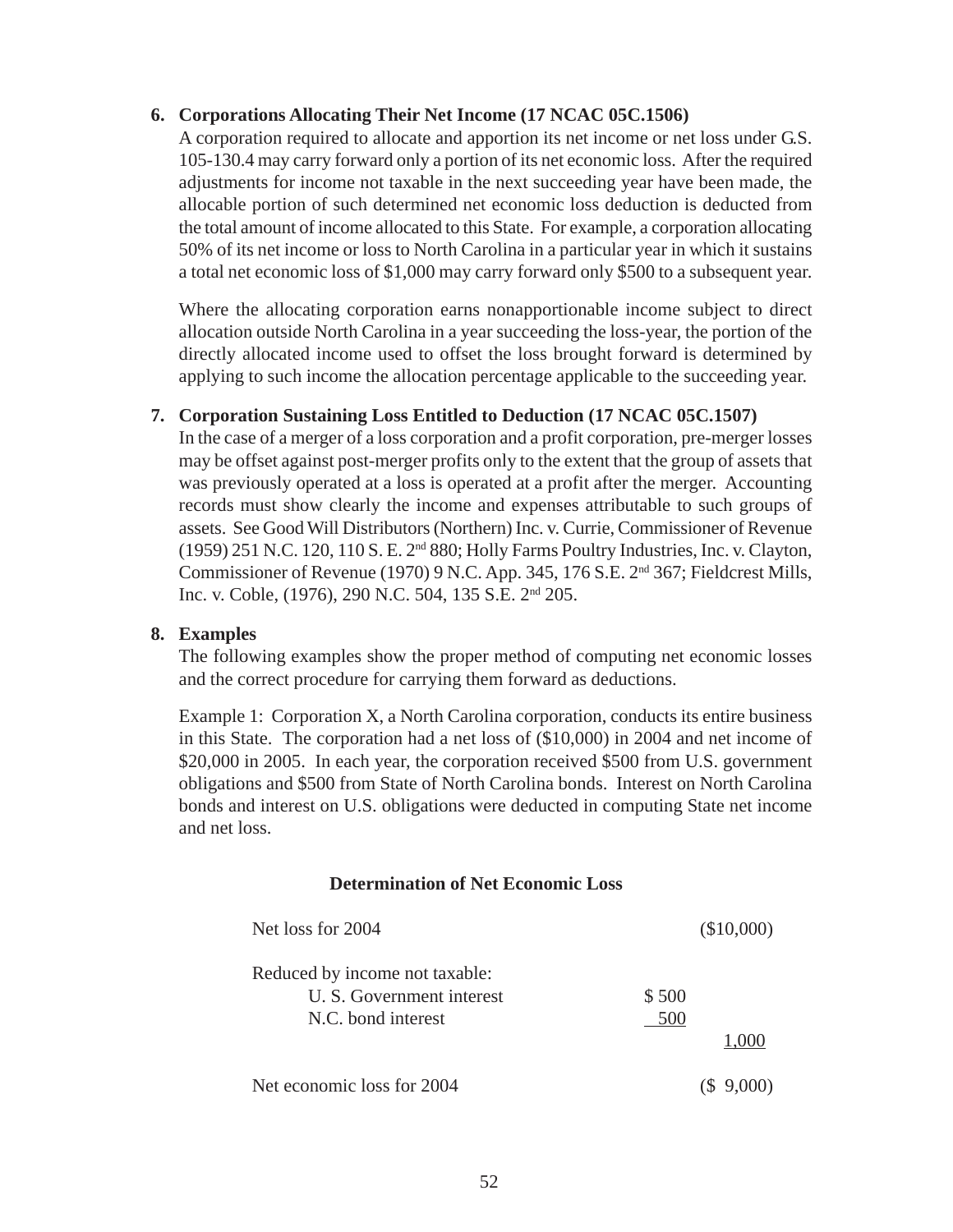#### **6. Corporations Allocating Their Net Income (17 NCAC 05C.1506)**

A corporation required to allocate and apportion its net income or net loss under G.S. 105-130.4 may carry forward only a portion of its net economic loss. After the required adjustments for income not taxable in the next succeeding year have been made, the allocable portion of such determined net economic loss deduction is deducted from the total amount of income allocated to this State. For example, a corporation allocating 50% of its net income or loss to North Carolina in a particular year in which it sustains a total net economic loss of \$1,000 may carry forward only \$500 to a subsequent year.

Where the allocating corporation earns nonapportionable income subject to direct allocation outside North Carolina in a year succeeding the loss-year, the portion of the directly allocated income used to offset the loss brought forward is determined by applying to such income the allocation percentage applicable to the succeeding year.

### **7. Corporation Sustaining Loss Entitled to Deduction (17 NCAC 05C.1507)**

In the case of a merger of a loss corporation and a profit corporation, pre-merger losses may be offset against post-merger profits only to the extent that the group of assets that was previously operated at a loss is operated at a profit after the merger. Accounting records must show clearly the income and expenses attributable to such groups of assets. See Good Will Distributors (Northern) Inc. v. Currie, Commissioner of Revenue (1959) 251 N.C. 120, 110 S. E. 2nd 880; Holly Farms Poultry Industries, Inc. v. Clayton, Commissioner of Revenue (1970) 9 N.C. App. 345, 176 S.E. 2<sup>nd</sup> 367; Fieldcrest Mills, Inc. v. Coble, (1976), 290 N.C. 504, 135 S.E. 2nd 205.

#### **8. Examples**

The following examples show the proper method of computing net economic losses and the correct procedure for carrying them forward as deductions.

Example 1: Corporation X, a North Carolina corporation, conducts its entire business in this State. The corporation had a net loss of (\$10,000) in 2004 and net income of \$20,000 in 2005. In each year, the corporation received \$500 from U.S. government obligations and \$500 from State of North Carolina bonds. Interest on North Carolina bonds and interest on U.S. obligations were deducted in computing State net income and net loss.

#### **Determination of Net Economic Loss**

| Net loss for 2004                                                                 |              | (\$10,000) |
|-----------------------------------------------------------------------------------|--------------|------------|
| Reduced by income not taxable:<br>U. S. Government interest<br>N.C. bond interest | \$500<br>500 | 1.000      |
| Net economic loss for 2004                                                        |              | 9,000)     |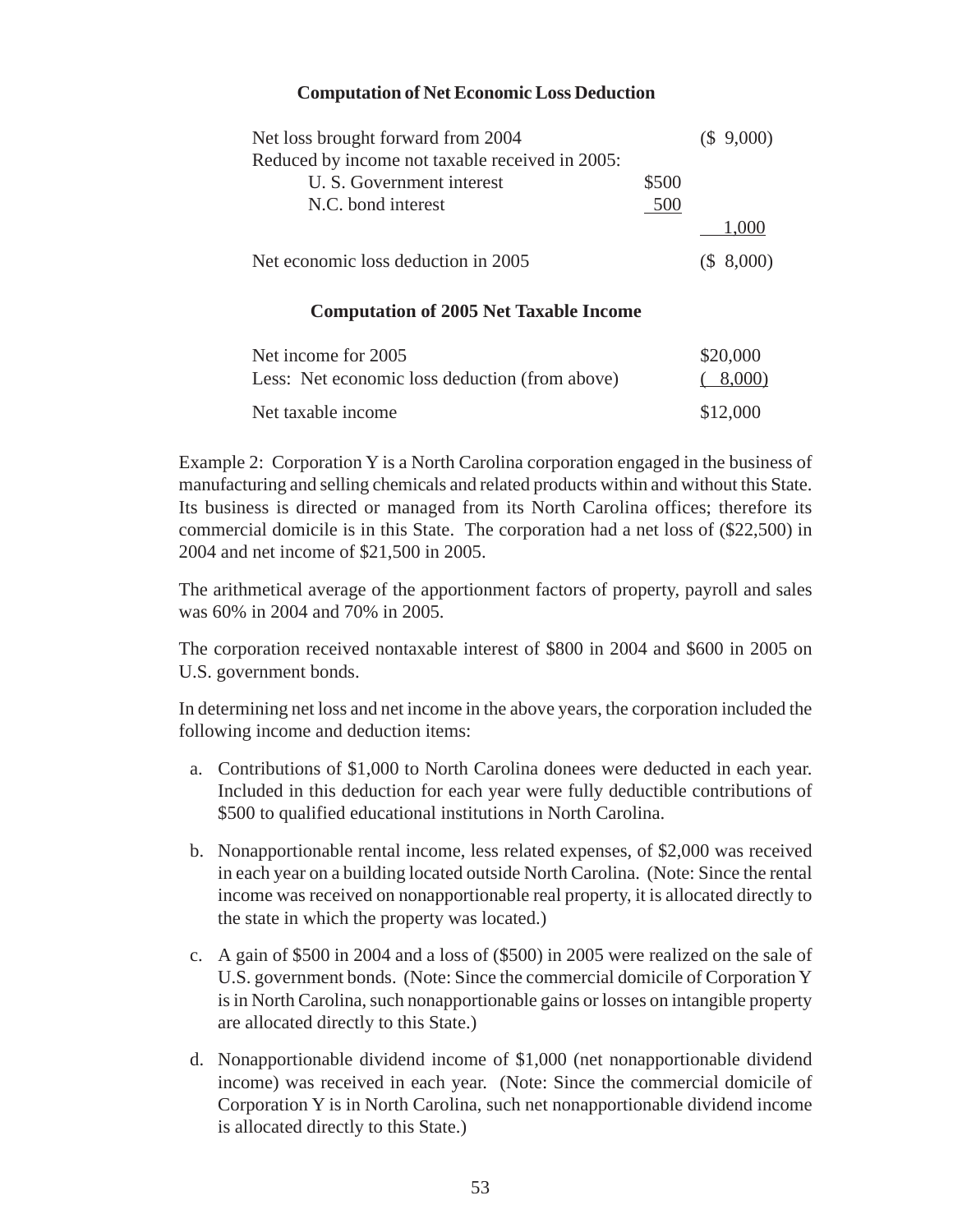### **Computation of Net Economic Loss Deduction**

| Net loss brought forward from 2004              |       | (\$9,000)  |
|-------------------------------------------------|-------|------------|
| Reduced by income not taxable received in 2005: |       |            |
| U. S. Government interest                       | \$500 |            |
| N.C. bond interest                              | 500   |            |
|                                                 |       | 1000       |
| Net economic loss deduction in 2005             |       | (\$.8,000) |

### **Computation of 2005 Net Taxable Income**

| Net income for 2005                            | \$20,000 |
|------------------------------------------------|----------|
| Less: Net economic loss deduction (from above) | (8,000)  |
| Net taxable income                             | \$12,000 |

Example 2: Corporation Y is a North Carolina corporation engaged in the business of manufacturing and selling chemicals and related products within and without this State. Its business is directed or managed from its North Carolina offices; therefore its commercial domicile is in this State. The corporation had a net loss of (\$22,500) in 2004 and net income of \$21,500 in 2005.

The arithmetical average of the apportionment factors of property, payroll and sales was 60% in 2004 and 70% in 2005.

The corporation received nontaxable interest of \$800 in 2004 and \$600 in 2005 on U.S. government bonds.

In determining net loss and net income in the above years, the corporation included the following income and deduction items:

- a. Contributions of \$1,000 to North Carolina donees were deducted in each year. Included in this deduction for each year were fully deductible contributions of \$500 to qualified educational institutions in North Carolina.
- b. Nonapportionable rental income, less related expenses, of \$2,000 was received in each year on a building located outside North Carolina. (Note: Since the rental income was received on nonapportionable real property, it is allocated directly to the state in which the property was located.)
- c. A gain of \$500 in 2004 and a loss of (\$500) in 2005 were realized on the sale of U.S. government bonds. (Note: Since the commercial domicile of Corporation Y is in North Carolina, such nonapportionable gains or losses on intangible property are allocated directly to this State.)
- d. Nonapportionable dividend income of \$1,000 (net nonapportionable dividend income) was received in each year. (Note: Since the commercial domicile of Corporation Y is in North Carolina, such net nonapportionable dividend income is allocated directly to this State.)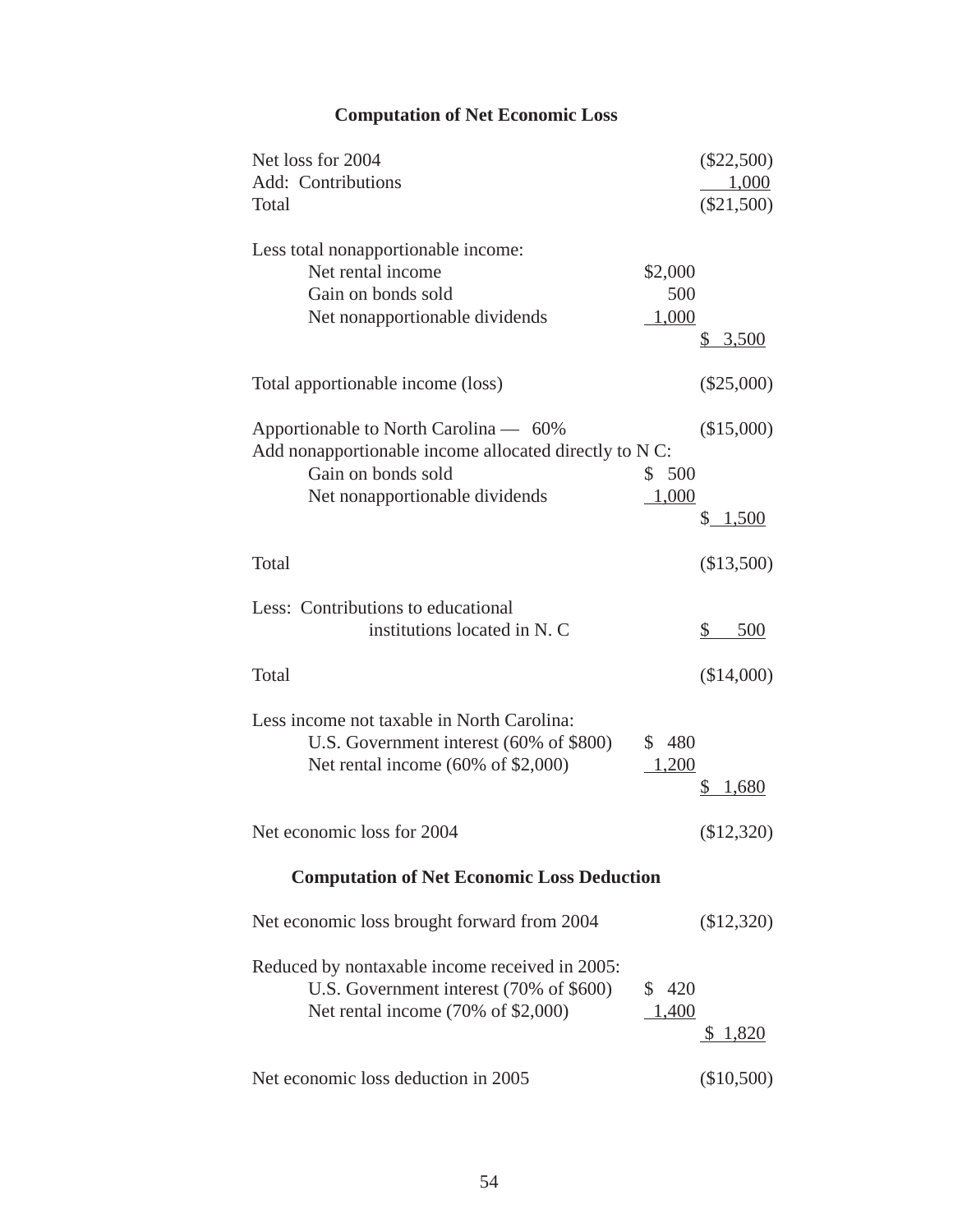# **Computation of Net Economic Loss**

| Net loss for 2004                                      |         | $(\$22,500)$ |
|--------------------------------------------------------|---------|--------------|
| Add: Contributions                                     |         | 1,000        |
| Total                                                  |         | $(\$21,500)$ |
| Less total nonapportionable income:                    |         |              |
| Net rental income                                      | \$2,000 |              |
| Gain on bonds sold                                     | 500     |              |
| Net nonapportionable dividends                         | 1,000   |              |
|                                                        |         | <u>3,500</u> |
| Total apportionable income (loss)                      |         | $(\$25,000)$ |
| Apportionable to North Carolina — 60%                  |         | (\$15,000)   |
| Add nonapportionable income allocated directly to N C: |         |              |
| Gain on bonds sold                                     | \$500   |              |
| Net nonapportionable dividends                         | 1,000   |              |
|                                                        |         | \$<br>1,500  |
| Total                                                  |         | (\$13,500)   |
| Less: Contributions to educational                     |         |              |
| institutions located in N. C                           |         | \$<br>500    |
| Total                                                  |         | (\$14,000)   |
| Less income not taxable in North Carolina:             |         |              |
| U.S. Government interest (60% of \$800)                | \$480   |              |
| Net rental income $(60\% \text{ of } $2,000)$          | 1,200   |              |
|                                                        |         | 1,680        |
| Net economic loss for 2004                             |         | (\$12,320)   |
| <b>Computation of Net Economic Loss Deduction</b>      |         |              |
| Net economic loss brought forward from 2004            |         | (\$12,320)   |
| Reduced by nontaxable income received in 2005:         |         |              |
| U.S. Government interest (70% of \$600)                | \$ 420  |              |
| Net rental income $(70\% \text{ of } $2,000)$          | 1,400   |              |
|                                                        |         | \$1,820      |
| Net economic loss deduction in 2005                    |         | $(\$10,500)$ |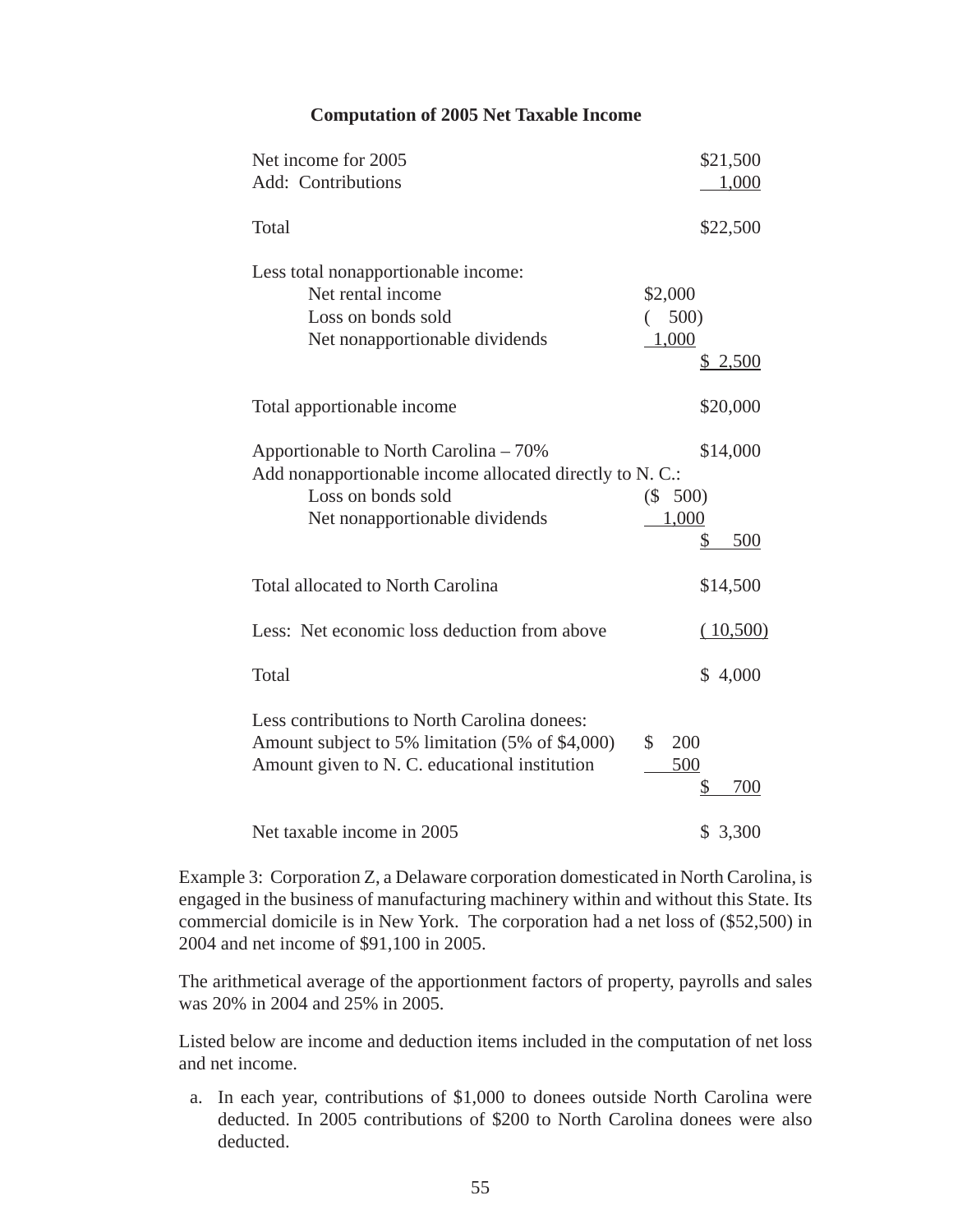| <b>Computation of 2005 Net Taxable Income</b> |  |  |  |  |
|-----------------------------------------------|--|--|--|--|
|-----------------------------------------------|--|--|--|--|

| Net income for 2005<br>Add: Contributions                                                                                                                 | \$21,500<br>1,000                            |
|-----------------------------------------------------------------------------------------------------------------------------------------------------------|----------------------------------------------|
| Total                                                                                                                                                     | \$22,500                                     |
| Less total nonapportionable income:<br>Net rental income<br>Loss on bonds sold<br>Net nonapportionable dividends                                          | \$2,000<br>500)<br>1,000<br>\$2,500          |
| Total apportionable income                                                                                                                                | \$20,000                                     |
| Apportionable to North Carolina – 70%<br>Add nonapportionable income allocated directly to N. C.:<br>Loss on bonds sold<br>Net nonapportionable dividends | \$14,000<br>$(\$ 500)$<br>1,000<br>500<br>\$ |
| <b>Total allocated to North Carolina</b>                                                                                                                  | \$14,500                                     |
| Less: Net economic loss deduction from above                                                                                                              | (10,500)                                     |
| Total                                                                                                                                                     | \$4,000                                      |
| Less contributions to North Carolina donees:<br>Amount subject to 5% limitation (5% of \$4,000)<br>\$<br>Amount given to N. C. educational institution    | 200<br>500<br>700<br>\$                      |
| Net taxable income in 2005                                                                                                                                | \$3,300                                      |

Example 3: Corporation Z, a Delaware corporation domesticated in North Carolina, is engaged in the business of manufacturing machinery within and without this State. Its commercial domicile is in New York. The corporation had a net loss of (\$52,500) in 2004 and net income of \$91,100 in 2005.

The arithmetical average of the apportionment factors of property, payrolls and sales was 20% in 2004 and 25% in 2005.

Listed below are income and deduction items included in the computation of net loss and net income.

a. In each year, contributions of \$1,000 to donees outside North Carolina were deducted. In 2005 contributions of \$200 to North Carolina donees were also deducted.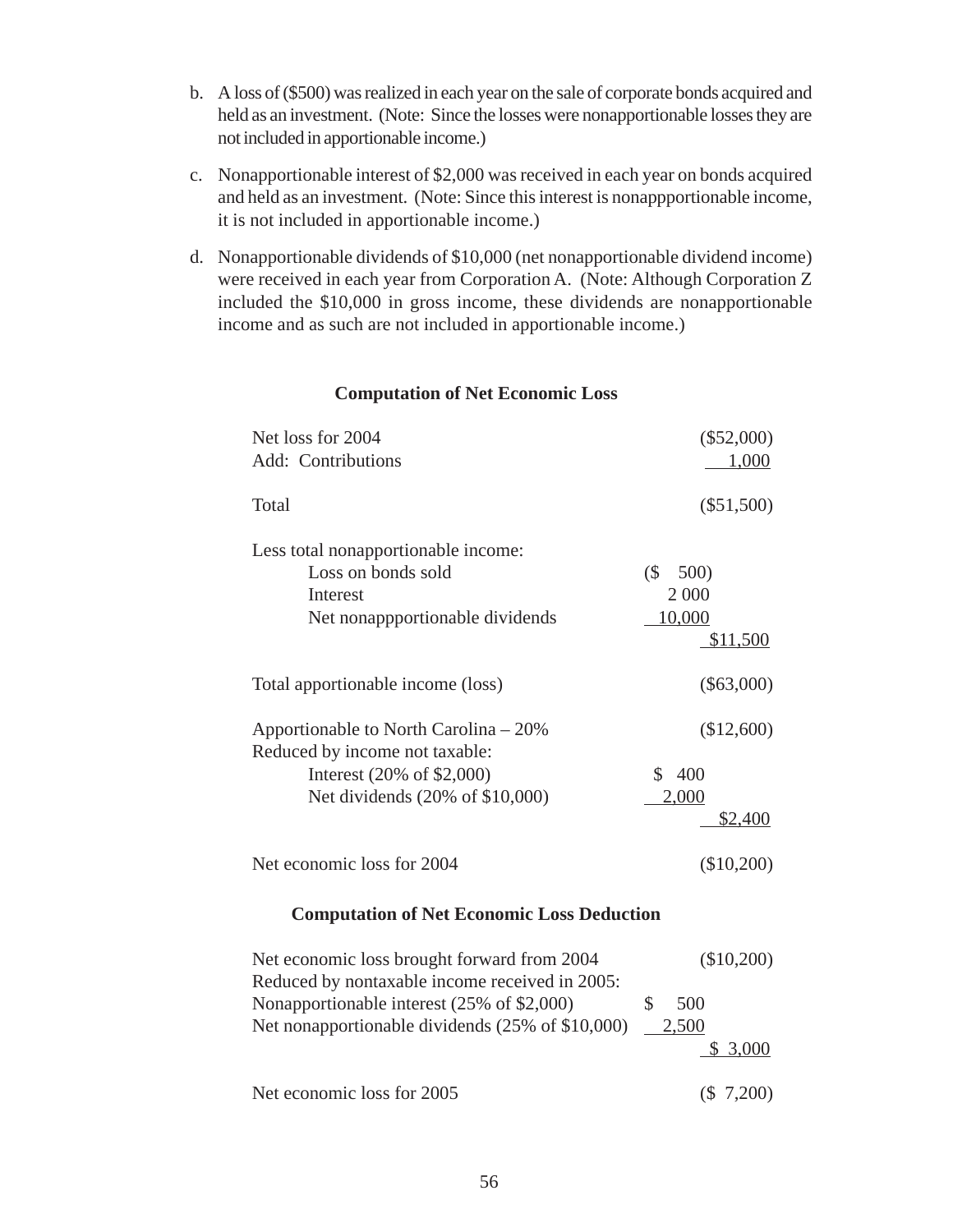- b. A loss of (\$500) was realized in each year on the sale of corporate bonds acquired and held as an investment. (Note: Since the losses were nonapportionable losses they are not included in apportionable income.)
- c. Nonapportionable interest of \$2,000 was received in each year on bonds acquired and held as an investment. (Note: Since this interest is nonappportionable income, it is not included in apportionable income.)
- d. Nonapportionable dividends of \$10,000 (net nonapportionable dividend income) were received in each year from Corporation A. (Note: Although Corporation Z included the \$10,000 in gross income, these dividends are nonapportionable income and as such are not included in apportionable income.)

| Net loss for 2004<br>Add: Contributions                                                                                                 | $(\$52,000)$<br>1,000                                             |  |
|-----------------------------------------------------------------------------------------------------------------------------------------|-------------------------------------------------------------------|--|
| Total                                                                                                                                   | $(\$51,500)$                                                      |  |
| Less total nonapportionable income:<br>Loss on bonds sold<br>Interest<br>Net nonappportionable dividends                                | $\left(\frac{6}{5}\right)$<br>500)<br>2 000<br>10,000<br>\$11,500 |  |
| Total apportionable income (loss)                                                                                                       | $(\$63,000)$                                                      |  |
| Apportionable to North Carolina – 20%<br>Reduced by income not taxable:<br>Interest (20% of \$2,000)<br>Net dividends (20% of \$10,000) | (\$12,600)<br>\$400<br>2,000<br><u>\$2,400</u>                    |  |
| Net economic loss for 2004                                                                                                              | (\$10,200)                                                        |  |
| <b>Computation of Net Economic Loss Deduction</b>                                                                                       |                                                                   |  |
| Net economic loss brought forward from 2004<br>Reduced by nontaxable income received in $2005$                                          | (\$10,200)                                                        |  |

#### **Computation of Net Economic Loss**

| Net economic loss brought forward from 2004      |       | $(\$10,200)$ |
|--------------------------------------------------|-------|--------------|
| Reduced by nontaxable income received in 2005:   |       |              |
| Nonapportionable interest (25% of \$2,000)       |       | 500          |
| Net nonapportionable dividends (25% of \$10,000) | 2,500 |              |
|                                                  |       | \$3,000      |
| Net economic loss for 2005                       |       | (\$7,200)    |
|                                                  |       |              |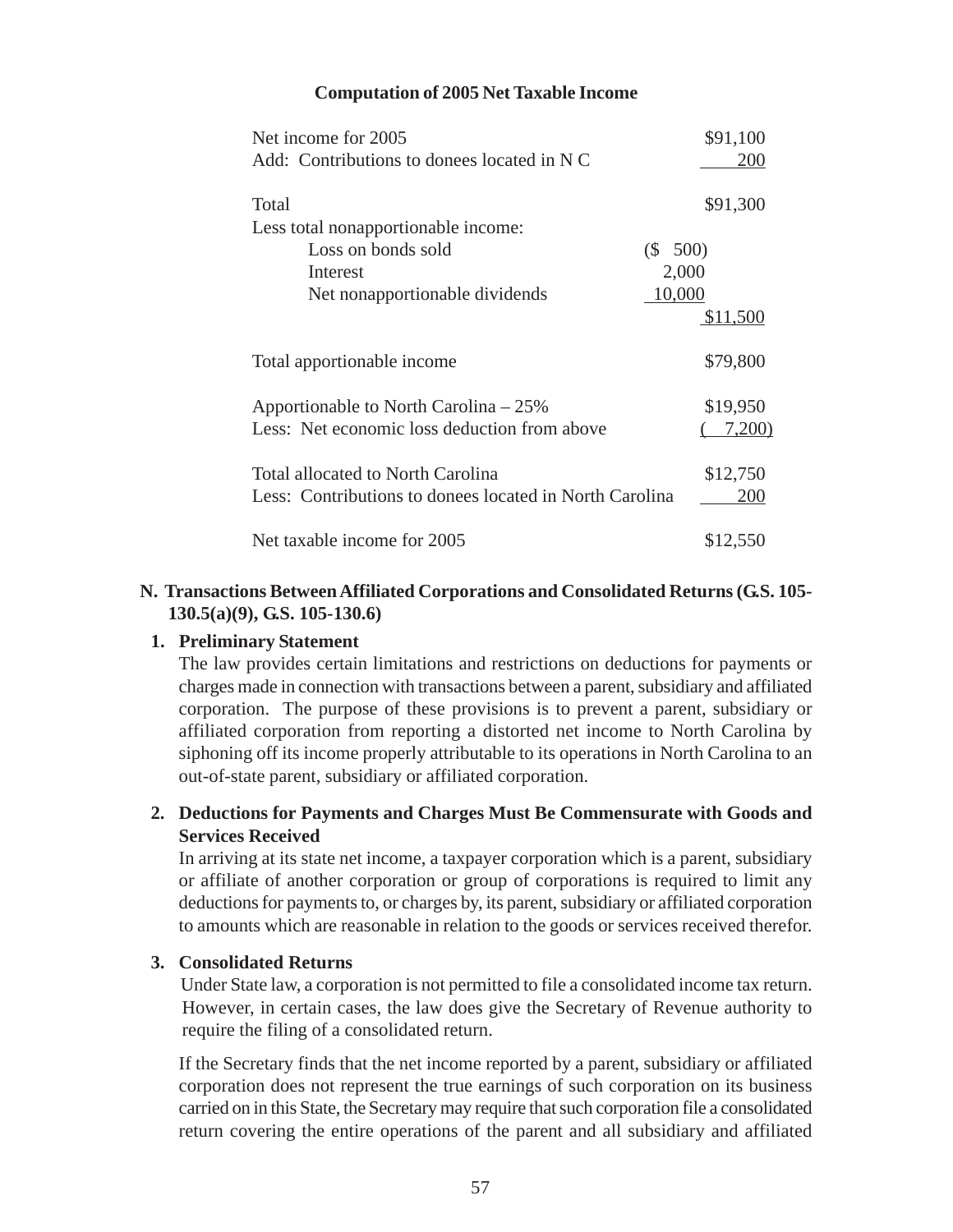#### **Computation of 2005 Net Taxable Income**

| Net income for 2005                                     | \$91,100 |
|---------------------------------------------------------|----------|
| Add: Contributions to donees located in N C             | 200      |
| Total                                                   | \$91,300 |
| Less total nonapportionable income:                     |          |
| Loss on bonds sold<br>(S 500)                           |          |
| Interest                                                | 2,000    |
| 10,000<br>Net nonapportionable dividends                |          |
|                                                         | \$11,500 |
| Total apportionable income                              | \$79,800 |
| Apportionable to North Carolina – 25%                   | \$19,950 |
| Less: Net economic loss deduction from above            | 7,200)   |
| Total allocated to North Carolina                       | \$12,750 |
| Less: Contributions to donees located in North Carolina | 200      |
| Net taxable income for 2005                             | \$12,550 |

### **N. Transactions Between Affiliated Corporations and Consolidated Returns (G.S. 105- 130.5(a)(9), G.S. 105-130.6)**

#### **1. Preliminary Statement**

The law provides certain limitations and restrictions on deductions for payments or charges made in connection with transactions between a parent, subsidiary and affiliated corporation. The purpose of these provisions is to prevent a parent, subsidiary or affiliated corporation from reporting a distorted net income to North Carolina by siphoning off its income properly attributable to its operations in North Carolina to an out-of-state parent, subsidiary or affiliated corporation.

### **2. Deductions for Payments and Charges Must Be Commensurate with Goods and Services Received**

In arriving at its state net income, a taxpayer corporation which is a parent, subsidiary or affiliate of another corporation or group of corporations is required to limit any deductions for payments to, or charges by, its parent, subsidiary or affiliated corporation to amounts which are reasonable in relation to the goods or services received therefor.

#### **3. Consolidated Returns**

Under State law, a corporation is not permitted to file a consolidated income tax return. However, in certain cases, the law does give the Secretary of Revenue authority to require the filing of a consolidated return.

If the Secretary finds that the net income reported by a parent, subsidiary or affiliated corporation does not represent the true earnings of such corporation on its business carried on in this State, the Secretary may require that such corporation file a consolidated return covering the entire operations of the parent and all subsidiary and affiliated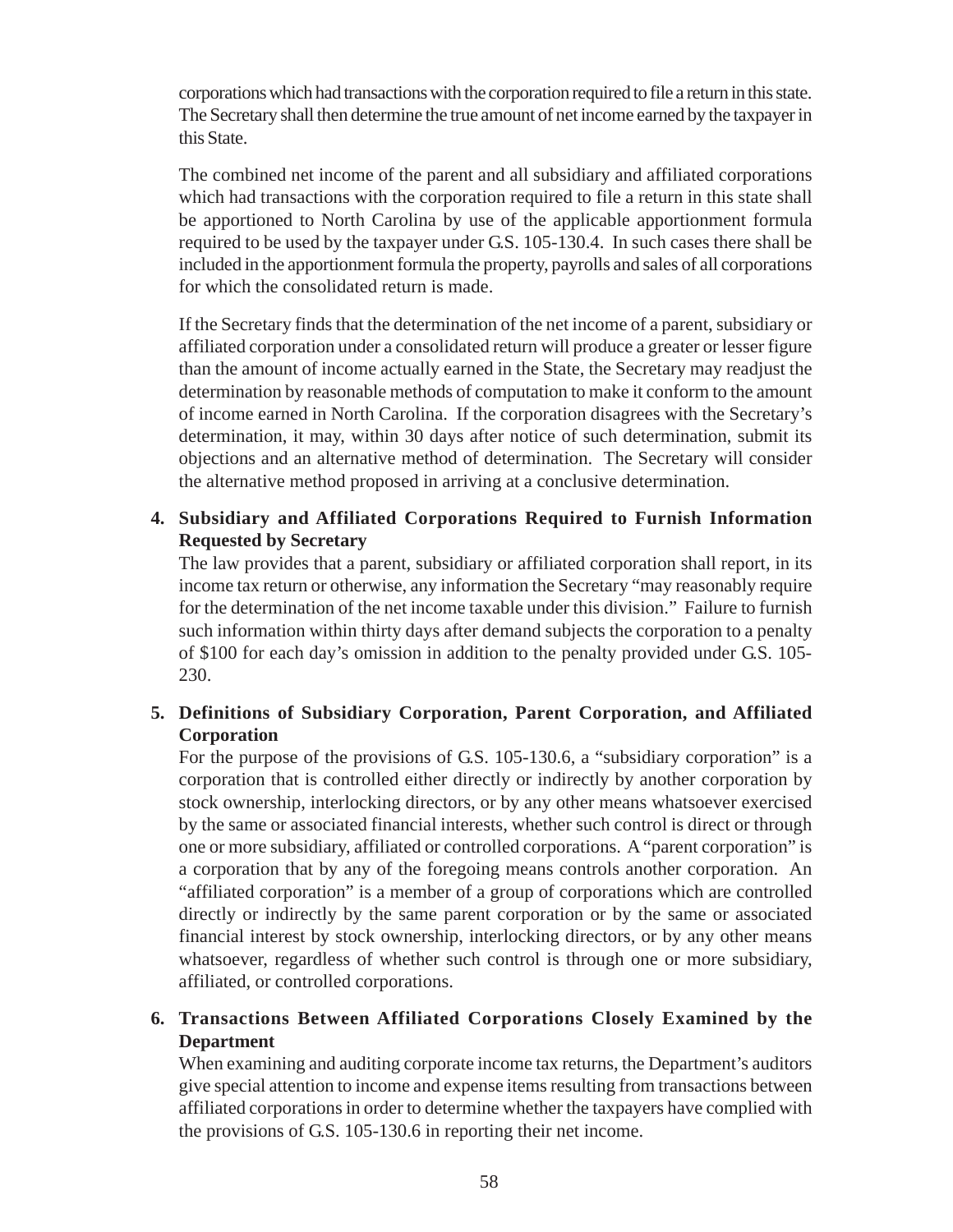corporations which had transactions with the corporation required to file a return in this state. The Secretary shall then determine the true amount of net income earned by the taxpayer in this State.

The combined net income of the parent and all subsidiary and affiliated corporations which had transactions with the corporation required to file a return in this state shall be apportioned to North Carolina by use of the applicable apportionment formula required to be used by the taxpayer under G.S. 105-130.4. In such cases there shall be included in the apportionment formula the property, payrolls and sales of all corporations for which the consolidated return is made.

If the Secretary finds that the determination of the net income of a parent, subsidiary or affiliated corporation under a consolidated return will produce a greater or lesser figure than the amount of income actually earned in the State, the Secretary may readjust the determination by reasonable methods of computation to make it conform to the amount of income earned in North Carolina. If the corporation disagrees with the Secretary's determination, it may, within 30 days after notice of such determination, submit its objections and an alternative method of determination. The Secretary will consider the alternative method proposed in arriving at a conclusive determination.

## **4. Subsidiary and Affiliated Corporations Required to Furnish Information Requested by Secretary**

The law provides that a parent, subsidiary or affiliated corporation shall report, in its income tax return or otherwise, any information the Secretary "may reasonably require for the determination of the net income taxable under this division." Failure to furnish such information within thirty days after demand subjects the corporation to a penalty of \$100 for each day's omission in addition to the penalty provided under G.S. 105- 230.

## **5. Definitions of Subsidiary Corporation, Parent Corporation, and Affiliated Corporation**

For the purpose of the provisions of G.S. 105-130.6, a "subsidiary corporation" is a corporation that is controlled either directly or indirectly by another corporation by stock ownership, interlocking directors, or by any other means whatsoever exercised by the same or associated financial interests, whether such control is direct or through one or more subsidiary, affiliated or controlled corporations. A "parent corporation" is a corporation that by any of the foregoing means controls another corporation. An "affiliated corporation" is a member of a group of corporations which are controlled directly or indirectly by the same parent corporation or by the same or associated financial interest by stock ownership, interlocking directors, or by any other means whatsoever, regardless of whether such control is through one or more subsidiary, affiliated, or controlled corporations.

## **6. Transactions Between Affiliated Corporations Closely Examined by the Department**

When examining and auditing corporate income tax returns, the Department's auditors give special attention to income and expense items resulting from transactions between affiliated corporations in order to determine whether the taxpayers have complied with the provisions of G.S. 105-130.6 in reporting their net income.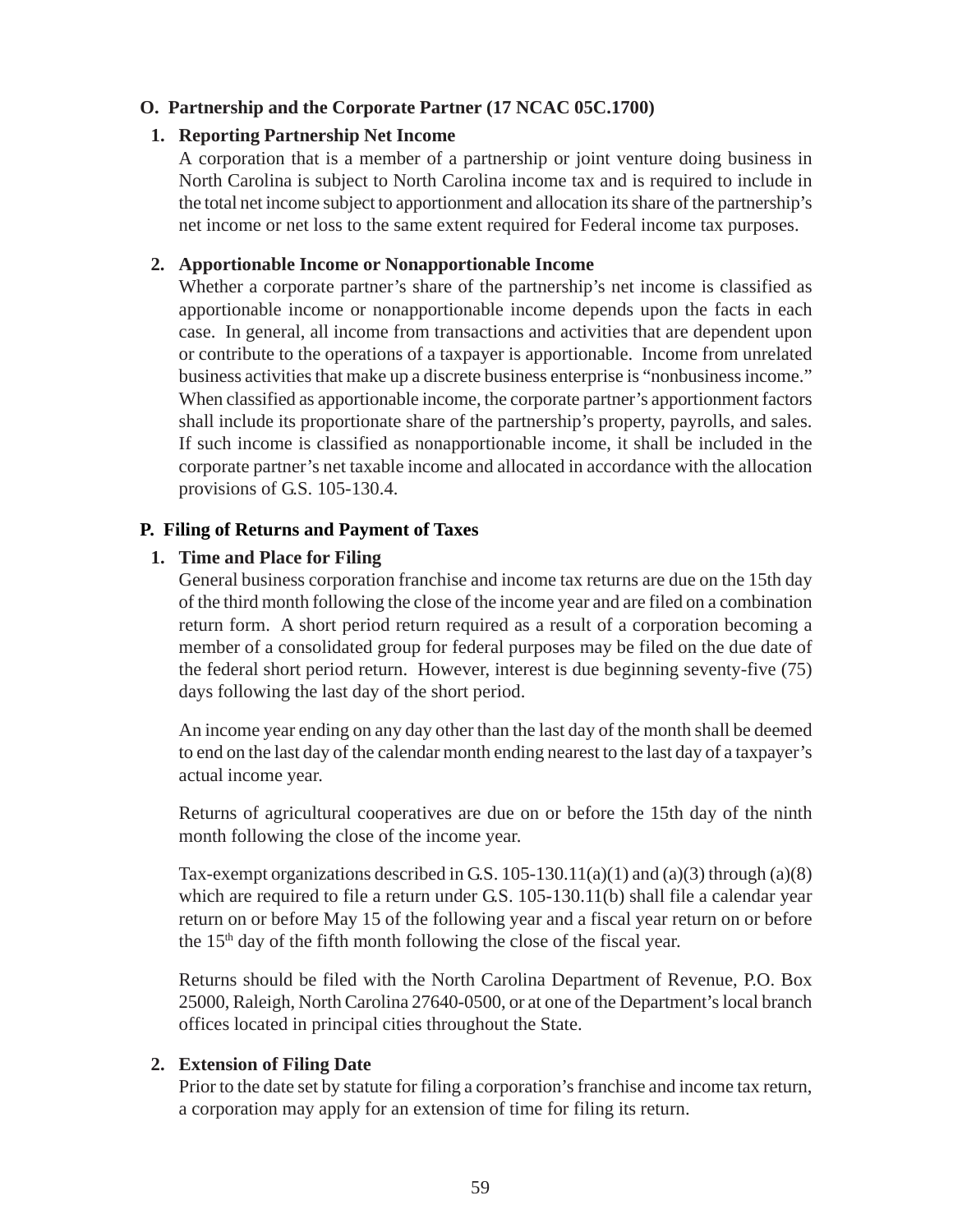### **O. Partnership and the Corporate Partner (17 NCAC 05C.1700)**

#### **1. Reporting Partnership Net Income**

A corporation that is a member of a partnership or joint venture doing business in North Carolina is subject to North Carolina income tax and is required to include in the total net income subject to apportionment and allocation its share of the partnership's net income or net loss to the same extent required for Federal income tax purposes.

### **2. Apportionable Income or Nonapportionable Income**

Whether a corporate partner's share of the partnership's net income is classified as apportionable income or nonapportionable income depends upon the facts in each case. In general, all income from transactions and activities that are dependent upon or contribute to the operations of a taxpayer is apportionable. Income from unrelated business activities that make up a discrete business enterprise is "nonbusiness income." When classified as apportionable income, the corporate partner's apportionment factors shall include its proportionate share of the partnership's property, payrolls, and sales. If such income is classified as nonapportionable income, it shall be included in the corporate partner's net taxable income and allocated in accordance with the allocation provisions of G.S. 105-130.4.

### **P. Filing of Returns and Payment of Taxes**

#### **1. Time and Place for Filing**

General business corporation franchise and income tax returns are due on the 15th day of the third month following the close of the income year and are filed on a combination return form. A short period return required as a result of a corporation becoming a member of a consolidated group for federal purposes may be filed on the due date of the federal short period return. However, interest is due beginning seventy-five (75) days following the last day of the short period.

An income year ending on any day other than the last day of the month shall be deemed to end on the last day of the calendar month ending nearest to the last day of a taxpayer's actual income year.

Returns of agricultural cooperatives are due on or before the 15th day of the ninth month following the close of the income year.

Tax-exempt organizations described in G.S.  $105-130.11(a)(1)$  and  $(a)(3)$  through  $(a)(8)$ which are required to file a return under G.S. 105-130.11(b) shall file a calendar year return on or before May 15 of the following year and a fiscal year return on or before the  $15<sup>th</sup>$  day of the fifth month following the close of the fiscal year.

Returns should be filed with the North Carolina Department of Revenue, P.O. Box 25000, Raleigh, North Carolina 27640-0500, or at one of the Department's local branch offices located in principal cities throughout the State.

#### **2. Extension of Filing Date**

Prior to the date set by statute for filing a corporation's franchise and income tax return, a corporation may apply for an extension of time for filing its return.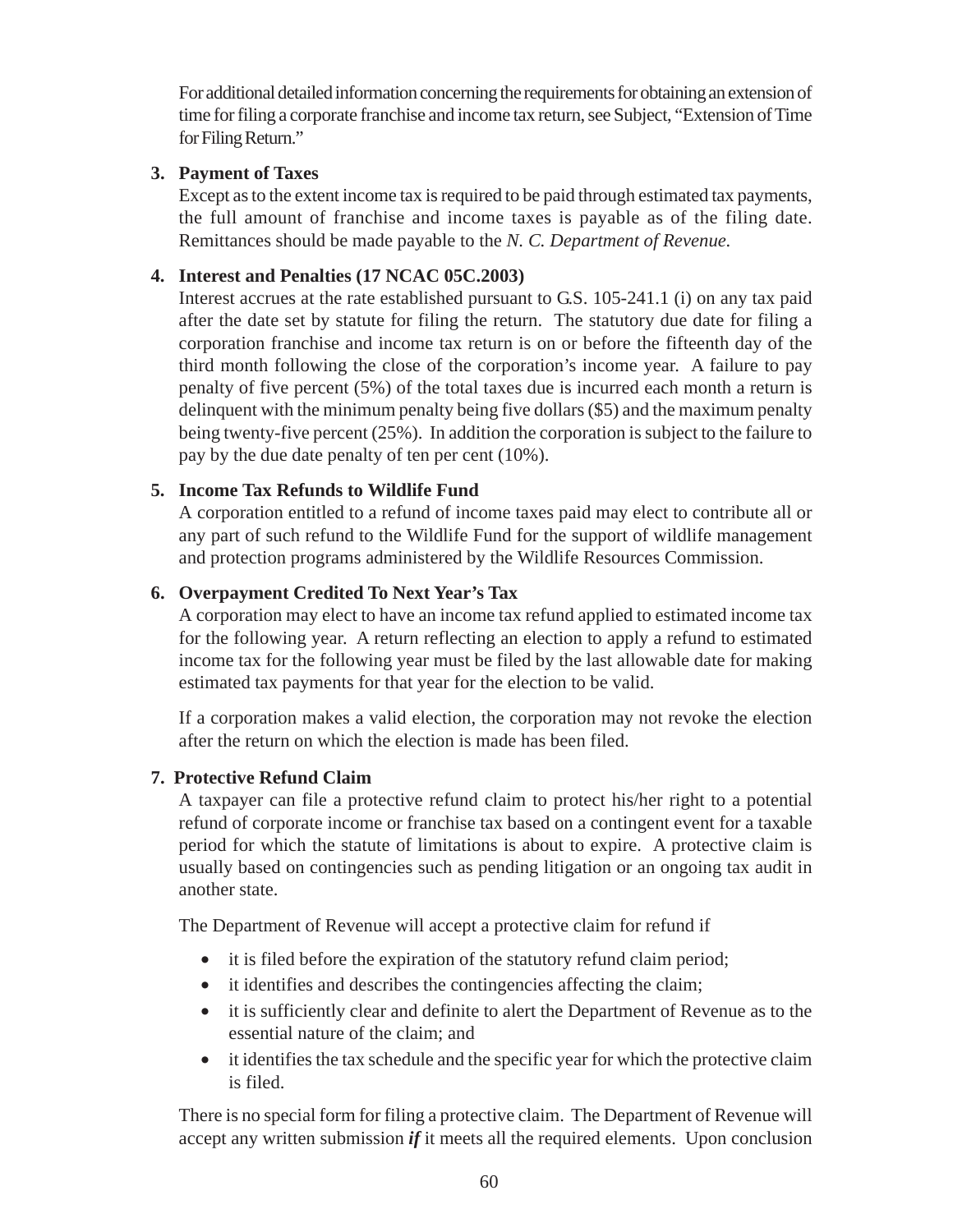For additional detailed information concerning the requirements for obtaining an extension of time for filing a corporate franchise and income tax return, see Subject, "Extension of Time for Filing Return."

### **3. Payment of Taxes**

Except as to the extent income tax is required to be paid through estimated tax payments, the full amount of franchise and income taxes is payable as of the filing date. Remittances should be made payable to the *N. C. Department of Revenue.*

## **4. Interest and Penalties (17 NCAC 05C.2003)**

Interest accrues at the rate established pursuant to G.S. 105-241.1 (i) on any tax paid after the date set by statute for filing the return. The statutory due date for filing a corporation franchise and income tax return is on or before the fifteenth day of the third month following the close of the corporation's income year. A failure to pay penalty of five percent (5%) of the total taxes due is incurred each month a return is delinquent with the minimum penalty being five dollars (\$5) and the maximum penalty being twenty-five percent (25%). In addition the corporation is subject to the failure to pay by the due date penalty of ten per cent (10%).

## **5. Income Tax Refunds to Wildlife Fund**

A corporation entitled to a refund of income taxes paid may elect to contribute all or any part of such refund to the Wildlife Fund for the support of wildlife management and protection programs administered by the Wildlife Resources Commission.

## **6. Overpayment Credited To Next Year's Tax**

A corporation may elect to have an income tax refund applied to estimated income tax for the following year. A return reflecting an election to apply a refund to estimated income tax for the following year must be filed by the last allowable date for making estimated tax payments for that year for the election to be valid.

If a corporation makes a valid election, the corporation may not revoke the election after the return on which the election is made has been filed.

### **7. Protective Refund Claim**

A taxpayer can file a protective refund claim to protect his/her right to a potential refund of corporate income or franchise tax based on a contingent event for a taxable period for which the statute of limitations is about to expire. A protective claim is usually based on contingencies such as pending litigation or an ongoing tax audit in another state.

The Department of Revenue will accept a protective claim for refund if

- it is filed before the expiration of the statutory refund claim period;
- it identifies and describes the contingencies affecting the claim;
- it is sufficiently clear and definite to alert the Department of Revenue as to the essential nature of the claim; and
- it identifies the tax schedule and the specific year for which the protective claim is filed.

There is no special form for filing a protective claim. The Department of Revenue will accept any written submission *if* it meets all the required elements. Upon conclusion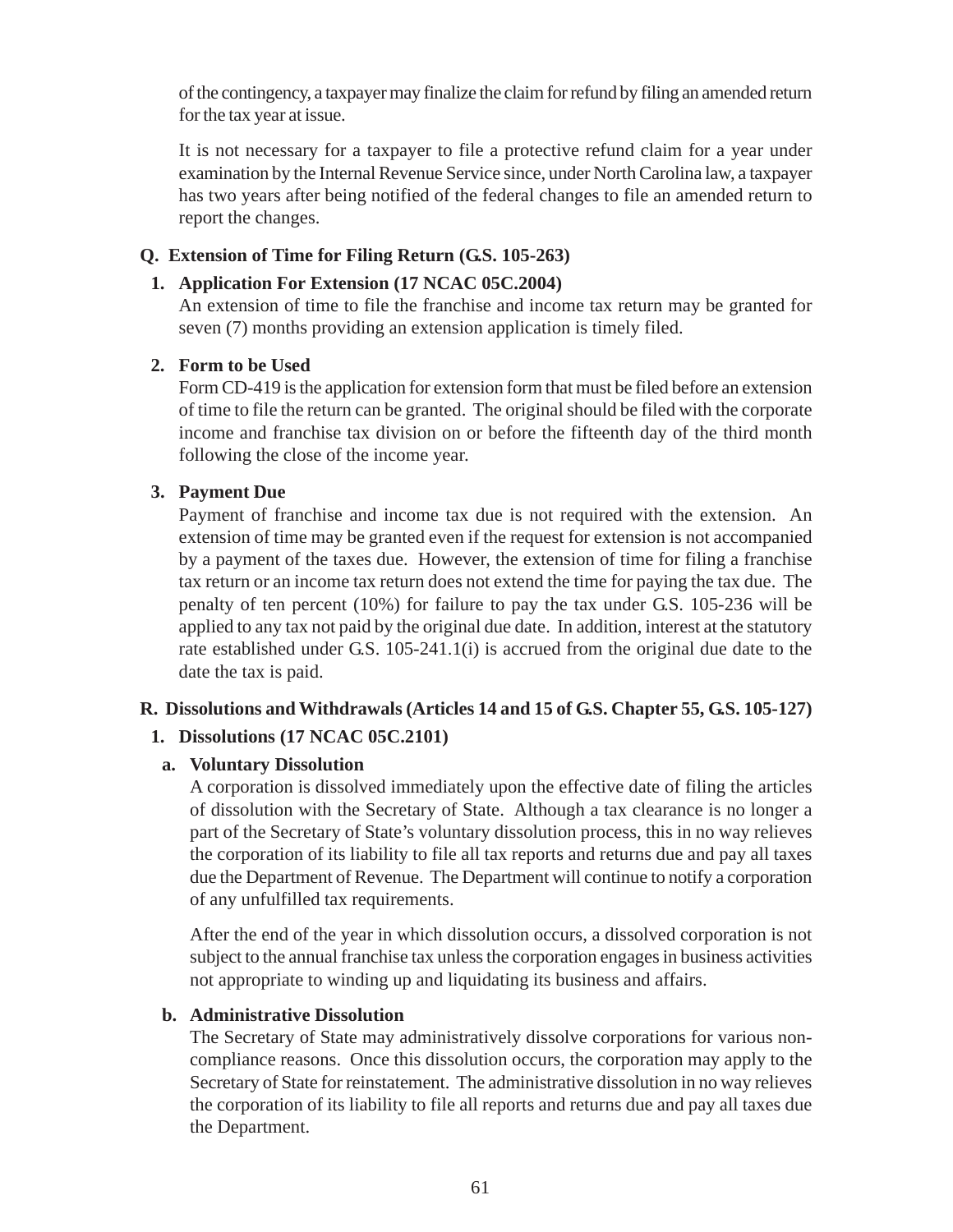of the contingency, a taxpayer may finalize the claim for refund by filing an amended return for the tax year at issue.

It is not necessary for a taxpayer to file a protective refund claim for a year under examination by the Internal Revenue Service since, under North Carolina law, a taxpayer has two years after being notified of the federal changes to file an amended return to report the changes.

### **Q. Extension of Time for Filing Return (G.S. 105-263)**

#### **1. Application For Extension (17 NCAC 05C.2004)**

An extension of time to file the franchise and income tax return may be granted for seven (7) months providing an extension application is timely filed.

### **2. Form to be Used**

Form CD-419 is the application for extension form that must be filed before an extension of time to file the return can be granted. The original should be filed with the corporate income and franchise tax division on or before the fifteenth day of the third month following the close of the income year.

### **3. Payment Due**

Payment of franchise and income tax due is not required with the extension. An extension of time may be granted even if the request for extension is not accompanied by a payment of the taxes due. However, the extension of time for filing a franchise tax return or an income tax return does not extend the time for paying the tax due. The penalty of ten percent (10%) for failure to pay the tax under G.S. 105-236 will be applied to any tax not paid by the original due date. In addition, interest at the statutory rate established under G.S. 105-241.1(i) is accrued from the original due date to the date the tax is paid.

#### **R. Dissolutions and Withdrawals (Articles 14 and 15 of G.S. Chapter 55, G.S. 105-127)**

#### **1. Dissolutions (17 NCAC 05C.2101)**

#### **a. Voluntary Dissolution**

A corporation is dissolved immediately upon the effective date of filing the articles of dissolution with the Secretary of State. Although a tax clearance is no longer a part of the Secretary of State's voluntary dissolution process, this in no way relieves the corporation of its liability to file all tax reports and returns due and pay all taxes due the Department of Revenue. The Department will continue to notify a corporation of any unfulfilled tax requirements.

After the end of the year in which dissolution occurs, a dissolved corporation is not subject to the annual franchise tax unless the corporation engages in business activities not appropriate to winding up and liquidating its business and affairs.

#### **b. Administrative Dissolution**

The Secretary of State may administratively dissolve corporations for various noncompliance reasons. Once this dissolution occurs, the corporation may apply to the Secretary of State for reinstatement. The administrative dissolution in no way relieves the corporation of its liability to file all reports and returns due and pay all taxes due the Department.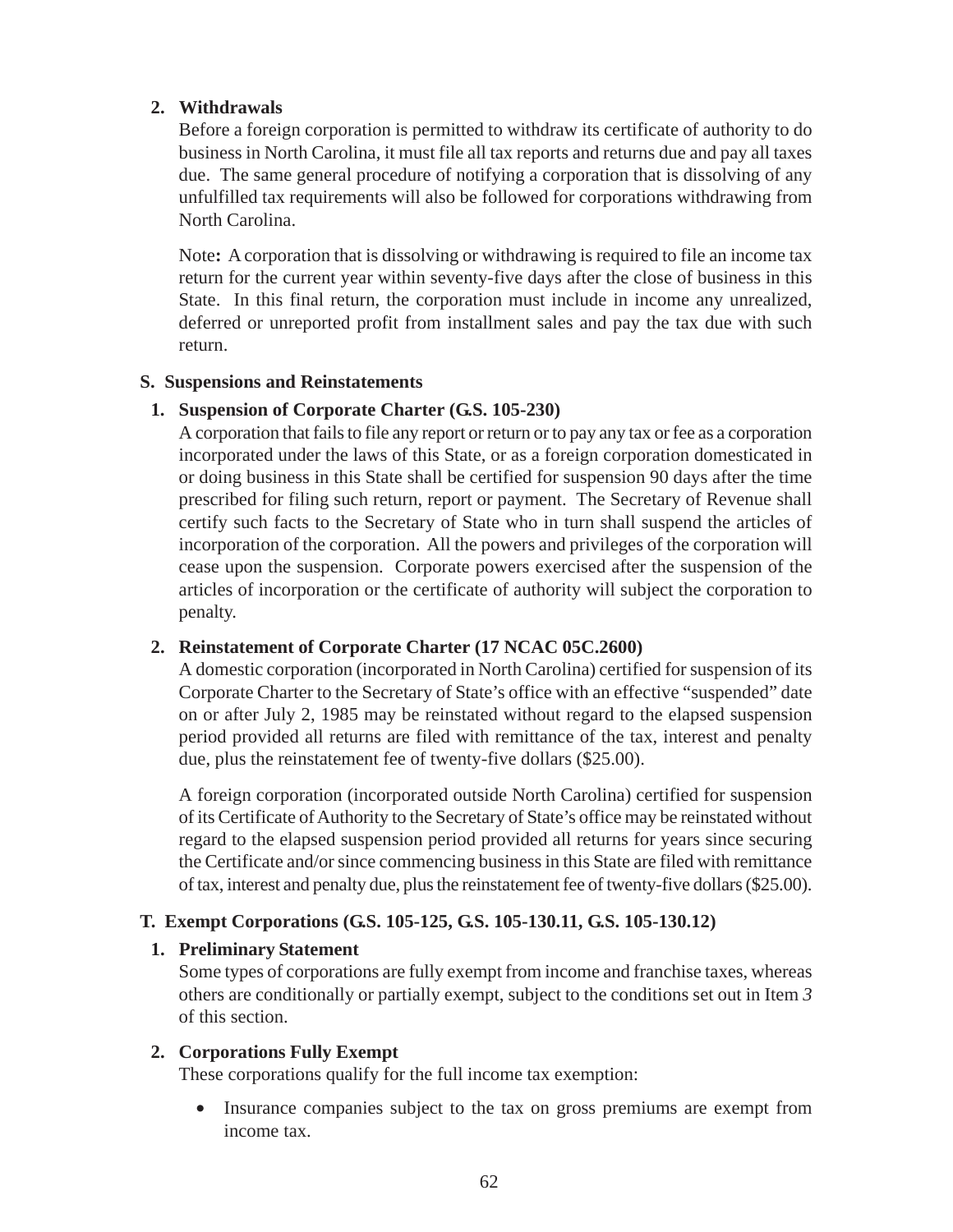## **2. Withdrawals**

Before a foreign corporation is permitted to withdraw its certificate of authority to do business in North Carolina, it must file all tax reports and returns due and pay all taxes due. The same general procedure of notifying a corporation that is dissolving of any unfulfilled tax requirements will also be followed for corporations withdrawing from North Carolina.

Note**:** A corporation that is dissolving or withdrawing is required to file an income tax return for the current year within seventy-five days after the close of business in this State. In this final return, the corporation must include in income any unrealized, deferred or unreported profit from installment sales and pay the tax due with such return.

### **S. Suspensions and Reinstatements**

### **1. Suspension of Corporate Charter (G.S. 105-230)**

A corporation that fails to file any report or return or to pay any tax or fee as a corporation incorporated under the laws of this State, or as a foreign corporation domesticated in or doing business in this State shall be certified for suspension 90 days after the time prescribed for filing such return, report or payment. The Secretary of Revenue shall certify such facts to the Secretary of State who in turn shall suspend the articles of incorporation of the corporation. All the powers and privileges of the corporation will cease upon the suspension. Corporate powers exercised after the suspension of the articles of incorporation or the certificate of authority will subject the corporation to penalty.

### **2. Reinstatement of Corporate Charter (17 NCAC 05C.2600)**

A domestic corporation (incorporated in North Carolina) certified for suspension of its Corporate Charter to the Secretary of State's office with an effective "suspended" date on or after July 2, 1985 may be reinstated without regard to the elapsed suspension period provided all returns are filed with remittance of the tax, interest and penalty due, plus the reinstatement fee of twenty-five dollars (\$25.00).

A foreign corporation (incorporated outside North Carolina) certified for suspension of its Certificate of Authority to the Secretary of State's office may be reinstated without regard to the elapsed suspension period provided all returns for years since securing the Certificate and/or since commencing business in this State are filed with remittance of tax, interest and penalty due, plus the reinstatement fee of twenty-five dollars (\$25.00).

### **T. Exempt Corporations (G.S. 105-125, G.S. 105-130.11, G.S. 105-130.12)**

### **1. Preliminary Statement**

Some types of corporations are fully exempt from income and franchise taxes, whereas others are conditionally or partially exempt, subject to the conditions set out in Item *3* of this section.

### **2. Corporations Fully Exempt**

These corporations qualify for the full income tax exemption:

• Insurance companies subject to the tax on gross premiums are exempt from income tax.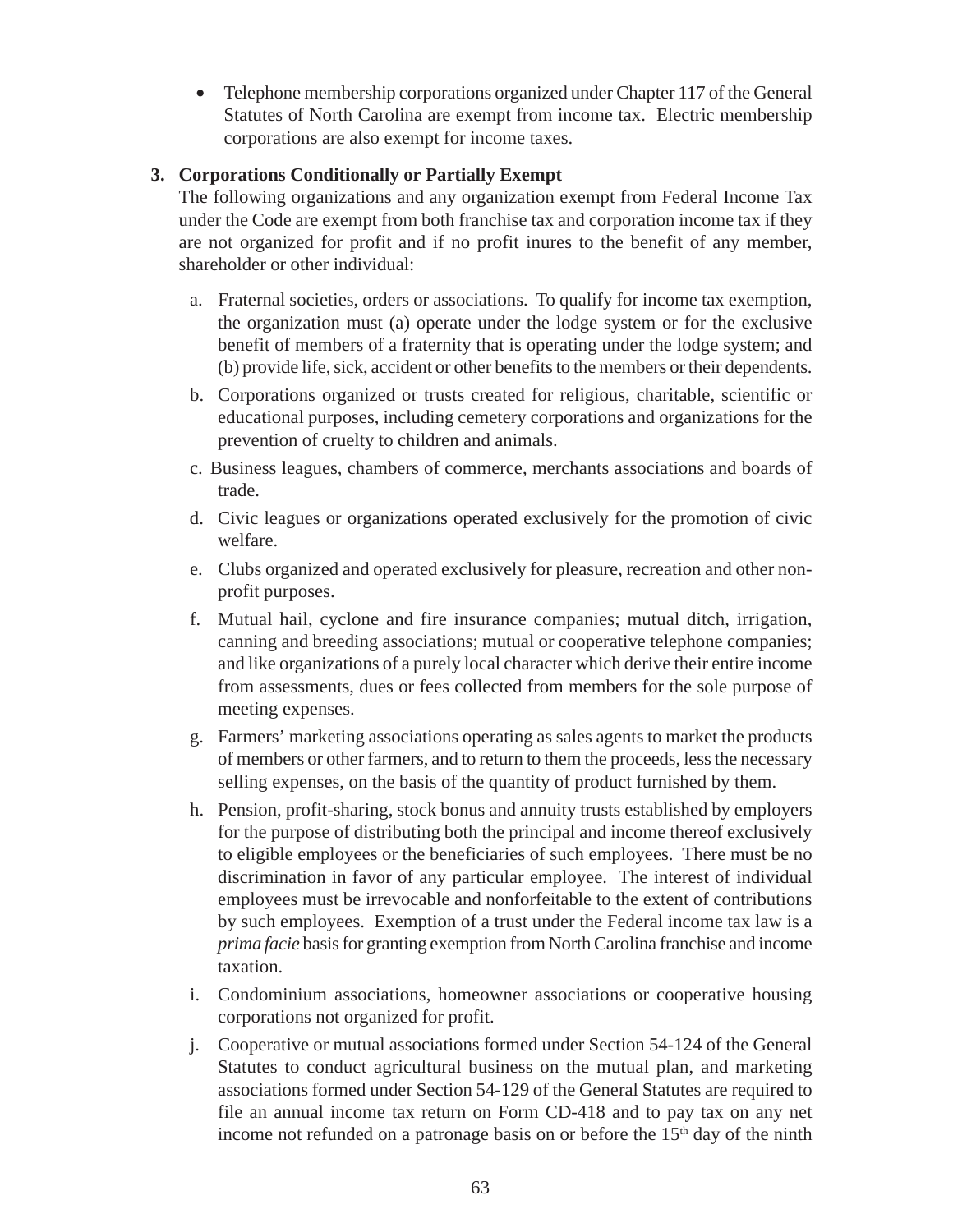• Telephone membership corporations organized under Chapter 117 of the General Statutes of North Carolina are exempt from income tax. Electric membership corporations are also exempt for income taxes.

## **3. Corporations Conditionally or Partially Exempt**

The following organizations and any organization exempt from Federal Income Tax under the Code are exempt from both franchise tax and corporation income tax if they are not organized for profit and if no profit inures to the benefit of any member, shareholder or other individual:

- a. Fraternal societies, orders or associations. To qualify for income tax exemption, the organization must (a) operate under the lodge system or for the exclusive benefit of members of a fraternity that is operating under the lodge system; and (b) provide life, sick, accident or other benefits to the members or their dependents.
- b. Corporations organized or trusts created for religious, charitable, scientific or educational purposes, including cemetery corporations and organizations for the prevention of cruelty to children and animals.
- c. Business leagues, chambers of commerce, merchants associations and boards of trade.
- d. Civic leagues or organizations operated exclusively for the promotion of civic welfare.
- e. Clubs organized and operated exclusively for pleasure, recreation and other nonprofit purposes.
- f. Mutual hail, cyclone and fire insurance companies; mutual ditch, irrigation, canning and breeding associations; mutual or cooperative telephone companies; and like organizations of a purely local character which derive their entire income from assessments, dues or fees collected from members for the sole purpose of meeting expenses.
- g. Farmers' marketing associations operating as sales agents to market the products of members or other farmers, and to return to them the proceeds, less the necessary selling expenses, on the basis of the quantity of product furnished by them.
- h. Pension, profit-sharing, stock bonus and annuity trusts established by employers for the purpose of distributing both the principal and income thereof exclusively to eligible employees or the beneficiaries of such employees. There must be no discrimination in favor of any particular employee. The interest of individual employees must be irrevocable and nonforfeitable to the extent of contributions by such employees. Exemption of a trust under the Federal income tax law is a *prima facie* basis for granting exemption from North Carolina franchise and income taxation.
- i. Condominium associations, homeowner associations or cooperative housing corporations not organized for profit.
- j. Cooperative or mutual associations formed under Section 54-124 of the General Statutes to conduct agricultural business on the mutual plan, and marketing associations formed under Section 54-129 of the General Statutes are required to file an annual income tax return on Form CD-418 and to pay tax on any net income not refunded on a patronage basis on or before the  $15<sup>th</sup>$  day of the ninth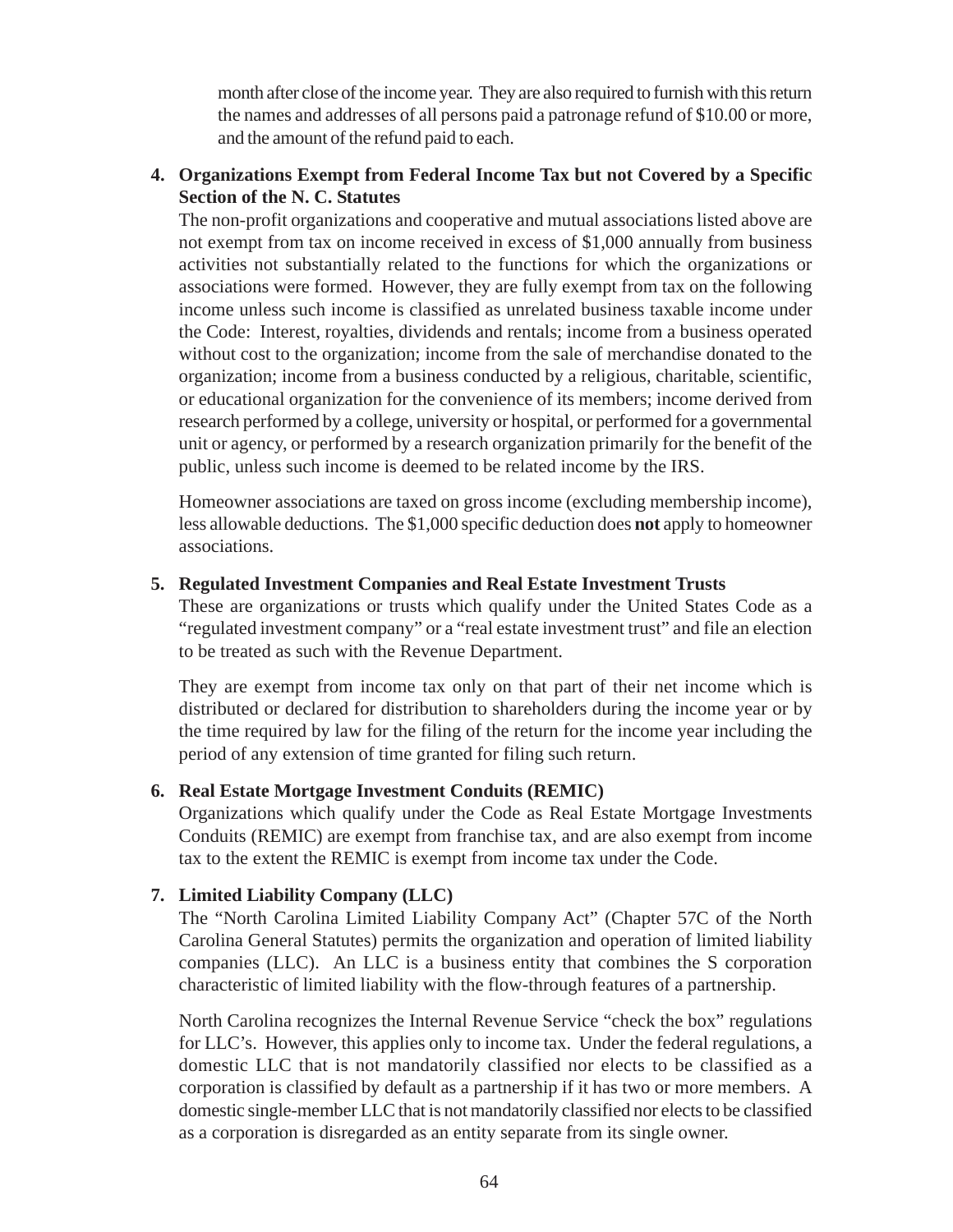month after close of the income year. They are also required to furnish with this return the names and addresses of all persons paid a patronage refund of \$10.00 or more, and the amount of the refund paid to each.

## **4. Organizations Exempt from Federal Income Tax but not Covered by a Specific Section of the N. C. Statutes**

The non-profit organizations and cooperative and mutual associationslisted above are not exempt from tax on income received in excess of \$1,000 annually from business activities not substantially related to the functions for which the organizations or associations were formed. However, they are fully exempt from tax on the following income unless such income is classified as unrelated business taxable income under the Code: Interest, royalties, dividends and rentals; income from a business operated without cost to the organization; income from the sale of merchandise donated to the organization; income from a business conducted by a religious, charitable, scientific, or educational organization for the convenience of its members; income derived from research performed by a college, university or hospital, or performed for a governmental unit or agency, or performed by a research organization primarily for the benefit of the public, unless such income is deemed to be related income by the IRS.

Homeowner associations are taxed on gross income (excluding membership income), less allowable deductions. The \$1,000 specific deduction does **not** apply to homeowner associations.

### **5. Regulated Investment Companies and Real Estate Investment Trusts**

These are organizations or trusts which qualify under the United States Code as a "regulated investment company" or a "real estate investment trust" and file an election to be treated as such with the Revenue Department.

They are exempt from income tax only on that part of their net income which is distributed or declared for distribution to shareholders during the income year or by the time required by law for the filing of the return for the income year including the period of any extension of time granted for filing such return.

### **6. Real Estate Mortgage Investment Conduits (REMIC)**

Organizations which qualify under the Code as Real Estate Mortgage Investments Conduits (REMIC) are exempt from franchise tax, and are also exempt from income tax to the extent the REMIC is exempt from income tax under the Code.

### **7. Limited Liability Company (LLC)**

The "North Carolina Limited Liability Company Act" (Chapter 57C of the North Carolina General Statutes) permits the organization and operation of limited liability companies (LLC). An LLC is a business entity that combines the S corporation characteristic of limited liability with the flow-through features of a partnership.

North Carolina recognizes the Internal Revenue Service "check the box" regulations for LLC's. However, this applies only to income tax. Under the federal regulations, a domestic LLC that is not mandatorily classified nor elects to be classified as a corporation is classified by default as a partnership if it has two or more members. A domestic single-member LLC that is not mandatorily classified nor elects to be classified as a corporation is disregarded as an entity separate from its single owner.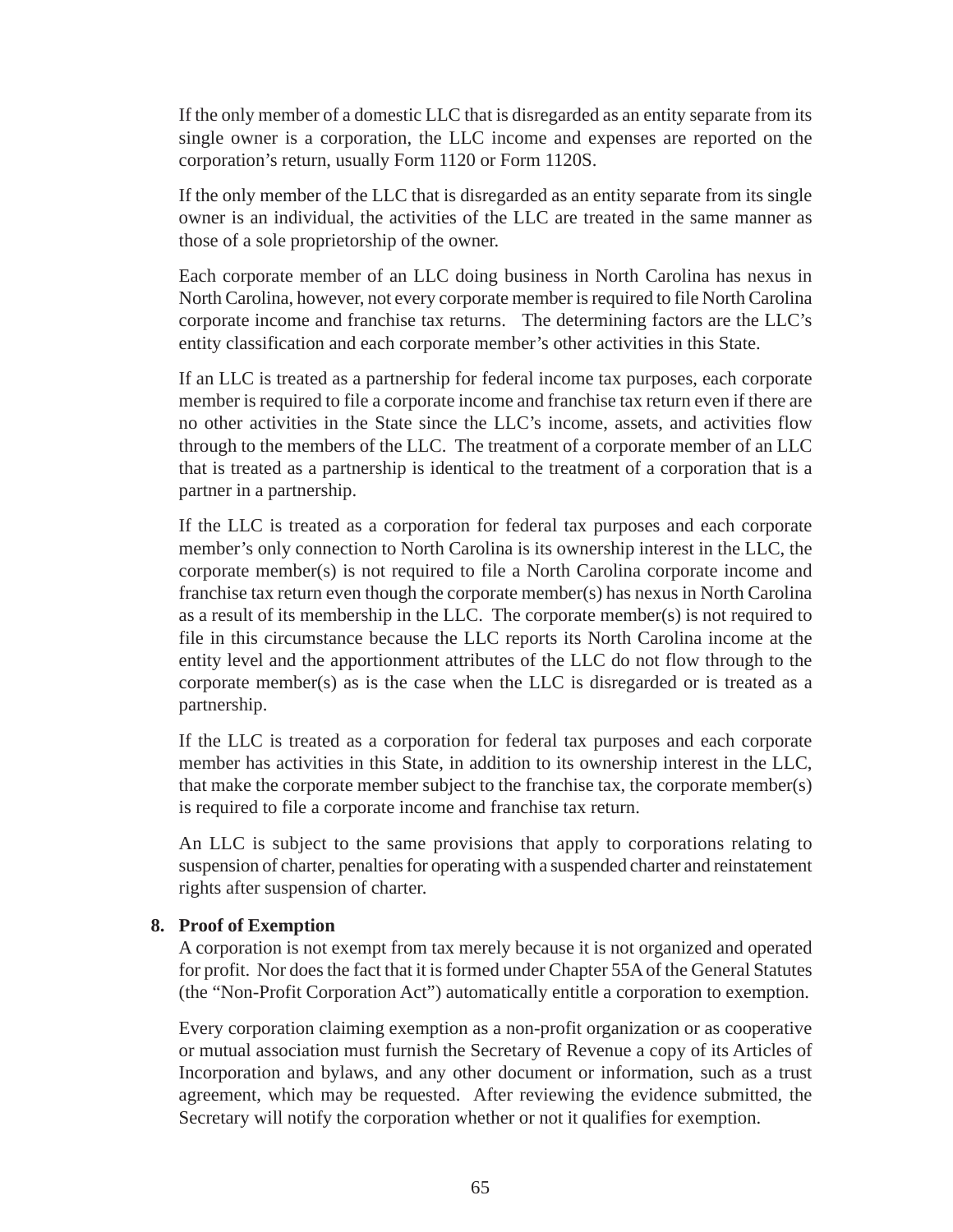If the only member of a domestic LLC that is disregarded as an entity separate from its single owner is a corporation, the LLC income and expenses are reported on the corporation's return, usually Form 1120 or Form 1120S.

If the only member of the LLC that is disregarded as an entity separate from its single owner is an individual, the activities of the LLC are treated in the same manner as those of a sole proprietorship of the owner.

Each corporate member of an LLC doing business in North Carolina has nexus in North Carolina, however, not every corporate member is required to file North Carolina corporate income and franchise tax returns. The determining factors are the LLC's entity classification and each corporate member's other activities in this State.

If an LLC is treated as a partnership for federal income tax purposes, each corporate member is required to file a corporate income and franchise tax return even if there are no other activities in the State since the LLC's income, assets, and activities flow through to the members of the LLC. The treatment of a corporate member of an LLC that is treated as a partnership is identical to the treatment of a corporation that is a partner in a partnership.

If the LLC is treated as a corporation for federal tax purposes and each corporate member's only connection to North Carolina is its ownership interest in the LLC, the corporate member(s) is not required to file a North Carolina corporate income and franchise tax return even though the corporate member(s) has nexus in North Carolina as a result of its membership in the LLC. The corporate member(s) is not required to file in this circumstance because the LLC reports its North Carolina income at the entity level and the apportionment attributes of the LLC do not flow through to the corporate member(s) as is the case when the LLC is disregarded or is treated as a partnership.

If the LLC is treated as a corporation for federal tax purposes and each corporate member has activities in this State, in addition to its ownership interest in the LLC, that make the corporate member subject to the franchise tax, the corporate member(s) is required to file a corporate income and franchise tax return.

An LLC is subject to the same provisions that apply to corporations relating to suspension of charter, penalties for operating with a suspended charter and reinstatement rights after suspension of charter.

#### **8. Proof of Exemption**

A corporation is not exempt from tax merely because it is not organized and operated for profit. Nor does the fact that it is formed under Chapter 55A of the General Statutes (the "Non-Profit Corporation Act") automatically entitle a corporation to exemption.

Every corporation claiming exemption as a non-profit organization or as cooperative or mutual association must furnish the Secretary of Revenue a copy of its Articles of Incorporation and bylaws, and any other document or information, such as a trust agreement, which may be requested. After reviewing the evidence submitted, the Secretary will notify the corporation whether or not it qualifies for exemption.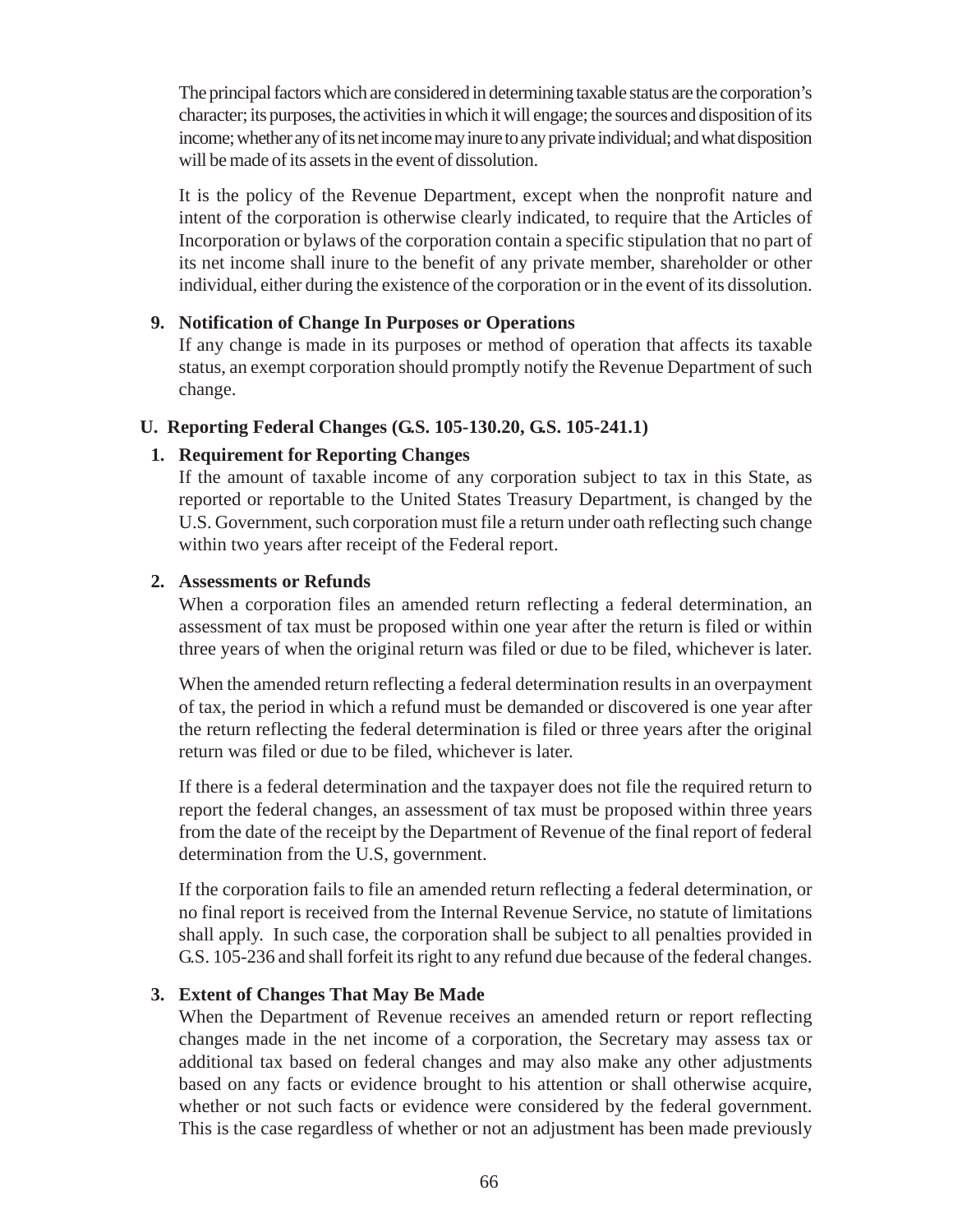The principal factors which are considered in determining taxable status are the corporation's character; its purposes, the activities in which it will engage; the sources and disposition of its income; whether any of its net income may inure to any private individual; and what disposition will be made of its assets in the event of dissolution.

It is the policy of the Revenue Department, except when the nonprofit nature and intent of the corporation is otherwise clearly indicated, to require that the Articles of Incorporation or bylaws of the corporation contain a specific stipulation that no part of its net income shall inure to the benefit of any private member, shareholder or other individual, either during the existence of the corporation or in the event of its dissolution.

### **9. Notification of Change In Purposes or Operations**

If any change is made in its purposes or method of operation that affects its taxable status, an exempt corporation should promptly notify the Revenue Department of such change.

### **U. Reporting Federal Changes (G.S. 105-130.20, G.S. 105-241.1)**

### **1. Requirement for Reporting Changes**

If the amount of taxable income of any corporation subject to tax in this State, as reported or reportable to the United States Treasury Department, is changed by the U.S. Government, such corporation must file a return under oath reflecting such change within two years after receipt of the Federal report.

### **2. Assessments or Refunds**

When a corporation files an amended return reflecting a federal determination, an assessment of tax must be proposed within one year after the return is filed or within three years of when the original return was filed or due to be filed, whichever is later.

When the amended return reflecting a federal determination results in an overpayment of tax, the period in which a refund must be demanded or discovered is one year after the return reflecting the federal determination is filed or three years after the original return was filed or due to be filed, whichever is later.

If there is a federal determination and the taxpayer does not file the required return to report the federal changes, an assessment of tax must be proposed within three years from the date of the receipt by the Department of Revenue of the final report of federal determination from the U.S, government.

If the corporation fails to file an amended return reflecting a federal determination, or no final report is received from the Internal Revenue Service, no statute of limitations shall apply. In such case, the corporation shall be subject to all penalties provided in G.S. 105-236 and shall forfeit its right to any refund due because of the federal changes.

### **3. Extent of Changes That May Be Made**

When the Department of Revenue receives an amended return or report reflecting changes made in the net income of a corporation, the Secretary may assess tax or additional tax based on federal changes and may also make any other adjustments based on any facts or evidence brought to his attention or shall otherwise acquire, whether or not such facts or evidence were considered by the federal government. This is the case regardless of whether or not an adjustment has been made previously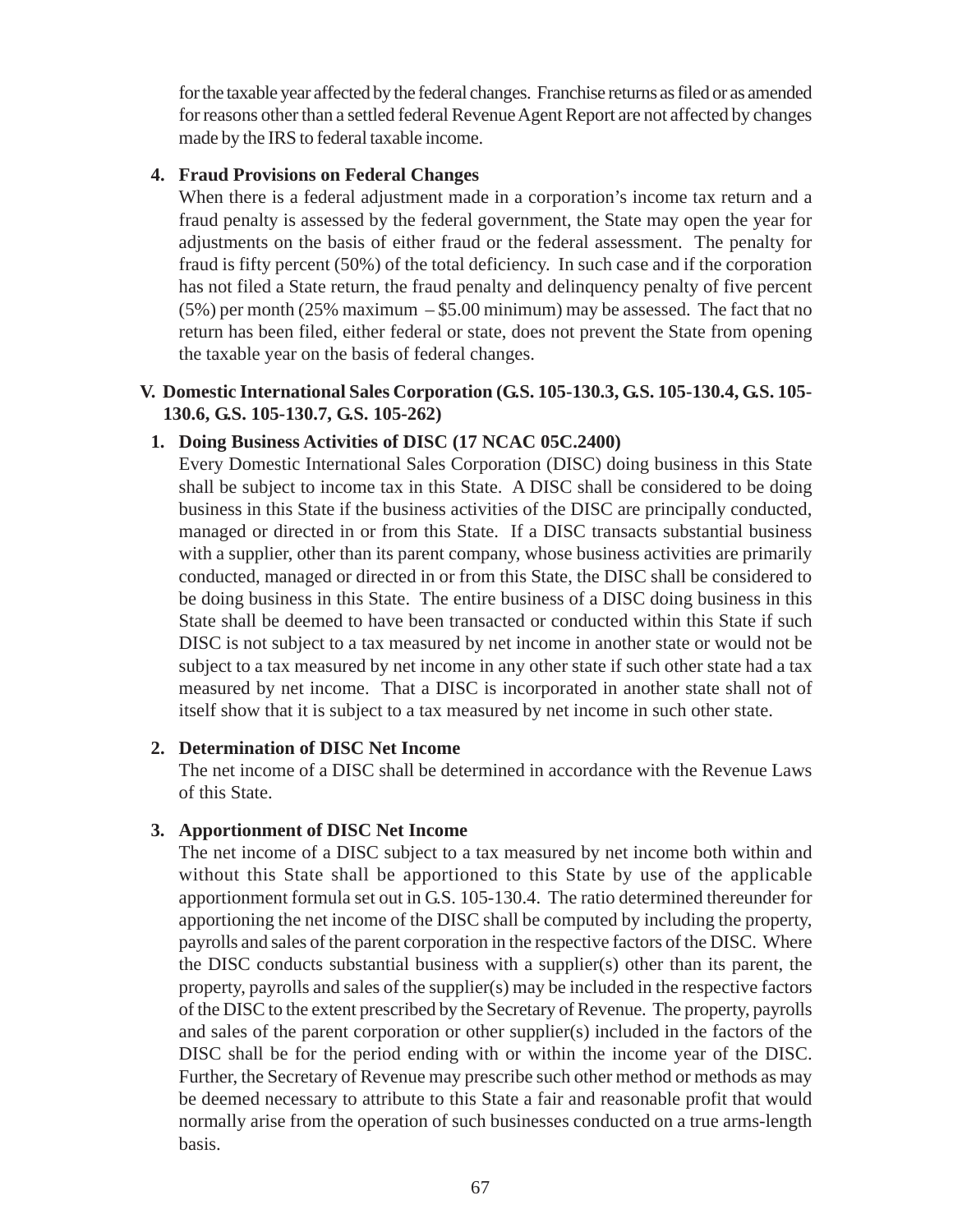for the taxable year affected by the federal changes. Franchise returns as filed or as amended for reasons other than a settled federal Revenue Agent Report are not affected by changes made by the IRS to federal taxable income.

### **4. Fraud Provisions on Federal Changes**

When there is a federal adjustment made in a corporation's income tax return and a fraud penalty is assessed by the federal government, the State may open the year for adjustments on the basis of either fraud or the federal assessment. The penalty for fraud is fifty percent (50%) of the total deficiency. In such case and if the corporation has not filed a State return, the fraud penalty and delinquency penalty of five percent  $(5\%)$  per month (25% maximum – \$5.00 minimum) may be assessed. The fact that no return has been filed, either federal or state, does not prevent the State from opening the taxable year on the basis of federal changes.

### **V. Domestic International Sales Corporation (G.S. 105-130.3, G.S. 105-130.4, G.S. 105- 130.6, G.S. 105-130.7, G.S. 105-262)**

## **1. Doing Business Activities of DISC (17 NCAC 05C.2400)**

Every Domestic International Sales Corporation (DISC) doing business in this State shall be subject to income tax in this State. A DISC shall be considered to be doing business in this State if the business activities of the DISC are principally conducted, managed or directed in or from this State. If a DISC transacts substantial business with a supplier, other than its parent company, whose business activities are primarily conducted, managed or directed in or from this State, the DISC shall be considered to be doing business in this State. The entire business of a DISC doing business in this State shall be deemed to have been transacted or conducted within this State if such DISC is not subject to a tax measured by net income in another state or would not be subject to a tax measured by net income in any other state if such other state had a tax measured by net income. That a DISC is incorporated in another state shall not of itself show that it is subject to a tax measured by net income in such other state.

### **2. Determination of DISC Net Income**

The net income of a DISC shall be determined in accordance with the Revenue Laws of this State.

## **3. Apportionment of DISC Net Income**

The net income of a DISC subject to a tax measured by net income both within and without this State shall be apportioned to this State by use of the applicable apportionment formula set out in G.S. 105-130.4. The ratio determined thereunder for apportioning the net income of the DISC shall be computed by including the property, payrolls and sales of the parent corporation in the respective factors of the DISC. Where the DISC conducts substantial business with a supplier(s) other than its parent, the property, payrolls and sales of the supplier(s) may be included in the respective factors of the DISC to the extent prescribed by the Secretary of Revenue. The property, payrolls and sales of the parent corporation or other supplier(s) included in the factors of the DISC shall be for the period ending with or within the income year of the DISC. Further, the Secretary of Revenue may prescribe such other method or methods as may be deemed necessary to attribute to this State a fair and reasonable profit that would normally arise from the operation of such businesses conducted on a true arms-length basis.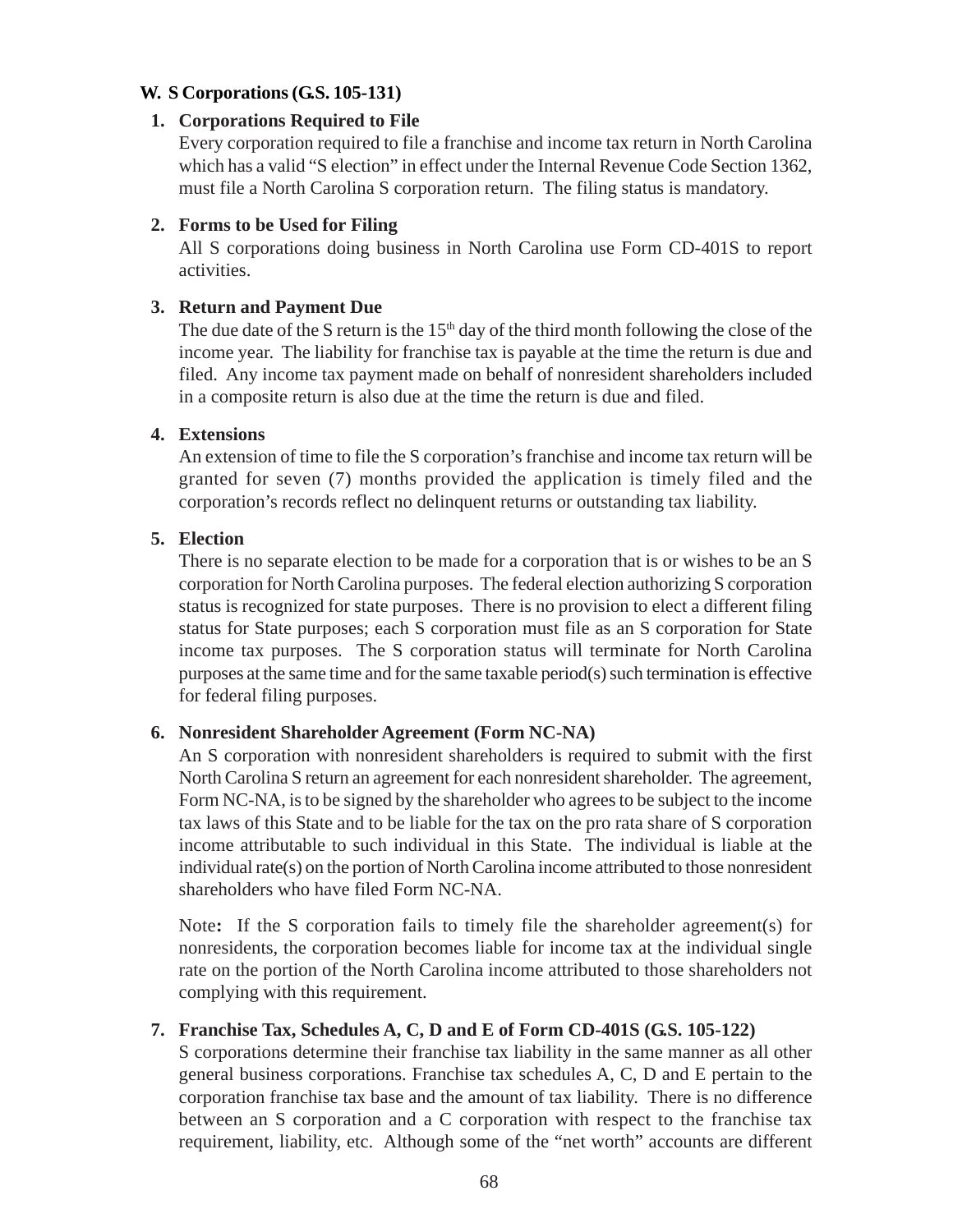### **W. S Corporations (G.S. 105-131)**

#### **1. Corporations Required to File**

Every corporation required to file a franchise and income tax return in North Carolina which has a valid "S election" in effect under the Internal Revenue Code Section 1362, must file a North Carolina S corporation return. The filing status is mandatory.

### **2. Forms to be Used for Filing**

All S corporations doing business in North Carolina use Form CD-401S to report activities.

### **3. Return and Payment Due**

The due date of the S return is the  $15<sup>th</sup>$  day of the third month following the close of the income year. The liability for franchise tax is payable at the time the return is due and filed. Any income tax payment made on behalf of nonresident shareholders included in a composite return is also due at the time the return is due and filed.

## **4. Extensions**

An extension of time to file the S corporation's franchise and income tax return will be granted for seven (7) months provided the application is timely filed and the corporation's records reflect no delinquent returns or outstanding tax liability.

### **5. Election**

There is no separate election to be made for a corporation that is or wishes to be an S corporation for North Carolina purposes. The federal election authorizing S corporation status is recognized for state purposes. There is no provision to elect a different filing status for State purposes; each S corporation must file as an S corporation for State income tax purposes. The S corporation status will terminate for North Carolina purposes at the same time and for the same taxable period(s) such termination is effective for federal filing purposes.

### **6. Nonresident Shareholder Agreement (Form NC-NA)**

An S corporation with nonresident shareholders is required to submit with the first North Carolina S return an agreement for each nonresident shareholder. The agreement, Form NC-NA, is to be signed by the shareholder who agrees to be subject to the income tax laws of this State and to be liable for the tax on the pro rata share of S corporation income attributable to such individual in this State. The individual is liable at the individual rate(s) on the portion of North Carolina income attributed to those nonresident shareholders who have filed Form NC-NA.

Note**:** If the S corporation fails to timely file the shareholder agreement(s) for nonresidents, the corporation becomes liable for income tax at the individual single rate on the portion of the North Carolina income attributed to those shareholders not complying with this requirement.

### **7. Franchise Tax, Schedules A, C, D and E of Form CD-401S (G.S. 105-122)**

S corporations determine their franchise tax liability in the same manner as all other general business corporations. Franchise tax schedules A, C, D and E pertain to the corporation franchise tax base and the amount of tax liability. There is no difference between an S corporation and a C corporation with respect to the franchise tax requirement, liability, etc. Although some of the "net worth" accounts are different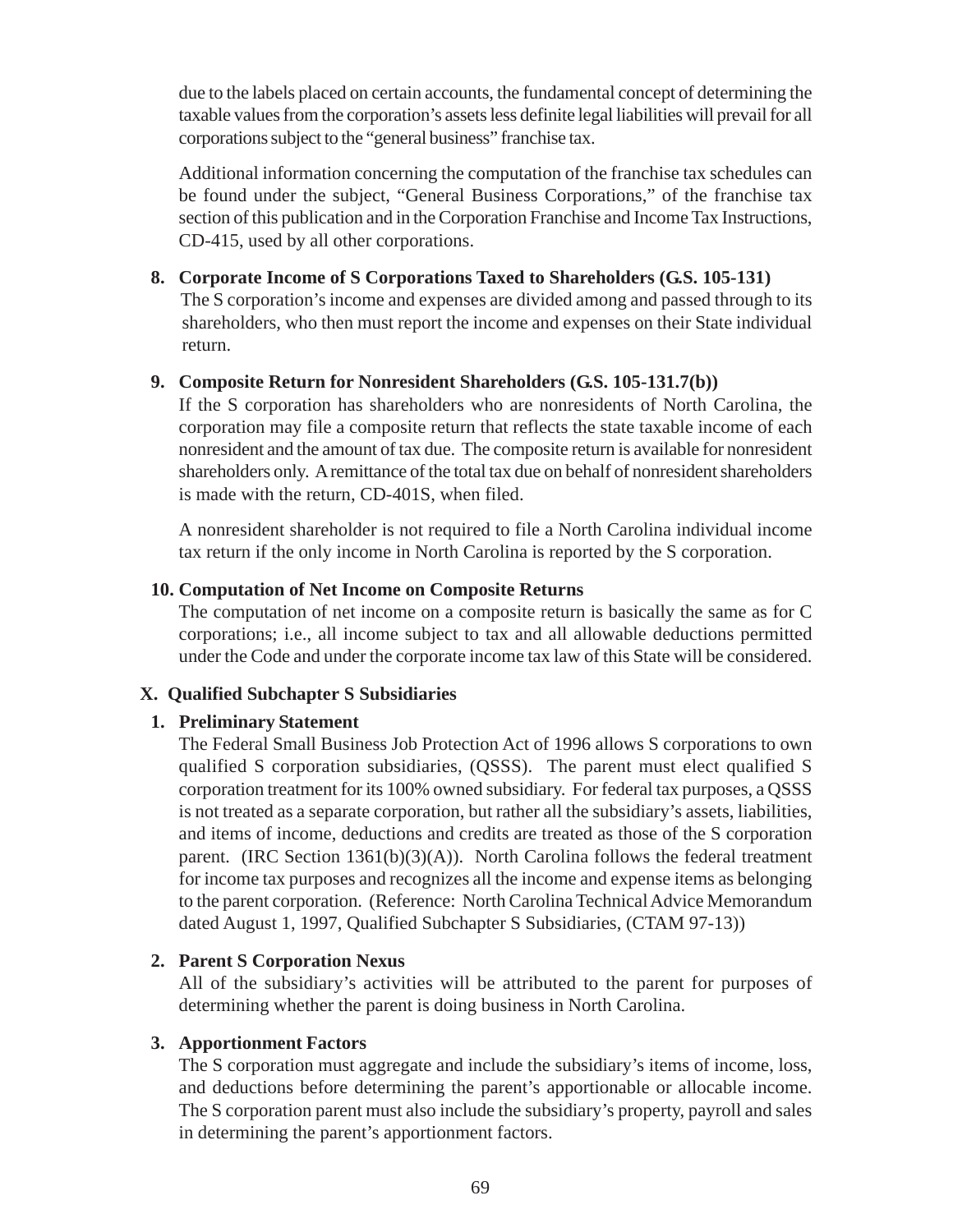due to the labels placed on certain accounts, the fundamental concept of determining the taxable values from the corporation's assets less definite legal liabilities will prevail for all corporations subject to the "general business" franchise tax.

Additional information concerning the computation of the franchise tax schedules can be found under the subject, "General Business Corporations," of the franchise tax section of this publication and in the Corporation Franchise and Income Tax Instructions, CD-415, used by all other corporations.

**8. Corporate Income of S Corporations Taxed to Shareholders (G.S. 105-131)** The S corporation's income and expenses are divided among and passed through to its shareholders, who then must report the income and expenses on their State individual return.

### **9. Composite Return for Nonresident Shareholders (G.S. 105-131.7(b))**

If the S corporation has shareholders who are nonresidents of North Carolina, the corporation may file a composite return that reflects the state taxable income of each nonresident and the amount of tax due. The composite return is available for nonresident shareholders only. A remittance of the total tax due on behalf of nonresident shareholders is made with the return, CD-401S, when filed.

A nonresident shareholder is not required to file a North Carolina individual income tax return if the only income in North Carolina is reported by the S corporation.

#### **10. Computation of Net Income on Composite Returns**

The computation of net income on a composite return is basically the same as for C corporations; i.e., all income subject to tax and all allowable deductions permitted under the Code and under the corporate income tax law of this State will be considered.

### **X. Qualified Subchapter S Subsidiaries**

### **1. Preliminary Statement**

The Federal Small Business Job Protection Act of 1996 allows S corporations to own qualified S corporation subsidiaries, (QSSS). The parent must elect qualified S corporation treatment for its 100% owned subsidiary. For federal tax purposes, a QSSS is not treated as a separate corporation, but rather all the subsidiary's assets, liabilities, and items of income, deductions and credits are treated as those of the S corporation parent*.* (IRC Section 1361(b)(3)(A)). North Carolina follows the federal treatment for income tax purposes and recognizes all the income and expense items as belonging to the parent corporation. (Reference: North Carolina Technical Advice Memorandum dated August 1, 1997, Qualified Subchapter S Subsidiaries, (CTAM 97-13))

#### **2. Parent S Corporation Nexus**

All of the subsidiary's activities will be attributed to the parent for purposes of determining whether the parent is doing business in North Carolina.

#### **3. Apportionment Factors**

The S corporation must aggregate and include the subsidiary's items of income, loss, and deductions before determining the parent's apportionable or allocable income. The S corporation parent must also include the subsidiary's property, payroll and sales in determining the parent's apportionment factors.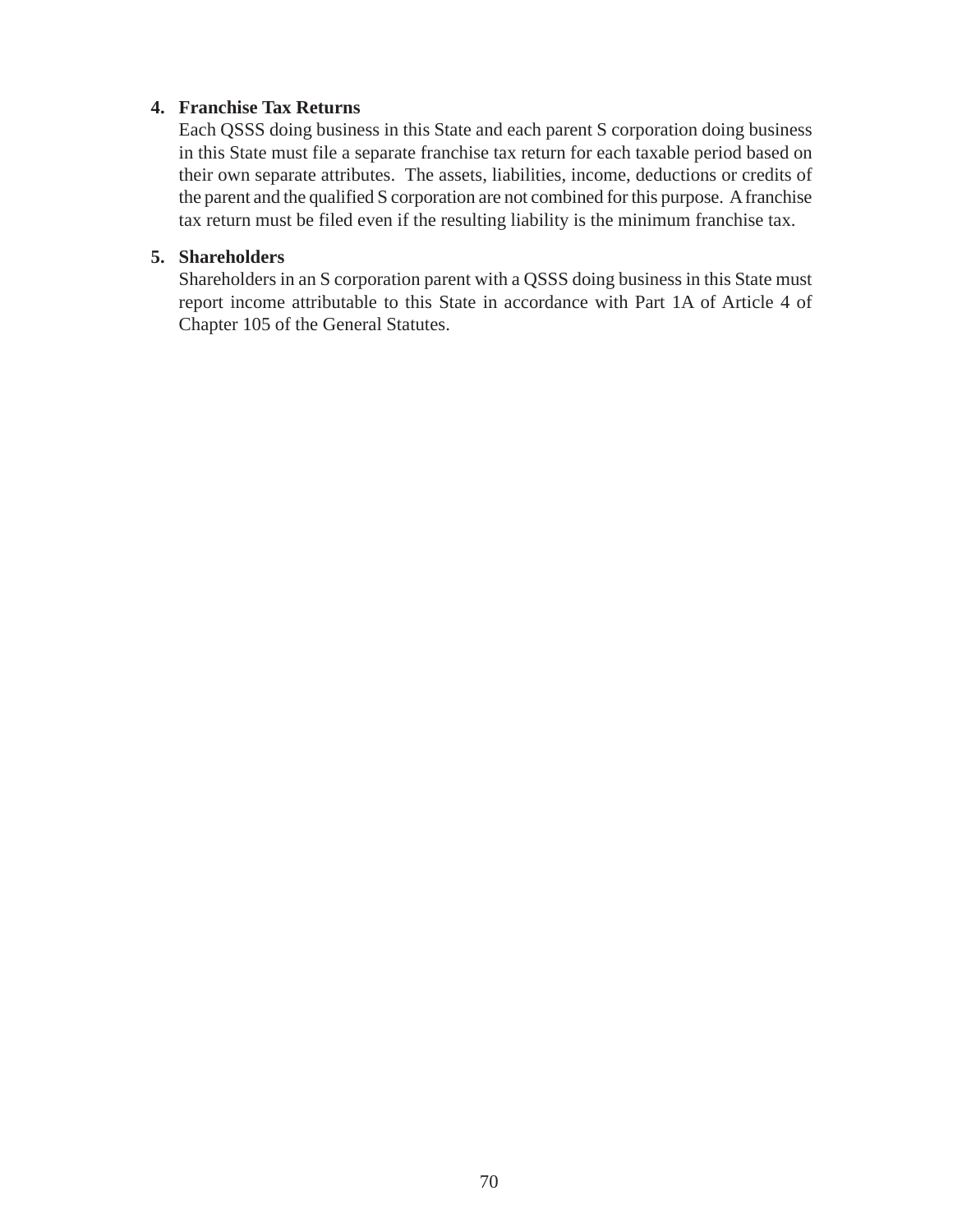### **4. Franchise Tax Returns**

Each QSSS doing business in this State and each parent S corporation doing business in this State must file a separate franchise tax return for each taxable period based on their own separate attributes. The assets, liabilities, income, deductions or credits of the parent and the qualified S corporation are not combined for this purpose. A franchise tax return must be filed even if the resulting liability is the minimum franchise tax.

## **5. Shareholders**

Shareholders in an S corporation parent with a QSSS doing business in this State must report income attributable to this State in accordance with Part 1A of Article 4 of Chapter 105 of the General Statutes.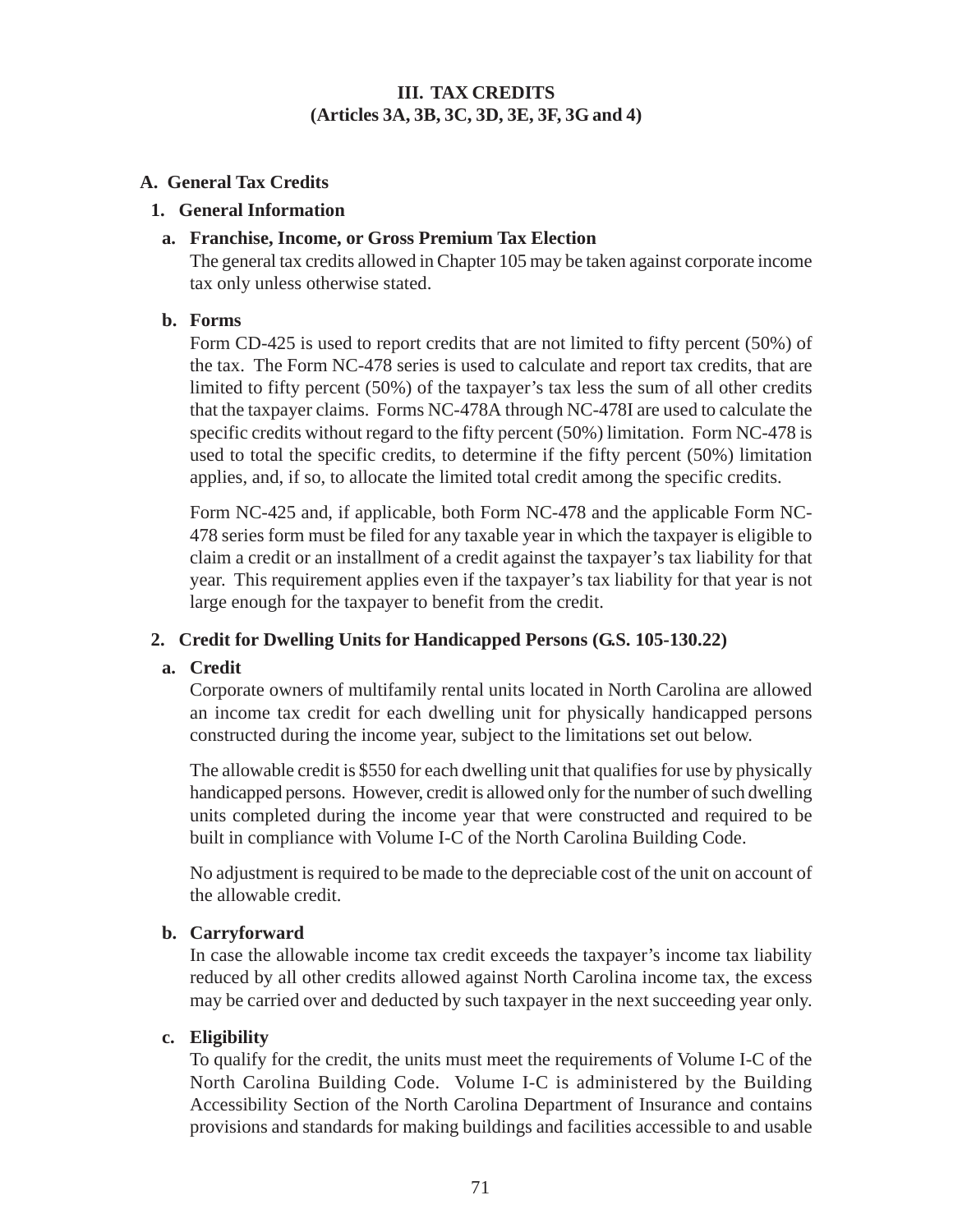### **III. TAX CREDITS (Articles 3A, 3B, 3C, 3D, 3E, 3F, 3G and 4)**

### **A. General Tax Credits**

#### **1. General Information**

### **a. Franchise, Income, or Gross Premium Tax Election**

The general tax credits allowed in Chapter 105 may be taken against corporate income tax only unless otherwise stated.

### **b. Forms**

Form CD-425 is used to report credits that are not limited to fifty percent (50%) of the tax. The Form NC-478 series is used to calculate and report tax credits, that are limited to fifty percent (50%) of the taxpayer's tax less the sum of all other credits that the taxpayer claims. Forms NC-478A through NC-478I are used to calculate the specific credits without regard to the fifty percent (50%) limitation. Form NC-478 is used to total the specific credits, to determine if the fifty percent (50%) limitation applies, and, if so, to allocate the limited total credit among the specific credits.

Form NC-425 and, if applicable, both Form NC-478 and the applicable Form NC-478 series form must be filed for any taxable year in which the taxpayer is eligible to claim a credit or an installment of a credit against the taxpayer's tax liability for that year. This requirement applies even if the taxpayer's tax liability for that year is not large enough for the taxpayer to benefit from the credit.

### **2. Credit for Dwelling Units for Handicapped Persons (G.S. 105-130.22)**

### **a. Credit**

Corporate owners of multifamily rental units located in North Carolina are allowed an income tax credit for each dwelling unit for physically handicapped persons constructed during the income year, subject to the limitations set out below.

The allowable credit is \$550 for each dwelling unit that qualifies for use by physically handicapped persons. However, credit is allowed only for the number of such dwelling units completed during the income year that were constructed and required to be built in compliance with Volume I-C of the North Carolina Building Code.

No adjustment is required to be made to the depreciable cost of the unit on account of the allowable credit.

### **b. Carryforward**

In case the allowable income tax credit exceeds the taxpayer's income tax liability reduced by all other credits allowed against North Carolina income tax, the excess may be carried over and deducted by such taxpayer in the next succeeding year only.

### **c. Eligibility**

To qualify for the credit, the units must meet the requirements of Volume I-C of the North Carolina Building Code. Volume I-C is administered by the Building Accessibility Section of the North Carolina Department of Insurance and contains provisions and standards for making buildings and facilities accessible to and usable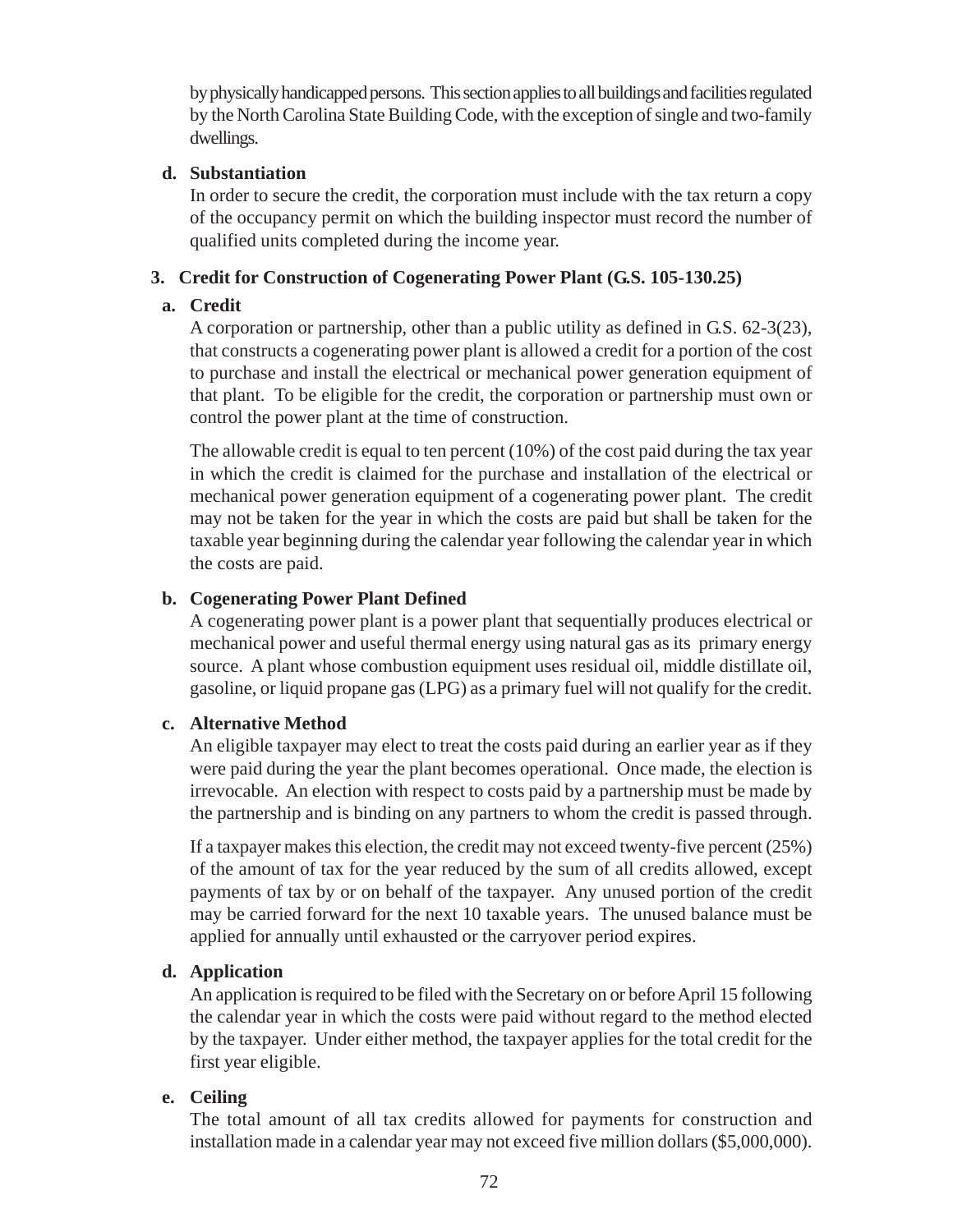by physically handicapped persons. This section applies to all buildings and facilities regulated by the North Carolina State Building Code, with the exception of single and two-family dwellings.

## **d. Substantiation**

In order to secure the credit, the corporation must include with the tax return a copy of the occupancy permit on which the building inspector must record the number of qualified units completed during the income year.

# **3. Credit for Construction of Cogenerating Power Plant (G.S. 105-130.25)**

# **a. Credit**

A corporation or partnership, other than a public utility as defined in G.S. 62-3(23), that constructs a cogenerating power plant is allowed a credit for a portion of the cost to purchase and install the electrical or mechanical power generation equipment of that plant. To be eligible for the credit, the corporation or partnership must own or control the power plant at the time of construction.

The allowable credit is equal to ten percent (10%) of the cost paid during the tax year in which the credit is claimed for the purchase and installation of the electrical or mechanical power generation equipment of a cogenerating power plant. The credit may not be taken for the year in which the costs are paid but shall be taken for the taxable year beginning during the calendar year following the calendar year in which the costs are paid.

# **b. Cogenerating Power Plant Defined**

A cogenerating power plant is a power plant that sequentially produces electrical or mechanical power and useful thermal energy using natural gas as its primary energy source. A plant whose combustion equipment uses residual oil, middle distillate oil, gasoline, or liquid propane gas (LPG) as a primary fuel will not qualify for the credit.

# **c. Alternative Method**

An eligible taxpayer may elect to treat the costs paid during an earlier year as if they were paid during the year the plant becomes operational. Once made, the election is irrevocable. An election with respect to costs paid by a partnership must be made by the partnership and is binding on any partners to whom the credit is passed through.

If a taxpayer makes this election, the credit may not exceed twenty-five percent (25%) of the amount of tax for the year reduced by the sum of all credits allowed, except payments of tax by or on behalf of the taxpayer. Any unused portion of the credit may be carried forward for the next 10 taxable years. The unused balance must be applied for annually until exhausted or the carryover period expires.

# **d. Application**

An application is required to be filed with the Secretary on or before April 15 following the calendar year in which the costs were paid without regard to the method elected by the taxpayer. Under either method, the taxpayer applies for the total credit for the first year eligible.

# **e. Ceiling**

The total amount of all tax credits allowed for payments for construction and installation made in a calendar year may not exceed five million dollars (\$5,000,000).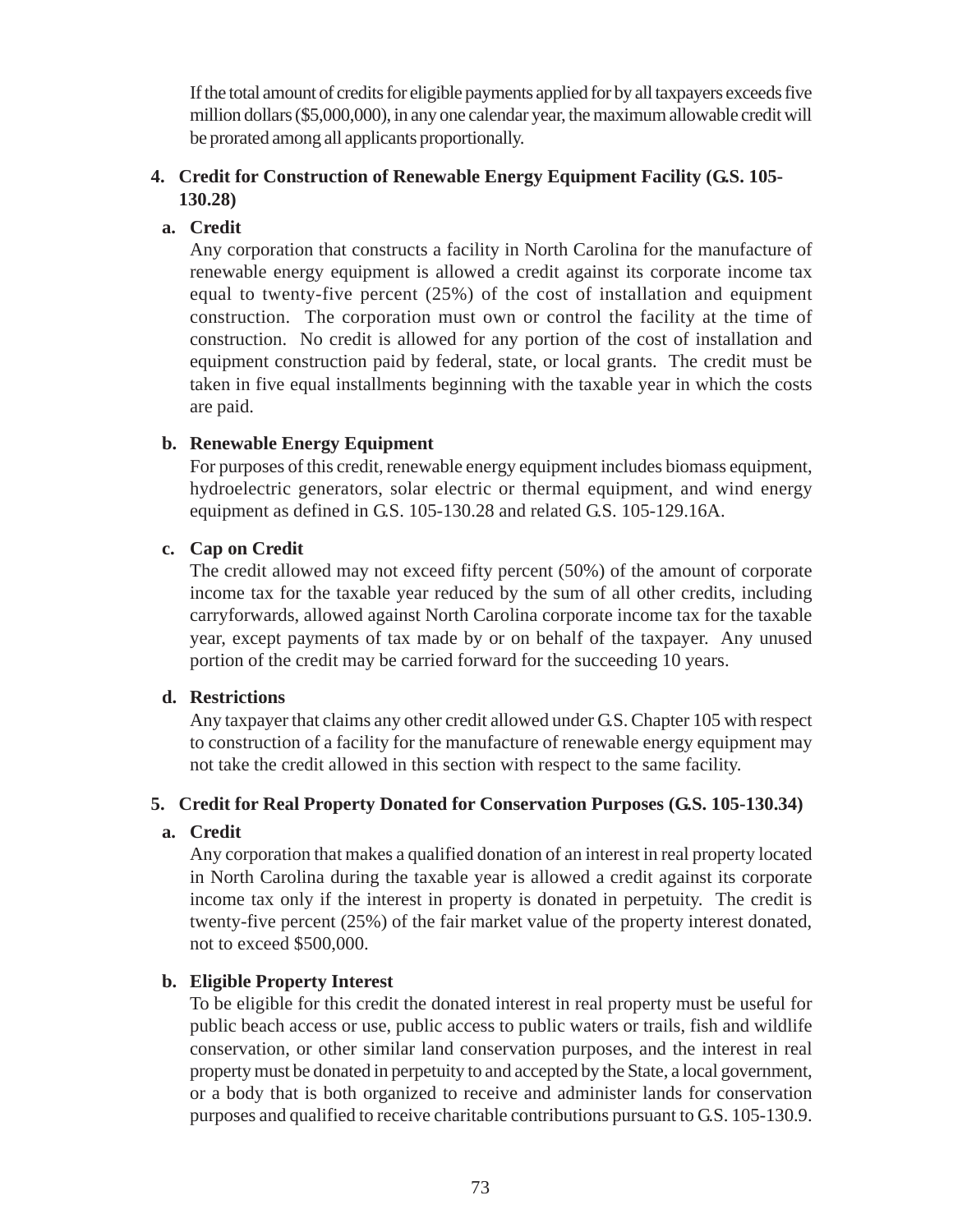If the total amount of credits for eligible payments applied for by all taxpayers exceeds five million dollars (\$5,000,000), in any one calendar year, the maximum allowable credit will be prorated among all applicants proportionally.

## **4. Credit for Construction of Renewable Energy Equipment Facility (G.S. 105- 130.28)**

## **a. Credit**

Any corporation that constructs a facility in North Carolina for the manufacture of renewable energy equipment is allowed a credit against its corporate income tax equal to twenty-five percent (25%) of the cost of installation and equipment construction. The corporation must own or control the facility at the time of construction. No credit is allowed for any portion of the cost of installation and equipment construction paid by federal, state, or local grants. The credit must be taken in five equal installments beginning with the taxable year in which the costs are paid.

### **b. Renewable Energy Equipment**

For purposes of this credit, renewable energy equipment includes biomass equipment, hydroelectric generators, solar electric or thermal equipment, and wind energy equipment as defined in G.S. 105-130.28 and related G.S. 105-129.16A.

### **c. Cap on Credit**

The credit allowed may not exceed fifty percent (50%) of the amount of corporate income tax for the taxable year reduced by the sum of all other credits, including carryforwards, allowed against North Carolina corporate income tax for the taxable year, except payments of tax made by or on behalf of the taxpayer. Any unused portion of the credit may be carried forward for the succeeding 10 years.

### **d. Restrictions**

Any taxpayer that claims any other credit allowed under G.S. Chapter 105 with respect to construction of a facility for the manufacture of renewable energy equipment may not take the credit allowed in this section with respect to the same facility.

### **5. Credit for Real Property Donated for Conservation Purposes (G.S. 105-130.34)**

### **a. Credit**

Any corporation that makes a qualified donation of an interest in real property located in North Carolina during the taxable year is allowed a credit against its corporate income tax only if the interest in property is donated in perpetuity. The credit is twenty-five percent (25%) of the fair market value of the property interest donated, not to exceed \$500,000.

### **b. Eligible Property Interest**

To be eligible for this credit the donated interest in real property must be useful for public beach access or use, public access to public waters or trails, fish and wildlife conservation, or other similar land conservation purposes, and the interest in real property must be donated in perpetuity to and accepted by the State, a local government, or a body that is both organized to receive and administer lands for conservation purposes and qualified to receive charitable contributions pursuant to G.S. 105-130.9.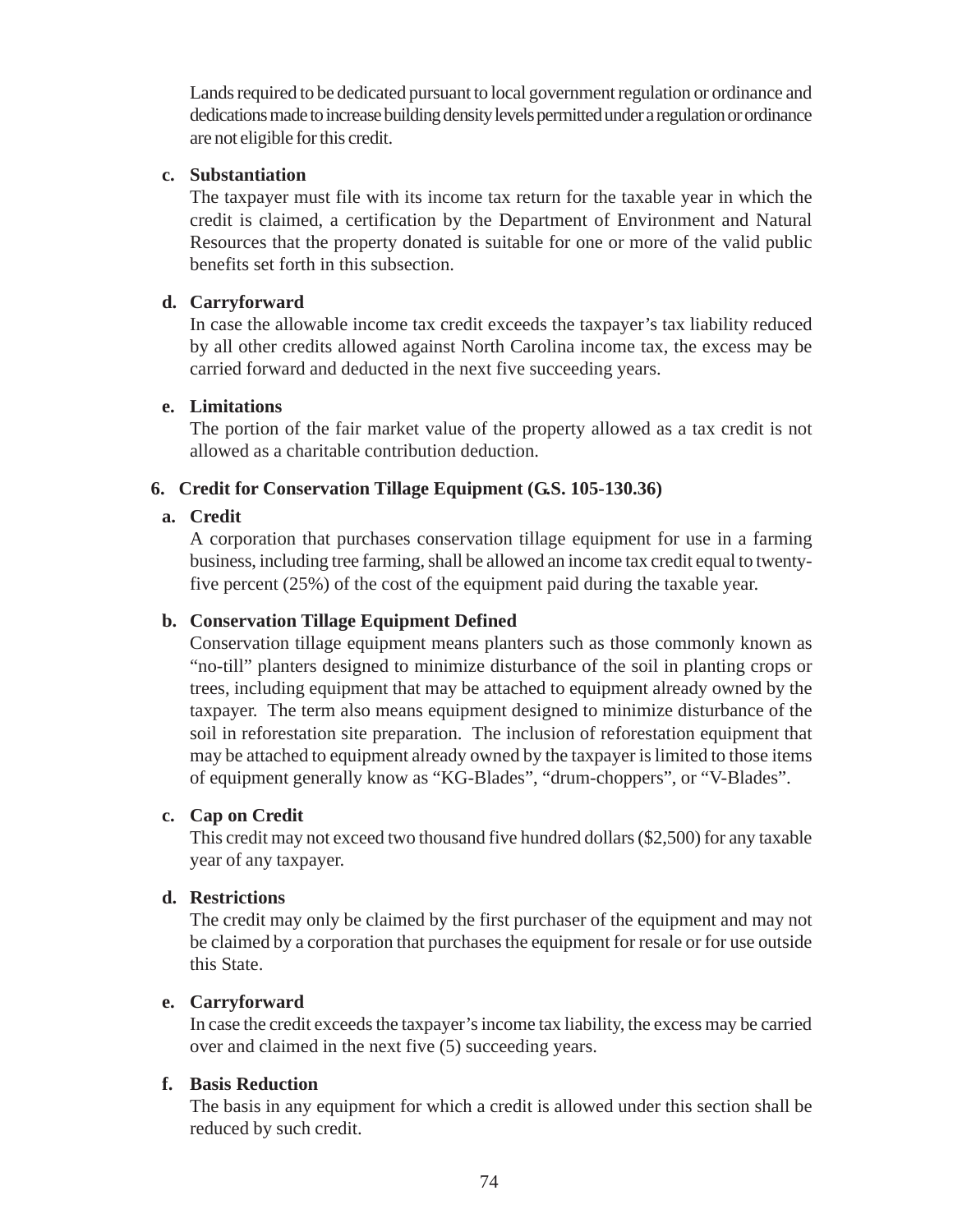Lands required to be dedicated pursuant to local government regulation or ordinance and dedications made to increase building density levels permitted under a regulation or ordinance are not eligible for this credit.

### **c. Substantiation**

The taxpayer must file with its income tax return for the taxable year in which the credit is claimed, a certification by the Department of Environment and Natural Resources that the property donated is suitable for one or more of the valid public benefits set forth in this subsection.

### **d. Carryforward**

In case the allowable income tax credit exceeds the taxpayer's tax liability reduced by all other credits allowed against North Carolina income tax, the excess may be carried forward and deducted in the next five succeeding years.

### **e. Limitations**

The portion of the fair market value of the property allowed as a tax credit is not allowed as a charitable contribution deduction.

### **6. Credit for Conservation Tillage Equipment (G.S. 105-130.36)**

#### **a. Credit**

A corporation that purchases conservation tillage equipment for use in a farming business, including tree farming, shall be allowed an income tax credit equal to twentyfive percent (25%) of the cost of the equipment paid during the taxable year.

### **b. Conservation Tillage Equipment Defined**

Conservation tillage equipment means planters such as those commonly known as "no-till" planters designed to minimize disturbance of the soil in planting crops or trees, including equipment that may be attached to equipment already owned by the taxpayer. The term also means equipment designed to minimize disturbance of the soil in reforestation site preparation. The inclusion of reforestation equipment that may be attached to equipment already owned by the taxpayer is limited to those items of equipment generally know as "KG-Blades", "drum-choppers", or "V-Blades".

#### **c. Cap on Credit**

This credit may not exceed two thousand five hundred dollars (\$2,500) for any taxable year of any taxpayer.

### **d. Restrictions**

The credit may only be claimed by the first purchaser of the equipment and may not be claimed by a corporation that purchases the equipment for resale or for use outside this State.

#### **e. Carryforward**

In case the credit exceeds the taxpayer's income tax liability, the excess may be carried over and claimed in the next five (5) succeeding years.

#### **f. Basis Reduction**

The basis in any equipment for which a credit is allowed under this section shall be reduced by such credit.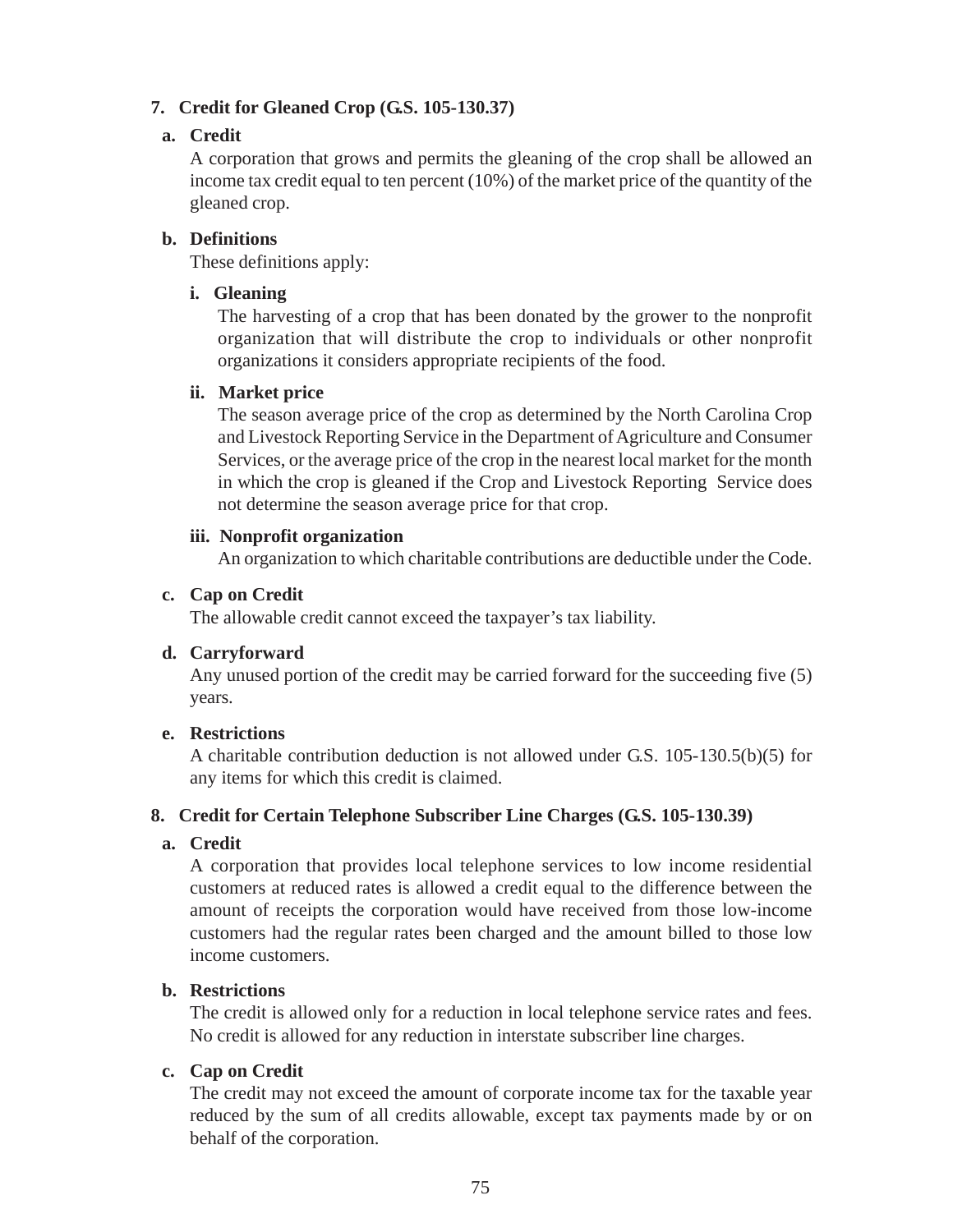## **7. Credit for Gleaned Crop (G.S. 105-130.37)**

### **a. Credit**

A corporation that grows and permits the gleaning of the crop shall be allowed an income tax credit equal to ten percent (10%) of the market price of the quantity of the gleaned crop.

### **b. Definitions**

These definitions apply:

### **i. Gleaning**

The harvesting of a crop that has been donated by the grower to the nonprofit organization that will distribute the crop to individuals or other nonprofit organizations it considers appropriate recipients of the food.

### **ii. Market price**

The season average price of the crop as determined by the North Carolina Crop and Livestock Reporting Service in the Department of Agriculture and Consumer Services, or the average price of the crop in the nearest local market for the month in which the crop is gleaned if the Crop and Livestock Reporting Service does not determine the season average price for that crop.

### **iii. Nonprofit organization**

An organization to which charitable contributions are deductible under the Code.

### **c. Cap on Credit**

The allowable credit cannot exceed the taxpayer's tax liability.

### **d. Carryforward**

Any unused portion of the credit may be carried forward for the succeeding five (5) years.

#### **e. Restrictions**

A charitable contribution deduction is not allowed under G.S. 105-130.5(b)(5) for any items for which this credit is claimed.

### **8. Credit for Certain Telephone Subscriber Line Charges (G.S. 105-130.39)**

### **a. Credit**

A corporation that provides local telephone services to low income residential customers at reduced rates is allowed a credit equal to the difference between the amount of receipts the corporation would have received from those low-income customers had the regular rates been charged and the amount billed to those low income customers.

### **b. Restrictions**

The credit is allowed only for a reduction in local telephone service rates and fees. No credit is allowed for any reduction in interstate subscriber line charges.

### **c. Cap on Credit**

The credit may not exceed the amount of corporate income tax for the taxable year reduced by the sum of all credits allowable, except tax payments made by or on behalf of the corporation.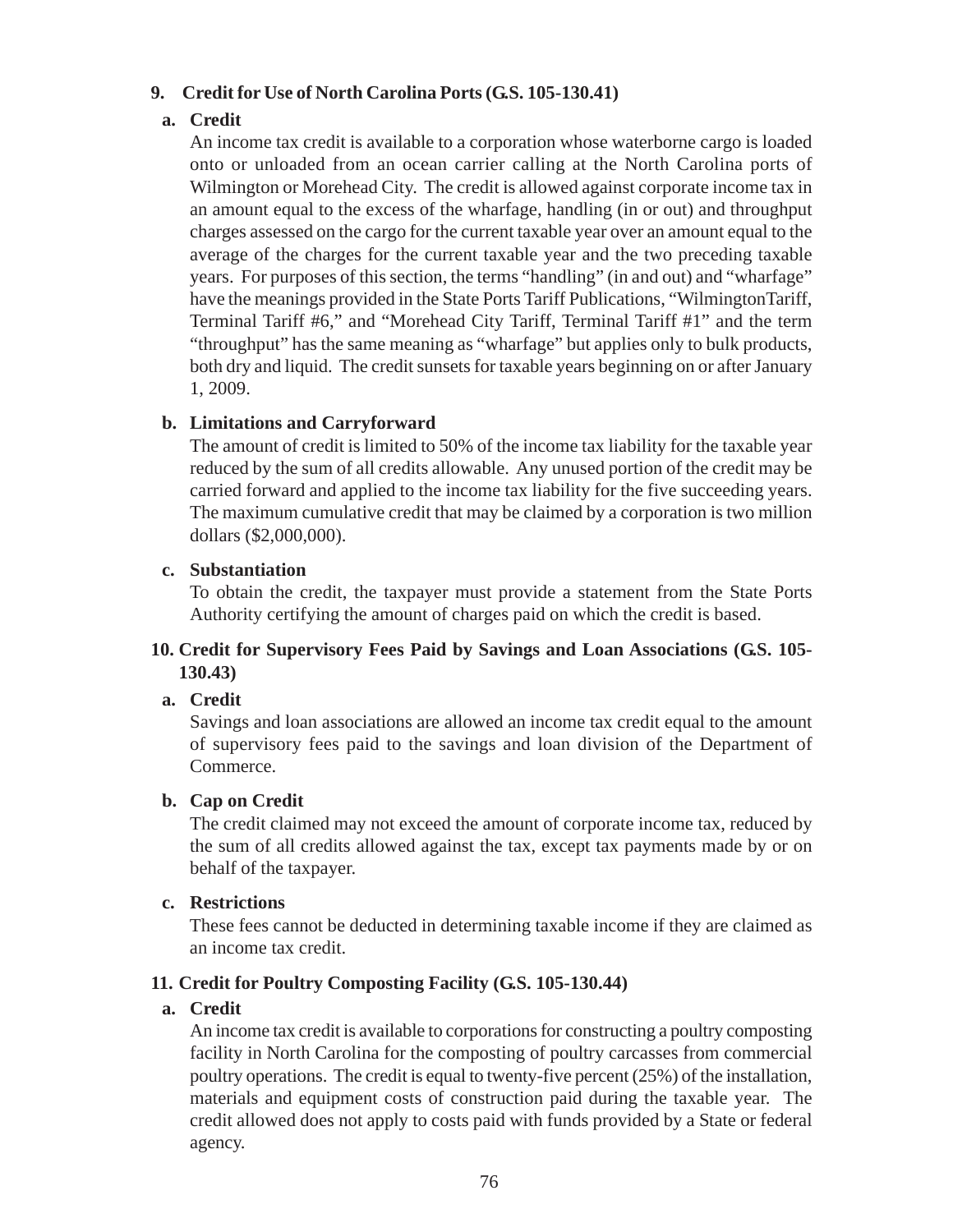### **9. Credit for Use of North Carolina Ports (G.S. 105-130.41)**

## **a. Credit**

An income tax credit is available to a corporation whose waterborne cargo is loaded onto or unloaded from an ocean carrier calling at the North Carolina ports of Wilmington or Morehead City. The credit is allowed against corporate income tax in an amount equal to the excess of the wharfage, handling (in or out) and throughput charges assessed on the cargo for the current taxable year over an amount equal to the average of the charges for the current taxable year and the two preceding taxable years. For purposes of this section, the terms "handling" (in and out) and "wharfage" have the meanings provided in the State Ports Tariff Publications, "WilmingtonTariff, Terminal Tariff #6," and "Morehead City Tariff, Terminal Tariff #1" and the term "throughput" has the same meaning as "wharfage" but applies only to bulk products, both dry and liquid. The credit sunsets for taxable years beginning on or after January 1, 2009.

### **b. Limitations and Carryforward**

The amount of credit is limited to 50% of the income tax liability for the taxable year reduced by the sum of all credits allowable. Any unused portion of the credit may be carried forward and applied to the income tax liability for the five succeeding years. The maximum cumulative credit that may be claimed by a corporation is two million dollars (\$2,000,000).

### **c. Substantiation**

To obtain the credit, the taxpayer must provide a statement from the State Ports Authority certifying the amount of charges paid on which the credit is based.

### **10. Credit for Supervisory Fees Paid by Savings and Loan Associations (G.S. 105- 130.43)**

### **a. Credit**

Savings and loan associations are allowed an income tax credit equal to the amount of supervisory fees paid to the savings and loan division of the Department of Commerce.

### **b. Cap on Credit**

The credit claimed may not exceed the amount of corporate income tax, reduced by the sum of all credits allowed against the tax, except tax payments made by or on behalf of the taxpayer.

#### **c. Restrictions**

These fees cannot be deducted in determining taxable income if they are claimed as an income tax credit.

### **11. Credit for Poultry Composting Facility (G.S. 105-130.44)**

### **a. Credit**

An income tax credit is available to corporations for constructing a poultry composting facility in North Carolina for the composting of poultry carcasses from commercial poultry operations. The credit is equal to twenty-five percent (25%) of the installation, materials and equipment costs of construction paid during the taxable year. The credit allowed does not apply to costs paid with funds provided by a State or federal agency.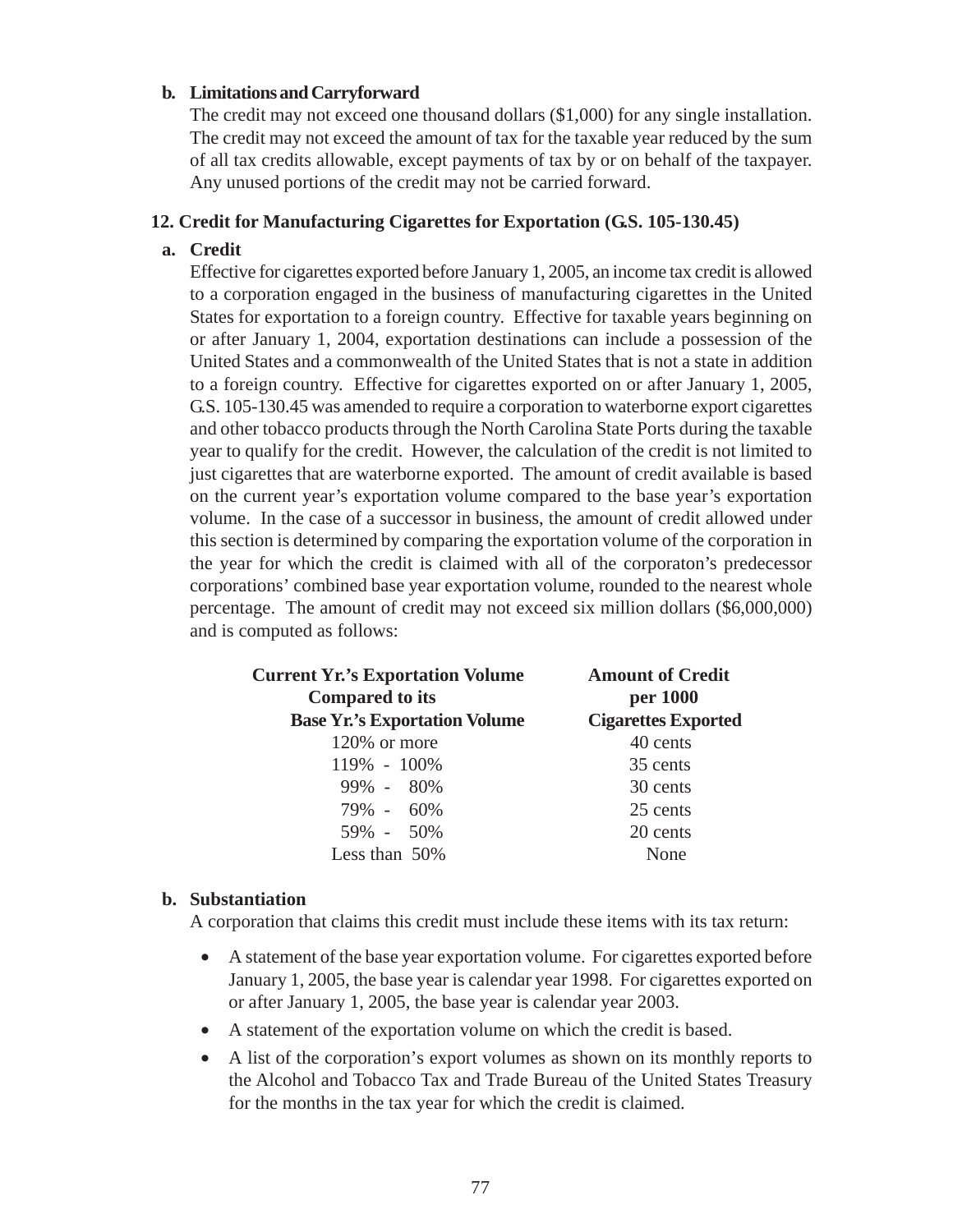#### **b. Limitations and Carryforward**

The credit may not exceed one thousand dollars (\$1,000) for any single installation. The credit may not exceed the amount of tax for the taxable year reduced by the sum of all tax credits allowable, except payments of tax by or on behalf of the taxpayer. Any unused portions of the credit may not be carried forward.

#### **12. Credit for Manufacturing Cigarettes for Exportation (G.S. 105-130.45)**

### **a. Credit**

Effective for cigarettes exported before January 1, 2005, an income tax credit is allowed to a corporation engaged in the business of manufacturing cigarettes in the United States for exportation to a foreign country. Effective for taxable years beginning on or after January 1, 2004, exportation destinations can include a possession of the United States and a commonwealth of the United States that is not a state in addition to a foreign country. Effective for cigarettes exported on or after January 1, 2005, G.S. 105-130.45 was amended to require a corporation to waterborne export cigarettes and other tobacco products through the North Carolina State Ports during the taxable year to qualify for the credit. However, the calculation of the credit is not limited to just cigarettes that are waterborne exported. The amount of credit available is based on the current year's exportation volume compared to the base year's exportation volume. In the case of a successor in business, the amount of credit allowed under this section is determined by comparing the exportation volume of the corporation in the year for which the credit is claimed with all of the corporaton's predecessor corporations' combined base year exportation volume, rounded to the nearest whole percentage. The amount of credit may not exceed six million dollars (\$6,000,000) and is computed as follows:

| <b>Current Yr.'s Exportation Volume</b><br><b>Compared to its</b> | <b>Amount of Credit</b><br>per 1000 |
|-------------------------------------------------------------------|-------------------------------------|
| <b>Base Yr.'s Exportation Volume</b>                              | <b>Cigarettes Exported</b>          |
| 120% or more                                                      | 40 cents                            |
| 119% - 100%                                                       | 35 cents                            |
| $99\% - 80\%$                                                     | 30 cents                            |
| 79% - 60%                                                         | 25 cents                            |
| 59% - 50%                                                         | 20 cents                            |
| Less than $50\%$                                                  | None                                |

#### **b. Substantiation**

A corporation that claims this credit must include these items with its tax return:

- A statement of the base year exportation volume. For cigarettes exported before January 1, 2005, the base year is calendar year 1998. For cigarettes exported on or after January 1, 2005, the base year is calendar year 2003.
- A statement of the exportation volume on which the credit is based.
- A list of the corporation's export volumes as shown on its monthly reports to the Alcohol and Tobacco Tax and Trade Bureau of the United States Treasury for the months in the tax year for which the credit is claimed.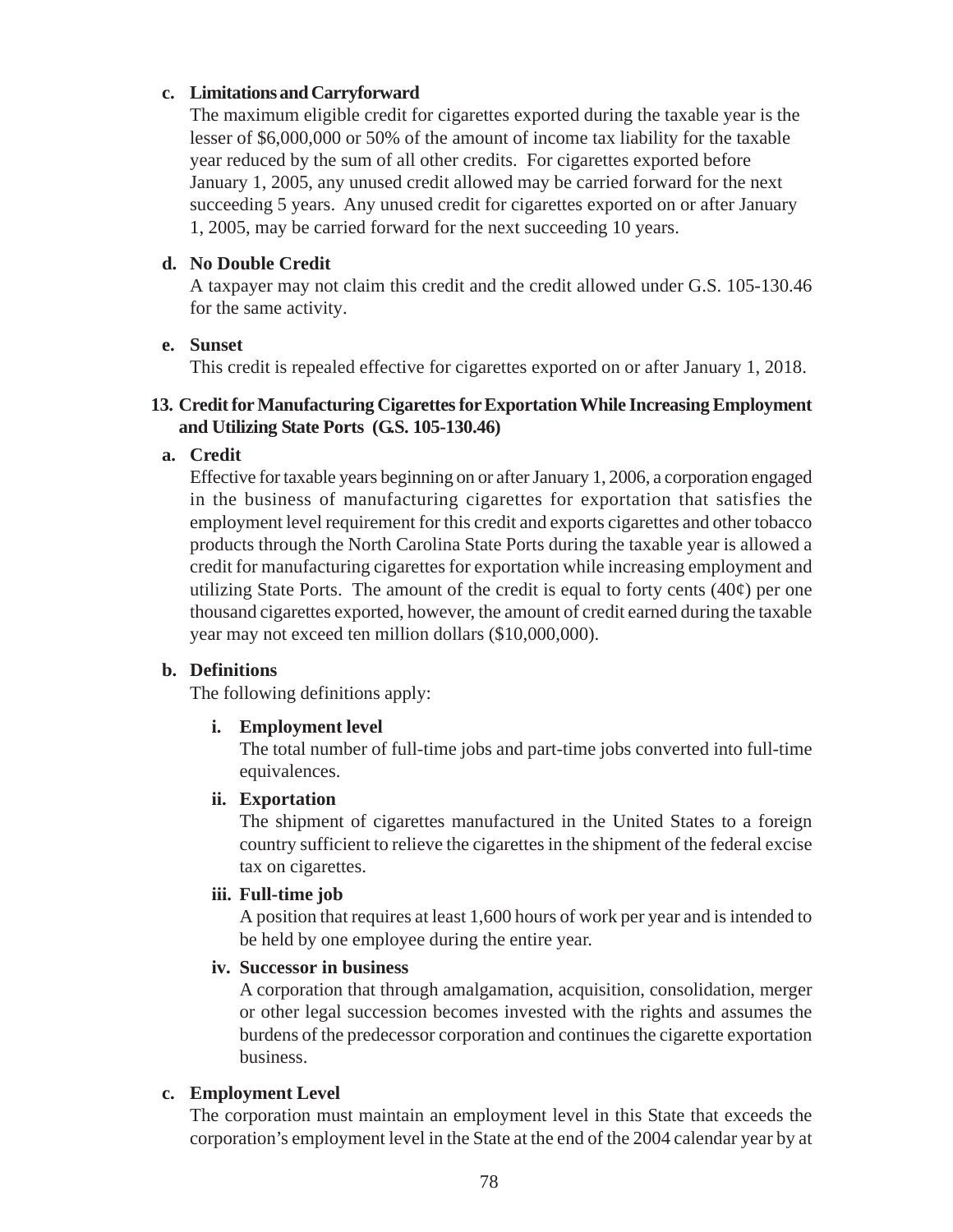### **c. Limitations and Carryforward**

The maximum eligible credit for cigarettes exported during the taxable year is the lesser of \$6,000,000 or 50% of the amount of income tax liability for the taxable year reduced by the sum of all other credits. For cigarettes exported before January 1, 2005, any unused credit allowed may be carried forward for the next succeeding 5 years. Any unused credit for cigarettes exported on or after January 1, 2005, may be carried forward for the next succeeding 10 years.

### **d. No Double Credit**

A taxpayer may not claim this credit and the credit allowed under G.S. 105-130.46 for the same activity.

### **e. Sunset**

This credit is repealed effective for cigarettes exported on or after January 1, 2018.

### **13. Credit for Manufacturing Cigarettes for Exportation While Increasing Employment and Utilizing State Ports (G.S. 105-130.46)**

### **a. Credit**

Effective for taxable years beginning on or after January 1, 2006, a corporation engaged in the business of manufacturing cigarettes for exportation that satisfies the employment level requirement for this credit and exports cigarettes and other tobacco products through the North Carolina State Ports during the taxable year is allowed a credit for manufacturing cigarettes for exportation while increasing employment and utilizing State Ports. The amount of the credit is equal to forty cents  $(40¢)$  per one thousand cigarettes exported, however, the amount of credit earned during the taxable year may not exceed ten million dollars (\$10,000,000).

### **b. Definitions**

The following definitions apply:

### **i. Employment level**

The total number of full-time jobs and part-time jobs converted into full-time equivalences.

#### **ii. Exportation**

The shipment of cigarettes manufactured in the United States to a foreign country sufficient to relieve the cigarettes in the shipment of the federal excise tax on cigarettes.

#### **iii. Full-time job**

A position that requires at least 1,600 hours of work per year and is intended to be held by one employee during the entire year.

#### **iv. Successor in business**

A corporation that through amalgamation, acquisition, consolidation, merger or other legal succession becomes invested with the rights and assumes the burdens of the predecessor corporation and continues the cigarette exportation business.

### **c. Employment Level**

The corporation must maintain an employment level in this State that exceeds the corporation's employment level in the State at the end of the 2004 calendar year by at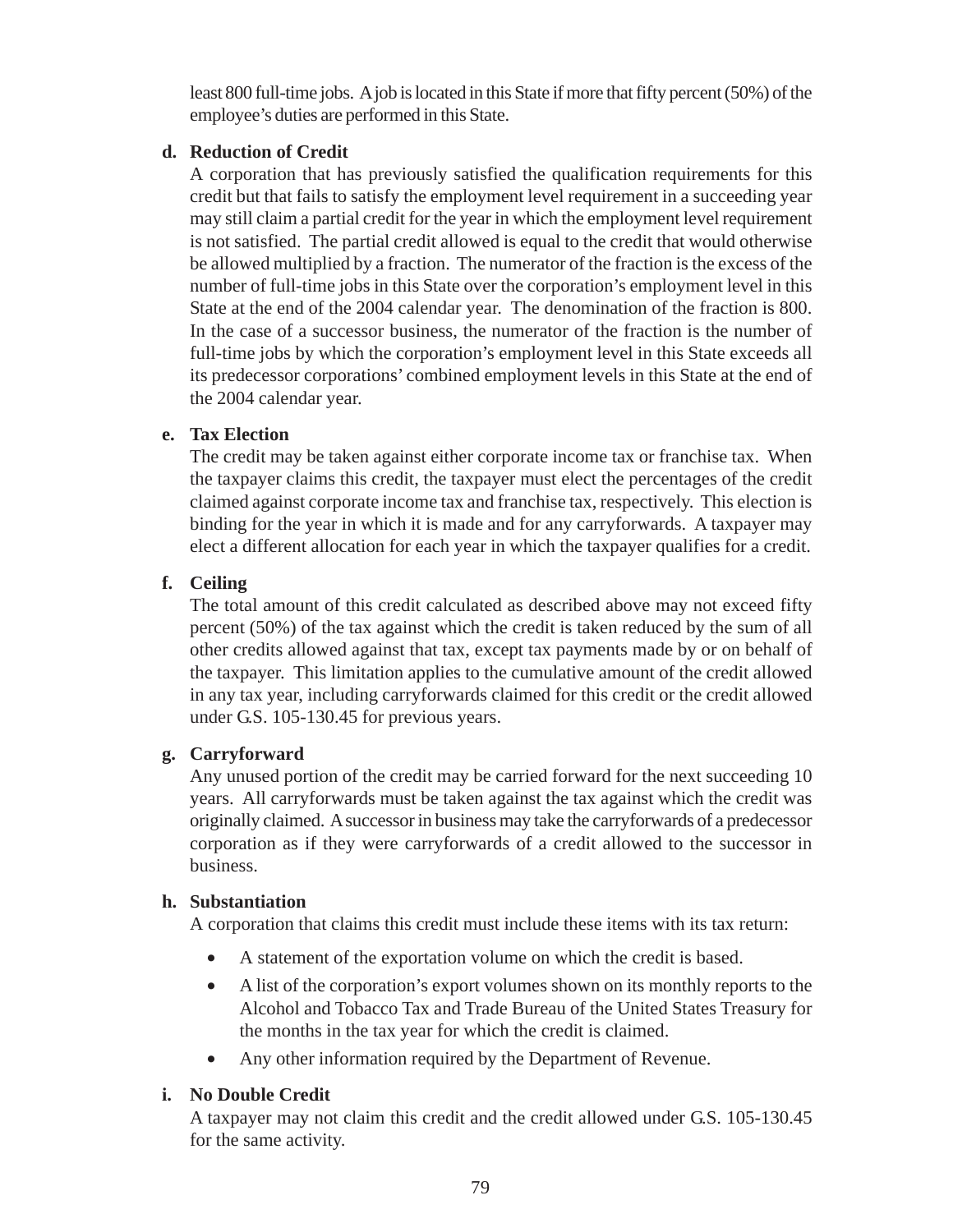least 800 full-time jobs. A job is located in this State if more that fifty percent (50%) of the employee's duties are performed in this State.

## **d. Reduction of Credit**

A corporation that has previously satisfied the qualification requirements for this credit but that fails to satisfy the employment level requirement in a succeeding year may still claim a partial credit for the year in which the employment level requirement is not satisfied. The partial credit allowed is equal to the credit that would otherwise be allowed multiplied by a fraction. The numerator of the fraction is the excess of the number of full-time jobs in this State over the corporation's employment level in this State at the end of the 2004 calendar year. The denomination of the fraction is 800. In the case of a successor business, the numerator of the fraction is the number of full-time jobs by which the corporation's employment level in this State exceeds all its predecessor corporations' combined employment levels in this State at the end of the 2004 calendar year.

### **e. Tax Election**

The credit may be taken against either corporate income tax or franchise tax. When the taxpayer claims this credit, the taxpayer must elect the percentages of the credit claimed against corporate income tax and franchise tax, respectively. This election is binding for the year in which it is made and for any carryforwards. A taxpayer may elect a different allocation for each year in which the taxpayer qualifies for a credit.

## **f. Ceiling**

The total amount of this credit calculated as described above may not exceed fifty percent (50%) of the tax against which the credit is taken reduced by the sum of all other credits allowed against that tax, except tax payments made by or on behalf of the taxpayer. This limitation applies to the cumulative amount of the credit allowed in any tax year, including carryforwards claimed for this credit or the credit allowed under G.S. 105-130.45 for previous years.

### **g. Carryforward**

Any unused portion of the credit may be carried forward for the next succeeding 10 years. All carryforwards must be taken against the tax against which the credit was originally claimed. A successor in business may take the carryforwards of a predecessor corporation as if they were carryforwards of a credit allowed to the successor in business.

### **h. Substantiation**

A corporation that claims this credit must include these items with its tax return:

- A statement of the exportation volume on which the credit is based.
- A list of the corporation's export volumes shown on its monthly reports to the Alcohol and Tobacco Tax and Trade Bureau of the United States Treasury for the months in the tax year for which the credit is claimed.
- Any other information required by the Department of Revenue.

# **i. No Double Credit**

A taxpayer may not claim this credit and the credit allowed under G.S. 105-130.45 for the same activity.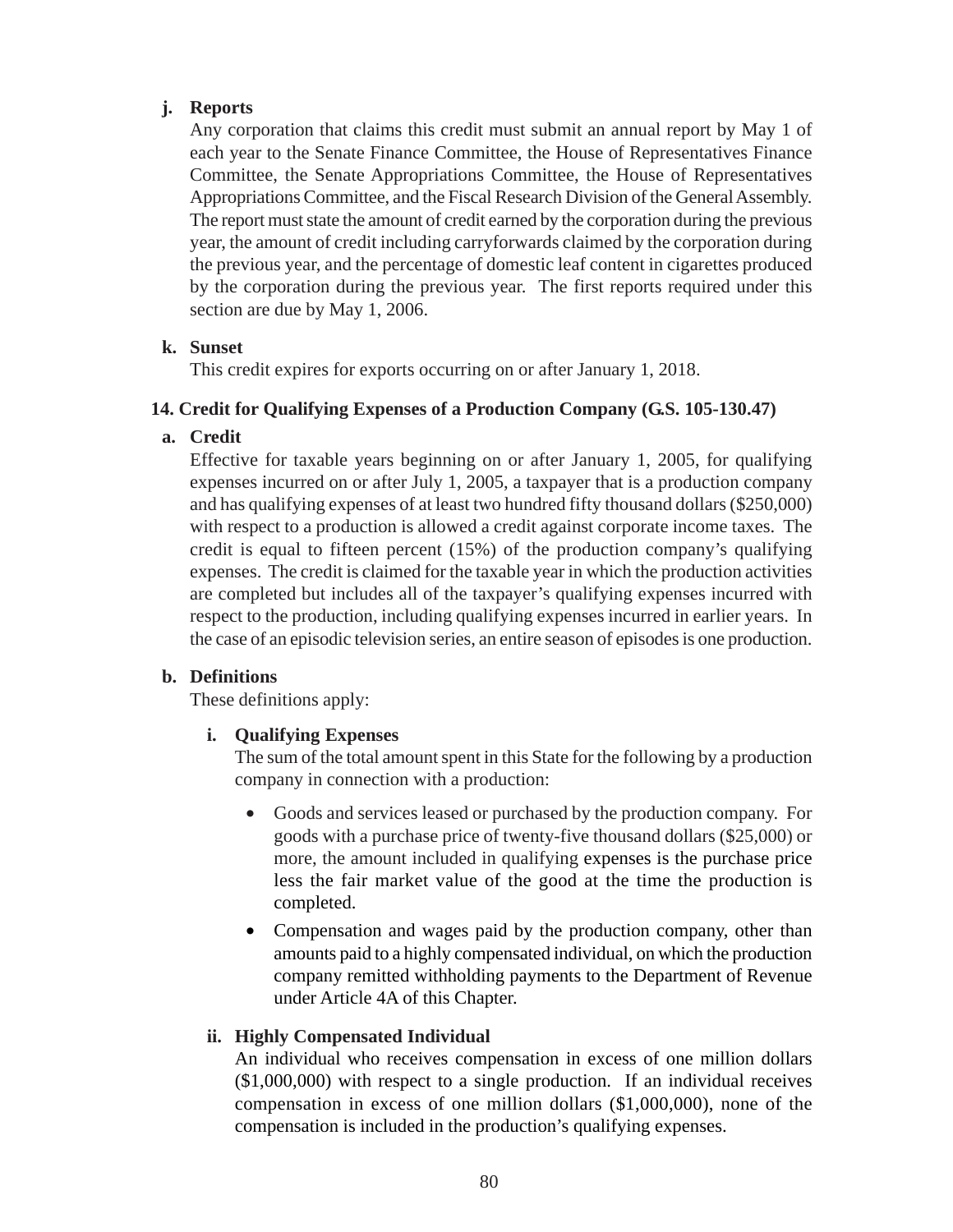## **j. Reports**

Any corporation that claims this credit must submit an annual report by May 1 of each year to the Senate Finance Committee, the House of Representatives Finance Committee, the Senate Appropriations Committee, the House of Representatives Appropriations Committee, and the Fiscal Research Division of the General Assembly. The report must state the amount of credit earned by the corporation during the previous year, the amount of credit including carryforwards claimed by the corporation during the previous year, and the percentage of domestic leaf content in cigarettes produced by the corporation during the previous year. The first reports required under this section are due by May 1, 2006.

### **k. Sunset**

This credit expires for exports occurring on or after January 1, 2018.

### **14. Credit for Qualifying Expenses of a Production Company (G.S. 105-130.47)**

## **a. Credit**

Effective for taxable years beginning on or after January 1, 2005, for qualifying expenses incurred on or after July 1, 2005, a taxpayer that is a production company and has qualifying expenses of at least two hundred fifty thousand dollars (\$250,000) with respect to a production is allowed a credit against corporate income taxes. The credit is equal to fifteen percent (15%) of the production company's qualifying expenses. The credit is claimed for the taxable year in which the production activities are completed but includes all of the taxpayer's qualifying expenses incurred with respect to the production, including qualifying expenses incurred in earlier years. In the case of an episodic television series, an entire season of episodes is one production.

### **b. Definitions**

These definitions apply:

# **i. Qualifying Expenses**

The sum of the total amount spent in this State for the following by a production company in connection with a production:

- Goods and services leased or purchased by the production company. For goods with a purchase price of twenty-five thousand dollars (\$25,000) or more, the amount included in qualifying expenses is the purchase price less the fair market value of the good at the time the production is completed.
- Compensation and wages paid by the production company, other than amounts paid to a highly compensated individual, on which the production company remitted withholding payments to the Department of Revenue under Article 4A of this Chapter.

# **ii. Highly Compensated Individual**

An individual who receives compensation in excess of one million dollars (\$1,000,000) with respect to a single production. If an individual receives compensation in excess of one million dollars (\$1,000,000), none of the compensation is included in the production's qualifying expenses.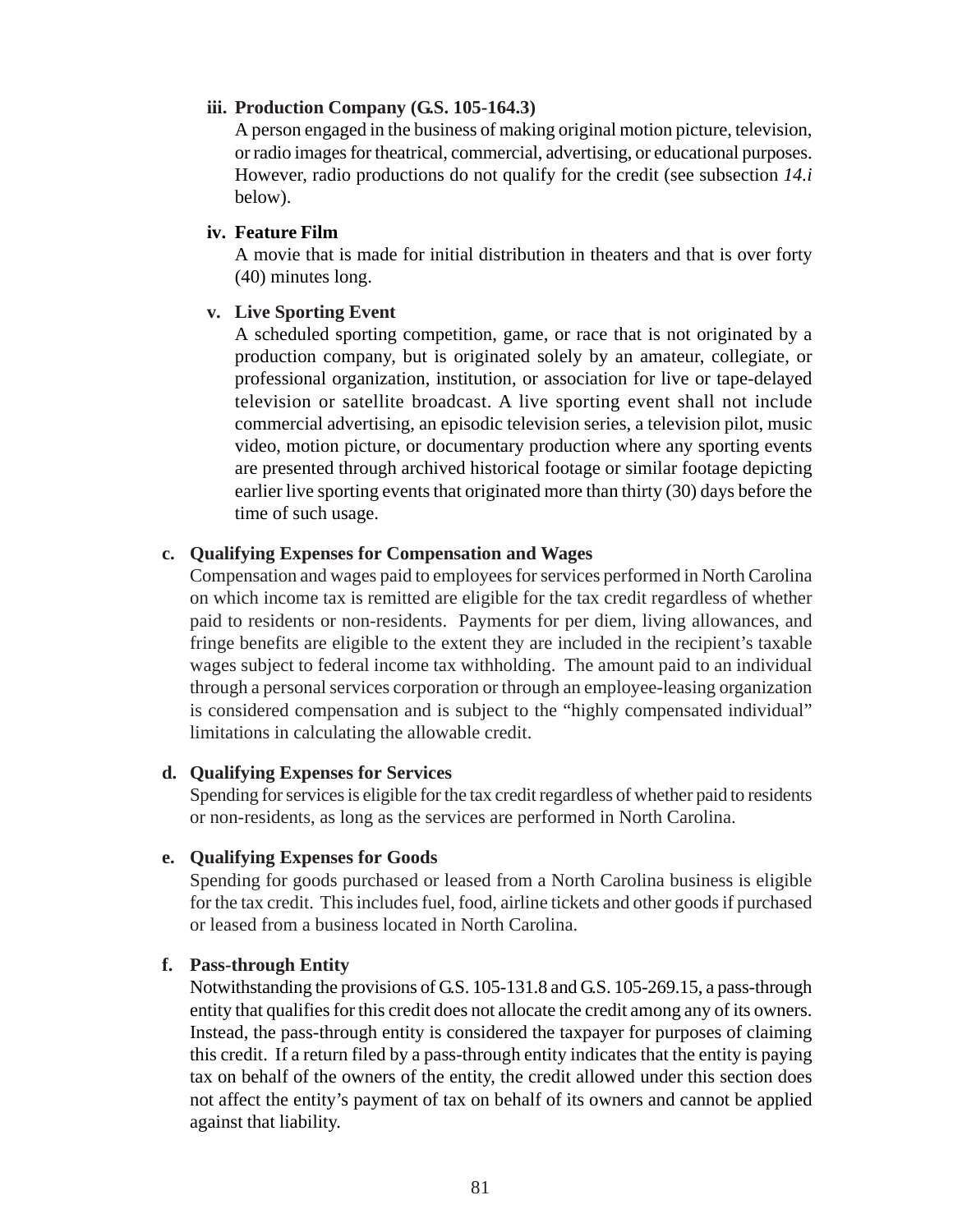#### **iii. Production Company (G.S. 105-164.3)**

A person engaged in the business of making original motion picture, television, or radio images for theatrical, commercial, advertising, or educational purposes. However, radio productions do not qualify for the credit (see subsection *14.i* below).

#### **iv. Feature Film**

A movie that is made for initial distribution in theaters and that is over forty (40) minutes long.

#### **v. Live Sporting Event**

A scheduled sporting competition, game, or race that is not originated by a production company, but is originated solely by an amateur, collegiate, or professional organization, institution, or association for live or tape-delayed television or satellite broadcast. A live sporting event shall not include commercial advertising, an episodic television series, a television pilot, music video, motion picture, or documentary production where any sporting events are presented through archived historical footage or similar footage depicting earlier live sporting events that originated more than thirty (30) days before the time of such usage.

#### **c. Qualifying Expenses for Compensation and Wages**

Compensation and wages paid to employees for services performed in North Carolina on which income tax is remitted are eligible for the tax credit regardless of whether paid to residents or non-residents. Payments for per diem, living allowances, and fringe benefits are eligible to the extent they are included in the recipient's taxable wages subject to federal income tax withholding. The amount paid to an individual through a personal services corporation or through an employee-leasing organization is considered compensation and is subject to the "highly compensated individual" limitations in calculating the allowable credit.

#### **d. Qualifying Expenses for Services**

Spending for services is eligible for the tax credit regardless of whether paid to residents or non-residents, as long as the services are performed in North Carolina.

#### **e. Qualifying Expenses for Goods**

Spending for goods purchased or leased from a North Carolina business is eligible for the tax credit. This includes fuel, food, airline tickets and other goods if purchased or leased from a business located in North Carolina.

#### **f. Pass-through Entity**

Notwithstanding the provisions of G.S. 105-131.8 and G.S. 105-269.15, a pass-through entity that qualifies for this credit does not allocate the credit among any of its owners. Instead, the pass-through entity is considered the taxpayer for purposes of claiming this credit. If a return filed by a pass-through entity indicates that the entity is paying tax on behalf of the owners of the entity, the credit allowed under this section does not affect the entity's payment of tax on behalf of its owners and cannot be applied against that liability.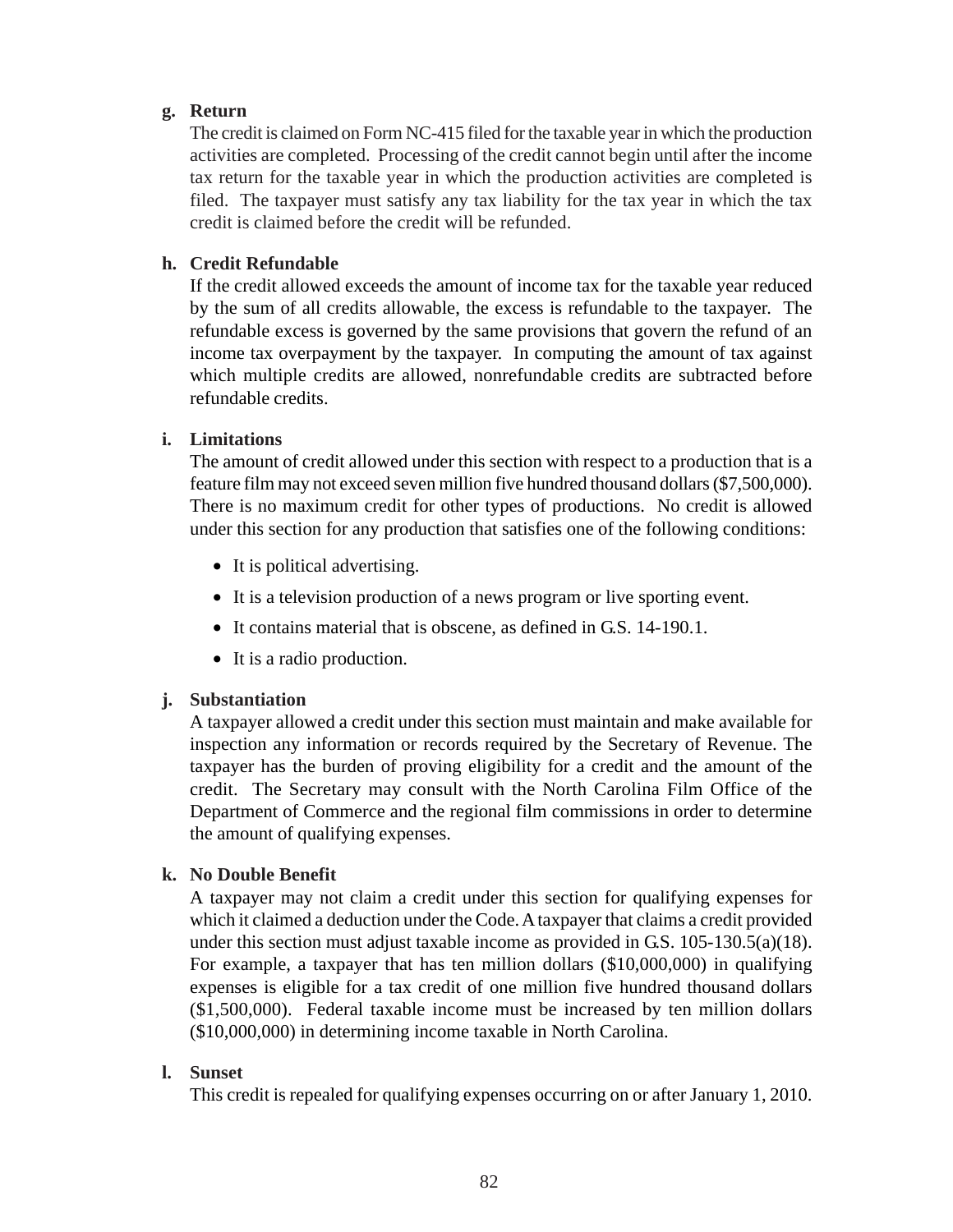### **g. Return**

The credit is claimed on Form NC-415 filed for the taxable year in which the production activities are completed. Processing of the credit cannot begin until after the income tax return for the taxable year in which the production activities are completed is filed. The taxpayer must satisfy any tax liability for the tax year in which the tax credit is claimed before the credit will be refunded.

### **h. Credit Refundable**

If the credit allowed exceeds the amount of income tax for the taxable year reduced by the sum of all credits allowable, the excess is refundable to the taxpayer. The refundable excess is governed by the same provisions that govern the refund of an income tax overpayment by the taxpayer. In computing the amount of tax against which multiple credits are allowed, nonrefundable credits are subtracted before refundable credits.

### **i. Limitations**

The amount of credit allowed under this section with respect to a production that is a feature film may not exceed seven million five hundred thousand dollars (\$7,500,000). There is no maximum credit for other types of productions. No credit is allowed under this section for any production that satisfies one of the following conditions:

- It is political advertising.
- It is a television production of a news program or live sporting event.
- It contains material that is obscene, as defined in G.S. 14-190.1.
- It is a radio production.

### **j. Substantiation**

A taxpayer allowed a credit under this section must maintain and make available for inspection any information or records required by the Secretary of Revenue. The taxpayer has the burden of proving eligibility for a credit and the amount of the credit. The Secretary may consult with the North Carolina Film Office of the Department of Commerce and the regional film commissions in order to determine the amount of qualifying expenses.

### **k. No Double Benefit**

A taxpayer may not claim a credit under this section for qualifying expenses for which it claimed a deduction under the Code. A taxpayer that claims a credit provided under this section must adjust taxable income as provided in G.S.  $105-130.5(a)(18)$ . For example, a taxpayer that has ten million dollars (\$10,000,000) in qualifying expenses is eligible for a tax credit of one million five hundred thousand dollars (\$1,500,000). Federal taxable income must be increased by ten million dollars (\$10,000,000) in determining income taxable in North Carolina.

#### **l. Sunset**

This credit is repealed for qualifying expenses occurring on or after January 1, 2010.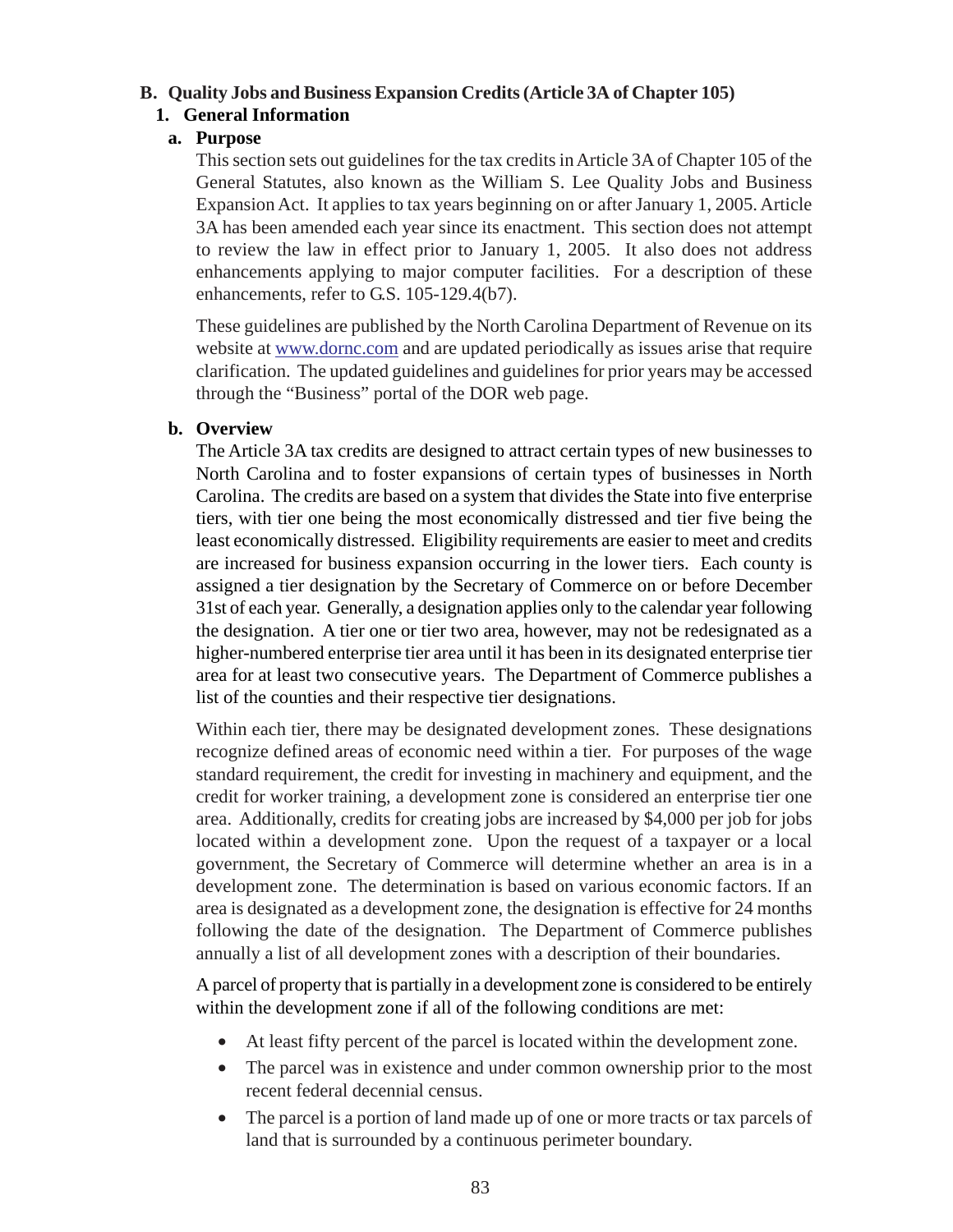#### **B. Quality Jobs and Business Expansion Credits (Article 3A of Chapter 105)**

### **1. General Information**

### **a. Purpose**

This section sets out guidelines for the tax credits in Article 3A of Chapter 105 of the General Statutes, also known as the William S. Lee Quality Jobs and Business Expansion Act. It applies to tax years beginning on or after January 1, 2005. Article 3A has been amended each year since its enactment. This section does not attempt to review the law in effect prior to January 1, 2005. It also does not address enhancements applying to major computer facilities. For a description of these enhancements, refer to G.S. 105-129.4(b7).

These guidelines are published by the North Carolina Department of Revenue on its website at www.dornc.com and are updated periodically as issues arise that require clarification. The updated guidelines and guidelines for prior years may be accessed through the "Business" portal of the DOR web page.

### **b. Overview**

The Article 3A tax credits are designed to attract certain types of new businesses to North Carolina and to foster expansions of certain types of businesses in North Carolina. The credits are based on a system that divides the State into five enterprise tiers, with tier one being the most economically distressed and tier five being the least economically distressed. Eligibility requirements are easier to meet and credits are increased for business expansion occurring in the lower tiers. Each county is assigned a tier designation by the Secretary of Commerce on or before December 31st of each year. Generally, a designation applies only to the calendar year following the designation. A tier one or tier two area, however, may not be redesignated as a higher-numbered enterprise tier area until it has been in its designated enterprise tier area for at least two consecutive years. The Department of Commerce publishes a list of the counties and their respective tier designations.

Within each tier, there may be designated development zones. These designations recognize defined areas of economic need within a tier. For purposes of the wage standard requirement, the credit for investing in machinery and equipment, and the credit for worker training, a development zone is considered an enterprise tier one area. Additionally, credits for creating jobs are increased by \$4,000 per job for jobs located within a development zone. Upon the request of a taxpayer or a local government, the Secretary of Commerce will determine whether an area is in a development zone. The determination is based on various economic factors. If an area is designated as a development zone, the designation is effective for 24 months following the date of the designation. The Department of Commerce publishes annually a list of all development zones with a description of their boundaries.

A parcel of property that is partially in a development zone is considered to be entirely within the development zone if all of the following conditions are met:

- At least fifty percent of the parcel is located within the development zone.
- The parcel was in existence and under common ownership prior to the most recent federal decennial census.
- The parcel is a portion of land made up of one or more tracts or tax parcels of land that is surrounded by a continuous perimeter boundary.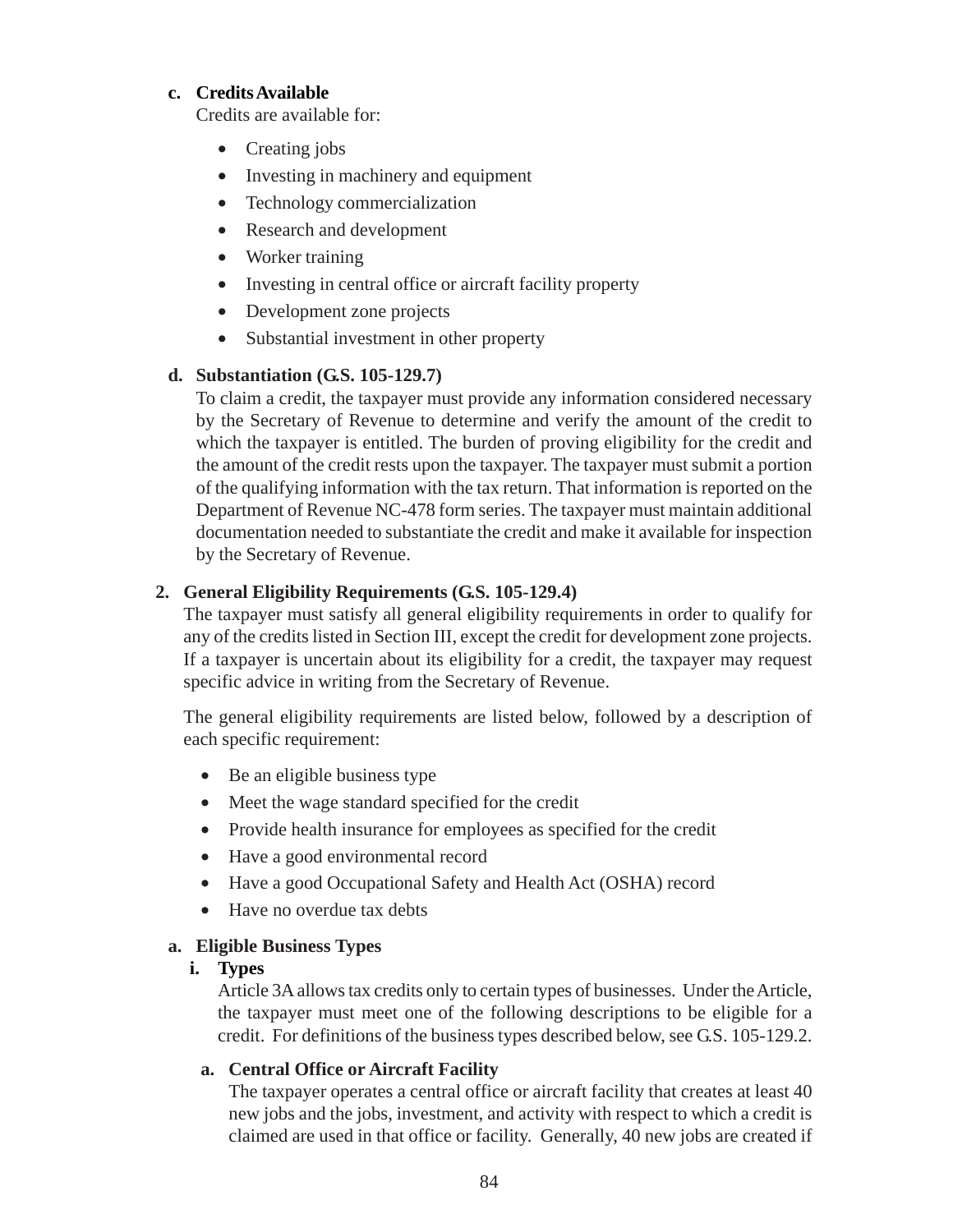### **c. Credits Available**

Credits are available for:

- Creating jobs
- Investing in machinery and equipment
- Technology commercialization
- Research and development
- Worker training
- Investing in central office or aircraft facility property
- Development zone projects
- Substantial investment in other property

### **d. Substantiation (G.S. 105-129.7)**

To claim a credit, the taxpayer must provide any information considered necessary by the Secretary of Revenue to determine and verify the amount of the credit to which the taxpayer is entitled. The burden of proving eligibility for the credit and the amount of the credit rests upon the taxpayer. The taxpayer must submit a portion of the qualifying information with the tax return. That information is reported on the Department of Revenue NC-478 form series. The taxpayer must maintain additional documentation needed to substantiate the credit and make it available for inspection by the Secretary of Revenue.

## **2. General Eligibility Requirements (G.S. 105-129.4)**

The taxpayer must satisfy all general eligibility requirements in order to qualify for any of the credits listed in Section III, except the credit for development zone projects. If a taxpayer is uncertain about its eligibility for a credit, the taxpayer may request specific advice in writing from the Secretary of Revenue.

The general eligibility requirements are listed below, followed by a description of each specific requirement:

- Be an eligible business type
- Meet the wage standard specified for the credit
- Provide health insurance for employees as specified for the credit
- Have a good environmental record
- Have a good Occupational Safety and Health Act (OSHA) record
- Have no overdue tax debts

### **a. Eligible Business Types**

### **i. Types**

Article 3A allows tax credits only to certain types of businesses. Under the Article, the taxpayer must meet one of the following descriptions to be eligible for a credit. For definitions of the business types described below, see G.S. 105-129.2.

### **a. Central Office or Aircraft Facility**

The taxpayer operates a central office or aircraft facility that creates at least 40 new jobs and the jobs, investment, and activity with respect to which a credit is claimed are used in that office or facility. Generally, 40 new jobs are created if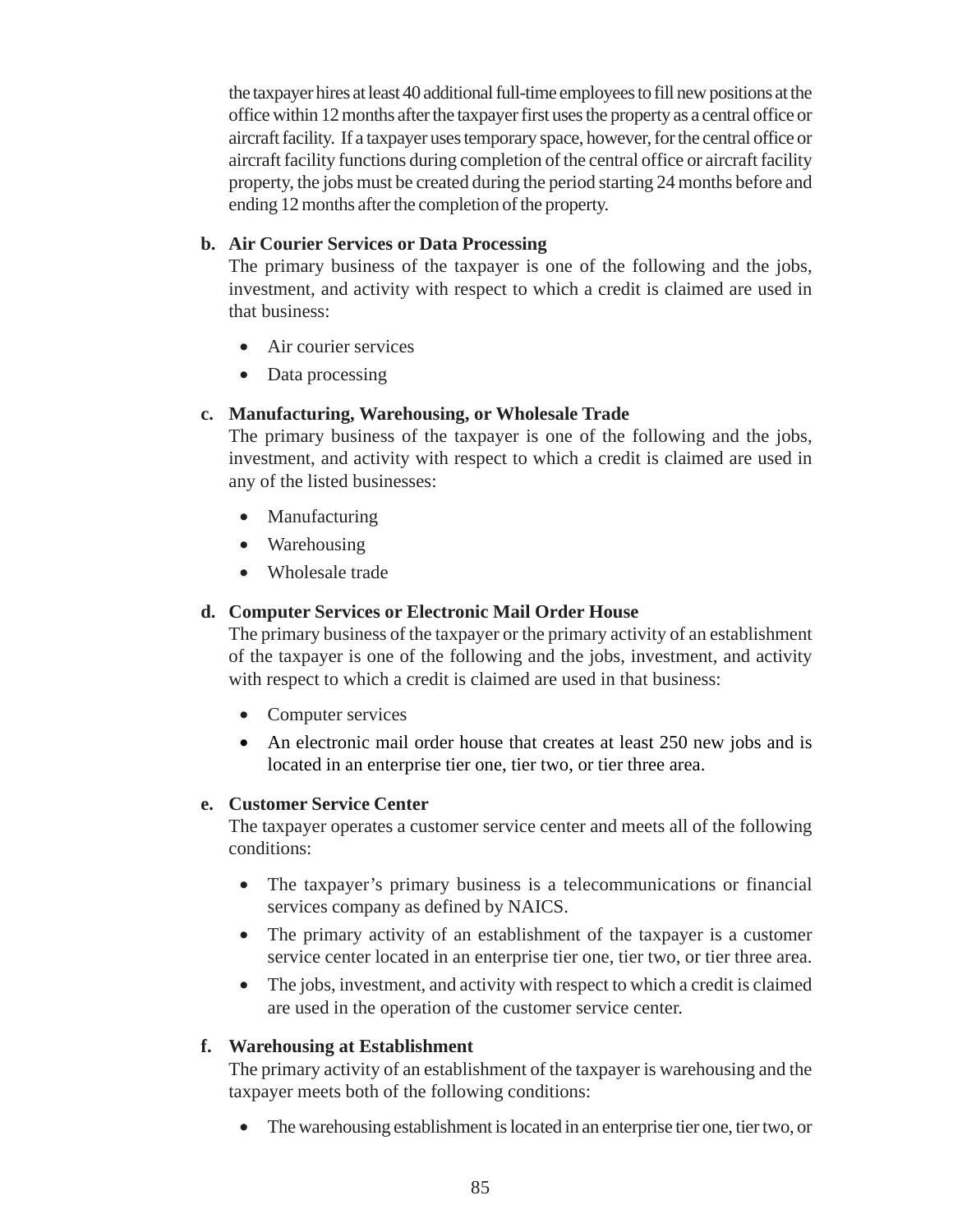the taxpayer hires at least 40 additional full-time employees to fill new positions at the office within 12 months after the taxpayer first uses the property as a central office or aircraft facility. If a taxpayer uses temporary space, however, for the central office or aircraft facility functions during completion of the central office or aircraft facility property, the jobs must be created during the period starting 24 months before and ending 12 months after the completion of the property.

### **b. Air Courier Services or Data Processing**

The primary business of the taxpayer is one of the following and the jobs, investment, and activity with respect to which a credit is claimed are used in that business:

- Air courier services
- Data processing

#### **c. Manufacturing, Warehousing, or Wholesale Trade**

The primary business of the taxpayer is one of the following and the jobs, investment, and activity with respect to which a credit is claimed are used in any of the listed businesses:

- Manufacturing
- Warehousing
- Wholesale trade

### **d. Computer Services or Electronic Mail Order House**

The primary business of the taxpayer or the primary activity of an establishment of the taxpayer is one of the following and the jobs, investment, and activity with respect to which a credit is claimed are used in that business:

- Computer services
- An electronic mail order house that creates at least 250 new jobs and is located in an enterprise tier one, tier two, or tier three area.

#### **e. Customer Service Center**

The taxpayer operates a customer service center and meets all of the following conditions:

- The taxpayer's primary business is a telecommunications or financial services company as defined by NAICS.
- The primary activity of an establishment of the taxpayer is a customer service center located in an enterprise tier one, tier two, or tier three area.
- The jobs, investment, and activity with respect to which a credit is claimed are used in the operation of the customer service center.

### **f. Warehousing at Establishment**

The primary activity of an establishment of the taxpayer is warehousing and the taxpayer meets both of the following conditions:

• The warehousing establishment is located in an enterprise tier one, tier two, or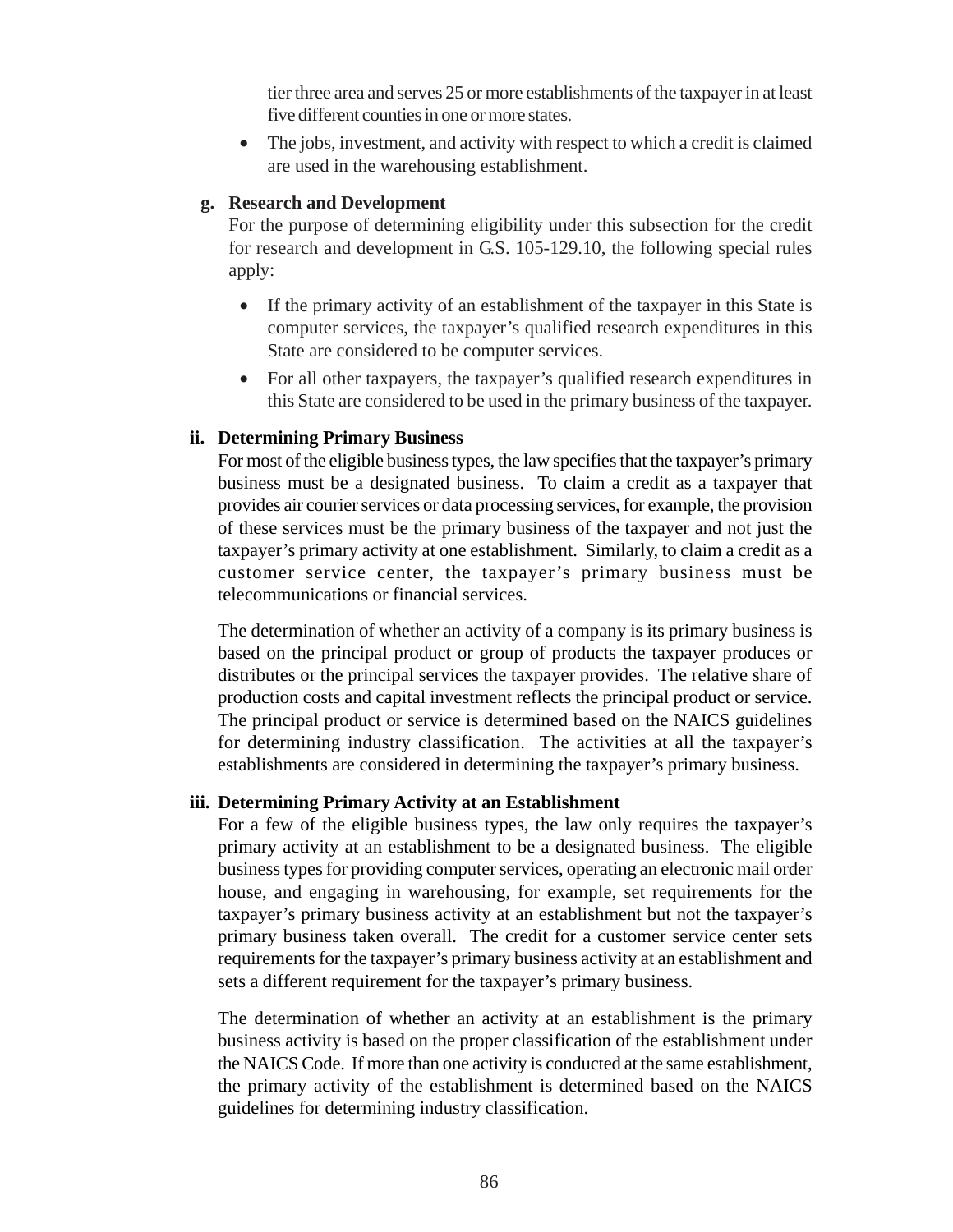tier three area and serves 25 or more establishments of the taxpayer in at least five different counties in one or more states.

The jobs, investment, and activity with respect to which a credit is claimed are used in the warehousing establishment.

### **g. Research and Development**

For the purpose of determining eligibility under this subsection for the credit for research and development in G.S. 105-129.10, the following special rules apply:

- If the primary activity of an establishment of the taxpayer in this State is computer services, the taxpayer's qualified research expenditures in this State are considered to be computer services.
- For all other taxpayers, the taxpayer's qualified research expenditures in this State are considered to be used in the primary business of the taxpayer.

### **ii. Determining Primary Business**

For most of the eligible business types, the law specifies that the taxpayer's primary business must be a designated business. To claim a credit as a taxpayer that provides air courier services or data processing services, for example, the provision of these services must be the primary business of the taxpayer and not just the taxpayer's primary activity at one establishment. Similarly, to claim a credit as a customer service center, the taxpayer's primary business must be telecommunications or financial services.

The determination of whether an activity of a company is its primary business is based on the principal product or group of products the taxpayer produces or distributes or the principal services the taxpayer provides. The relative share of production costs and capital investment reflects the principal product or service. The principal product or service is determined based on the NAICS guidelines for determining industry classification. The activities at all the taxpayer's establishments are considered in determining the taxpayer's primary business.

#### **iii. Determining Primary Activity at an Establishment**

For a few of the eligible business types, the law only requires the taxpayer's primary activity at an establishment to be a designated business. The eligible business types for providing computer services, operating an electronic mail order house, and engaging in warehousing, for example, set requirements for the taxpayer's primary business activity at an establishment but not the taxpayer's primary business taken overall. The credit for a customer service center sets requirements for the taxpayer's primary business activity at an establishment and sets a different requirement for the taxpayer's primary business.

The determination of whether an activity at an establishment is the primary business activity is based on the proper classification of the establishment under the NAICS Code. If more than one activity is conducted at the same establishment, the primary activity of the establishment is determined based on the NAICS guidelines for determining industry classification.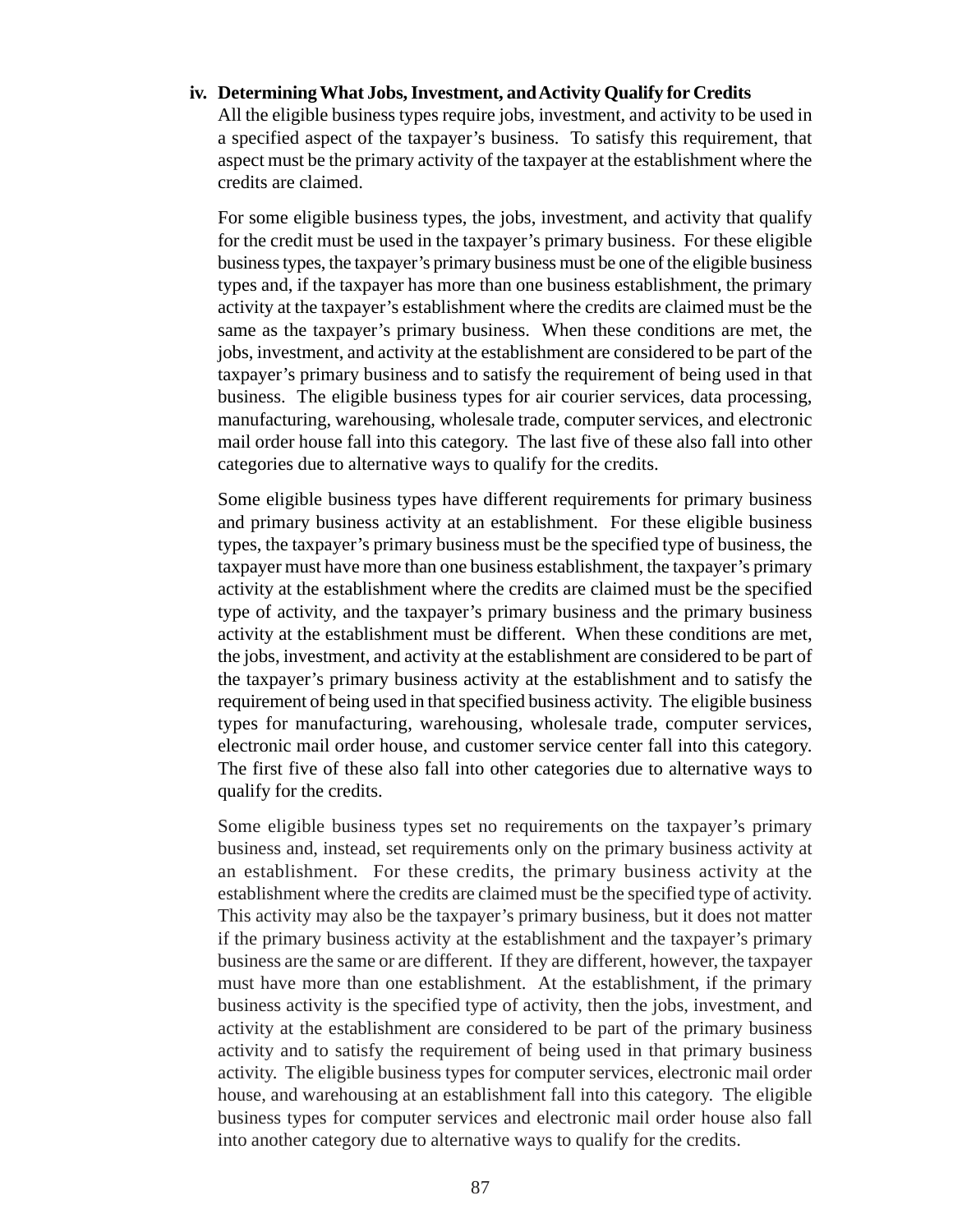#### **iv. Determining What Jobs, Investment, and Activity Qualify for Credits**

All the eligible business types require jobs, investment, and activity to be used in a specified aspect of the taxpayer's business. To satisfy this requirement, that aspect must be the primary activity of the taxpayer at the establishment where the credits are claimed.

For some eligible business types, the jobs, investment, and activity that qualify for the credit must be used in the taxpayer's primary business. For these eligible business types, the taxpayer's primary business must be one of the eligible business types and, if the taxpayer has more than one business establishment, the primary activity at the taxpayer's establishment where the credits are claimed must be the same as the taxpayer's primary business. When these conditions are met, the jobs, investment, and activity at the establishment are considered to be part of the taxpayer's primary business and to satisfy the requirement of being used in that business. The eligible business types for air courier services, data processing, manufacturing, warehousing, wholesale trade, computer services, and electronic mail order house fall into this category. The last five of these also fall into other categories due to alternative ways to qualify for the credits.

Some eligible business types have different requirements for primary business and primary business activity at an establishment. For these eligible business types, the taxpayer's primary business must be the specified type of business, the taxpayer must have more than one business establishment, the taxpayer's primary activity at the establishment where the credits are claimed must be the specified type of activity, and the taxpayer's primary business and the primary business activity at the establishment must be different. When these conditions are met, the jobs, investment, and activity at the establishment are considered to be part of the taxpayer's primary business activity at the establishment and to satisfy the requirement of being used in that specified business activity. The eligible business types for manufacturing, warehousing, wholesale trade, computer services, electronic mail order house, and customer service center fall into this category. The first five of these also fall into other categories due to alternative ways to qualify for the credits.

Some eligible business types set no requirements on the taxpayer's primary business and, instead, set requirements only on the primary business activity at an establishment. For these credits, the primary business activity at the establishment where the credits are claimed must be the specified type of activity. This activity may also be the taxpayer's primary business, but it does not matter if the primary business activity at the establishment and the taxpayer's primary business are the same or are different. If they are different, however, the taxpayer must have more than one establishment. At the establishment, if the primary business activity is the specified type of activity, then the jobs, investment, and activity at the establishment are considered to be part of the primary business activity and to satisfy the requirement of being used in that primary business activity. The eligible business types for computer services, electronic mail order house, and warehousing at an establishment fall into this category. The eligible business types for computer services and electronic mail order house also fall into another category due to alternative ways to qualify for the credits.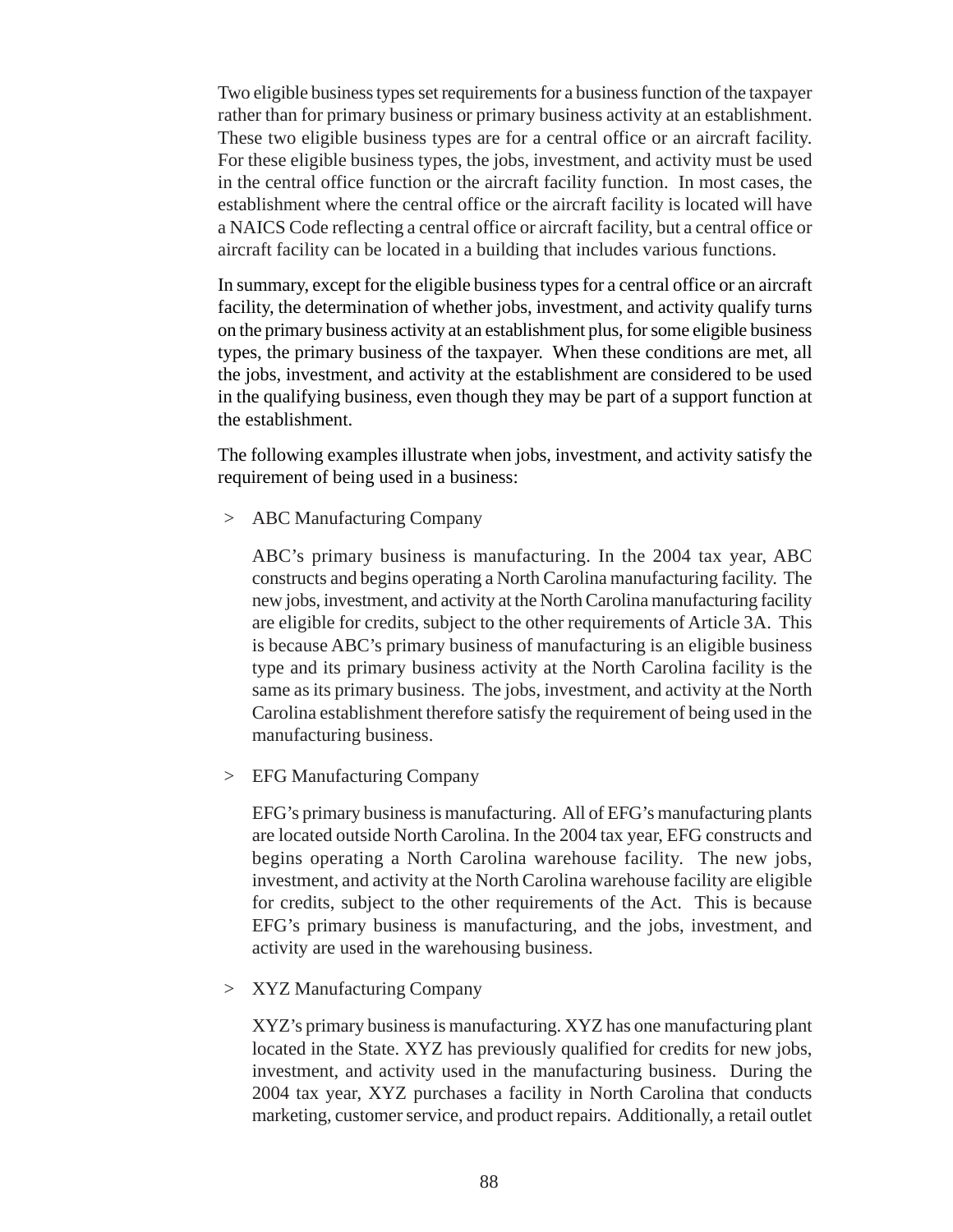Two eligible business types set requirements for a business function of the taxpayer rather than for primary business or primary business activity at an establishment. These two eligible business types are for a central office or an aircraft facility. For these eligible business types, the jobs, investment, and activity must be used in the central office function or the aircraft facility function. In most cases, the establishment where the central office or the aircraft facility is located will have a NAICS Code reflecting a central office or aircraft facility, but a central office or aircraft facility can be located in a building that includes various functions.

In summary, except for the eligible business types for a central office or an aircraft facility, the determination of whether jobs, investment, and activity qualify turns on the primary business activity at an establishment plus, for some eligible business types, the primary business of the taxpayer. When these conditions are met, all the jobs, investment, and activity at the establishment are considered to be used in the qualifying business, even though they may be part of a support function at the establishment.

The following examples illustrate when jobs, investment, and activity satisfy the requirement of being used in a business:

> ABC Manufacturing Company

ABC's primary business is manufacturing. In the 2004 tax year, ABC constructs and begins operating a North Carolina manufacturing facility. The new jobs, investment, and activity at the North Carolina manufacturing facility are eligible for credits, subject to the other requirements of Article 3A. This is because ABC's primary business of manufacturing is an eligible business type and its primary business activity at the North Carolina facility is the same as its primary business. The jobs, investment, and activity at the North Carolina establishment therefore satisfy the requirement of being used in the manufacturing business.

> EFG Manufacturing Company

EFG's primary business is manufacturing. All of EFG's manufacturing plants are located outside North Carolina. In the 2004 tax year, EFG constructs and begins operating a North Carolina warehouse facility. The new jobs, investment, and activity at the North Carolina warehouse facility are eligible for credits, subject to the other requirements of the Act. This is because EFG's primary business is manufacturing, and the jobs, investment, and activity are used in the warehousing business.

> XYZ Manufacturing Company

XYZ's primary business is manufacturing. XYZ has one manufacturing plant located in the State. XYZ has previously qualified for credits for new jobs, investment, and activity used in the manufacturing business. During the 2004 tax year, XYZ purchases a facility in North Carolina that conducts marketing, customer service, and product repairs. Additionally, a retail outlet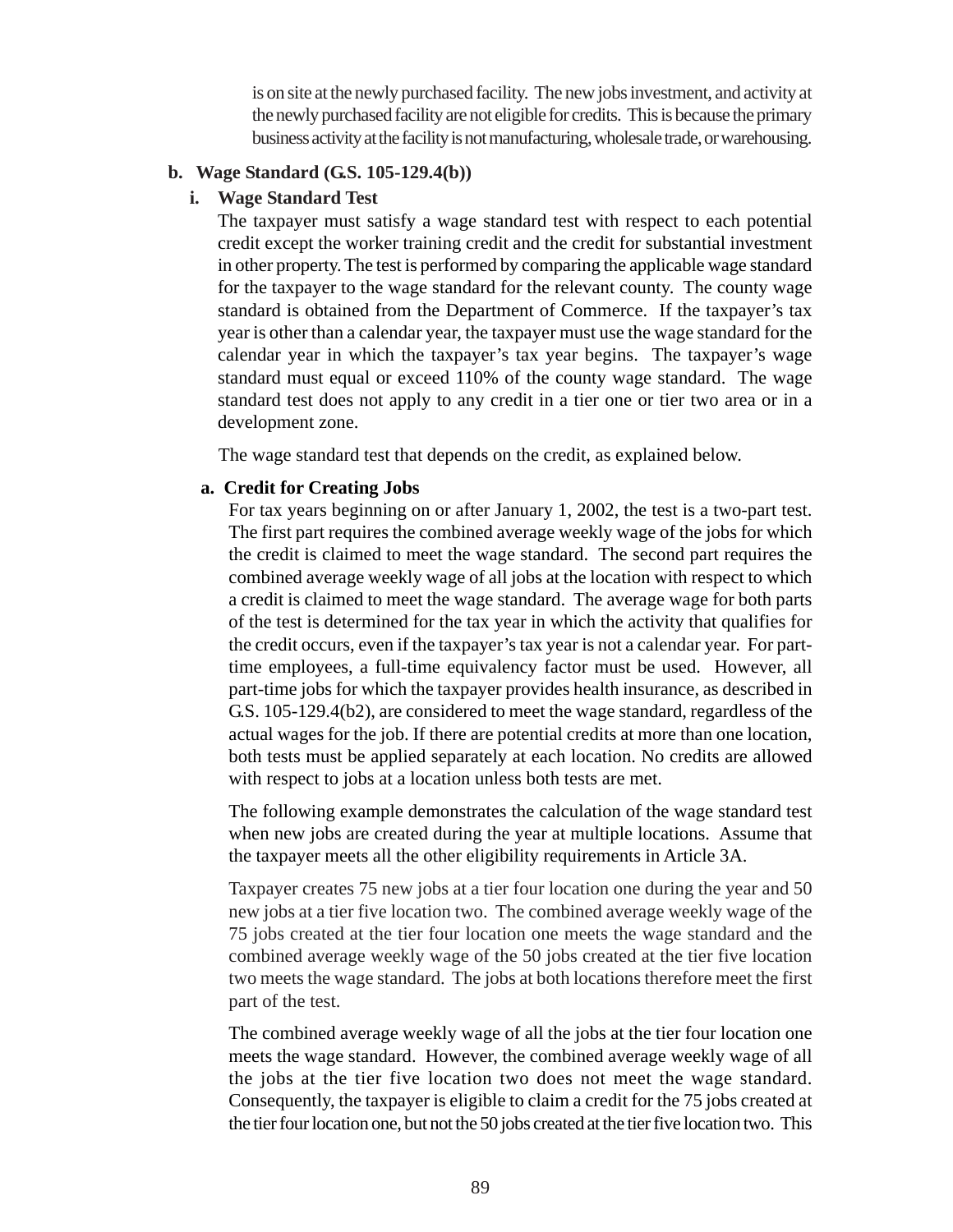is on site at the newly purchased facility. The new jobs investment, and activity at the newly purchased facility are not eligible for credits. This is because the primary business activity at the facility is not manufacturing, wholesale trade, or warehousing.

#### **b. Wage Standard (G.S. 105-129.4(b))**

#### **i. Wage Standard Test**

The taxpayer must satisfy a wage standard test with respect to each potential credit except the worker training credit and the credit for substantial investment in other property. The test is performed by comparing the applicable wage standard for the taxpayer to the wage standard for the relevant county. The county wage standard is obtained from the Department of Commerce. If the taxpayer's tax year is other than a calendar year, the taxpayer must use the wage standard for the calendar year in which the taxpayer's tax year begins. The taxpayer's wage standard must equal or exceed 110% of the county wage standard. The wage standard test does not apply to any credit in a tier one or tier two area or in a development zone.

The wage standard test that depends on the credit, as explained below.

#### **a. Credit for Creating Jobs**

For tax years beginning on or after January 1, 2002, the test is a two-part test. The first part requires the combined average weekly wage of the jobs for which the credit is claimed to meet the wage standard. The second part requires the combined average weekly wage of all jobs at the location with respect to which a credit is claimed to meet the wage standard. The average wage for both parts of the test is determined for the tax year in which the activity that qualifies for the credit occurs, even if the taxpayer's tax year is not a calendar year. For parttime employees, a full-time equivalency factor must be used. However, all part-time jobs for which the taxpayer provides health insurance, as described in G.S. 105-129.4(b2), are considered to meet the wage standard, regardless of the actual wages for the job. If there are potential credits at more than one location, both tests must be applied separately at each location. No credits are allowed with respect to jobs at a location unless both tests are met.

The following example demonstrates the calculation of the wage standard test when new jobs are created during the year at multiple locations. Assume that the taxpayer meets all the other eligibility requirements in Article 3A.

Taxpayer creates 75 new jobs at a tier four location one during the year and 50 new jobs at a tier five location two. The combined average weekly wage of the 75 jobs created at the tier four location one meets the wage standard and the combined average weekly wage of the 50 jobs created at the tier five location two meets the wage standard. The jobs at both locations therefore meet the first part of the test.

The combined average weekly wage of all the jobs at the tier four location one meets the wage standard. However, the combined average weekly wage of all the jobs at the tier five location two does not meet the wage standard. Consequently, the taxpayer is eligible to claim a credit for the 75 jobs created at the tier four location one, but not the 50 jobs created at the tier five location two. This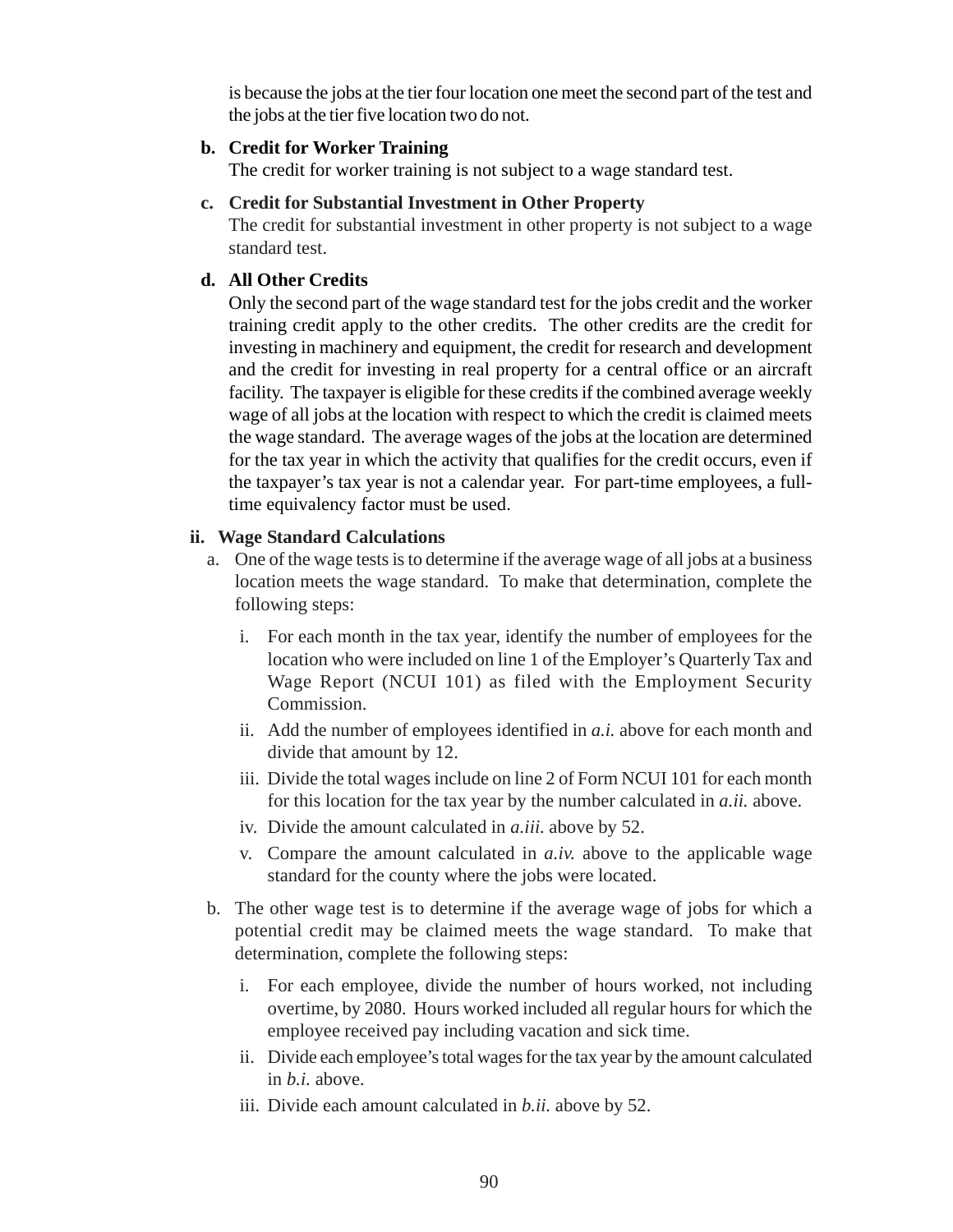is because the jobs at the tier four location one meet the second part of the test and the jobs at the tier five location two do not.

### **b. Credit for Worker Training**

The credit for worker training is not subject to a wage standard test.

### **c. Credit for Substantial Investment in Other Property**

The credit for substantial investment in other property is not subject to a wage standard test.

## **d. All Other Credits**

Only the second part of the wage standard test for the jobs credit and the worker training credit apply to the other credits. The other credits are the credit for investing in machinery and equipment, the credit for research and development and the credit for investing in real property for a central office or an aircraft facility. The taxpayer is eligible for these credits if the combined average weekly wage of all jobs at the location with respect to which the credit is claimed meets the wage standard. The average wages of the jobs at the location are determined for the tax year in which the activity that qualifies for the credit occurs, even if the taxpayer's tax year is not a calendar year. For part-time employees, a fulltime equivalency factor must be used.

### **ii. Wage Standard Calculations**

- a. One of the wage tests is to determine if the average wage of all jobs at a business location meets the wage standard. To make that determination, complete the following steps:
	- i. For each month in the tax year, identify the number of employees for the location who were included on line 1 of the Employer's Quarterly Tax and Wage Report (NCUI 101) as filed with the Employment Security Commission.
	- ii. Add the number of employees identified in *a.i.* above for each month and divide that amount by 12.
	- iii. Divide the total wages include on line 2 of Form NCUI 101 for each month for this location for the tax year by the number calculated in *a.ii.* above.
	- iv. Divide the amount calculated in *a.iii.* above by 52.
	- v. Compare the amount calculated in *a.iv.* above to the applicable wage standard for the county where the jobs were located.
- b. The other wage test is to determine if the average wage of jobs for which a potential credit may be claimed meets the wage standard. To make that determination, complete the following steps:
	- i. For each employee, divide the number of hours worked, not including overtime, by 2080. Hours worked included all regular hours for which the employee received pay including vacation and sick time.
	- ii. Divide each employee's total wages for the tax year by the amount calculated in *b.i.* above.
	- iii. Divide each amount calculated in *b.ii.* above by 52.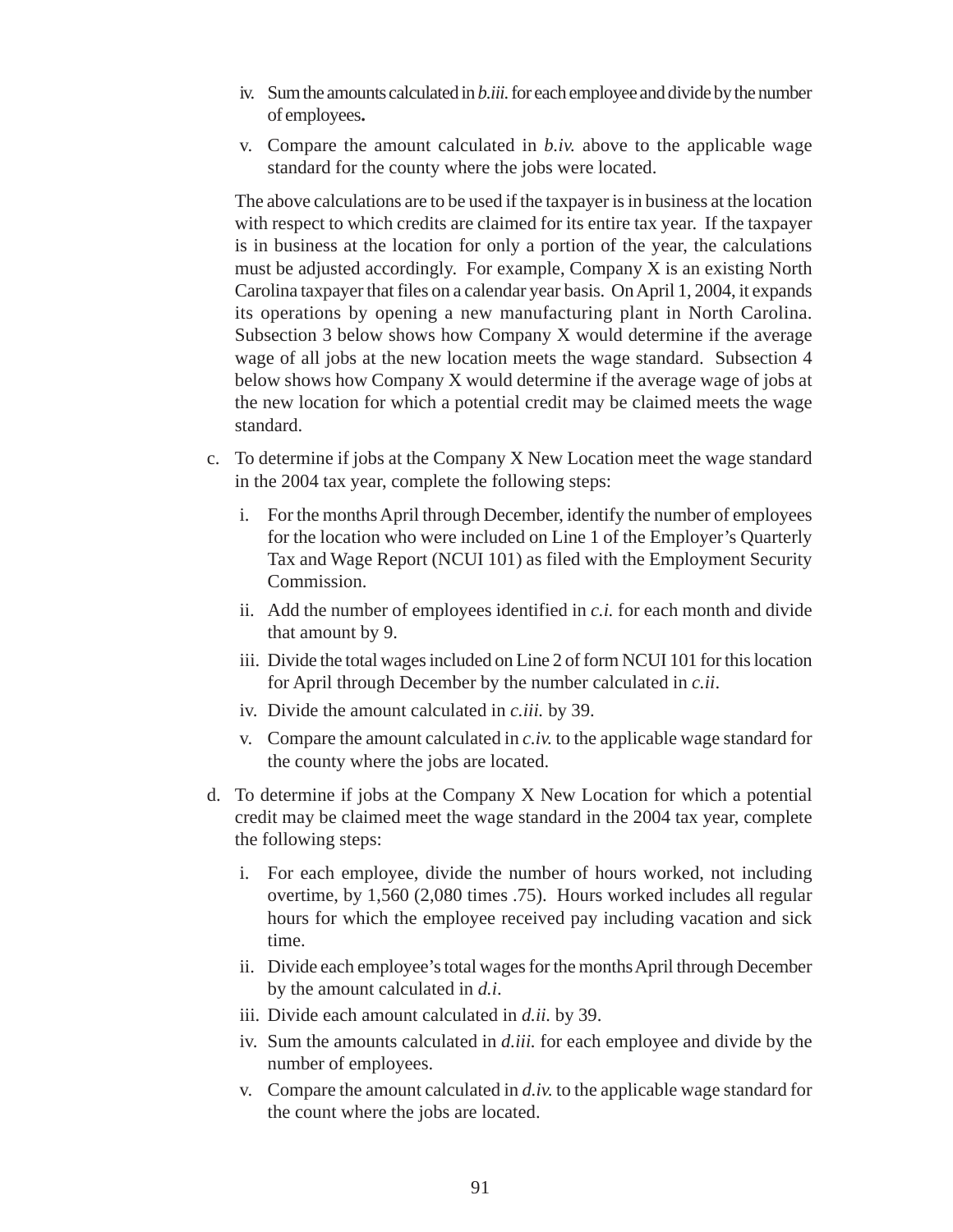- iv. Sum the amounts calculated in *b.iii.* for each employee and divide by the number of employees**.**
- v. Compare the amount calculated in *b.iv.* above to the applicable wage standard for the county where the jobs were located.

The above calculations are to be used if the taxpayer is in business at the location with respect to which credits are claimed for its entire tax year. If the taxpayer is in business at the location for only a portion of the year, the calculations must be adjusted accordingly. For example, Company X is an existing North Carolina taxpayer that files on a calendar year basis. On April 1, 2004, it expands its operations by opening a new manufacturing plant in North Carolina. Subsection 3 below shows how Company X would determine if the average wage of all jobs at the new location meets the wage standard. Subsection 4 below shows how Company X would determine if the average wage of jobs at the new location for which a potential credit may be claimed meets the wage standard.

- c. To determine if jobs at the Company X New Location meet the wage standard in the 2004 tax year, complete the following steps:
	- i. For the months April through December, identify the number of employees for the location who were included on Line 1 of the Employer's Quarterly Tax and Wage Report (NCUI 101) as filed with the Employment Security Commission.
	- ii. Add the number of employees identified in *c.i.* for each month and divide that amount by 9.
	- iii. Divide the total wages included on Line 2 of form NCUI 101 for this location for April through December by the number calculated in *c.ii*.
	- iv. Divide the amount calculated in *c.iii.* by 39.
	- v. Compare the amount calculated in *c.iv.* to the applicable wage standard for the county where the jobs are located.
- d. To determine if jobs at the Company X New Location for which a potential credit may be claimed meet the wage standard in the 2004 tax year, complete the following steps:
	- i. For each employee, divide the number of hours worked, not including overtime, by 1,560 (2,080 times .75). Hours worked includes all regular hours for which the employee received pay including vacation and sick time.
	- ii. Divide each employee's total wages for the months April through December by the amount calculated in *d.i*.
	- iii. Divide each amount calculated in *d.ii.* by 39.
	- iv. Sum the amounts calculated in *d.iii.* for each employee and divide by the number of employees.
	- v. Compare the amount calculated in *d.iv.* to the applicable wage standard for the count where the jobs are located.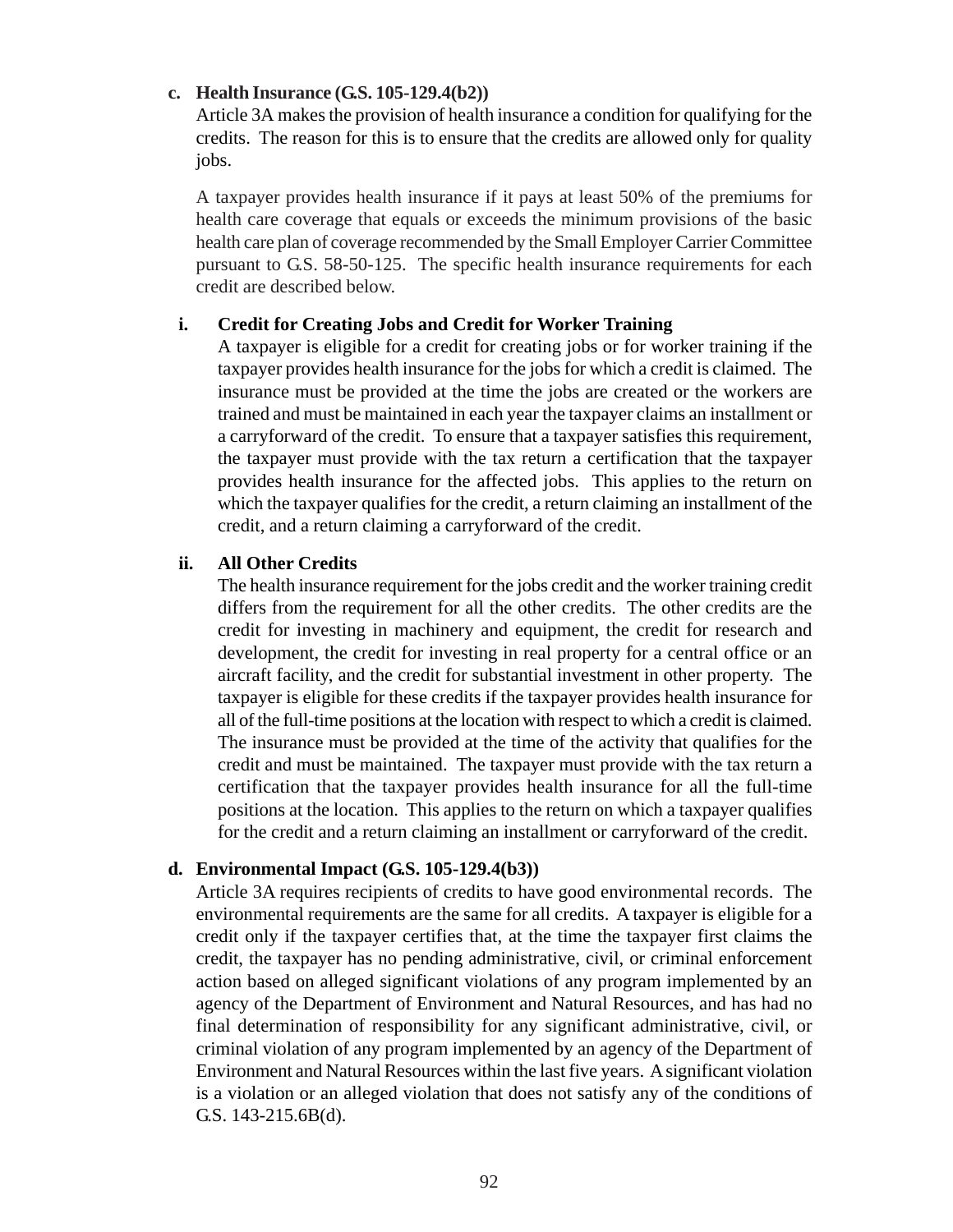#### **c. Health Insurance (G.S. 105-129.4(b2))**

Article 3A makes the provision of health insurance a condition for qualifying for the credits. The reason for this is to ensure that the credits are allowed only for quality jobs.

A taxpayer provides health insurance if it pays at least 50% of the premiums for health care coverage that equals or exceeds the minimum provisions of the basic health care plan of coverage recommended by the Small Employer Carrier Committee pursuant to G.S. 58-50-125. The specific health insurance requirements for each credit are described below.

#### **i. Credit for Creating Jobs and Credit for Worker Training**

A taxpayer is eligible for a credit for creating jobs or for worker training if the taxpayer provides health insurance for the jobs for which a credit is claimed. The insurance must be provided at the time the jobs are created or the workers are trained and must be maintained in each year the taxpayer claims an installment or a carryforward of the credit. To ensure that a taxpayer satisfies this requirement, the taxpayer must provide with the tax return a certification that the taxpayer provides health insurance for the affected jobs. This applies to the return on which the taxpayer qualifies for the credit, a return claiming an installment of the credit, and a return claiming a carryforward of the credit.

#### **ii. All Other Credits**

The health insurance requirement for the jobs credit and the worker training credit differs from the requirement for all the other credits. The other credits are the credit for investing in machinery and equipment, the credit for research and development, the credit for investing in real property for a central office or an aircraft facility, and the credit for substantial investment in other property. The taxpayer is eligible for these credits if the taxpayer provides health insurance for all of the full-time positions at the location with respect to which a credit is claimed. The insurance must be provided at the time of the activity that qualifies for the credit and must be maintained. The taxpayer must provide with the tax return a certification that the taxpayer provides health insurance for all the full-time positions at the location. This applies to the return on which a taxpayer qualifies for the credit and a return claiming an installment or carryforward of the credit.

#### **d. Environmental Impact (G.S. 105-129.4(b3))**

Article 3A requires recipients of credits to have good environmental records. The environmental requirements are the same for all credits. A taxpayer is eligible for a credit only if the taxpayer certifies that, at the time the taxpayer first claims the credit, the taxpayer has no pending administrative, civil, or criminal enforcement action based on alleged significant violations of any program implemented by an agency of the Department of Environment and Natural Resources, and has had no final determination of responsibility for any significant administrative, civil, or criminal violation of any program implemented by an agency of the Department of Environment and Natural Resources within the last five years. A significant violation is a violation or an alleged violation that does not satisfy any of the conditions of G.S. 143-215.6B(d).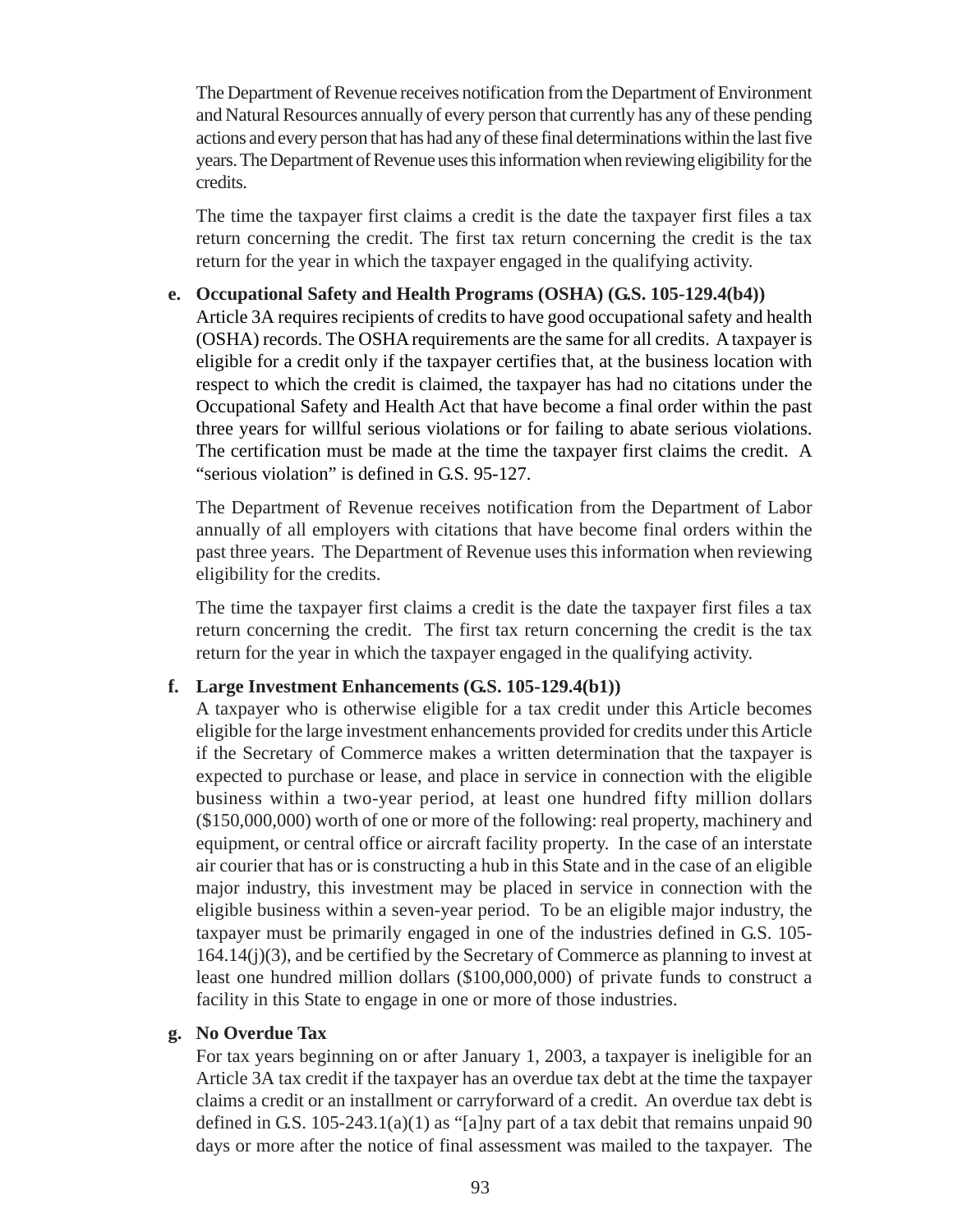The Department of Revenue receives notification from the Department of Environment and Natural Resources annually of every person that currently has any of these pending actions and every person that has had any of these final determinations within the last five years. The Department of Revenue uses this information when reviewing eligibility for the credits.

The time the taxpayer first claims a credit is the date the taxpayer first files a tax return concerning the credit. The first tax return concerning the credit is the tax return for the year in which the taxpayer engaged in the qualifying activity.

#### **e. Occupational Safety and Health Programs (OSHA) (G.S. 105-129.4(b4))**

Article 3A requires recipients of credits to have good occupational safety and health (OSHA) records. The OSHA requirements are the same for all credits. A taxpayer is eligible for a credit only if the taxpayer certifies that, at the business location with respect to which the credit is claimed, the taxpayer has had no citations under the Occupational Safety and Health Act that have become a final order within the past three years for willful serious violations or for failing to abate serious violations. The certification must be made at the time the taxpayer first claims the credit. A "serious violation" is defined in G.S. 95-127.

The Department of Revenue receives notification from the Department of Labor annually of all employers with citations that have become final orders within the past three years. The Department of Revenue uses this information when reviewing eligibility for the credits.

The time the taxpayer first claims a credit is the date the taxpayer first files a tax return concerning the credit. The first tax return concerning the credit is the tax return for the year in which the taxpayer engaged in the qualifying activity.

#### **f. Large Investment Enhancements (G.S. 105-129.4(b1))**

A taxpayer who is otherwise eligible for a tax credit under this Article becomes eligible for the large investment enhancements provided for credits under this Article if the Secretary of Commerce makes a written determination that the taxpayer is expected to purchase or lease, and place in service in connection with the eligible business within a two-year period, at least one hundred fifty million dollars (\$150,000,000) worth of one or more of the following: real property, machinery and equipment, or central office or aircraft facility property. In the case of an interstate air courier that has or is constructing a hub in this State and in the case of an eligible major industry, this investment may be placed in service in connection with the eligible business within a seven-year period. To be an eligible major industry, the taxpayer must be primarily engaged in one of the industries defined in G.S. 105- 164.14(j)(3), and be certified by the Secretary of Commerce as planning to invest at least one hundred million dollars (\$100,000,000) of private funds to construct a facility in this State to engage in one or more of those industries.

#### **g. No Overdue Tax**

For tax years beginning on or after January 1, 2003, a taxpayer is ineligible for an Article 3A tax credit if the taxpayer has an overdue tax debt at the time the taxpayer claims a credit or an installment or carryforward of a credit. An overdue tax debt is defined in G.S.  $105-243.1(a)(1)$  as "[a]ny part of a tax debit that remains unpaid 90 days or more after the notice of final assessment was mailed to the taxpayer. The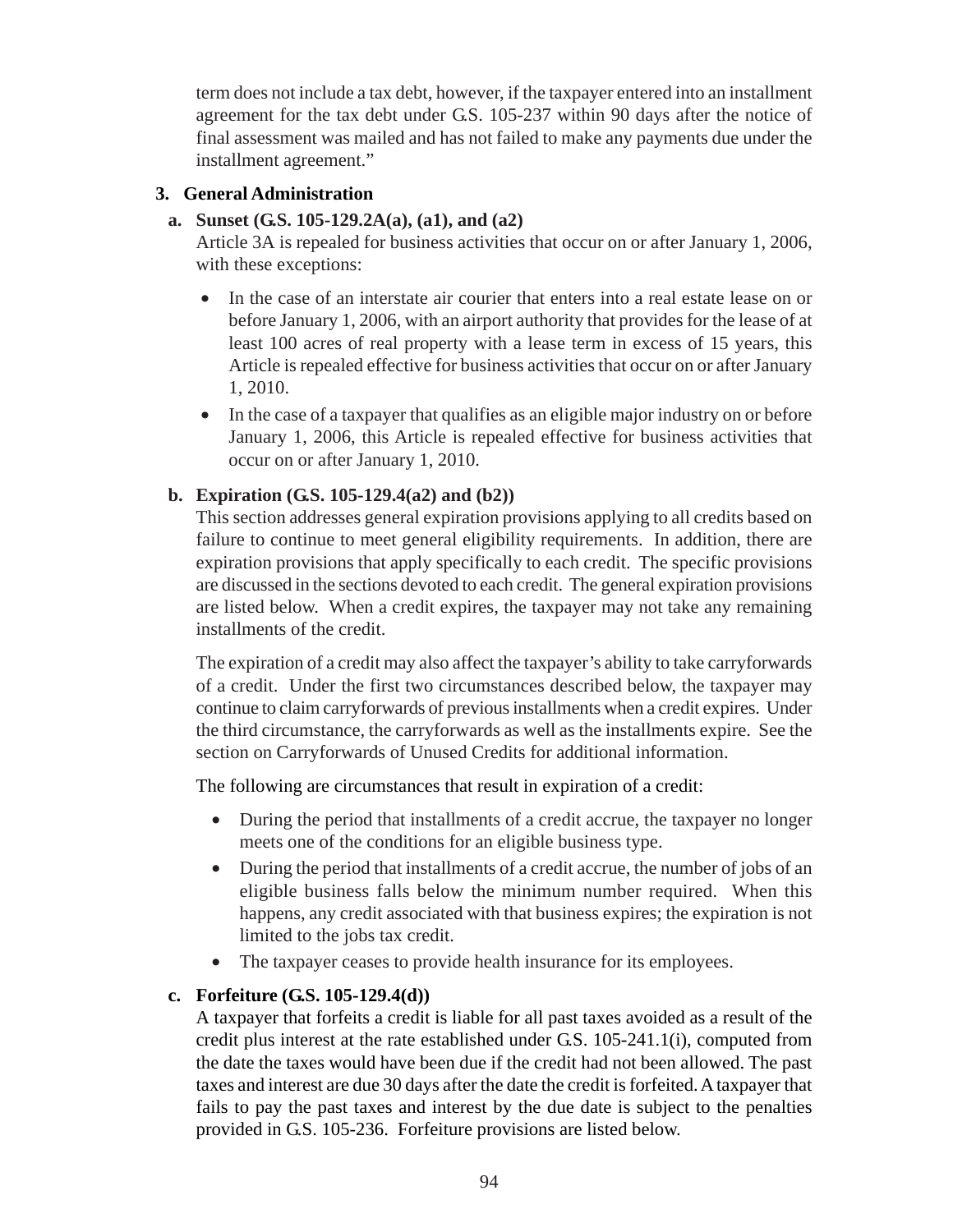term does not include a tax debt, however, if the taxpayer entered into an installment agreement for the tax debt under G.S. 105-237 within 90 days after the notice of final assessment was mailed and has not failed to make any payments due under the installment agreement."

### **3. General Administration**

### **a. Sunset (G.S. 105-129.2A(a), (a1), and (a2)**

Article 3A is repealed for business activities that occur on or after January 1, 2006, with these exceptions:

- In the case of an interstate air courier that enters into a real estate lease on or before January 1, 2006, with an airport authority that provides for the lease of at least 100 acres of real property with a lease term in excess of 15 years, this Article is repealed effective for business activities that occur on or after January 1, 2010.
- In the case of a taxpayer that qualifies as an eligible major industry on or before January 1, 2006, this Article is repealed effective for business activities that occur on or after January 1, 2010.

### **b. Expiration (G.S. 105-129.4(a2) and (b2))**

This section addresses general expiration provisions applying to all credits based on failure to continue to meet general eligibility requirements. In addition, there are expiration provisions that apply specifically to each credit. The specific provisions are discussed in the sections devoted to each credit. The general expiration provisions are listed below. When a credit expires, the taxpayer may not take any remaining installments of the credit.

The expiration of a credit may also affect the taxpayer's ability to take carryforwards of a credit. Under the first two circumstances described below, the taxpayer may continue to claim carryforwards of previous installments when a credit expires. Under the third circumstance, the carryforwards as well as the installments expire. See the section on Carryforwards of Unused Credits for additional information.

The following are circumstances that result in expiration of a credit:

- During the period that installments of a credit accrue, the taxpayer no longer meets one of the conditions for an eligible business type.
- During the period that installments of a credit accrue, the number of jobs of an eligible business falls below the minimum number required. When this happens, any credit associated with that business expires; the expiration is not limited to the jobs tax credit.
- The taxpayer ceases to provide health insurance for its employees.

### **c. Forfeiture (G.S. 105-129.4(d))**

A taxpayer that forfeits a credit is liable for all past taxes avoided as a result of the credit plus interest at the rate established under G.S. 105-241.1(i), computed from the date the taxes would have been due if the credit had not been allowed. The past taxes and interest are due 30 days after the date the credit is forfeited. A taxpayer that fails to pay the past taxes and interest by the due date is subject to the penalties provided in G.S. 105-236. Forfeiture provisions are listed below.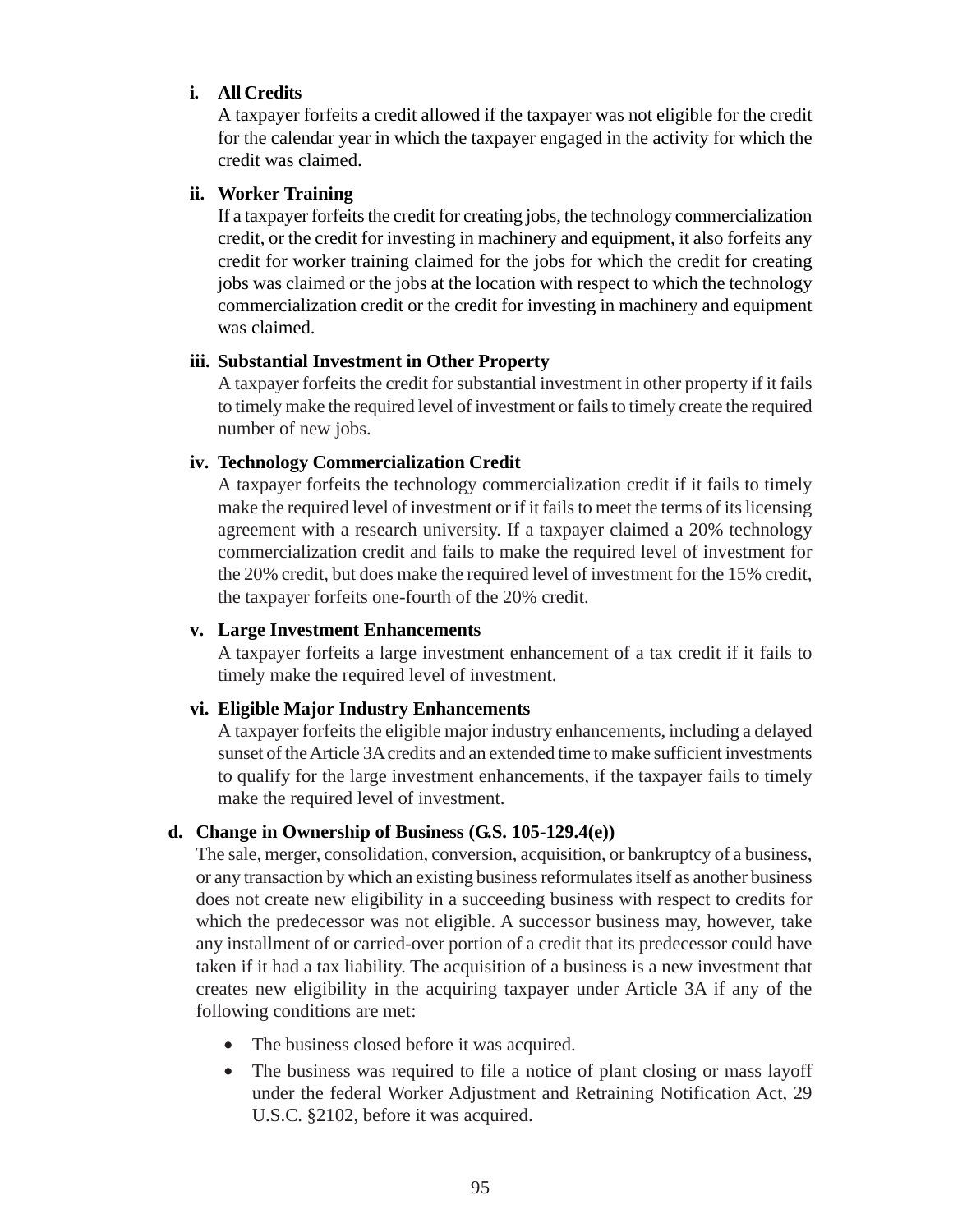#### **i. All Credits**

A taxpayer forfeits a credit allowed if the taxpayer was not eligible for the credit for the calendar year in which the taxpayer engaged in the activity for which the credit was claimed.

### **ii. Worker Training**

If a taxpayer forfeits the credit for creating jobs, the technology commercialization credit, or the credit for investing in machinery and equipment, it also forfeits any credit for worker training claimed for the jobs for which the credit for creating jobs was claimed or the jobs at the location with respect to which the technology commercialization credit or the credit for investing in machinery and equipment was claimed.

### **iii. Substantial Investment in Other Property**

A taxpayer forfeits the credit for substantial investment in other property if it fails to timely make the required level of investment or fails to timely create the required number of new jobs.

### **iv. Technology Commercialization Credit**

A taxpayer forfeits the technology commercialization credit if it fails to timely make the required level of investment or if it fails to meet the terms of its licensing agreement with a research university. If a taxpayer claimed a 20% technology commercialization credit and fails to make the required level of investment for the 20% credit, but does make the required level of investment for the 15% credit, the taxpayer forfeits one-fourth of the 20% credit.

#### **v. Large Investment Enhancements**

A taxpayer forfeits a large investment enhancement of a tax credit if it fails to timely make the required level of investment.

### **vi. Eligible Major Industry Enhancements**

A taxpayer forfeits the eligible major industry enhancements, including a delayed sunset of the Article 3A credits and an extended time to make sufficient investments to qualify for the large investment enhancements, if the taxpayer fails to timely make the required level of investment.

### **d. Change in Ownership of Business (G.S. 105-129.4(e))**

The sale, merger, consolidation, conversion, acquisition, or bankruptcy of a business, or any transaction by which an existing business reformulates itself as another business does not create new eligibility in a succeeding business with respect to credits for which the predecessor was not eligible. A successor business may, however, take any installment of or carried-over portion of a credit that its predecessor could have taken if it had a tax liability. The acquisition of a business is a new investment that creates new eligibility in the acquiring taxpayer under Article 3A if any of the following conditions are met:

- The business closed before it was acquired.
- The business was required to file a notice of plant closing or mass layoff under the federal Worker Adjustment and Retraining Notification Act, 29 U.S.C. §2102, before it was acquired.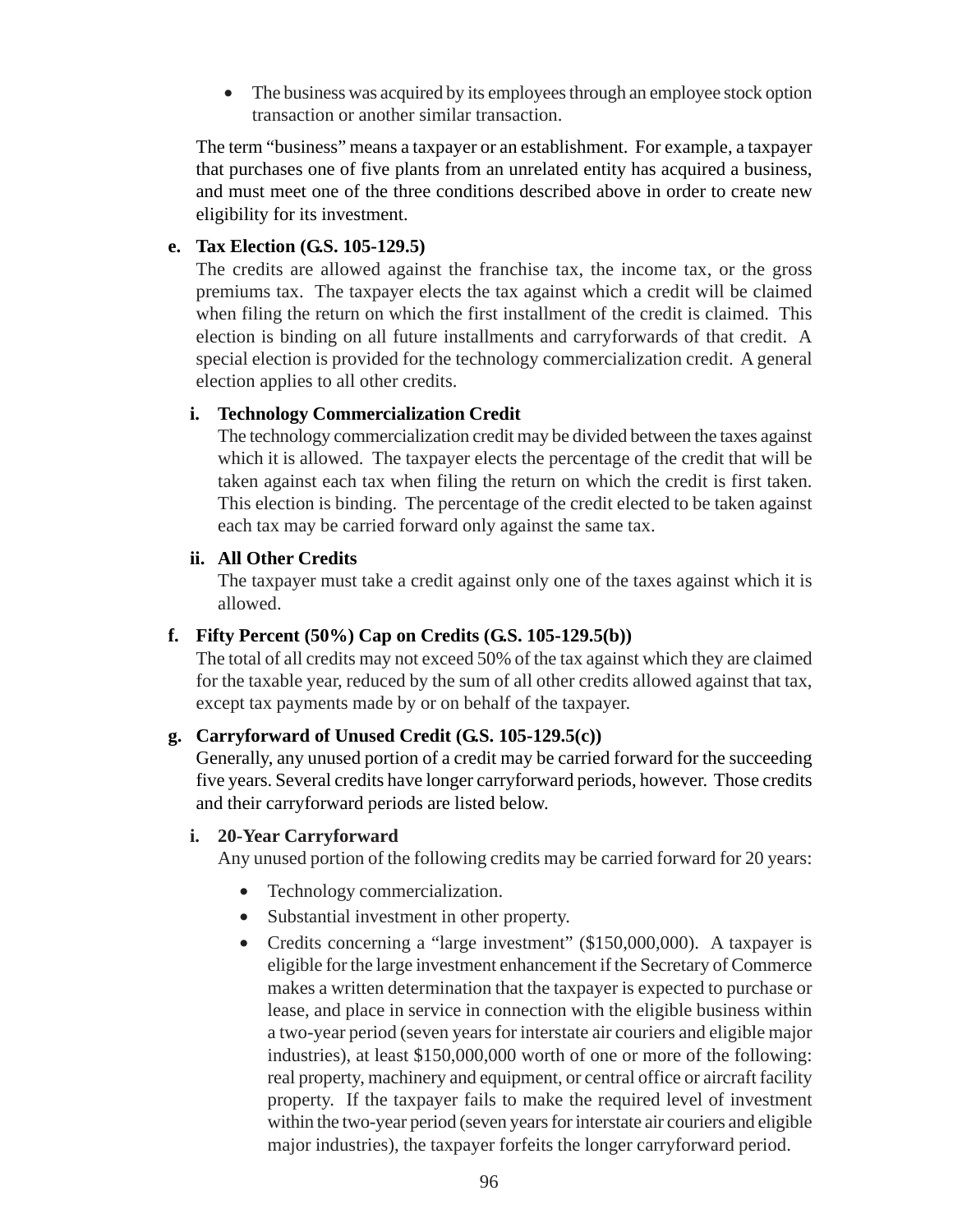• The business was acquired by its employees through an employee stock option transaction or another similar transaction.

The term "business" means a taxpayer or an establishment. For example, a taxpayer that purchases one of five plants from an unrelated entity has acquired a business, and must meet one of the three conditions described above in order to create new eligibility for its investment.

### **e. Tax Election (G.S. 105-129.5)**

The credits are allowed against the franchise tax, the income tax, or the gross premiums tax. The taxpayer elects the tax against which a credit will be claimed when filing the return on which the first installment of the credit is claimed. This election is binding on all future installments and carryforwards of that credit. A special election is provided for the technology commercialization credit. A general election applies to all other credits.

### **i. Technology Commercialization Credit**

The technology commercialization credit may be divided between the taxes against which it is allowed. The taxpayer elects the percentage of the credit that will be taken against each tax when filing the return on which the credit is first taken. This election is binding. The percentage of the credit elected to be taken against each tax may be carried forward only against the same tax.

### **ii. All Other Credits**

The taxpayer must take a credit against only one of the taxes against which it is allowed.

### **f. Fifty Percent (50%) Cap on Credits (G.S. 105-129.5(b))**

The total of all credits may not exceed 50% of the tax against which they are claimed for the taxable year, reduced by the sum of all other credits allowed against that tax, except tax payments made by or on behalf of the taxpayer.

### **g. Carryforward of Unused Credit (G.S. 105-129.5(c))**

Generally, any unused portion of a credit may be carried forward for the succeeding five years. Several credits have longer carryforward periods, however. Those credits and their carryforward periods are listed below.

#### **i. 20-Year Carryforward**

Any unused portion of the following credits may be carried forward for 20 years:

- Technology commercialization.
- Substantial investment in other property.
- Credits concerning a "large investment" (\$150,000,000). A taxpayer is eligible for the large investment enhancement if the Secretary of Commerce makes a written determination that the taxpayer is expected to purchase or lease, and place in service in connection with the eligible business within a two-year period (seven years for interstate air couriers and eligible major industries), at least \$150,000,000 worth of one or more of the following: real property, machinery and equipment, or central office or aircraft facility property. If the taxpayer fails to make the required level of investment within the two-year period (seven years for interstate air couriers and eligible major industries), the taxpayer forfeits the longer carryforward period.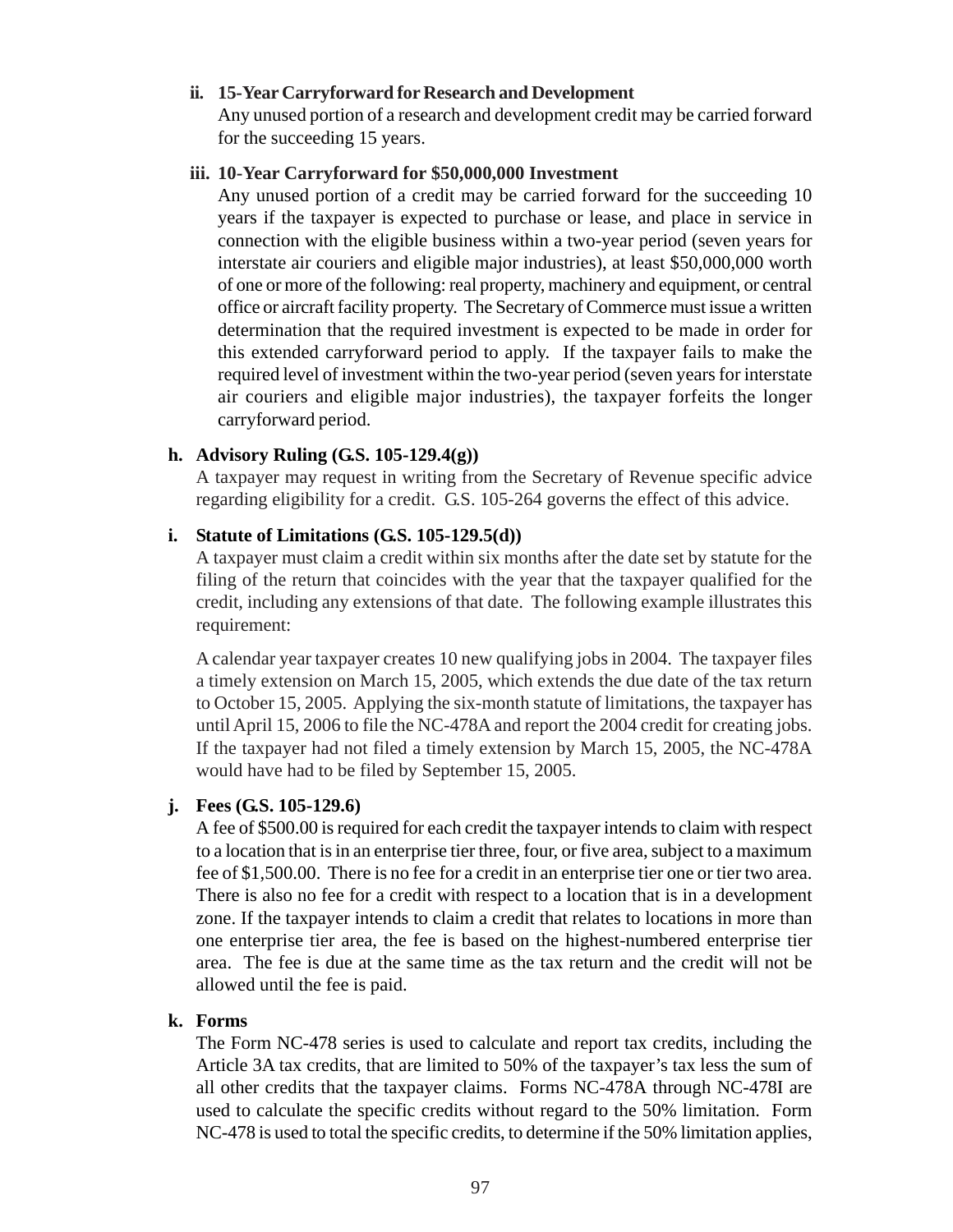### **ii. 15-Year Carryforward for Research and Development**

Any unused portion of a research and development credit may be carried forward for the succeeding 15 years.

#### **iii. 10-Year Carryforward for \$50,000,000 Investment**

Any unused portion of a credit may be carried forward for the succeeding 10 years if the taxpayer is expected to purchase or lease, and place in service in connection with the eligible business within a two-year period (seven years for interstate air couriers and eligible major industries), at least \$50,000,000 worth of one or more of the following: real property, machinery and equipment, or central office or aircraft facility property. The Secretary of Commerce must issue a written determination that the required investment is expected to be made in order for this extended carryforward period to apply. If the taxpayer fails to make the required level of investment within the two-year period (seven years for interstate air couriers and eligible major industries), the taxpayer forfeits the longer carryforward period.

### **h. Advisory Ruling (G.S. 105-129.4(g))**

A taxpayer may request in writing from the Secretary of Revenue specific advice regarding eligibility for a credit. G.S. 105-264 governs the effect of this advice.

### **i. Statute of Limitations (G.S. 105-129.5(d))**

A taxpayer must claim a credit within six months after the date set by statute for the filing of the return that coincides with the year that the taxpayer qualified for the credit, including any extensions of that date. The following example illustrates this requirement:

A calendar year taxpayer creates 10 new qualifying jobs in 2004. The taxpayer files a timely extension on March 15, 2005, which extends the due date of the tax return to October 15, 2005. Applying the six-month statute of limitations, the taxpayer has until April 15, 2006 to file the NC-478A and report the 2004 credit for creating jobs. If the taxpayer had not filed a timely extension by March 15, 2005, the NC-478A would have had to be filed by September 15, 2005.

### **j. Fees (G.S. 105-129.6)**

A fee of \$500.00 is required for each credit the taxpayer intends to claim with respect to a location that is in an enterprise tier three, four, or five area, subject to a maximum fee of \$1,500.00. There is no fee for a credit in an enterprise tier one or tier two area. There is also no fee for a credit with respect to a location that is in a development zone. If the taxpayer intends to claim a credit that relates to locations in more than one enterprise tier area, the fee is based on the highest-numbered enterprise tier area. The fee is due at the same time as the tax return and the credit will not be allowed until the fee is paid.

### **k. Forms**

The Form NC-478 series is used to calculate and report tax credits, including the Article 3A tax credits, that are limited to 50% of the taxpayer's tax less the sum of all other credits that the taxpayer claims. Forms NC-478A through NC-478I are used to calculate the specific credits without regard to the 50% limitation. Form NC-478 is used to total the specific credits, to determine if the 50% limitation applies,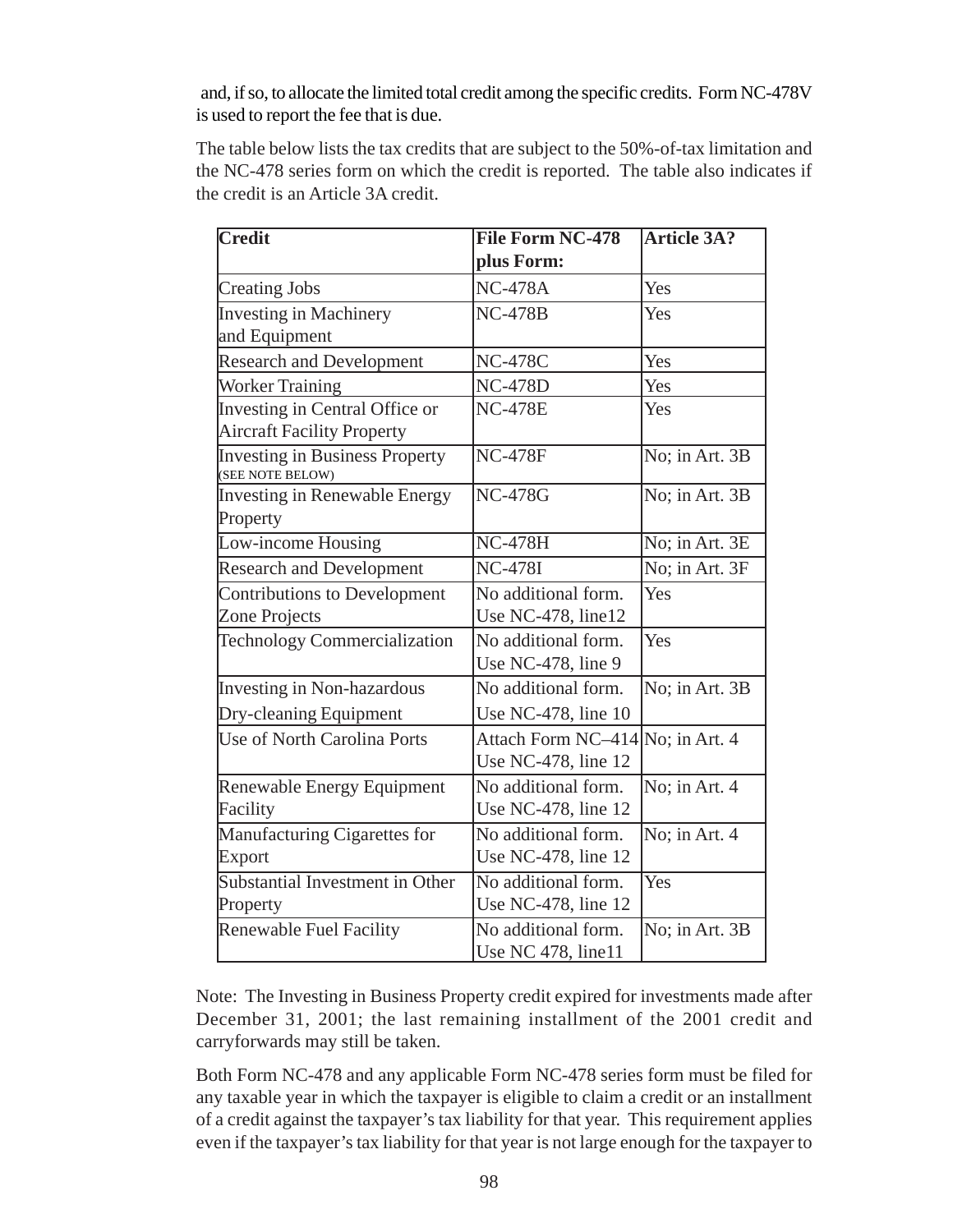and, if so, to allocate the limited total credit among the specific credits. Form NC-478V is used to report the fee that is due.

The table below lists the tax credits that are subject to the 50%-of-tax limitation and the NC-478 series form on which the credit is reported. The table also indicates if the credit is an Article 3A credit.

| Credit                                                    | <b>File Form NC-478</b>          | <b>Article 3A?</b>                  |
|-----------------------------------------------------------|----------------------------------|-------------------------------------|
|                                                           | plus Form:                       |                                     |
| <b>Creating Jobs</b>                                      | <b>NC-478A</b>                   | Yes                                 |
| <b>Investing in Machinery</b>                             | <b>NC-478B</b>                   | Yes                                 |
| and Equipment                                             |                                  |                                     |
| <b>Research and Development</b>                           | <b>NC-478C</b>                   | Yes                                 |
| <b>Worker Training</b>                                    | <b>NC-478D</b>                   | Yes                                 |
| Investing in Central Office or                            | <b>NC-478E</b>                   | Yes                                 |
| <b>Aircraft Facility Property</b>                         |                                  |                                     |
| <b>Investing in Business Property</b><br>(SEE NOTE BELOW) | <b>NC-478F</b>                   | No; in Art. 3B                      |
| <b>Investing in Renewable Energy</b>                      | <b>NC-478G</b>                   | No; in Art. 3B                      |
| Property                                                  |                                  |                                     |
| Low-income Housing                                        | <b>NC-478H</b>                   | $\overline{\text{No}}$ ; in Art. 3E |
| <b>Research and Development</b>                           | <b>NC-478I</b>                   | No; in Art. 3F                      |
| Contributions to Development                              | No additional form.              | Yes                                 |
| Zone Projects                                             | Use NC-478, line12               |                                     |
| Technology Commercialization                              | No additional form.              | Yes                                 |
|                                                           | Use NC-478, line 9               |                                     |
| Investing in Non-hazardous                                | No additional form.              | No; in Art. 3B                      |
| Dry-cleaning Equipment                                    | Use NC-478, line 10              |                                     |
| Use of North Carolina Ports                               | Attach Form NC-414 No; in Art. 4 |                                     |
|                                                           | Use NC-478, line 12              |                                     |
| Renewable Energy Equipment                                | No additional form.              | No; in Art. 4                       |
| Facility                                                  | Use NC-478, line 12              |                                     |
| Manufacturing Cigarettes for                              | No additional form.              | No; in Art. 4                       |
| Export                                                    | Use NC-478, line 12              |                                     |
| Substantial Investment in Other                           | No additional form.              | Yes                                 |
| Property                                                  | Use NC-478, line 12              |                                     |
| <b>Renewable Fuel Facility</b>                            | No additional form.              | No; in Art. 3B                      |
|                                                           | Use NC 478, line11               |                                     |

Note: The Investing in Business Property credit expired for investments made after December 31, 2001; the last remaining installment of the 2001 credit and carryforwards may still be taken.

Both Form NC-478 and any applicable Form NC-478 series form must be filed for any taxable year in which the taxpayer is eligible to claim a credit or an installment of a credit against the taxpayer's tax liability for that year. This requirement applies even if the taxpayer's tax liability for that year is not large enough for the taxpayer to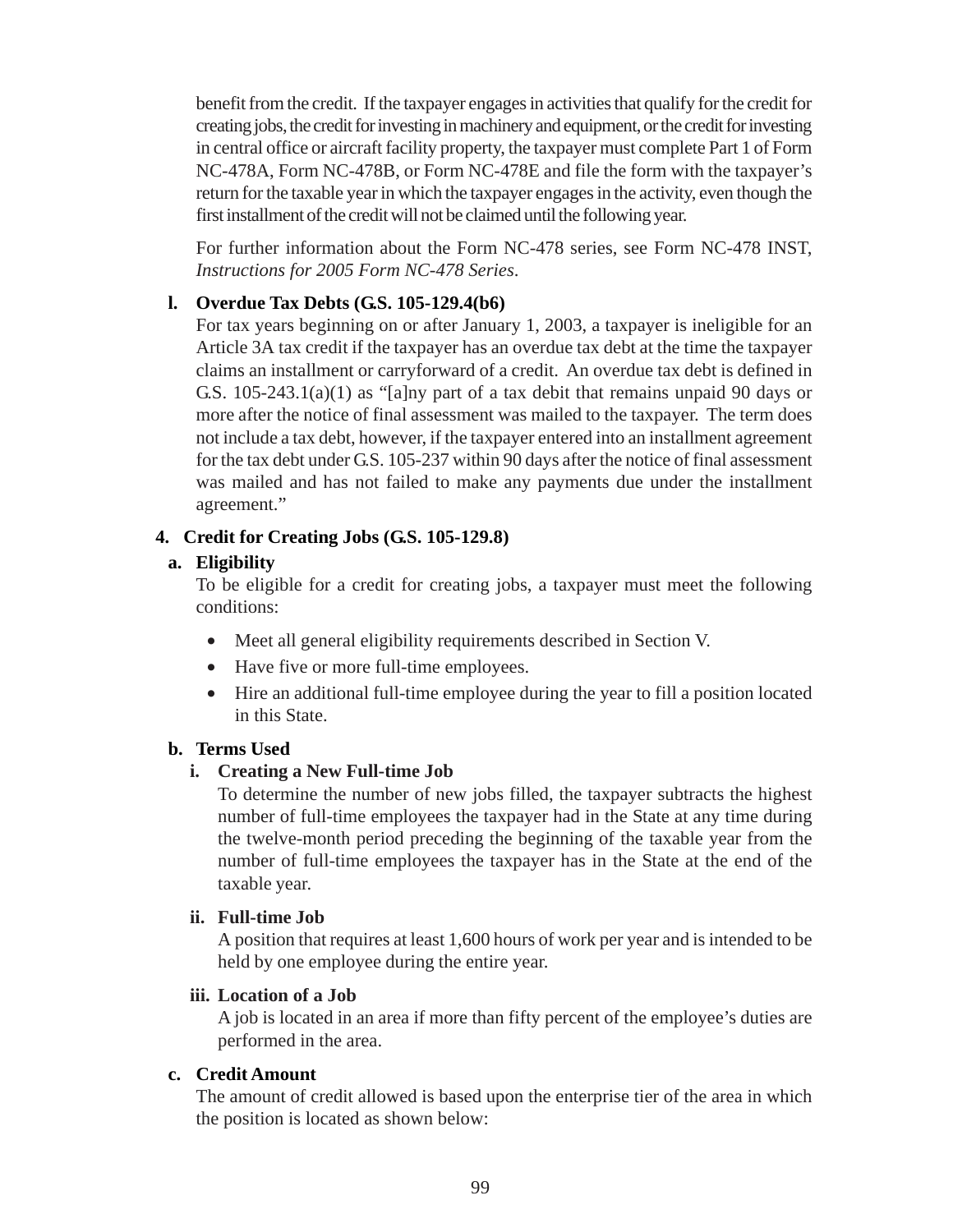benefit from the credit. If the taxpayer engages in activities that qualify for the credit for creating jobs, the credit for investing in machinery and equipment, or the credit for investing in central office or aircraft facility property, the taxpayer must complete Part 1 of Form NC-478A, Form NC-478B, or Form NC-478E and file the form with the taxpayer's return for the taxable year in which the taxpayer engages in the activity, even though the first installment of the credit will not be claimed until the following year.

For further information about the Form NC-478 series, see Form NC-478 INST, *Instructions for 2005 Form NC-478 Series*.

### **l. Overdue Tax Debts (G.S. 105-129.4(b6)**

For tax years beginning on or after January 1, 2003, a taxpayer is ineligible for an Article 3A tax credit if the taxpayer has an overdue tax debt at the time the taxpayer claims an installment or carryforward of a credit. An overdue tax debt is defined in G.S. 105-243.1(a)(1) as "[a]ny part of a tax debit that remains unpaid 90 days or more after the notice of final assessment was mailed to the taxpayer. The term does not include a tax debt, however, if the taxpayer entered into an installment agreement for the tax debt under G.S. 105-237 within 90 days after the notice of final assessment was mailed and has not failed to make any payments due under the installment agreement."

### **4. Credit for Creating Jobs (G.S. 105-129.8)**

### **a. Eligibility**

To be eligible for a credit for creating jobs, a taxpayer must meet the following conditions:

- Meet all general eligibility requirements described in Section V.
- Have five or more full-time employees.
- Hire an additional full-time employee during the year to fill a position located in this State.

#### **b. Terms Used**

### **i. Creating a New Full-time Job**

To determine the number of new jobs filled, the taxpayer subtracts the highest number of full-time employees the taxpayer had in the State at any time during the twelve-month period preceding the beginning of the taxable year from the number of full-time employees the taxpayer has in the State at the end of the taxable year.

#### **ii. Full-time Job**

A position that requires at least 1,600 hours of work per year and is intended to be held by one employee during the entire year.

#### **iii. Location of a Job**

A job is located in an area if more than fifty percent of the employee's duties are performed in the area.

#### **c. Credit Amount**

The amount of credit allowed is based upon the enterprise tier of the area in which the position is located as shown below: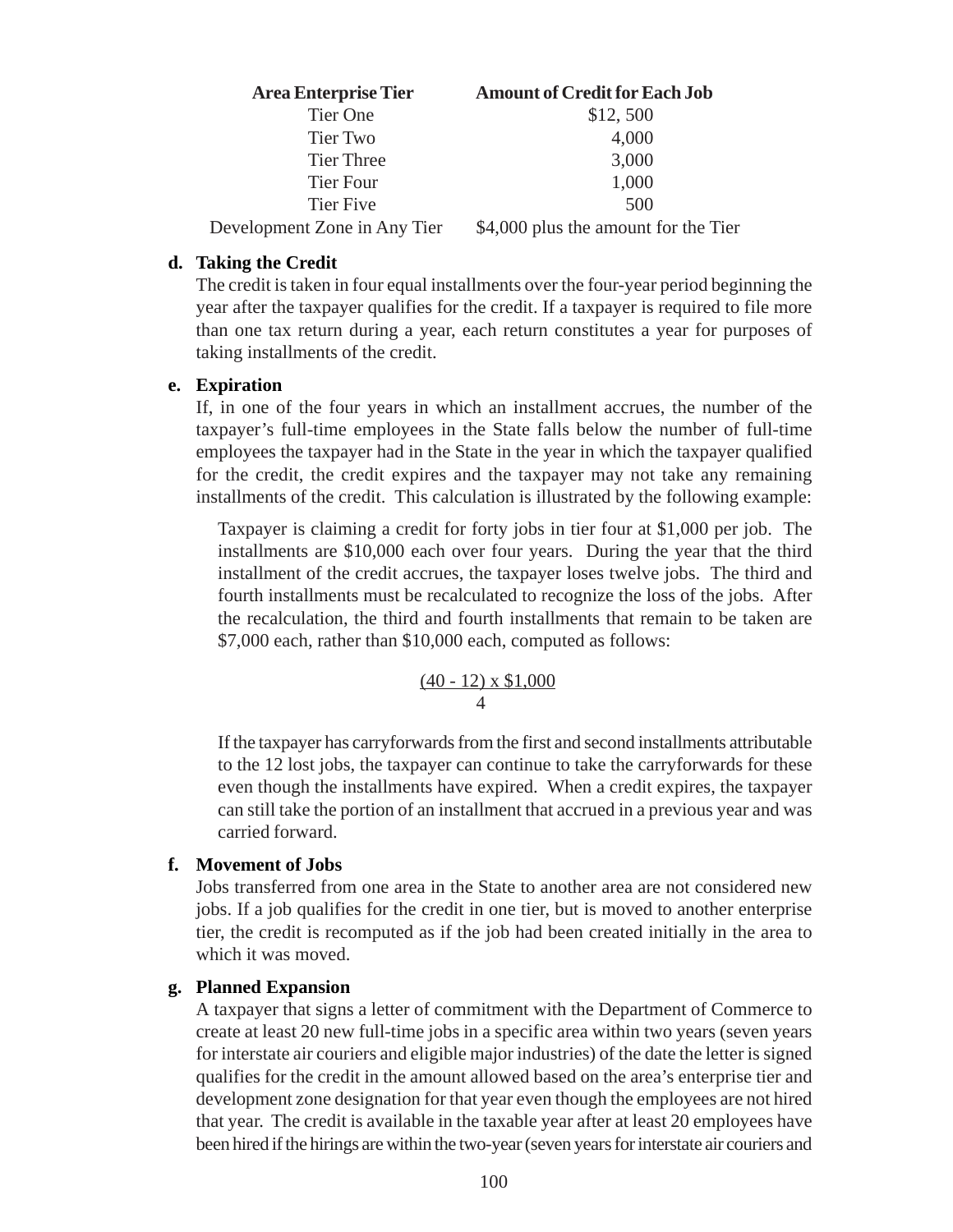| <b>Area Enterprise Tier</b>  | <b>Amount of Credit for Each Job</b> |
|------------------------------|--------------------------------------|
| Tier One                     | \$12,500                             |
| Tier Two                     | 4,000                                |
| <b>Tier Three</b>            | 3,000                                |
| <b>Tier Four</b>             | 1,000                                |
| Tier Five                    | 500                                  |
| Development Zone in Any Tier | \$4,000 plus the amount for the Tier |

#### **d. Taking the Credit**

The credit is taken in four equal installments over the four-year period beginning the year after the taxpayer qualifies for the credit. If a taxpayer is required to file more than one tax return during a year, each return constitutes a year for purposes of taking installments of the credit.

#### **e. Expiration**

If, in one of the four years in which an installment accrues, the number of the taxpayer's full-time employees in the State falls below the number of full-time employees the taxpayer had in the State in the year in which the taxpayer qualified for the credit, the credit expires and the taxpayer may not take any remaining installments of the credit. This calculation is illustrated by the following example:

Taxpayer is claiming a credit for forty jobs in tier four at \$1,000 per job. The installments are \$10,000 each over four years. During the year that the third installment of the credit accrues, the taxpayer loses twelve jobs. The third and fourth installments must be recalculated to recognize the loss of the jobs. After the recalculation, the third and fourth installments that remain to be taken are \$7,000 each, rather than \$10,000 each, computed as follows:

$$
\frac{(40-12) \times \$1,000}{4}
$$

If the taxpayer has carryforwards from the first and second installments attributable to the 12 lost jobs, the taxpayer can continue to take the carryforwards for these even though the installments have expired. When a credit expires, the taxpayer can still take the portion of an installment that accrued in a previous year and was carried forward.

#### **f. Movement of Jobs**

Jobs transferred from one area in the State to another area are not considered new jobs. If a job qualifies for the credit in one tier, but is moved to another enterprise tier, the credit is recomputed as if the job had been created initially in the area to which it was moved.

#### **g. Planned Expansion**

A taxpayer that signs a letter of commitment with the Department of Commerce to create at least 20 new full-time jobs in a specific area within two years (seven years for interstate air couriers and eligible major industries) of the date the letter is signed qualifies for the credit in the amount allowed based on the area's enterprise tier and development zone designation for that year even though the employees are not hired that year. The credit is available in the taxable year after at least 20 employees have been hired if the hirings are within the two-year (seven years for interstate air couriers and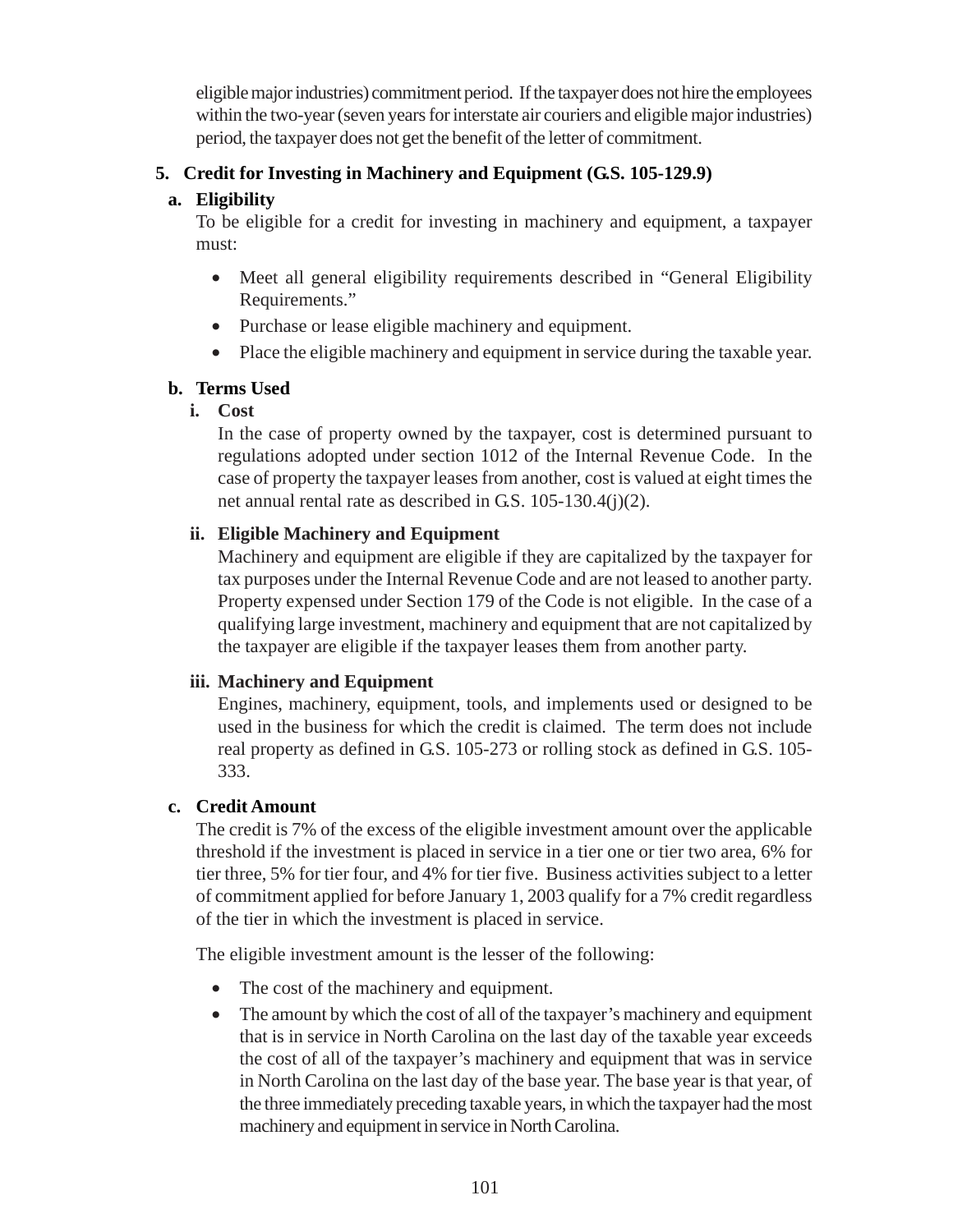eligible major industries) commitment period. If the taxpayer does not hire the employees within the two-year (seven years for interstate air couriers and eligible major industries) period, the taxpayer does not get the benefit of the letter of commitment.

## **5. Credit for Investing in Machinery and Equipment (G.S. 105-129.9)**

### **a. Eligibility**

To be eligible for a credit for investing in machinery and equipment, a taxpayer must:

- Meet all general eligibility requirements described in "General Eligibility" Requirements."
- Purchase or lease eligible machinery and equipment.
- Place the eligible machinery and equipment in service during the taxable year.

## **b. Terms Used**

# **i. Cost**

In the case of property owned by the taxpayer, cost is determined pursuant to regulations adopted under section 1012 of the Internal Revenue Code. In the case of property the taxpayer leases from another, cost is valued at eight times the net annual rental rate as described in G.S. 105-130.4(j)(2).

# **ii. Eligible Machinery and Equipment**

Machinery and equipment are eligible if they are capitalized by the taxpayer for tax purposes under the Internal Revenue Code and are not leased to another party. Property expensed under Section 179 of the Code is not eligible. In the case of a qualifying large investment, machinery and equipment that are not capitalized by the taxpayer are eligible if the taxpayer leases them from another party.

### **iii. Machinery and Equipment**

Engines, machinery, equipment, tools, and implements used or designed to be used in the business for which the credit is claimed. The term does not include real property as defined in G.S. 105-273 or rolling stock as defined in G.S. 105- 333.

# **c. Credit Amount**

The credit is 7% of the excess of the eligible investment amount over the applicable threshold if the investment is placed in service in a tier one or tier two area, 6% for tier three, 5% for tier four, and 4% for tier five. Business activities subject to a letter of commitment applied for before January 1, 2003 qualify for a 7% credit regardless of the tier in which the investment is placed in service.

The eligible investment amount is the lesser of the following:

- The cost of the machinery and equipment.
- The amount by which the cost of all of the taxpayer's machinery and equipment that is in service in North Carolina on the last day of the taxable year exceeds the cost of all of the taxpayer's machinery and equipment that was in service in North Carolina on the last day of the base year. The base year is that year, of the three immediately preceding taxable years, in which the taxpayer had the most machinery and equipment in service in North Carolina.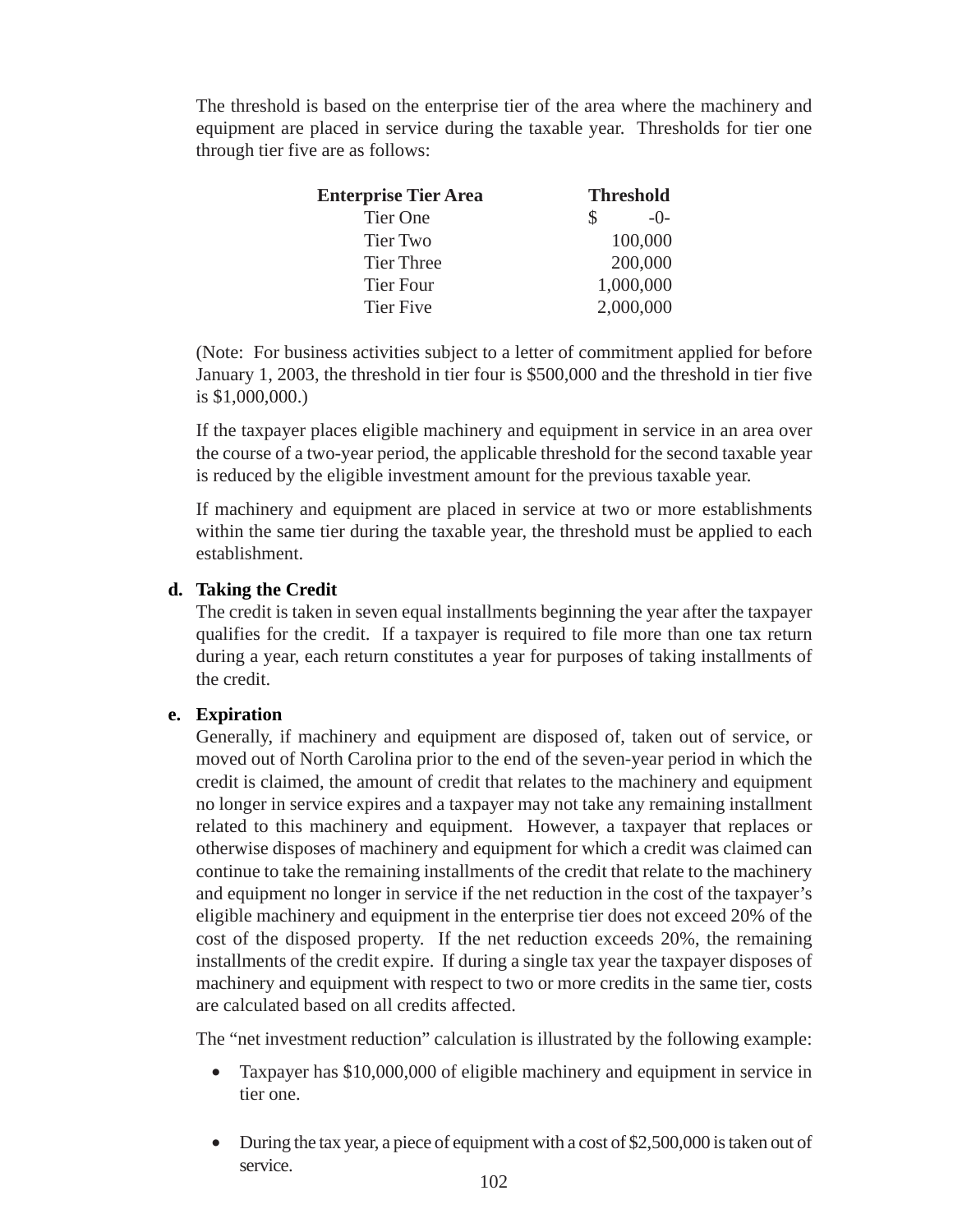The threshold is based on the enterprise tier of the area where the machinery and equipment are placed in service during the taxable year. Thresholds for tier one through tier five are as follows:

| <b>Enterprise Tier Area</b> | <b>Threshold</b> |
|-----------------------------|------------------|
| Tier One                    | $-()$            |
| Tier Two                    | 100,000          |
| <b>Tier Three</b>           | 200,000          |
| <b>Tier Four</b>            | 1,000,000        |
| Tier Five                   | 2,000,000        |

(Note: For business activities subject to a letter of commitment applied for before January 1, 2003, the threshold in tier four is \$500,000 and the threshold in tier five is \$1,000,000.)

If the taxpayer places eligible machinery and equipment in service in an area over the course of a two-year period, the applicable threshold for the second taxable year is reduced by the eligible investment amount for the previous taxable year.

If machinery and equipment are placed in service at two or more establishments within the same tier during the taxable year, the threshold must be applied to each establishment.

### **d. Taking the Credit**

The credit is taken in seven equal installments beginning the year after the taxpayer qualifies for the credit. If a taxpayer is required to file more than one tax return during a year, each return constitutes a year for purposes of taking installments of the credit.

### **e. Expiration**

Generally, if machinery and equipment are disposed of, taken out of service, or moved out of North Carolina prior to the end of the seven-year period in which the credit is claimed, the amount of credit that relates to the machinery and equipment no longer in service expires and a taxpayer may not take any remaining installment related to this machinery and equipment. However, a taxpayer that replaces or otherwise disposes of machinery and equipment for which a credit was claimed can continue to take the remaining installments of the credit that relate to the machinery and equipment no longer in service if the net reduction in the cost of the taxpayer's eligible machinery and equipment in the enterprise tier does not exceed 20% of the cost of the disposed property. If the net reduction exceeds 20%, the remaining installments of the credit expire. If during a single tax year the taxpayer disposes of machinery and equipment with respect to two or more credits in the same tier, costs are calculated based on all credits affected.

The "net investment reduction" calculation is illustrated by the following example:

- Taxpayer has \$10,000,000 of eligible machinery and equipment in service in tier one.
- During the tax year, a piece of equipment with a cost of \$2,500,000 is taken out of service.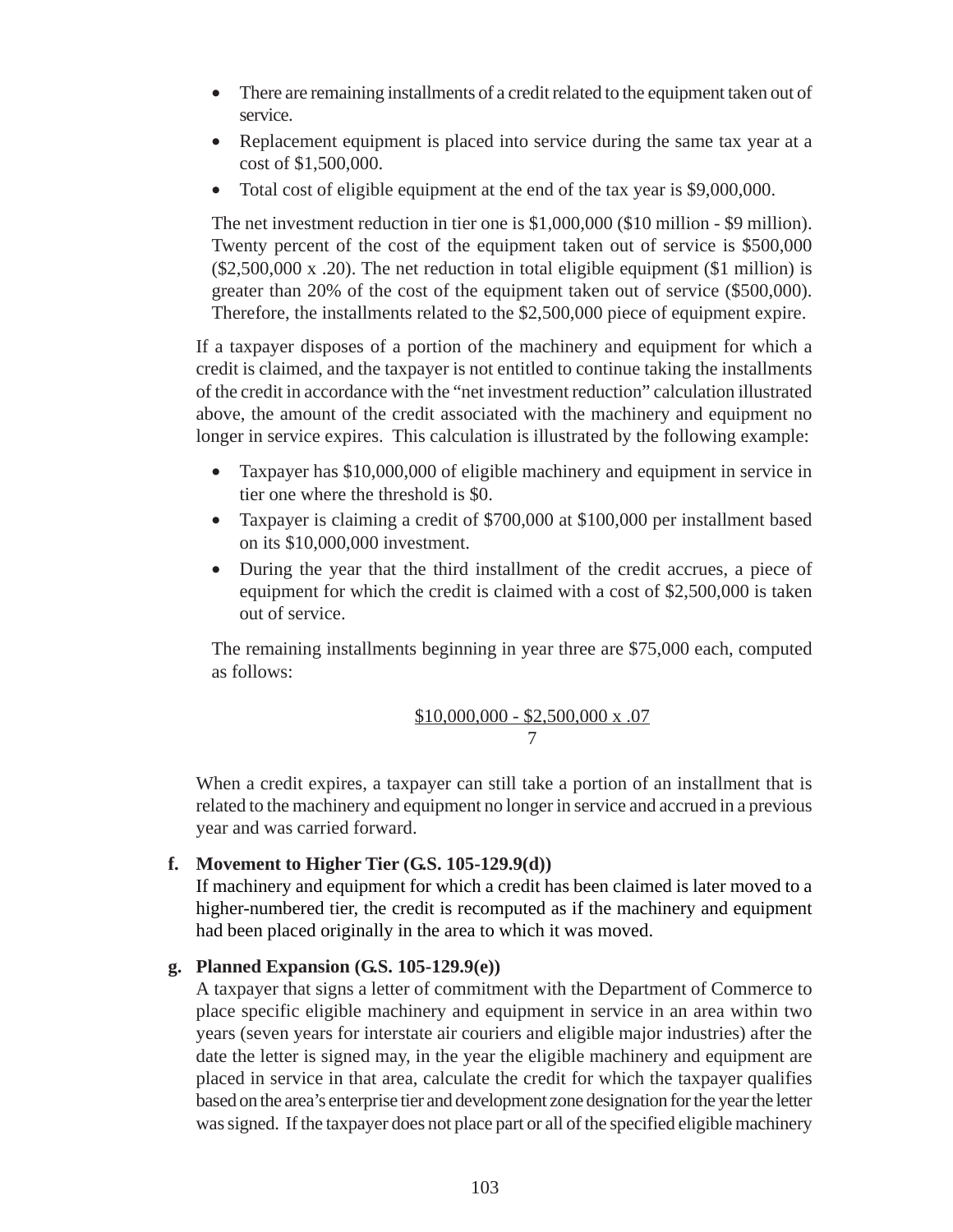- There are remaining installments of a credit related to the equipment taken out of service.
- Replacement equipment is placed into service during the same tax year at a cost of \$1,500,000.
- Total cost of eligible equipment at the end of the tax year is \$9,000,000.

The net investment reduction in tier one is \$1,000,000 (\$10 million - \$9 million). Twenty percent of the cost of the equipment taken out of service is \$500,000 (\$2,500,000 x .20). The net reduction in total eligible equipment (\$1 million) is greater than 20% of the cost of the equipment taken out of service (\$500,000). Therefore, the installments related to the \$2,500,000 piece of equipment expire.

If a taxpayer disposes of a portion of the machinery and equipment for which a credit is claimed, and the taxpayer is not entitled to continue taking the installments of the credit in accordance with the "net investment reduction" calculation illustrated above, the amount of the credit associated with the machinery and equipment no longer in service expires. This calculation is illustrated by the following example:

- Taxpayer has \$10,000,000 of eligible machinery and equipment in service in tier one where the threshold is \$0.
- Taxpayer is claiming a credit of \$700,000 at \$100,000 per installment based on its \$10,000,000 investment.
- During the year that the third installment of the credit accrues, a piece of equipment for which the credit is claimed with a cost of \$2,500,000 is taken out of service.

The remaining installments beginning in year three are \$75,000 each, computed as follows:

$$
\frac{\$10,000,000 - \$2,500,000 \text{ x } .07}{7}
$$

When a credit expires, a taxpayer can still take a portion of an installment that is related to the machinery and equipment no longer in service and accrued in a previous year and was carried forward.

### **f. Movement to Higher Tier (G.S. 105-129.9(d))**

If machinery and equipment for which a credit has been claimed is later moved to a higher-numbered tier, the credit is recomputed as if the machinery and equipment had been placed originally in the area to which it was moved.

#### **g. Planned Expansion (G.S. 105-129.9(e))**

A taxpayer that signs a letter of commitment with the Department of Commerce to place specific eligible machinery and equipment in service in an area within two years (seven years for interstate air couriers and eligible major industries) after the date the letter is signed may, in the year the eligible machinery and equipment are placed in service in that area, calculate the credit for which the taxpayer qualifies based on the area's enterprise tier and development zone designation for the year the letter was signed. If the taxpayer does not place part or all of the specified eligible machinery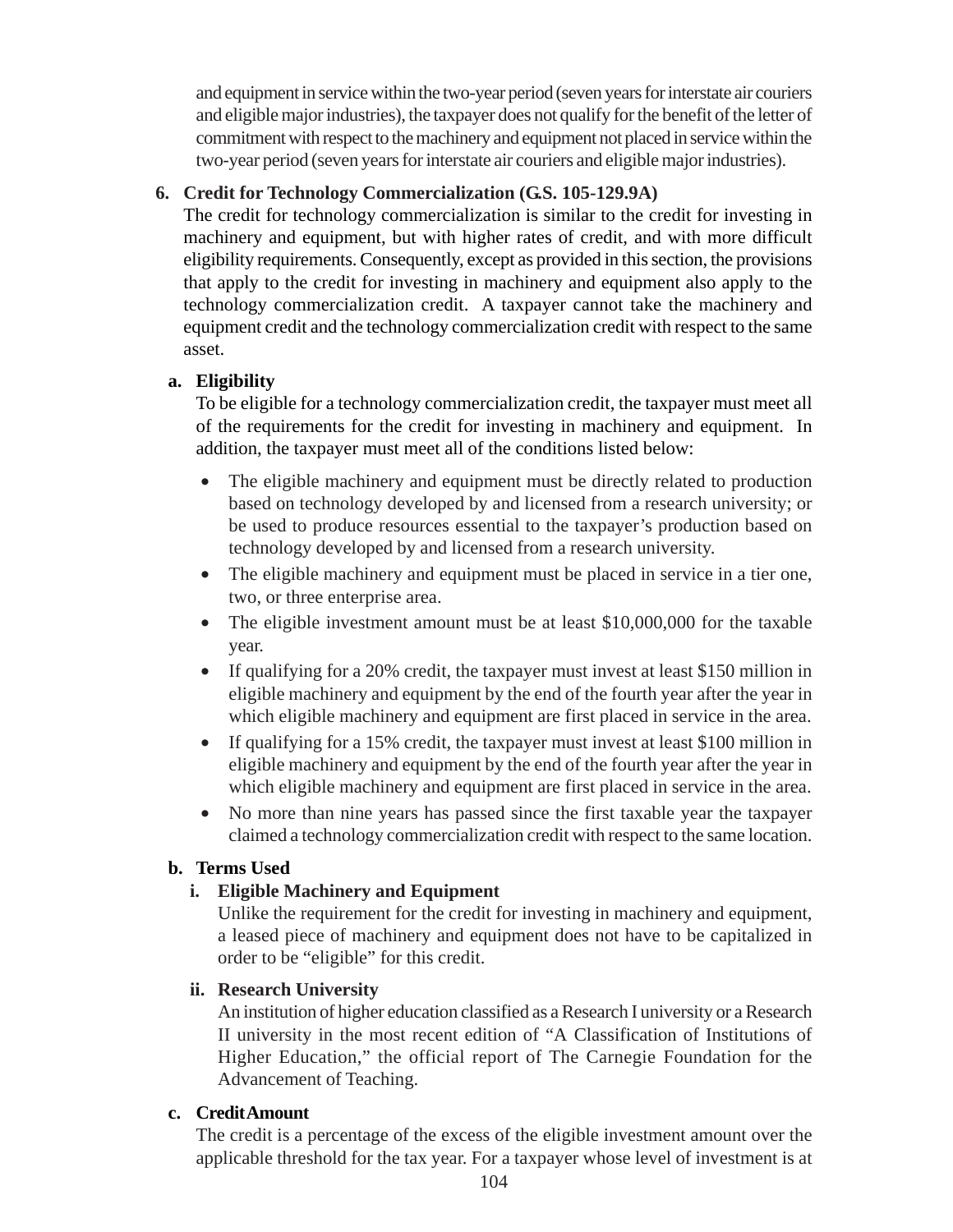and equipment in service within the two-year period (seven years for interstate air couriers and eligible major industries), the taxpayer does not qualify for the benefit of the letter of commitment with respect to the machinery and equipment not placed in service within the two-year period (seven years for interstate air couriers and eligible major industries).

# **6. Credit for Technology Commercialization (G.S. 105-129.9A)**

The credit for technology commercialization is similar to the credit for investing in machinery and equipment, but with higher rates of credit, and with more difficult eligibility requirements. Consequently, except as provided in this section, the provisions that apply to the credit for investing in machinery and equipment also apply to the technology commercialization credit. A taxpayer cannot take the machinery and equipment credit and the technology commercialization credit with respect to the same asset.

### **a. Eligibility**

To be eligible for a technology commercialization credit, the taxpayer must meet all of the requirements for the credit for investing in machinery and equipment. In addition, the taxpayer must meet all of the conditions listed below:

- The eligible machinery and equipment must be directly related to production based on technology developed by and licensed from a research university; or be used to produce resources essential to the taxpayer's production based on technology developed by and licensed from a research university.
- The eligible machinery and equipment must be placed in service in a tier one, two, or three enterprise area.
- The eligible investment amount must be at least \$10,000,000 for the taxable year.
- If qualifying for a 20% credit, the taxpayer must invest at least \$150 million in eligible machinery and equipment by the end of the fourth year after the year in which eligible machinery and equipment are first placed in service in the area.
- If qualifying for a 15% credit, the taxpayer must invest at least \$100 million in eligible machinery and equipment by the end of the fourth year after the year in which eligible machinery and equipment are first placed in service in the area.
- No more than nine years has passed since the first taxable year the taxpayer claimed a technology commercialization credit with respect to the same location.

# **b. Terms Used**

# **i. Eligible Machinery and Equipment**

Unlike the requirement for the credit for investing in machinery and equipment, a leased piece of machinery and equipment does not have to be capitalized in order to be "eligible" for this credit.

#### **ii. Research University**

An institution of higher education classified as a Research I university or a Research II university in the most recent edition of "A Classification of Institutions of Higher Education," the official report of The Carnegie Foundation for the Advancement of Teaching.

#### **c. Credit Amount**

The credit is a percentage of the excess of the eligible investment amount over the applicable threshold for the tax year. For a taxpayer whose level of investment is at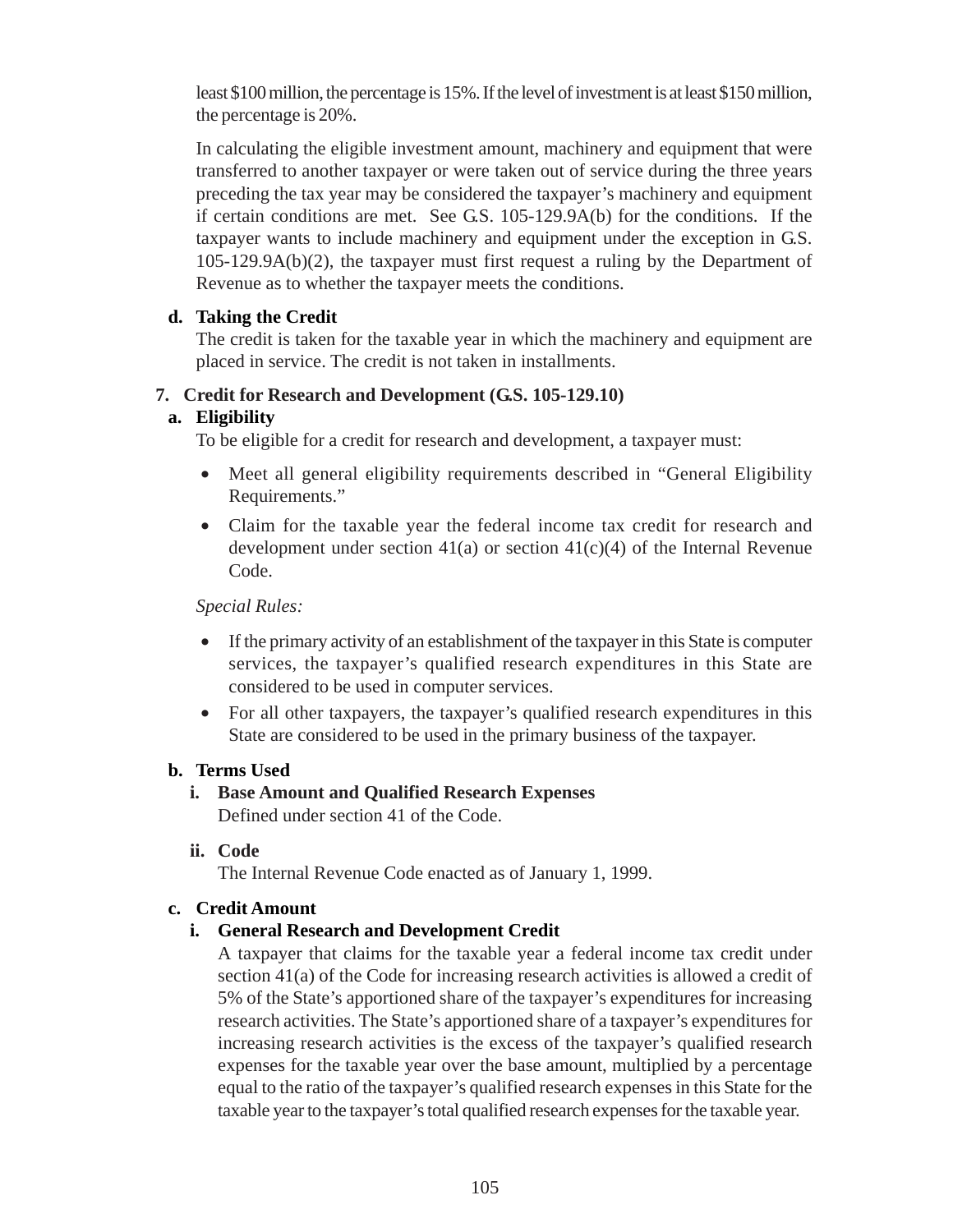least \$100 million, the percentage is 15%. If the level of investment is at least \$150 million, the percentage is 20%.

In calculating the eligible investment amount, machinery and equipment that were transferred to another taxpayer or were taken out of service during the three years preceding the tax year may be considered the taxpayer's machinery and equipment if certain conditions are met. See G.S. 105-129.9A(b) for the conditions. If the taxpayer wants to include machinery and equipment under the exception in G.S. 105-129.9A(b)(2), the taxpayer must first request a ruling by the Department of Revenue as to whether the taxpayer meets the conditions.

### **d. Taking the Credit**

The credit is taken for the taxable year in which the machinery and equipment are placed in service. The credit is not taken in installments.

### **7. Credit for Research and Development (G.S. 105-129.10)**

# **a. Eligibility**

To be eligible for a credit for research and development, a taxpayer must:

- Meet all general eligibility requirements described in "General Eligibility" Requirements."
- Claim for the taxable year the federal income tax credit for research and development under section  $41(a)$  or section  $41(c)(4)$  of the Internal Revenue Code.

*Special Rules:*

- If the primary activity of an establishment of the taxpayer in this State is computer services, the taxpayer's qualified research expenditures in this State are considered to be used in computer services.
- For all other taxpayers, the taxpayer's qualified research expenditures in this State are considered to be used in the primary business of the taxpayer.

# **b. Terms Used**

- **i. Base Amount and Qualified Research Expenses** Defined under section 41 of the Code.
- **ii. Code**

The Internal Revenue Code enacted as of January 1, 1999.

#### **c. Credit Amount**

# **i. General Research and Development Credit**

A taxpayer that claims for the taxable year a federal income tax credit under section 41(a) of the Code for increasing research activities is allowed a credit of 5% of the State's apportioned share of the taxpayer's expenditures for increasing research activities. The State's apportioned share of a taxpayer's expenditures for increasing research activities is the excess of the taxpayer's qualified research expenses for the taxable year over the base amount, multiplied by a percentage equal to the ratio of the taxpayer's qualified research expenses in this State for the taxable year to the taxpayer's total qualified research expenses for the taxable year.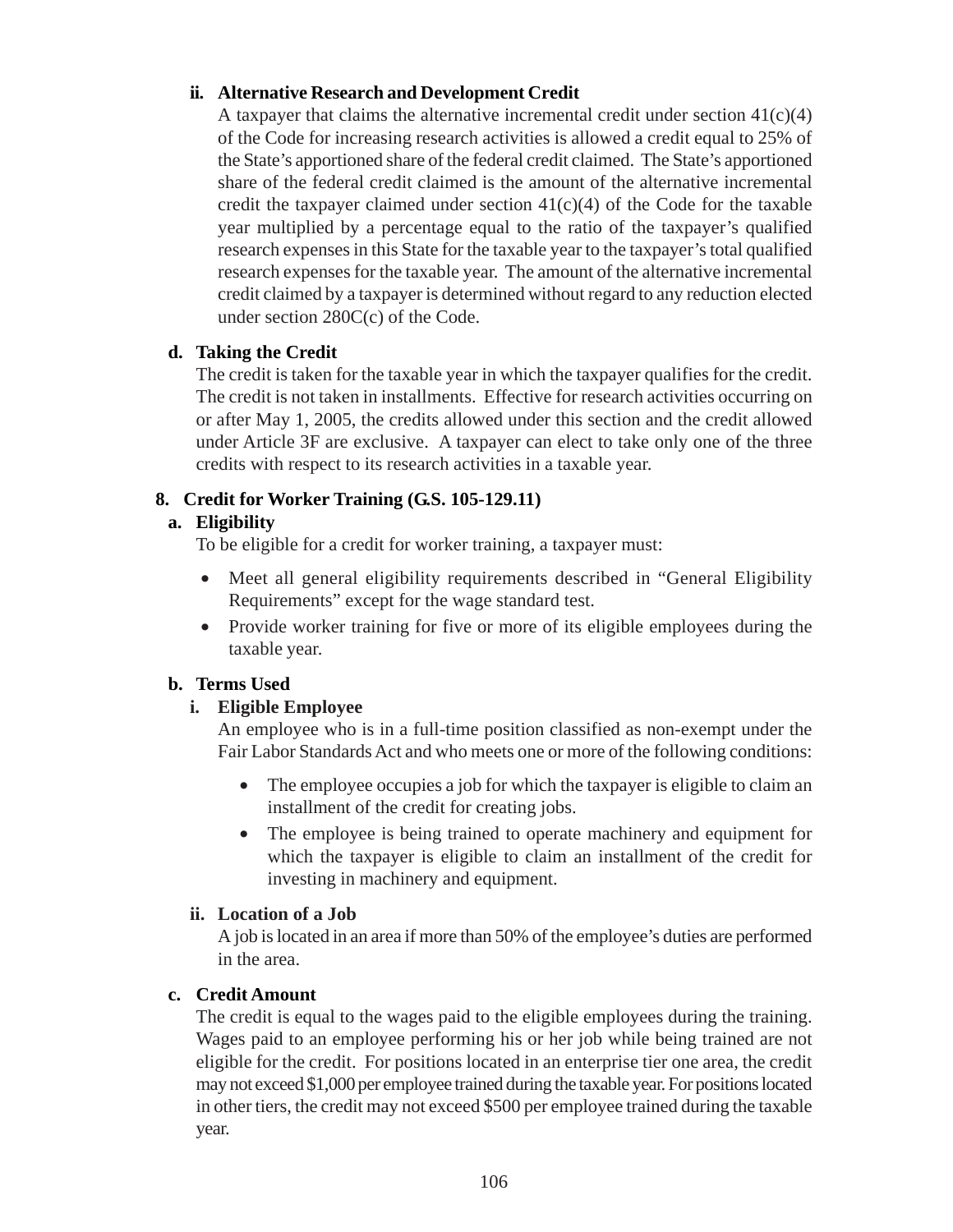# **ii. Alternative Research and Development Credit**

A taxpayer that claims the alternative incremental credit under section  $41(c)(4)$ of the Code for increasing research activities is allowed a credit equal to 25% of the State's apportioned share of the federal credit claimed. The State's apportioned share of the federal credit claimed is the amount of the alternative incremental credit the taxpayer claimed under section  $41(c)(4)$  of the Code for the taxable year multiplied by a percentage equal to the ratio of the taxpayer's qualified research expenses in this State for the taxable year to the taxpayer's total qualified research expenses for the taxable year. The amount of the alternative incremental credit claimed by a taxpayer is determined without regard to any reduction elected under section 280C(c) of the Code.

# **d. Taking the Credit**

The credit is taken for the taxable year in which the taxpayer qualifies for the credit. The credit is not taken in installments. Effective for research activities occurring on or after May 1, 2005, the credits allowed under this section and the credit allowed under Article 3F are exclusive. A taxpayer can elect to take only one of the three credits with respect to its research activities in a taxable year.

# **8. Credit for Worker Training (G.S. 105-129.11)**

# **a. Eligibility**

To be eligible for a credit for worker training, a taxpayer must:

- Meet all general eligibility requirements described in "General Eligibility" Requirements" except for the wage standard test.
- Provide worker training for five or more of its eligible employees during the taxable year.

# **b. Terms Used**

# **i. Eligible Employee**

An employee who is in a full-time position classified as non-exempt under the Fair Labor Standards Act and who meets one or more of the following conditions:

- The employee occupies a job for which the taxpayer is eligible to claim an installment of the credit for creating jobs.
- The employee is being trained to operate machinery and equipment for which the taxpayer is eligible to claim an installment of the credit for investing in machinery and equipment.

# **ii. Location of a Job**

A job is located in an area if more than 50% of the employee's duties are performed in the area.

# **c. Credit Amount**

The credit is equal to the wages paid to the eligible employees during the training. Wages paid to an employee performing his or her job while being trained are not eligible for the credit. For positions located in an enterprise tier one area, the credit may not exceed \$1,000 per employee trained during the taxable year. For positions located in other tiers, the credit may not exceed \$500 per employee trained during the taxable year.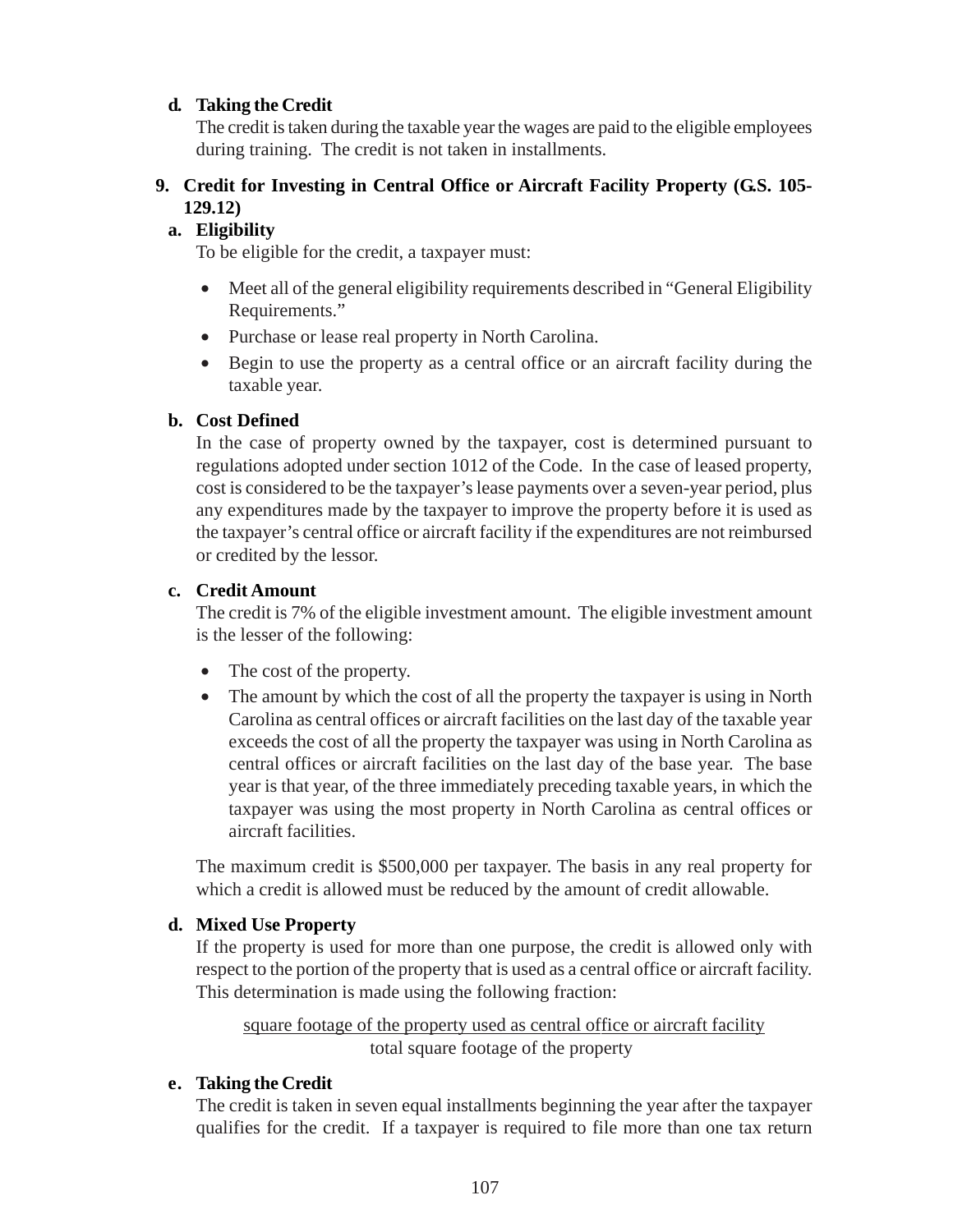### **d. Taking the Credit**

The credit is taken during the taxable year the wages are paid to the eligible employees during training. The credit is not taken in installments.

# **9. Credit for Investing in Central Office or Aircraft Facility Property (G.S. 105- 129.12)**

# **a. Eligibility**

To be eligible for the credit, a taxpayer must:

- Meet all of the general eligibility requirements described in "General Eligibility" Requirements."
- Purchase or lease real property in North Carolina.
- Begin to use the property as a central office or an aircraft facility during the taxable year.

#### **b. Cost Defined**

In the case of property owned by the taxpayer, cost is determined pursuant to regulations adopted under section 1012 of the Code. In the case of leased property, cost is considered to be the taxpayer's lease payments over a seven-year period, plus any expenditures made by the taxpayer to improve the property before it is used as the taxpayer's central office or aircraft facility if the expenditures are not reimbursed or credited by the lessor.

#### **c. Credit Amount**

The credit is 7% of the eligible investment amount. The eligible investment amount is the lesser of the following:

- The cost of the property.
- The amount by which the cost of all the property the taxpayer is using in North Carolina as central offices or aircraft facilities on the last day of the taxable year exceeds the cost of all the property the taxpayer was using in North Carolina as central offices or aircraft facilities on the last day of the base year. The base year is that year, of the three immediately preceding taxable years, in which the taxpayer was using the most property in North Carolina as central offices or aircraft facilities.

The maximum credit is \$500,000 per taxpayer. The basis in any real property for which a credit is allowed must be reduced by the amount of credit allowable.

# **d. Mixed Use Property**

If the property is used for more than one purpose, the credit is allowed only with respect to the portion of the property that is used as a central office or aircraft facility. This determination is made using the following fraction:

square footage of the property used as central office or aircraft facility total square footage of the property

#### **e. Taking the Credit**

The credit is taken in seven equal installments beginning the year after the taxpayer qualifies for the credit. If a taxpayer is required to file more than one tax return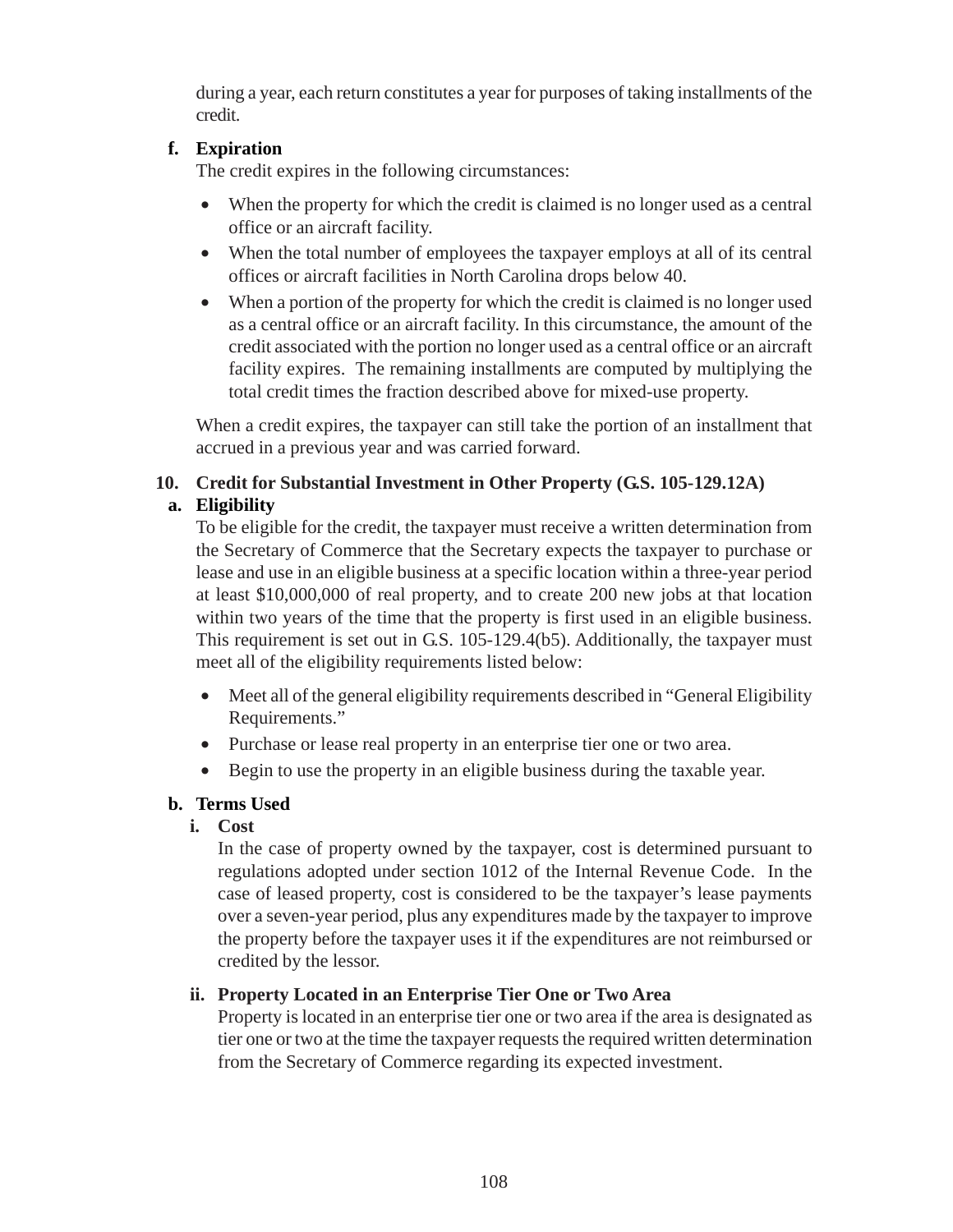during a year, each return constitutes a year for purposes of taking installments of the credit.

# **f. Expiration**

The credit expires in the following circumstances:

- When the property for which the credit is claimed is no longer used as a central office or an aircraft facility.
- When the total number of employees the taxpayer employs at all of its central offices or aircraft facilities in North Carolina drops below 40.
- When a portion of the property for which the credit is claimed is no longer used as a central office or an aircraft facility. In this circumstance, the amount of the credit associated with the portion no longer used as a central office or an aircraft facility expires. The remaining installments are computed by multiplying the total credit times the fraction described above for mixed-use property.

When a credit expires, the taxpayer can still take the portion of an installment that accrued in a previous year and was carried forward.

# **10. Credit for Substantial Investment in Other Property (G.S. 105-129.12A) a. Eligibility**

To be eligible for the credit, the taxpayer must receive a written determination from the Secretary of Commerce that the Secretary expects the taxpayer to purchase or lease and use in an eligible business at a specific location within a three-year period at least \$10,000,000 of real property, and to create 200 new jobs at that location within two years of the time that the property is first used in an eligible business. This requirement is set out in G.S. 105-129.4(b5). Additionally, the taxpayer must meet all of the eligibility requirements listed below:

- Meet all of the general eligibility requirements described in "General Eligibility" Requirements."
- Purchase or lease real property in an enterprise tier one or two area.
- Begin to use the property in an eligible business during the taxable year.

# **b. Terms Used**

**i. Cost**

In the case of property owned by the taxpayer, cost is determined pursuant to regulations adopted under section 1012 of the Internal Revenue Code. In the case of leased property, cost is considered to be the taxpayer's lease payments over a seven-year period, plus any expenditures made by the taxpayer to improve the property before the taxpayer uses it if the expenditures are not reimbursed or credited by the lessor.

# **ii. Property Located in an Enterprise Tier One or Two Area**

Property is located in an enterprise tier one or two area if the area is designated as tier one or two at the time the taxpayer requests the required written determination from the Secretary of Commerce regarding its expected investment.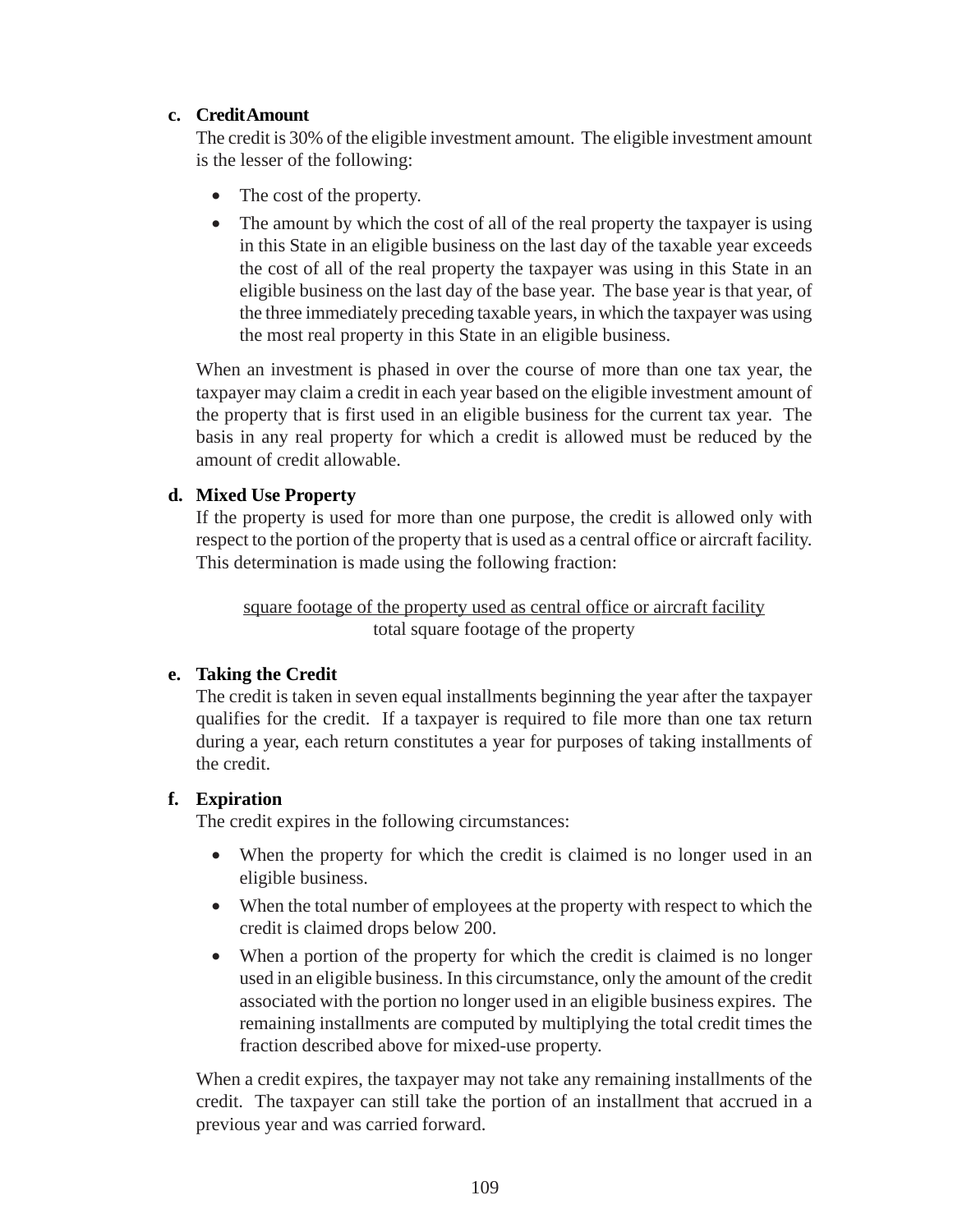### **c. Credit Amount**

The credit is 30% of the eligible investment amount. The eligible investment amount is the lesser of the following:

- The cost of the property.
- The amount by which the cost of all of the real property the taxpayer is using in this State in an eligible business on the last day of the taxable year exceeds the cost of all of the real property the taxpayer was using in this State in an eligible business on the last day of the base year. The base year is that year, of the three immediately preceding taxable years, in which the taxpayer was using the most real property in this State in an eligible business.

When an investment is phased in over the course of more than one tax year, the taxpayer may claim a credit in each year based on the eligible investment amount of the property that is first used in an eligible business for the current tax year. The basis in any real property for which a credit is allowed must be reduced by the amount of credit allowable.

### **d. Mixed Use Property**

If the property is used for more than one purpose, the credit is allowed only with respect to the portion of the property that is used as a central office or aircraft facility. This determination is made using the following fraction:

square footage of the property used as central office or aircraft facility total square footage of the property

# **e. Taking the Credit**

The credit is taken in seven equal installments beginning the year after the taxpayer qualifies for the credit. If a taxpayer is required to file more than one tax return during a year, each return constitutes a year for purposes of taking installments of the credit.

#### **f. Expiration**

The credit expires in the following circumstances:

- When the property for which the credit is claimed is no longer used in an eligible business.
- When the total number of employees at the property with respect to which the credit is claimed drops below 200.
- When a portion of the property for which the credit is claimed is no longer used in an eligible business. In this circumstance, only the amount of the credit associated with the portion no longer used in an eligible business expires. The remaining installments are computed by multiplying the total credit times the fraction described above for mixed-use property.

When a credit expires, the taxpayer may not take any remaining installments of the credit. The taxpayer can still take the portion of an installment that accrued in a previous year and was carried forward.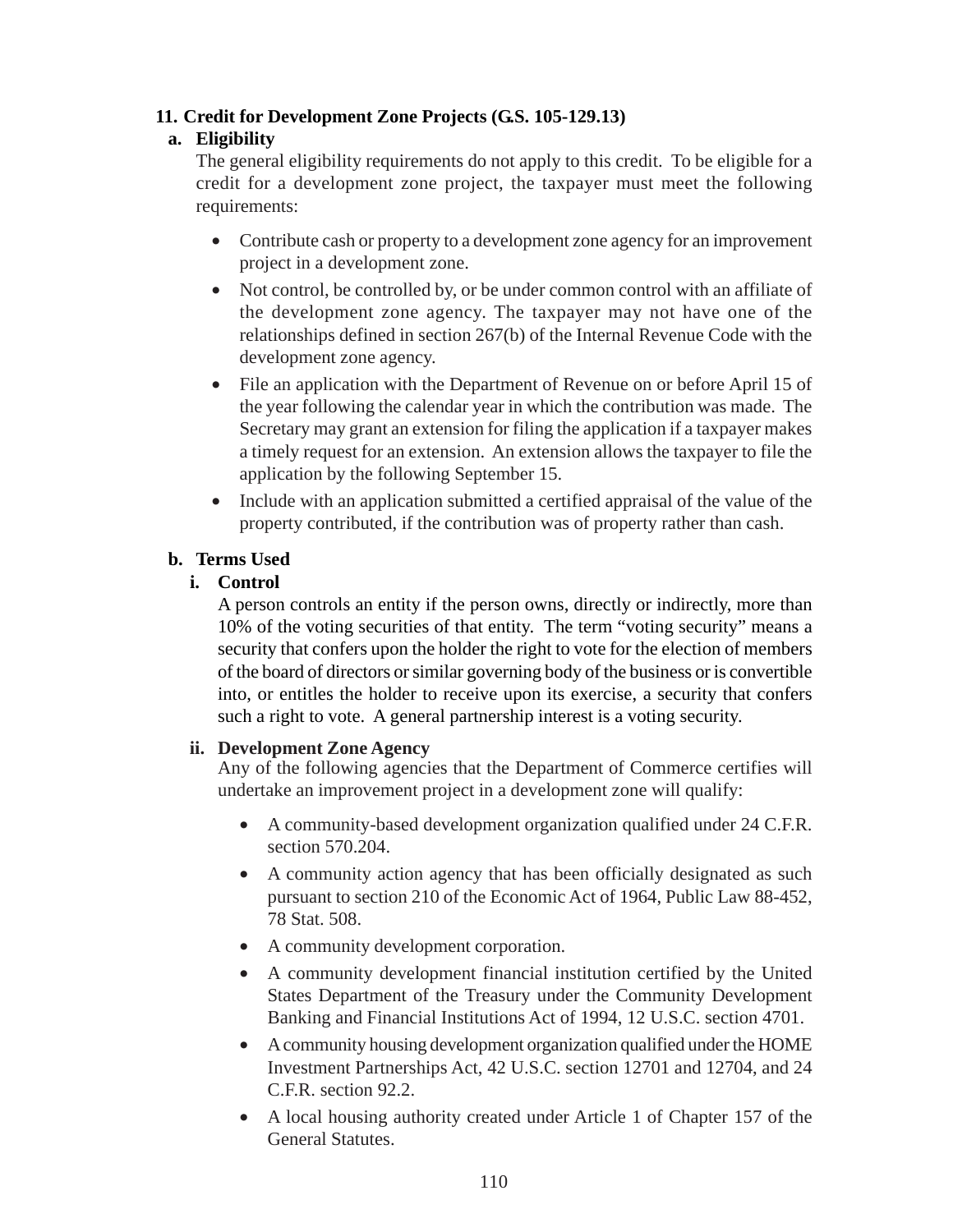# **11. Credit for Development Zone Projects (G.S. 105-129.13)**

# **a. Eligibility**

The general eligibility requirements do not apply to this credit. To be eligible for a credit for a development zone project, the taxpayer must meet the following requirements:

- Contribute cash or property to a development zone agency for an improvement project in a development zone.
- Not control, be controlled by, or be under common control with an affiliate of the development zone agency. The taxpayer may not have one of the relationships defined in section 267(b) of the Internal Revenue Code with the development zone agency.
- File an application with the Department of Revenue on or before April 15 of the year following the calendar year in which the contribution was made. The Secretary may grant an extension for filing the application if a taxpayer makes a timely request for an extension. An extension allows the taxpayer to file the application by the following September 15.
- Include with an application submitted a certified appraisal of the value of the property contributed, if the contribution was of property rather than cash.

# **b. Terms Used**

# **i. Control**

A person controls an entity if the person owns, directly or indirectly, more than 10% of the voting securities of that entity. The term "voting security" means a security that confers upon the holder the right to vote for the election of members of the board of directors or similar governing body of the business or is convertible into, or entitles the holder to receive upon its exercise, a security that confers such a right to vote. A general partnership interest is a voting security.

# **ii. Development Zone Agency**

Any of the following agencies that the Department of Commerce certifies will undertake an improvement project in a development zone will qualify:

- A community-based development organization qualified under 24 C.F.R. section 570.204.
- A community action agency that has been officially designated as such pursuant to section 210 of the Economic Act of 1964, Public Law 88-452, 78 Stat. 508.
- A community development corporation.
- A community development financial institution certified by the United States Department of the Treasury under the Community Development Banking and Financial Institutions Act of 1994, 12 U.S.C. section 4701.
- A community housing development organization qualified under the HOME Investment Partnerships Act, 42 U.S.C. section 12701 and 12704, and 24 C.F.R. section 92.2.
- A local housing authority created under Article 1 of Chapter 157 of the General Statutes.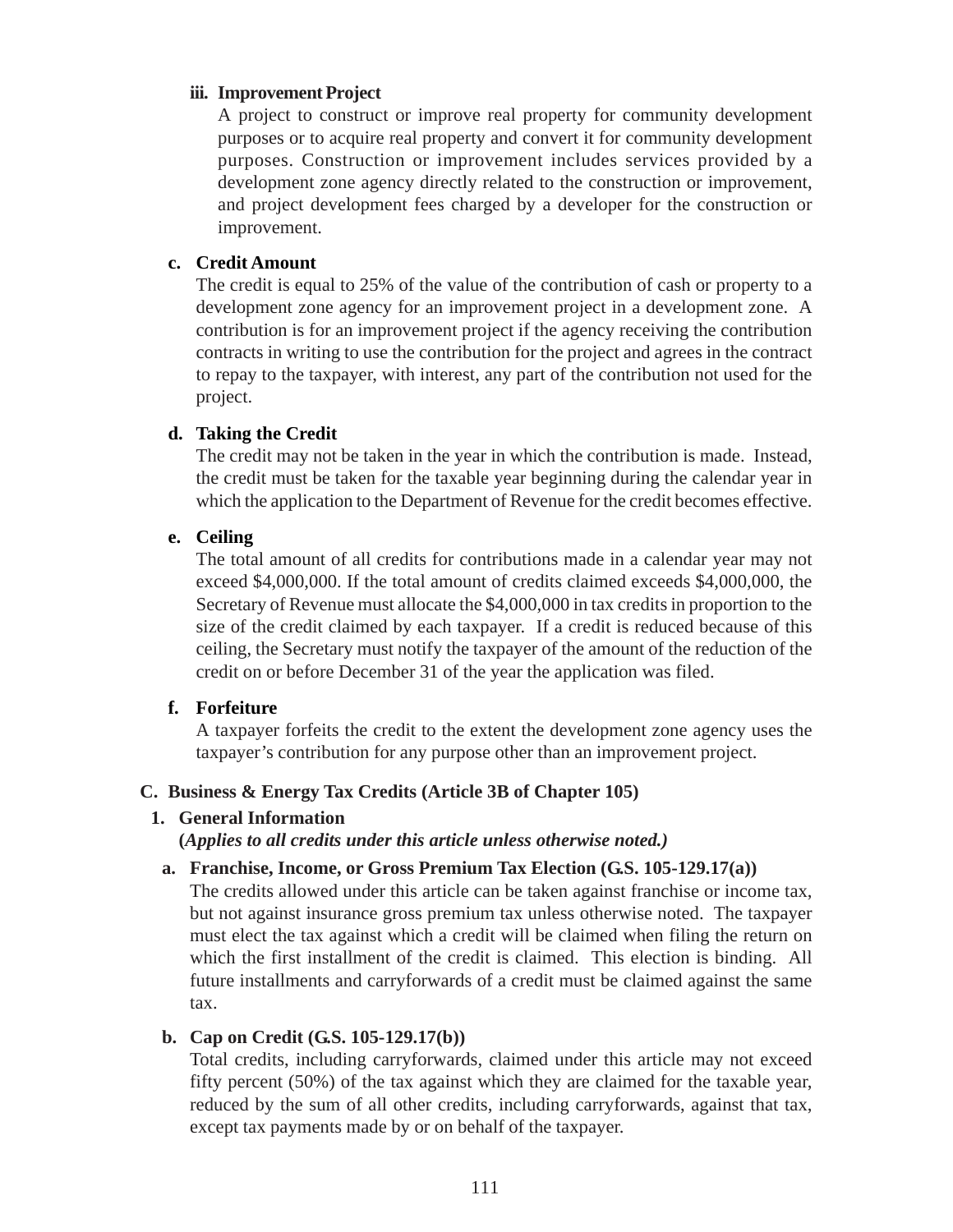#### **iii. Improvement Project**

A project to construct or improve real property for community development purposes or to acquire real property and convert it for community development purposes. Construction or improvement includes services provided by a development zone agency directly related to the construction or improvement, and project development fees charged by a developer for the construction or improvement.

#### **c. Credit Amount**

The credit is equal to 25% of the value of the contribution of cash or property to a development zone agency for an improvement project in a development zone. A contribution is for an improvement project if the agency receiving the contribution contracts in writing to use the contribution for the project and agrees in the contract to repay to the taxpayer, with interest, any part of the contribution not used for the project.

#### **d. Taking the Credit**

The credit may not be taken in the year in which the contribution is made. Instead, the credit must be taken for the taxable year beginning during the calendar year in which the application to the Department of Revenue for the credit becomes effective.

#### **e. Ceiling**

The total amount of all credits for contributions made in a calendar year may not exceed \$4,000,000. If the total amount of credits claimed exceeds \$4,000,000, the Secretary of Revenue must allocate the \$4,000,000 in tax credits in proportion to the size of the credit claimed by each taxpayer. If a credit is reduced because of this ceiling, the Secretary must notify the taxpayer of the amount of the reduction of the credit on or before December 31 of the year the application was filed.

#### **f. Forfeiture**

A taxpayer forfeits the credit to the extent the development zone agency uses the taxpayer's contribution for any purpose other than an improvement project.

#### **C. Business & Energy Tax Credits (Article 3B of Chapter 105)**

#### **1. General Information**

**(***Applies to all credits under this article unless otherwise noted.)*

#### **a. Franchise, Income, or Gross Premium Tax Election (G.S. 105-129.17(a))**

The credits allowed under this article can be taken against franchise or income tax, but not against insurance gross premium tax unless otherwise noted. The taxpayer must elect the tax against which a credit will be claimed when filing the return on which the first installment of the credit is claimed. This election is binding. All future installments and carryforwards of a credit must be claimed against the same tax.

#### **b. Cap on Credit (G.S. 105-129.17(b))**

Total credits, including carryforwards, claimed under this article may not exceed fifty percent (50%) of the tax against which they are claimed for the taxable year, reduced by the sum of all other credits, including carryforwards, against that tax, except tax payments made by or on behalf of the taxpayer.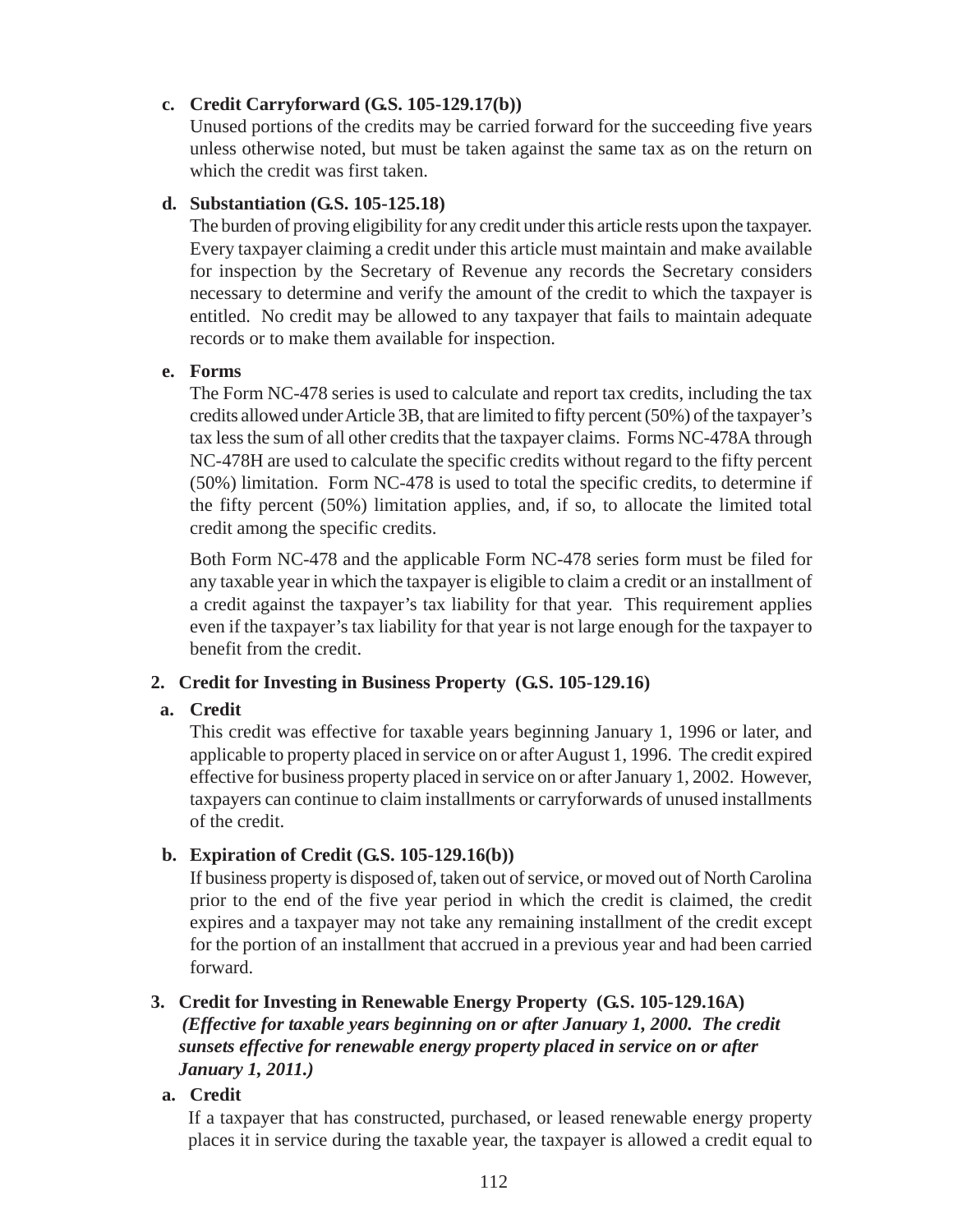# **c. Credit Carryforward (G.S. 105-129.17(b))**

Unused portions of the credits may be carried forward for the succeeding five years unless otherwise noted, but must be taken against the same tax as on the return on which the credit was first taken.

### **d. Substantiation (G.S. 105-125.18)**

The burden of proving eligibility for any credit under this article rests upon the taxpayer. Every taxpayer claiming a credit under this article must maintain and make available for inspection by the Secretary of Revenue any records the Secretary considers necessary to determine and verify the amount of the credit to which the taxpayer is entitled. No credit may be allowed to any taxpayer that fails to maintain adequate records or to make them available for inspection.

### **e. Forms**

The Form NC-478 series is used to calculate and report tax credits, including the tax credits allowed under Article 3B, that are limited to fifty percent (50%) of the taxpayer's tax less the sum of all other credits that the taxpayer claims. Forms NC-478A through NC-478H are used to calculate the specific credits without regard to the fifty percent (50%) limitation. Form NC-478 is used to total the specific credits, to determine if the fifty percent (50%) limitation applies, and, if so, to allocate the limited total credit among the specific credits.

Both Form NC-478 and the applicable Form NC-478 series form must be filed for any taxable year in which the taxpayer is eligible to claim a credit or an installment of a credit against the taxpayer's tax liability for that year. This requirement applies even if the taxpayer's tax liability for that year is not large enough for the taxpayer to benefit from the credit.

# **2. Credit for Investing in Business Property (G.S. 105-129.16)**

# **a. Credit**

This credit was effective for taxable years beginning January 1, 1996 or later, and applicable to property placed in service on or after August 1, 1996. The credit expired effective for business property placed in service on or after January 1, 2002. However, taxpayers can continue to claim installments or carryforwards of unused installments of the credit.

# **b. Expiration of Credit (G.S. 105-129.16(b))**

If business property is disposed of, taken out of service, or moved out of North Carolina prior to the end of the five year period in which the credit is claimed, the credit expires and a taxpayer may not take any remaining installment of the credit except for the portion of an installment that accrued in a previous year and had been carried forward.

# **3. Credit for Investing in Renewable Energy Property (G.S. 105-129.16A)** *(Effective for taxable years beginning on or after January 1, 2000. The credit sunsets effective for renewable energy property placed in service on or after January 1, 2011.)*

**a. Credit**

If a taxpayer that has constructed, purchased, or leased renewable energy property places it in service during the taxable year, the taxpayer is allowed a credit equal to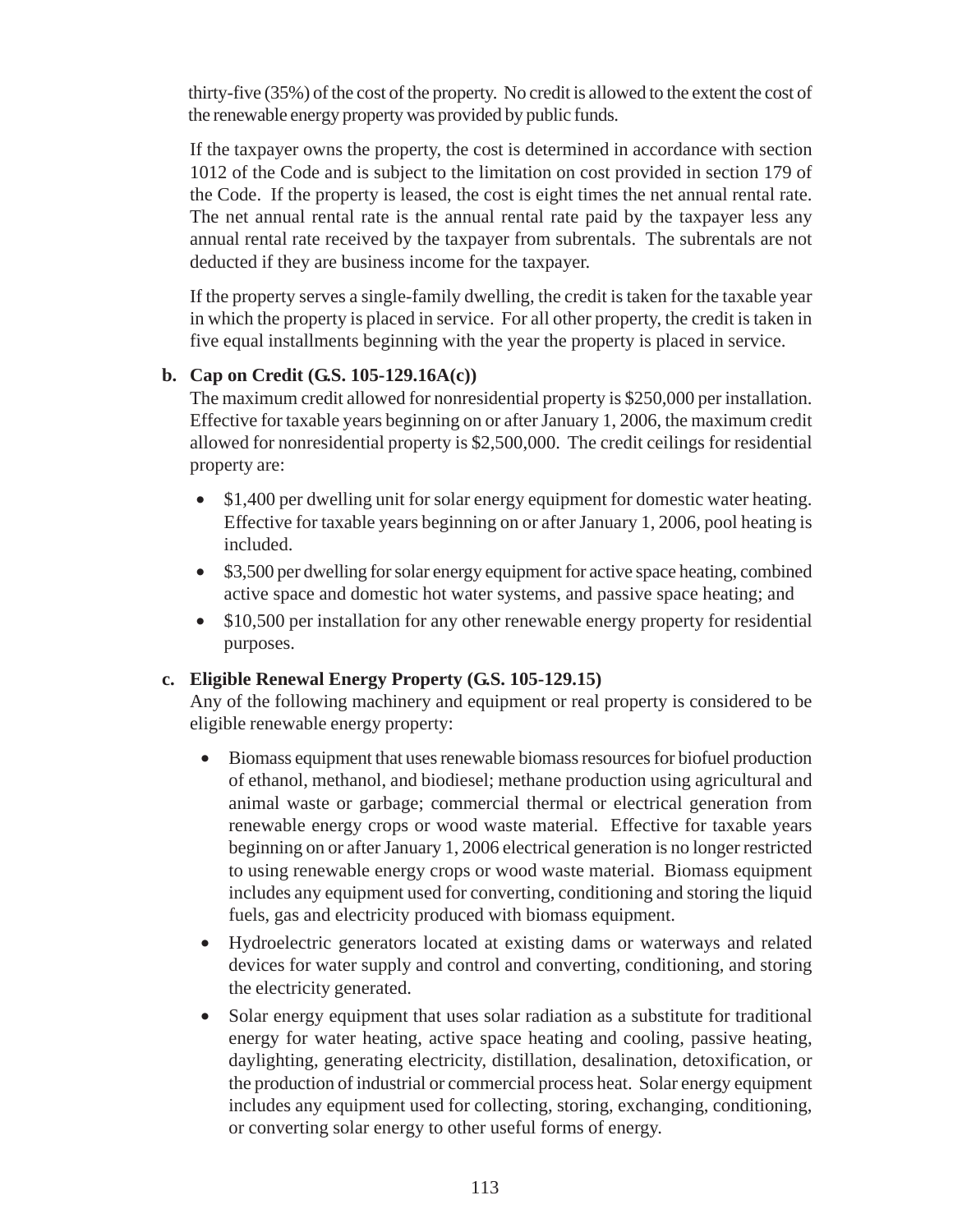thirty-five (35%) of the cost of the property. No credit is allowed to the extent the cost of the renewable energy property was provided by public funds.

If the taxpayer owns the property, the cost is determined in accordance with section 1012 of the Code and is subject to the limitation on cost provided in section 179 of the Code. If the property is leased, the cost is eight times the net annual rental rate. The net annual rental rate is the annual rental rate paid by the taxpayer less any annual rental rate received by the taxpayer from subrentals. The subrentals are not deducted if they are business income for the taxpayer.

If the property serves a single-family dwelling, the credit is taken for the taxable year in which the property is placed in service. For all other property, the credit is taken in five equal installments beginning with the year the property is placed in service.

# **b. Cap on Credit (G.S. 105-129.16A(c))**

The maximum credit allowed for nonresidential property is \$250,000 per installation. Effective for taxable years beginning on or after January 1, 2006, the maximum credit allowed for nonresidential property is \$2,500,000. The credit ceilings for residential property are:

- \$1,400 per dwelling unit for solar energy equipment for domestic water heating. Effective for taxable years beginning on or after January 1, 2006, pool heating is included.
- \$3,500 per dwelling for solar energy equipment for active space heating, combined active space and domestic hot water systems, and passive space heating; and
- \$10,500 per installation for any other renewable energy property for residential purposes.

# **c. Eligible Renewal Energy Property (G.S. 105-129.15)**

Any of the following machinery and equipment or real property is considered to be eligible renewable energy property:

- Biomass equipment that uses renewable biomass resources for biofuel production of ethanol, methanol, and biodiesel; methane production using agricultural and animal waste or garbage; commercial thermal or electrical generation from renewable energy crops or wood waste material. Effective for taxable years beginning on or after January 1, 2006 electrical generation is no longer restricted to using renewable energy crops or wood waste material. Biomass equipment includes any equipment used for converting, conditioning and storing the liquid fuels, gas and electricity produced with biomass equipment.
- Hydroelectric generators located at existing dams or waterways and related devices for water supply and control and converting, conditioning, and storing the electricity generated.
- Solar energy equipment that uses solar radiation as a substitute for traditional energy for water heating, active space heating and cooling, passive heating, daylighting, generating electricity, distillation, desalination, detoxification, or the production of industrial or commercial process heat. Solar energy equipment includes any equipment used for collecting, storing, exchanging, conditioning, or converting solar energy to other useful forms of energy.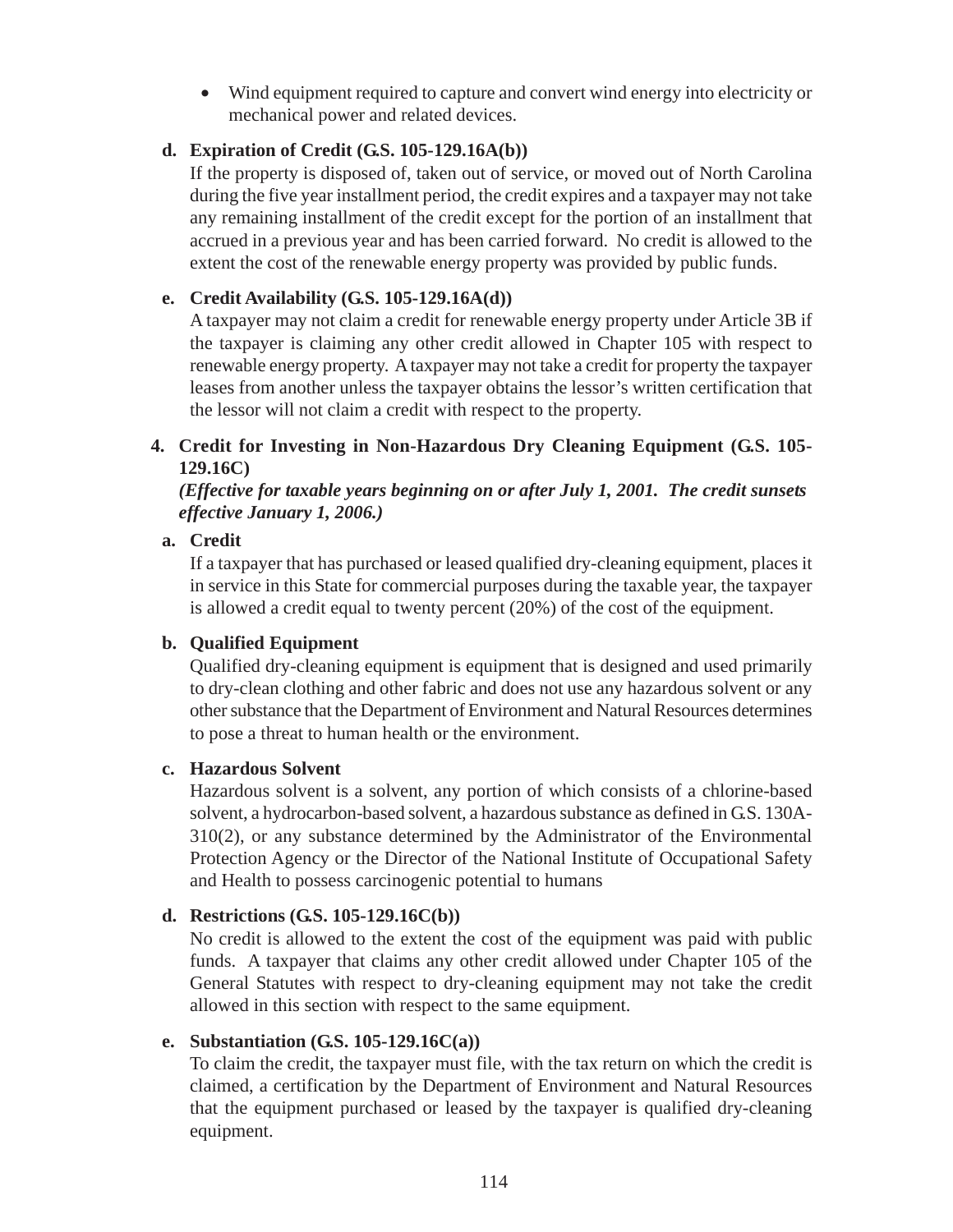• Wind equipment required to capture and convert wind energy into electricity or mechanical power and related devices.

# **d. Expiration of Credit (G.S. 105-129.16A(b))**

If the property is disposed of, taken out of service, or moved out of North Carolina during the five year installment period, the credit expires and a taxpayer may not take any remaining installment of the credit except for the portion of an installment that accrued in a previous year and has been carried forward. No credit is allowed to the extent the cost of the renewable energy property was provided by public funds.

# **e. Credit Availability (G.S. 105-129.16A(d))**

A taxpayer may not claim a credit for renewable energy property under Article 3B if the taxpayer is claiming any other credit allowed in Chapter 105 with respect to renewable energy property. A taxpayer may not take a credit for property the taxpayer leases from another unless the taxpayer obtains the lessor's written certification that the lessor will not claim a credit with respect to the property.

# **4. Credit for Investing in Non-Hazardous Dry Cleaning Equipment (G.S. 105- 129.16C)**

# *(Effective for taxable years beginning on or after July 1, 2001. The credit sunsets effective January 1, 2006.)*

# **a. Credit**

If a taxpayer that has purchased or leased qualified dry-cleaning equipment, places it in service in this State for commercial purposes during the taxable year, the taxpayer is allowed a credit equal to twenty percent (20%) of the cost of the equipment.

# **b. Qualified Equipment**

Qualified dry-cleaning equipment is equipment that is designed and used primarily to dry-clean clothing and other fabric and does not use any hazardous solvent or any other substance that the Department of Environment and Natural Resources determines to pose a threat to human health or the environment.

# **c. Hazardous Solvent**

Hazardous solvent is a solvent, any portion of which consists of a chlorine-based solvent, a hydrocarbon-based solvent, a hazardous substance as defined in G.S. 130A-310(2), or any substance determined by the Administrator of the Environmental Protection Agency or the Director of the National Institute of Occupational Safety and Health to possess carcinogenic potential to humans

# **d. Restrictions (G.S. 105-129.16C(b))**

No credit is allowed to the extent the cost of the equipment was paid with public funds. A taxpayer that claims any other credit allowed under Chapter 105 of the General Statutes with respect to dry-cleaning equipment may not take the credit allowed in this section with respect to the same equipment.

# **e. Substantiation (G.S. 105-129.16C(a))**

To claim the credit, the taxpayer must file, with the tax return on which the credit is claimed, a certification by the Department of Environment and Natural Resources that the equipment purchased or leased by the taxpayer is qualified dry-cleaning equipment.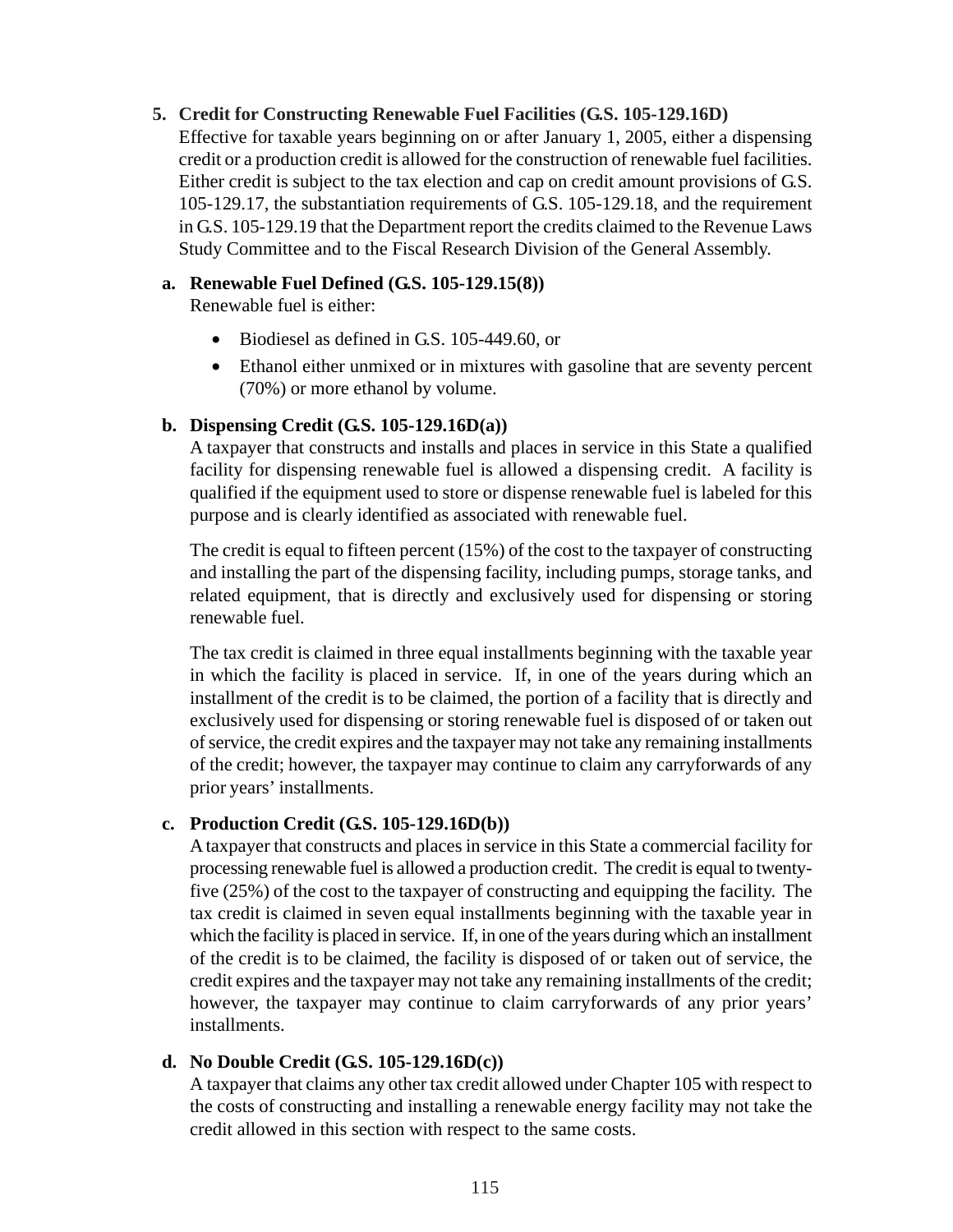### **5. Credit for Constructing Renewable Fuel Facilities (G.S. 105-129.16D)**

Effective for taxable years beginning on or after January 1, 2005, either a dispensing credit or a production credit is allowed for the construction of renewable fuel facilities. Either credit is subject to the tax election and cap on credit amount provisions of G.S. 105-129.17, the substantiation requirements of G.S. 105-129.18, and the requirement in G.S. 105-129.19 that the Department report the credits claimed to the Revenue Laws Study Committee and to the Fiscal Research Division of the General Assembly.

### **a. Renewable Fuel Defined (G.S. 105-129.15(8))**

Renewable fuel is either:

- Biodiesel as defined in G.S. 105-449.60, or
- Ethanol either unmixed or in mixtures with gasoline that are seventy percent (70%) or more ethanol by volume.

### **b. Dispensing Credit (G.S. 105-129.16D(a))**

A taxpayer that constructs and installs and places in service in this State a qualified facility for dispensing renewable fuel is allowed a dispensing credit. A facility is qualified if the equipment used to store or dispense renewable fuel is labeled for this purpose and is clearly identified as associated with renewable fuel.

The credit is equal to fifteen percent (15%) of the cost to the taxpayer of constructing and installing the part of the dispensing facility, including pumps, storage tanks, and related equipment, that is directly and exclusively used for dispensing or storing renewable fuel.

The tax credit is claimed in three equal installments beginning with the taxable year in which the facility is placed in service. If, in one of the years during which an installment of the credit is to be claimed, the portion of a facility that is directly and exclusively used for dispensing or storing renewable fuel is disposed of or taken out of service, the credit expires and the taxpayer may not take any remaining installments of the credit; however, the taxpayer may continue to claim any carryforwards of any prior years' installments.

# **c. Production Credit (G.S. 105-129.16D(b))**

A taxpayer that constructs and places in service in this State a commercial facility for processing renewable fuel is allowed a production credit. The credit is equal to twentyfive (25%) of the cost to the taxpayer of constructing and equipping the facility. The tax credit is claimed in seven equal installments beginning with the taxable year in which the facility is placed in service. If, in one of the years during which an installment of the credit is to be claimed, the facility is disposed of or taken out of service, the credit expires and the taxpayer may not take any remaining installments of the credit; however, the taxpayer may continue to claim carryforwards of any prior years' installments.

# **d. No Double Credit (G.S. 105-129.16D(c))**

A taxpayer that claims any other tax credit allowed under Chapter 105 with respect to the costs of constructing and installing a renewable energy facility may not take the credit allowed in this section with respect to the same costs.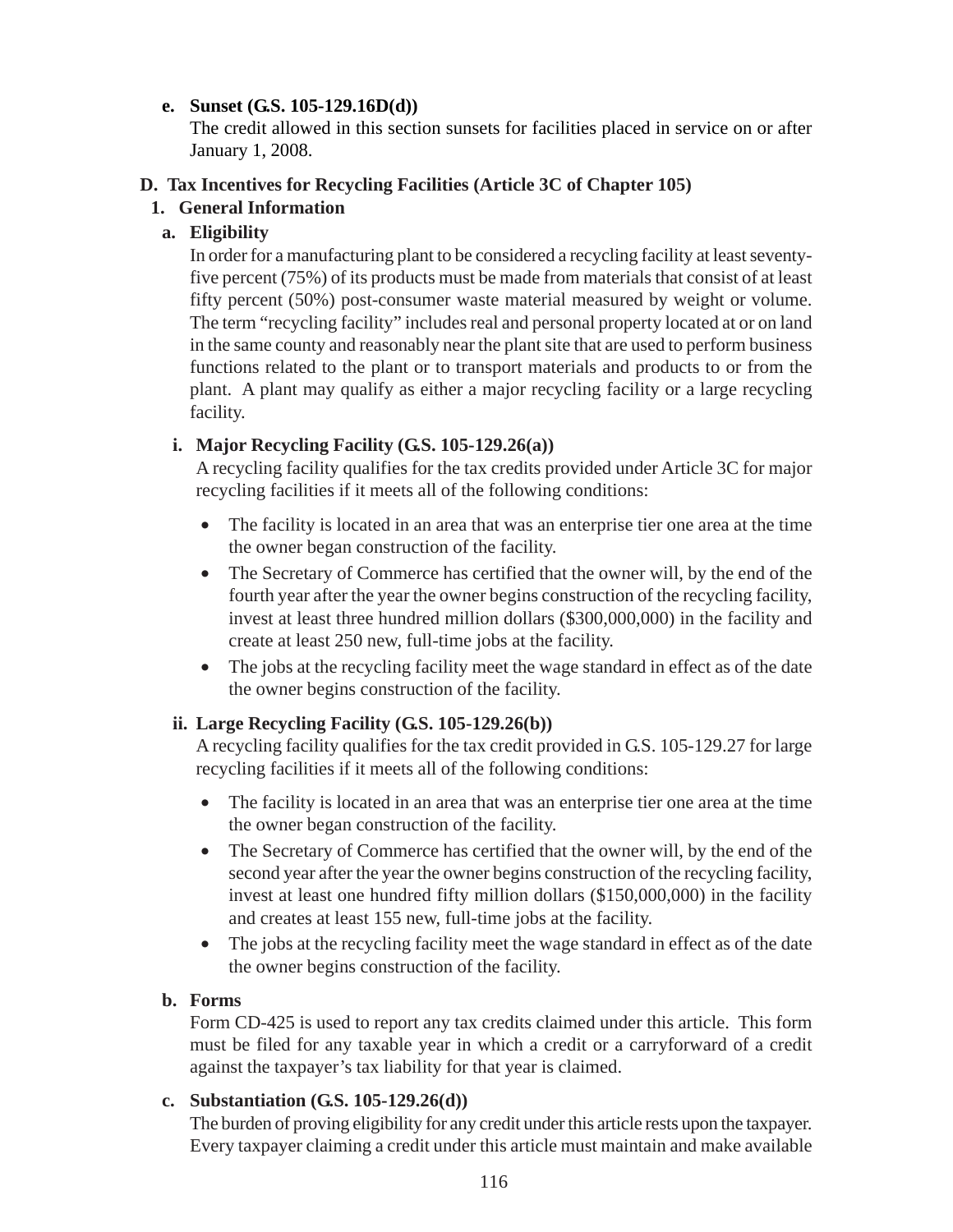# **e. Sunset (G.S. 105-129.16D(d))**

The credit allowed in this section sunsets for facilities placed in service on or after January 1, 2008.

# **D. Tax Incentives for Recycling Facilities (Article 3C of Chapter 105)**

# **1. General Information**

# **a. Eligibility**

In order for a manufacturing plant to be considered a recycling facility at least seventyfive percent (75%) of its products must be made from materials that consist of at least fifty percent (50%) post-consumer waste material measured by weight or volume. The term "recycling facility" includes real and personal property located at or on land in the same county and reasonably near the plant site that are used to perform business functions related to the plant or to transport materials and products to or from the plant. A plant may qualify as either a major recycling facility or a large recycling facility.

# **i. Major Recycling Facility (G.S. 105-129.26(a))**

A recycling facility qualifies for the tax credits provided under Article 3C for major recycling facilities if it meets all of the following conditions:

- The facility is located in an area that was an enterprise tier one area at the time the owner began construction of the facility.
- The Secretary of Commerce has certified that the owner will, by the end of the fourth year after the year the owner begins construction of the recycling facility, invest at least three hundred million dollars (\$300,000,000) in the facility and create at least 250 new, full-time jobs at the facility.
- The jobs at the recycling facility meet the wage standard in effect as of the date the owner begins construction of the facility.

# **ii. Large Recycling Facility (G.S. 105-129.26(b))**

A recycling facility qualifies for the tax credit provided in G.S. 105-129.27 for large recycling facilities if it meets all of the following conditions:

- The facility is located in an area that was an enterprise tier one area at the time the owner began construction of the facility.
- The Secretary of Commerce has certified that the owner will, by the end of the second year after the year the owner begins construction of the recycling facility, invest at least one hundred fifty million dollars (\$150,000,000) in the facility and creates at least 155 new, full-time jobs at the facility.
- The jobs at the recycling facility meet the wage standard in effect as of the date the owner begins construction of the facility.

# **b. Forms**

Form CD-425 is used to report any tax credits claimed under this article. This form must be filed for any taxable year in which a credit or a carryforward of a credit against the taxpayer's tax liability for that year is claimed.

# **c. Substantiation (G.S. 105-129.26(d))**

The burden of proving eligibility for any credit under this article rests upon the taxpayer. Every taxpayer claiming a credit under this article must maintain and make available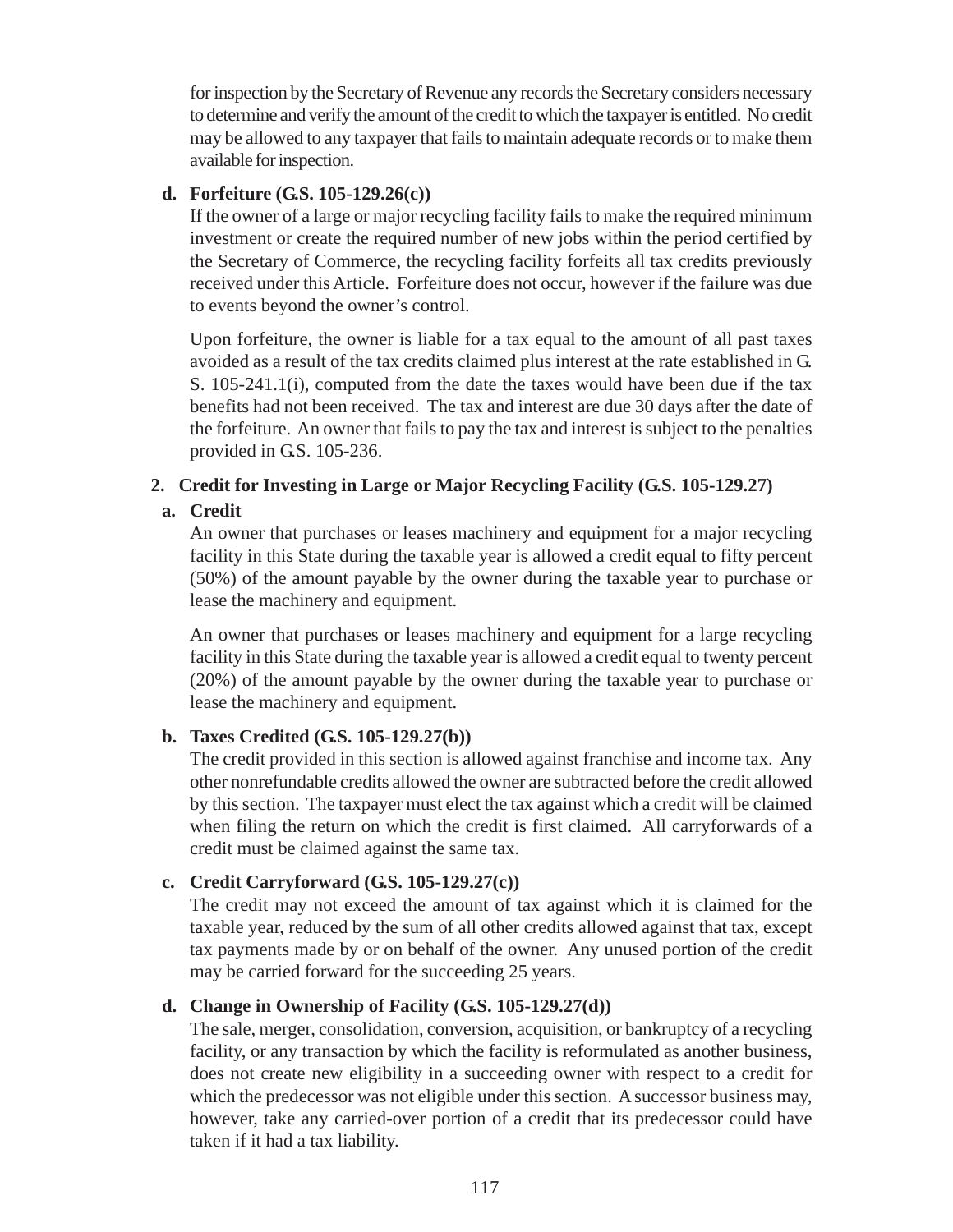for inspection by the Secretary of Revenue any records the Secretary considers necessary to determine and verify the amount of the credit to which the taxpayer is entitled. No credit may be allowed to any taxpayer that fails to maintain adequate records or to make them available for inspection.

### **d. Forfeiture (G.S. 105-129.26(c))**

If the owner of a large or major recycling facility fails to make the required minimum investment or create the required number of new jobs within the period certified by the Secretary of Commerce, the recycling facility forfeits all tax credits previously received under this Article. Forfeiture does not occur, however if the failure was due to events beyond the owner's control.

Upon forfeiture, the owner is liable for a tax equal to the amount of all past taxes avoided as a result of the tax credits claimed plus interest at the rate established in G. S. 105-241.1(i), computed from the date the taxes would have been due if the tax benefits had not been received. The tax and interest are due 30 days after the date of the forfeiture. An owner that fails to pay the tax and interest is subject to the penalties provided in G.S. 105-236.

# **2. Credit for Investing in Large or Major Recycling Facility (G.S. 105-129.27)**

# **a. Credit**

An owner that purchases or leases machinery and equipment for a major recycling facility in this State during the taxable year is allowed a credit equal to fifty percent (50%) of the amount payable by the owner during the taxable year to purchase or lease the machinery and equipment.

An owner that purchases or leases machinery and equipment for a large recycling facility in this State during the taxable year is allowed a credit equal to twenty percent (20%) of the amount payable by the owner during the taxable year to purchase or lease the machinery and equipment.

# **b. Taxes Credited (G.S. 105-129.27(b))**

The credit provided in this section is allowed against franchise and income tax. Any other nonrefundable credits allowed the owner are subtracted before the credit allowed by this section. The taxpayer must elect the tax against which a credit will be claimed when filing the return on which the credit is first claimed. All carryforwards of a credit must be claimed against the same tax.

# **c. Credit Carryforward (G.S. 105-129.27(c))**

The credit may not exceed the amount of tax against which it is claimed for the taxable year, reduced by the sum of all other credits allowed against that tax, except tax payments made by or on behalf of the owner. Any unused portion of the credit may be carried forward for the succeeding 25 years.

# **d. Change in Ownership of Facility (G.S. 105-129.27(d))**

The sale, merger, consolidation, conversion, acquisition, or bankruptcy of a recycling facility, or any transaction by which the facility is reformulated as another business, does not create new eligibility in a succeeding owner with respect to a credit for which the predecessor was not eligible under this section. A successor business may, however, take any carried-over portion of a credit that its predecessor could have taken if it had a tax liability.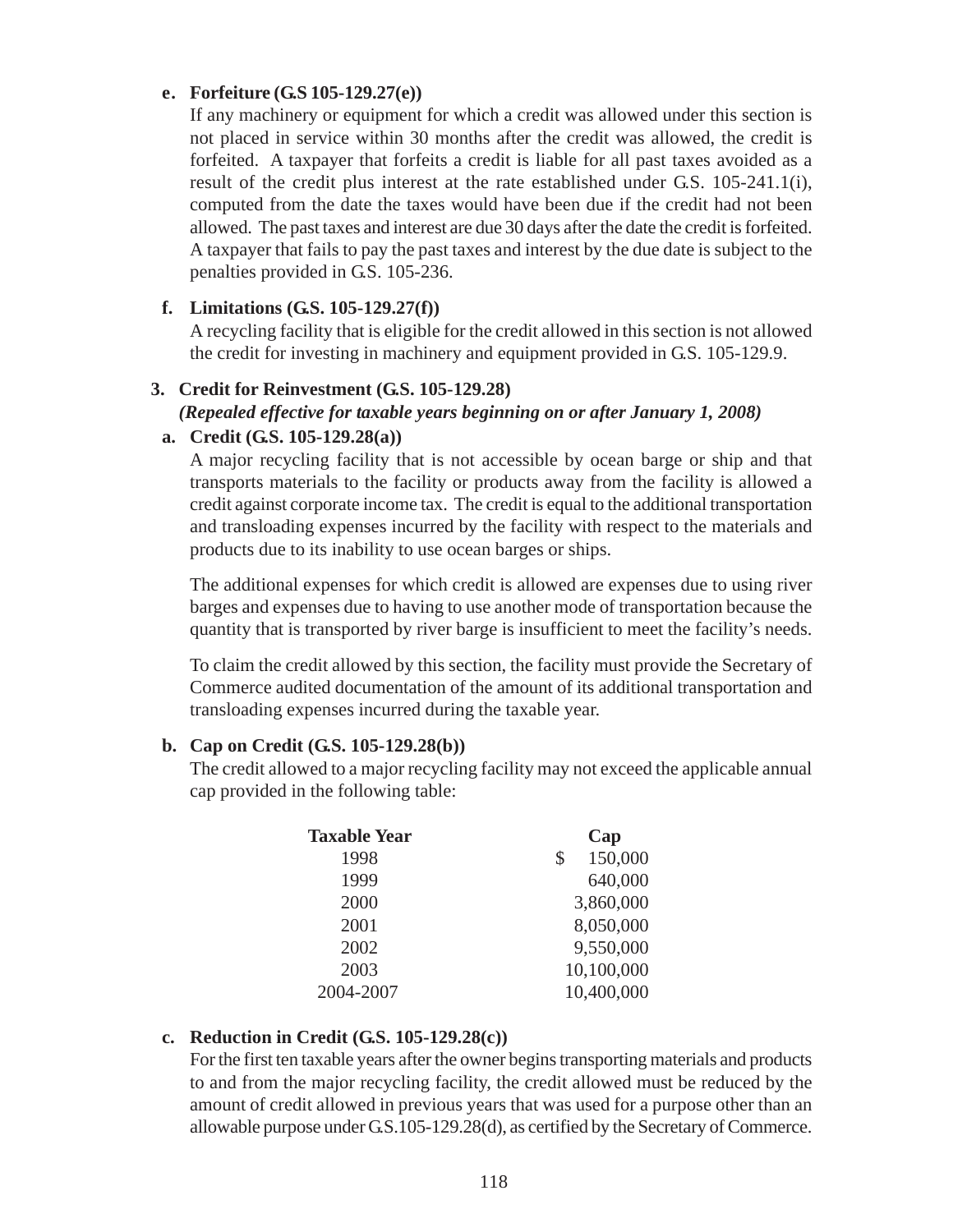#### **e. Forfeiture (G.S 105-129.27(e))**

If any machinery or equipment for which a credit was allowed under this section is not placed in service within 30 months after the credit was allowed, the credit is forfeited. A taxpayer that forfeits a credit is liable for all past taxes avoided as a result of the credit plus interest at the rate established under G.S. 105-241.1(i), computed from the date the taxes would have been due if the credit had not been allowed. The past taxes and interest are due 30 days after the date the credit is forfeited. A taxpayer that fails to pay the past taxes and interest by the due date is subject to the penalties provided in G.S. 105-236.

# **f. Limitations (G.S. 105-129.27(f))**

A recycling facility that is eligible for the credit allowed in this section is not allowed the credit for investing in machinery and equipment provided in G.S. 105-129.9.

# **3. Credit for Reinvestment (G.S. 105-129.28)**

*(Repealed effective for taxable years beginning on or after January 1, 2008)*

# **a. Credit (G.S. 105-129.28(a))**

A major recycling facility that is not accessible by ocean barge or ship and that transports materials to the facility or products away from the facility is allowed a credit against corporate income tax. The credit is equal to the additional transportation and transloading expenses incurred by the facility with respect to the materials and products due to its inability to use ocean barges or ships.

The additional expenses for which credit is allowed are expenses due to using river barges and expenses due to having to use another mode of transportation because the quantity that is transported by river barge is insufficient to meet the facility's needs.

To claim the credit allowed by this section, the facility must provide the Secretary of Commerce audited documentation of the amount of its additional transportation and transloading expenses incurred during the taxable year.

# **b. Cap on Credit (G.S. 105-129.28(b))**

The credit allowed to a major recycling facility may not exceed the applicable annual cap provided in the following table:

| <b>Taxable Year</b> | Cap           |
|---------------------|---------------|
| 1998                | 150,000<br>\$ |
| 1999                | 640,000       |
| 2000                | 3,860,000     |
| 2001                | 8,050,000     |
| 2002                | 9,550,000     |
| 2003                | 10,100,000    |
| 2004-2007           | 10,400,000    |

# **c. Reduction in Credit (G.S. 105-129.28(c))**

For the first ten taxable years after the owner begins transporting materials and products to and from the major recycling facility, the credit allowed must be reduced by the amount of credit allowed in previous years that was used for a purpose other than an allowable purpose under G.S.105-129.28(d), as certified by the Secretary of Commerce.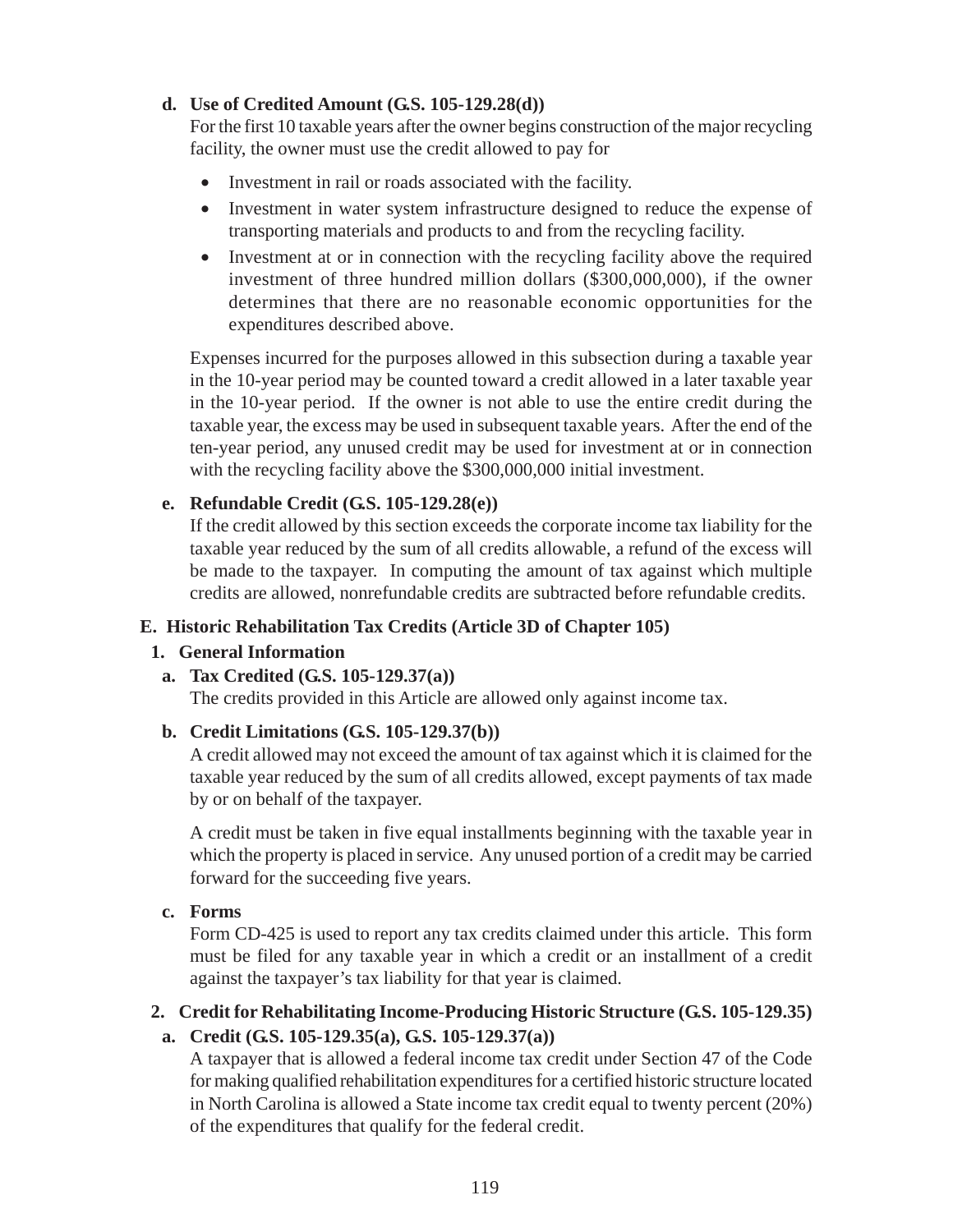# **d. Use of Credited Amount (G.S. 105-129.28(d))**

For the first 10 taxable years after the owner begins construction of the major recycling facility, the owner must use the credit allowed to pay for

- Investment in rail or roads associated with the facility.
- Investment in water system infrastructure designed to reduce the expense of transporting materials and products to and from the recycling facility.
- Investment at or in connection with the recycling facility above the required investment of three hundred million dollars (\$300,000,000), if the owner determines that there are no reasonable economic opportunities for the expenditures described above.

Expenses incurred for the purposes allowed in this subsection during a taxable year in the 10-year period may be counted toward a credit allowed in a later taxable year in the 10-year period. If the owner is not able to use the entire credit during the taxable year, the excess may be used in subsequent taxable years. After the end of the ten-year period, any unused credit may be used for investment at or in connection with the recycling facility above the \$300,000,000 initial investment.

### **e. Refundable Credit (G.S. 105-129.28(e))**

If the credit allowed by this section exceeds the corporate income tax liability for the taxable year reduced by the sum of all credits allowable, a refund of the excess will be made to the taxpayer. In computing the amount of tax against which multiple credits are allowed, nonrefundable credits are subtracted before refundable credits.

### **E. Historic Rehabilitation Tax Credits (Article 3D of Chapter 105)**

#### **1. General Information**

#### **a. Tax Credited (G.S. 105-129.37(a))**

The credits provided in this Article are allowed only against income tax.

#### **b. Credit Limitations (G.S. 105-129.37(b))**

A credit allowed may not exceed the amount of tax against which it is claimed for the taxable year reduced by the sum of all credits allowed, except payments of tax made by or on behalf of the taxpayer.

A credit must be taken in five equal installments beginning with the taxable year in which the property is placed in service. Any unused portion of a credit may be carried forward for the succeeding five years.

### **c. Forms**

Form CD-425 is used to report any tax credits claimed under this article. This form must be filed for any taxable year in which a credit or an installment of a credit against the taxpayer's tax liability for that year is claimed.

# **2. Credit for Rehabilitating Income-Producing Historic Structure (G.S. 105-129.35)**

# **a. Credit (G.S. 105-129.35(a), G.S. 105-129.37(a))**

A taxpayer that is allowed a federal income tax credit under Section 47 of the Code for making qualified rehabilitation expenditures for a certified historic structure located in North Carolina is allowed a State income tax credit equal to twenty percent (20%) of the expenditures that qualify for the federal credit.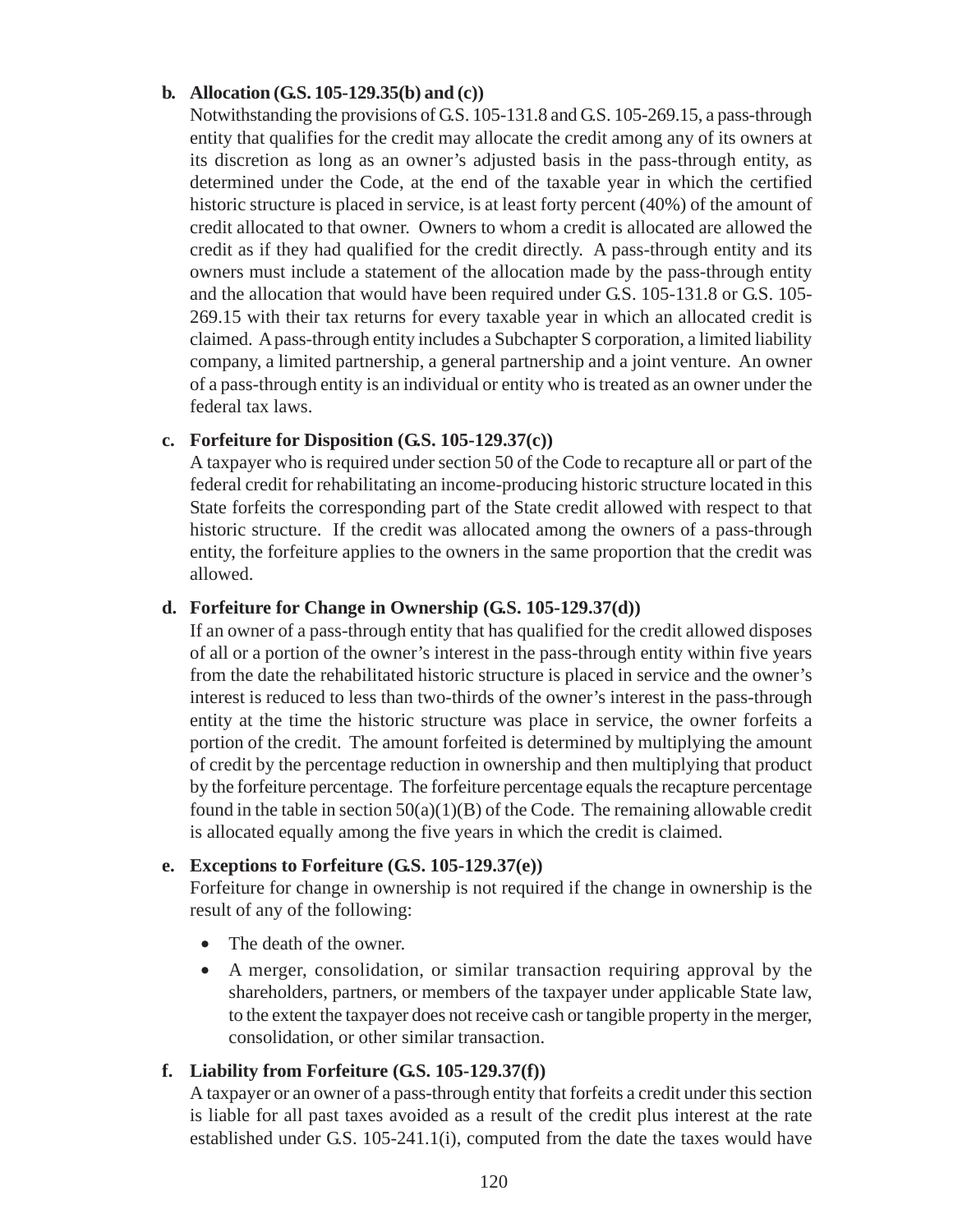#### **b. Allocation (G.S. 105-129.35(b) and (c))**

Notwithstanding the provisions of G.S. 105-131.8 and G.S. 105-269.15, a pass-through entity that qualifies for the credit may allocate the credit among any of its owners at its discretion as long as an owner's adjusted basis in the pass-through entity, as determined under the Code, at the end of the taxable year in which the certified historic structure is placed in service, is at least forty percent (40%) of the amount of credit allocated to that owner. Owners to whom a credit is allocated are allowed the credit as if they had qualified for the credit directly. A pass-through entity and its owners must include a statement of the allocation made by the pass-through entity and the allocation that would have been required under G.S. 105-131.8 or G.S. 105- 269.15 with their tax returns for every taxable year in which an allocated credit is claimed. A pass-through entity includes a Subchapter S corporation, a limited liability company, a limited partnership, a general partnership and a joint venture. An owner of a pass-through entity is an individual or entity who is treated as an owner under the federal tax laws.

### **c. Forfeiture for Disposition (G.S. 105-129.37(c))**

A taxpayer who is required under section 50 of the Code to recapture all or part of the federal credit for rehabilitating an income-producing historic structure located in this State forfeits the corresponding part of the State credit allowed with respect to that historic structure. If the credit was allocated among the owners of a pass-through entity, the forfeiture applies to the owners in the same proportion that the credit was allowed.

#### **d. Forfeiture for Change in Ownership (G.S. 105-129.37(d))**

If an owner of a pass-through entity that has qualified for the credit allowed disposes of all or a portion of the owner's interest in the pass-through entity within five years from the date the rehabilitated historic structure is placed in service and the owner's interest is reduced to less than two-thirds of the owner's interest in the pass-through entity at the time the historic structure was place in service, the owner forfeits a portion of the credit. The amount forfeited is determined by multiplying the amount of credit by the percentage reduction in ownership and then multiplying that product by the forfeiture percentage. The forfeiture percentage equals the recapture percentage found in the table in section  $50(a)(1)(B)$  of the Code. The remaining allowable credit is allocated equally among the five years in which the credit is claimed.

# **e. Exceptions to Forfeiture (G.S. 105-129.37(e))**

Forfeiture for change in ownership is not required if the change in ownership is the result of any of the following:

- The death of the owner.
- A merger, consolidation, or similar transaction requiring approval by the shareholders, partners, or members of the taxpayer under applicable State law, to the extent the taxpayer does not receive cash or tangible property in the merger, consolidation, or other similar transaction.

#### **f. Liability from Forfeiture (G.S. 105-129.37(f))**

A taxpayer or an owner of a pass-through entity that forfeits a credit under this section is liable for all past taxes avoided as a result of the credit plus interest at the rate established under G.S. 105-241.1(i), computed from the date the taxes would have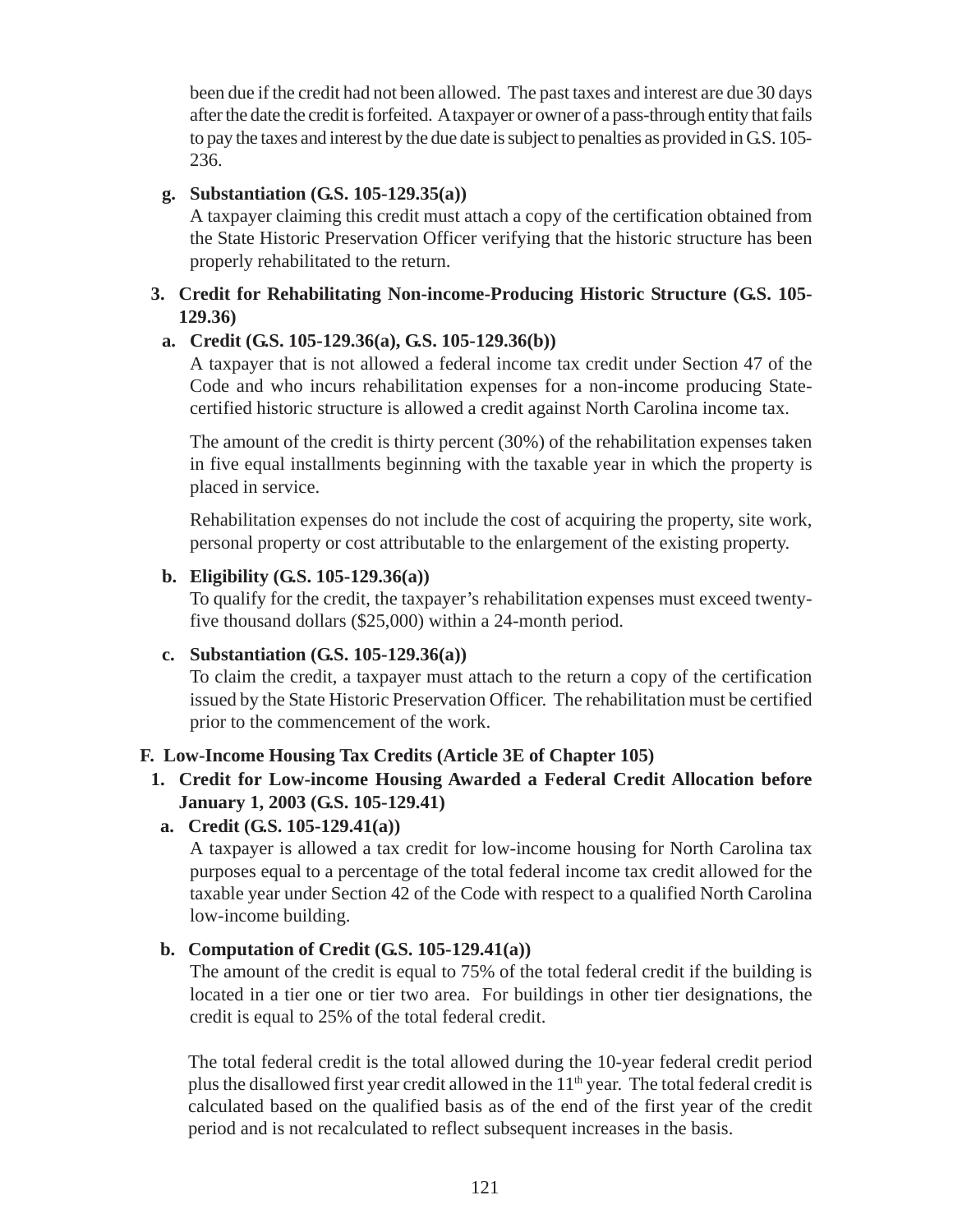been due if the credit had not been allowed. The past taxes and interest are due 30 days after the date the credit is forfeited. A taxpayer or owner of a pass-through entity that fails to pay the taxes and interest by the due date is subject to penalties as provided in G.S. 105- 236.

### **g. Substantiation (G.S. 105-129.35(a))**

A taxpayer claiming this credit must attach a copy of the certification obtained from the State Historic Preservation Officer verifying that the historic structure has been properly rehabilitated to the return.

### **3. Credit for Rehabilitating Non-income-Producing Historic Structure (G.S. 105- 129.36)**

### **a. Credit (G.S. 105-129.36(a), G.S. 105-129.36(b))**

A taxpayer that is not allowed a federal income tax credit under Section 47 of the Code and who incurs rehabilitation expenses for a non-income producing Statecertified historic structure is allowed a credit against North Carolina income tax.

The amount of the credit is thirty percent (30%) of the rehabilitation expenses taken in five equal installments beginning with the taxable year in which the property is placed in service.

Rehabilitation expenses do not include the cost of acquiring the property, site work, personal property or cost attributable to the enlargement of the existing property.

### **b. Eligibility (G.S. 105-129.36(a))**

To qualify for the credit, the taxpayer's rehabilitation expenses must exceed twentyfive thousand dollars (\$25,000) within a 24-month period.

# **c. Substantiation (G.S. 105-129.36(a))**

To claim the credit, a taxpayer must attach to the return a copy of the certification issued by the State Historic Preservation Officer. The rehabilitation must be certified prior to the commencement of the work.

# **F. Low-Income Housing Tax Credits (Article 3E of Chapter 105)**

**1. Credit for Low-income Housing Awarded a Federal Credit Allocation before January 1, 2003 (G.S. 105-129.41)**

# **a. Credit (G.S. 105-129.41(a))**

A taxpayer is allowed a tax credit for low-income housing for North Carolina tax purposes equal to a percentage of the total federal income tax credit allowed for the taxable year under Section 42 of the Code with respect to a qualified North Carolina low-income building.

# **b. Computation of Credit (G.S. 105-129.41(a))**

The amount of the credit is equal to 75% of the total federal credit if the building is located in a tier one or tier two area. For buildings in other tier designations, the credit is equal to 25% of the total federal credit.

The total federal credit is the total allowed during the 10-year federal credit period plus the disallowed first year credit allowed in the 11<sup>th</sup> year. The total federal credit is calculated based on the qualified basis as of the end of the first year of the credit period and is not recalculated to reflect subsequent increases in the basis.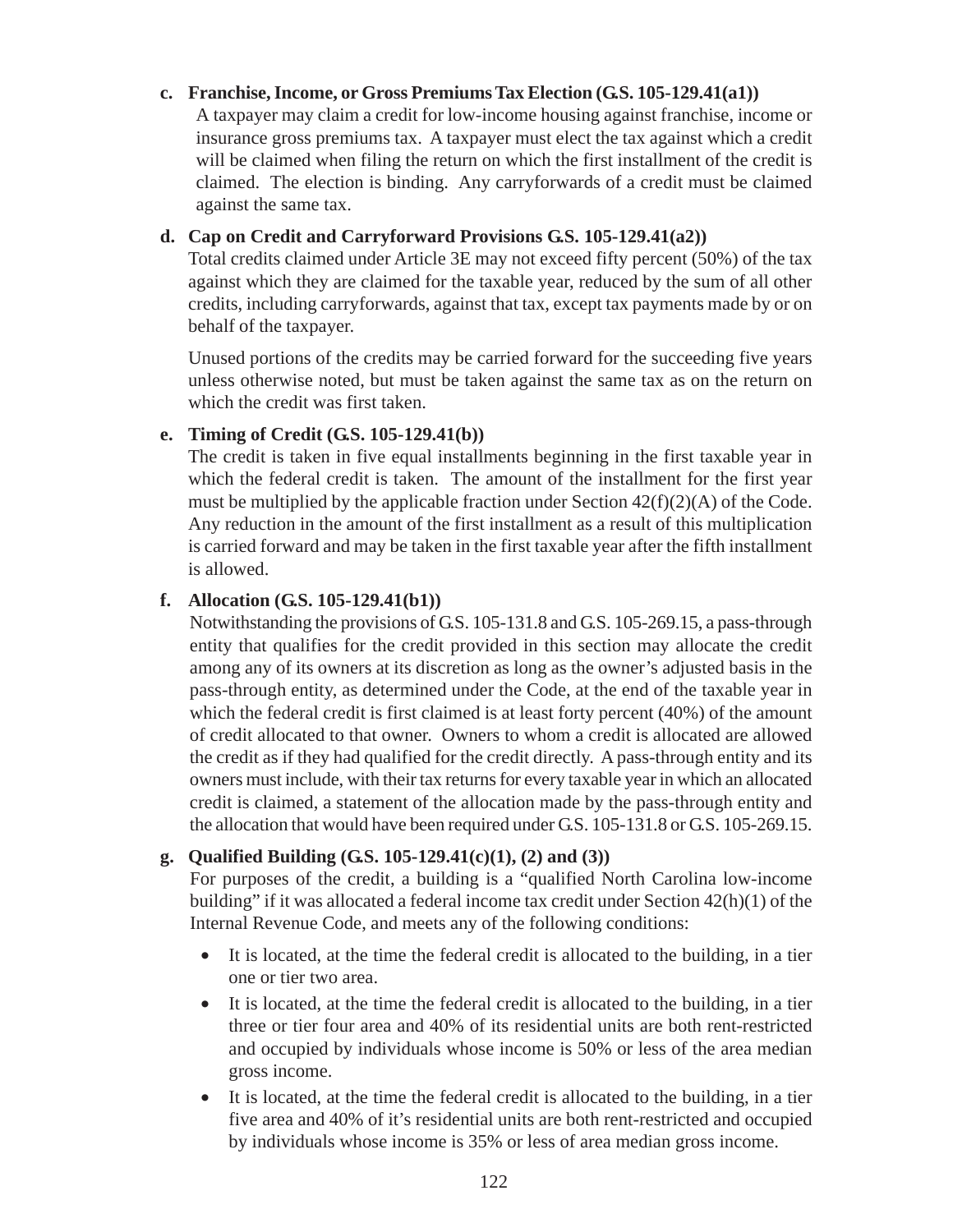### **c. Franchise, Income, or Gross Premiums Tax Election (G.S. 105-129.41(a1))**

A taxpayer may claim a credit for low-income housing against franchise, income or insurance gross premiums tax. A taxpayer must elect the tax against which a credit will be claimed when filing the return on which the first installment of the credit is claimed. The election is binding. Any carryforwards of a credit must be claimed against the same tax.

### **d. Cap on Credit and Carryforward Provisions G.S. 105-129.41(a2))**

Total credits claimed under Article 3E may not exceed fifty percent (50%) of the tax against which they are claimed for the taxable year, reduced by the sum of all other credits, including carryforwards, against that tax, except tax payments made by or on behalf of the taxpayer.

Unused portions of the credits may be carried forward for the succeeding five years unless otherwise noted, but must be taken against the same tax as on the return on which the credit was first taken.

### **e. Timing of Credit (G.S. 105-129.41(b))**

The credit is taken in five equal installments beginning in the first taxable year in which the federal credit is taken. The amount of the installment for the first year must be multiplied by the applicable fraction under Section  $42(f)(2)(A)$  of the Code. Any reduction in the amount of the first installment as a result of this multiplication is carried forward and may be taken in the first taxable year after the fifth installment is allowed.

### **f. Allocation (G.S. 105-129.41(b1))**

Notwithstanding the provisions of G.S. 105-131.8 and G.S. 105-269.15, a pass-through entity that qualifies for the credit provided in this section may allocate the credit among any of its owners at its discretion as long as the owner's adjusted basis in the pass-through entity, as determined under the Code, at the end of the taxable year in which the federal credit is first claimed is at least forty percent (40%) of the amount of credit allocated to that owner. Owners to whom a credit is allocated are allowed the credit as if they had qualified for the credit directly. A pass-through entity and its owners must include, with their tax returns for every taxable year in which an allocated credit is claimed, a statement of the allocation made by the pass-through entity and the allocation that would have been required under G.S. 105-131.8 or G.S. 105-269.15.

# **g. Qualified Building (G.S. 105-129.41(c)(1), (2) and (3))**

For purposes of the credit, a building is a "qualified North Carolina low-income building" if it was allocated a federal income tax credit under Section 42(h)(1) of the Internal Revenue Code, and meets any of the following conditions:

- It is located, at the time the federal credit is allocated to the building, in a tier one or tier two area.
- It is located, at the time the federal credit is allocated to the building, in a tier three or tier four area and 40% of its residential units are both rent-restricted and occupied by individuals whose income is 50% or less of the area median gross income.
- It is located, at the time the federal credit is allocated to the building, in a tier five area and 40% of it's residential units are both rent-restricted and occupied by individuals whose income is 35% or less of area median gross income.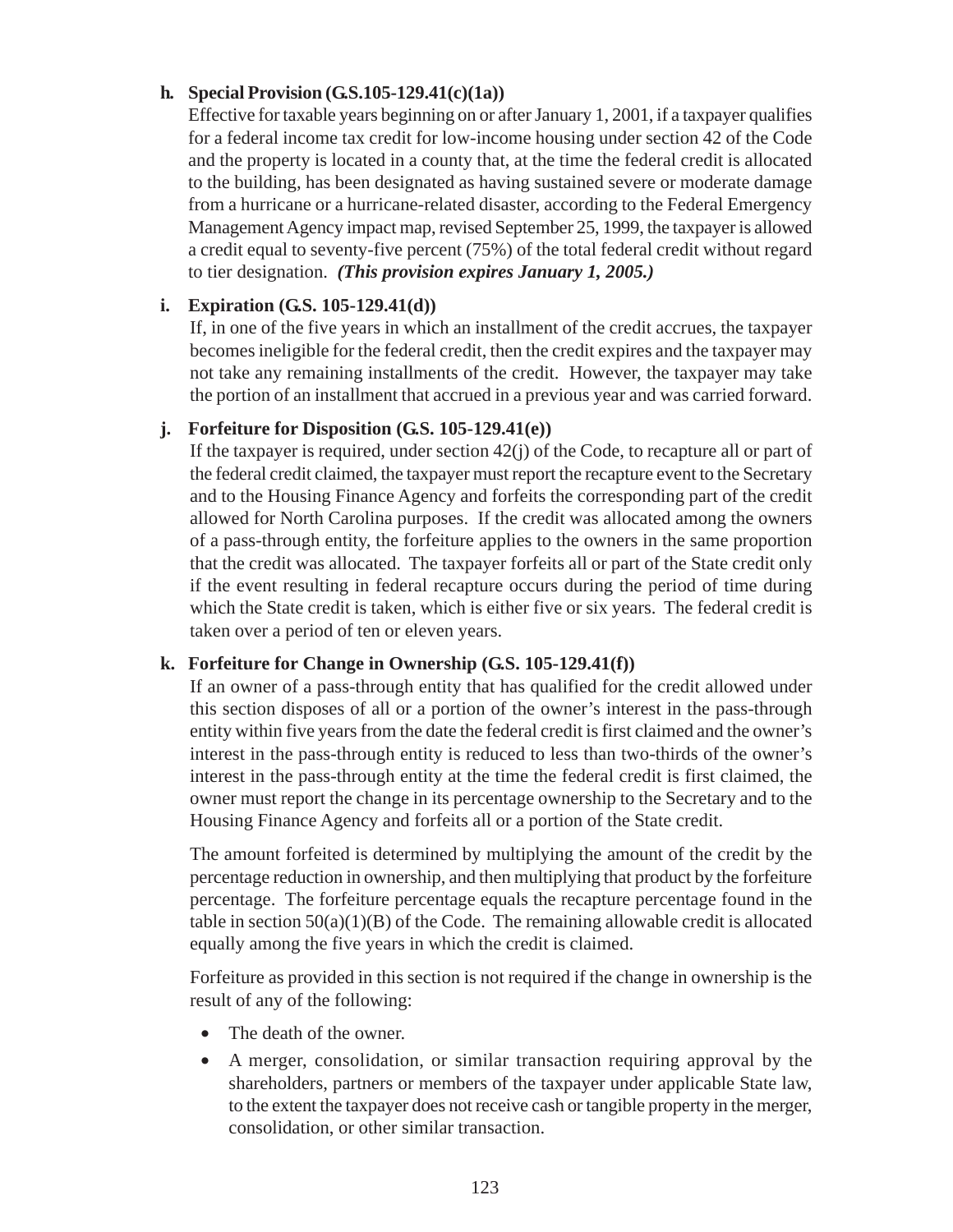# **h. Special Provision (G.S.105-129.41(c)(1a))**

Effective for taxable years beginning on or after January 1, 2001, if a taxpayer qualifies for a federal income tax credit for low-income housing under section 42 of the Code and the property is located in a county that, at the time the federal credit is allocated to the building, has been designated as having sustained severe or moderate damage from a hurricane or a hurricane-related disaster, according to the Federal Emergency Management Agency impact map, revised September 25, 1999, the taxpayer is allowed a credit equal to seventy-five percent (75%) of the total federal credit without regard to tier designation. *(This provision expires January 1, 2005.)*

# **i. Expiration (G.S. 105-129.41(d))**

If, in one of the five years in which an installment of the credit accrues, the taxpayer becomes ineligible for the federal credit, then the credit expires and the taxpayer may not take any remaining installments of the credit. However, the taxpayer may take the portion of an installment that accrued in a previous year and was carried forward.

# **j. Forfeiture for Disposition (G.S. 105-129.41(e))**

If the taxpayer is required, under section 42(j) of the Code, to recapture all or part of the federal credit claimed, the taxpayer must report the recapture event to the Secretary and to the Housing Finance Agency and forfeits the corresponding part of the credit allowed for North Carolina purposes. If the credit was allocated among the owners of a pass-through entity, the forfeiture applies to the owners in the same proportion that the credit was allocated. The taxpayer forfeits all or part of the State credit only if the event resulting in federal recapture occurs during the period of time during which the State credit is taken, which is either five or six years. The federal credit is taken over a period of ten or eleven years.

# **k. Forfeiture for Change in Ownership (G.S. 105-129.41(f))**

If an owner of a pass-through entity that has qualified for the credit allowed under this section disposes of all or a portion of the owner's interest in the pass-through entity within five years from the date the federal credit is first claimed and the owner's interest in the pass-through entity is reduced to less than two-thirds of the owner's interest in the pass-through entity at the time the federal credit is first claimed, the owner must report the change in its percentage ownership to the Secretary and to the Housing Finance Agency and forfeits all or a portion of the State credit.

The amount forfeited is determined by multiplying the amount of the credit by the percentage reduction in ownership, and then multiplying that product by the forfeiture percentage. The forfeiture percentage equals the recapture percentage found in the table in section  $50(a)(1)(B)$  of the Code. The remaining allowable credit is allocated equally among the five years in which the credit is claimed.

Forfeiture as provided in this section is not required if the change in ownership is the result of any of the following:

- The death of the owner.
- A merger, consolidation, or similar transaction requiring approval by the shareholders, partners or members of the taxpayer under applicable State law, to the extent the taxpayer does not receive cash or tangible property in the merger, consolidation, or other similar transaction.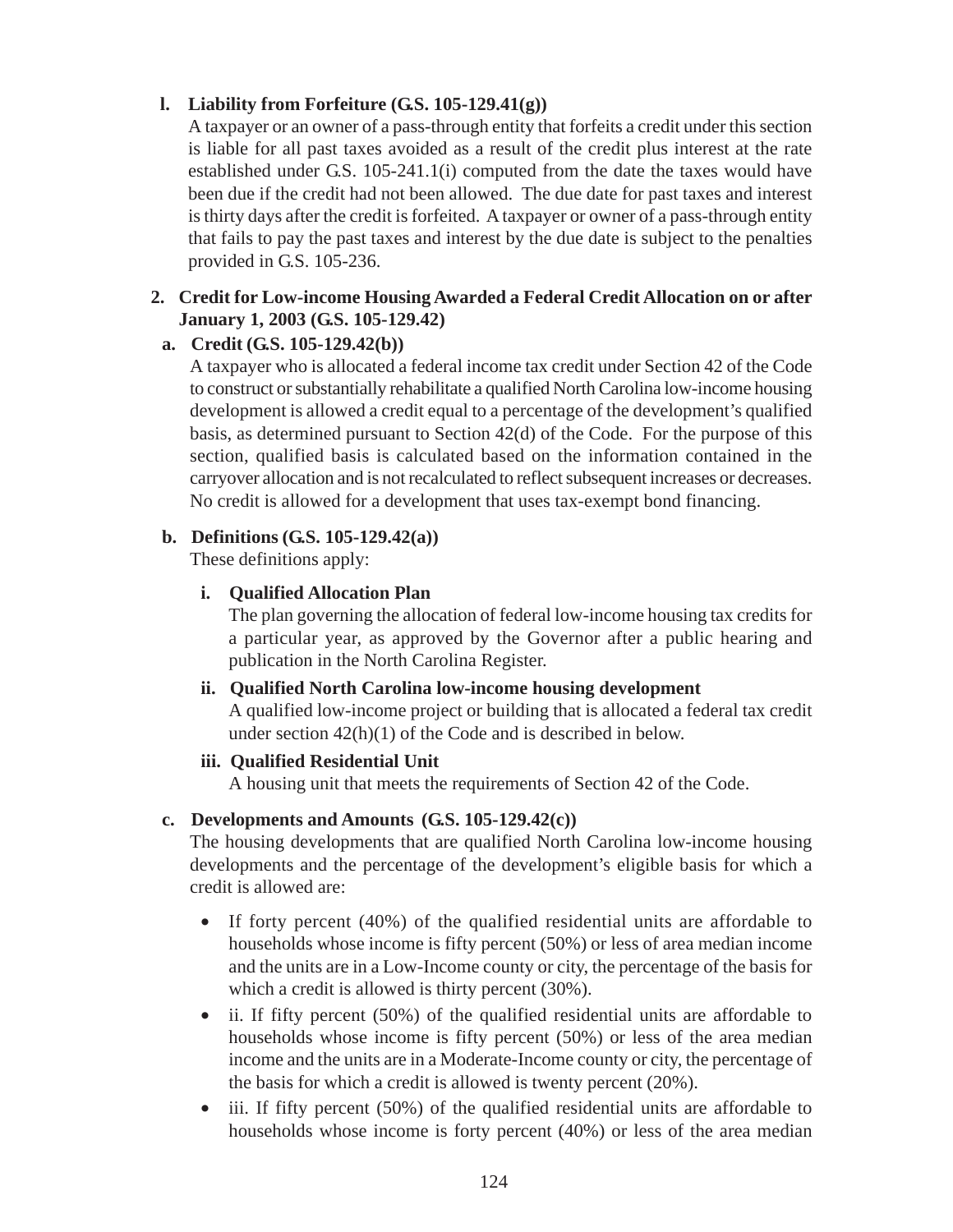# **l. Liability from Forfeiture (G.S. 105-129.41(g))**

A taxpayer or an owner of a pass-through entity that forfeits a credit under this section is liable for all past taxes avoided as a result of the credit plus interest at the rate established under G.S. 105-241.1(i) computed from the date the taxes would have been due if the credit had not been allowed. The due date for past taxes and interest is thirty days after the credit is forfeited. A taxpayer or owner of a pass-through entity that fails to pay the past taxes and interest by the due date is subject to the penalties provided in G.S. 105-236.

# **2. Credit for Low-income Housing Awarded a Federal Credit Allocation on or after January 1, 2003 (G.S. 105-129.42)**

# **a. Credit (G.S. 105-129.42(b))**

A taxpayer who is allocated a federal income tax credit under Section 42 of the Code to construct or substantially rehabilitate a qualified North Carolina low-income housing development is allowed a credit equal to a percentage of the development's qualified basis, as determined pursuant to Section 42(d) of the Code. For the purpose of this section, qualified basis is calculated based on the information contained in the carryover allocation and is not recalculated to reflect subsequent increases or decreases. No credit is allowed for a development that uses tax-exempt bond financing.

### **b. Definitions (G.S. 105-129.42(a))**

These definitions apply:

# **i. Qualified Allocation Plan**

The plan governing the allocation of federal low-income housing tax credits for a particular year, as approved by the Governor after a public hearing and publication in the North Carolina Register.

#### **ii. Qualified North Carolina low-income housing development**

A qualified low-income project or building that is allocated a federal tax credit under section 42(h)(1) of the Code and is described in below.

#### **iii. Qualified Residential Unit**

A housing unit that meets the requirements of Section 42 of the Code.

# **c. Developments and Amounts (G.S. 105-129.42(c))**

The housing developments that are qualified North Carolina low-income housing developments and the percentage of the development's eligible basis for which a credit is allowed are:

- If forty percent (40%) of the qualified residential units are affordable to households whose income is fifty percent (50%) or less of area median income and the units are in a Low-Income county or city, the percentage of the basis for which a credit is allowed is thirty percent  $(30\%)$ .
- ii. If fifty percent (50%) of the qualified residential units are affordable to households whose income is fifty percent (50%) or less of the area median income and the units are in a Moderate-Income county or city, the percentage of the basis for which a credit is allowed is twenty percent (20%).
- iii. If fifty percent (50%) of the qualified residential units are affordable to households whose income is forty percent (40%) or less of the area median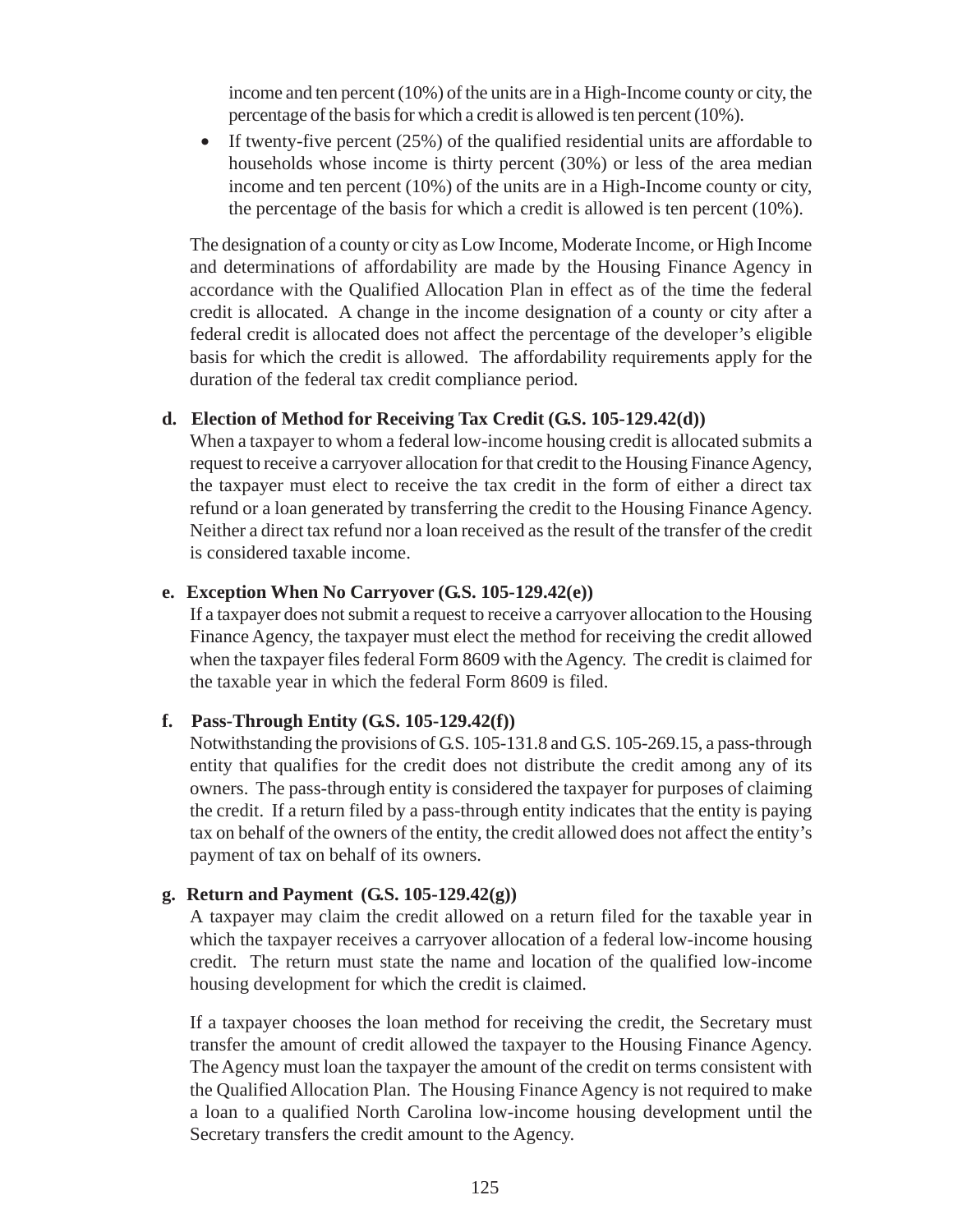income and ten percent (10%) of the units are in a High-Income county or city, the percentage of the basis for which a credit is allowed is ten percent (10%).

• If twenty-five percent (25%) of the qualified residential units are affordable to households whose income is thirty percent (30%) or less of the area median income and ten percent (10%) of the units are in a High-Income county or city, the percentage of the basis for which a credit is allowed is ten percent (10%).

The designation of a county or city as Low Income, Moderate Income, or High Income and determinations of affordability are made by the Housing Finance Agency in accordance with the Qualified Allocation Plan in effect as of the time the federal credit is allocated. A change in the income designation of a county or city after a federal credit is allocated does not affect the percentage of the developer's eligible basis for which the credit is allowed. The affordability requirements apply for the duration of the federal tax credit compliance period.

#### **d. Election of Method for Receiving Tax Credit (G.S. 105-129.42(d))**

When a taxpayer to whom a federal low-income housing credit is allocated submits a request to receive a carryover allocation for that credit to the Housing Finance Agency, the taxpayer must elect to receive the tax credit in the form of either a direct tax refund or a loan generated by transferring the credit to the Housing Finance Agency. Neither a direct tax refund nor a loan received as the result of the transfer of the credit is considered taxable income.

#### **e. Exception When No Carryover (G.S. 105-129.42(e))**

If a taxpayer does not submit a request to receive a carryover allocation to the Housing Finance Agency, the taxpayer must elect the method for receiving the credit allowed when the taxpayer files federal Form 8609 with the Agency. The credit is claimed for the taxable year in which the federal Form 8609 is filed.

#### **f. Pass-Through Entity (G.S. 105-129.42(f))**

Notwithstanding the provisions of G.S. 105-131.8 and G.S. 105-269.15, a pass-through entity that qualifies for the credit does not distribute the credit among any of its owners. The pass-through entity is considered the taxpayer for purposes of claiming the credit. If a return filed by a pass-through entity indicates that the entity is paying tax on behalf of the owners of the entity, the credit allowed does not affect the entity's payment of tax on behalf of its owners.

#### **g. Return and Payment (G.S. 105-129.42(g))**

A taxpayer may claim the credit allowed on a return filed for the taxable year in which the taxpayer receives a carryover allocation of a federal low-income housing credit. The return must state the name and location of the qualified low-income housing development for which the credit is claimed.

If a taxpayer chooses the loan method for receiving the credit, the Secretary must transfer the amount of credit allowed the taxpayer to the Housing Finance Agency. The Agency must loan the taxpayer the amount of the credit on terms consistent with the Qualified Allocation Plan. The Housing Finance Agency is not required to make a loan to a qualified North Carolina low-income housing development until the Secretary transfers the credit amount to the Agency.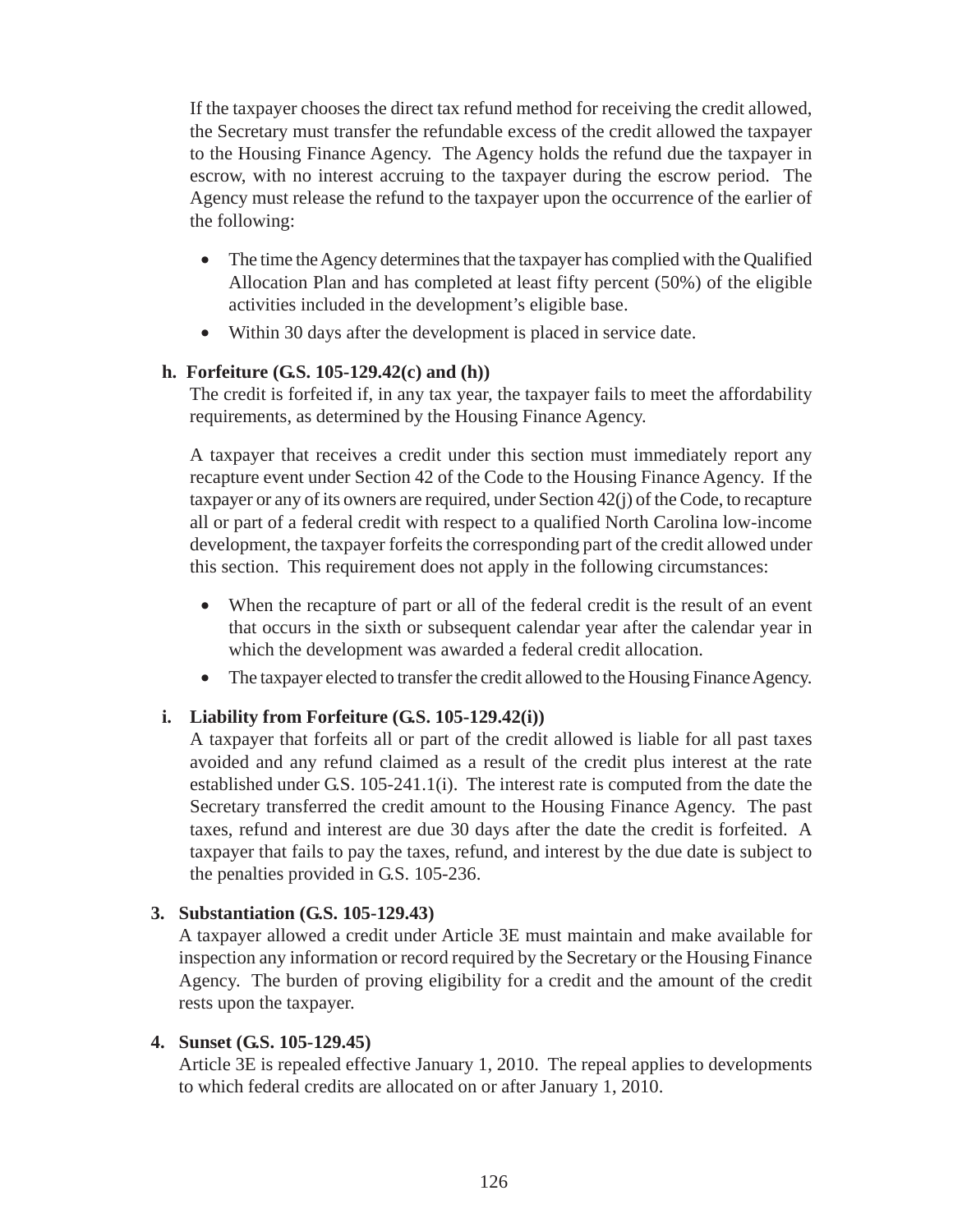If the taxpayer chooses the direct tax refund method for receiving the credit allowed, the Secretary must transfer the refundable excess of the credit allowed the taxpayer to the Housing Finance Agency. The Agency holds the refund due the taxpayer in escrow, with no interest accruing to the taxpayer during the escrow period. The Agency must release the refund to the taxpayer upon the occurrence of the earlier of the following:

- The time the Agency determines that the taxpayer has complied with the Qualified Allocation Plan and has completed at least fifty percent (50%) of the eligible activities included in the development's eligible base.
- Within 30 days after the development is placed in service date.

### **h. Forfeiture (G.S. 105-129.42(c) and (h))**

The credit is forfeited if, in any tax year, the taxpayer fails to meet the affordability requirements, as determined by the Housing Finance Agency.

A taxpayer that receives a credit under this section must immediately report any recapture event under Section 42 of the Code to the Housing Finance Agency. If the taxpayer or any of its owners are required, under Section 42(j) of the Code, to recapture all or part of a federal credit with respect to a qualified North Carolina low-income development, the taxpayer forfeits the corresponding part of the credit allowed under this section. This requirement does not apply in the following circumstances:

- When the recapture of part or all of the federal credit is the result of an event that occurs in the sixth or subsequent calendar year after the calendar year in which the development was awarded a federal credit allocation.
- The taxpayer elected to transfer the credit allowed to the Housing Finance Agency.

# **i. Liability from Forfeiture (G.S. 105-129.42(i))**

A taxpayer that forfeits all or part of the credit allowed is liable for all past taxes avoided and any refund claimed as a result of the credit plus interest at the rate established under G.S. 105-241.1(i). The interest rate is computed from the date the Secretary transferred the credit amount to the Housing Finance Agency. The past taxes, refund and interest are due 30 days after the date the credit is forfeited. A taxpayer that fails to pay the taxes, refund, and interest by the due date is subject to the penalties provided in G.S. 105-236.

# **3. Substantiation (G.S. 105-129.43)**

A taxpayer allowed a credit under Article 3E must maintain and make available for inspection any information or record required by the Secretary or the Housing Finance Agency. The burden of proving eligibility for a credit and the amount of the credit rests upon the taxpayer.

#### **4. Sunset (G.S. 105-129.45)**

Article 3E is repealed effective January 1, 2010. The repeal applies to developments to which federal credits are allocated on or after January 1, 2010.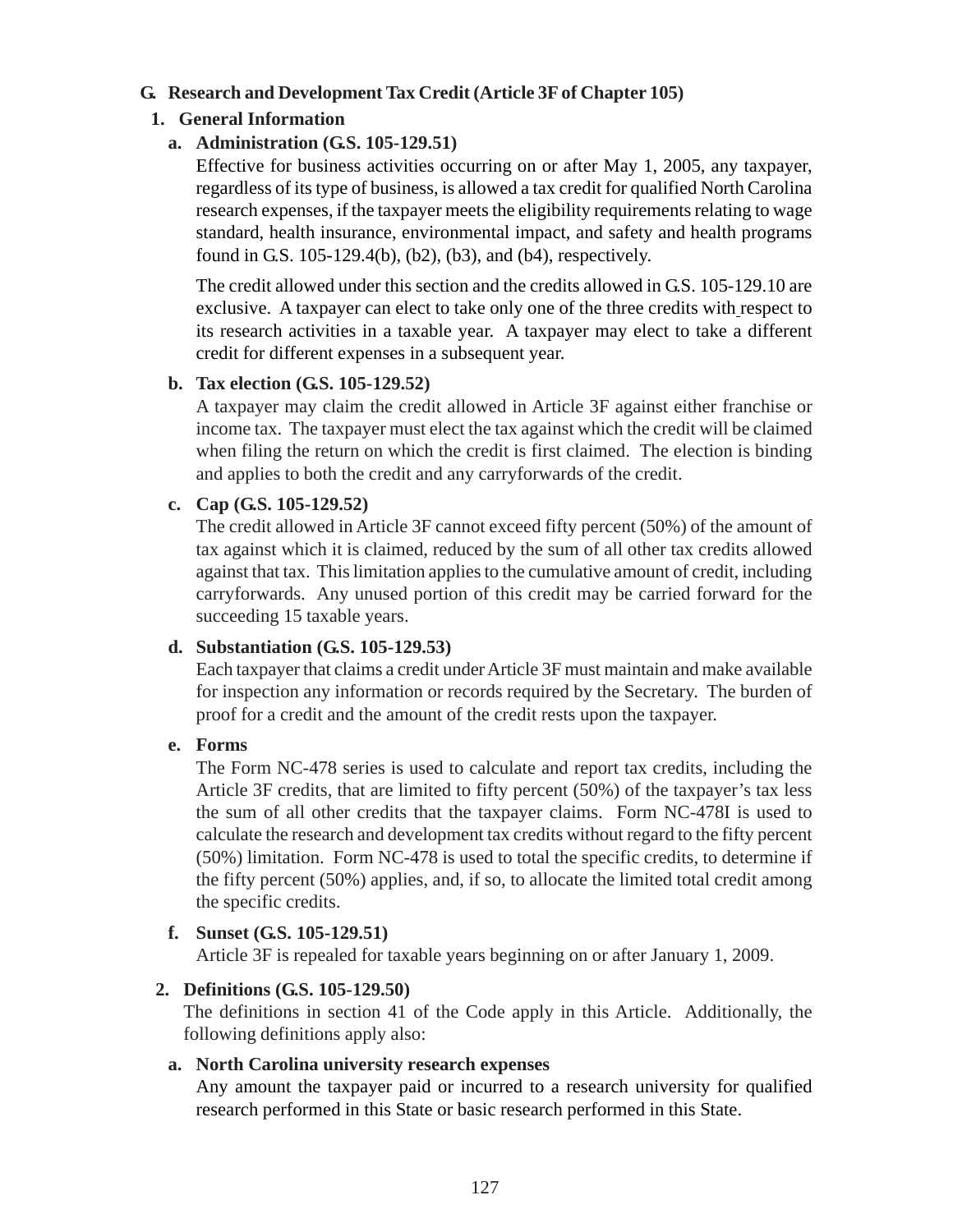### **G. Research and Development Tax Credit (Article 3F of Chapter 105)**

# **1. General Information**

### **a. Administration (G.S. 105-129.51)**

Effective for business activities occurring on or after May 1, 2005, any taxpayer, regardless of its type of business, is allowed a tax credit for qualified North Carolina research expenses, if the taxpayer meets the eligibility requirements relating to wage standard, health insurance, environmental impact, and safety and health programs found in G.S. 105-129.4(b), (b2), (b3), and (b4), respectively.

The credit allowed under this section and the credits allowed in G.S. 105-129.10 are exclusive. A taxpayer can elect to take only one of the three credits with respect to its research activities in a taxable year. A taxpayer may elect to take a different credit for different expenses in a subsequent year.

#### **b. Tax election (G.S. 105-129.52)**

A taxpayer may claim the credit allowed in Article 3F against either franchise or income tax. The taxpayer must elect the tax against which the credit will be claimed when filing the return on which the credit is first claimed. The election is binding and applies to both the credit and any carryforwards of the credit.

### **c. Cap (G.S. 105-129.52)**

The credit allowed in Article 3F cannot exceed fifty percent (50%) of the amount of tax against which it is claimed, reduced by the sum of all other tax credits allowed against that tax. This limitation applies to the cumulative amount of credit, including carryforwards. Any unused portion of this credit may be carried forward for the succeeding 15 taxable years.

#### **d. Substantiation (G.S. 105-129.53)**

Each taxpayer that claims a credit under Article 3F must maintain and make available for inspection any information or records required by the Secretary. The burden of proof for a credit and the amount of the credit rests upon the taxpayer.

#### **e. Forms**

The Form NC-478 series is used to calculate and report tax credits, including the Article 3F credits, that are limited to fifty percent (50%) of the taxpayer's tax less the sum of all other credits that the taxpayer claims. Form NC-478I is used to calculate the research and development tax credits without regard to the fifty percent (50%) limitation. Form NC-478 is used to total the specific credits, to determine if the fifty percent (50%) applies, and, if so, to allocate the limited total credit among the specific credits.

# **f. Sunset (G.S. 105-129.51)**

Article 3F is repealed for taxable years beginning on or after January 1, 2009.

# **2. Definitions (G.S. 105-129.50)**

The definitions in section 41 of the Code apply in this Article. Additionally, the following definitions apply also:

#### **a. North Carolina university research expenses**

Any amount the taxpayer paid or incurred to a research university for qualified research performed in this State or basic research performed in this State.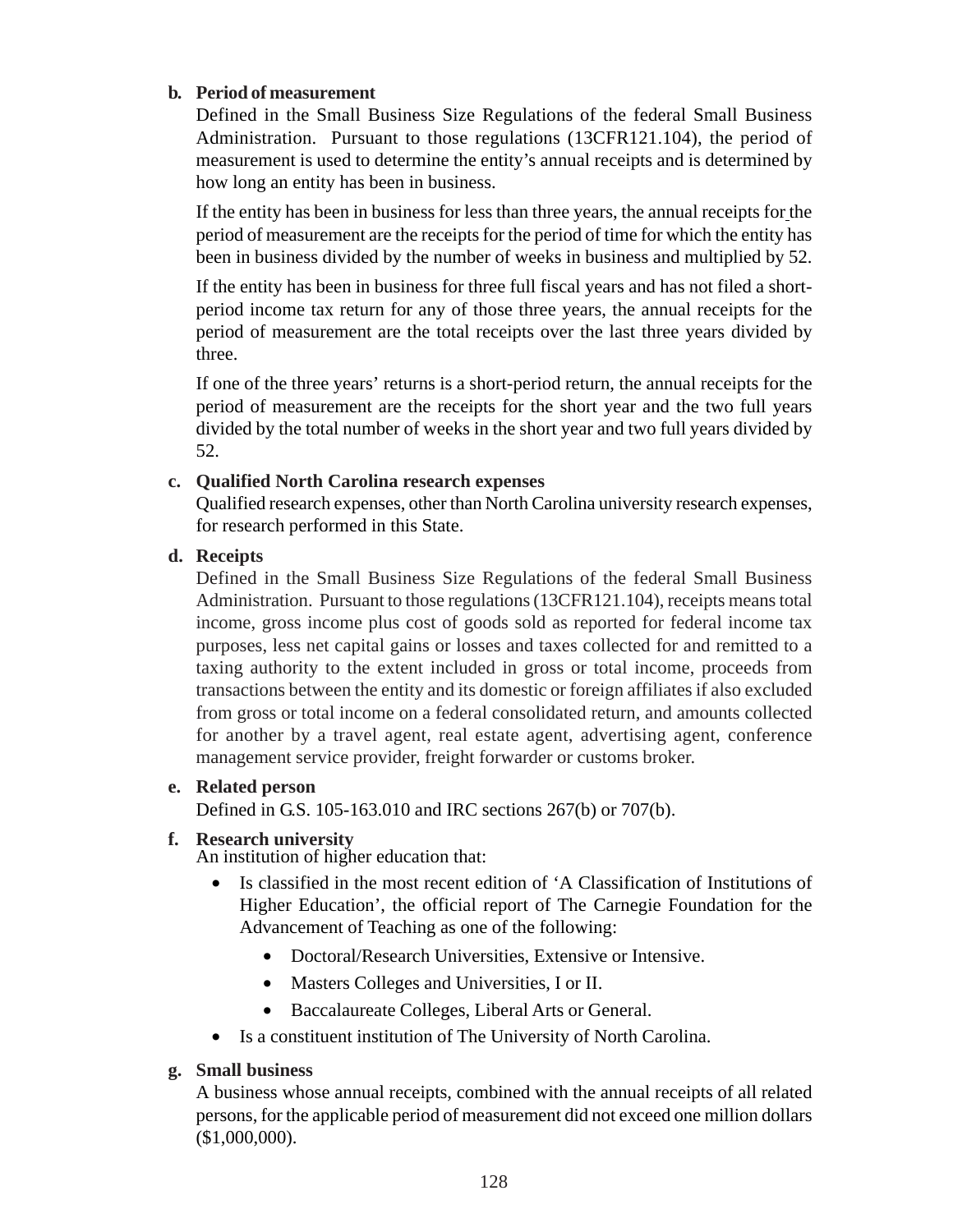#### **b. Period of measurement**

Defined in the Small Business Size Regulations of the federal Small Business Administration. Pursuant to those regulations (13CFR121.104), the period of measurement is used to determine the entity's annual receipts and is determined by how long an entity has been in business.

If the entity has been in business for less than three years, the annual receipts for the period of measurement are the receipts for the period of time for which the entity has been in business divided by the number of weeks in business and multiplied by 52.

If the entity has been in business for three full fiscal years and has not filed a shortperiod income tax return for any of those three years, the annual receipts for the period of measurement are the total receipts over the last three years divided by three.

If one of the three years' returns is a short-period return, the annual receipts for the period of measurement are the receipts for the short year and the two full years divided by the total number of weeks in the short year and two full years divided by 52.

### **c. Qualified North Carolina research expenses**

Qualified research expenses, other than North Carolina university research expenses, for research performed in this State.

#### **d. Receipts**

Defined in the Small Business Size Regulations of the federal Small Business Administration. Pursuant to those regulations (13CFR121.104), receipts means total income, gross income plus cost of goods sold as reported for federal income tax purposes, less net capital gains or losses and taxes collected for and remitted to a taxing authority to the extent included in gross or total income, proceeds from transactions between the entity and its domestic or foreign affiliates if also excluded from gross or total income on a federal consolidated return, and amounts collected for another by a travel agent, real estate agent, advertising agent, conference management service provider, freight forwarder or customs broker.

#### **e. Related person**

Defined in G.S. 105-163.010 and IRC sections 267(b) or 707(b).

#### **f. Research university**

An institution of higher education that:

- Is classified in the most recent edition of 'A Classification of Institutions of Higher Education', the official report of The Carnegie Foundation for the Advancement of Teaching as one of the following:
	- Doctoral/Research Universities, Extensive or Intensive.
	- Masters Colleges and Universities, I or II.
	- Baccalaureate Colleges, Liberal Arts or General.
- Is a constituent institution of The University of North Carolina.

# **g. Small business**

A business whose annual receipts, combined with the annual receipts of all related persons, for the applicable period of measurement did not exceed one million dollars (\$1,000,000).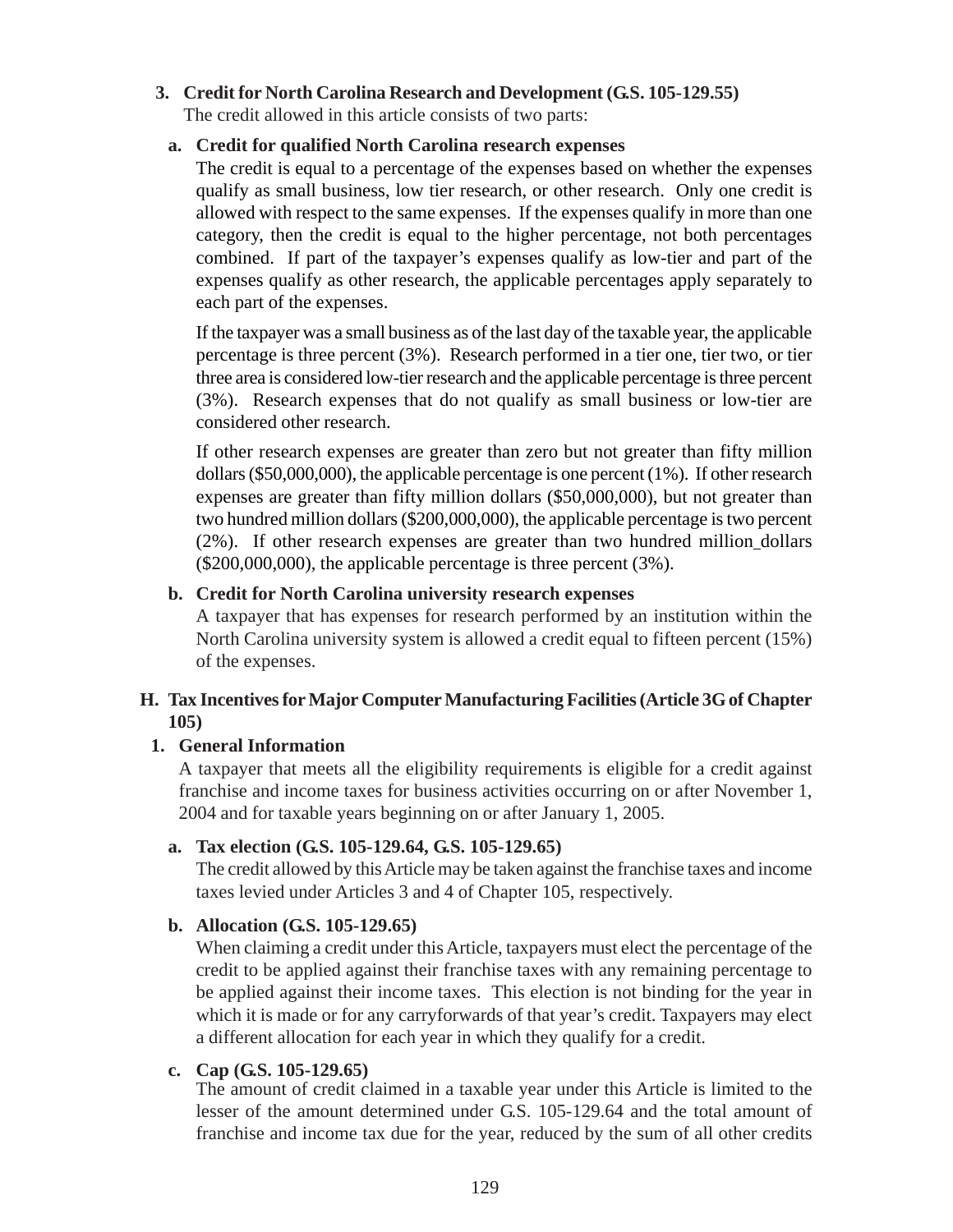#### **3. Credit for North Carolina Research and Development (G.S. 105-129.55)**

The credit allowed in this article consists of two parts:

#### **a. Credit for qualified North Carolina research expenses**

The credit is equal to a percentage of the expenses based on whether the expenses qualify as small business, low tier research, or other research. Only one credit is allowed with respect to the same expenses. If the expenses qualify in more than one category, then the credit is equal to the higher percentage, not both percentages combined. If part of the taxpayer's expenses qualify as low-tier and part of the expenses qualify as other research, the applicable percentages apply separately to each part of the expenses.

If the taxpayer was a small business as of the last day of the taxable year, the applicable percentage is three percent (3%). Research performed in a tier one, tier two, or tier three area is considered low-tier research and the applicable percentage is three percent (3%). Research expenses that do not qualify as small business or low-tier are considered other research.

If other research expenses are greater than zero but not greater than fifty million dollars (\$50,000,000), the applicable percentage is one percent (1%). If other research expenses are greater than fifty million dollars (\$50,000,000), but not greater than two hundred million dollars (\$200,000,000), the applicable percentage is two percent (2%). If other research expenses are greater than two hundred million dollars (\$200,000,000), the applicable percentage is three percent (3%).

### **b. Credit for North Carolina university research expenses**

A taxpayer that has expenses for research performed by an institution within the North Carolina university system is allowed a credit equal to fifteen percent (15%) of the expenses.

### **H. Tax Incentives for Major Computer Manufacturing Facilities (Article 3G of Chapter 105)**

#### **1. General Information**

A taxpayer that meets all the eligibility requirements is eligible for a credit against franchise and income taxes for business activities occurring on or after November 1, 2004 and for taxable years beginning on or after January 1, 2005.

# **a. Tax election (G.S. 105-129.64, G.S. 105-129.65)**

The credit allowed by this Article may be taken against the franchise taxes and income taxes levied under Articles 3 and 4 of Chapter 105, respectively.

#### **b. Allocation (G.S. 105-129.65)**

When claiming a credit under this Article, taxpayers must elect the percentage of the credit to be applied against their franchise taxes with any remaining percentage to be applied against their income taxes. This election is not binding for the year in which it is made or for any carryforwards of that year's credit. Taxpayers may elect a different allocation for each year in which they qualify for a credit.

#### **c. Cap (G.S. 105-129.65)**

The amount of credit claimed in a taxable year under this Article is limited to the lesser of the amount determined under G.S. 105-129.64 and the total amount of franchise and income tax due for the year, reduced by the sum of all other credits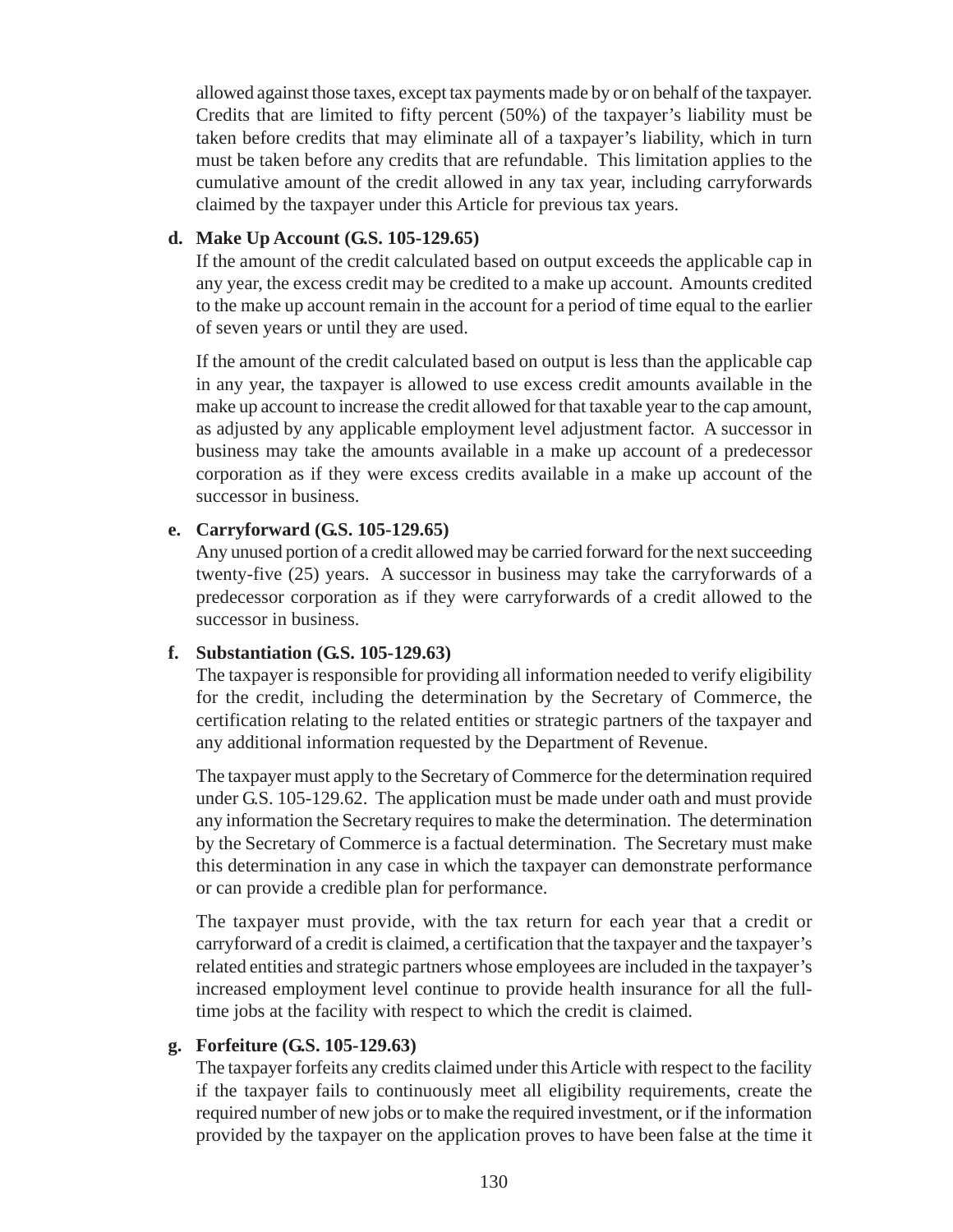allowed against those taxes, except tax payments made by or on behalf of the taxpayer. Credits that are limited to fifty percent (50%) of the taxpayer's liability must be taken before credits that may eliminate all of a taxpayer's liability, which in turn must be taken before any credits that are refundable. This limitation applies to the cumulative amount of the credit allowed in any tax year, including carryforwards claimed by the taxpayer under this Article for previous tax years.

#### **d. Make Up Account (G.S. 105-129.65)**

If the amount of the credit calculated based on output exceeds the applicable cap in any year, the excess credit may be credited to a make up account. Amounts credited to the make up account remain in the account for a period of time equal to the earlier of seven years or until they are used.

If the amount of the credit calculated based on output is less than the applicable cap in any year, the taxpayer is allowed to use excess credit amounts available in the make up account to increase the credit allowed for that taxable year to the cap amount, as adjusted by any applicable employment level adjustment factor. A successor in business may take the amounts available in a make up account of a predecessor corporation as if they were excess credits available in a make up account of the successor in business.

# **e. Carryforward (G.S. 105-129.65)**

Any unused portion of a credit allowed may be carried forward for the next succeeding twenty-five (25) years. A successor in business may take the carryforwards of a predecessor corporation as if they were carryforwards of a credit allowed to the successor in business.

# **f. Substantiation (G.S. 105-129.63)**

The taxpayer is responsible for providing all information needed to verify eligibility for the credit, including the determination by the Secretary of Commerce, the certification relating to the related entities or strategic partners of the taxpayer and any additional information requested by the Department of Revenue.

The taxpayer must apply to the Secretary of Commerce for the determination required under G.S. 105-129.62. The application must be made under oath and must provide any information the Secretary requires to make the determination. The determination by the Secretary of Commerce is a factual determination. The Secretary must make this determination in any case in which the taxpayer can demonstrate performance or can provide a credible plan for performance.

The taxpayer must provide, with the tax return for each year that a credit or carryforward of a credit is claimed, a certification that the taxpayer and the taxpayer's related entities and strategic partners whose employees are included in the taxpayer's increased employment level continue to provide health insurance for all the fulltime jobs at the facility with respect to which the credit is claimed.

# **g. Forfeiture (G.S. 105-129.63)**

The taxpayer forfeits any credits claimed under this Article with respect to the facility if the taxpayer fails to continuously meet all eligibility requirements, create the required number of new jobs or to make the required investment, or if the information provided by the taxpayer on the application proves to have been false at the time it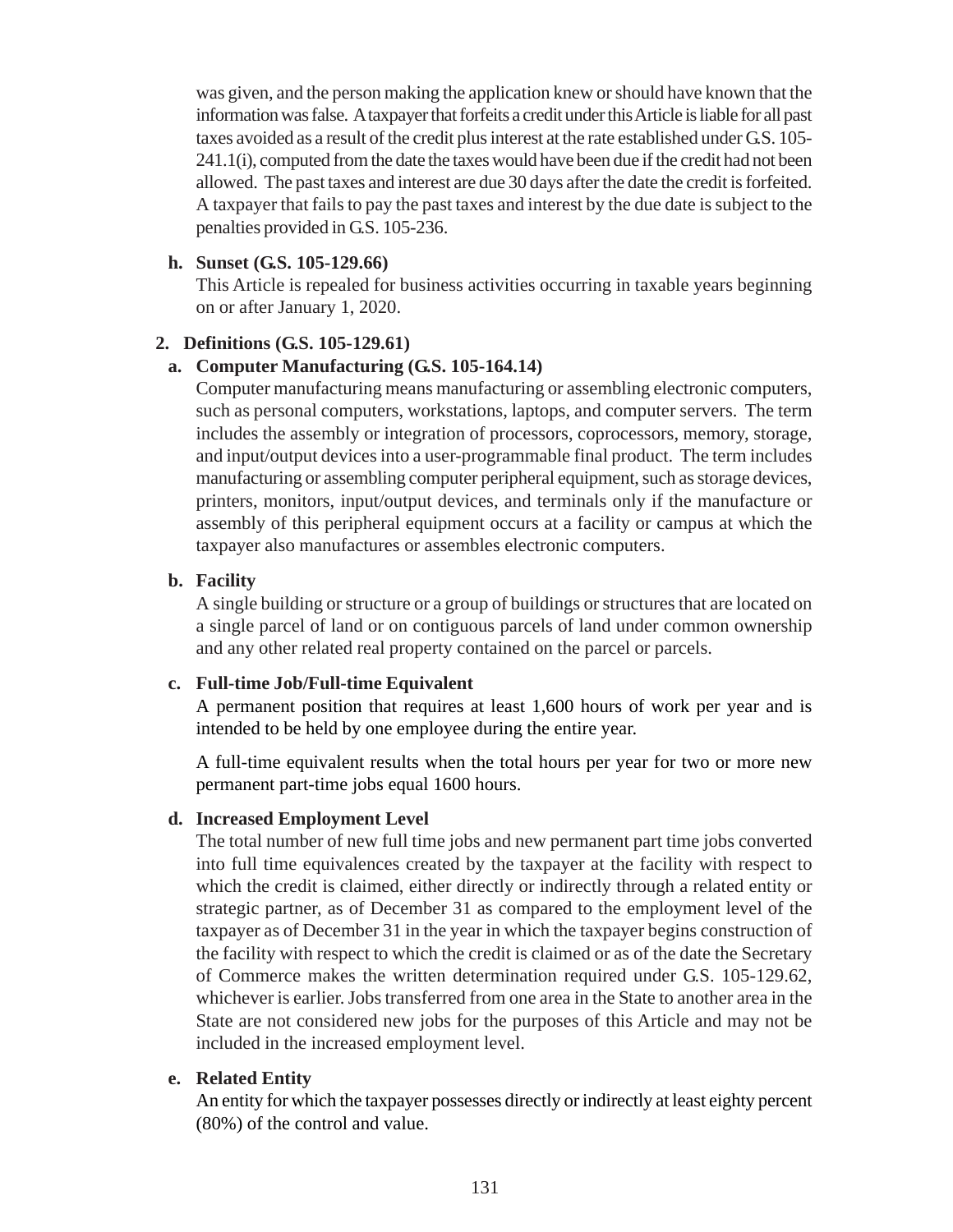was given, and the person making the application knew or should have known that the information was false. A taxpayer that forfeits a credit under this Article is liable for all past taxes avoided as a result of the credit plus interest at the rate established under G.S. 105- 241.1(i), computed from the date the taxes would have been due if the credit had not been allowed. The past taxes and interest are due 30 days after the date the credit is forfeited. A taxpayer that fails to pay the past taxes and interest by the due date is subject to the penalties provided in G.S. 105-236.

### **h. Sunset (G.S. 105-129.66)**

This Article is repealed for business activities occurring in taxable years beginning on or after January 1, 2020.

### **2. Definitions (G.S. 105-129.61)**

### **a. Computer Manufacturing (G.S. 105-164.14)**

Computer manufacturing means manufacturing or assembling electronic computers, such as personal computers, workstations, laptops, and computer servers. The term includes the assembly or integration of processors, coprocessors, memory, storage, and input/output devices into a user-programmable final product. The term includes manufacturing or assembling computer peripheral equipment, such as storage devices, printers, monitors, input/output devices, and terminals only if the manufacture or assembly of this peripheral equipment occurs at a facility or campus at which the taxpayer also manufactures or assembles electronic computers.

### **b. Facility**

A single building or structure or a group of buildings or structures that are located on a single parcel of land or on contiguous parcels of land under common ownership and any other related real property contained on the parcel or parcels.

#### **c. Full-time Job/Full-time Equivalent**

A permanent position that requires at least 1,600 hours of work per year and is intended to be held by one employee during the entire year.

A full-time equivalent results when the total hours per year for two or more new permanent part-time jobs equal 1600 hours.

#### **d. Increased Employment Level**

The total number of new full time jobs and new permanent part time jobs converted into full time equivalences created by the taxpayer at the facility with respect to which the credit is claimed, either directly or indirectly through a related entity or strategic partner, as of December 31 as compared to the employment level of the taxpayer as of December 31 in the year in which the taxpayer begins construction of the facility with respect to which the credit is claimed or as of the date the Secretary of Commerce makes the written determination required under G.S. 105-129.62, whichever is earlier. Jobs transferred from one area in the State to another area in the State are not considered new jobs for the purposes of this Article and may not be included in the increased employment level.

#### **e. Related Entity**

An entity for which the taxpayer possesses directly or indirectly at least eighty percent (80%) of the control and value.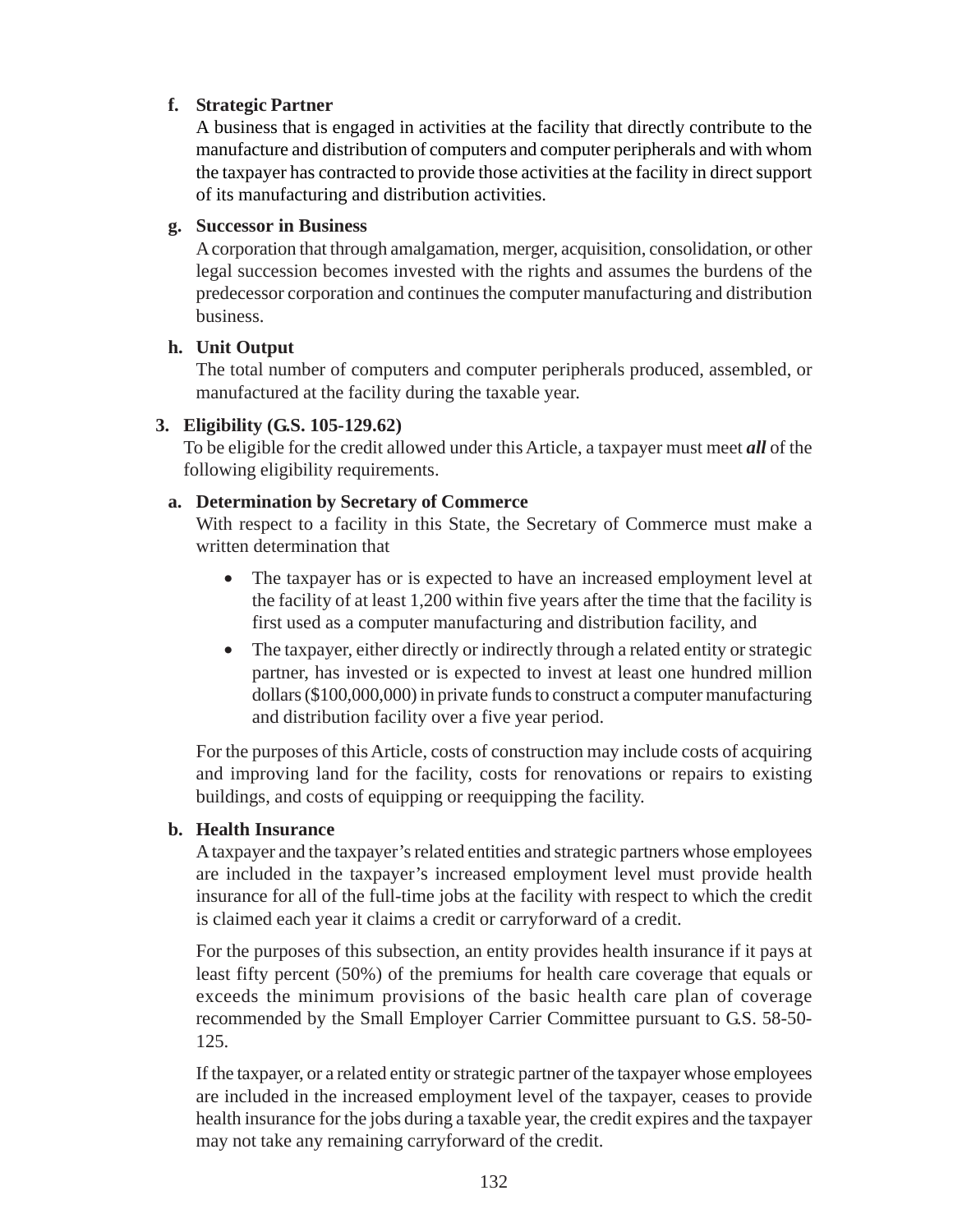### **f. Strategic Partner**

A business that is engaged in activities at the facility that directly contribute to the manufacture and distribution of computers and computer peripherals and with whom the taxpayer has contracted to provide those activities at the facility in direct support of its manufacturing and distribution activities.

### **g. Successor in Business**

A corporation that through amalgamation, merger, acquisition, consolidation, or other legal succession becomes invested with the rights and assumes the burdens of the predecessor corporation and continues the computer manufacturing and distribution business.

#### **h. Unit Output**

The total number of computers and computer peripherals produced, assembled, or manufactured at the facility during the taxable year.

### **3. Eligibility (G.S. 105-129.62)**

To be eligible for the credit allowed under this Article, a taxpayer must meet *all* of the following eligibility requirements.

### **a. Determination by Secretary of Commerce**

With respect to a facility in this State, the Secretary of Commerce must make a written determination that

- The taxpayer has or is expected to have an increased employment level at the facility of at least 1,200 within five years after the time that the facility is first used as a computer manufacturing and distribution facility, and
- The taxpayer, either directly or indirectly through a related entity or strategic partner, has invested or is expected to invest at least one hundred million dollars (\$100,000,000) in private funds to construct a computer manufacturing and distribution facility over a five year period.

For the purposes of this Article, costs of construction may include costs of acquiring and improving land for the facility, costs for renovations or repairs to existing buildings, and costs of equipping or reequipping the facility.

# **b. Health Insurance**

A taxpayer and the taxpayer's related entities and strategic partners whose employees are included in the taxpayer's increased employment level must provide health insurance for all of the full-time jobs at the facility with respect to which the credit is claimed each year it claims a credit or carryforward of a credit.

For the purposes of this subsection, an entity provides health insurance if it pays at least fifty percent (50%) of the premiums for health care coverage that equals or exceeds the minimum provisions of the basic health care plan of coverage recommended by the Small Employer Carrier Committee pursuant to G.S. 58-50- 125.

If the taxpayer, or a related entity or strategic partner of the taxpayer whose employees are included in the increased employment level of the taxpayer, ceases to provide health insurance for the jobs during a taxable year, the credit expires and the taxpayer may not take any remaining carryforward of the credit.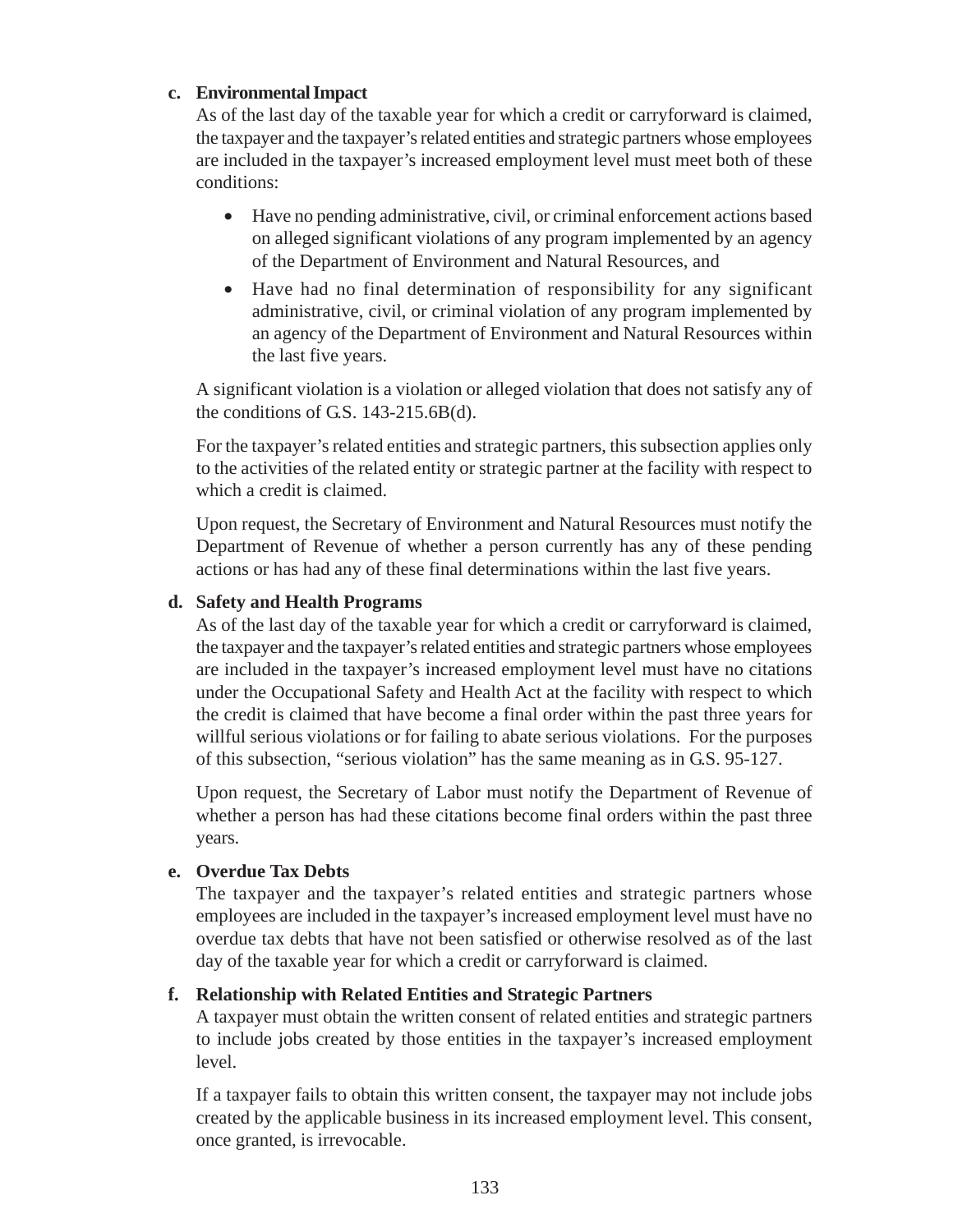#### **c. Environmental Impact**

As of the last day of the taxable year for which a credit or carryforward is claimed, the taxpayer and the taxpayer's related entities and strategic partners whose employees are included in the taxpayer's increased employment level must meet both of these conditions:

- Have no pending administrative, civil, or criminal enforcement actions based on alleged significant violations of any program implemented by an agency of the Department of Environment and Natural Resources, and
- Have had no final determination of responsibility for any significant administrative, civil, or criminal violation of any program implemented by an agency of the Department of Environment and Natural Resources within the last five years.

A significant violation is a violation or alleged violation that does not satisfy any of the conditions of G.S. 143-215.6B(d).

For the taxpayer's related entities and strategic partners, this subsection applies only to the activities of the related entity or strategic partner at the facility with respect to which a credit is claimed.

Upon request, the Secretary of Environment and Natural Resources must notify the Department of Revenue of whether a person currently has any of these pending actions or has had any of these final determinations within the last five years.

#### **d. Safety and Health Programs**

As of the last day of the taxable year for which a credit or carryforward is claimed, the taxpayer and the taxpayer's related entities and strategic partners whose employees are included in the taxpayer's increased employment level must have no citations under the Occupational Safety and Health Act at the facility with respect to which the credit is claimed that have become a final order within the past three years for willful serious violations or for failing to abate serious violations. For the purposes of this subsection, "serious violation" has the same meaning as in G.S. 95-127.

Upon request, the Secretary of Labor must notify the Department of Revenue of whether a person has had these citations become final orders within the past three years.

#### **e. Overdue Tax Debts**

The taxpayer and the taxpayer's related entities and strategic partners whose employees are included in the taxpayer's increased employment level must have no overdue tax debts that have not been satisfied or otherwise resolved as of the last day of the taxable year for which a credit or carryforward is claimed.

#### **f. Relationship with Related Entities and Strategic Partners**

A taxpayer must obtain the written consent of related entities and strategic partners to include jobs created by those entities in the taxpayer's increased employment level.

If a taxpayer fails to obtain this written consent, the taxpayer may not include jobs created by the applicable business in its increased employment level. This consent, once granted, is irrevocable.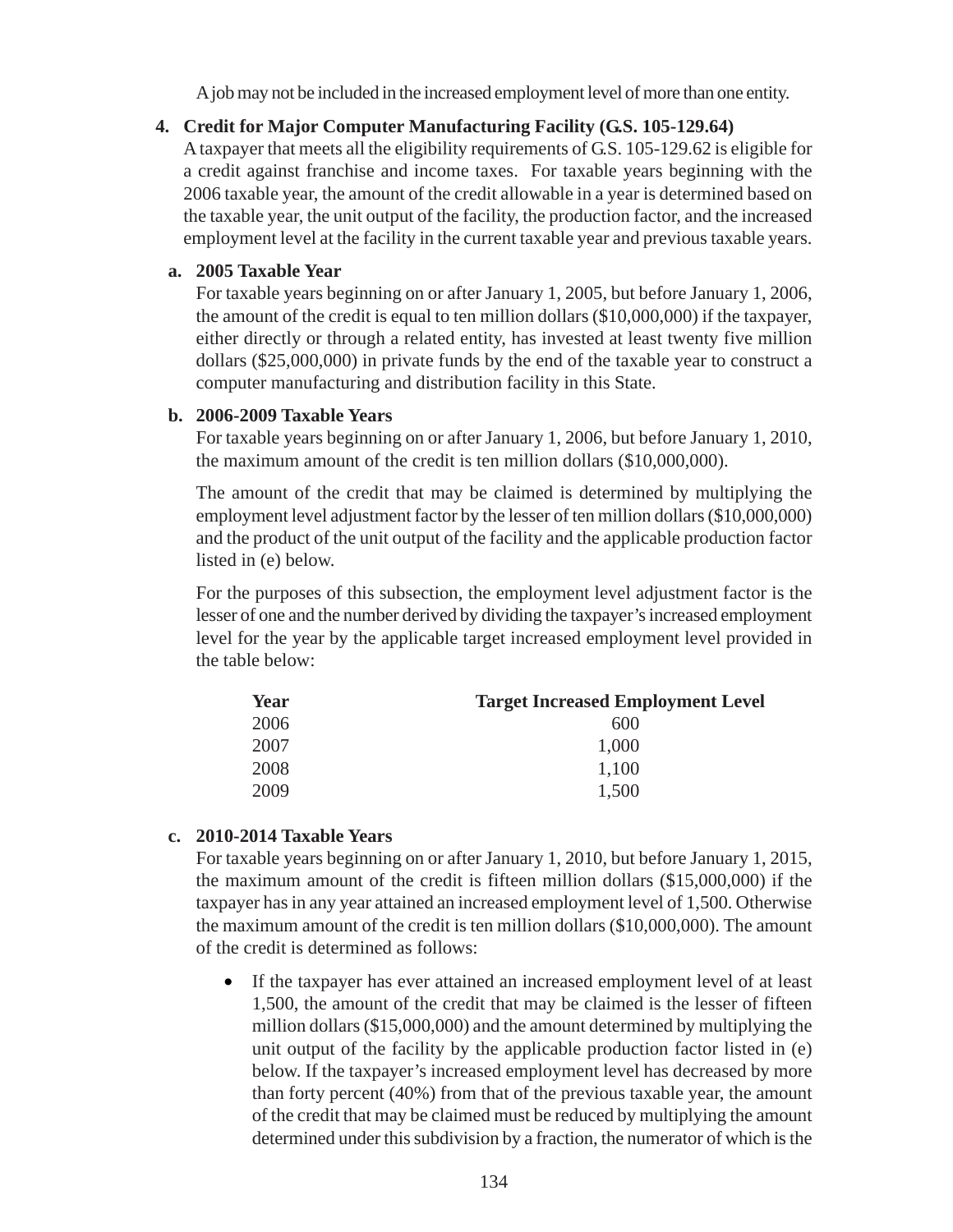A job may not be included in the increased employment level of more than one entity.

# **4. Credit for Major Computer Manufacturing Facility (G.S. 105-129.64)**

A taxpayer that meets all the eligibility requirements of G.S. 105-129.62 is eligible for a credit against franchise and income taxes. For taxable years beginning with the 2006 taxable year, the amount of the credit allowable in a year is determined based on the taxable year, the unit output of the facility, the production factor, and the increased employment level at the facility in the current taxable year and previous taxable years.

### **a. 2005 Taxable Year**

For taxable years beginning on or after January 1, 2005, but before January 1, 2006, the amount of the credit is equal to ten million dollars (\$10,000,000) if the taxpayer, either directly or through a related entity, has invested at least twenty five million dollars (\$25,000,000) in private funds by the end of the taxable year to construct a computer manufacturing and distribution facility in this State.

### **b. 2006-2009 Taxable Years**

For taxable years beginning on or after January 1, 2006, but before January 1, 2010, the maximum amount of the credit is ten million dollars (\$10,000,000).

The amount of the credit that may be claimed is determined by multiplying the employment level adjustment factor by the lesser of ten million dollars (\$10,000,000) and the product of the unit output of the facility and the applicable production factor listed in (e) below.

For the purposes of this subsection, the employment level adjustment factor is the lesser of one and the number derived by dividing the taxpayer's increased employment level for the year by the applicable target increased employment level provided in the table below:

| Year | <b>Target Increased Employment Level</b> |
|------|------------------------------------------|
| 2006 | 600                                      |
| 2007 | 1,000                                    |
| 2008 | 1,100                                    |
| 2009 | 1,500                                    |

# **c. 2010-2014 Taxable Years**

For taxable years beginning on or after January 1, 2010, but before January 1, 2015, the maximum amount of the credit is fifteen million dollars (\$15,000,000) if the taxpayer has in any year attained an increased employment level of 1,500. Otherwise the maximum amount of the credit is ten million dollars (\$10,000,000). The amount of the credit is determined as follows:

• If the taxpayer has ever attained an increased employment level of at least 1,500, the amount of the credit that may be claimed is the lesser of fifteen million dollars (\$15,000,000) and the amount determined by multiplying the unit output of the facility by the applicable production factor listed in (e) below. If the taxpayer's increased employment level has decreased by more than forty percent (40%) from that of the previous taxable year, the amount of the credit that may be claimed must be reduced by multiplying the amount determined under this subdivision by a fraction, the numerator of which is the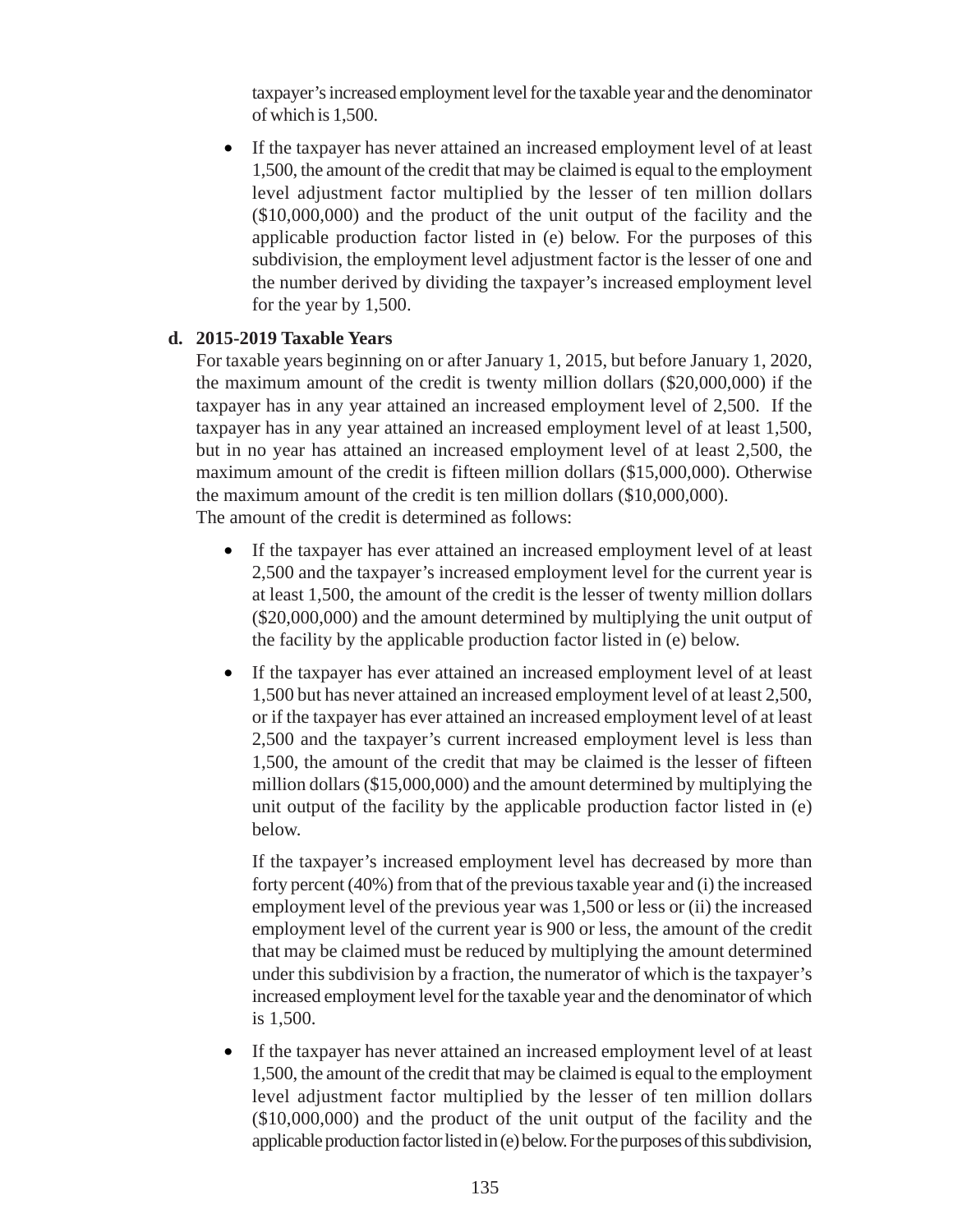taxpayer's increased employment level for the taxable year and the denominator of which is 1,500.

• If the taxpayer has never attained an increased employment level of at least 1,500, the amount of the credit that may be claimed is equal to the employment level adjustment factor multiplied by the lesser of ten million dollars (\$10,000,000) and the product of the unit output of the facility and the applicable production factor listed in (e) below. For the purposes of this subdivision, the employment level adjustment factor is the lesser of one and the number derived by dividing the taxpayer's increased employment level for the year by 1,500.

### **d. 2015-2019 Taxable Years**

For taxable years beginning on or after January 1, 2015, but before January 1, 2020, the maximum amount of the credit is twenty million dollars (\$20,000,000) if the taxpayer has in any year attained an increased employment level of 2,500. If the taxpayer has in any year attained an increased employment level of at least 1,500, but in no year has attained an increased employment level of at least 2,500, the maximum amount of the credit is fifteen million dollars (\$15,000,000). Otherwise the maximum amount of the credit is ten million dollars (\$10,000,000). The amount of the credit is determined as follows:

- If the taxpayer has ever attained an increased employment level of at least 2,500 and the taxpayer's increased employment level for the current year is at least 1,500, the amount of the credit is the lesser of twenty million dollars (\$20,000,000) and the amount determined by multiplying the unit output of the facility by the applicable production factor listed in (e) below.
- If the taxpayer has ever attained an increased employment level of at least 1,500 but has never attained an increased employment level of at least 2,500, or if the taxpayer has ever attained an increased employment level of at least 2,500 and the taxpayer's current increased employment level is less than 1,500, the amount of the credit that may be claimed is the lesser of fifteen million dollars (\$15,000,000) and the amount determined by multiplying the unit output of the facility by the applicable production factor listed in (e) below.

If the taxpayer's increased employment level has decreased by more than forty percent (40%) from that of the previous taxable year and (i) the increased employment level of the previous year was 1,500 or less or (ii) the increased employment level of the current year is 900 or less, the amount of the credit that may be claimed must be reduced by multiplying the amount determined under this subdivision by a fraction, the numerator of which is the taxpayer's increased employment level for the taxable year and the denominator of which is 1,500.

If the taxpayer has never attained an increased employment level of at least 1,500, the amount of the credit that may be claimed is equal to the employment level adjustment factor multiplied by the lesser of ten million dollars (\$10,000,000) and the product of the unit output of the facility and the applicable production factor listed in (e) below. For the purposes of this subdivision,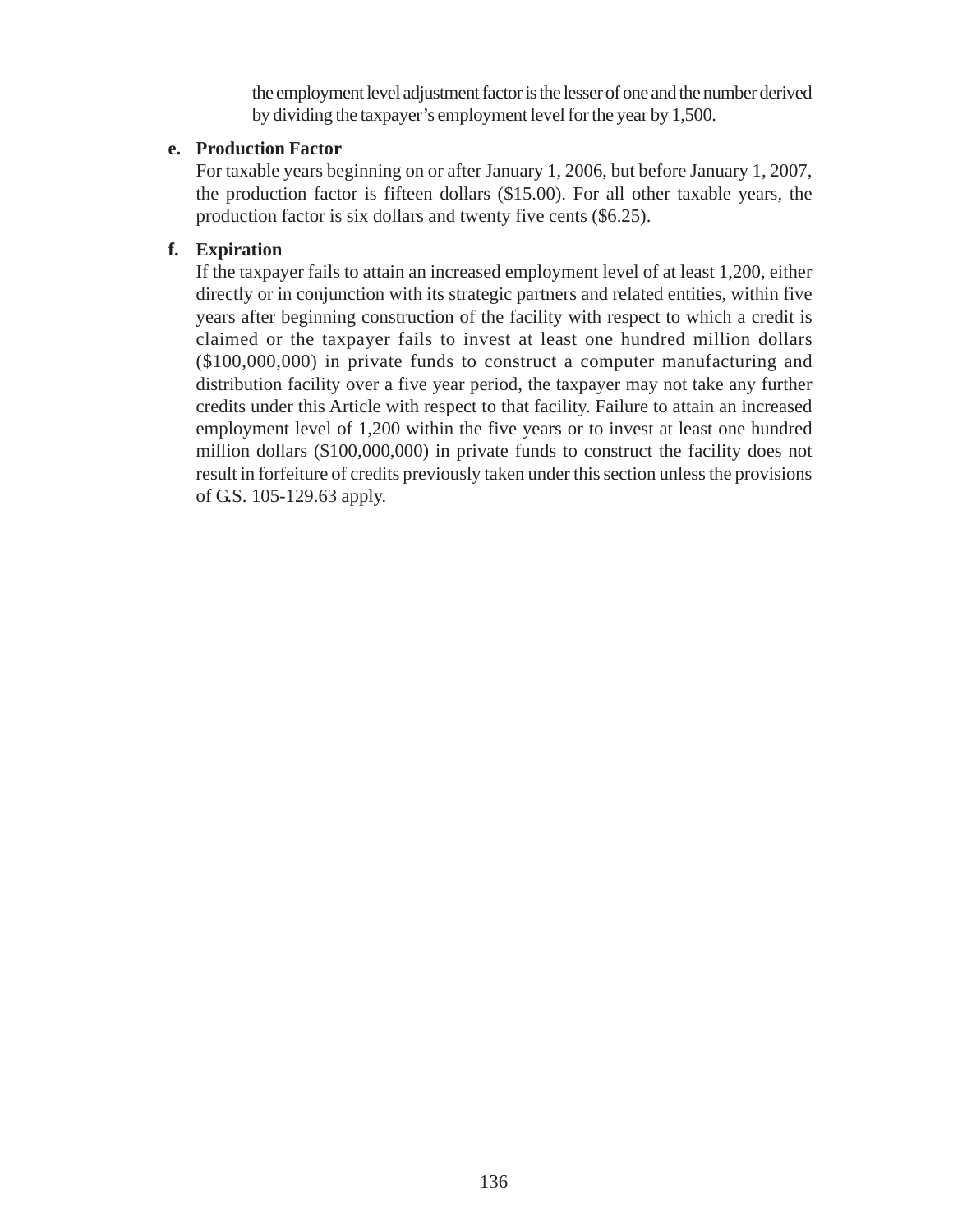the employment level adjustment factor is the lesser of one and the number derived by dividing the taxpayer's employment level for the year by 1,500.

### **e. Production Factor**

For taxable years beginning on or after January 1, 2006, but before January 1, 2007, the production factor is fifteen dollars (\$15.00). For all other taxable years, the production factor is six dollars and twenty five cents (\$6.25).

### **f. Expiration**

If the taxpayer fails to attain an increased employment level of at least 1,200, either directly or in conjunction with its strategic partners and related entities, within five years after beginning construction of the facility with respect to which a credit is claimed or the taxpayer fails to invest at least one hundred million dollars (\$100,000,000) in private funds to construct a computer manufacturing and distribution facility over a five year period, the taxpayer may not take any further credits under this Article with respect to that facility. Failure to attain an increased employment level of 1,200 within the five years or to invest at least one hundred million dollars (\$100,000,000) in private funds to construct the facility does not result in forfeiture of credits previously taken under this section unless the provisions of G.S. 105-129.63 apply.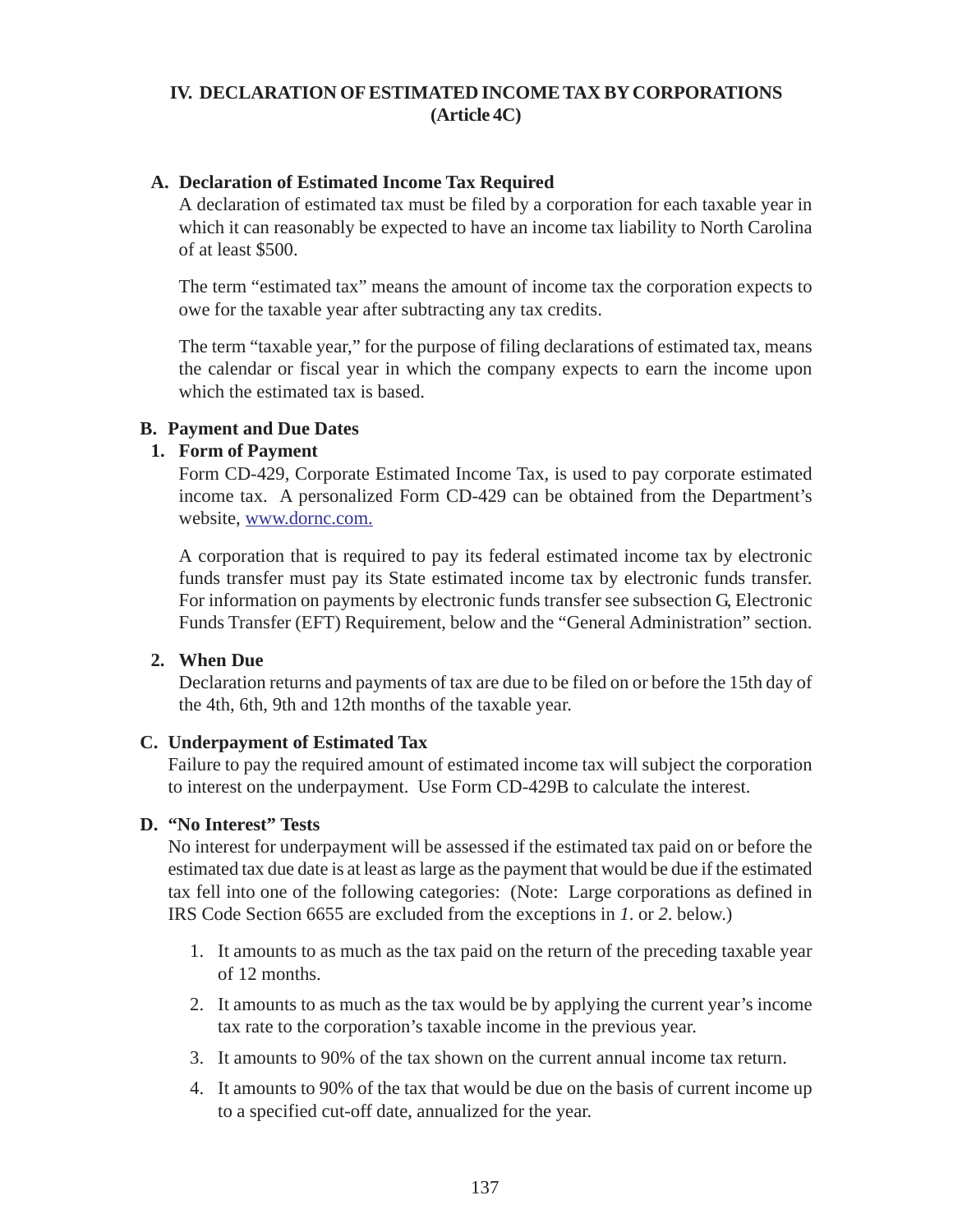# **IV. DECLARATION OF ESTIMATED INCOME TAX BY CORPORATIONS (Article 4C)**

### **A. Declaration of Estimated Income Tax Required**

A declaration of estimated tax must be filed by a corporation for each taxable year in which it can reasonably be expected to have an income tax liability to North Carolina of at least \$500.

The term "estimated tax" means the amount of income tax the corporation expects to owe for the taxable year after subtracting any tax credits.

The term "taxable year," for the purpose of filing declarations of estimated tax, means the calendar or fiscal year in which the company expects to earn the income upon which the estimated tax is based.

#### **B. Payment and Due Dates**

#### **1. Form of Payment**

Form CD-429, Corporate Estimated Income Tax, is used to pay corporate estimated income tax. A personalized Form CD-429 can be obtained from the Department's website, www.dornc.com.

A corporation that is required to pay its federal estimated income tax by electronic funds transfer must pay its State estimated income tax by electronic funds transfer. For information on payments by electronic funds transfer see subsection G, Electronic Funds Transfer (EFT) Requirement, below and the "General Administration" section.

#### **2. When Due**

Declaration returns and payments of tax are due to be filed on or before the 15th day of the 4th, 6th, 9th and 12th months of the taxable year.

#### **C. Underpayment of Estimated Tax**

Failure to pay the required amount of estimated income tax will subject the corporation to interest on the underpayment. Use Form CD-429B to calculate the interest.

#### **D. "No Interest" Tests**

No interest for underpayment will be assessed if the estimated tax paid on or before the estimated tax due date is at least as large as the payment that would be due if the estimated tax fell into one of the following categories: (Note: Large corporations as defined in IRS Code Section 6655 are excluded from the exceptions in *1*. or *2*. below.)

- 1. It amounts to as much as the tax paid on the return of the preceding taxable year of 12 months.
- 2. It amounts to as much as the tax would be by applying the current year's income tax rate to the corporation's taxable income in the previous year.
- 3. It amounts to 90% of the tax shown on the current annual income tax return.
- 4. It amounts to 90% of the tax that would be due on the basis of current income up to a specified cut-off date, annualized for the year.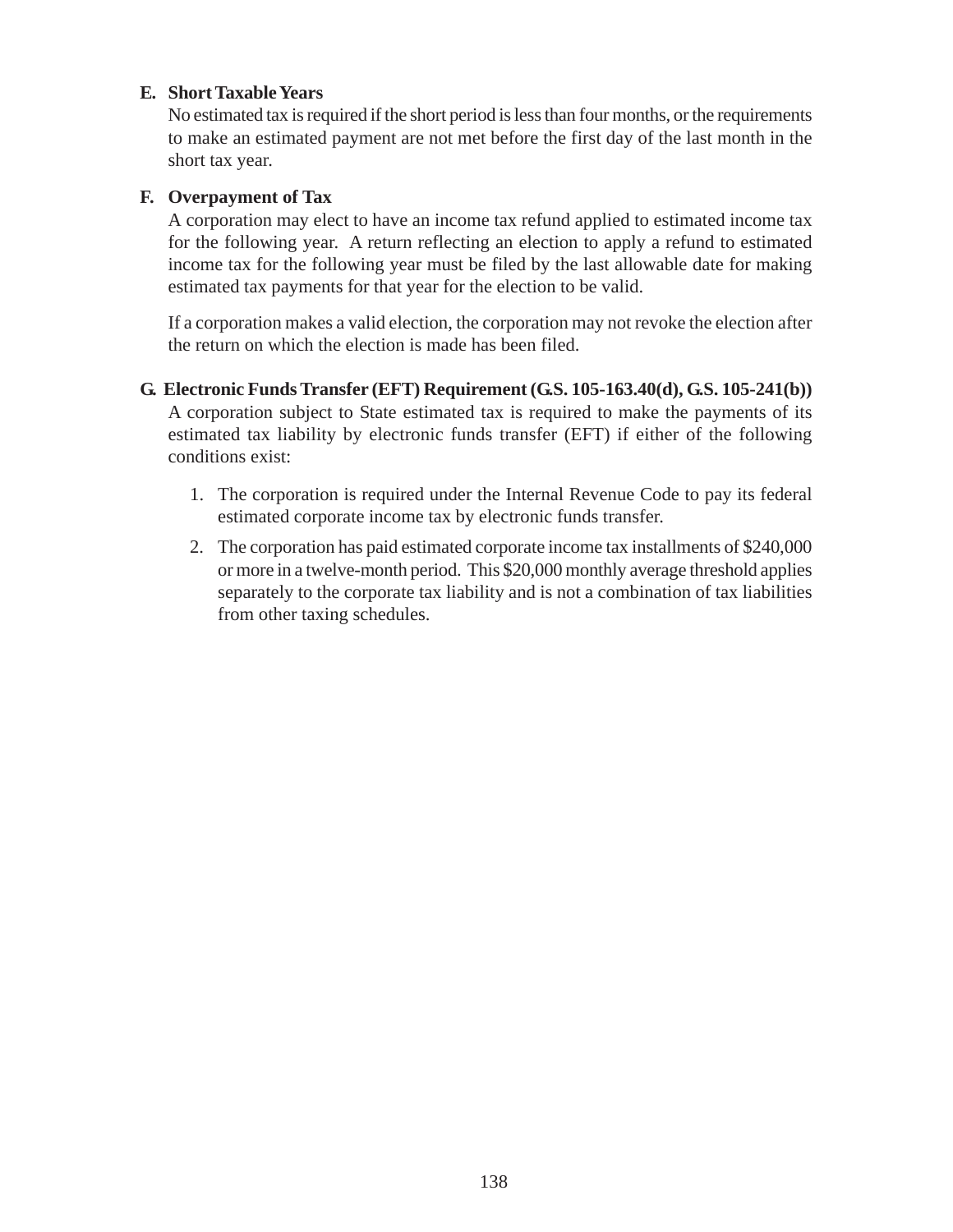### **E. Short Taxable Years**

No estimated tax is required if the short period is less than four months, or the requirements to make an estimated payment are not met before the first day of the last month in the short tax year.

#### **F. Overpayment of Tax**

A corporation may elect to have an income tax refund applied to estimated income tax for the following year. A return reflecting an election to apply a refund to estimated income tax for the following year must be filed by the last allowable date for making estimated tax payments for that year for the election to be valid.

If a corporation makes a valid election, the corporation may not revoke the election after the return on which the election is made has been filed.

- **G. Electronic Funds Transfer (EFT) Requirement (G.S. 105-163.40(d), G.S. 105-241(b))** A corporation subject to State estimated tax is required to make the payments of its estimated tax liability by electronic funds transfer (EFT) if either of the following conditions exist:
	- 1. The corporation is required under the Internal Revenue Code to pay its federal estimated corporate income tax by electronic funds transfer.
	- 2. The corporation has paid estimated corporate income tax installments of \$240,000 or more in a twelve-month period. This \$20,000 monthly average threshold applies separately to the corporate tax liability and is not a combination of tax liabilities from other taxing schedules.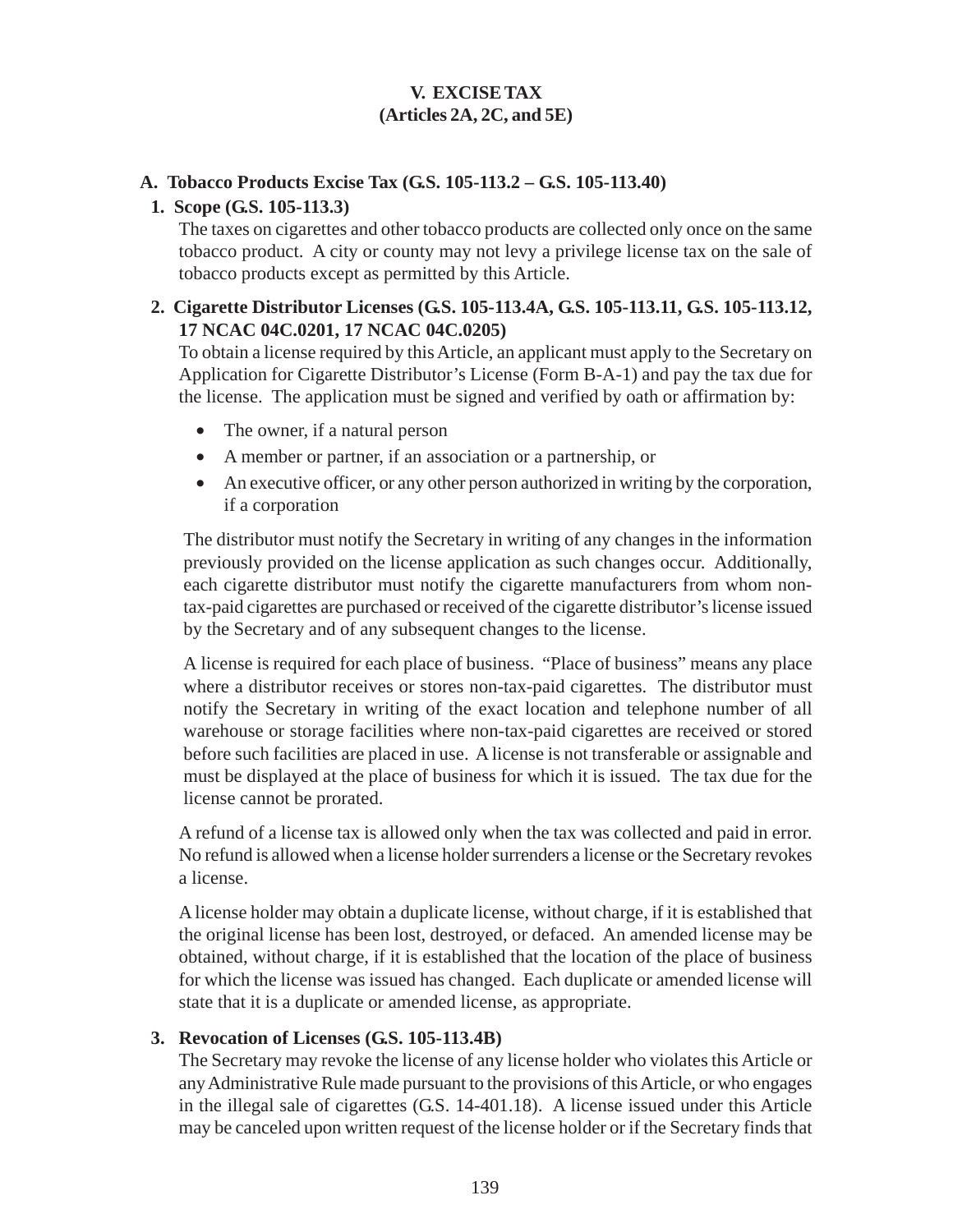# **V. EXCISE TAX (Articles 2A, 2C, and 5E)**

### **A. Tobacco Products Excise Tax (G.S. 105-113.2 – G.S. 105-113.40)**

### **1. Scope (G.S. 105-113.3)**

The taxes on cigarettes and other tobacco products are collected only once on the same tobacco product. A city or county may not levy a privilege license tax on the sale of tobacco products except as permitted by this Article.

### **2. Cigarette Distributor Licenses (G.S. 105-113.4A, G.S. 105-113.11, G.S. 105-113.12, 17 NCAC 04C.0201, 17 NCAC 04C.0205)**

To obtain a license required by this Article, an applicant must apply to the Secretary on Application for Cigarette Distributor's License (Form B-A-1) and pay the tax due for the license. The application must be signed and verified by oath or affirmation by:

- The owner, if a natural person
- A member or partner, if an association or a partnership, or
- An executive officer, or any other person authorized in writing by the corporation, if a corporation

The distributor must notify the Secretary in writing of any changes in the information previously provided on the license application as such changes occur. Additionally, each cigarette distributor must notify the cigarette manufacturers from whom nontax-paid cigarettes are purchased or received of the cigarette distributor's license issued by the Secretary and of any subsequent changes to the license.

A license is required for each place of business. "Place of business" means any place where a distributor receives or stores non-tax-paid cigarettes. The distributor must notify the Secretary in writing of the exact location and telephone number of all warehouse or storage facilities where non-tax-paid cigarettes are received or stored before such facilities are placed in use. A license is not transferable or assignable and must be displayed at the place of business for which it is issued. The tax due for the license cannot be prorated.

A refund of a license tax is allowed only when the tax was collected and paid in error. No refund is allowed when a license holder surrenders a license or the Secretary revokes a license.

A license holder may obtain a duplicate license, without charge, if it is established that the original license has been lost, destroyed, or defaced. An amended license may be obtained, without charge, if it is established that the location of the place of business for which the license was issued has changed. Each duplicate or amended license will state that it is a duplicate or amended license, as appropriate.

# **3. Revocation of Licenses (G.S. 105-113.4B)**

The Secretary may revoke the license of any license holder who violates this Article or any Administrative Rule made pursuant to the provisions of this Article, or who engages in the illegal sale of cigarettes (G.S. 14-401.18). A license issued under this Article may be canceled upon written request of the license holder or if the Secretary finds that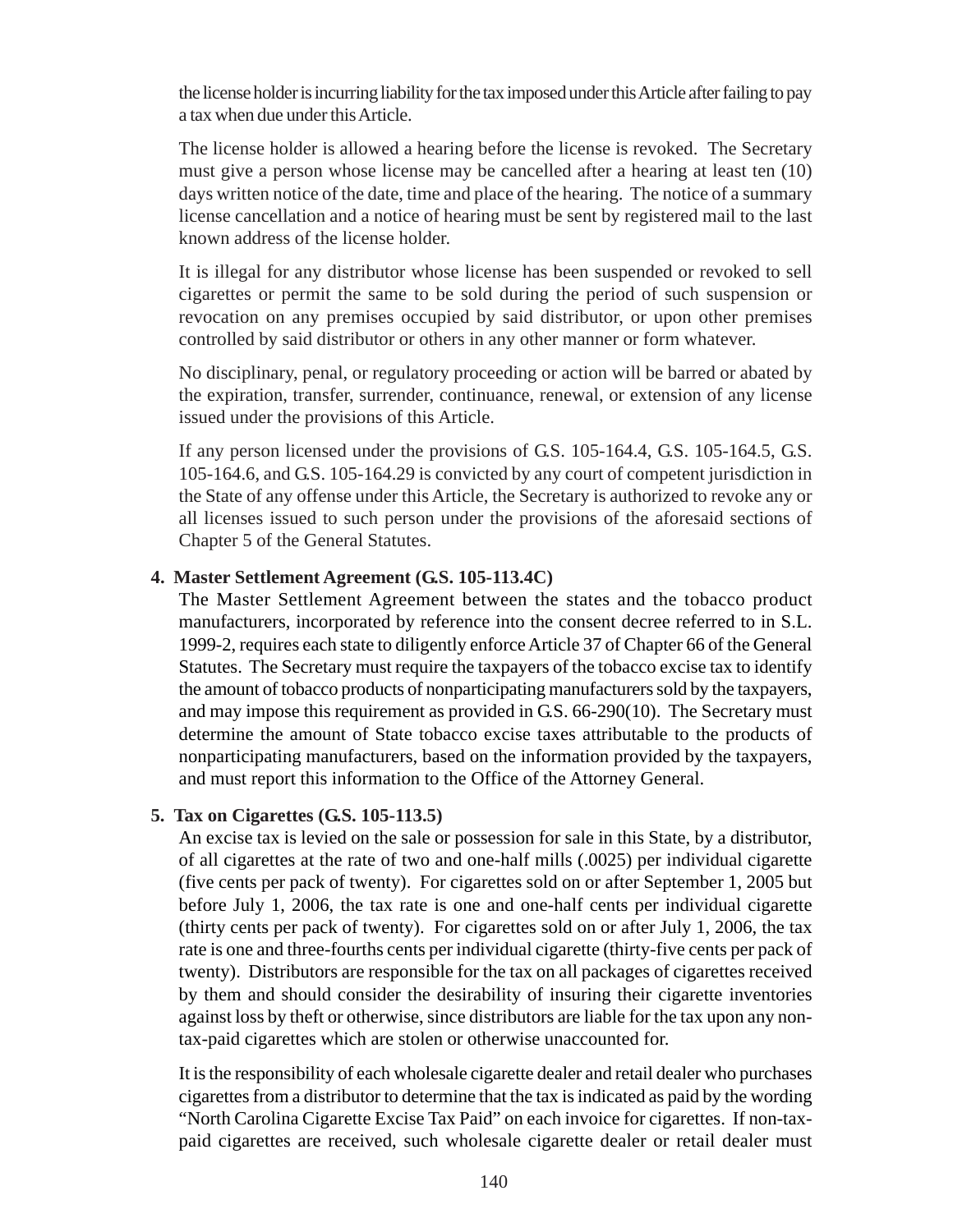the license holder is incurring liability for the tax imposed under this Article after failing to pay a tax when due under this Article.

The license holder is allowed a hearing before the license is revoked. The Secretary must give a person whose license may be cancelled after a hearing at least ten (10) days written notice of the date, time and place of the hearing. The notice of a summary license cancellation and a notice of hearing must be sent by registered mail to the last known address of the license holder.

It is illegal for any distributor whose license has been suspended or revoked to sell cigarettes or permit the same to be sold during the period of such suspension or revocation on any premises occupied by said distributor, or upon other premises controlled by said distributor or others in any other manner or form whatever.

No disciplinary, penal, or regulatory proceeding or action will be barred or abated by the expiration, transfer, surrender, continuance, renewal, or extension of any license issued under the provisions of this Article.

If any person licensed under the provisions of G.S. 105-164.4, G.S. 105-164.5, G.S. 105-164.6, and G.S. 105-164.29 is convicted by any court of competent jurisdiction in the State of any offense under this Article, the Secretary is authorized to revoke any or all licenses issued to such person under the provisions of the aforesaid sections of Chapter 5 of the General Statutes.

#### **4. Master Settlement Agreement (G.S. 105-113.4C)**

The Master Settlement Agreement between the states and the tobacco product manufacturers, incorporated by reference into the consent decree referred to in S.L. 1999-2, requires each state to diligently enforce Article 37 of Chapter 66 of the General Statutes. The Secretary must require the taxpayers of the tobacco excise tax to identify the amount of tobacco products of nonparticipating manufacturers sold by the taxpayers, and may impose this requirement as provided in G.S. 66-290(10). The Secretary must determine the amount of State tobacco excise taxes attributable to the products of nonparticipating manufacturers, based on the information provided by the taxpayers, and must report this information to the Office of the Attorney General.

#### **5. Tax on Cigarettes (G.S. 105-113.5)**

An excise tax is levied on the sale or possession for sale in this State, by a distributor, of all cigarettes at the rate of two and one-half mills (.0025) per individual cigarette (five cents per pack of twenty). For cigarettes sold on or after September 1, 2005 but before July 1, 2006, the tax rate is one and one-half cents per individual cigarette (thirty cents per pack of twenty). For cigarettes sold on or after July 1, 2006, the tax rate is one and three-fourths cents per individual cigarette (thirty-five cents per pack of twenty). Distributors are responsible for the tax on all packages of cigarettes received by them and should consider the desirability of insuring their cigarette inventories against loss by theft or otherwise, since distributors are liable for the tax upon any nontax-paid cigarettes which are stolen or otherwise unaccounted for.

It is the responsibility of each wholesale cigarette dealer and retail dealer who purchases cigarettes from a distributor to determine that the tax is indicated as paid by the wording "North Carolina Cigarette Excise Tax Paid" on each invoice for cigarettes. If non-taxpaid cigarettes are received, such wholesale cigarette dealer or retail dealer must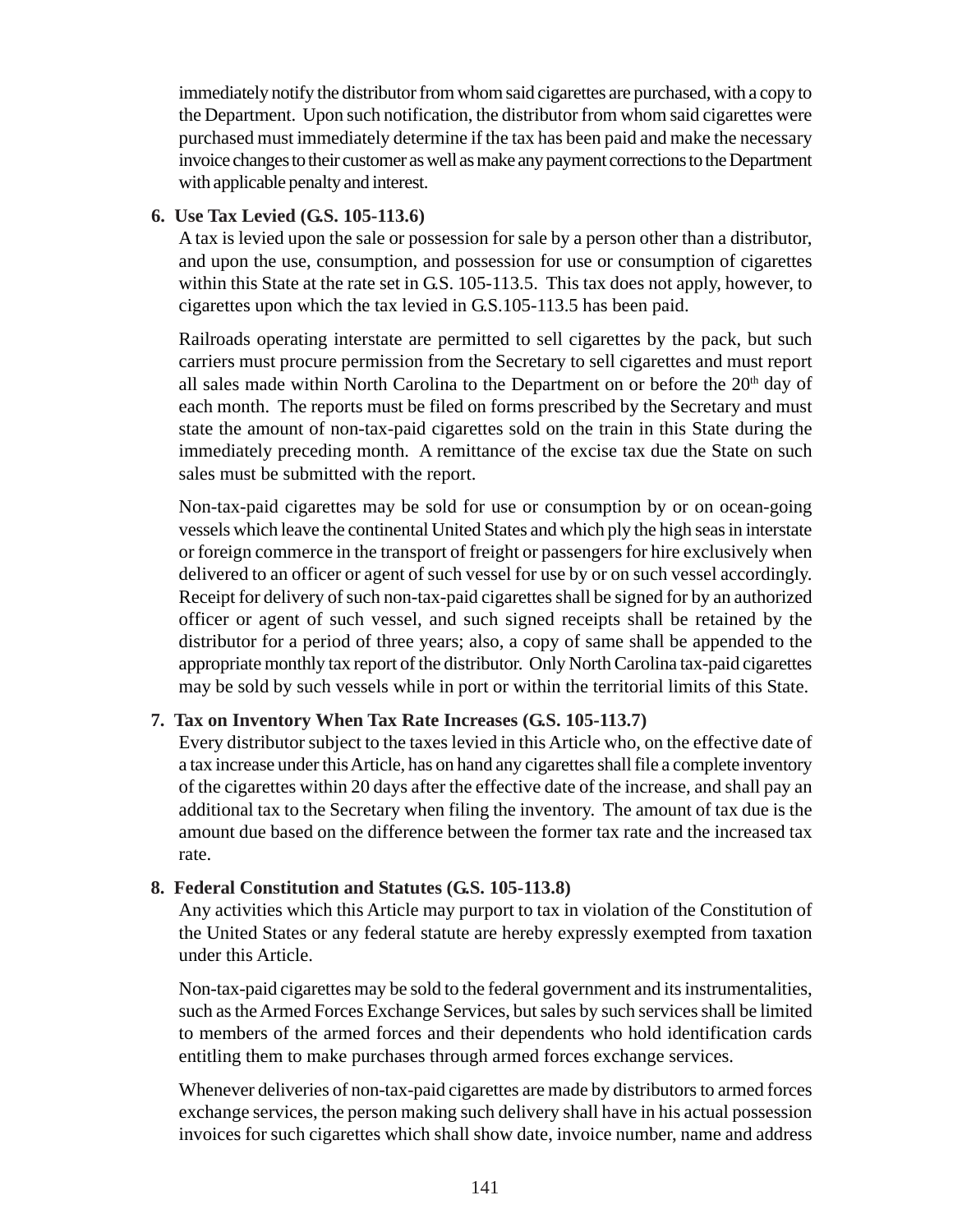immediately notify the distributor from whom said cigarettes are purchased, with a copy to the Department. Upon such notification, the distributor from whom said cigarettes were purchased must immediately determine if the tax has been paid and make the necessary invoice changes to their customer as well as make any payment corrections to the Department with applicable penalty and interest.

#### **6. Use Tax Levied (G.S. 105-113.6)**

A tax is levied upon the sale or possession for sale by a person other than a distributor, and upon the use, consumption, and possession for use or consumption of cigarettes within this State at the rate set in G.S. 105-113.5. This tax does not apply, however, to cigarettes upon which the tax levied in G.S.105-113.5 has been paid.

Railroads operating interstate are permitted to sell cigarettes by the pack, but such carriers must procure permission from the Secretary to sell cigarettes and must report all sales made within North Carolina to the Department on or before the  $20<sup>th</sup>$  day of each month. The reports must be filed on forms prescribed by the Secretary and must state the amount of non-tax-paid cigarettes sold on the train in this State during the immediately preceding month. A remittance of the excise tax due the State on such sales must be submitted with the report.

Non-tax-paid cigarettes may be sold for use or consumption by or on ocean-going vessels which leave the continental United States and which ply the high seas in interstate or foreign commerce in the transport of freight or passengers for hire exclusively when delivered to an officer or agent of such vessel for use by or on such vessel accordingly. Receipt for delivery of such non-tax-paid cigarettes shall be signed for by an authorized officer or agent of such vessel, and such signed receipts shall be retained by the distributor for a period of three years; also, a copy of same shall be appended to the appropriate monthly tax report of the distributor. Only North Carolina tax-paid cigarettes may be sold by such vessels while in port or within the territorial limits of this State.

## **7. Tax on Inventory When Tax Rate Increases (G.S. 105-113.7)**

Every distributor subject to the taxes levied in this Article who, on the effective date of a tax increase under this Article, has on hand any cigarettes shall file a complete inventory of the cigarettes within 20 days after the effective date of the increase, and shall pay an additional tax to the Secretary when filing the inventory. The amount of tax due is the amount due based on the difference between the former tax rate and the increased tax rate.

#### **8. Federal Constitution and Statutes (G.S. 105-113.8)**

Any activities which this Article may purport to tax in violation of the Constitution of the United States or any federal statute are hereby expressly exempted from taxation under this Article.

Non-tax-paid cigarettes may be sold to the federal government and its instrumentalities, such as the Armed Forces Exchange Services, but sales by such services shall be limited to members of the armed forces and their dependents who hold identification cards entitling them to make purchases through armed forces exchange services.

Whenever deliveries of non-tax-paid cigarettes are made by distributors to armed forces exchange services, the person making such delivery shall have in his actual possession invoices for such cigarettes which shall show date, invoice number, name and address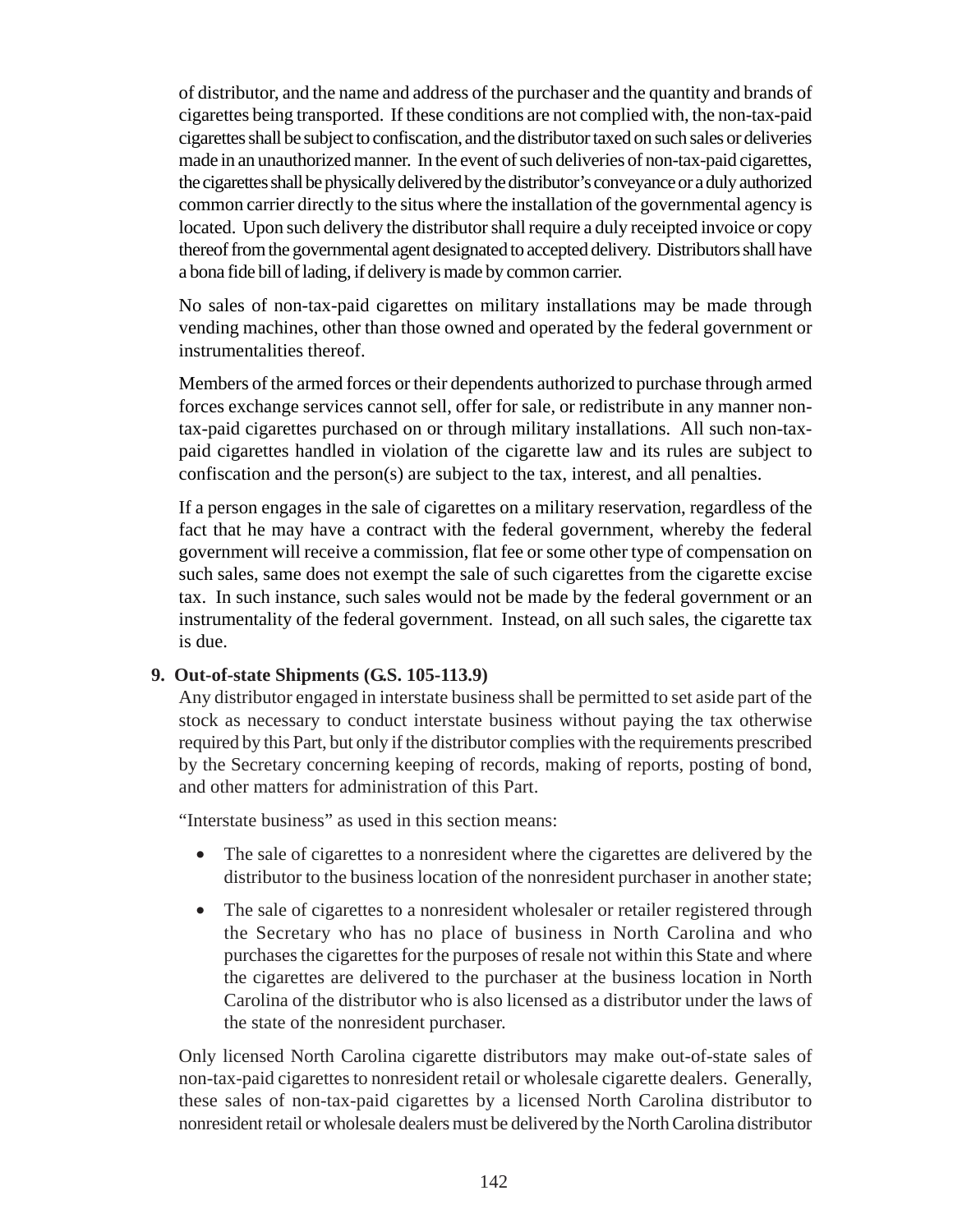of distributor, and the name and address of the purchaser and the quantity and brands of cigarettes being transported. If these conditions are not complied with, the non-tax-paid cigarettes shall be subject to confiscation, and the distributor taxed on such sales or deliveries made in an unauthorized manner. In the event of such deliveries of non-tax-paid cigarettes, the cigarettes shall be physically delivered by the distributor's conveyance or a duly authorized common carrier directly to the situs where the installation of the governmental agency is located. Upon such delivery the distributor shall require a duly receipted invoice or copy thereof from the governmental agent designated to accepted delivery. Distributors shall have a bona fide bill of lading, if delivery is made by common carrier.

No sales of non-tax-paid cigarettes on military installations may be made through vending machines, other than those owned and operated by the federal government or instrumentalities thereof.

Members of the armed forces or their dependents authorized to purchase through armed forces exchange services cannot sell, offer for sale, or redistribute in any manner nontax-paid cigarettes purchased on or through military installations. All such non-taxpaid cigarettes handled in violation of the cigarette law and its rules are subject to confiscation and the person(s) are subject to the tax, interest, and all penalties.

If a person engages in the sale of cigarettes on a military reservation, regardless of the fact that he may have a contract with the federal government, whereby the federal government will receive a commission, flat fee or some other type of compensation on such sales, same does not exempt the sale of such cigarettes from the cigarette excise tax. In such instance, such sales would not be made by the federal government or an instrumentality of the federal government. Instead, on all such sales, the cigarette tax is due.

#### **9. Out-of-state Shipments (G.S. 105-113.9)**

Any distributor engaged in interstate business shall be permitted to set aside part of the stock as necessary to conduct interstate business without paying the tax otherwise required by this Part, but only if the distributor complies with the requirements prescribed by the Secretary concerning keeping of records, making of reports, posting of bond, and other matters for administration of this Part.

"Interstate business" as used in this section means:

- The sale of cigarettes to a nonresident where the cigarettes are delivered by the distributor to the business location of the nonresident purchaser in another state;
- The sale of cigarettes to a nonresident wholesaler or retailer registered through the Secretary who has no place of business in North Carolina and who purchases the cigarettes for the purposes of resale not within this State and where the cigarettes are delivered to the purchaser at the business location in North Carolina of the distributor who is also licensed as a distributor under the laws of the state of the nonresident purchaser.

Only licensed North Carolina cigarette distributors may make out-of-state sales of non-tax-paid cigarettes to nonresident retail or wholesale cigarette dealers. Generally, these sales of non-tax-paid cigarettes by a licensed North Carolina distributor to nonresident retail or wholesale dealers must be delivered by the North Carolina distributor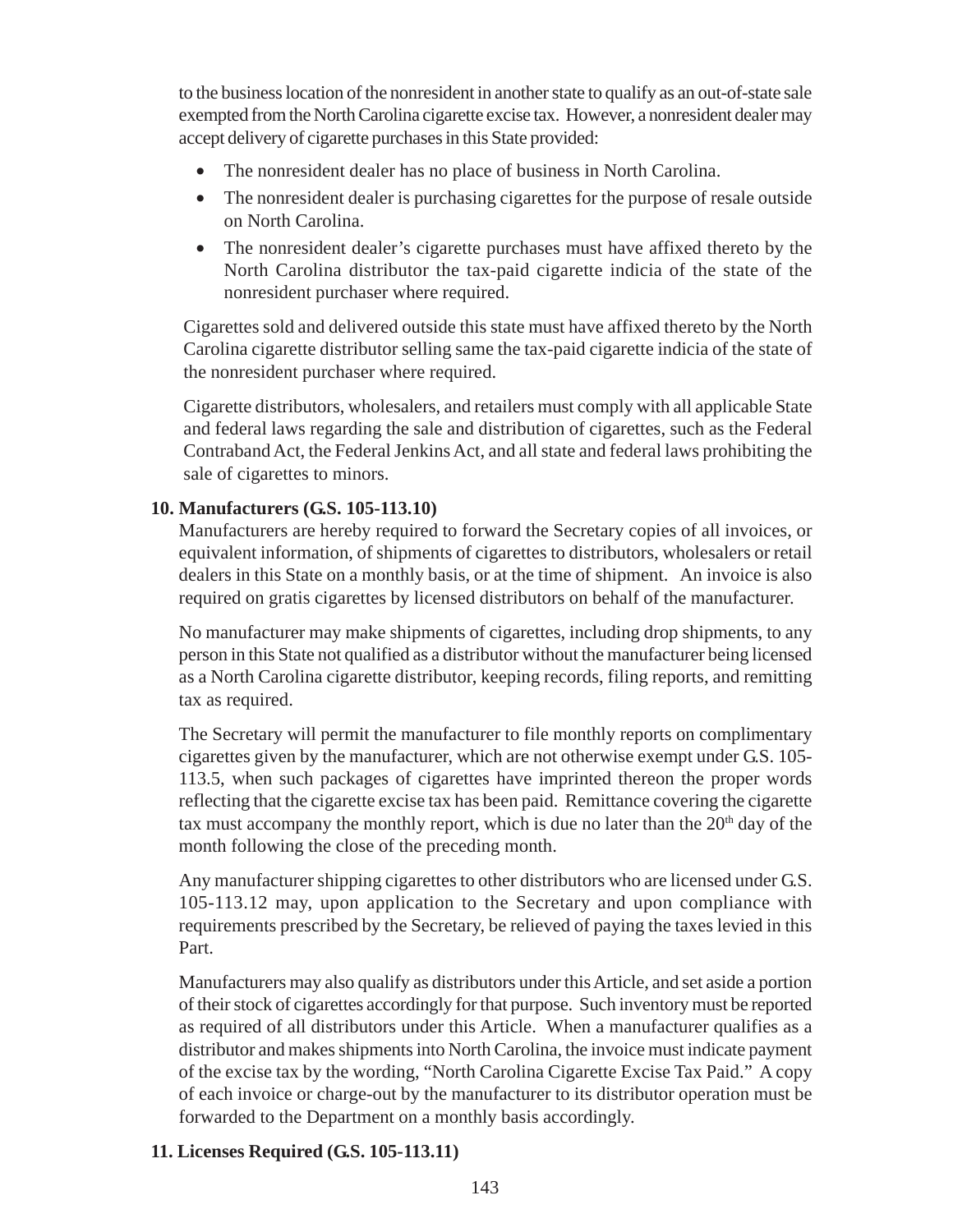to the business location of the nonresident in another state to qualify as an out-of-state sale exempted from the North Carolina cigarette excise tax. However, a nonresident dealer may accept delivery of cigarette purchases in this State provided:

- The nonresident dealer has no place of business in North Carolina.
- The nonresident dealer is purchasing cigarettes for the purpose of resale outside on North Carolina.
- The nonresident dealer's cigarette purchases must have affixed thereto by the North Carolina distributor the tax-paid cigarette indicia of the state of the nonresident purchaser where required.

Cigarettes sold and delivered outside this state must have affixed thereto by the North Carolina cigarette distributor selling same the tax-paid cigarette indicia of the state of the nonresident purchaser where required.

Cigarette distributors, wholesalers, and retailers must comply with all applicable State and federal laws regarding the sale and distribution of cigarettes, such as the Federal Contraband Act, the Federal Jenkins Act, and all state and federal laws prohibiting the sale of cigarettes to minors.

# **10. Manufacturers (G.S. 105-113.10)**

Manufacturers are hereby required to forward the Secretary copies of all invoices, or equivalent information, of shipments of cigarettes to distributors, wholesalers or retail dealers in this State on a monthly basis, or at the time of shipment. An invoice is also required on gratis cigarettes by licensed distributors on behalf of the manufacturer.

No manufacturer may make shipments of cigarettes, including drop shipments, to any person in this State not qualified as a distributor without the manufacturer being licensed as a North Carolina cigarette distributor, keeping records, filing reports, and remitting tax as required.

The Secretary will permit the manufacturer to file monthly reports on complimentary cigarettes given by the manufacturer, which are not otherwise exempt under G.S. 105- 113.5, when such packages of cigarettes have imprinted thereon the proper words reflecting that the cigarette excise tax has been paid. Remittance covering the cigarette tax must accompany the monthly report, which is due no later than the  $20<sup>th</sup>$  day of the month following the close of the preceding month.

Any manufacturer shipping cigarettes to other distributors who are licensed under G.S. 105-113.12 may, upon application to the Secretary and upon compliance with requirements prescribed by the Secretary, be relieved of paying the taxes levied in this Part.

Manufacturers may also qualify as distributors under this Article, and set aside a portion of their stock of cigarettes accordingly for that purpose. Such inventory must be reported as required of all distributors under this Article. When a manufacturer qualifies as a distributor and makes shipments into North Carolina, the invoice must indicate payment of the excise tax by the wording, "North Carolina Cigarette Excise Tax Paid." A copy of each invoice or charge-out by the manufacturer to its distributor operation must be forwarded to the Department on a monthly basis accordingly.

# **11. Licenses Required (G.S. 105-113.11)**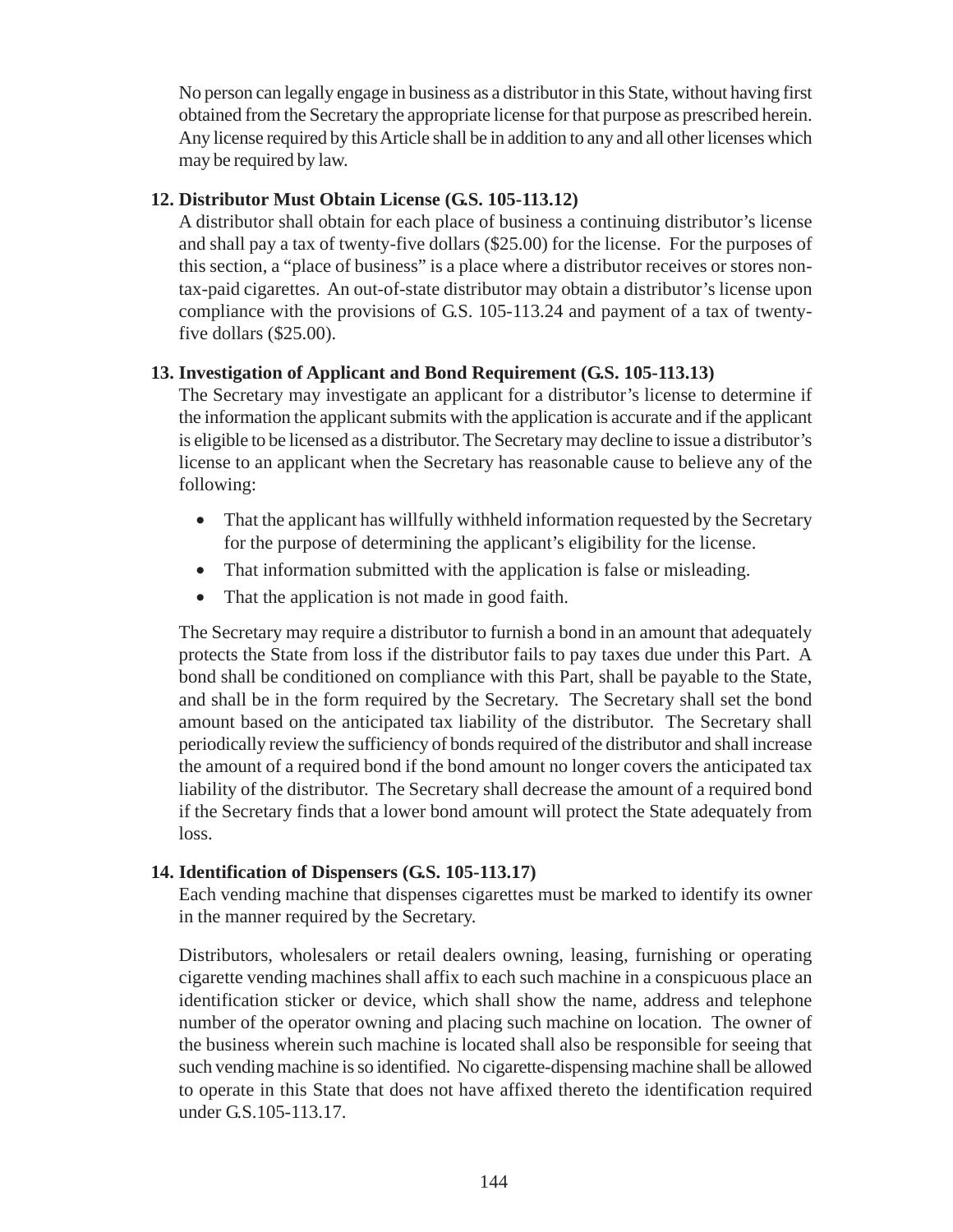No person can legally engage in business as a distributor in this State, without having first obtained from the Secretary the appropriate license for that purpose as prescribed herein. Any license required by this Article shall be in addition to any and all other licenses which may be required by law.

#### **12. Distributor Must Obtain License (G.S. 105-113.12)**

A distributor shall obtain for each place of business a continuing distributor's license and shall pay a tax of twenty-five dollars (\$25.00) for the license. For the purposes of this section, a "place of business" is a place where a distributor receives or stores nontax-paid cigarettes. An out-of-state distributor may obtain a distributor's license upon compliance with the provisions of G.S. 105-113.24 and payment of a tax of twentyfive dollars (\$25.00).

#### **13. Investigation of Applicant and Bond Requirement (G.S. 105-113.13)**

The Secretary may investigate an applicant for a distributor's license to determine if the information the applicant submits with the application is accurate and if the applicant is eligible to be licensed as a distributor. The Secretary may decline to issue a distributor's license to an applicant when the Secretary has reasonable cause to believe any of the following:

- That the applicant has willfully withheld information requested by the Secretary for the purpose of determining the applicant's eligibility for the license.
- That information submitted with the application is false or misleading.
- That the application is not made in good faith.

The Secretary may require a distributor to furnish a bond in an amount that adequately protects the State from loss if the distributor fails to pay taxes due under this Part. A bond shall be conditioned on compliance with this Part, shall be payable to the State, and shall be in the form required by the Secretary. The Secretary shall set the bond amount based on the anticipated tax liability of the distributor. The Secretary shall periodically review the sufficiency of bonds required of the distributor and shall increase the amount of a required bond if the bond amount no longer covers the anticipated tax liability of the distributor. The Secretary shall decrease the amount of a required bond if the Secretary finds that a lower bond amount will protect the State adequately from loss.

## **14. Identification of Dispensers (G.S. 105-113.17)**

Each vending machine that dispenses cigarettes must be marked to identify its owner in the manner required by the Secretary.

Distributors, wholesalers or retail dealers owning, leasing, furnishing or operating cigarette vending machines shall affix to each such machine in a conspicuous place an identification sticker or device, which shall show the name, address and telephone number of the operator owning and placing such machine on location. The owner of the business wherein such machine is located shall also be responsible for seeing that such vending machine is so identified. No cigarette-dispensing machine shall be allowed to operate in this State that does not have affixed thereto the identification required under G.S.105-113.17.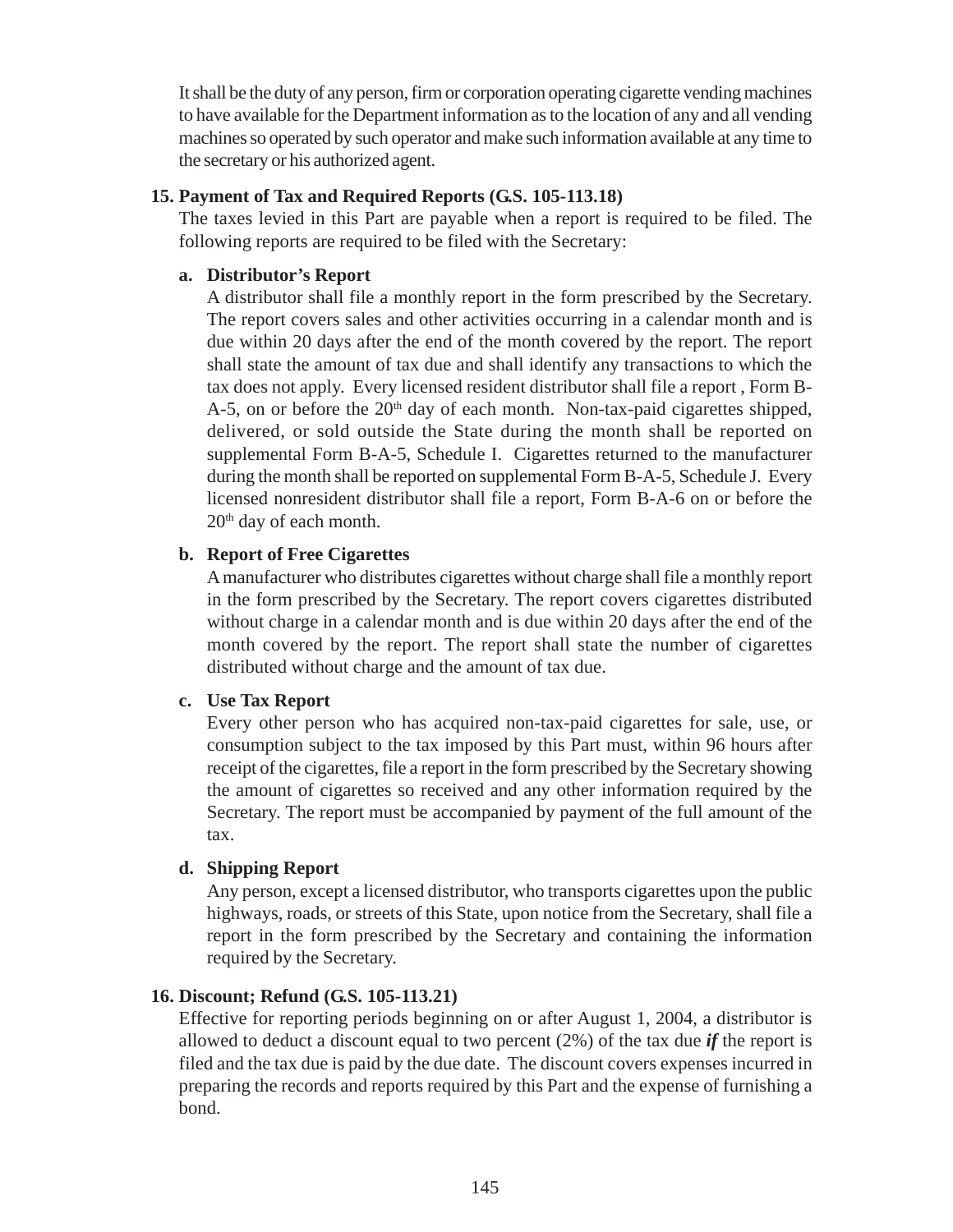It shall be the duty of any person, firm or corporation operating cigarette vending machines to have available for the Department information as to the location of any and all vending machines so operated by such operator and make such information available at any time to the secretary or his authorized agent.

#### **15. Payment of Tax and Required Reports (G.S. 105-113.18)**

The taxes levied in this Part are payable when a report is required to be filed. The following reports are required to be filed with the Secretary:

## **a. Distributor's Report**

A distributor shall file a monthly report in the form prescribed by the Secretary. The report covers sales and other activities occurring in a calendar month and is due within 20 days after the end of the month covered by the report. The report shall state the amount of tax due and shall identify any transactions to which the tax does not apply. Every licensed resident distributor shall file a report , Form B-A-5, on or before the  $20<sup>th</sup>$  day of each month. Non-tax-paid cigarettes shipped, delivered, or sold outside the State during the month shall be reported on supplemental Form B-A-5, Schedule I. Cigarettes returned to the manufacturer during the month shall be reported on supplemental Form B-A-5, Schedule J. Every licensed nonresident distributor shall file a report, Form B-A-6 on or before the 20<sup>th</sup> day of each month.

# **b. Report of Free Cigarettes**

A manufacturer who distributes cigarettes without charge shall file a monthly report in the form prescribed by the Secretary. The report covers cigarettes distributed without charge in a calendar month and is due within 20 days after the end of the month covered by the report. The report shall state the number of cigarettes distributed without charge and the amount of tax due.

## **c. Use Tax Report**

Every other person who has acquired non-tax-paid cigarettes for sale, use, or consumption subject to the tax imposed by this Part must, within 96 hours after receipt of the cigarettes, file a report in the form prescribed by the Secretary showing the amount of cigarettes so received and any other information required by the Secretary. The report must be accompanied by payment of the full amount of the tax.

# **d. Shipping Report**

Any person, except a licensed distributor, who transports cigarettes upon the public highways, roads, or streets of this State, upon notice from the Secretary, shall file a report in the form prescribed by the Secretary and containing the information required by the Secretary.

## **16. Discount; Refund (G.S. 105-113.21)**

Effective for reporting periods beginning on or after August 1, 2004, a distributor is allowed to deduct a discount equal to two percent (2%) of the tax due *if* the report is filed and the tax due is paid by the due date. The discount covers expenses incurred in preparing the records and reports required by this Part and the expense of furnishing a bond.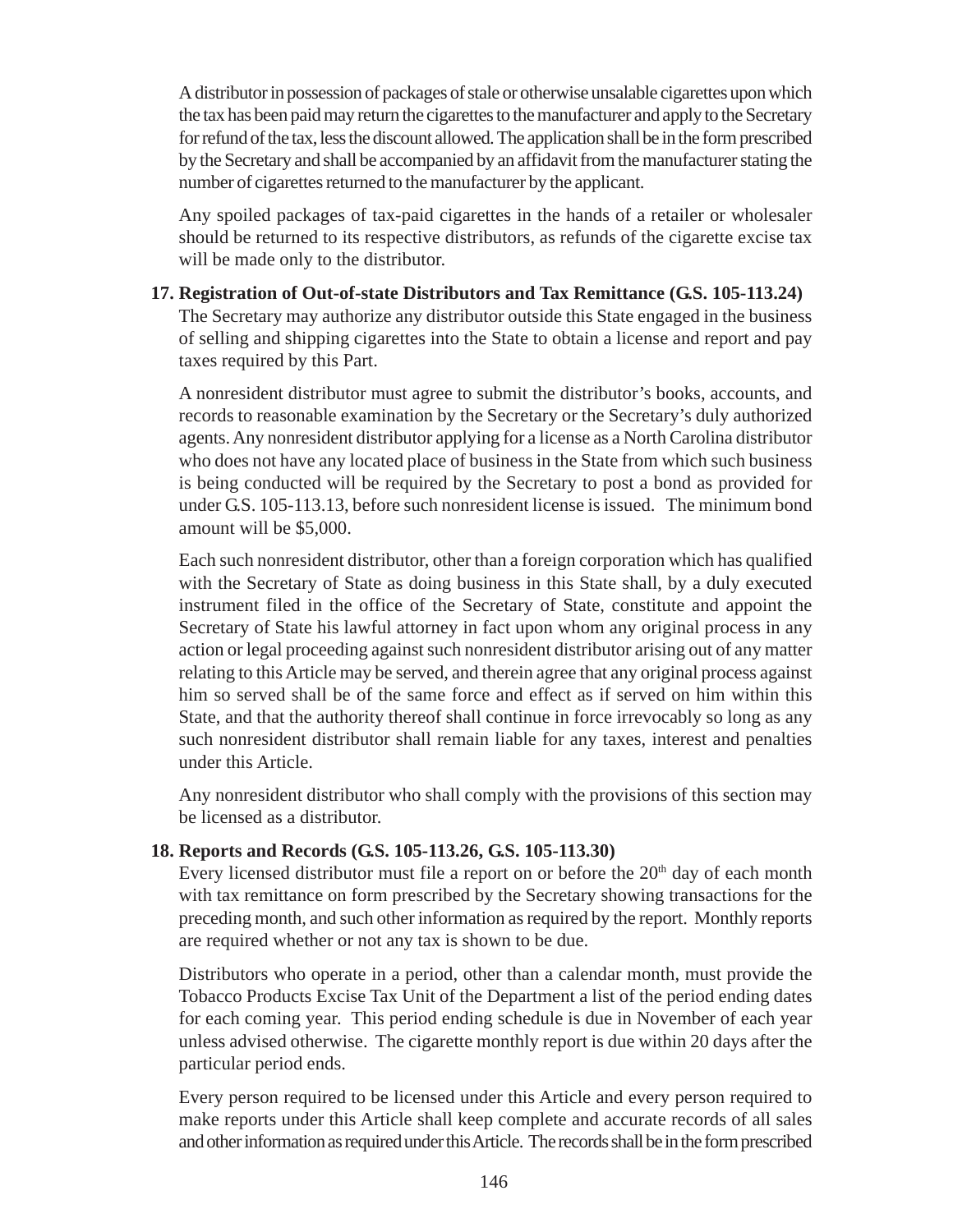A distributor in possession of packages of stale or otherwise unsalable cigarettes upon which the tax has been paid may return the cigarettes to the manufacturer and apply to the Secretary for refund of the tax, less the discount allowed. The application shall be in the form prescribed by the Secretary and shall be accompanied by an affidavit from the manufacturer stating the number of cigarettes returned to the manufacturer by the applicant.

Any spoiled packages of tax-paid cigarettes in the hands of a retailer or wholesaler should be returned to its respective distributors, as refunds of the cigarette excise tax will be made only to the distributor.

#### **17. Registration of Out-of-state Distributors and Tax Remittance (G.S. 105-113.24)**

The Secretary may authorize any distributor outside this State engaged in the business of selling and shipping cigarettes into the State to obtain a license and report and pay taxes required by this Part.

A nonresident distributor must agree to submit the distributor's books, accounts, and records to reasonable examination by the Secretary or the Secretary's duly authorized agents. Any nonresident distributor applying for a license as a North Carolina distributor who does not have any located place of business in the State from which such business is being conducted will be required by the Secretary to post a bond as provided for under G.S. 105-113.13, before such nonresident license is issued. The minimum bond amount will be \$5,000.

Each such nonresident distributor, other than a foreign corporation which has qualified with the Secretary of State as doing business in this State shall, by a duly executed instrument filed in the office of the Secretary of State, constitute and appoint the Secretary of State his lawful attorney in fact upon whom any original process in any action or legal proceeding against such nonresident distributor arising out of any matter relating to this Article may be served, and therein agree that any original process against him so served shall be of the same force and effect as if served on him within this State, and that the authority thereof shall continue in force irrevocably so long as any such nonresident distributor shall remain liable for any taxes, interest and penalties under this Article.

Any nonresident distributor who shall comply with the provisions of this section may be licensed as a distributor.

## **18. Reports and Records (G.S. 105-113.26, G.S. 105-113.30)**

Every licensed distributor must file a report on or before the  $20<sup>th</sup>$  day of each month with tax remittance on form prescribed by the Secretary showing transactions for the preceding month, and such other information as required by the report. Monthly reports are required whether or not any tax is shown to be due.

Distributors who operate in a period, other than a calendar month, must provide the Tobacco Products Excise Tax Unit of the Department a list of the period ending dates for each coming year. This period ending schedule is due in November of each year unless advised otherwise. The cigarette monthly report is due within 20 days after the particular period ends.

Every person required to be licensed under this Article and every person required to make reports under this Article shall keep complete and accurate records of all sales and other information as required under this Article. The records shall be in the form prescribed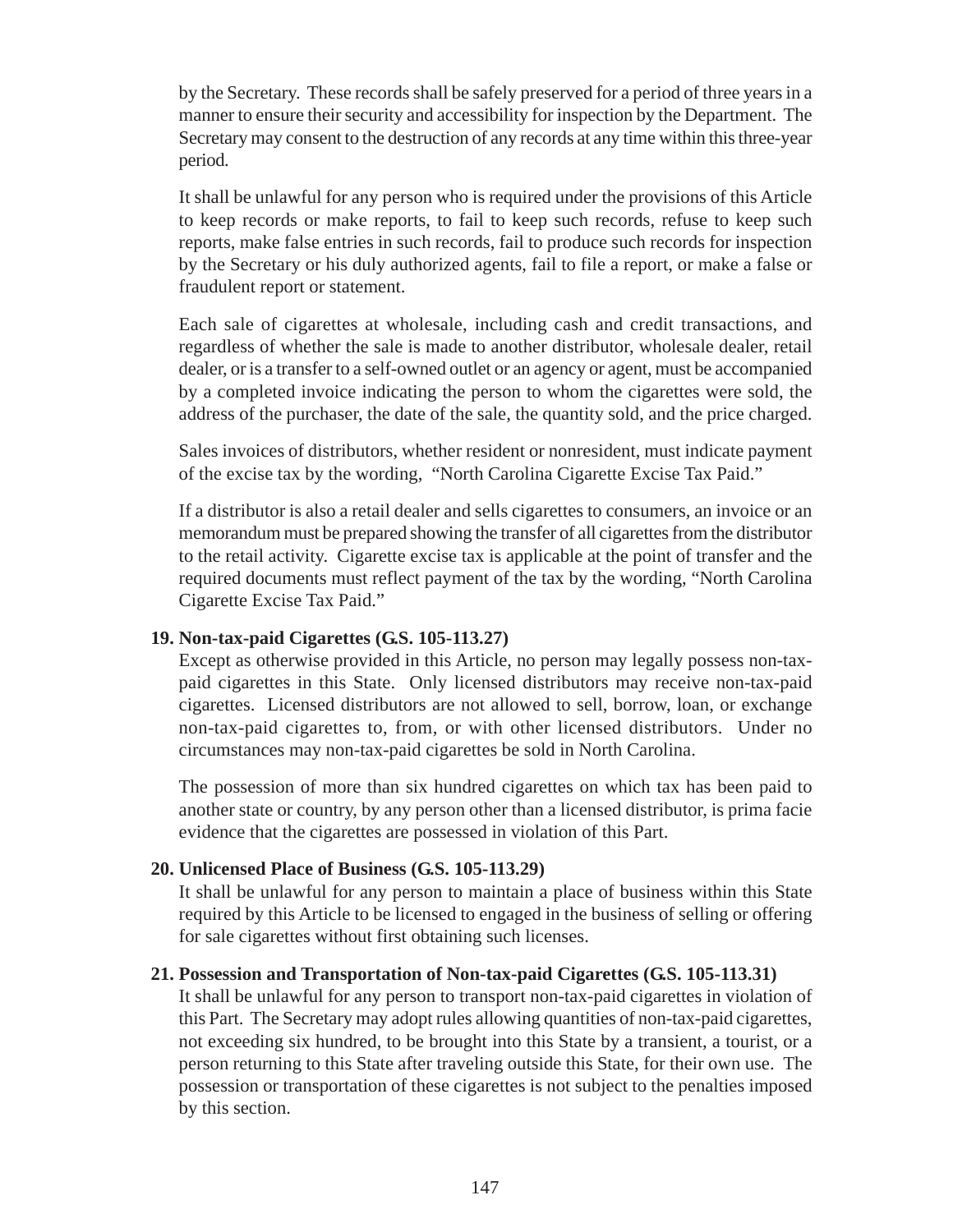by the Secretary. These records shall be safely preserved for a period of three years in a manner to ensure their security and accessibility for inspection by the Department. The Secretary may consent to the destruction of any records at any time within this three-year period.

It shall be unlawful for any person who is required under the provisions of this Article to keep records or make reports, to fail to keep such records, refuse to keep such reports, make false entries in such records, fail to produce such records for inspection by the Secretary or his duly authorized agents, fail to file a report, or make a false or fraudulent report or statement.

Each sale of cigarettes at wholesale, including cash and credit transactions, and regardless of whether the sale is made to another distributor, wholesale dealer, retail dealer, or is a transfer to a self-owned outlet or an agency or agent, must be accompanied by a completed invoice indicating the person to whom the cigarettes were sold, the address of the purchaser, the date of the sale, the quantity sold, and the price charged.

Sales invoices of distributors, whether resident or nonresident, must indicate payment of the excise tax by the wording, "North Carolina Cigarette Excise Tax Paid."

If a distributor is also a retail dealer and sells cigarettes to consumers, an invoice or an memorandum must be prepared showing the transfer of all cigarettes from the distributor to the retail activity. Cigarette excise tax is applicable at the point of transfer and the required documents must reflect payment of the tax by the wording, "North Carolina Cigarette Excise Tax Paid."

#### **19. Non-tax-paid Cigarettes (G.S. 105-113.27)**

Except as otherwise provided in this Article, no person may legally possess non-taxpaid cigarettes in this State. Only licensed distributors may receive non-tax-paid cigarettes. Licensed distributors are not allowed to sell, borrow, loan, or exchange non-tax-paid cigarettes to, from, or with other licensed distributors. Under no circumstances may non-tax-paid cigarettes be sold in North Carolina.

The possession of more than six hundred cigarettes on which tax has been paid to another state or country, by any person other than a licensed distributor, is prima facie evidence that the cigarettes are possessed in violation of this Part.

#### **20. Unlicensed Place of Business (G.S. 105-113.29)**

It shall be unlawful for any person to maintain a place of business within this State required by this Article to be licensed to engaged in the business of selling or offering for sale cigarettes without first obtaining such licenses.

#### **21. Possession and Transportation of Non-tax-paid Cigarettes (G.S. 105-113.31)**

It shall be unlawful for any person to transport non-tax-paid cigarettes in violation of this Part. The Secretary may adopt rules allowing quantities of non-tax-paid cigarettes, not exceeding six hundred, to be brought into this State by a transient, a tourist, or a person returning to this State after traveling outside this State, for their own use. The possession or transportation of these cigarettes is not subject to the penalties imposed by this section.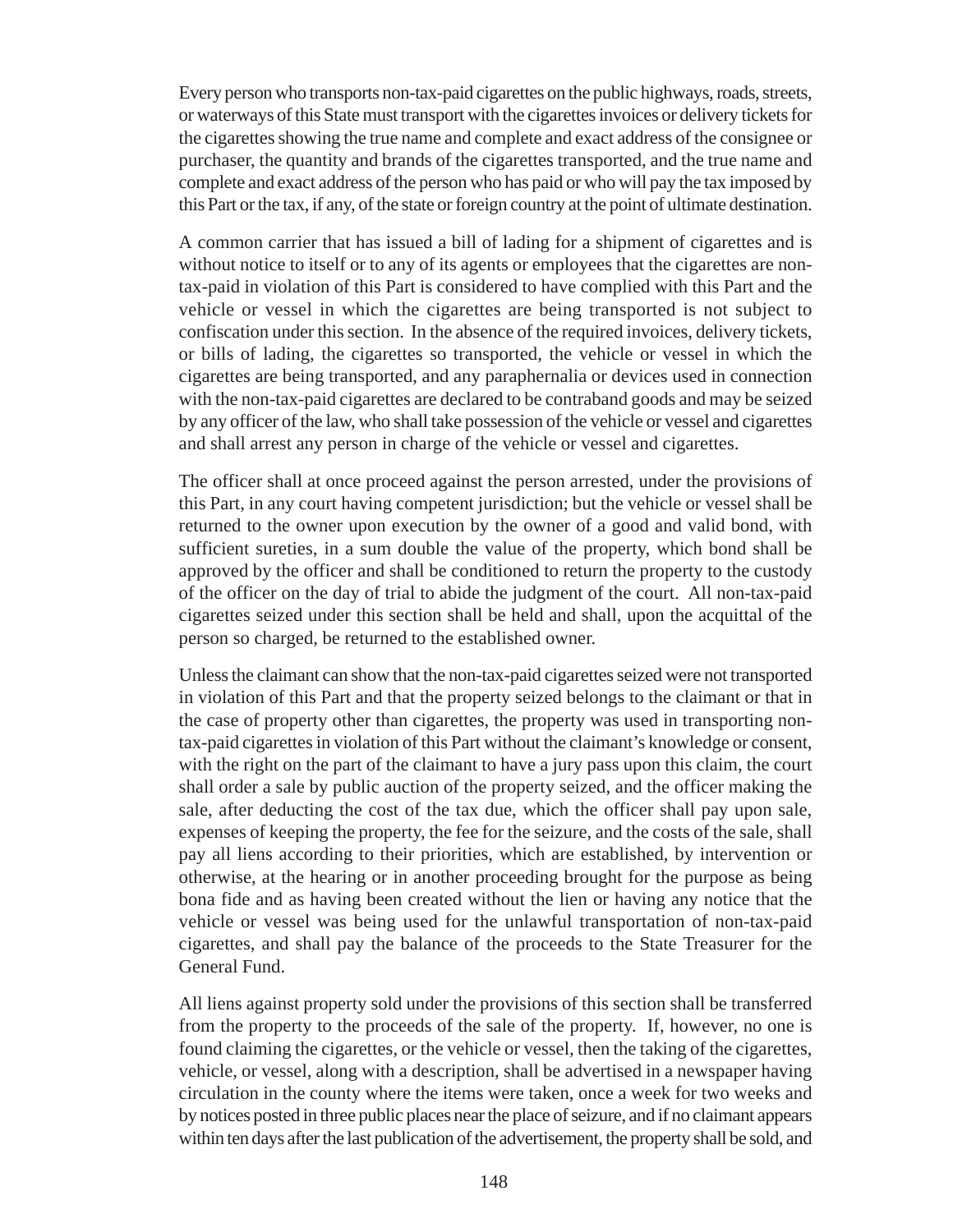Every person who transports non-tax-paid cigarettes on the public highways, roads, streets, or waterways of this State must transport with the cigarettes invoices or delivery tickets for the cigarettes showing the true name and complete and exact address of the consignee or purchaser, the quantity and brands of the cigarettes transported, and the true name and complete and exact address of the person who has paid or who will pay the tax imposed by this Part or the tax, if any, of the state or foreign country at the point of ultimate destination.

A common carrier that has issued a bill of lading for a shipment of cigarettes and is without notice to itself or to any of its agents or employees that the cigarettes are nontax-paid in violation of this Part is considered to have complied with this Part and the vehicle or vessel in which the cigarettes are being transported is not subject to confiscation under this section. In the absence of the required invoices, delivery tickets, or bills of lading, the cigarettes so transported, the vehicle or vessel in which the cigarettes are being transported, and any paraphernalia or devices used in connection with the non-tax-paid cigarettes are declared to be contraband goods and may be seized by any officer of the law, who shall take possession of the vehicle or vessel and cigarettes and shall arrest any person in charge of the vehicle or vessel and cigarettes.

The officer shall at once proceed against the person arrested, under the provisions of this Part, in any court having competent jurisdiction; but the vehicle or vessel shall be returned to the owner upon execution by the owner of a good and valid bond, with sufficient sureties, in a sum double the value of the property, which bond shall be approved by the officer and shall be conditioned to return the property to the custody of the officer on the day of trial to abide the judgment of the court. All non-tax-paid cigarettes seized under this section shall be held and shall, upon the acquittal of the person so charged, be returned to the established owner.

Unless the claimant can show that the non-tax-paid cigarettes seized were not transported in violation of this Part and that the property seized belongs to the claimant or that in the case of property other than cigarettes, the property was used in transporting nontax-paid cigarettes in violation of this Part without the claimant's knowledge or consent, with the right on the part of the claimant to have a jury pass upon this claim, the court shall order a sale by public auction of the property seized, and the officer making the sale, after deducting the cost of the tax due, which the officer shall pay upon sale, expenses of keeping the property, the fee for the seizure, and the costs of the sale, shall pay all liens according to their priorities, which are established, by intervention or otherwise, at the hearing or in another proceeding brought for the purpose as being bona fide and as having been created without the lien or having any notice that the vehicle or vessel was being used for the unlawful transportation of non-tax-paid cigarettes, and shall pay the balance of the proceeds to the State Treasurer for the General Fund.

All liens against property sold under the provisions of this section shall be transferred from the property to the proceeds of the sale of the property. If, however, no one is found claiming the cigarettes, or the vehicle or vessel, then the taking of the cigarettes, vehicle, or vessel, along with a description, shall be advertised in a newspaper having circulation in the county where the items were taken, once a week for two weeks and by notices posted in three public places near the place of seizure, and if no claimant appears within ten days after the last publication of the advertisement, the property shall be sold, and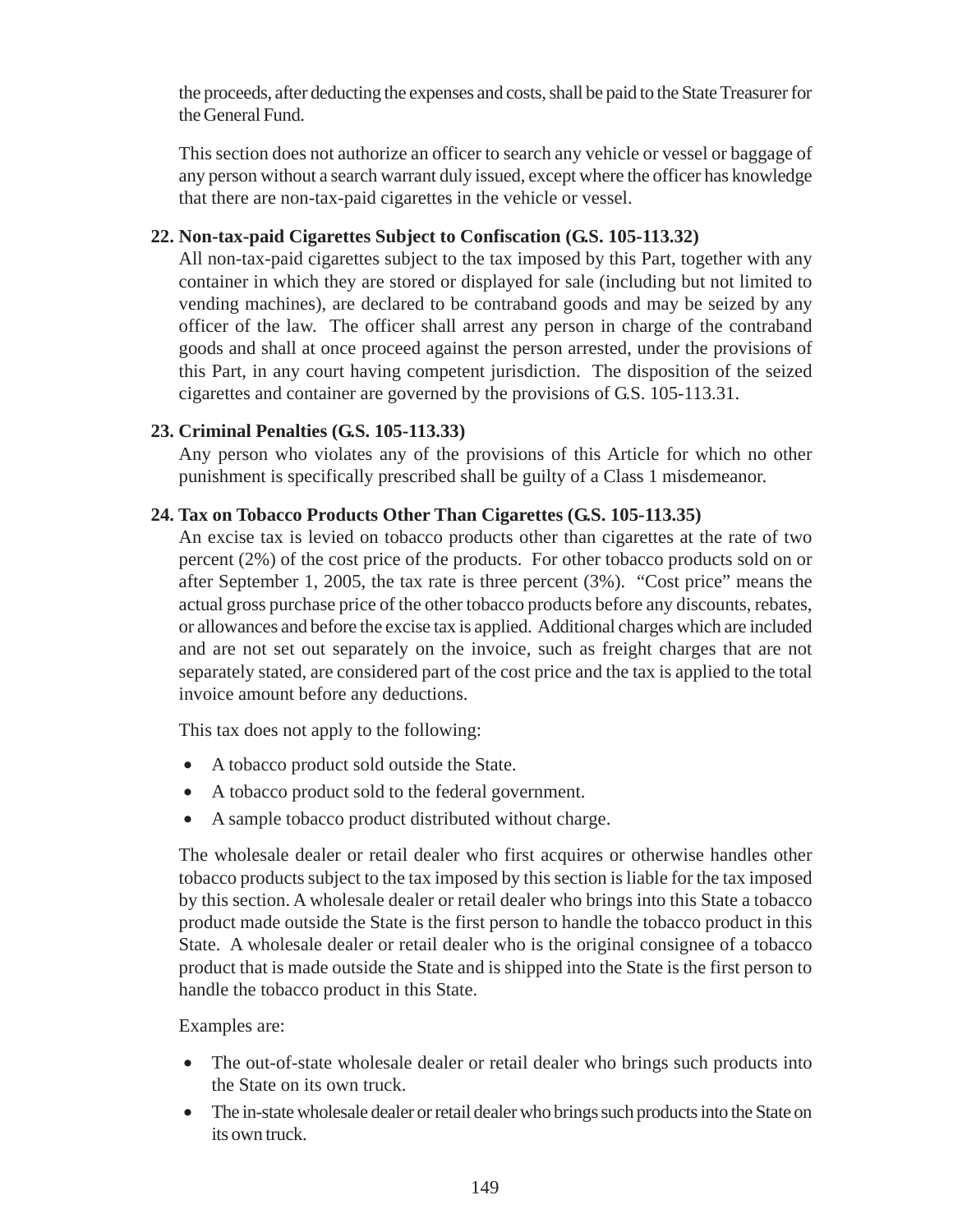the proceeds, after deducting the expenses and costs, shall be paid to the State Treasurer for the General Fund.

This section does not authorize an officer to search any vehicle or vessel or baggage of any person without a search warrant duly issued, except where the officer has knowledge that there are non-tax-paid cigarettes in the vehicle or vessel.

## **22. Non-tax-paid Cigarettes Subject to Confiscation (G.S. 105-113.32)**

All non-tax-paid cigarettes subject to the tax imposed by this Part, together with any container in which they are stored or displayed for sale (including but not limited to vending machines), are declared to be contraband goods and may be seized by any officer of the law. The officer shall arrest any person in charge of the contraband goods and shall at once proceed against the person arrested, under the provisions of this Part, in any court having competent jurisdiction. The disposition of the seized cigarettes and container are governed by the provisions of G.S. 105-113.31.

# **23. Criminal Penalties (G.S. 105-113.33)**

Any person who violates any of the provisions of this Article for which no other punishment is specifically prescribed shall be guilty of a Class 1 misdemeanor.

# **24. Tax on Tobacco Products Other Than Cigarettes (G.S. 105-113.35)**

An excise tax is levied on tobacco products other than cigarettes at the rate of two percent (2%) of the cost price of the products. For other tobacco products sold on or after September 1, 2005, the tax rate is three percent (3%). "Cost price" means the actual gross purchase price of the other tobacco products before any discounts, rebates, or allowances and before the excise tax is applied. Additional charges which are included and are not set out separately on the invoice, such as freight charges that are not separately stated, are considered part of the cost price and the tax is applied to the total invoice amount before any deductions.

This tax does not apply to the following:

- A tobacco product sold outside the State.
- A tobacco product sold to the federal government.
- A sample tobacco product distributed without charge.

The wholesale dealer or retail dealer who first acquires or otherwise handles other tobacco products subject to the tax imposed by this section is liable for the tax imposed by this section. A wholesale dealer or retail dealer who brings into this State a tobacco product made outside the State is the first person to handle the tobacco product in this State. A wholesale dealer or retail dealer who is the original consignee of a tobacco product that is made outside the State and is shipped into the State is the first person to handle the tobacco product in this State.

Examples are:

- The out-of-state wholesale dealer or retail dealer who brings such products into the State on its own truck.
- The in-state wholesale dealer or retail dealer who brings such products into the State on its own truck.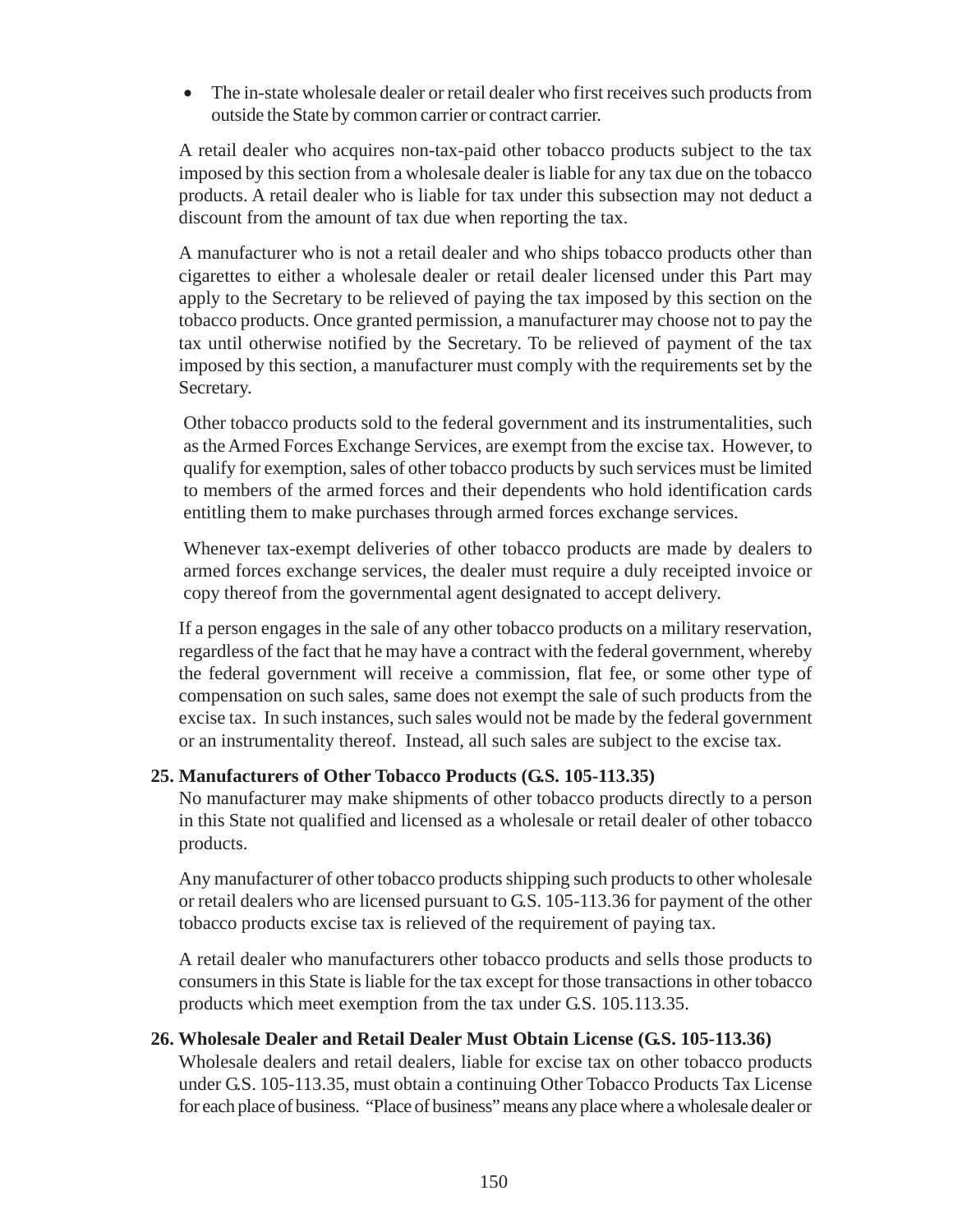• The in-state wholesale dealer or retail dealer who first receives such products from outside the State by common carrier or contract carrier.

A retail dealer who acquires non-tax-paid other tobacco products subject to the tax imposed by this section from a wholesale dealer is liable for any tax due on the tobacco products. A retail dealer who is liable for tax under this subsection may not deduct a discount from the amount of tax due when reporting the tax.

A manufacturer who is not a retail dealer and who ships tobacco products other than cigarettes to either a wholesale dealer or retail dealer licensed under this Part may apply to the Secretary to be relieved of paying the tax imposed by this section on the tobacco products. Once granted permission, a manufacturer may choose not to pay the tax until otherwise notified by the Secretary. To be relieved of payment of the tax imposed by this section, a manufacturer must comply with the requirements set by the Secretary.

Other tobacco products sold to the federal government and its instrumentalities, such as the Armed Forces Exchange Services, are exempt from the excise tax. However, to qualify for exemption, sales of other tobacco products by such services must be limited to members of the armed forces and their dependents who hold identification cards entitling them to make purchases through armed forces exchange services.

Whenever tax-exempt deliveries of other tobacco products are made by dealers to armed forces exchange services, the dealer must require a duly receipted invoice or copy thereof from the governmental agent designated to accept delivery.

If a person engages in the sale of any other tobacco products on a military reservation, regardless of the fact that he may have a contract with the federal government, whereby the federal government will receive a commission, flat fee, or some other type of compensation on such sales, same does not exempt the sale of such products from the excise tax. In such instances, such sales would not be made by the federal government or an instrumentality thereof. Instead, all such sales are subject to the excise tax.

## **25. Manufacturers of Other Tobacco Products (G.S. 105-113.35)**

No manufacturer may make shipments of other tobacco products directly to a person in this State not qualified and licensed as a wholesale or retail dealer of other tobacco products.

Any manufacturer of other tobacco products shipping such products to other wholesale or retail dealers who are licensed pursuant to G.S. 105-113.36 for payment of the other tobacco products excise tax is relieved of the requirement of paying tax.

A retail dealer who manufacturers other tobacco products and sells those products to consumers in this State is liable for the tax except for those transactions in other tobacco products which meet exemption from the tax under G.S. 105.113.35.

#### **26. Wholesale Dealer and Retail Dealer Must Obtain License (G.S. 105-113.36)**

Wholesale dealers and retail dealers, liable for excise tax on other tobacco products under G.S. 105-113.35, must obtain a continuing Other Tobacco Products Tax License for each place of business. "Place of business" means any place where a wholesale dealer or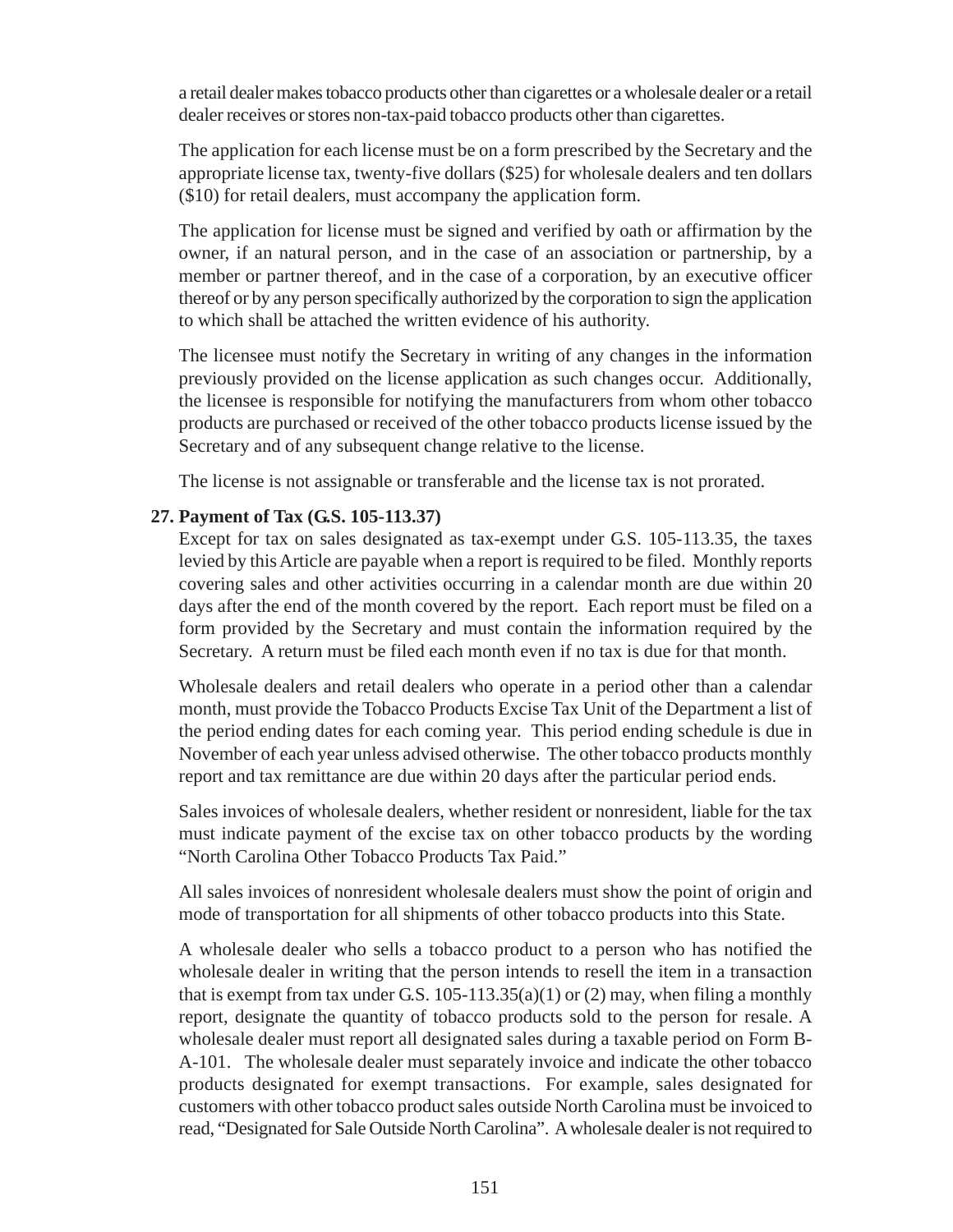a retail dealer makes tobacco products other than cigarettes or a wholesale dealer or a retail dealer receives or stores non-tax-paid tobacco products other than cigarettes.

The application for each license must be on a form prescribed by the Secretary and the appropriate license tax, twenty-five dollars (\$25) for wholesale dealers and ten dollars (\$10) for retail dealers, must accompany the application form.

The application for license must be signed and verified by oath or affirmation by the owner, if an natural person, and in the case of an association or partnership, by a member or partner thereof, and in the case of a corporation, by an executive officer thereof or by any person specifically authorized by the corporation to sign the application to which shall be attached the written evidence of his authority.

The licensee must notify the Secretary in writing of any changes in the information previously provided on the license application as such changes occur. Additionally, the licensee is responsible for notifying the manufacturers from whom other tobacco products are purchased or received of the other tobacco products license issued by the Secretary and of any subsequent change relative to the license.

The license is not assignable or transferable and the license tax is not prorated.

#### **27. Payment of Tax (G.S. 105-113.37)**

Except for tax on sales designated as tax-exempt under G.S. 105-113.35, the taxes levied by this Article are payable when a report is required to be filed. Monthly reports covering sales and other activities occurring in a calendar month are due within 20 days after the end of the month covered by the report. Each report must be filed on a form provided by the Secretary and must contain the information required by the Secretary. A return must be filed each month even if no tax is due for that month.

Wholesale dealers and retail dealers who operate in a period other than a calendar month, must provide the Tobacco Products Excise Tax Unit of the Department a list of the period ending dates for each coming year. This period ending schedule is due in November of each year unless advised otherwise. The other tobacco products monthly report and tax remittance are due within 20 days after the particular period ends.

Sales invoices of wholesale dealers, whether resident or nonresident, liable for the tax must indicate payment of the excise tax on other tobacco products by the wording "North Carolina Other Tobacco Products Tax Paid."

All sales invoices of nonresident wholesale dealers must show the point of origin and mode of transportation for all shipments of other tobacco products into this State.

A wholesale dealer who sells a tobacco product to a person who has notified the wholesale dealer in writing that the person intends to resell the item in a transaction that is exempt from tax under G.S.  $105-113.35(a)(1)$  or  $(2)$  may, when filing a monthly report, designate the quantity of tobacco products sold to the person for resale. A wholesale dealer must report all designated sales during a taxable period on Form B-A-101. The wholesale dealer must separately invoice and indicate the other tobacco products designated for exempt transactions. For example, sales designated for customers with other tobacco product sales outside North Carolina must be invoiced to read, "Designated for Sale Outside North Carolina". A wholesale dealer is not required to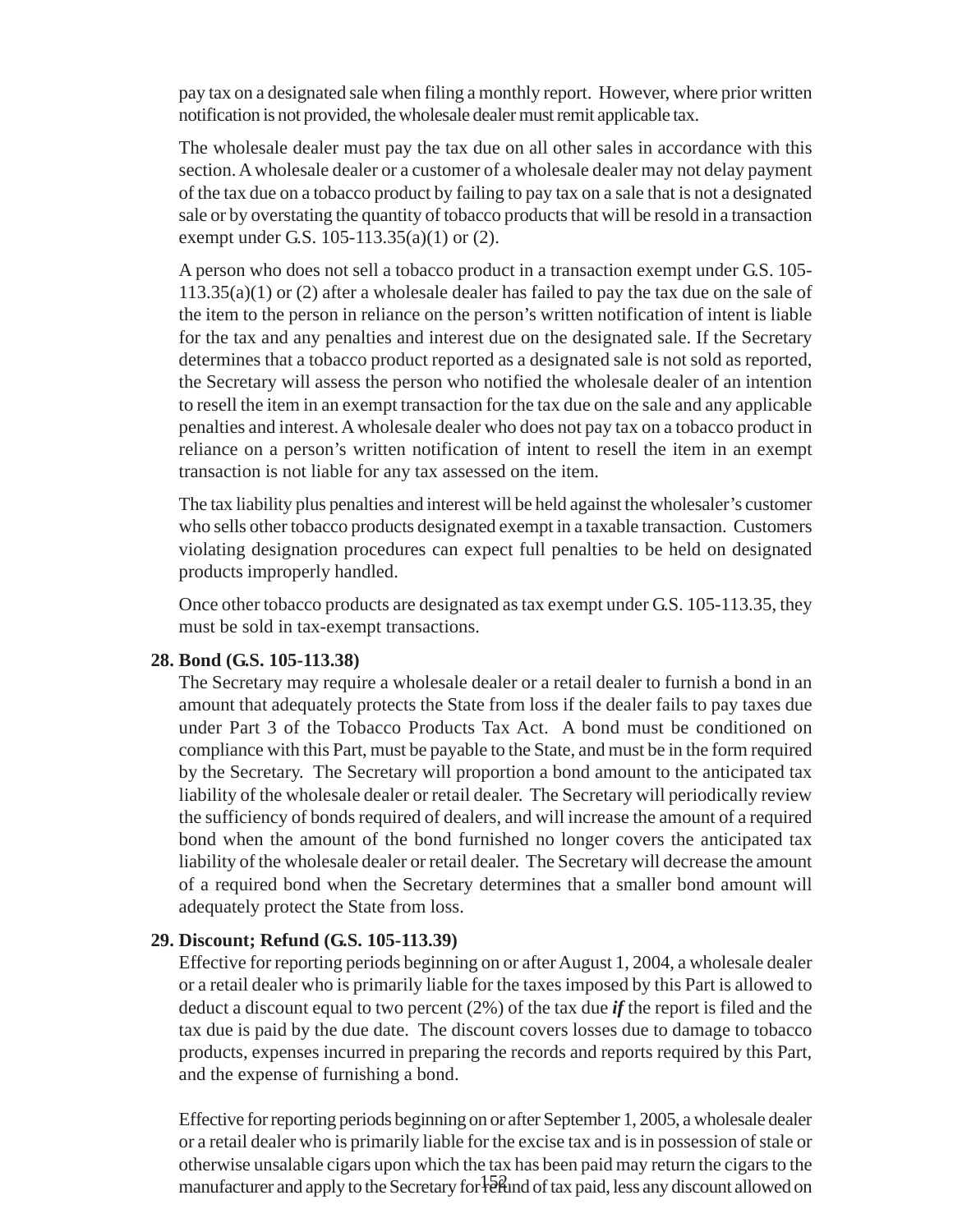pay tax on a designated sale when filing a monthly report. However, where prior written notification is not provided, the wholesale dealer must remit applicable tax.

The wholesale dealer must pay the tax due on all other sales in accordance with this section. A wholesale dealer or a customer of a wholesale dealer may not delay payment of the tax due on a tobacco product by failing to pay tax on a sale that is not a designated sale or by overstating the quantity of tobacco products that will be resold in a transaction exempt under G.S. 105-113.35(a)(1) or (2).

A person who does not sell a tobacco product in a transaction exempt under G.S. 105-  $113.35(a)(1)$  or (2) after a wholesale dealer has failed to pay the tax due on the sale of the item to the person in reliance on the person's written notification of intent is liable for the tax and any penalties and interest due on the designated sale. If the Secretary determines that a tobacco product reported as a designated sale is not sold as reported, the Secretary will assess the person who notified the wholesale dealer of an intention to resell the item in an exempt transaction for the tax due on the sale and any applicable penalties and interest. A wholesale dealer who does not pay tax on a tobacco product in reliance on a person's written notification of intent to resell the item in an exempt transaction is not liable for any tax assessed on the item.

The tax liability plus penalties and interest will be held against the wholesaler's customer who sells other tobacco products designated exempt in a taxable transaction. Customers violating designation procedures can expect full penalties to be held on designated products improperly handled.

Once other tobacco products are designated as tax exempt under G.S. 105-113.35, they must be sold in tax-exempt transactions.

#### **28. Bond (G.S. 105-113.38)**

The Secretary may require a wholesale dealer or a retail dealer to furnish a bond in an amount that adequately protects the State from loss if the dealer fails to pay taxes due under Part 3 of the Tobacco Products Tax Act. A bond must be conditioned on compliance with this Part, must be payable to the State, and must be in the form required by the Secretary. The Secretary will proportion a bond amount to the anticipated tax liability of the wholesale dealer or retail dealer. The Secretary will periodically review the sufficiency of bonds required of dealers, and will increase the amount of a required bond when the amount of the bond furnished no longer covers the anticipated tax liability of the wholesale dealer or retail dealer. The Secretary will decrease the amount of a required bond when the Secretary determines that a smaller bond amount will adequately protect the State from loss.

#### **29. Discount; Refund (G.S. 105-113.39)**

Effective for reporting periods beginning on or after August 1, 2004, a wholesale dealer or a retail dealer who is primarily liable for the taxes imposed by this Part is allowed to deduct a discount equal to two percent (2%) of the tax due *if* the report is filed and the tax due is paid by the due date. The discount covers losses due to damage to tobacco products, expenses incurred in preparing the records and reports required by this Part, and the expense of furnishing a bond.

manufacturer and apply to the Secretary for refund of tax paid, less any discount allowed on Effective for reporting periods beginning on or after September 1, 2005, a wholesale dealer or a retail dealer who is primarily liable for the excise tax and is in possession of stale or otherwise unsalable cigars upon which the tax has been paid may return the cigars to the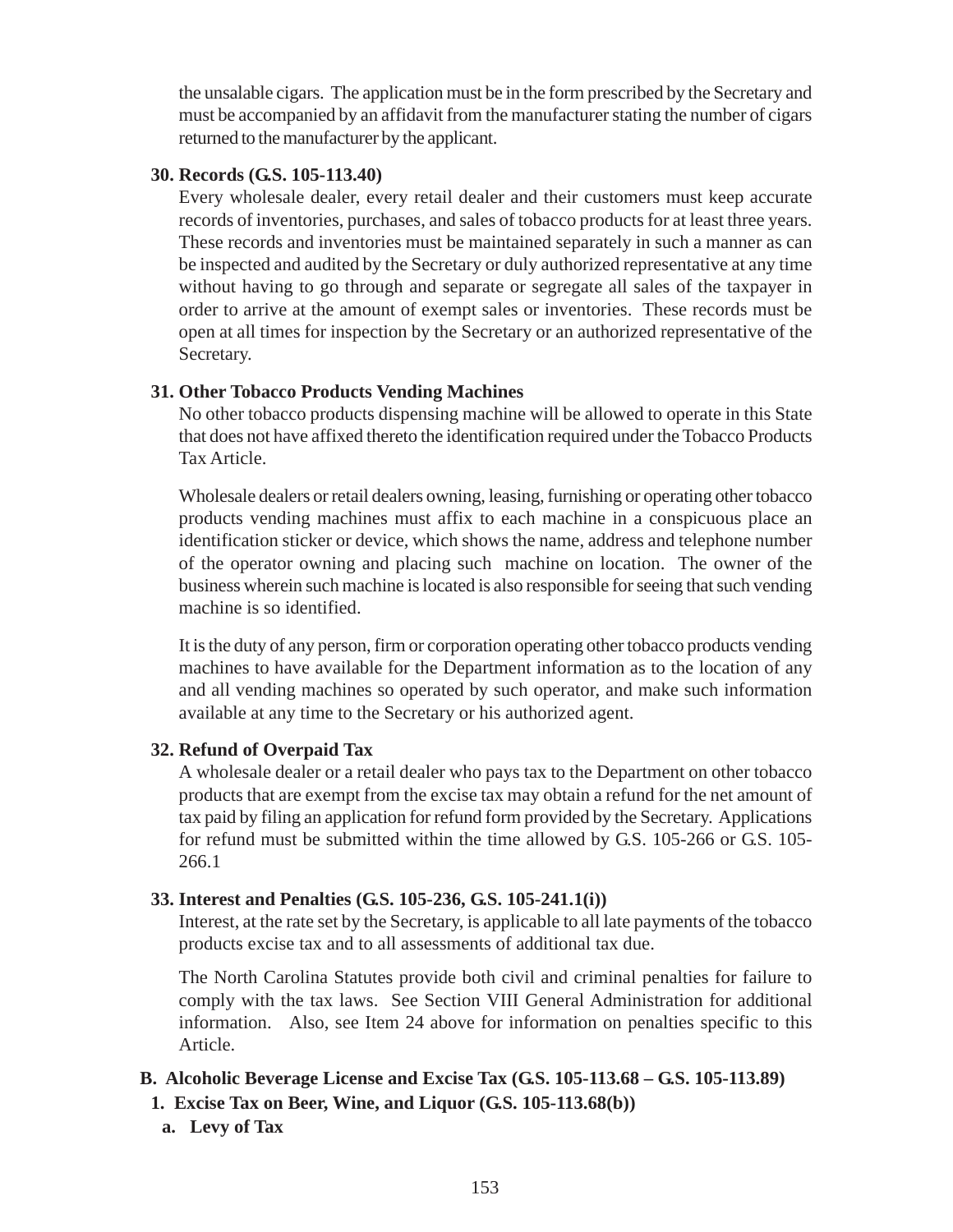the unsalable cigars. The application must be in the form prescribed by the Secretary and must be accompanied by an affidavit from the manufacturer stating the number of cigars returned to the manufacturer by the applicant.

#### **30. Records (G.S. 105-113.40)**

Every wholesale dealer, every retail dealer and their customers must keep accurate records of inventories, purchases, and sales of tobacco products for at least three years. These records and inventories must be maintained separately in such a manner as can be inspected and audited by the Secretary or duly authorized representative at any time without having to go through and separate or segregate all sales of the taxpayer in order to arrive at the amount of exempt sales or inventories. These records must be open at all times for inspection by the Secretary or an authorized representative of the Secretary.

## **31. Other Tobacco Products Vending Machines**

No other tobacco products dispensing machine will be allowed to operate in this State that does not have affixed thereto the identification required under the Tobacco Products Tax Article.

Wholesale dealers or retail dealers owning, leasing, furnishing or operating other tobacco products vending machines must affix to each machine in a conspicuous place an identification sticker or device, which shows the name, address and telephone number of the operator owning and placing such machine on location. The owner of the business wherein such machine is located is also responsible for seeing that such vending machine is so identified.

It is the duty of any person, firm or corporation operating other tobacco products vending machines to have available for the Department information as to the location of any and all vending machines so operated by such operator, and make such information available at any time to the Secretary or his authorized agent.

## **32. Refund of Overpaid Tax**

A wholesale dealer or a retail dealer who pays tax to the Department on other tobacco products that are exempt from the excise tax may obtain a refund for the net amount of tax paid by filing an application for refund form provided by the Secretary. Applications for refund must be submitted within the time allowed by G.S. 105-266 or G.S. 105- 266.1

## **33. Interest and Penalties (G.S. 105-236, G.S. 105-241.1(i))**

Interest, at the rate set by the Secretary, is applicable to all late payments of the tobacco products excise tax and to all assessments of additional tax due.

The North Carolina Statutes provide both civil and criminal penalties for failure to comply with the tax laws. See Section VIII General Administration for additional information. Also, see Item 24 above for information on penalties specific to this Article.

# **B. Alcoholic Beverage License and Excise Tax (G.S. 105-113.68 – G.S. 105-113.89)**

- **1. Excise Tax on Beer, Wine, and Liquor (G.S. 105-113.68(b))**
	- **a. Levy of Tax**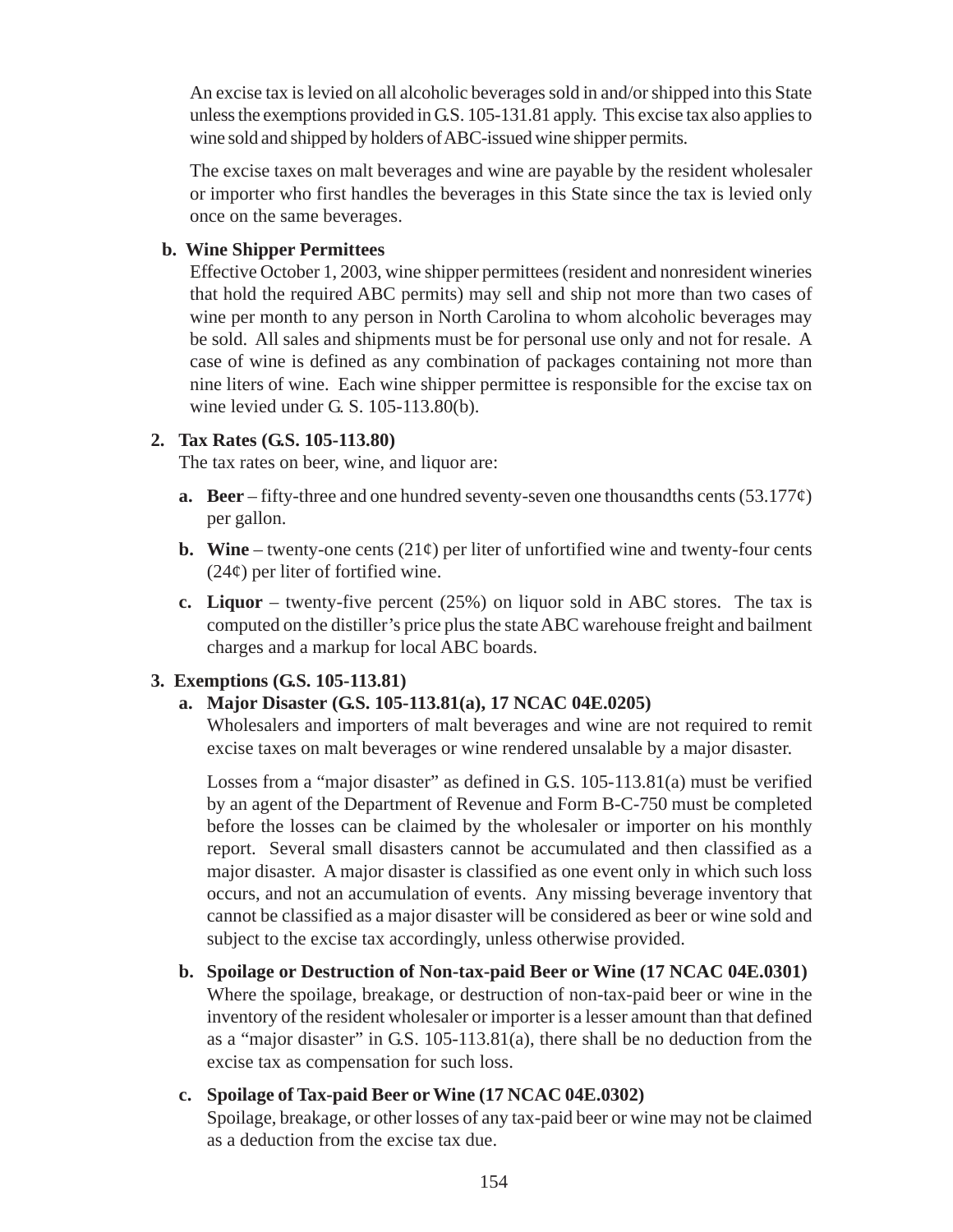An excise tax is levied on all alcoholic beverages sold in and/or shipped into this State unless the exemptions provided in G.S. 105-131.81 apply. This excise tax also applies to wine sold and shipped by holders of ABC-issued wine shipper permits.

The excise taxes on malt beverages and wine are payable by the resident wholesaler or importer who first handles the beverages in this State since the tax is levied only once on the same beverages.

#### **b. Wine Shipper Permittees**

Effective October 1, 2003, wine shipper permittees (resident and nonresident wineries that hold the required ABC permits) may sell and ship not more than two cases of wine per month to any person in North Carolina to whom alcoholic beverages may be sold. All sales and shipments must be for personal use only and not for resale. A case of wine is defined as any combination of packages containing not more than nine liters of wine. Each wine shipper permittee is responsible for the excise tax on wine levied under G. S. 105-113.80(b).

## **2. Tax Rates (G.S. 105-113.80)**

The tax rates on beer, wine, and liquor are:

- **a.** Beer fifty-three and one hundred seventy-seven one thousandths cents (53.177 $\varphi$ ) per gallon.
- **b.** Wine twenty-one cents  $(21¢)$  per liter of unfortified wine and twenty-four cents  $(24¢)$  per liter of fortified wine.
- **c. Liquor** twenty-five percent (25%) on liquor sold in ABC stores. The tax is computed on the distiller's price plus the state ABC warehouse freight and bailment charges and a markup for local ABC boards.

## **3. Exemptions (G.S. 105-113.81)**

## **a. Major Disaster (G.S. 105-113.81(a), 17 NCAC 04E.0205)**

Wholesalers and importers of malt beverages and wine are not required to remit excise taxes on malt beverages or wine rendered unsalable by a major disaster.

Losses from a "major disaster" as defined in G.S. 105-113.81(a) must be verified by an agent of the Department of Revenue and Form B-C-750 must be completed before the losses can be claimed by the wholesaler or importer on his monthly report. Several small disasters cannot be accumulated and then classified as a major disaster. A major disaster is classified as one event only in which such loss occurs, and not an accumulation of events. Any missing beverage inventory that cannot be classified as a major disaster will be considered as beer or wine sold and subject to the excise tax accordingly, unless otherwise provided.

# **b. Spoilage or Destruction of Non-tax-paid Beer or Wine (17 NCAC 04E.0301)** Where the spoilage, breakage, or destruction of non-tax-paid beer or wine in the inventory of the resident wholesaler or importer is a lesser amount than that defined as a "major disaster" in G.S. 105-113.81(a), there shall be no deduction from the excise tax as compensation for such loss.

## **c. Spoilage of Tax-paid Beer or Wine (17 NCAC 04E.0302)**

Spoilage, breakage, or other losses of any tax-paid beer or wine may not be claimed as a deduction from the excise tax due.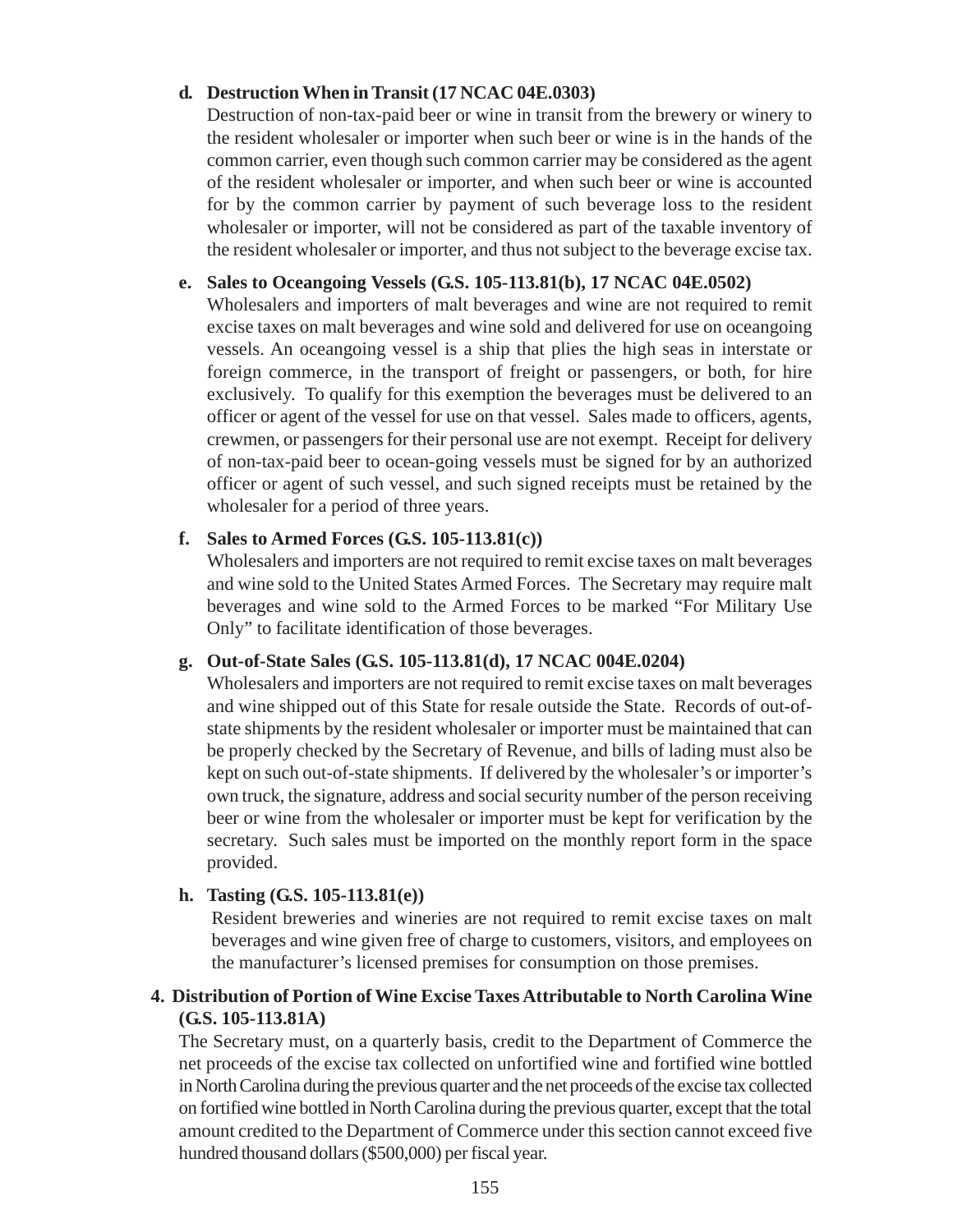#### **d. Destruction When in Transit (17 NCAC 04E.0303)**

Destruction of non-tax-paid beer or wine in transit from the brewery or winery to the resident wholesaler or importer when such beer or wine is in the hands of the common carrier, even though such common carrier may be considered as the agent of the resident wholesaler or importer, and when such beer or wine is accounted for by the common carrier by payment of such beverage loss to the resident wholesaler or importer, will not be considered as part of the taxable inventory of the resident wholesaler or importer, and thus not subject to the beverage excise tax.

#### **e. Sales to Oceangoing Vessels (G.S. 105-113.81(b), 17 NCAC 04E.0502)**

Wholesalers and importers of malt beverages and wine are not required to remit excise taxes on malt beverages and wine sold and delivered for use on oceangoing vessels. An oceangoing vessel is a ship that plies the high seas in interstate or foreign commerce, in the transport of freight or passengers, or both, for hire exclusively. To qualify for this exemption the beverages must be delivered to an officer or agent of the vessel for use on that vessel. Sales made to officers, agents, crewmen, or passengers for their personal use are not exempt. Receipt for delivery of non-tax-paid beer to ocean-going vessels must be signed for by an authorized officer or agent of such vessel, and such signed receipts must be retained by the wholesaler for a period of three years.

#### **f. Sales to Armed Forces (G.S. 105-113.81(c))**

Wholesalers and importers are not required to remit excise taxes on malt beverages and wine sold to the United States Armed Forces. The Secretary may require malt beverages and wine sold to the Armed Forces to be marked "For Military Use Only" to facilitate identification of those beverages.

#### **g. Out-of-State Sales (G.S. 105-113.81(d), 17 NCAC 004E.0204)**

Wholesalers and importers are not required to remit excise taxes on malt beverages and wine shipped out of this State for resale outside the State. Records of out-ofstate shipments by the resident wholesaler or importer must be maintained that can be properly checked by the Secretary of Revenue, and bills of lading must also be kept on such out-of-state shipments. If delivered by the wholesaler's or importer's own truck, the signature, address and social security number of the person receiving beer or wine from the wholesaler or importer must be kept for verification by the secretary. Such sales must be imported on the monthly report form in the space provided.

## **h. Tasting (G.S. 105-113.81(e))**

Resident breweries and wineries are not required to remit excise taxes on malt beverages and wine given free of charge to customers, visitors, and employees on the manufacturer's licensed premises for consumption on those premises.

## **4. Distribution of Portion of Wine Excise Taxes Attributable to North Carolina Wine (G.S. 105-113.81A)**

The Secretary must, on a quarterly basis, credit to the Department of Commerce the net proceeds of the excise tax collected on unfortified wine and fortified wine bottled in North Carolina during the previous quarter and the net proceeds of the excise tax collected on fortified wine bottled in North Carolina during the previous quarter, except that the total amount credited to the Department of Commerce under this section cannot exceed five hundred thousand dollars (\$500,000) per fiscal year.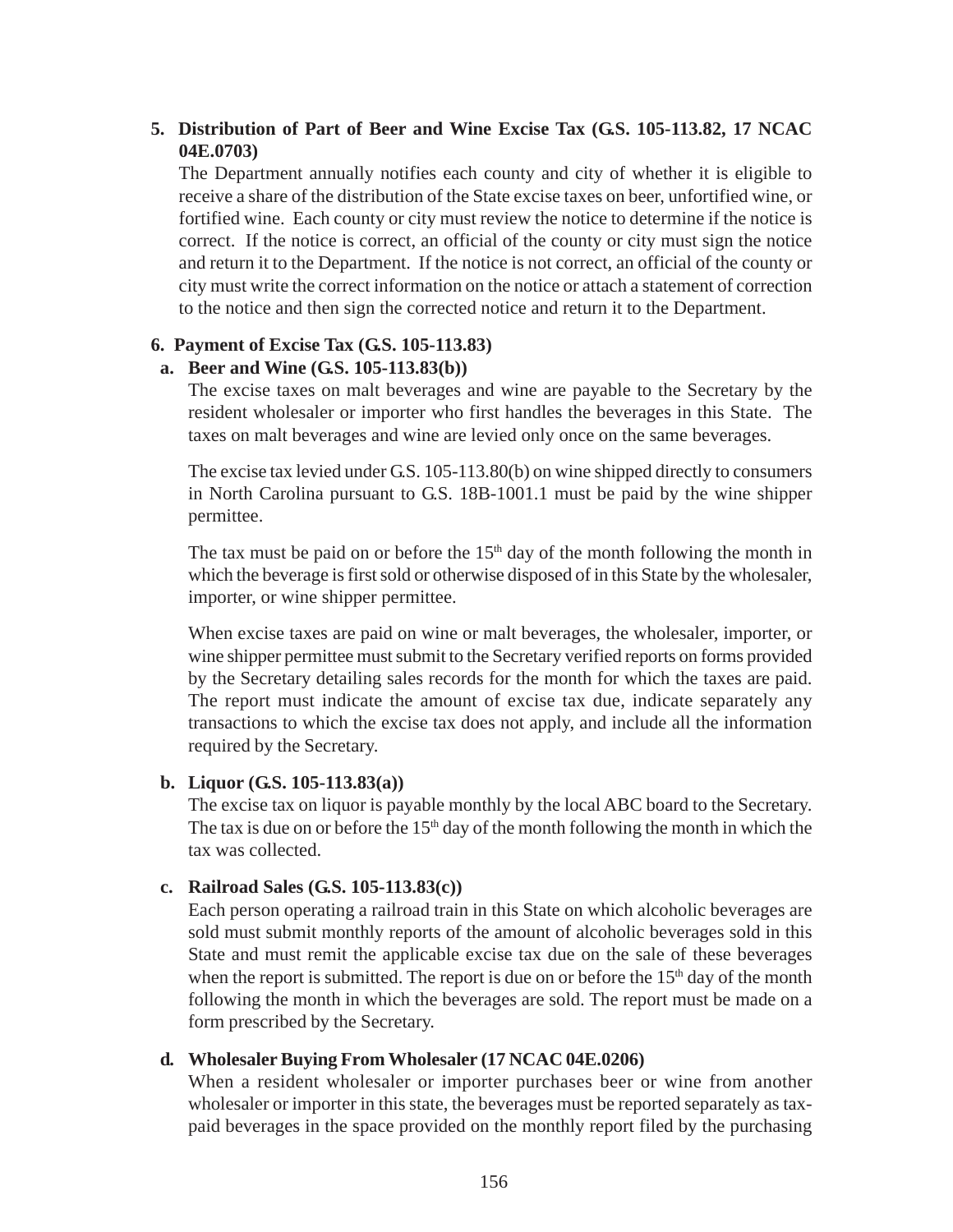# **5. Distribution of Part of Beer and Wine Excise Tax (G.S. 105-113.82, 17 NCAC 04E.0703)**

The Department annually notifies each county and city of whether it is eligible to receive a share of the distribution of the State excise taxes on beer, unfortified wine, or fortified wine. Each county or city must review the notice to determine if the notice is correct. If the notice is correct, an official of the county or city must sign the notice and return it to the Department. If the notice is not correct, an official of the county or city must write the correct information on the notice or attach a statement of correction to the notice and then sign the corrected notice and return it to the Department.

#### **6. Payment of Excise Tax (G.S. 105-113.83)**

#### **a. Beer and Wine (G.S. 105-113.83(b))**

The excise taxes on malt beverages and wine are payable to the Secretary by the resident wholesaler or importer who first handles the beverages in this State. The taxes on malt beverages and wine are levied only once on the same beverages.

The excise tax levied under G.S. 105-113.80(b) on wine shipped directly to consumers in North Carolina pursuant to G.S. 18B-1001.1 must be paid by the wine shipper permittee.

The tax must be paid on or before the  $15<sup>th</sup>$  day of the month following the month in which the beverage is first sold or otherwise disposed of in this State by the wholesaler, importer, or wine shipper permittee.

When excise taxes are paid on wine or malt beverages, the wholesaler, importer, or wine shipper permittee must submit to the Secretary verified reports on forms provided by the Secretary detailing sales records for the month for which the taxes are paid. The report must indicate the amount of excise tax due, indicate separately any transactions to which the excise tax does not apply, and include all the information required by the Secretary.

#### **b. Liquor (G.S. 105-113.83(a))**

The excise tax on liquor is payable monthly by the local ABC board to the Secretary. The tax is due on or before the  $15<sup>th</sup>$  day of the month following the month in which the tax was collected.

#### **c. Railroad Sales (G.S. 105-113.83(c))**

Each person operating a railroad train in this State on which alcoholic beverages are sold must submit monthly reports of the amount of alcoholic beverages sold in this State and must remit the applicable excise tax due on the sale of these beverages when the report is submitted. The report is due on or before the  $15<sup>th</sup>$  day of the month following the month in which the beverages are sold. The report must be made on a form prescribed by the Secretary.

#### **d. Wholesaler Buying From Wholesaler (17 NCAC 04E.0206)**

When a resident wholesaler or importer purchases beer or wine from another wholesaler or importer in this state, the beverages must be reported separately as taxpaid beverages in the space provided on the monthly report filed by the purchasing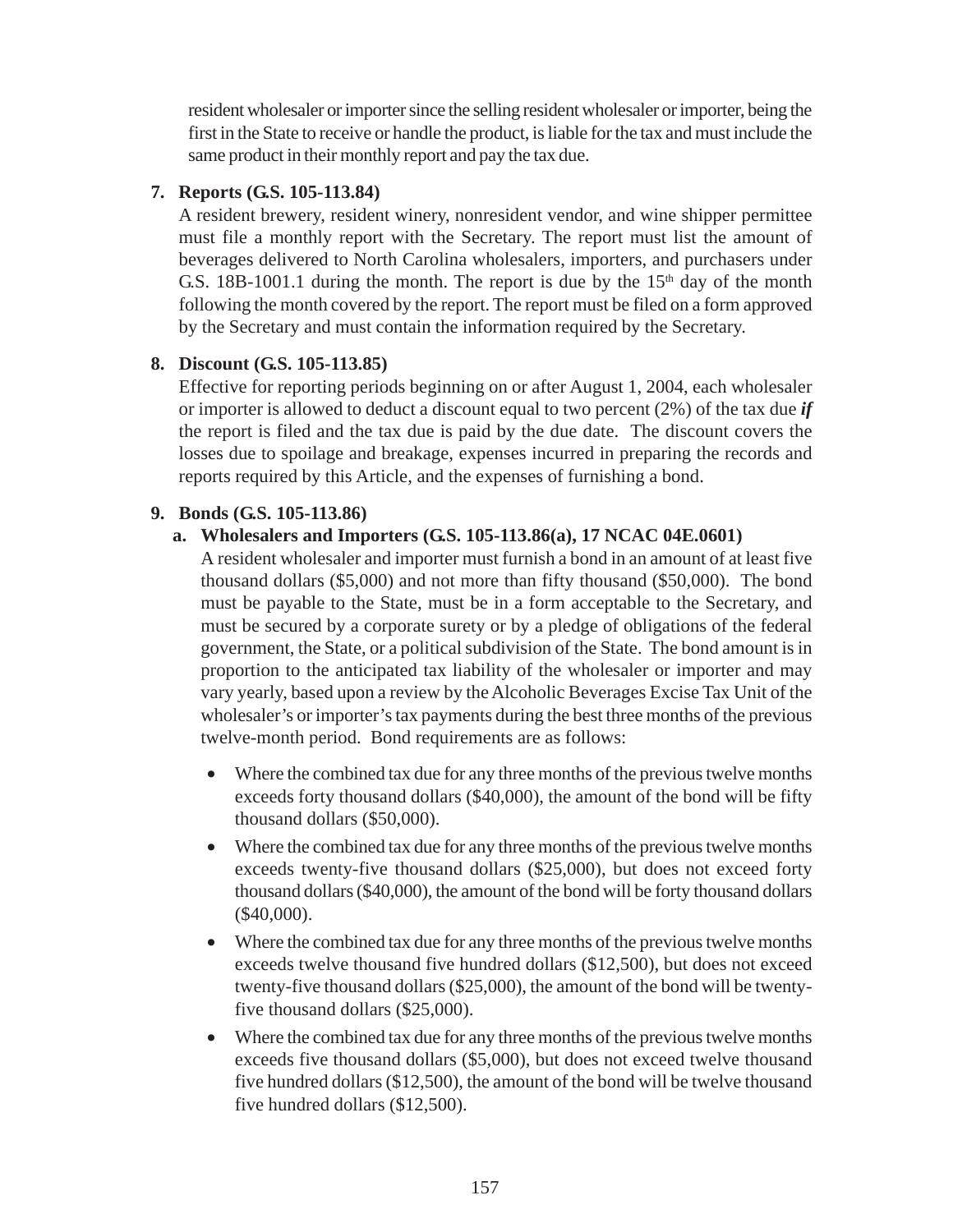resident wholesaler or importer since the selling resident wholesaler or importer, being the first in the State to receive or handle the product, is liable for the tax and must include the same product in their monthly report and pay the tax due.

#### **7. Reports (G.S. 105-113.84)**

A resident brewery, resident winery, nonresident vendor, and wine shipper permittee must file a monthly report with the Secretary. The report must list the amount of beverages delivered to North Carolina wholesalers, importers, and purchasers under G.S. 18B-1001.1 during the month. The report is due by the  $15<sup>th</sup>$  day of the month following the month covered by the report. The report must be filed on a form approved by the Secretary and must contain the information required by the Secretary.

#### **8. Discount (G.S. 105-113.85)**

Effective for reporting periods beginning on or after August 1, 2004, each wholesaler or importer is allowed to deduct a discount equal to two percent (2%) of the tax due *if* the report is filed and the tax due is paid by the due date. The discount covers the losses due to spoilage and breakage, expenses incurred in preparing the records and reports required by this Article, and the expenses of furnishing a bond.

#### **9. Bonds (G.S. 105-113.86)**

## **a. Wholesalers and Importers (G.S. 105-113.86(a), 17 NCAC 04E.0601)**

A resident wholesaler and importer must furnish a bond in an amount of at least five thousand dollars (\$5,000) and not more than fifty thousand (\$50,000). The bond must be payable to the State, must be in a form acceptable to the Secretary, and must be secured by a corporate surety or by a pledge of obligations of the federal government, the State, or a political subdivision of the State. The bond amount is in proportion to the anticipated tax liability of the wholesaler or importer and may vary yearly, based upon a review by the Alcoholic Beverages Excise Tax Unit of the wholesaler's or importer's tax payments during the best three months of the previous twelve-month period. Bond requirements are as follows:

- Where the combined tax due for any three months of the previous twelve months exceeds forty thousand dollars (\$40,000), the amount of the bond will be fifty thousand dollars (\$50,000).
- Where the combined tax due for any three months of the previous twelve months exceeds twenty-five thousand dollars (\$25,000), but does not exceed forty thousand dollars (\$40,000), the amount of the bond will be forty thousand dollars (\$40,000).
- Where the combined tax due for any three months of the previous twelve months exceeds twelve thousand five hundred dollars (\$12,500), but does not exceed twenty-five thousand dollars (\$25,000), the amount of the bond will be twentyfive thousand dollars (\$25,000).
- Where the combined tax due for any three months of the previous twelve months exceeds five thousand dollars (\$5,000), but does not exceed twelve thousand five hundred dollars (\$12,500), the amount of the bond will be twelve thousand five hundred dollars (\$12,500).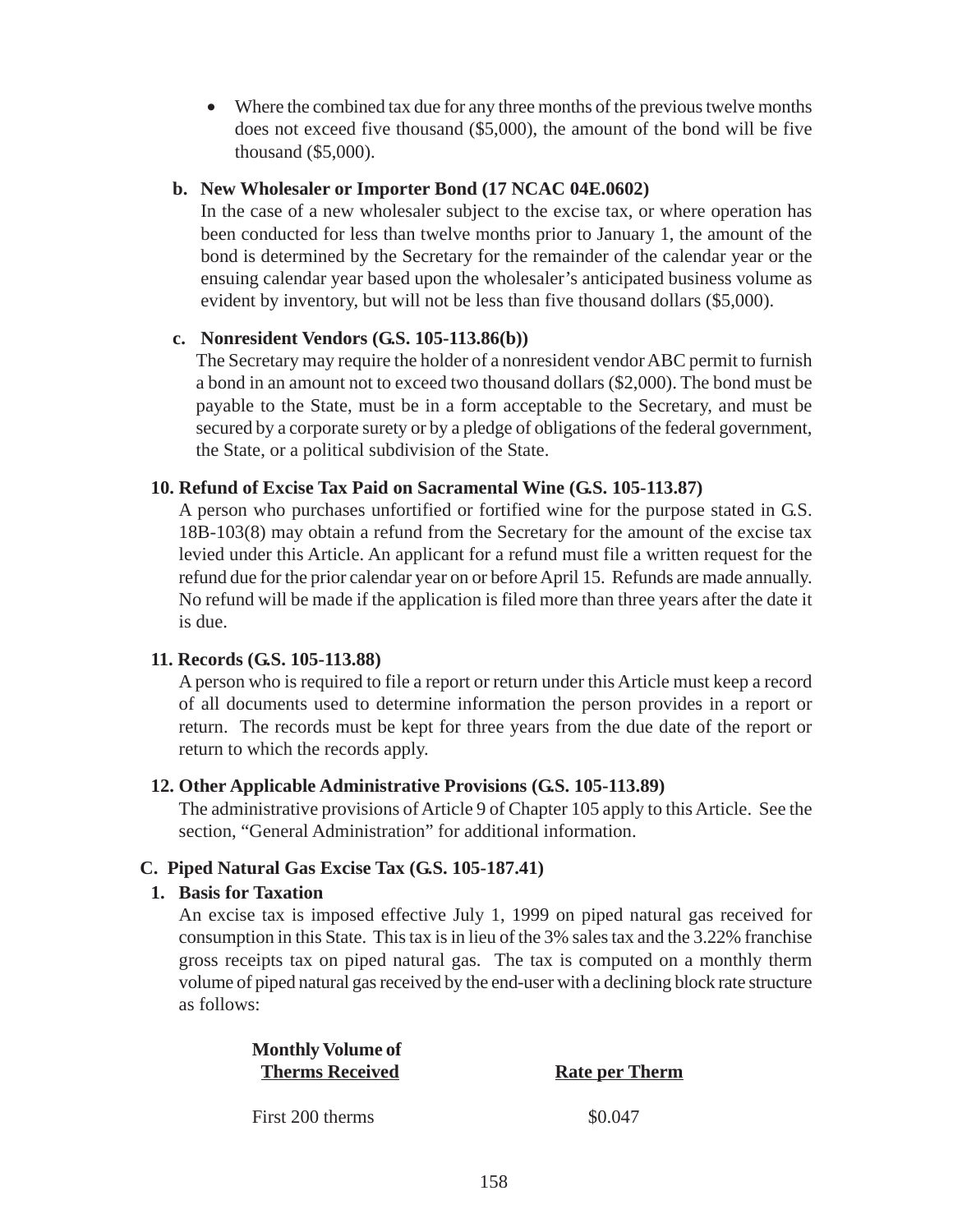• Where the combined tax due for any three months of the previous twelve months does not exceed five thousand (\$5,000), the amount of the bond will be five thousand (\$5,000).

#### **b. New Wholesaler or Importer Bond (17 NCAC 04E.0602)**

In the case of a new wholesaler subject to the excise tax, or where operation has been conducted for less than twelve months prior to January 1, the amount of the bond is determined by the Secretary for the remainder of the calendar year or the ensuing calendar year based upon the wholesaler's anticipated business volume as evident by inventory, but will not be less than five thousand dollars (\$5,000).

#### **c. Nonresident Vendors (G.S. 105-113.86(b))**

The Secretary may require the holder of a nonresident vendor ABC permit to furnish a bond in an amount not to exceed two thousand dollars (\$2,000). The bond must be payable to the State, must be in a form acceptable to the Secretary, and must be secured by a corporate surety or by a pledge of obligations of the federal government, the State, or a political subdivision of the State.

#### **10. Refund of Excise Tax Paid on Sacramental Wine (G.S. 105-113.87)**

A person who purchases unfortified or fortified wine for the purpose stated in G.S. 18B-103(8) may obtain a refund from the Secretary for the amount of the excise tax levied under this Article. An applicant for a refund must file a written request for the refund due for the prior calendar year on or before April 15. Refunds are made annually. No refund will be made if the application is filed more than three years after the date it is due.

## **11. Records (G.S. 105-113.88)**

A person who is required to file a report or return under this Article must keep a record of all documents used to determine information the person provides in a report or return. The records must be kept for three years from the due date of the report or return to which the records apply.

#### **12. Other Applicable Administrative Provisions (G.S. 105-113.89)**

The administrative provisions of Article 9 of Chapter 105 apply to this Article. See the section, "General Administration" for additional information.

## **C. Piped Natural Gas Excise Tax (G.S. 105-187.41)**

#### **1. Basis for Taxation**

An excise tax is imposed effective July 1, 1999 on piped natural gas received for consumption in this State. This tax is in lieu of the 3% sales tax and the 3.22% franchise gross receipts tax on piped natural gas. The tax is computed on a monthly therm volume of piped natural gas received by the end-user with a declining block rate structure as follows:

| <b>Monthly Volume of</b> |                       |  |
|--------------------------|-----------------------|--|
| <b>Therms Received</b>   | <b>Rate per Therm</b> |  |
| First 200 therms         | \$0.047               |  |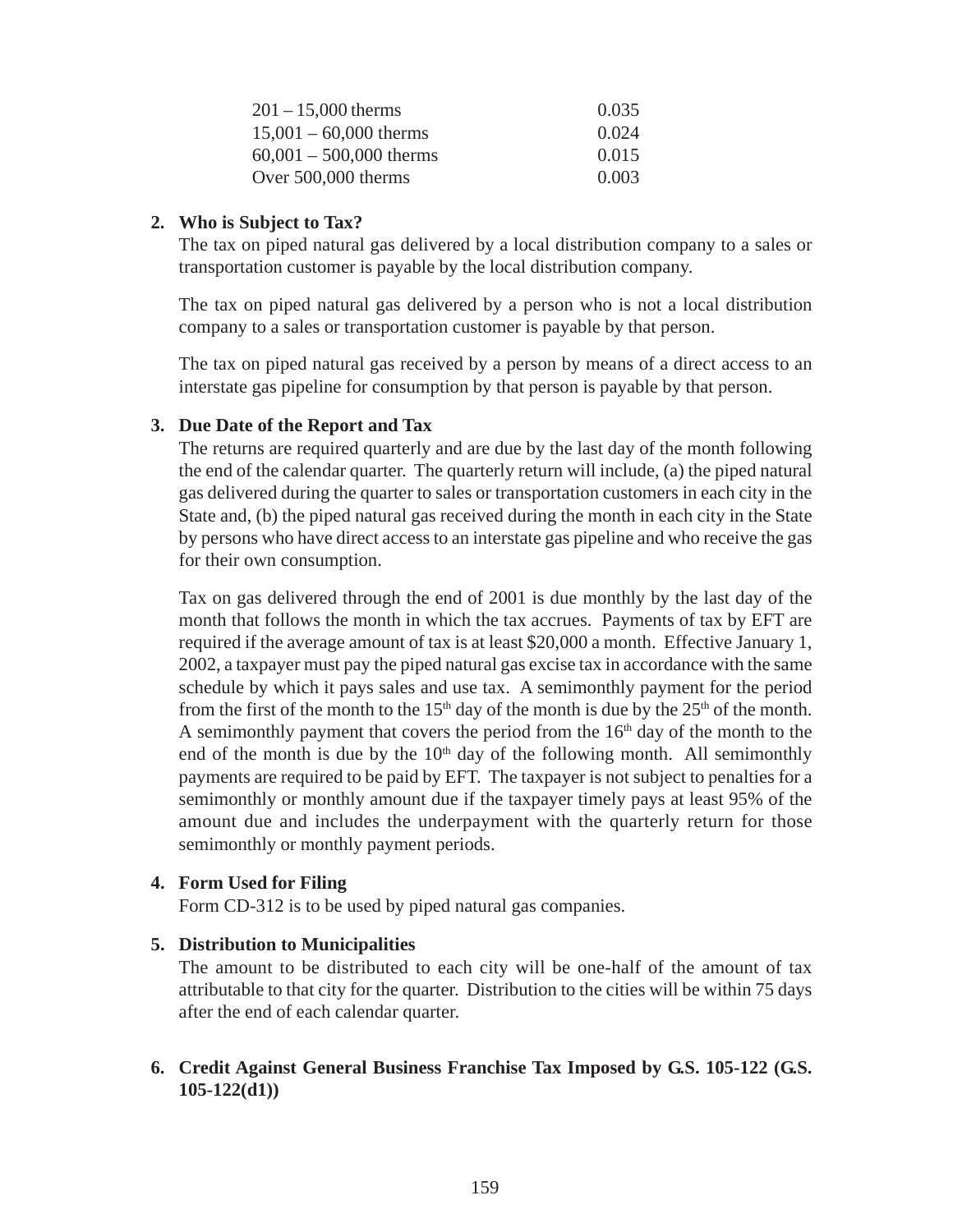| $201 - 15,000$ therms     | 0.035 |
|---------------------------|-------|
| $15,001 - 60,000$ therms  | 0.024 |
| $60,001 - 500,000$ therms | 0.015 |
| Over $500,000$ therms     | 0.003 |

## **2. Who is Subject to Tax?**

The tax on piped natural gas delivered by a local distribution company to a sales or transportation customer is payable by the local distribution company.

The tax on piped natural gas delivered by a person who is not a local distribution company to a sales or transportation customer is payable by that person.

The tax on piped natural gas received by a person by means of a direct access to an interstate gas pipeline for consumption by that person is payable by that person.

# **3. Due Date of the Report and Tax**

The returns are required quarterly and are due by the last day of the month following the end of the calendar quarter. The quarterly return will include, (a) the piped natural gas delivered during the quarter to sales or transportation customers in each city in the State and, (b) the piped natural gas received during the month in each city in the State by persons who have direct access to an interstate gas pipeline and who receive the gas for their own consumption.

Tax on gas delivered through the end of 2001 is due monthly by the last day of the month that follows the month in which the tax accrues. Payments of tax by EFT are required if the average amount of tax is at least \$20,000 a month. Effective January 1, 2002, a taxpayer must pay the piped natural gas excise tax in accordance with the same schedule by which it pays sales and use tax. A semimonthly payment for the period from the first of the month to the  $15<sup>th</sup>$  day of the month is due by the  $25<sup>th</sup>$  of the month. A semimonthly payment that covers the period from the  $16<sup>th</sup>$  day of the month to the end of the month is due by the  $10<sup>th</sup>$  day of the following month. All semimonthly payments are required to be paid by EFT. The taxpayer is not subject to penalties for a semimonthly or monthly amount due if the taxpayer timely pays at least 95% of the amount due and includes the underpayment with the quarterly return for those semimonthly or monthly payment periods.

## **4. Form Used for Filing**

Form CD-312 is to be used by piped natural gas companies.

## **5. Distribution to Municipalities**

The amount to be distributed to each city will be one-half of the amount of tax attributable to that city for the quarter. Distribution to the cities will be within 75 days after the end of each calendar quarter.

# **6. Credit Against General Business Franchise Tax Imposed by G.S. 105-122 (G.S. 105-122(d1))**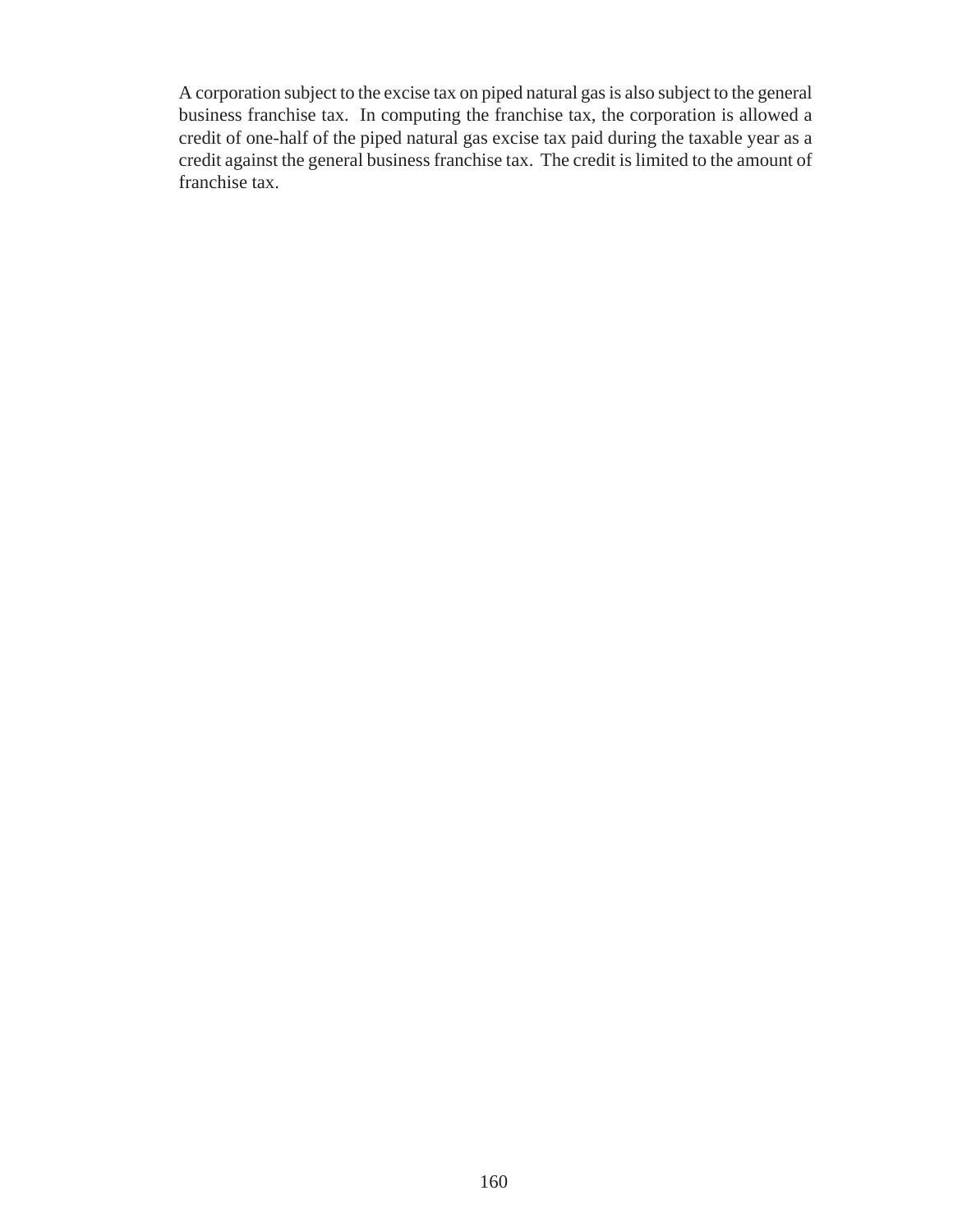A corporation subject to the excise tax on piped natural gas is also subject to the general business franchise tax. In computing the franchise tax, the corporation is allowed a credit of one-half of the piped natural gas excise tax paid during the taxable year as a credit against the general business franchise tax. The credit is limited to the amount of franchise tax.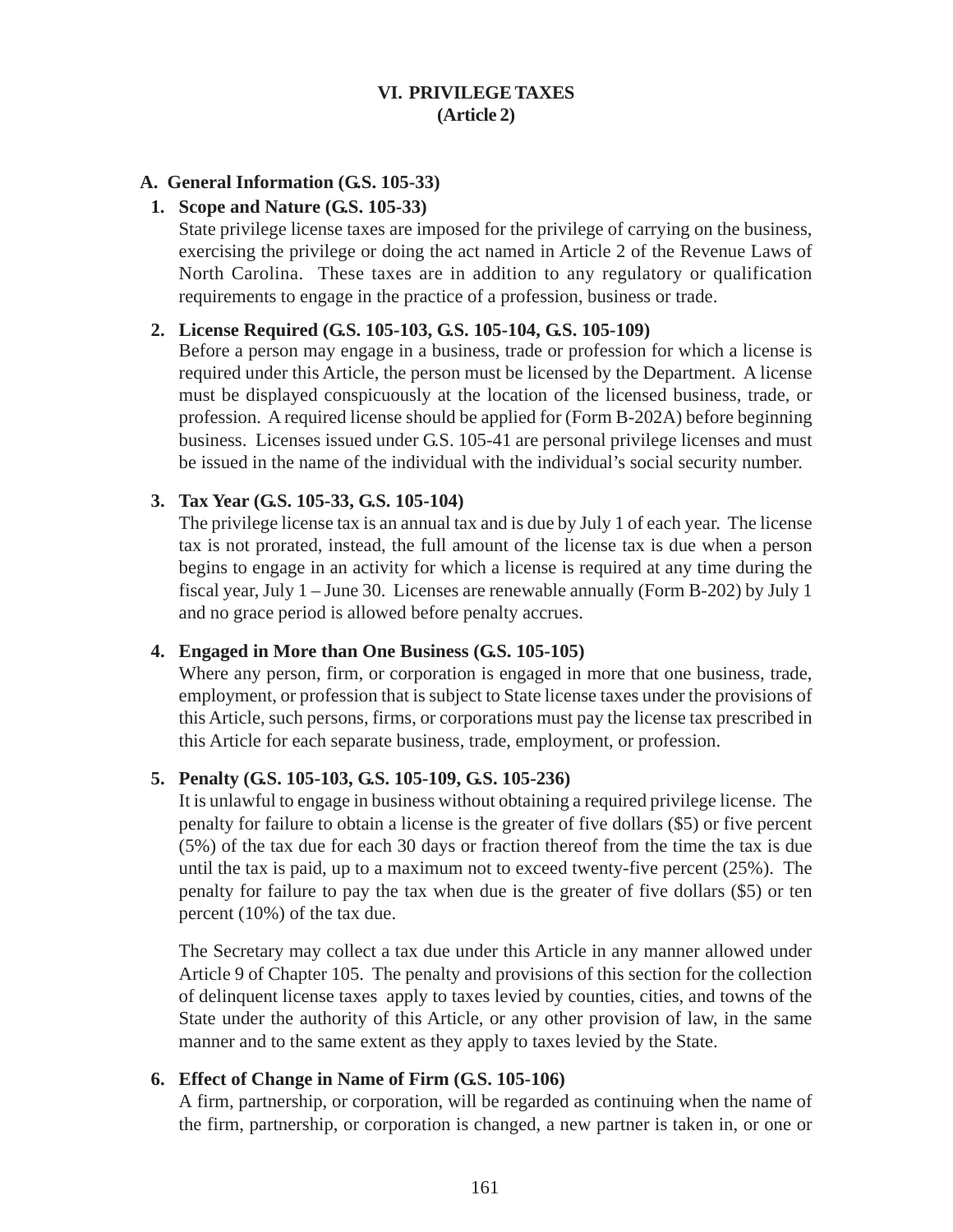## **VI. PRIVILEGE TAXES (Article 2)**

#### **A. General Information (G.S. 105-33)**

#### **1. Scope and Nature (G.S. 105-33)**

State privilege license taxes are imposed for the privilege of carrying on the business, exercising the privilege or doing the act named in Article 2 of the Revenue Laws of North Carolina. These taxes are in addition to any regulatory or qualification requirements to engage in the practice of a profession, business or trade.

#### **2. License Required (G.S. 105-103, G.S. 105-104, G.S. 105-109)**

Before a person may engage in a business, trade or profession for which a license is required under this Article, the person must be licensed by the Department. A license must be displayed conspicuously at the location of the licensed business, trade, or profession. A required license should be applied for (Form B-202A) before beginning business. Licenses issued under G.S. 105-41 are personal privilege licenses and must be issued in the name of the individual with the individual's social security number.

#### **3. Tax Year (G.S. 105-33, G.S. 105-104)**

The privilege license tax is an annual tax and is due by July 1 of each year. The license tax is not prorated, instead, the full amount of the license tax is due when a person begins to engage in an activity for which a license is required at any time during the fiscal year, July 1 – June 30. Licenses are renewable annually (Form B-202) by July 1 and no grace period is allowed before penalty accrues.

#### **4. Engaged in More than One Business (G.S. 105-105)**

Where any person, firm, or corporation is engaged in more that one business, trade, employment, or profession that is subject to State license taxes under the provisions of this Article, such persons, firms, or corporations must pay the license tax prescribed in this Article for each separate business, trade, employment, or profession.

#### **5. Penalty (G.S. 105-103, G.S. 105-109, G.S. 105-236)**

It is unlawful to engage in business without obtaining a required privilege license. The penalty for failure to obtain a license is the greater of five dollars (\$5) or five percent (5%) of the tax due for each 30 days or fraction thereof from the time the tax is due until the tax is paid, up to a maximum not to exceed twenty-five percent (25%). The penalty for failure to pay the tax when due is the greater of five dollars (\$5) or ten percent (10%) of the tax due.

The Secretary may collect a tax due under this Article in any manner allowed under Article 9 of Chapter 105. The penalty and provisions of this section for the collection of delinquent license taxes apply to taxes levied by counties, cities, and towns of the State under the authority of this Article, or any other provision of law, in the same manner and to the same extent as they apply to taxes levied by the State.

#### **6. Effect of Change in Name of Firm (G.S. 105-106)**

A firm, partnership, or corporation, will be regarded as continuing when the name of the firm, partnership, or corporation is changed, a new partner is taken in, or one or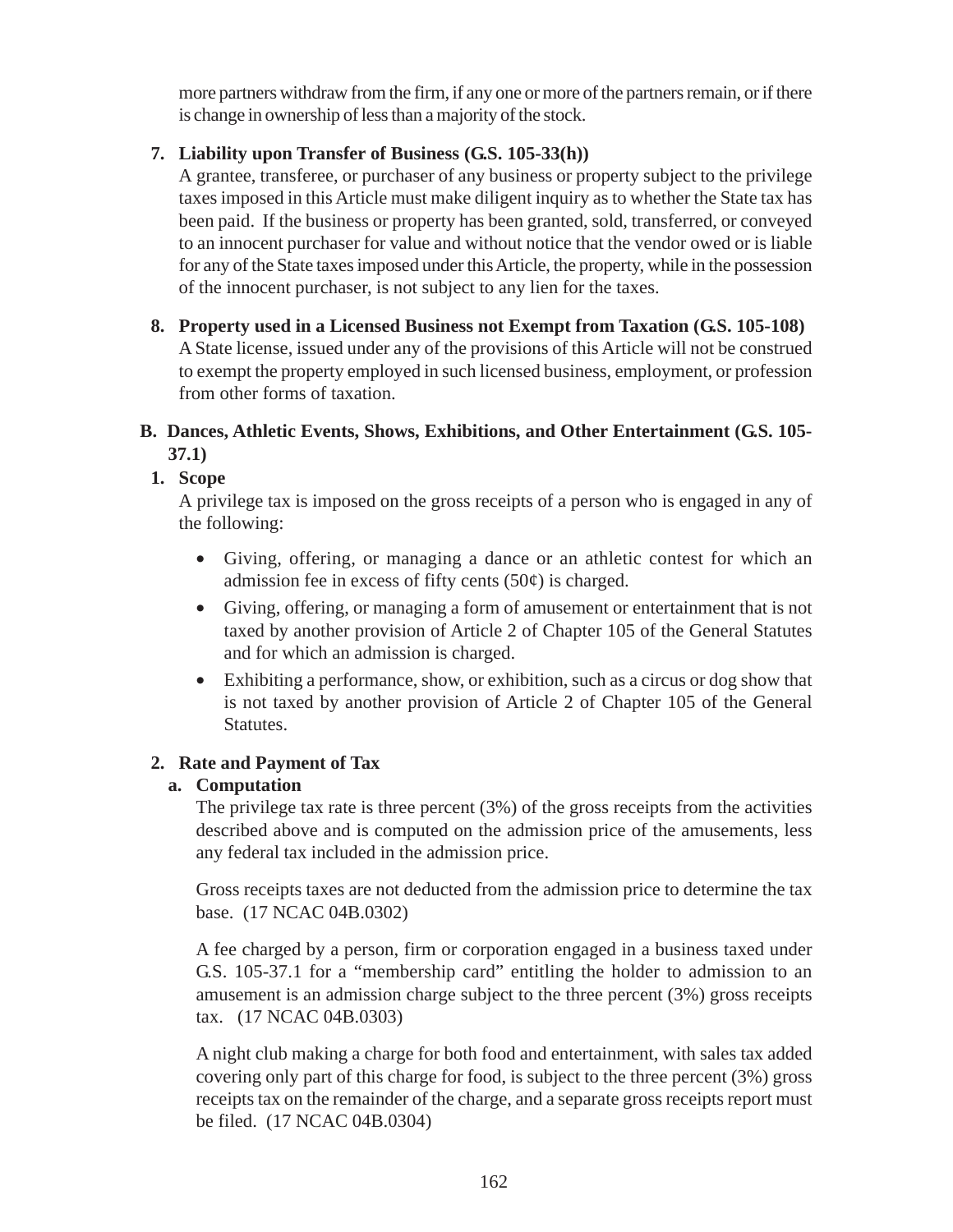more partners withdraw from the firm, if any one or more of the partners remain, or if there is change in ownership of less than a majority of the stock.

# **7. Liability upon Transfer of Business (G.S. 105-33(h))**

A grantee, transferee, or purchaser of any business or property subject to the privilege taxes imposed in this Article must make diligent inquiry as to whether the State tax has been paid. If the business or property has been granted, sold, transferred, or conveyed to an innocent purchaser for value and without notice that the vendor owed or is liable for any of the State taxes imposed under this Article, the property, while in the possession of the innocent purchaser, is not subject to any lien for the taxes.

**8. Property used in a Licensed Business not Exempt from Taxation (G.S. 105-108)** A State license, issued under any of the provisions of this Article will not be construed to exempt the property employed in such licensed business, employment, or profession from other forms of taxation.

# **B. Dances, Athletic Events, Shows, Exhibitions, and Other Entertainment (G.S. 105- 37.1)**

# **1. Scope**

A privilege tax is imposed on the gross receipts of a person who is engaged in any of the following:

- Giving, offering, or managing a dance or an athletic contest for which an admission fee in excess of fifty cents  $(50¢)$  is charged.
- Giving, offering, or managing a form of amusement or entertainment that is not taxed by another provision of Article 2 of Chapter 105 of the General Statutes and for which an admission is charged.
- Exhibiting a performance, show, or exhibition, such as a circus or dog show that is not taxed by another provision of Article 2 of Chapter 105 of the General Statutes.

# **2. Rate and Payment of Tax**

# **a. Computation**

The privilege tax rate is three percent  $(3%)$  of the gross receipts from the activities described above and is computed on the admission price of the amusements, less any federal tax included in the admission price.

Gross receipts taxes are not deducted from the admission price to determine the tax base. (17 NCAC 04B.0302)

A fee charged by a person, firm or corporation engaged in a business taxed under G.S. 105-37.1 for a "membership card" entitling the holder to admission to an amusement is an admission charge subject to the three percent (3%) gross receipts tax. (17 NCAC 04B.0303)

A night club making a charge for both food and entertainment, with sales tax added covering only part of this charge for food, is subject to the three percent (3%) gross receipts tax on the remainder of the charge, and a separate gross receipts report must be filed. (17 NCAC 04B.0304)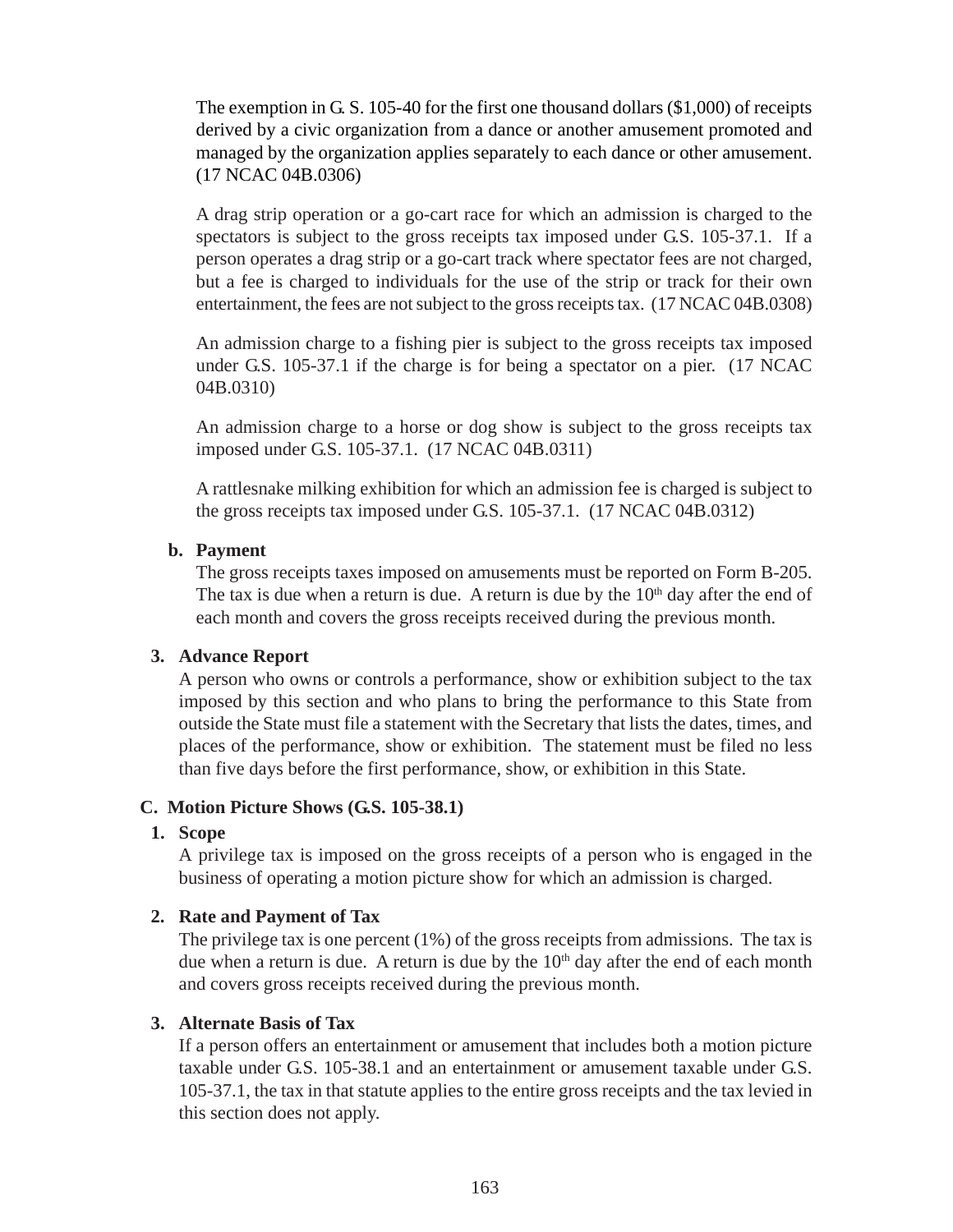The exemption in G. S. 105-40 for the first one thousand dollars (\$1,000) of receipts derived by a civic organization from a dance or another amusement promoted and managed by the organization applies separately to each dance or other amusement. (17 NCAC 04B.0306)

A drag strip operation or a go-cart race for which an admission is charged to the spectators is subject to the gross receipts tax imposed under G.S. 105-37.1. If a person operates a drag strip or a go-cart track where spectator fees are not charged, but a fee is charged to individuals for the use of the strip or track for their own entertainment, the fees are not subject to the gross receipts tax. (17 NCAC 04B.0308)

An admission charge to a fishing pier is subject to the gross receipts tax imposed under G.S. 105-37.1 if the charge is for being a spectator on a pier. (17 NCAC 04B.0310)

An admission charge to a horse or dog show is subject to the gross receipts tax imposed under G.S. 105-37.1. (17 NCAC 04B.0311)

A rattlesnake milking exhibition for which an admission fee is charged is subject to the gross receipts tax imposed under G.S. 105-37.1. (17 NCAC 04B.0312)

#### **b. Payment**

The gross receipts taxes imposed on amusements must be reported on Form B-205. The tax is due when a return is due. A return is due by the  $10<sup>th</sup>$  day after the end of each month and covers the gross receipts received during the previous month.

#### **3. Advance Report**

A person who owns or controls a performance, show or exhibition subject to the tax imposed by this section and who plans to bring the performance to this State from outside the State must file a statement with the Secretary that lists the dates, times, and places of the performance, show or exhibition. The statement must be filed no less than five days before the first performance, show, or exhibition in this State.

#### **C. Motion Picture Shows (G.S. 105-38.1)**

#### **1. Scope**

A privilege tax is imposed on the gross receipts of a person who is engaged in the business of operating a motion picture show for which an admission is charged.

#### **2. Rate and Payment of Tax**

The privilege tax is one percent (1%) of the gross receipts from admissions. The tax is due when a return is due. A return is due by the  $10<sup>th</sup>$  day after the end of each month and covers gross receipts received during the previous month.

#### **3. Alternate Basis of Tax**

If a person offers an entertainment or amusement that includes both a motion picture taxable under G.S. 105-38.1 and an entertainment or amusement taxable under G.S. 105-37.1, the tax in that statute applies to the entire gross receipts and the tax levied in this section does not apply.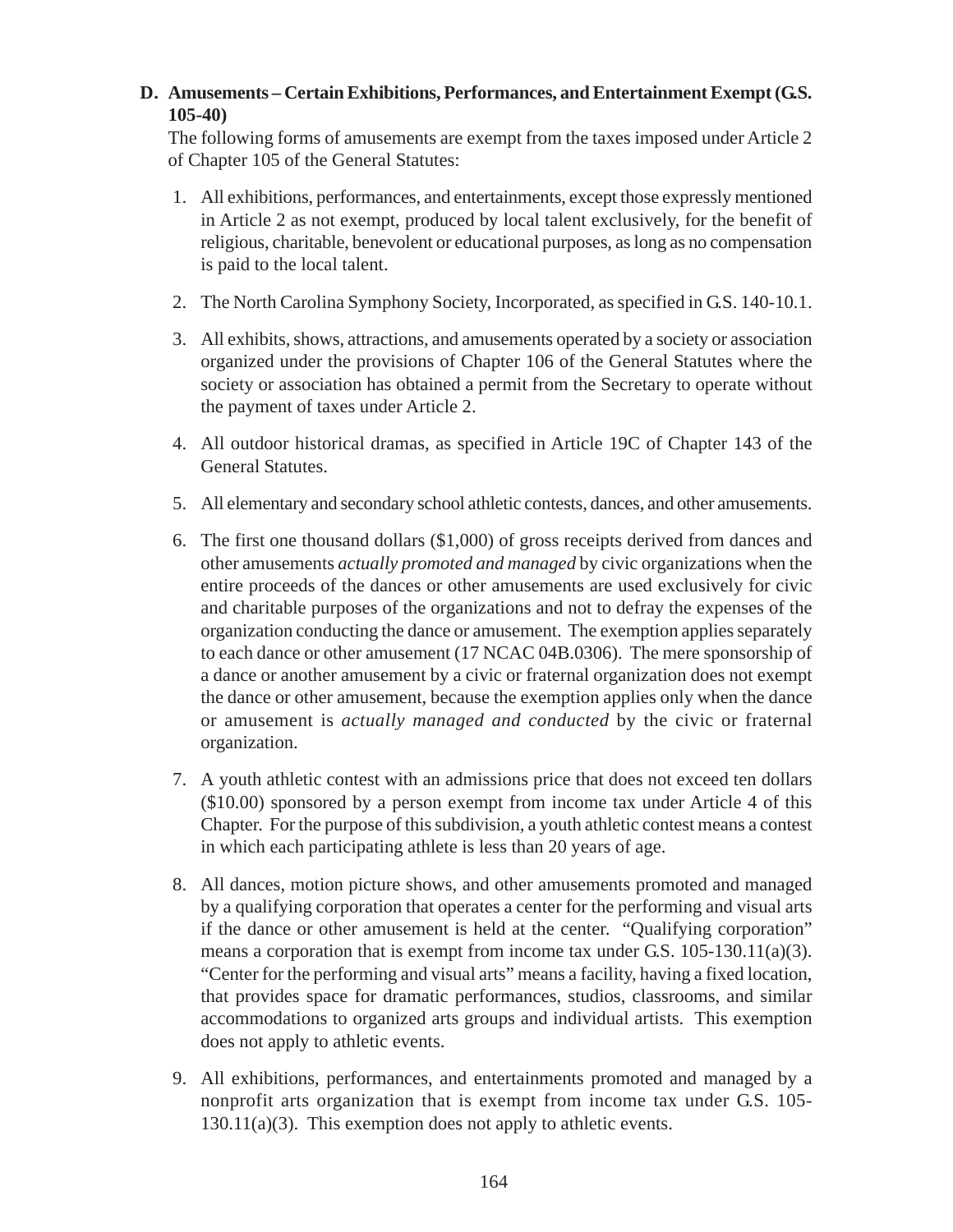# **D. Amusements – Certain Exhibitions, Performances, and Entertainment Exempt (G.S. 105-40)**

The following forms of amusements are exempt from the taxes imposed under Article 2 of Chapter 105 of the General Statutes:

- 1. All exhibitions, performances, and entertainments, except those expressly mentioned in Article 2 as not exempt, produced by local talent exclusively, for the benefit of religious, charitable, benevolent or educational purposes, as long as no compensation is paid to the local talent.
- 2. The North Carolina Symphony Society, Incorporated, as specified in G.S. 140-10.1.
- 3. All exhibits, shows, attractions, and amusements operated by a society or association organized under the provisions of Chapter 106 of the General Statutes where the society or association has obtained a permit from the Secretary to operate without the payment of taxes under Article 2.
- 4. All outdoor historical dramas, as specified in Article 19C of Chapter 143 of the General Statutes.
- 5. All elementary and secondary school athletic contests, dances, and other amusements.
- 6. The first one thousand dollars (\$1,000) of gross receipts derived from dances and other amusements *actually promoted and managed* by civic organizations when the entire proceeds of the dances or other amusements are used exclusively for civic and charitable purposes of the organizations and not to defray the expenses of the organization conducting the dance or amusement. The exemption applies separately to each dance or other amusement (17 NCAC 04B.0306). The mere sponsorship of a dance or another amusement by a civic or fraternal organization does not exempt the dance or other amusement, because the exemption applies only when the dance or amusement is *actually managed and conducted* by the civic or fraternal organization.
- 7. A youth athletic contest with an admissions price that does not exceed ten dollars (\$10.00) sponsored by a person exempt from income tax under Article 4 of this Chapter. For the purpose of this subdivision, a youth athletic contest means a contest in which each participating athlete is less than 20 years of age.
- 8. All dances, motion picture shows, and other amusements promoted and managed by a qualifying corporation that operates a center for the performing and visual arts if the dance or other amusement is held at the center. "Qualifying corporation" means a corporation that is exempt from income tax under G.S.  $105-130.11(a)(3)$ . "Center for the performing and visual arts" means a facility, having a fixed location, that provides space for dramatic performances, studios, classrooms, and similar accommodations to organized arts groups and individual artists. This exemption does not apply to athletic events.
- 9. All exhibitions, performances, and entertainments promoted and managed by a nonprofit arts organization that is exempt from income tax under G.S. 105-  $130.11(a)(3)$ . This exemption does not apply to athletic events.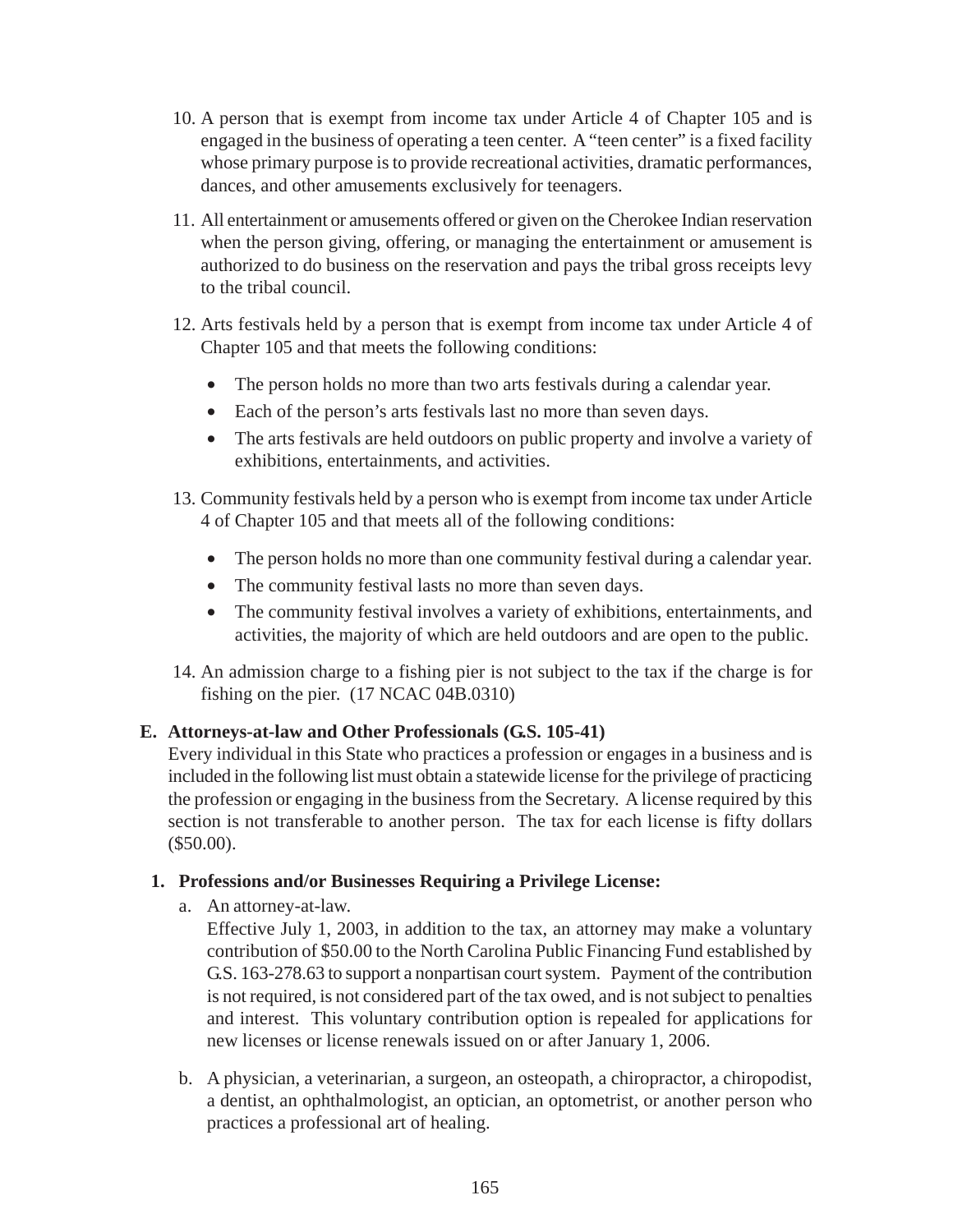- 10. A person that is exempt from income tax under Article 4 of Chapter 105 and is engaged in the business of operating a teen center. A "teen center" is a fixed facility whose primary purpose is to provide recreational activities, dramatic performances, dances, and other amusements exclusively for teenagers.
- 11. All entertainment or amusements offered or given on the Cherokee Indian reservation when the person giving, offering, or managing the entertainment or amusement is authorized to do business on the reservation and pays the tribal gross receipts levy to the tribal council.
- 12. Arts festivals held by a person that is exempt from income tax under Article 4 of Chapter 105 and that meets the following conditions:
	- The person holds no more than two arts festivals during a calendar year.
	- Each of the person's arts festivals last no more than seven days.
	- The arts festivals are held outdoors on public property and involve a variety of exhibitions, entertainments, and activities.
- 13. Community festivals held by a person who is exempt from income tax under Article 4 of Chapter 105 and that meets all of the following conditions:
	- The person holds no more than one community festival during a calendar year.
	- The community festival lasts no more than seven days.
	- The community festival involves a variety of exhibitions, entertainments, and activities, the majority of which are held outdoors and are open to the public.
- 14. An admission charge to a fishing pier is not subject to the tax if the charge is for fishing on the pier. (17 NCAC 04B.0310)

## **E. Attorneys-at-law and Other Professionals (G.S. 105-41)**

Every individual in this State who practices a profession or engages in a business and is included in the following list must obtain a statewide license for the privilege of practicing the profession or engaging in the business from the Secretary. A license required by this section is not transferable to another person. The tax for each license is fifty dollars (\$50.00).

#### **1. Professions and/or Businesses Requiring a Privilege License:**

a. An attorney-at-law.

Effective July 1, 2003, in addition to the tax, an attorney may make a voluntary contribution of \$50.00 to the North Carolina Public Financing Fund established by G.S. 163-278.63 to support a nonpartisan court system. Payment of the contribution is not required, is not considered part of the tax owed, and is not subject to penalties and interest. This voluntary contribution option is repealed for applications for new licenses or license renewals issued on or after January 1, 2006.

b. A physician, a veterinarian, a surgeon, an osteopath, a chiropractor, a chiropodist, a dentist, an ophthalmologist, an optician, an optometrist, or another person who practices a professional art of healing.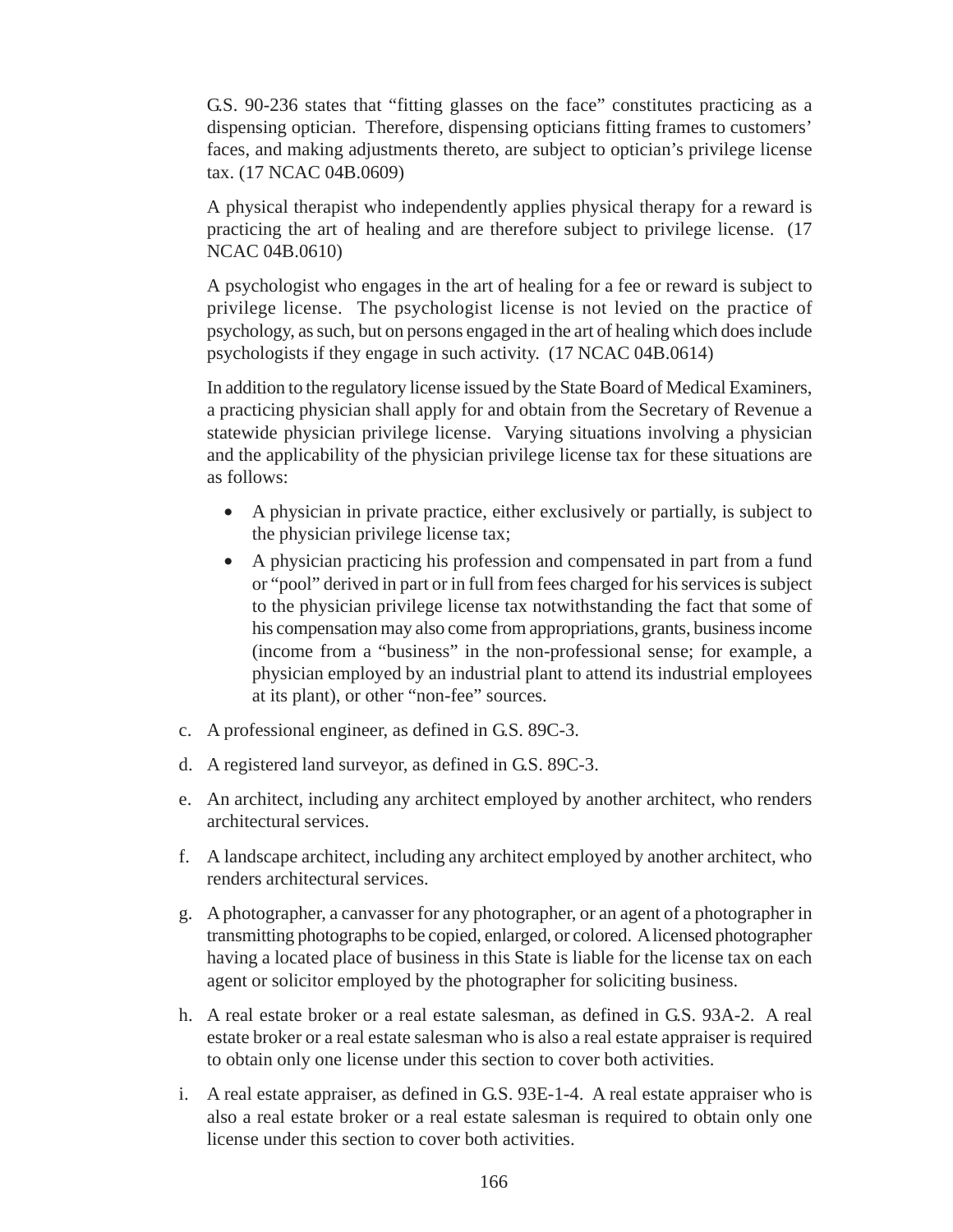G.S. 90-236 states that "fitting glasses on the face" constitutes practicing as a dispensing optician. Therefore, dispensing opticians fitting frames to customers' faces, and making adjustments thereto, are subject to optician's privilege license tax. (17 NCAC 04B.0609)

A physical therapist who independently applies physical therapy for a reward is practicing the art of healing and are therefore subject to privilege license. (17 NCAC 04B.0610)

A psychologist who engages in the art of healing for a fee or reward is subject to privilege license. The psychologist license is not levied on the practice of psychology, as such, but on persons engaged in the art of healing which does include psychologists if they engage in such activity. (17 NCAC 04B.0614)

In addition to the regulatory license issued by the State Board of Medical Examiners, a practicing physician shall apply for and obtain from the Secretary of Revenue a statewide physician privilege license. Varying situations involving a physician and the applicability of the physician privilege license tax for these situations are as follows:

- A physician in private practice, either exclusively or partially, is subject to the physician privilege license tax;
- A physician practicing his profession and compensated in part from a fund or "pool" derived in part or in full from fees charged for his services is subject to the physician privilege license tax notwithstanding the fact that some of his compensation may also come from appropriations, grants, business income (income from a "business" in the non-professional sense; for example, a physician employed by an industrial plant to attend its industrial employees at its plant), or other "non-fee" sources.
- c. A professional engineer, as defined in G.S. 89C-3.
- d. A registered land surveyor, as defined in G.S. 89C-3.
- e. An architect, including any architect employed by another architect, who renders architectural services.
- f. A landscape architect, including any architect employed by another architect, who renders architectural services.
- g. A photographer, a canvasser for any photographer, or an agent of a photographer in transmitting photographs to be copied, enlarged, or colored. A licensed photographer having a located place of business in this State is liable for the license tax on each agent or solicitor employed by the photographer for soliciting business.
- h. A real estate broker or a real estate salesman, as defined in G.S. 93A-2. A real estate broker or a real estate salesman who is also a real estate appraiser is required to obtain only one license under this section to cover both activities.
- i. A real estate appraiser, as defined in G.S. 93E-1-4. A real estate appraiser who is also a real estate broker or a real estate salesman is required to obtain only one license under this section to cover both activities.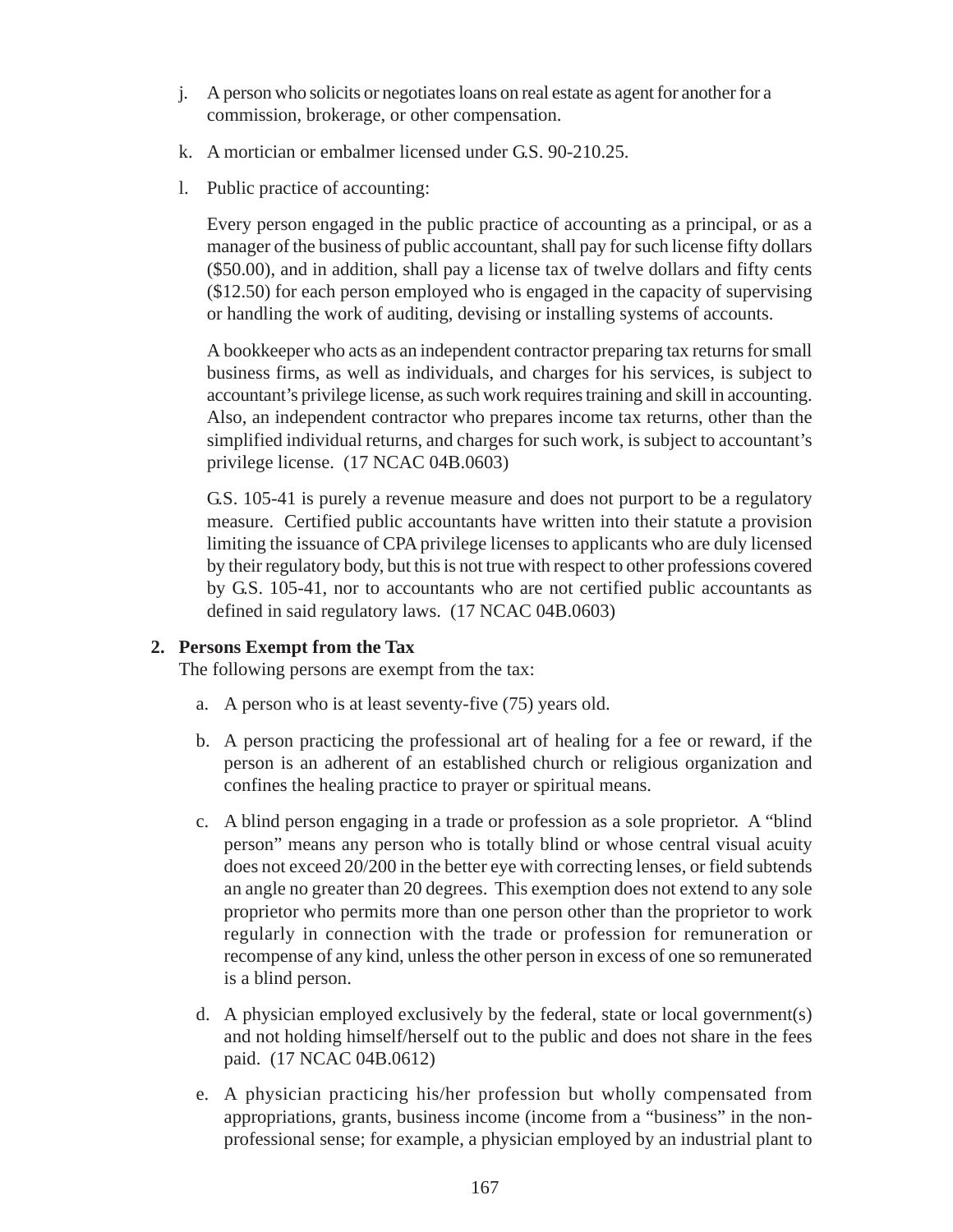- j. A person who solicits or negotiates loans on real estate as agent for another for a commission, brokerage, or other compensation.
- k. A mortician or embalmer licensed under G.S. 90-210.25.
- l. Public practice of accounting:

Every person engaged in the public practice of accounting as a principal, or as a manager of the business of public accountant, shall pay for such license fifty dollars (\$50.00), and in addition, shall pay a license tax of twelve dollars and fifty cents (\$12.50) for each person employed who is engaged in the capacity of supervising or handling the work of auditing, devising or installing systems of accounts.

A bookkeeper who acts as an independent contractor preparing tax returns for small business firms, as well as individuals, and charges for his services, is subject to accountant's privilege license, as such work requires training and skill in accounting. Also, an independent contractor who prepares income tax returns, other than the simplified individual returns, and charges for such work, is subject to accountant's privilege license. (17 NCAC 04B.0603)

G.S. 105-41 is purely a revenue measure and does not purport to be a regulatory measure. Certified public accountants have written into their statute a provision limiting the issuance of CPA privilege licenses to applicants who are duly licensed by their regulatory body, but this is not true with respect to other professions covered by G.S. 105-41, nor to accountants who are not certified public accountants as defined in said regulatory laws. (17 NCAC 04B.0603)

#### **2. Persons Exempt from the Tax**

The following persons are exempt from the tax:

- a. A person who is at least seventy-five (75) years old.
- b. A person practicing the professional art of healing for a fee or reward, if the person is an adherent of an established church or religious organization and confines the healing practice to prayer or spiritual means.
- c. A blind person engaging in a trade or profession as a sole proprietor. A "blind person" means any person who is totally blind or whose central visual acuity does not exceed 20/200 in the better eye with correcting lenses, or field subtends an angle no greater than 20 degrees. This exemption does not extend to any sole proprietor who permits more than one person other than the proprietor to work regularly in connection with the trade or profession for remuneration or recompense of any kind, unless the other person in excess of one so remunerated is a blind person.
- d. A physician employed exclusively by the federal, state or local government(s) and not holding himself/herself out to the public and does not share in the fees paid. (17 NCAC 04B.0612)
- e. A physician practicing his/her profession but wholly compensated from appropriations, grants, business income (income from a "business" in the nonprofessional sense; for example, a physician employed by an industrial plant to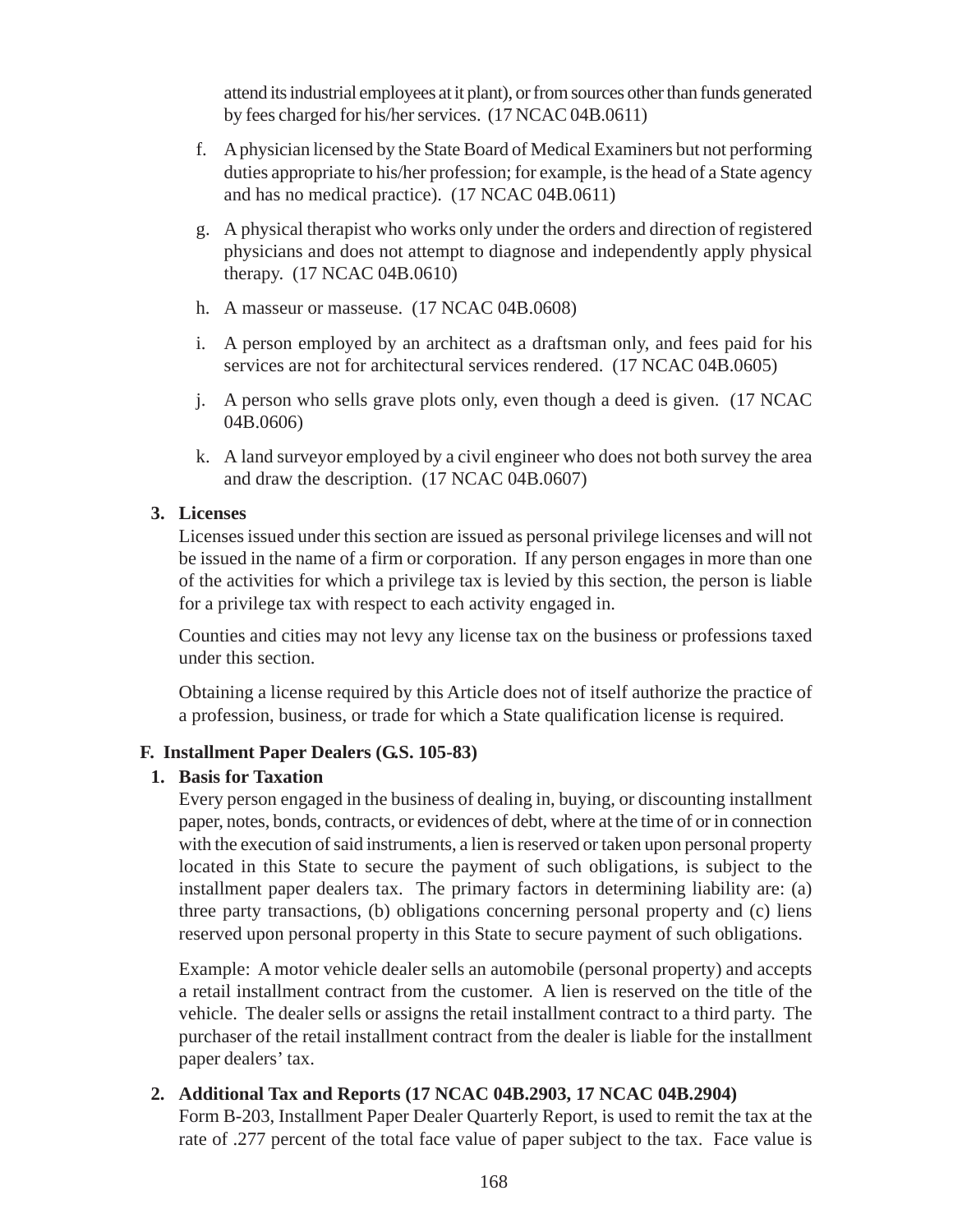attend its industrial employees at it plant), or from sources other than funds generated by fees charged for his/her services. (17 NCAC 04B.0611)

- f. A physician licensed by the State Board of Medical Examiners but not performing duties appropriate to his/her profession; for example, is the head of a State agency and has no medical practice). (17 NCAC 04B.0611)
- g. A physical therapist who works only under the orders and direction of registered physicians and does not attempt to diagnose and independently apply physical therapy. (17 NCAC 04B.0610)
- h. A masseur or masseuse. (17 NCAC 04B.0608)
- i. A person employed by an architect as a draftsman only, and fees paid for his services are not for architectural services rendered. (17 NCAC 04B.0605)
- j. A person who sells grave plots only, even though a deed is given. (17 NCAC 04B.0606)
- k. A land surveyor employed by a civil engineer who does not both survey the area and draw the description. (17 NCAC 04B.0607)

## **3. Licenses**

Licenses issued under this section are issued as personal privilege licenses and will not be issued in the name of a firm or corporation. If any person engages in more than one of the activities for which a privilege tax is levied by this section, the person is liable for a privilege tax with respect to each activity engaged in.

Counties and cities may not levy any license tax on the business or professions taxed under this section.

Obtaining a license required by this Article does not of itself authorize the practice of a profession, business, or trade for which a State qualification license is required.

## **F. Installment Paper Dealers (G.S. 105-83)**

## **1. Basis for Taxation**

Every person engaged in the business of dealing in, buying, or discounting installment paper, notes, bonds, contracts, or evidences of debt, where at the time of or in connection with the execution of said instruments, a lien is reserved or taken upon personal property located in this State to secure the payment of such obligations, is subject to the installment paper dealers tax. The primary factors in determining liability are: (a) three party transactions, (b) obligations concerning personal property and (c) liens reserved upon personal property in this State to secure payment of such obligations.

Example: A motor vehicle dealer sells an automobile (personal property) and accepts a retail installment contract from the customer. A lien is reserved on the title of the vehicle. The dealer sells or assigns the retail installment contract to a third party. The purchaser of the retail installment contract from the dealer is liable for the installment paper dealers' tax.

## **2. Additional Tax and Reports (17 NCAC 04B.2903, 17 NCAC 04B.2904)**

Form B-203, Installment Paper Dealer Quarterly Report, is used to remit the tax at the rate of .277 percent of the total face value of paper subject to the tax. Face value is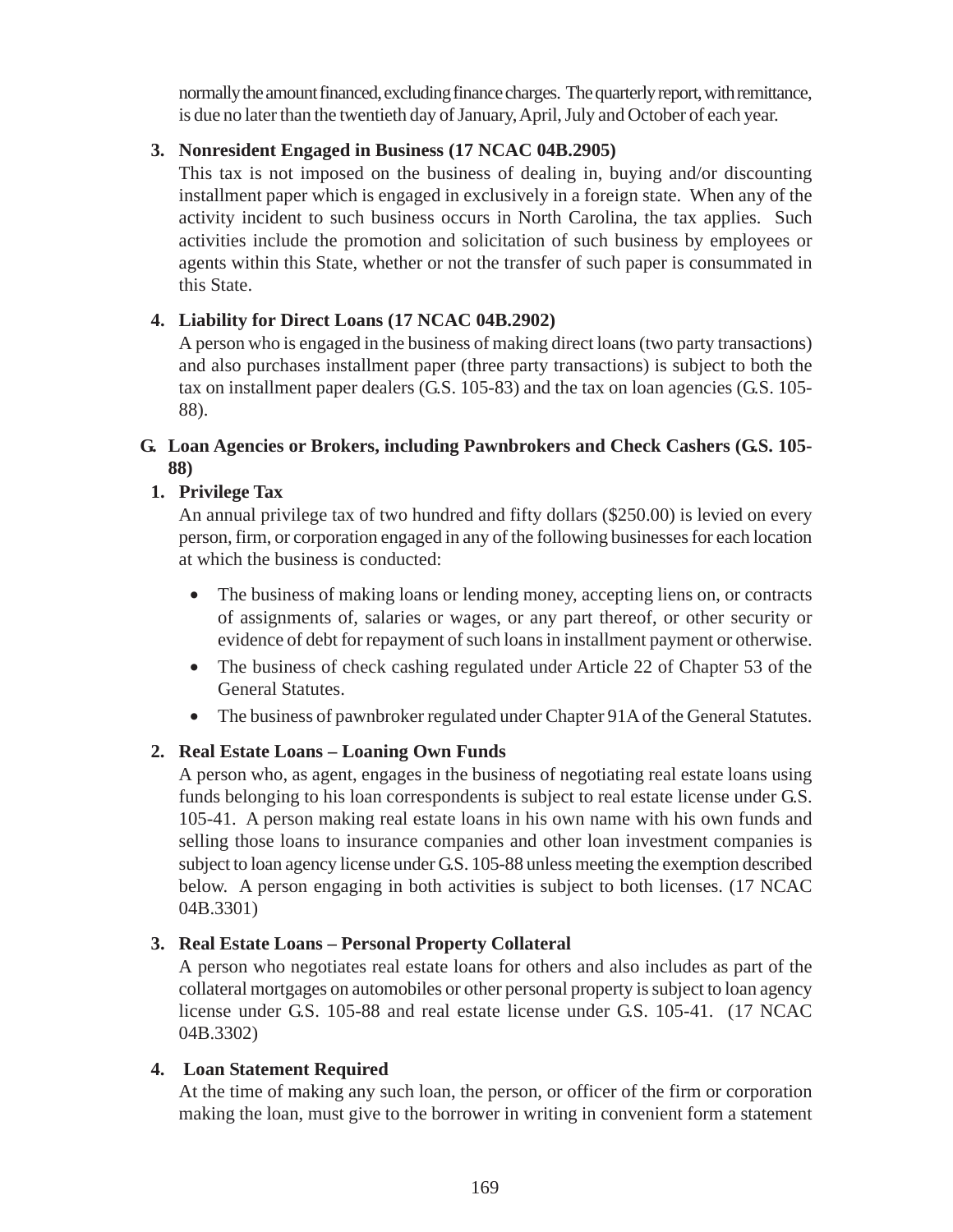normally the amount financed, excluding finance charges. The quarterly report, with remittance, is due no later than the twentieth day of January, April, July and October of each year.

# **3. Nonresident Engaged in Business (17 NCAC 04B.2905)**

This tax is not imposed on the business of dealing in, buying and/or discounting installment paper which is engaged in exclusively in a foreign state. When any of the activity incident to such business occurs in North Carolina, the tax applies. Such activities include the promotion and solicitation of such business by employees or agents within this State, whether or not the transfer of such paper is consummated in this State.

# **4. Liability for Direct Loans (17 NCAC 04B.2902)**

A person who is engaged in the business of making direct loans (two party transactions) and also purchases installment paper (three party transactions) is subject to both the tax on installment paper dealers (G.S. 105-83) and the tax on loan agencies (G.S. 105- 88).

## **G. Loan Agencies or Brokers, including Pawnbrokers and Check Cashers (G.S. 105- 88)**

# **1. Privilege Tax**

An annual privilege tax of two hundred and fifty dollars (\$250.00) is levied on every person, firm, or corporation engaged in any of the following businesses for each location at which the business is conducted:

- The business of making loans or lending money, accepting liens on, or contracts of assignments of, salaries or wages, or any part thereof, or other security or evidence of debt for repayment of such loans in installment payment or otherwise.
- The business of check cashing regulated under Article 22 of Chapter 53 of the General Statutes.
- The business of pawnbroker regulated under Chapter 91A of the General Statutes.

# **2. Real Estate Loans – Loaning Own Funds**

A person who, as agent, engages in the business of negotiating real estate loans using funds belonging to his loan correspondents is subject to real estate license under G.S. 105-41. A person making real estate loans in his own name with his own funds and selling those loans to insurance companies and other loan investment companies is subject to loan agency license under G.S. 105-88 unless meeting the exemption described below. A person engaging in both activities is subject to both licenses. (17 NCAC 04B.3301)

## **3. Real Estate Loans – Personal Property Collateral**

A person who negotiates real estate loans for others and also includes as part of the collateral mortgages on automobiles or other personal property is subject to loan agency license under G.S. 105-88 and real estate license under G.S. 105-41. (17 NCAC 04B.3302)

## **4. Loan Statement Required**

At the time of making any such loan, the person, or officer of the firm or corporation making the loan, must give to the borrower in writing in convenient form a statement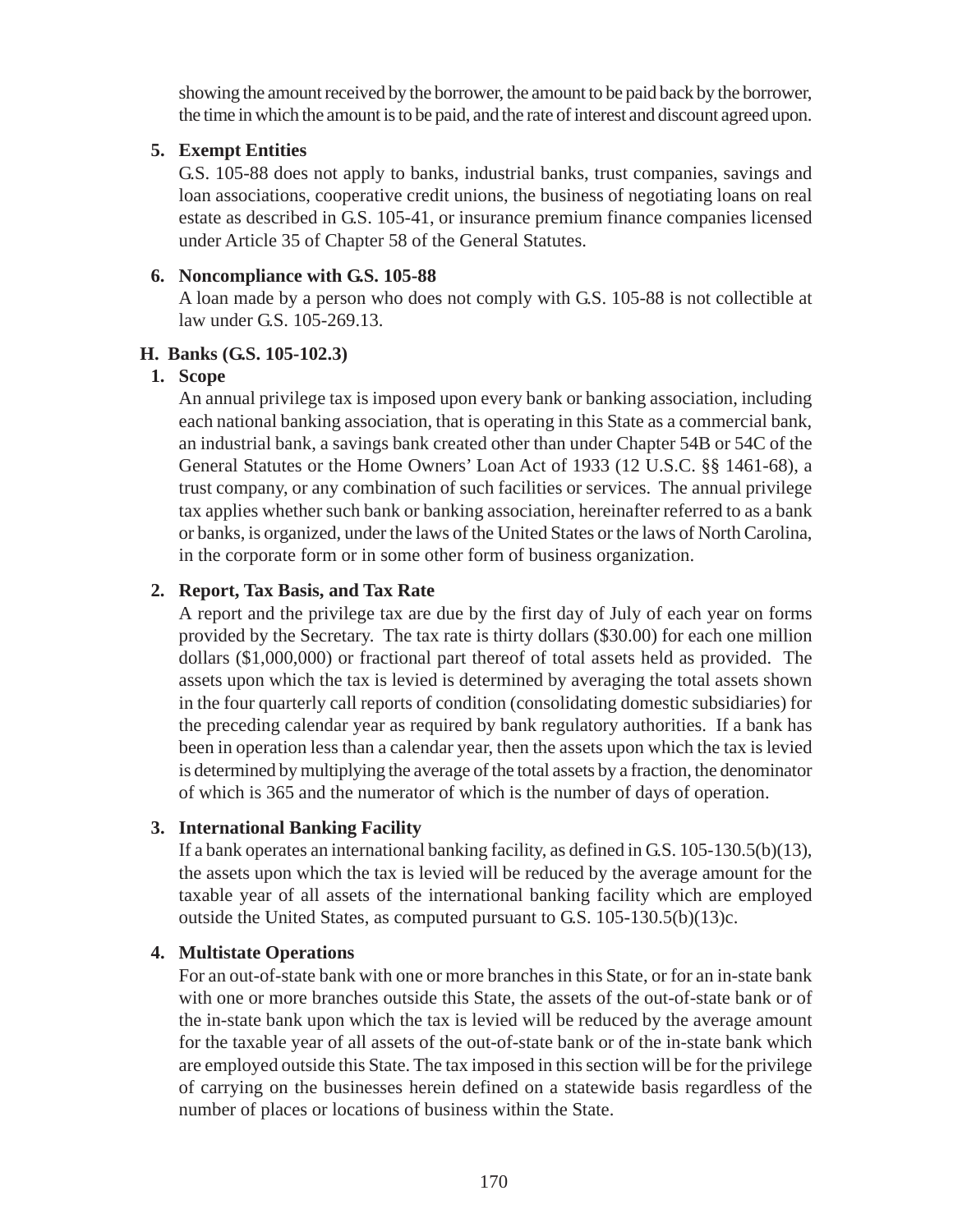showing the amount received by the borrower, the amount to be paid back by the borrower, the time in which the amount is to be paid, and the rate of interest and discount agreed upon.

## **5. Exempt Entities**

G.S. 105-88 does not apply to banks, industrial banks, trust companies, savings and loan associations, cooperative credit unions, the business of negotiating loans on real estate as described in G.S. 105-41, or insurance premium finance companies licensed under Article 35 of Chapter 58 of the General Statutes.

# **6. Noncompliance with G.S. 105-88**

A loan made by a person who does not comply with G.S. 105-88 is not collectible at law under G.S. 105-269.13.

## **H. Banks (G.S. 105-102.3)**

# **1. Scope**

An annual privilege tax is imposed upon every bank or banking association, including each national banking association, that is operating in this State as a commercial bank, an industrial bank, a savings bank created other than under Chapter 54B or 54C of the General Statutes or the Home Owners' Loan Act of 1933 (12 U.S.C. §§ 1461-68), a trust company, or any combination of such facilities or services. The annual privilege tax applies whether such bank or banking association, hereinafter referred to as a bank or banks, is organized, under the laws of the United States or the laws of North Carolina, in the corporate form or in some other form of business organization.

# **2. Report, Tax Basis, and Tax Rate**

A report and the privilege tax are due by the first day of July of each year on forms provided by the Secretary. The tax rate is thirty dollars (\$30.00) for each one million dollars (\$1,000,000) or fractional part thereof of total assets held as provided. The assets upon which the tax is levied is determined by averaging the total assets shown in the four quarterly call reports of condition (consolidating domestic subsidiaries) for the preceding calendar year as required by bank regulatory authorities. If a bank has been in operation less than a calendar year, then the assets upon which the tax is levied is determined by multiplying the average of the total assets by a fraction, the denominator of which is 365 and the numerator of which is the number of days of operation.

# **3. International Banking Facility**

If a bank operates an international banking facility, as defined in G.S. 105-130.5(b)(13), the assets upon which the tax is levied will be reduced by the average amount for the taxable year of all assets of the international banking facility which are employed outside the United States, as computed pursuant to G.S. 105-130.5(b)(13)c.

## **4. Multistate Operations**

For an out-of-state bank with one or more branches in this State, or for an in-state bank with one or more branches outside this State, the assets of the out-of-state bank or of the in-state bank upon which the tax is levied will be reduced by the average amount for the taxable year of all assets of the out-of-state bank or of the in-state bank which are employed outside this State. The tax imposed in this section will be for the privilege of carrying on the businesses herein defined on a statewide basis regardless of the number of places or locations of business within the State.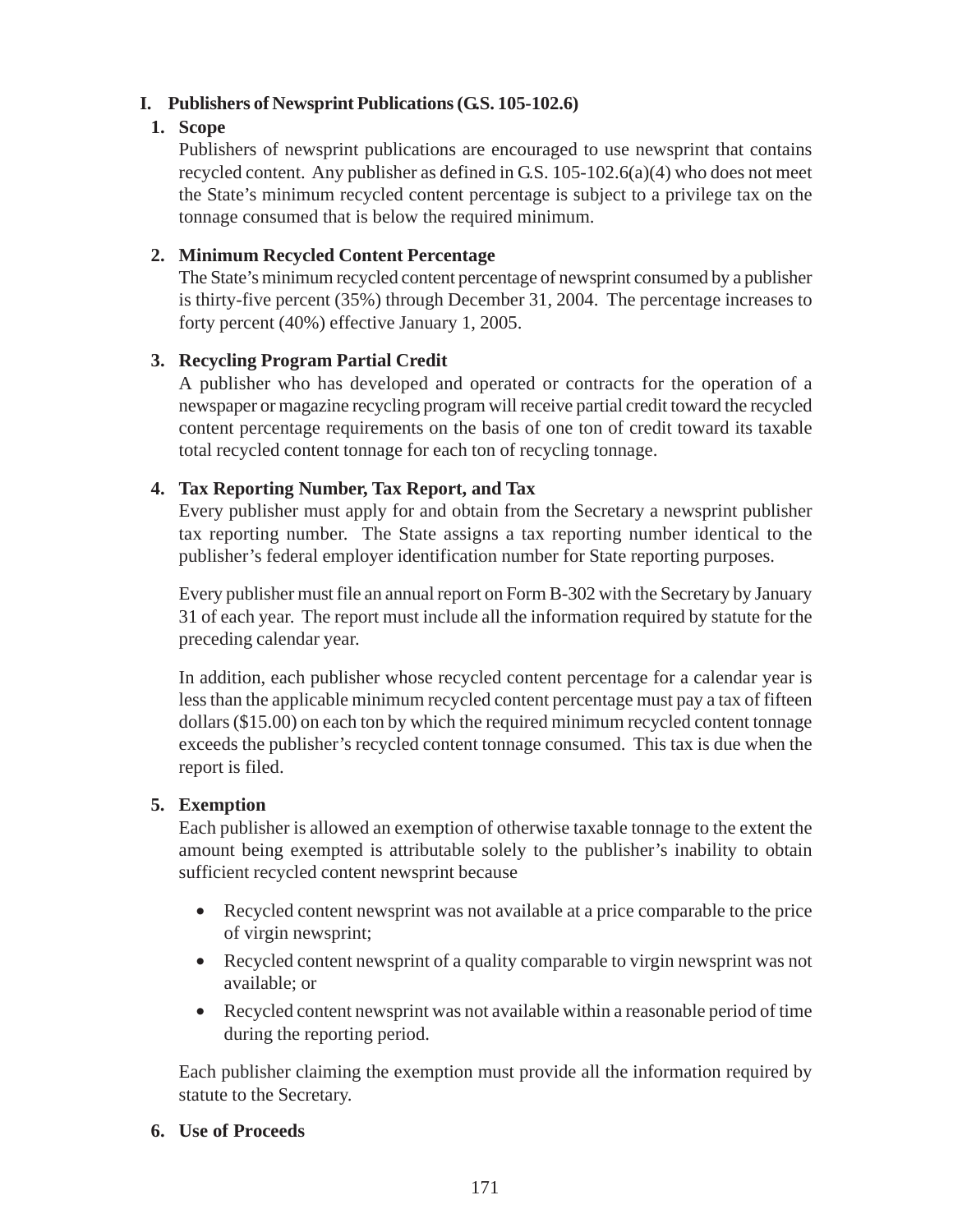# **I. Publishers of Newsprint Publications (G.S. 105-102.6)**

# **1. Scope**

Publishers of newsprint publications are encouraged to use newsprint that contains recycled content. Any publisher as defined in G.S. 105-102.6(a)(4) who does not meet the State's minimum recycled content percentage is subject to a privilege tax on the tonnage consumed that is below the required minimum.

# **2. Minimum Recycled Content Percentage**

The State's minimum recycled content percentage of newsprint consumed by a publisher is thirty-five percent (35%) through December 31, 2004. The percentage increases to forty percent (40%) effective January 1, 2005.

# **3. Recycling Program Partial Credit**

A publisher who has developed and operated or contracts for the operation of a newspaper or magazine recycling program will receive partial credit toward the recycled content percentage requirements on the basis of one ton of credit toward its taxable total recycled content tonnage for each ton of recycling tonnage.

# **4. Tax Reporting Number, Tax Report, and Tax**

Every publisher must apply for and obtain from the Secretary a newsprint publisher tax reporting number. The State assigns a tax reporting number identical to the publisher's federal employer identification number for State reporting purposes.

Every publisher must file an annual report on Form B-302 with the Secretary by January 31 of each year. The report must include all the information required by statute for the preceding calendar year.

In addition, each publisher whose recycled content percentage for a calendar year is less than the applicable minimum recycled content percentage must pay a tax of fifteen dollars (\$15.00) on each ton by which the required minimum recycled content tonnage exceeds the publisher's recycled content tonnage consumed. This tax is due when the report is filed.

## **5. Exemption**

Each publisher is allowed an exemption of otherwise taxable tonnage to the extent the amount being exempted is attributable solely to the publisher's inability to obtain sufficient recycled content newsprint because

- Recycled content newsprint was not available at a price comparable to the price of virgin newsprint;
- Recycled content newsprint of a quality comparable to virgin newsprint was not available; or
- Recycled content newsprint was not available within a reasonable period of time during the reporting period.

Each publisher claiming the exemption must provide all the information required by statute to the Secretary.

## **6. Use of Proceeds**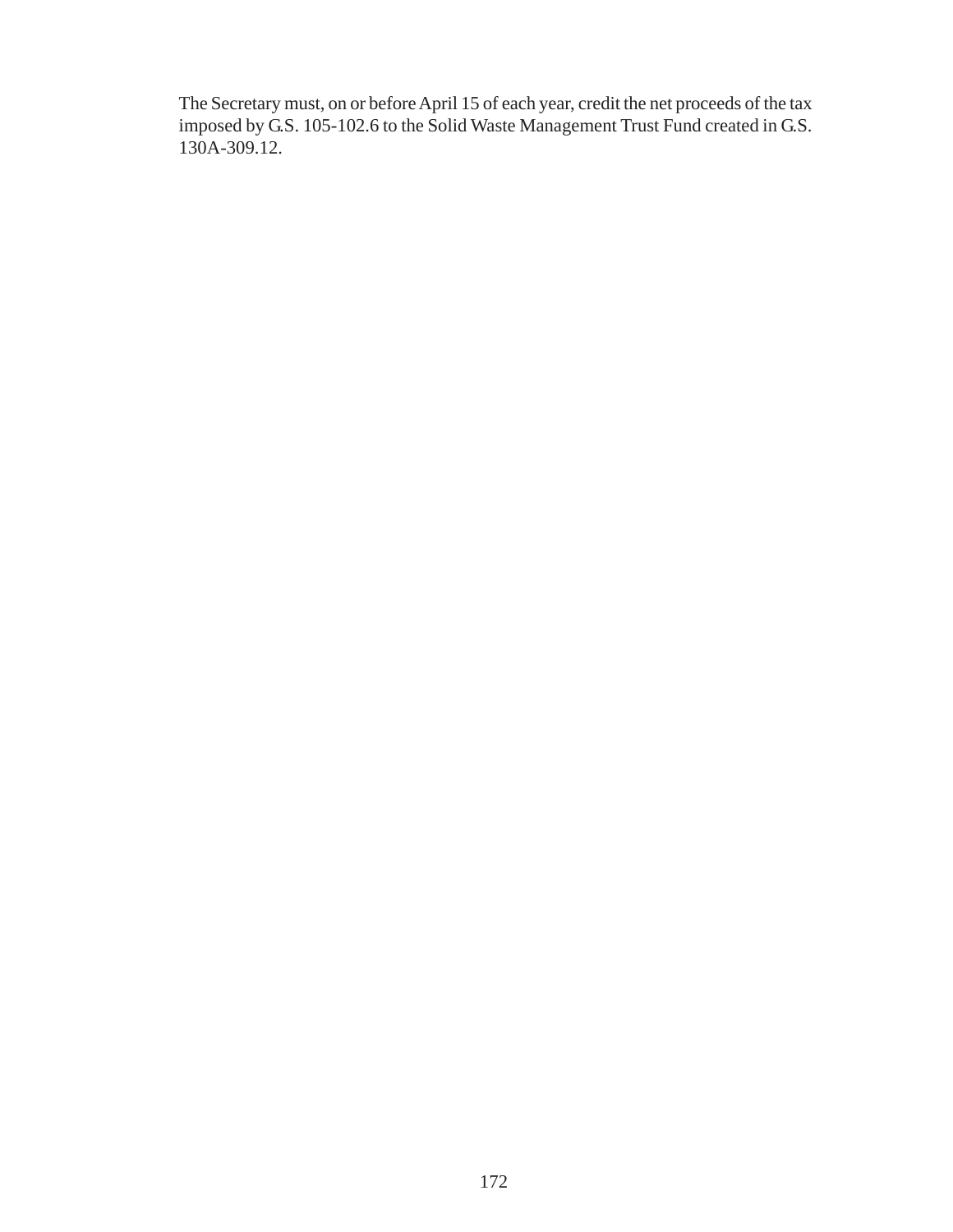The Secretary must, on or before April 15 of each year, credit the net proceeds of the tax imposed by G.S. 105-102.6 to the Solid Waste Management Trust Fund created in G.S. 130A-309.12.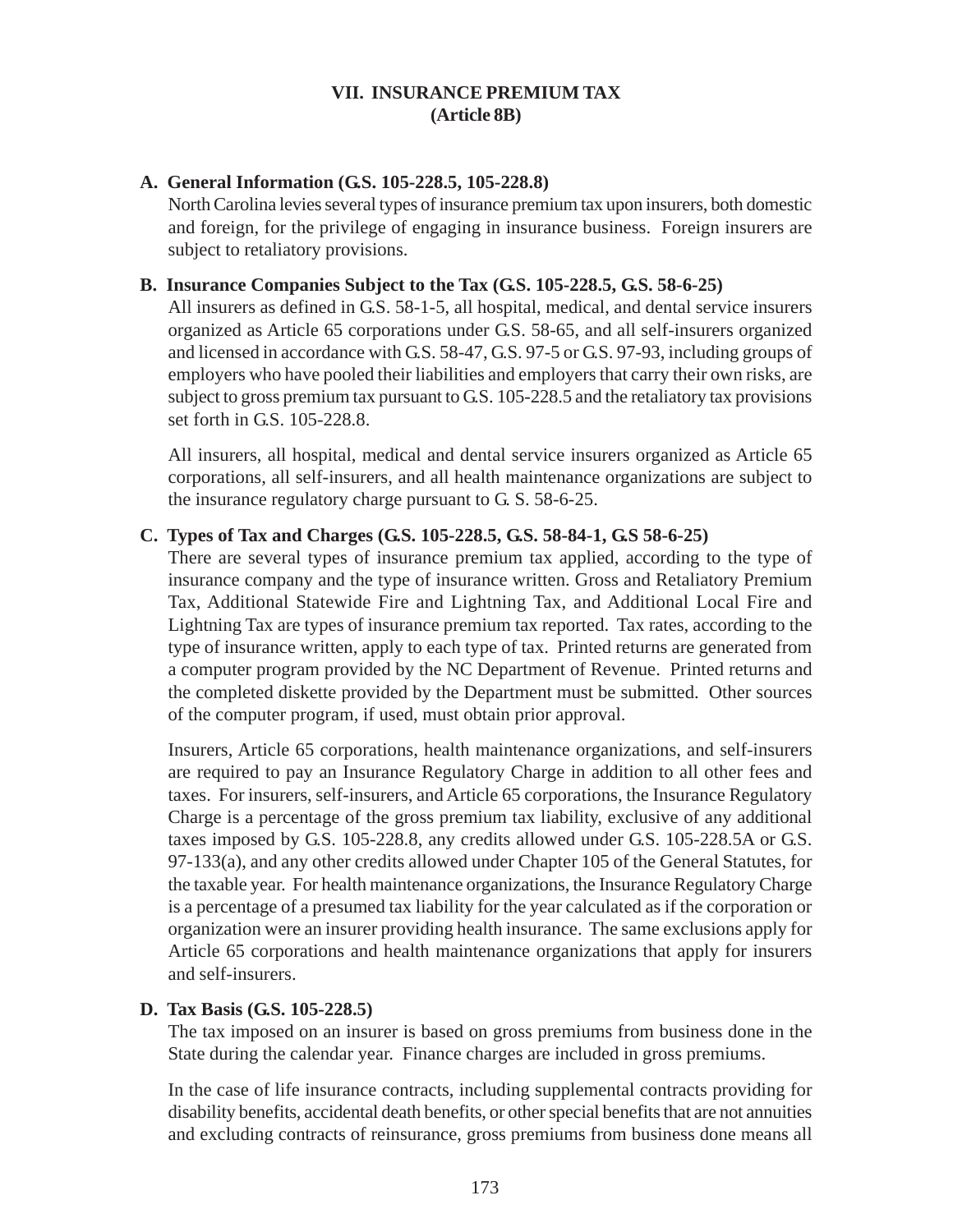## **VII. INSURANCE PREMIUM TAX (Article 8B)**

#### **A. General Information (G.S. 105-228.5, 105-228.8)**

North Carolina levies several types of insurance premium tax upon insurers, both domestic and foreign, for the privilege of engaging in insurance business. Foreign insurers are subject to retaliatory provisions.

#### **B. Insurance Companies Subject to the Tax (G.S. 105-228.5, G.S. 58-6-25)**

All insurers as defined in G.S. 58-1-5, all hospital, medical, and dental service insurers organized as Article 65 corporations under G.S. 58-65, and all self-insurers organized and licensed in accordance with G.S. 58-47, G.S. 97-5 or G.S. 97-93, including groups of employers who have pooled their liabilities and employers that carry their own risks, are subject to gross premium tax pursuant to G.S. 105-228.5 and the retaliatory tax provisions set forth in G.S. 105-228.8.

All insurers, all hospital, medical and dental service insurers organized as Article 65 corporations, all self-insurers, and all health maintenance organizations are subject to the insurance regulatory charge pursuant to G. S. 58-6-25.

#### **C. Types of Tax and Charges (G.S. 105-228.5, G.S. 58-84-1, G.S 58-6-25)**

There are several types of insurance premium tax applied, according to the type of insurance company and the type of insurance written. Gross and Retaliatory Premium Tax, Additional Statewide Fire and Lightning Tax, and Additional Local Fire and Lightning Tax are types of insurance premium tax reported. Tax rates, according to the type of insurance written, apply to each type of tax. Printed returns are generated from a computer program provided by the NC Department of Revenue. Printed returns and the completed diskette provided by the Department must be submitted. Other sources of the computer program, if used, must obtain prior approval.

Insurers, Article 65 corporations, health maintenance organizations, and self-insurers are required to pay an Insurance Regulatory Charge in addition to all other fees and taxes. For insurers, self-insurers, and Article 65 corporations, the Insurance Regulatory Charge is a percentage of the gross premium tax liability, exclusive of any additional taxes imposed by G.S. 105-228.8, any credits allowed under G.S. 105-228.5A or G.S. 97-133(a), and any other credits allowed under Chapter 105 of the General Statutes, for the taxable year. For health maintenance organizations, the Insurance Regulatory Charge is a percentage of a presumed tax liability for the year calculated as if the corporation or organization were an insurer providing health insurance. The same exclusions apply for Article 65 corporations and health maintenance organizations that apply for insurers and self-insurers.

#### **D. Tax Basis (G.S. 105-228.5)**

The tax imposed on an insurer is based on gross premiums from business done in the State during the calendar year. Finance charges are included in gross premiums.

In the case of life insurance contracts, including supplemental contracts providing for disability benefits, accidental death benefits, or other special benefits that are not annuities and excluding contracts of reinsurance, gross premiums from business done means all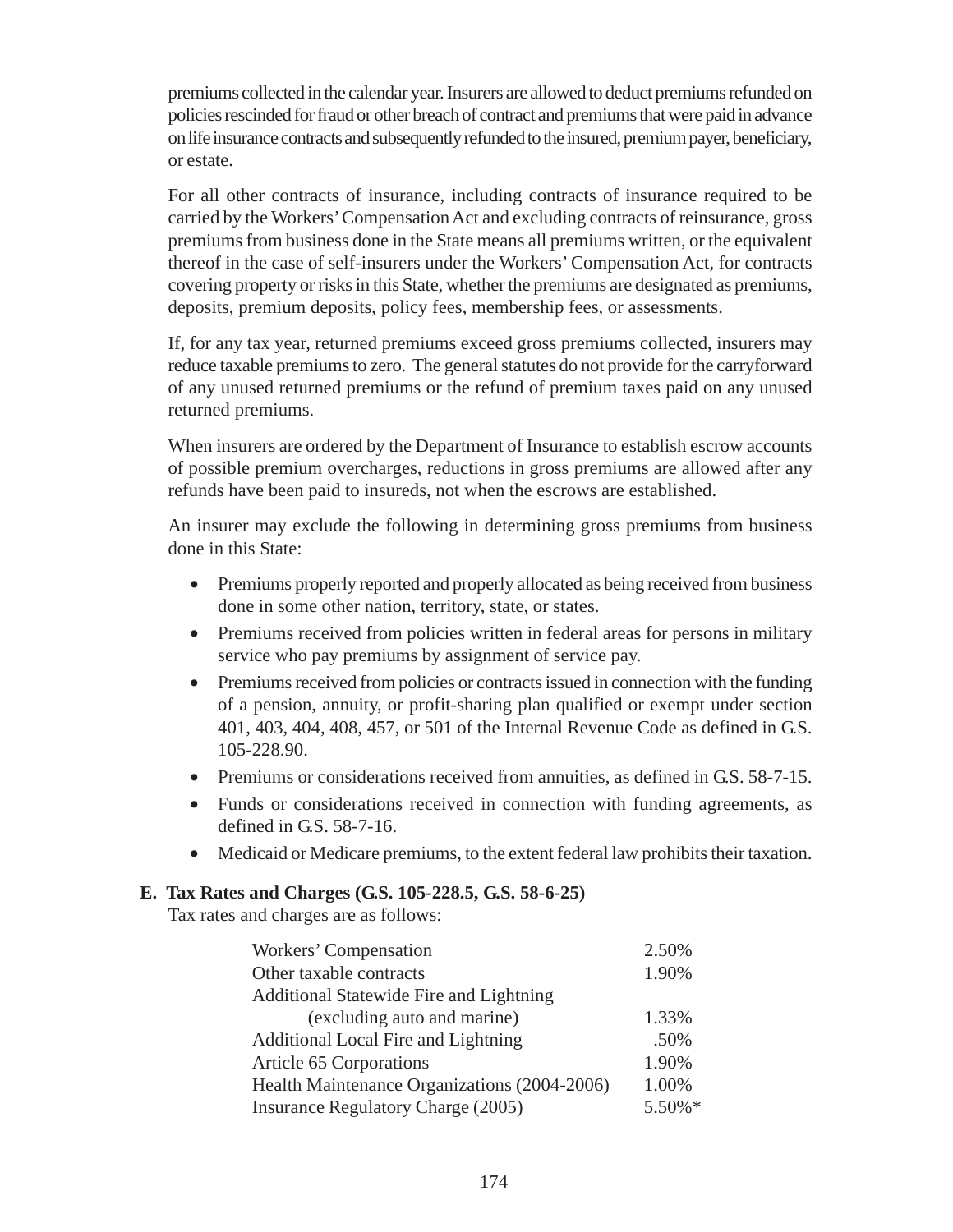premiums collected in the calendar year. Insurers are allowed to deduct premiums refunded on policies rescinded for fraud or other breach of contract and premiums that were paid in advance on life insurance contracts and subsequently refunded to the insured, premium payer, beneficiary, or estate.

For all other contracts of insurance, including contracts of insurance required to be carried by the Workers' Compensation Act and excluding contracts of reinsurance, gross premiums from business done in the State means all premiums written, or the equivalent thereof in the case of self-insurers under the Workers' Compensation Act, for contracts covering property or risks in this State, whether the premiums are designated as premiums, deposits, premium deposits, policy fees, membership fees, or assessments.

If, for any tax year, returned premiums exceed gross premiums collected, insurers may reduce taxable premiums to zero. The general statutes do not provide for the carryforward of any unused returned premiums or the refund of premium taxes paid on any unused returned premiums.

When insurers are ordered by the Department of Insurance to establish escrow accounts of possible premium overcharges, reductions in gross premiums are allowed after any refunds have been paid to insureds, not when the escrows are established.

An insurer may exclude the following in determining gross premiums from business done in this State:

- Premiums properly reported and properly allocated as being received from business done in some other nation, territory, state, or states.
- Premiums received from policies written in federal areas for persons in military service who pay premiums by assignment of service pay.
- Premiums received from policies or contracts issued in connection with the funding of a pension, annuity, or profit-sharing plan qualified or exempt under section 401, 403, 404, 408, 457, or 501 of the Internal Revenue Code as defined in G.S. 105-228.90.
- Premiums or considerations received from annuities, as defined in G.S. 58-7-15.
- Funds or considerations received in connection with funding agreements, as defined in G.S. 58-7-16.
- Medicaid or Medicare premiums, to the extent federal law prohibits their taxation.

## **E. Tax Rates and Charges (G.S. 105-228.5, G.S. 58-6-25)**

Tax rates and charges are as follows:

| Workers' Compensation                        | 2.50%  |
|----------------------------------------------|--------|
| Other taxable contracts                      | 1.90%  |
| Additional Statewide Fire and Lightning      |        |
| (excluding auto and marine)                  | 1.33%  |
| Additional Local Fire and Lightning          | .50%   |
| Article 65 Corporations                      | 1.90%  |
| Health Maintenance Organizations (2004-2006) | 1.00%  |
| <b>Insurance Regulatory Charge (2005)</b>    | 5.50%* |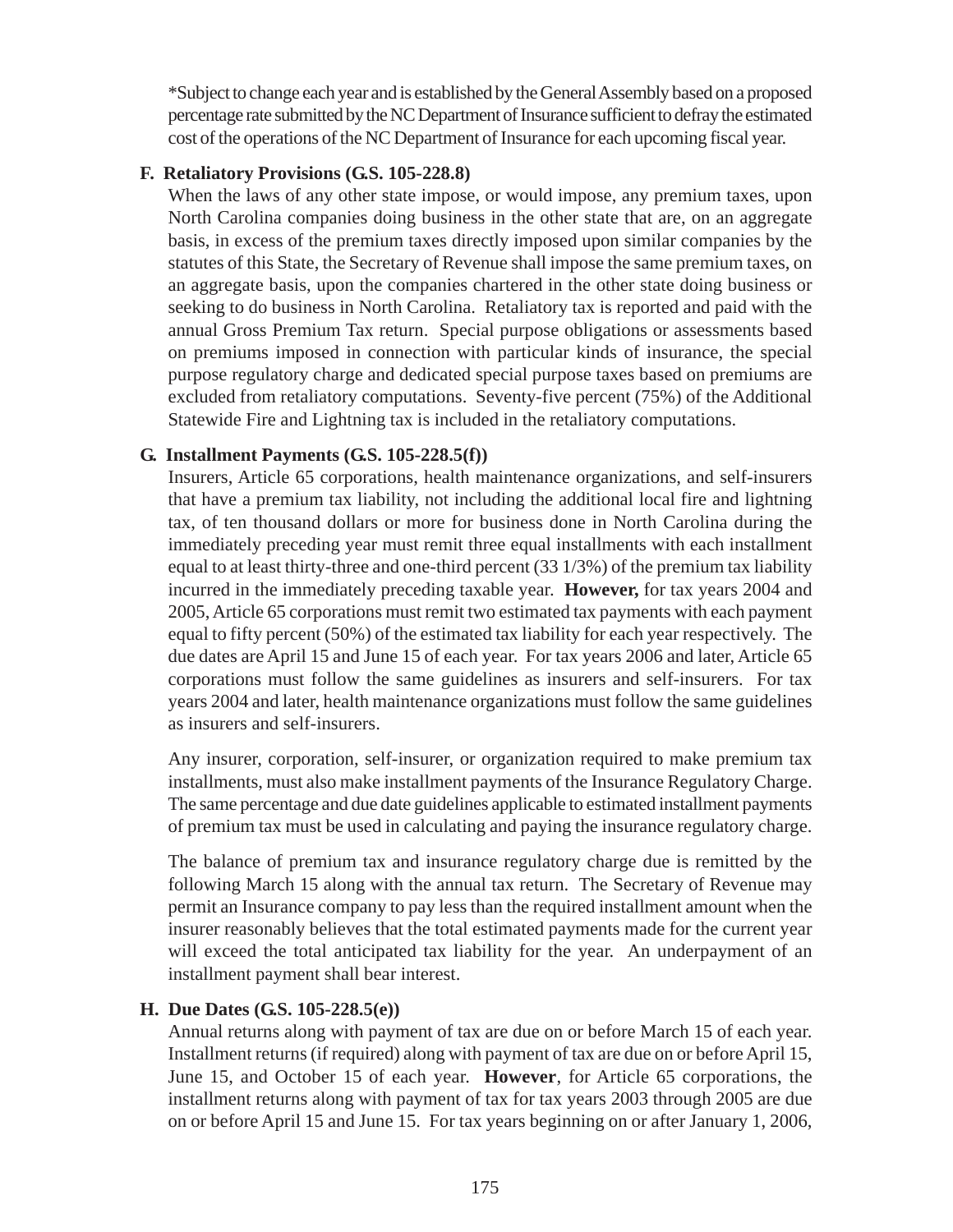\*Subject to change each year and is established by the General Assembly based on a proposed percentage rate submitted by the NC Department of Insurance sufficient to defray the estimated cost of the operations of the NC Department of Insurance for each upcoming fiscal year.

#### **F. Retaliatory Provisions (G.S. 105-228.8)**

When the laws of any other state impose, or would impose, any premium taxes, upon North Carolina companies doing business in the other state that are, on an aggregate basis, in excess of the premium taxes directly imposed upon similar companies by the statutes of this State, the Secretary of Revenue shall impose the same premium taxes, on an aggregate basis, upon the companies chartered in the other state doing business or seeking to do business in North Carolina. Retaliatory tax is reported and paid with the annual Gross Premium Tax return. Special purpose obligations or assessments based on premiums imposed in connection with particular kinds of insurance, the special purpose regulatory charge and dedicated special purpose taxes based on premiums are excluded from retaliatory computations. Seventy-five percent (75%) of the Additional Statewide Fire and Lightning tax is included in the retaliatory computations.

#### **G. Installment Payments (G.S. 105-228.5(f))**

Insurers, Article 65 corporations, health maintenance organizations, and self-insurers that have a premium tax liability, not including the additional local fire and lightning tax, of ten thousand dollars or more for business done in North Carolina during the immediately preceding year must remit three equal installments with each installment equal to at least thirty-three and one-third percent (33 1/3%) of the premium tax liability incurred in the immediately preceding taxable year. **However,** for tax years 2004 and 2005, Article 65 corporations must remit two estimated tax payments with each payment equal to fifty percent (50%) of the estimated tax liability for each year respectively. The due dates are April 15 and June 15 of each year. For tax years 2006 and later, Article 65 corporations must follow the same guidelines as insurers and self-insurers. For tax years 2004 and later, health maintenance organizations must follow the same guidelines as insurers and self-insurers.

Any insurer, corporation, self-insurer, or organization required to make premium tax installments, must also make installment payments of the Insurance Regulatory Charge. The same percentage and due date guidelines applicable to estimated installment payments of premium tax must be used in calculating and paying the insurance regulatory charge.

The balance of premium tax and insurance regulatory charge due is remitted by the following March 15 along with the annual tax return. The Secretary of Revenue may permit an Insurance company to pay less than the required installment amount when the insurer reasonably believes that the total estimated payments made for the current year will exceed the total anticipated tax liability for the year. An underpayment of an installment payment shall bear interest.

## **H. Due Dates (G.S. 105-228.5(e))**

Annual returns along with payment of tax are due on or before March 15 of each year. Installment returns (if required) along with payment of tax are due on or before April 15, June 15, and October 15 of each year. **However**, for Article 65 corporations, the installment returns along with payment of tax for tax years 2003 through 2005 are due on or before April 15 and June 15. For tax years beginning on or after January 1, 2006,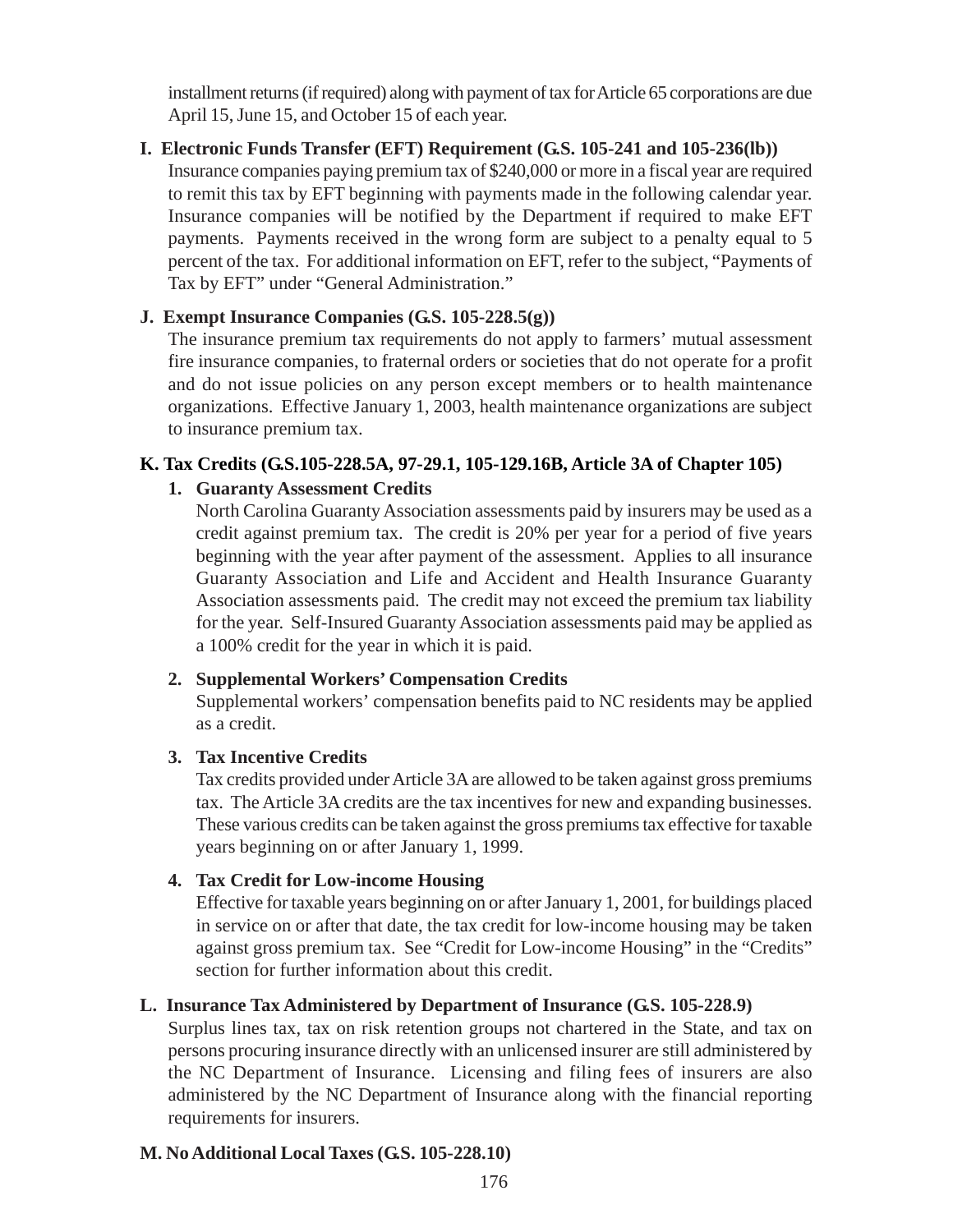installment returns (if required) along with payment of tax for Article 65 corporations are due April 15, June 15, and October 15 of each year.

#### **I. Electronic Funds Transfer (EFT) Requirement (G.S. 105-241 and 105-236(lb))**

Insurance companies paying premium tax of \$240,000 or more in a fiscal year are required to remit this tax by EFT beginning with payments made in the following calendar year. Insurance companies will be notified by the Department if required to make EFT payments. Payments received in the wrong form are subject to a penalty equal to 5 percent of the tax. For additional information on EFT, refer to the subject, "Payments of Tax by EFT" under "General Administration."

#### **J. Exempt Insurance Companies (G.S. 105-228.5(g))**

The insurance premium tax requirements do not apply to farmers' mutual assessment fire insurance companies, to fraternal orders or societies that do not operate for a profit and do not issue policies on any person except members or to health maintenance organizations. Effective January 1, 2003, health maintenance organizations are subject to insurance premium tax.

#### **K. Tax Credits (G.S.105-228.5A, 97-29.1, 105-129.16B, Article 3A of Chapter 105)**

#### **1. Guaranty Assessment Credits**

North Carolina Guaranty Association assessments paid by insurers may be used as a credit against premium tax. The credit is 20% per year for a period of five years beginning with the year after payment of the assessment. Applies to all insurance Guaranty Association and Life and Accident and Health Insurance Guaranty Association assessments paid. The credit may not exceed the premium tax liability for the year. Self-Insured Guaranty Association assessments paid may be applied as a 100% credit for the year in which it is paid.

#### **2. Supplemental Workers' Compensation Credits**

Supplemental workers' compensation benefits paid to NC residents may be applied as a credit.

#### **3. Tax Incentive Credits**

Tax credits provided under Article 3A are allowed to be taken against gross premiums tax. The Article 3A credits are the tax incentives for new and expanding businesses. These various credits can be taken against the gross premiums tax effective for taxable years beginning on or after January 1, 1999.

#### **4. Tax Credit for Low-income Housing**

Effective for taxable years beginning on or after January 1, 2001, for buildings placed in service on or after that date, the tax credit for low-income housing may be taken against gross premium tax. See "Credit for Low-income Housing" in the "Credits" section for further information about this credit.

#### **L. Insurance Tax Administered by Department of Insurance (G.S. 105-228.9)**

Surplus lines tax, tax on risk retention groups not chartered in the State, and tax on persons procuring insurance directly with an unlicensed insurer are still administered by the NC Department of Insurance. Licensing and filing fees of insurers are also administered by the NC Department of Insurance along with the financial reporting requirements for insurers.

#### **M. No Additional Local Taxes (G.S. 105-228.10)**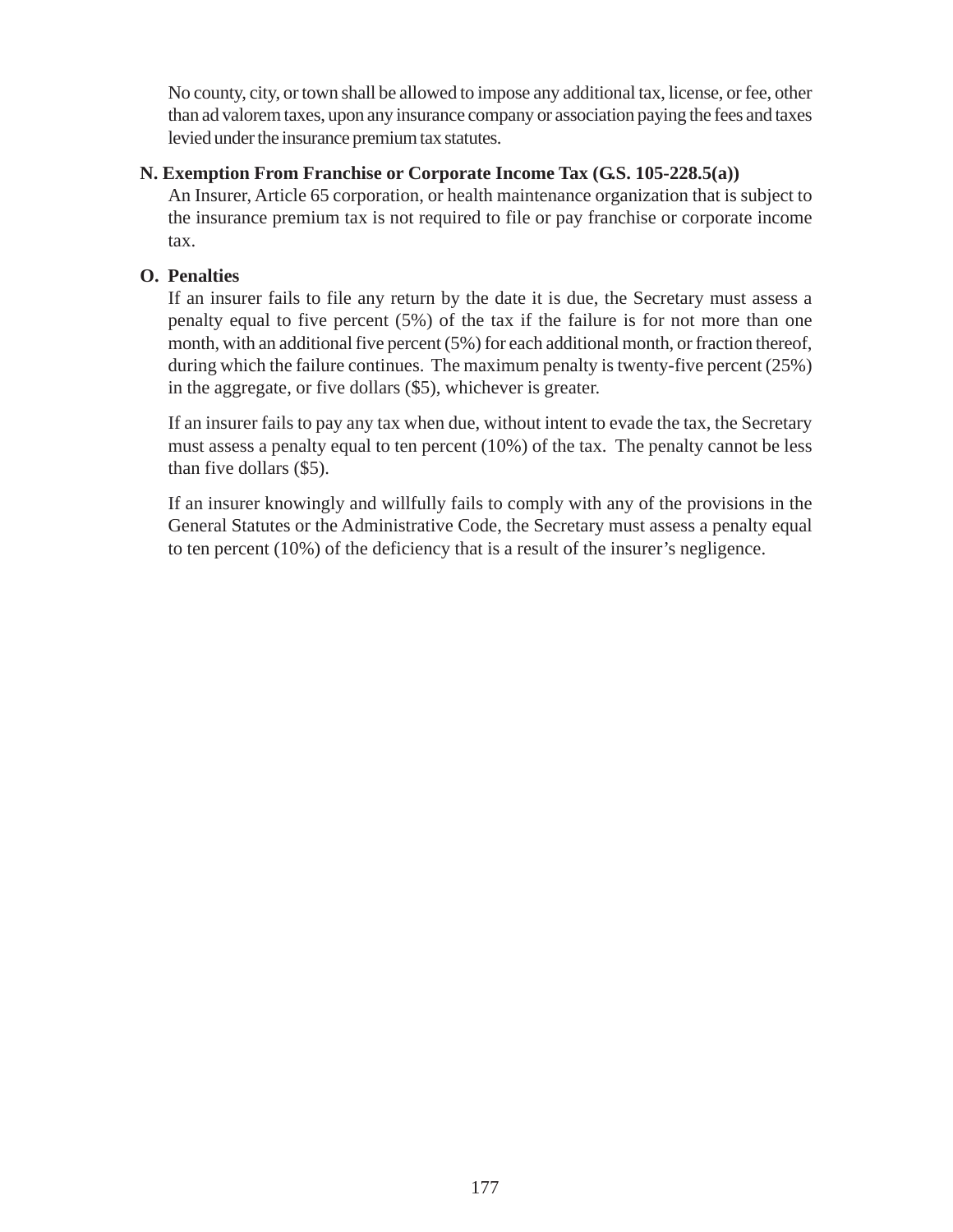No county, city, or town shall be allowed to impose any additional tax, license, or fee, other than ad valorem taxes, upon any insurance company or association paying the fees and taxes levied under the insurance premium tax statutes.

#### **N. Exemption From Franchise or Corporate Income Tax (G.S. 105-228.5(a))**

An Insurer, Article 65 corporation, or health maintenance organization that is subject to the insurance premium tax is not required to file or pay franchise or corporate income tax.

#### **O. Penalties**

If an insurer fails to file any return by the date it is due, the Secretary must assess a penalty equal to five percent (5%) of the tax if the failure is for not more than one month, with an additional five percent (5%) for each additional month, or fraction thereof, during which the failure continues. The maximum penalty is twenty-five percent (25%) in the aggregate, or five dollars (\$5), whichever is greater.

If an insurer fails to pay any tax when due, without intent to evade the tax, the Secretary must assess a penalty equal to ten percent (10%) of the tax. The penalty cannot be less than five dollars (\$5).

If an insurer knowingly and willfully fails to comply with any of the provisions in the General Statutes or the Administrative Code, the Secretary must assess a penalty equal to ten percent (10%) of the deficiency that is a result of the insurer's negligence.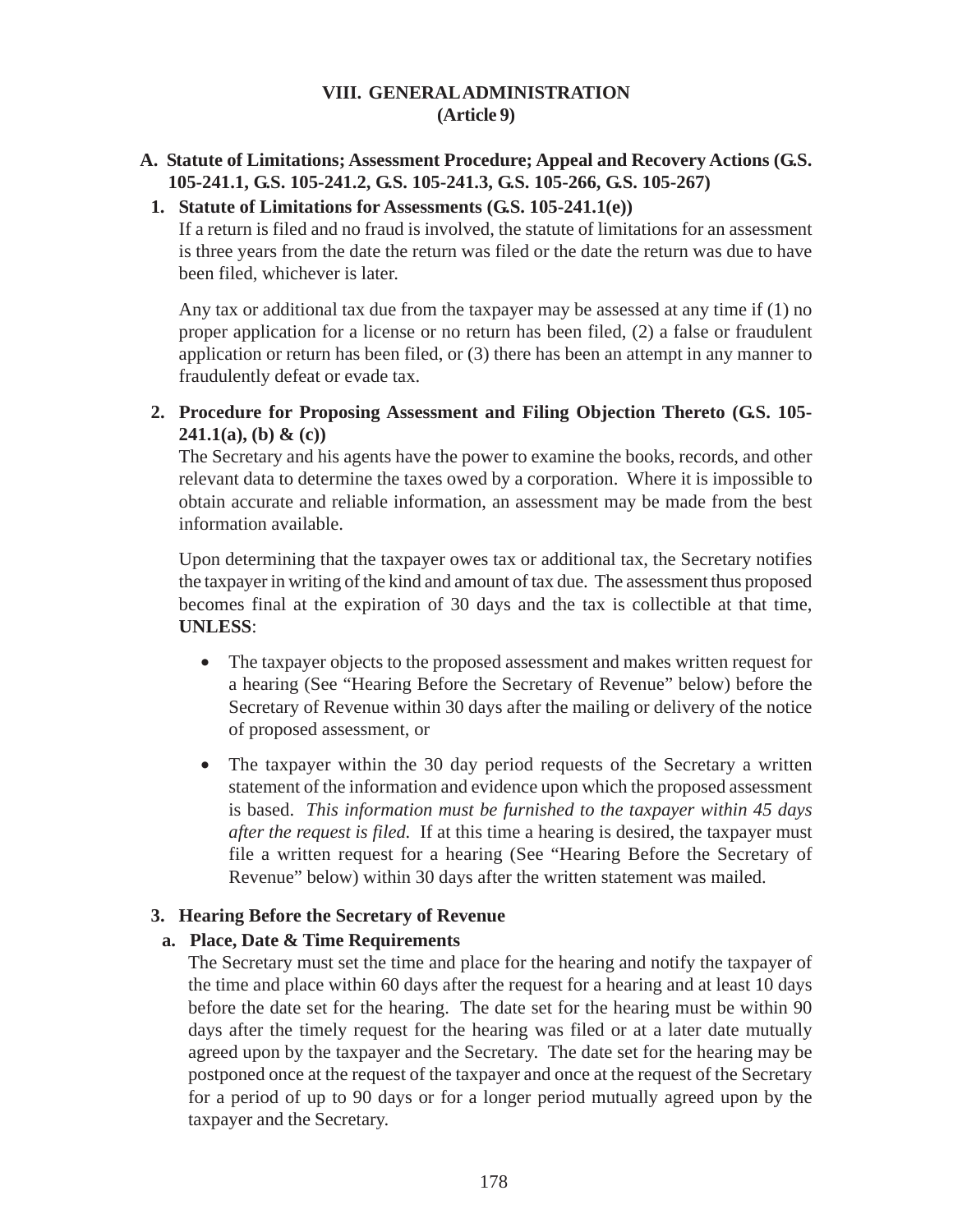#### **VIII. GENERAL ADMINISTRATION (Article 9)**

## **A. Statute of Limitations; Assessment Procedure; Appeal and Recovery Actions (G.S. 105-241.1, G.S. 105-241.2, G.S. 105-241.3, G.S. 105-266, G.S. 105-267)**

#### **1. Statute of Limitations for Assessments (G.S. 105-241.1(e))**

If a return is filed and no fraud is involved, the statute of limitations for an assessment is three years from the date the return was filed or the date the return was due to have been filed, whichever is later.

Any tax or additional tax due from the taxpayer may be assessed at any time if (1) no proper application for a license or no return has been filed, (2) a false or fraudulent application or return has been filed, or (3) there has been an attempt in any manner to fraudulently defeat or evade tax.

**2. Procedure for Proposing Assessment and Filing Objection Thereto (G.S. 105- 241.1(a), (b) & (c))**

The Secretary and his agents have the power to examine the books, records, and other relevant data to determine the taxes owed by a corporation. Where it is impossible to obtain accurate and reliable information, an assessment may be made from the best information available.

Upon determining that the taxpayer owes tax or additional tax, the Secretary notifies the taxpayer in writing of the kind and amount of tax due. The assessment thus proposed becomes final at the expiration of 30 days and the tax is collectible at that time, **UNLESS**:

- The taxpayer objects to the proposed assessment and makes written request for a hearing (See "Hearing Before the Secretary of Revenue" below) before the Secretary of Revenue within 30 days after the mailing or delivery of the notice of proposed assessment, or
- The taxpayer within the 30 day period requests of the Secretary a written statement of the information and evidence upon which the proposed assessment is based. *This information must be furnished to the taxpayer within 45 days after the request is filed.* If at this time a hearing is desired, the taxpayer must file a written request for a hearing (See "Hearing Before the Secretary of Revenue" below) within 30 days after the written statement was mailed.

#### **3. Hearing Before the Secretary of Revenue**

#### **a. Place, Date & Time Requirements**

The Secretary must set the time and place for the hearing and notify the taxpayer of the time and place within 60 days after the request for a hearing and at least 10 days before the date set for the hearing. The date set for the hearing must be within 90 days after the timely request for the hearing was filed or at a later date mutually agreed upon by the taxpayer and the Secretary. The date set for the hearing may be postponed once at the request of the taxpayer and once at the request of the Secretary for a period of up to 90 days or for a longer period mutually agreed upon by the taxpayer and the Secretary.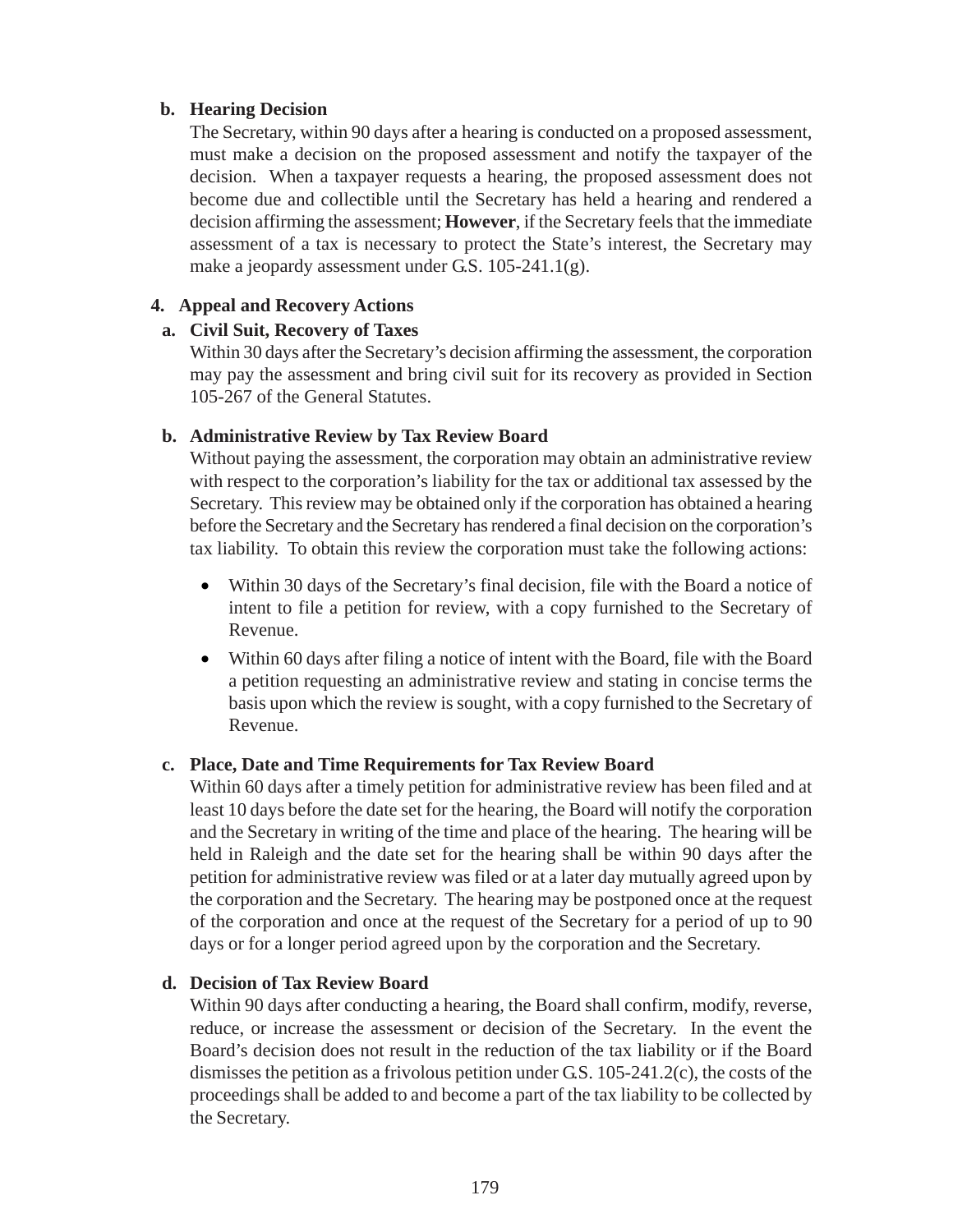#### **b. Hearing Decision**

The Secretary, within 90 days after a hearing is conducted on a proposed assessment, must make a decision on the proposed assessment and notify the taxpayer of the decision. When a taxpayer requests a hearing, the proposed assessment does not become due and collectible until the Secretary has held a hearing and rendered a decision affirming the assessment; **However**, if the Secretary feels that the immediate assessment of a tax is necessary to protect the State's interest, the Secretary may make a jeopardy assessment under G.S. 105-241.1(g).

#### **4. Appeal and Recovery Actions**

#### **a. Civil Suit, Recovery of Taxes**

Within 30 days after the Secretary's decision affirming the assessment, the corporation may pay the assessment and bring civil suit for its recovery as provided in Section 105-267 of the General Statutes.

#### **b. Administrative Review by Tax Review Board**

Without paying the assessment, the corporation may obtain an administrative review with respect to the corporation's liability for the tax or additional tax assessed by the Secretary. This review may be obtained only if the corporation has obtained a hearing before the Secretary and the Secretary has rendered a final decision on the corporation's tax liability. To obtain this review the corporation must take the following actions:

- Within 30 days of the Secretary's final decision, file with the Board a notice of intent to file a petition for review, with a copy furnished to the Secretary of Revenue.
- Within 60 days after filing a notice of intent with the Board, file with the Board a petition requesting an administrative review and stating in concise terms the basis upon which the review is sought, with a copy furnished to the Secretary of Revenue.

#### **c. Place, Date and Time Requirements for Tax Review Board**

Within 60 days after a timely petition for administrative review has been filed and at least 10 days before the date set for the hearing, the Board will notify the corporation and the Secretary in writing of the time and place of the hearing. The hearing will be held in Raleigh and the date set for the hearing shall be within 90 days after the petition for administrative review was filed or at a later day mutually agreed upon by the corporation and the Secretary. The hearing may be postponed once at the request of the corporation and once at the request of the Secretary for a period of up to 90 days or for a longer period agreed upon by the corporation and the Secretary.

#### **d. Decision of Tax Review Board**

Within 90 days after conducting a hearing, the Board shall confirm, modify, reverse, reduce, or increase the assessment or decision of the Secretary. In the event the Board's decision does not result in the reduction of the tax liability or if the Board dismisses the petition as a frivolous petition under G.S. 105-241.2(c), the costs of the proceedings shall be added to and become a part of the tax liability to be collected by the Secretary.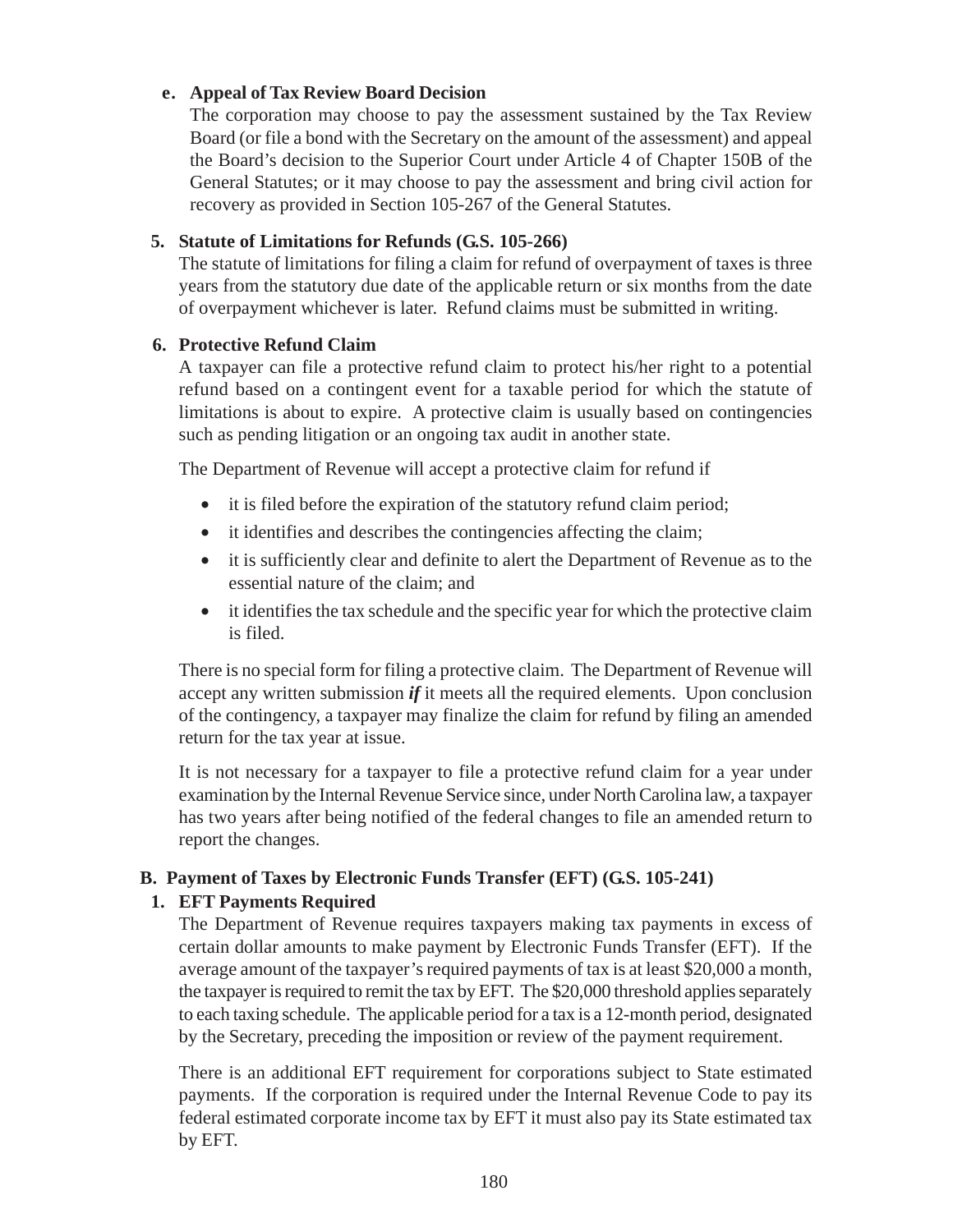#### **e. Appeal of Tax Review Board Decision**

The corporation may choose to pay the assessment sustained by the Tax Review Board (or file a bond with the Secretary on the amount of the assessment) and appeal the Board's decision to the Superior Court under Article 4 of Chapter 150B of the General Statutes; or it may choose to pay the assessment and bring civil action for recovery as provided in Section 105-267 of the General Statutes.

# **5. Statute of Limitations for Refunds (G.S. 105-266)**

The statute of limitations for filing a claim for refund of overpayment of taxes is three years from the statutory due date of the applicable return or six months from the date of overpayment whichever is later. Refund claims must be submitted in writing.

## **6. Protective Refund Claim**

A taxpayer can file a protective refund claim to protect his/her right to a potential refund based on a contingent event for a taxable period for which the statute of limitations is about to expire. A protective claim is usually based on contingencies such as pending litigation or an ongoing tax audit in another state.

The Department of Revenue will accept a protective claim for refund if

- it is filed before the expiration of the statutory refund claim period;
- it identifies and describes the contingencies affecting the claim;
- it is sufficiently clear and definite to alert the Department of Revenue as to the essential nature of the claim; and
- it identifies the tax schedule and the specific year for which the protective claim is filed.

There is no special form for filing a protective claim. The Department of Revenue will accept any written submission *if* it meets all the required elements. Upon conclusion of the contingency, a taxpayer may finalize the claim for refund by filing an amended return for the tax year at issue.

It is not necessary for a taxpayer to file a protective refund claim for a year under examination by the Internal Revenue Service since, under North Carolina law, a taxpayer has two years after being notified of the federal changes to file an amended return to report the changes.

# **B. Payment of Taxes by Electronic Funds Transfer (EFT) (G.S. 105-241)**

# **1. EFT Payments Required**

The Department of Revenue requires taxpayers making tax payments in excess of certain dollar amounts to make payment by Electronic Funds Transfer (EFT). If the average amount of the taxpayer's required payments of tax is at least \$20,000 a month, the taxpayer is required to remit the tax by EFT. The \$20,000 threshold applies separately to each taxing schedule. The applicable period for a tax is a 12-month period, designated by the Secretary, preceding the imposition or review of the payment requirement.

There is an additional EFT requirement for corporations subject to State estimated payments. If the corporation is required under the Internal Revenue Code to pay its federal estimated corporate income tax by EFT it must also pay its State estimated tax by EFT.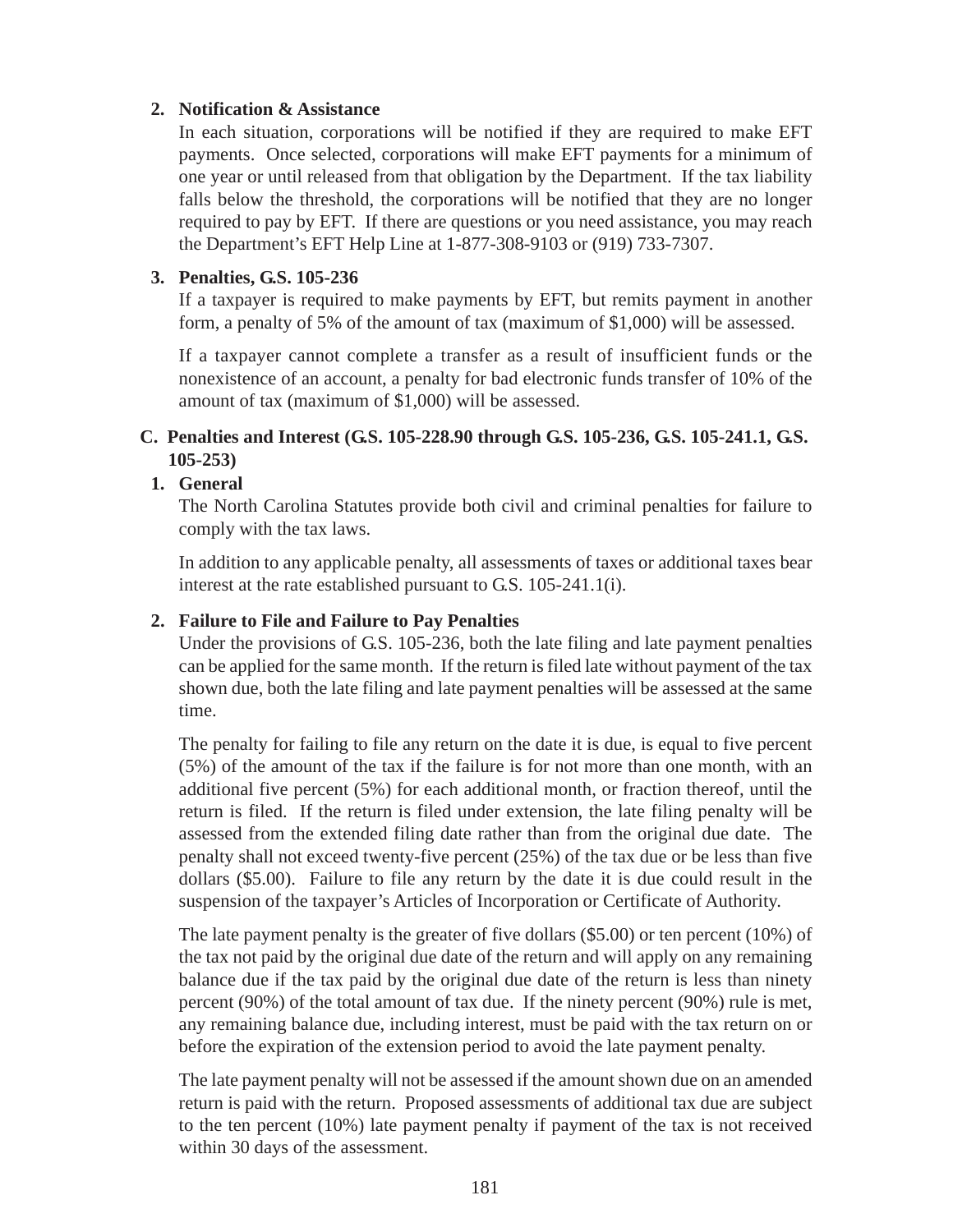#### **2. Notification & Assistance**

In each situation, corporations will be notified if they are required to make EFT payments. Once selected, corporations will make EFT payments for a minimum of one year or until released from that obligation by the Department. If the tax liability falls below the threshold, the corporations will be notified that they are no longer required to pay by EFT. If there are questions or you need assistance, you may reach the Department's EFT Help Line at 1-877-308-9103 or (919) 733-7307.

#### **3. Penalties, G.S. 105-236**

If a taxpayer is required to make payments by EFT, but remits payment in another form, a penalty of 5% of the amount of tax (maximum of \$1,000) will be assessed.

If a taxpayer cannot complete a transfer as a result of insufficient funds or the nonexistence of an account, a penalty for bad electronic funds transfer of 10% of the amount of tax (maximum of \$1,000) will be assessed.

#### **C. Penalties and Interest (G.S. 105-228.90 through G.S. 105-236, G.S. 105-241.1, G.S. 105-253)**

#### **1. General**

The North Carolina Statutes provide both civil and criminal penalties for failure to comply with the tax laws.

In addition to any applicable penalty, all assessments of taxes or additional taxes bear interest at the rate established pursuant to G.S. 105-241.1(i).

#### **2. Failure to File and Failure to Pay Penalties**

Under the provisions of G.S. 105-236, both the late filing and late payment penalties can be applied for the same month. If the return is filed late without payment of the tax shown due, both the late filing and late payment penalties will be assessed at the same time.

The penalty for failing to file any return on the date it is due, is equal to five percent (5%) of the amount of the tax if the failure is for not more than one month, with an additional five percent (5%) for each additional month, or fraction thereof, until the return is filed. If the return is filed under extension, the late filing penalty will be assessed from the extended filing date rather than from the original due date. The penalty shall not exceed twenty-five percent (25%) of the tax due or be less than five dollars (\$5.00). Failure to file any return by the date it is due could result in the suspension of the taxpayer's Articles of Incorporation or Certificate of Authority.

The late payment penalty is the greater of five dollars (\$5.00) or ten percent (10%) of the tax not paid by the original due date of the return and will apply on any remaining balance due if the tax paid by the original due date of the return is less than ninety percent (90%) of the total amount of tax due. If the ninety percent (90%) rule is met, any remaining balance due, including interest, must be paid with the tax return on or before the expiration of the extension period to avoid the late payment penalty.

The late payment penalty will not be assessed if the amount shown due on an amended return is paid with the return. Proposed assessments of additional tax due are subject to the ten percent (10%) late payment penalty if payment of the tax is not received within 30 days of the assessment.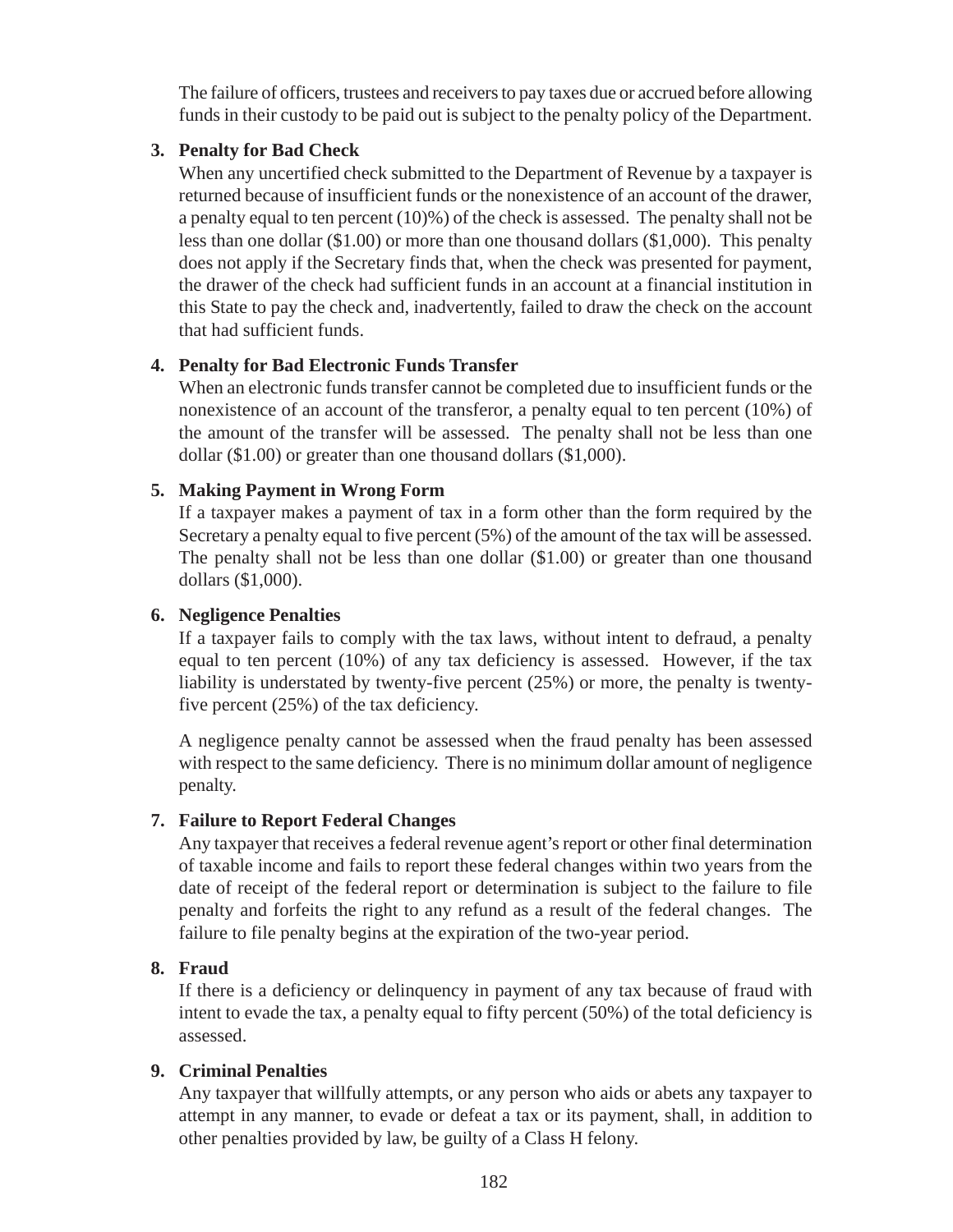The failure of officers, trustees and receivers to pay taxes due or accrued before allowing funds in their custody to be paid out is subject to the penalty policy of the Department.

#### **3. Penalty for Bad Check**

When any uncertified check submitted to the Department of Revenue by a taxpayer is returned because of insufficient funds or the nonexistence of an account of the drawer, a penalty equal to ten percent (10)%) of the check is assessed. The penalty shall not be less than one dollar (\$1.00) or more than one thousand dollars (\$1,000). This penalty does not apply if the Secretary finds that, when the check was presented for payment, the drawer of the check had sufficient funds in an account at a financial institution in this State to pay the check and, inadvertently, failed to draw the check on the account that had sufficient funds.

## **4. Penalty for Bad Electronic Funds Transfer**

When an electronic funds transfer cannot be completed due to insufficient funds or the nonexistence of an account of the transferor, a penalty equal to ten percent (10%) of the amount of the transfer will be assessed. The penalty shall not be less than one dollar (\$1.00) or greater than one thousand dollars (\$1,000).

#### **5. Making Payment in Wrong Form**

If a taxpayer makes a payment of tax in a form other than the form required by the Secretary a penalty equal to five percent (5%) of the amount of the tax will be assessed. The penalty shall not be less than one dollar (\$1.00) or greater than one thousand dollars (\$1,000).

#### **6. Negligence Penalties**

If a taxpayer fails to comply with the tax laws, without intent to defraud, a penalty equal to ten percent (10%) of any tax deficiency is assessed. However, if the tax liability is understated by twenty-five percent (25%) or more, the penalty is twentyfive percent (25%) of the tax deficiency.

A negligence penalty cannot be assessed when the fraud penalty has been assessed with respect to the same deficiency. There is no minimum dollar amount of negligence penalty.

#### **7. Failure to Report Federal Changes**

Any taxpayer that receives a federal revenue agent's report or other final determination of taxable income and fails to report these federal changes within two years from the date of receipt of the federal report or determination is subject to the failure to file penalty and forfeits the right to any refund as a result of the federal changes. The failure to file penalty begins at the expiration of the two-year period.

#### **8. Fraud**

If there is a deficiency or delinquency in payment of any tax because of fraud with intent to evade the tax, a penalty equal to fifty percent (50%) of the total deficiency is assessed.

#### **9. Criminal Penalties**

Any taxpayer that willfully attempts, or any person who aids or abets any taxpayer to attempt in any manner, to evade or defeat a tax or its payment, shall, in addition to other penalties provided by law, be guilty of a Class H felony.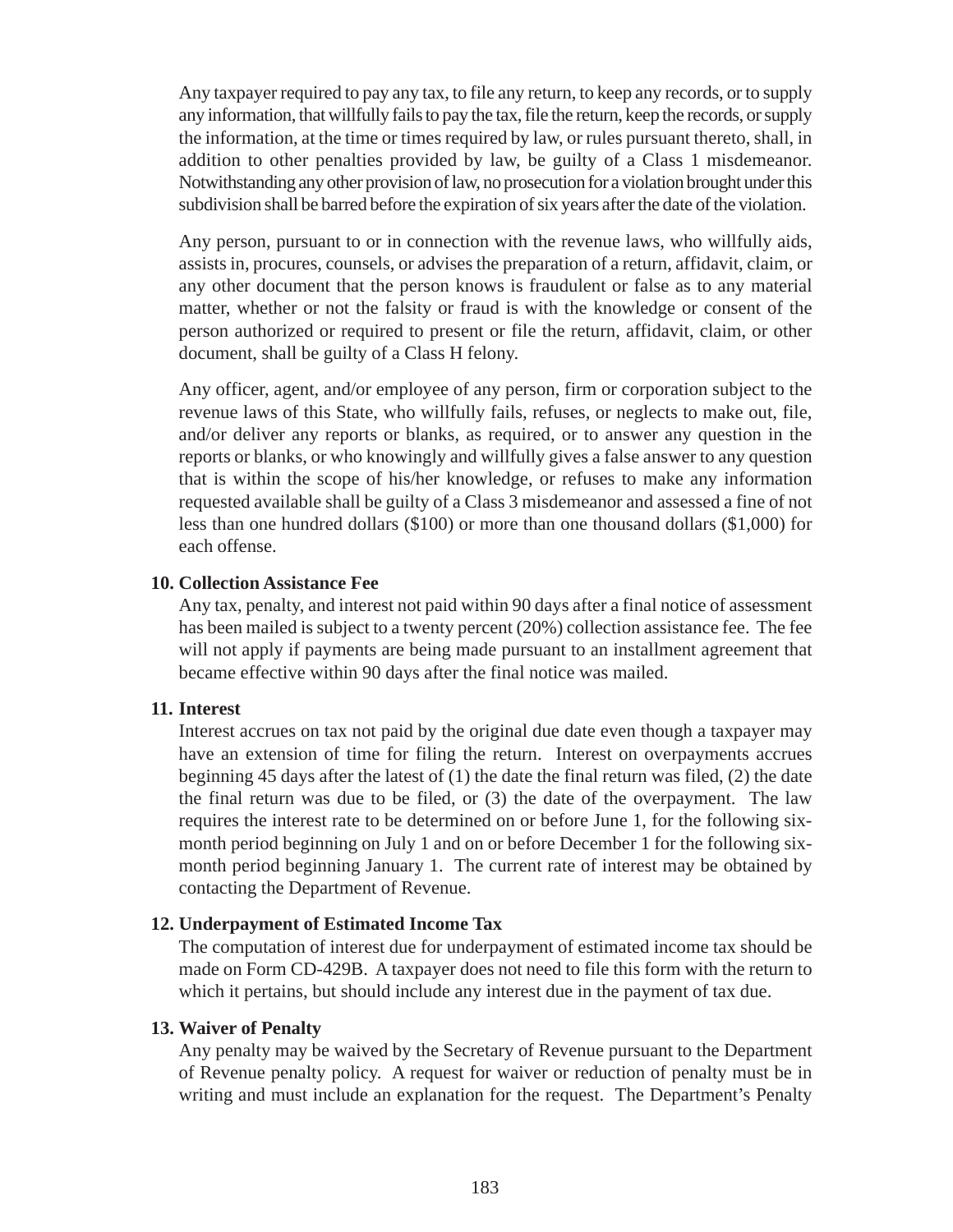Any taxpayer required to pay any tax, to file any return, to keep any records, or to supply any information, that willfully fails to pay the tax, file the return, keep the records, or supply the information, at the time or times required by law, or rules pursuant thereto, shall, in addition to other penalties provided by law, be guilty of a Class 1 misdemeanor. Notwithstanding any other provision of law, no prosecution for a violation brought under this subdivision shall be barred before the expiration of six years after the date of the violation.

Any person, pursuant to or in connection with the revenue laws, who willfully aids, assists in, procures, counsels, or advises the preparation of a return, affidavit, claim, or any other document that the person knows is fraudulent or false as to any material matter, whether or not the falsity or fraud is with the knowledge or consent of the person authorized or required to present or file the return, affidavit, claim, or other document, shall be guilty of a Class H felony.

Any officer, agent, and/or employee of any person, firm or corporation subject to the revenue laws of this State, who willfully fails, refuses, or neglects to make out, file, and/or deliver any reports or blanks, as required, or to answer any question in the reports or blanks, or who knowingly and willfully gives a false answer to any question that is within the scope of his/her knowledge, or refuses to make any information requested available shall be guilty of a Class 3 misdemeanor and assessed a fine of not less than one hundred dollars (\$100) or more than one thousand dollars (\$1,000) for each offense.

#### **10. Collection Assistance Fee**

Any tax, penalty, and interest not paid within 90 days after a final notice of assessment has been mailed is subject to a twenty percent (20%) collection assistance fee. The fee will not apply if payments are being made pursuant to an installment agreement that became effective within 90 days after the final notice was mailed.

#### **11. Interest**

Interest accrues on tax not paid by the original due date even though a taxpayer may have an extension of time for filing the return. Interest on overpayments accrues beginning 45 days after the latest of (1) the date the final return was filed, (2) the date the final return was due to be filed, or (3) the date of the overpayment. The law requires the interest rate to be determined on or before June 1, for the following sixmonth period beginning on July 1 and on or before December 1 for the following sixmonth period beginning January 1. The current rate of interest may be obtained by contacting the Department of Revenue.

#### **12. Underpayment of Estimated Income Tax**

The computation of interest due for underpayment of estimated income tax should be made on Form CD-429B. A taxpayer does not need to file this form with the return to which it pertains, but should include any interest due in the payment of tax due.

#### **13. Waiver of Penalty**

Any penalty may be waived by the Secretary of Revenue pursuant to the Department of Revenue penalty policy. A request for waiver or reduction of penalty must be in writing and must include an explanation for the request. The Department's Penalty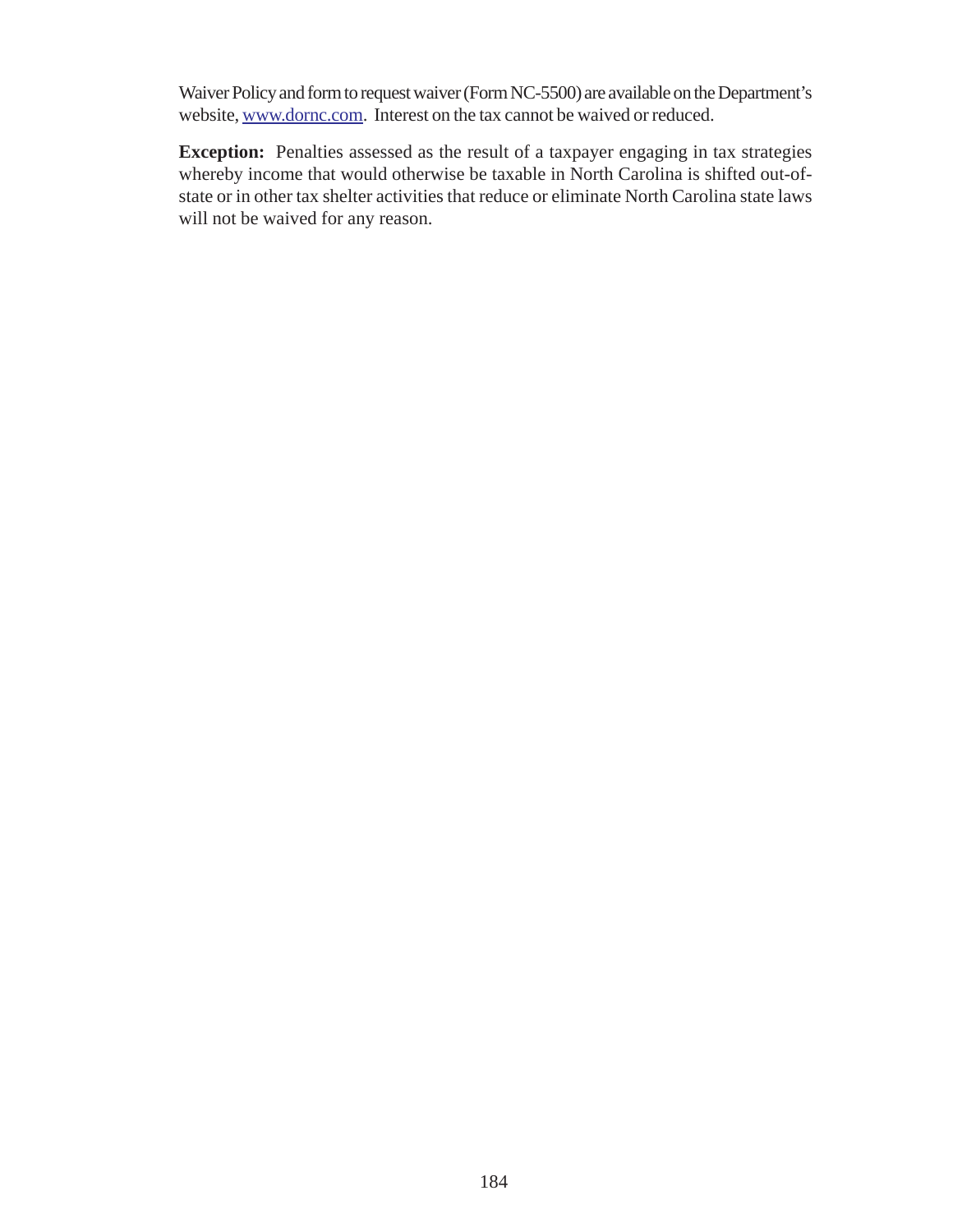Waiver Policy and form to request waiver (Form NC-5500) are available on the Department's website, www.dornc.com. Interest on the tax cannot be waived or reduced.

**Exception:** Penalties assessed as the result of a taxpayer engaging in tax strategies whereby income that would otherwise be taxable in North Carolina is shifted out-ofstate or in other tax shelter activities that reduce or eliminate North Carolina state laws will not be waived for any reason.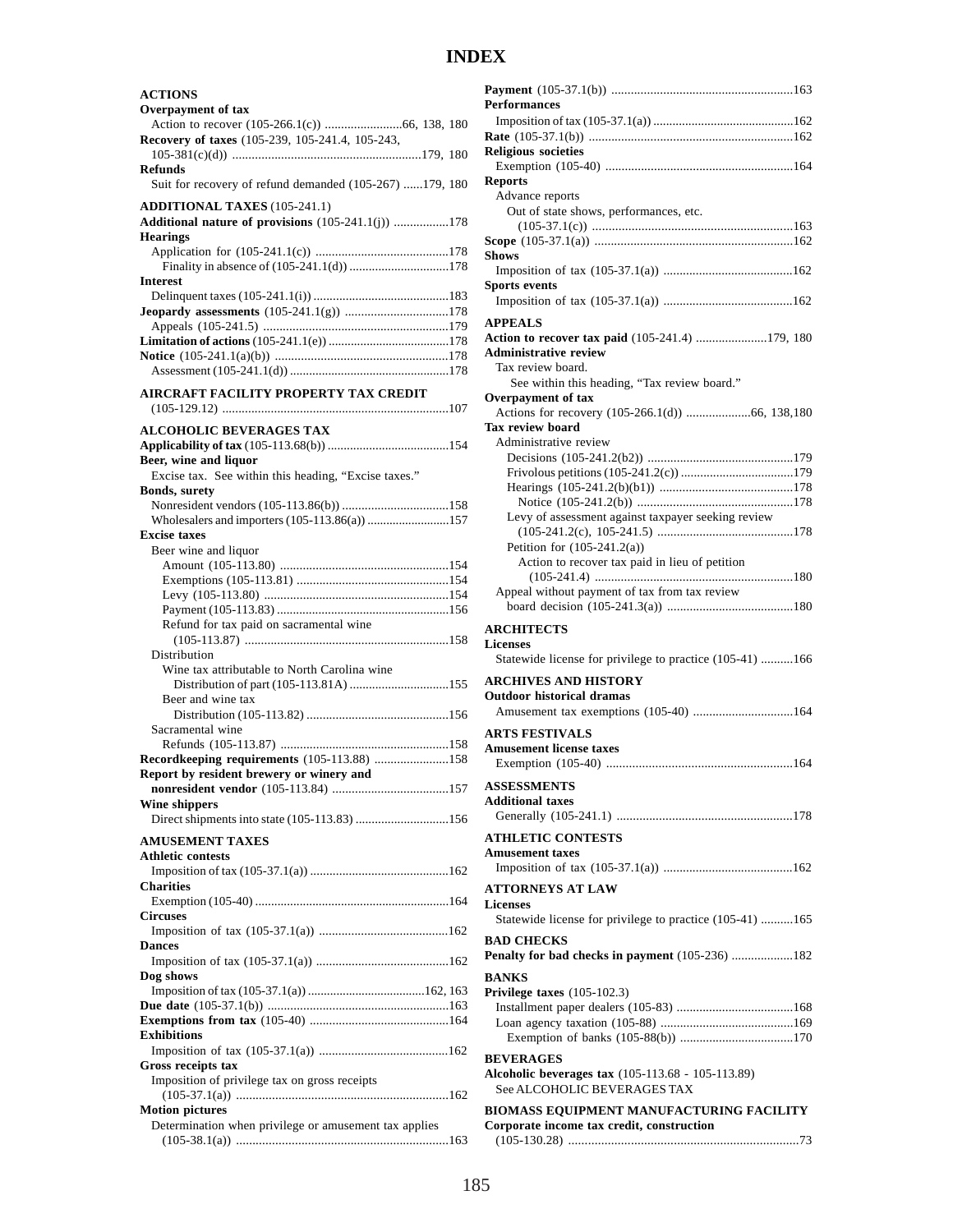# **INDEX**

| <b>ACTIONS</b><br>Overpayment of tax                                      |
|---------------------------------------------------------------------------|
|                                                                           |
| Recovery of taxes (105-239, 105-241.4, 105-243,                           |
| <b>Refunds</b><br>Suit for recovery of refund demanded (105-267) 179, 180 |
| <b>ADDITIONAL TAXES</b> (105-241.1)                                       |
| Additional nature of provisions (105-241.1(j)) 178<br><b>Hearings</b>     |
| <b>Interest</b>                                                           |
|                                                                           |
| <b>Jeopardy assessments</b> (105-241.1(g)) 178                            |
|                                                                           |
|                                                                           |
|                                                                           |
| AIRCRAFT FACILITY PROPERTY TAX CREDIT                                     |
| <b>ALCOHOLIC BEVERAGES TAX</b>                                            |
| Beer, wine and liquor                                                     |
| Excise tax. See within this heading, "Excise taxes."                      |
| <b>Bonds, surety</b>                                                      |
| Wholesalers and importers (105-113.86(a)) 157                             |
| <b>Excise taxes</b>                                                       |
| Beer wine and liquor                                                      |
|                                                                           |
|                                                                           |
|                                                                           |
| Refund for tax paid on sacramental wine                                   |
| Distribution                                                              |
| Wine tax attributable to North Carolina wine                              |
|                                                                           |
| Beer and wine tax                                                         |
| Sacramental wine                                                          |
|                                                                           |
| Recordkeeping requirements (105-113.88) 158                               |
| Report by resident brewery or winery and                                  |
| Wine shippers                                                             |
| Direct shipments into state (105-113.83) 156                              |
| <b>AMUSEMENT TAXES</b><br><b>Athletic contests</b>                        |
|                                                                           |
| <b>Charities</b>                                                          |
| <b>Circuses</b>                                                           |
|                                                                           |
| <b>Dances</b>                                                             |
| Dog shows                                                                 |
|                                                                           |
|                                                                           |
| <b>Exhibitions</b>                                                        |
|                                                                           |
| Gross receipts tax<br>Imposition of privilege tax on gross receipts       |
|                                                                           |
| <b>Motion pictures</b>                                                    |
| Determination when privilege or amusement tax applies                     |
|                                                                           |

| <b>Performances</b>                                                                                                                 |
|-------------------------------------------------------------------------------------------------------------------------------------|
|                                                                                                                                     |
| <b>Religious societies</b>                                                                                                          |
|                                                                                                                                     |
| <b>Reports</b>                                                                                                                      |
| Advance reports<br>Out of state shows, performances, etc.                                                                           |
|                                                                                                                                     |
| Shows                                                                                                                               |
|                                                                                                                                     |
| <b>Sports events</b>                                                                                                                |
| APPEALS                                                                                                                             |
| Action to recover tax paid (105-241.4) 179, 180<br><b>Administrative review</b>                                                     |
| Tax review board.                                                                                                                   |
| See within this heading, "Tax review board."                                                                                        |
| Overpayment of tax                                                                                                                  |
| <b>Tax review board</b>                                                                                                             |
| Administrative review                                                                                                               |
|                                                                                                                                     |
|                                                                                                                                     |
|                                                                                                                                     |
|                                                                                                                                     |
| Levy of assessment against taxpayer seeking review                                                                                  |
|                                                                                                                                     |
| Petition for $(105-241.2(a))$                                                                                                       |
| Action to recover tax paid in lieu of petition                                                                                      |
|                                                                                                                                     |
| Appeal without payment of tax from tax review                                                                                       |
| <b>ARCHITECTS</b>                                                                                                                   |
| <b>Licenses</b>                                                                                                                     |
| Statewide license for privilege to practice (105-41) 166                                                                            |
|                                                                                                                                     |
| ARCHIVES AND HISTORY                                                                                                                |
|                                                                                                                                     |
| <b>Outdoor historical dramas</b><br>Amusement tax exemptions (105-40) 164                                                           |
|                                                                                                                                     |
| <b>ARTS FESTIVALS</b>                                                                                                               |
| <b>Amusement license taxes</b>                                                                                                      |
|                                                                                                                                     |
| <b>ASSESSMENTS</b>                                                                                                                  |
| <b>Additional taxes</b>                                                                                                             |
|                                                                                                                                     |
| <b>ATHLETIC CONTESTS</b>                                                                                                            |
| <b>Amusement taxes</b>                                                                                                              |
|                                                                                                                                     |
| <b>ATTORNEYS AT LAW</b>                                                                                                             |
| <b>Licenses</b>                                                                                                                     |
| Statewide license for privilege to practice (105-41) 165                                                                            |
| <b>BAD CHECKS</b>                                                                                                                   |
|                                                                                                                                     |
|                                                                                                                                     |
|                                                                                                                                     |
| Penalty for bad checks in payment (105-236) 182<br><b>BANKS</b><br>Privilege taxes $(105-102.3)$                                    |
|                                                                                                                                     |
|                                                                                                                                     |
|                                                                                                                                     |
| <b>BEVERAGES</b>                                                                                                                    |
|                                                                                                                                     |
| Alcoholic beverages tax (105-113.68 - 105-113.89)<br>See ALCOHOLIC BEVERAGES TAX<br><b>BIOMASS EQUIPMENT MANUFACTURING FACILITY</b> |

(105-130.28) ......................................................................73

| 185 |  |  |
|-----|--|--|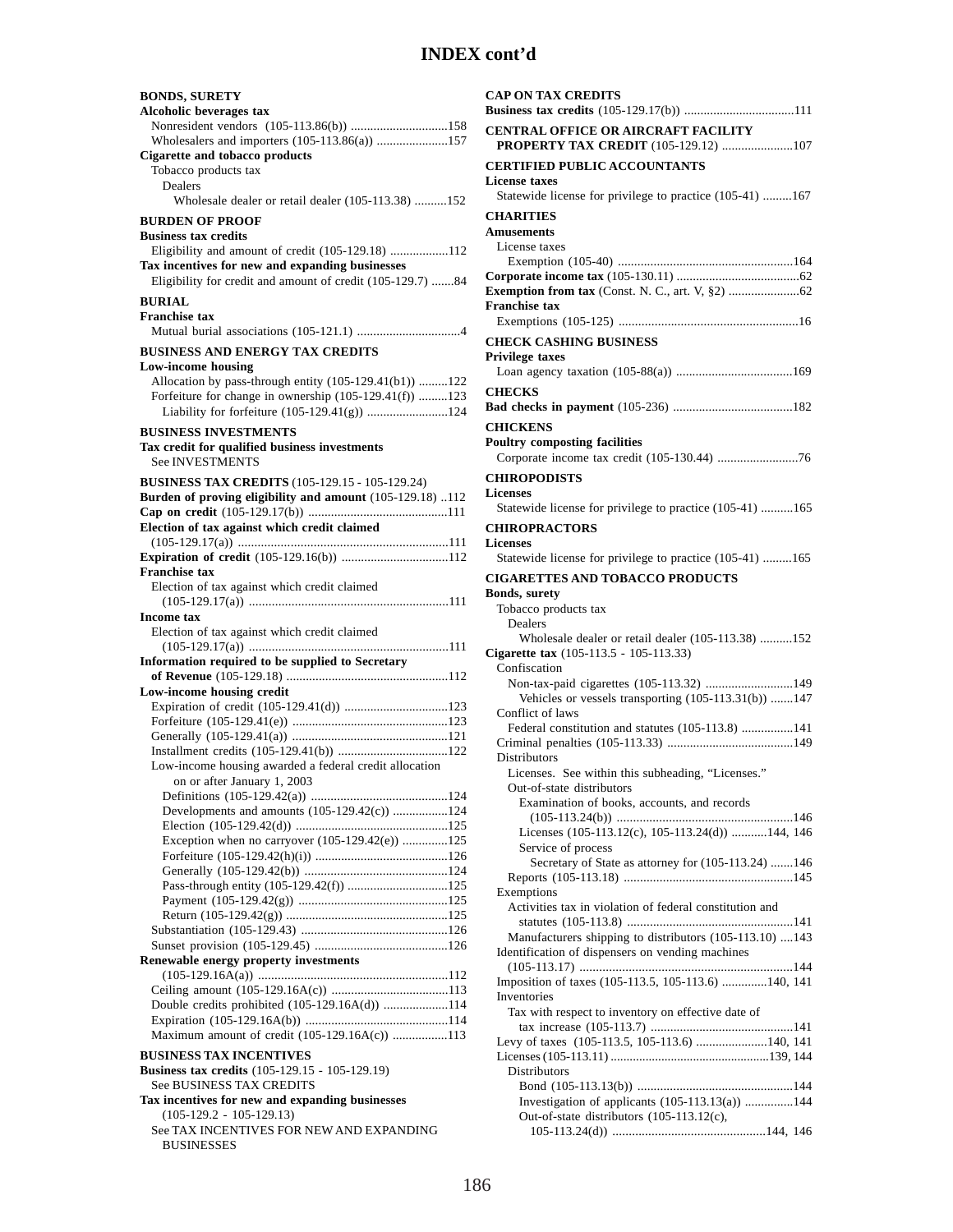| <b>BONDS, SURETY</b><br><b>Alcoholic beverages tax</b>                                                                                                             |
|--------------------------------------------------------------------------------------------------------------------------------------------------------------------|
| Nonresident vendors (105-113.86(b)) 158<br>Wholesalers and importers (105-113.86(a)) 157                                                                           |
| <b>Cigarette and tobacco products</b><br>Tobacco products tax<br>Dealers                                                                                           |
| Wholesale dealer or retail dealer (105-113.38) 152                                                                                                                 |
| <b>BURDEN OF PROOF</b><br><b>Business tax credits</b>                                                                                                              |
| Eligibility and amount of credit (105-129.18) 112<br>Tax incentives for new and expanding businesses<br>Eligibility for credit and amount of credit (105-129.7) 84 |
| <b>BURIAL</b>                                                                                                                                                      |
| <b>Franchise tax</b>                                                                                                                                               |
| <b>BUSINESS AND ENERGY TAX CREDITS</b>                                                                                                                             |
| <b>Low-income housing</b>                                                                                                                                          |
| Allocation by pass-through entity (105-129.41(b1)) 122<br>Forfeiture for change in ownership $(105-129.41(f))$ 123<br>Liability for forfeiture (105-129.41(g)) 124 |
| <b>BUSINESS INVESTMENTS</b>                                                                                                                                        |
| Tax credit for qualified business investments<br><b>See INVESTMENTS</b>                                                                                            |
| <b>BUSINESS TAX CREDITS</b> (105-129.15 - 105-129.24)                                                                                                              |
| Burden of proving eligibility and amount (105-129.18) 112                                                                                                          |
| Election of tax against which credit claimed                                                                                                                       |
| Expiration of credit (105-129.16(b)) 112<br><b>Franchise tax</b>                                                                                                   |
| Election of tax against which credit claimed                                                                                                                       |
| <b>Income</b> tax                                                                                                                                                  |
|                                                                                                                                                                    |
| Election of tax against which credit claimed                                                                                                                       |
|                                                                                                                                                                    |
| Information required to be supplied to Secretary                                                                                                                   |
| Low-income housing credit                                                                                                                                          |
| Expiration of credit (105-129.41(d)) 123                                                                                                                           |
|                                                                                                                                                                    |
|                                                                                                                                                                    |
| Low-income housing awarded a federal credit allocation<br>on or after January 1, 2003                                                                              |
| Developments and amounts (105-129.42(c)) 124                                                                                                                       |
|                                                                                                                                                                    |
| Exception when no carryover $(105-129.42(e))$ 125                                                                                                                  |
|                                                                                                                                                                    |
|                                                                                                                                                                    |
| Pass-through entity (105-129.42(f)) 125                                                                                                                            |
|                                                                                                                                                                    |
|                                                                                                                                                                    |
| Renewable energy property investments                                                                                                                              |
|                                                                                                                                                                    |
| Double credits prohibited (105-129.16A(d)) 114                                                                                                                     |
|                                                                                                                                                                    |
| Maximum amount of credit (105-129.16A(c)) 113                                                                                                                      |
| <b>BUSINESS TAX INCENTIVES</b><br><b>Business tax credits</b> (105-129.15 - 105-129.19)                                                                            |
| <b>See BUSINESS TAX CREDITS</b>                                                                                                                                    |
| Tax incentives for new and expanding businesses                                                                                                                    |
| $(105-129.2 - 105-129.13)$<br>See TAX INCENTIVES FOR NEW AND EXPANDING                                                                                             |

| <b>CAP ON TAX CREDITS</b>                                                        |
|----------------------------------------------------------------------------------|
| CENTRAL OFFICE OR AIRCRAFT FACILITY<br>PROPERTY TAX CREDIT (105-129.12) 107      |
| <b>CERTIFIED PUBLIC ACCOUNTANTS</b>                                              |
| <b>License</b> taxes<br>Statewide license for privilege to practice (105-41) 167 |
| <b>CHARITIES</b>                                                                 |
| <b>Amusements</b>                                                                |
| License taxes                                                                    |
|                                                                                  |
|                                                                                  |
| <b>Franchise tax</b>                                                             |
|                                                                                  |
| <b>CHECK CASHING BUSINESS</b>                                                    |
| Privilege taxes                                                                  |
|                                                                                  |
| <b>CHECKS</b>                                                                    |
|                                                                                  |
| <b>CHICKENS</b>                                                                  |
| <b>Poultry composting facilities</b>                                             |
| Corporate income tax credit (105-130.44) 76                                      |
| <b>CHIROPODISTS</b>                                                              |
| <b>Licenses</b>                                                                  |
| Statewide license for privilege to practice (105-41) 165                         |
| <b>CHIROPRACTORS</b>                                                             |
| <b>Licenses</b>                                                                  |
| Statewide license for privilege to practice (105-41) 165                         |
| <b>CIGARETTES AND TOBACCO PRODUCTS</b>                                           |
| <b>Bonds, surety</b>                                                             |
| Tobacco products tax                                                             |
| Dealers                                                                          |
| Wholesale dealer or retail dealer (105-113.38) 152                               |
| Cigarette tax (105-113.5 - 105-113.33)                                           |
| Confiscation                                                                     |
| Non-tax-paid cigarettes (105-113.32) 149                                         |
| Vehicles or vessels transporting $(105-113.31(b))$ 147<br>Conflict of laws       |
| Federal constitution and statutes (105-113.8) 141                                |
|                                                                                  |
| Distributors                                                                     |
| Licenses. See within this subheading, "Licenses."                                |
| Out-of-state distributors                                                        |
| Examination of books, accounts, and records                                      |
|                                                                                  |
| Licenses (105-113.12(c), 105-113.24(d)) 144, 146                                 |
| Service of process                                                               |
| Secretary of State as attorney for (105-113.24) 146                              |
|                                                                                  |
| Exemptions<br>Activities tax in violation of federal constitution and            |
|                                                                                  |
| Manufacturers shipping to distributors (105-113.10) 143                          |
| Identification of dispensers on vending machines                                 |
|                                                                                  |
| Imposition of taxes (105-113.5, 105-113.6) 140, 141                              |
| Inventories                                                                      |
| Tax with respect to inventory on effective date of                               |
| Levy of taxes (105-113.5, 105-113.6) 140, 141                                    |
|                                                                                  |
| Distributors                                                                     |
|                                                                                  |
| Investigation of applicants (105-113.13(a)) 144                                  |
| Out-of-state distributors (105-113.12(c),                                        |
|                                                                                  |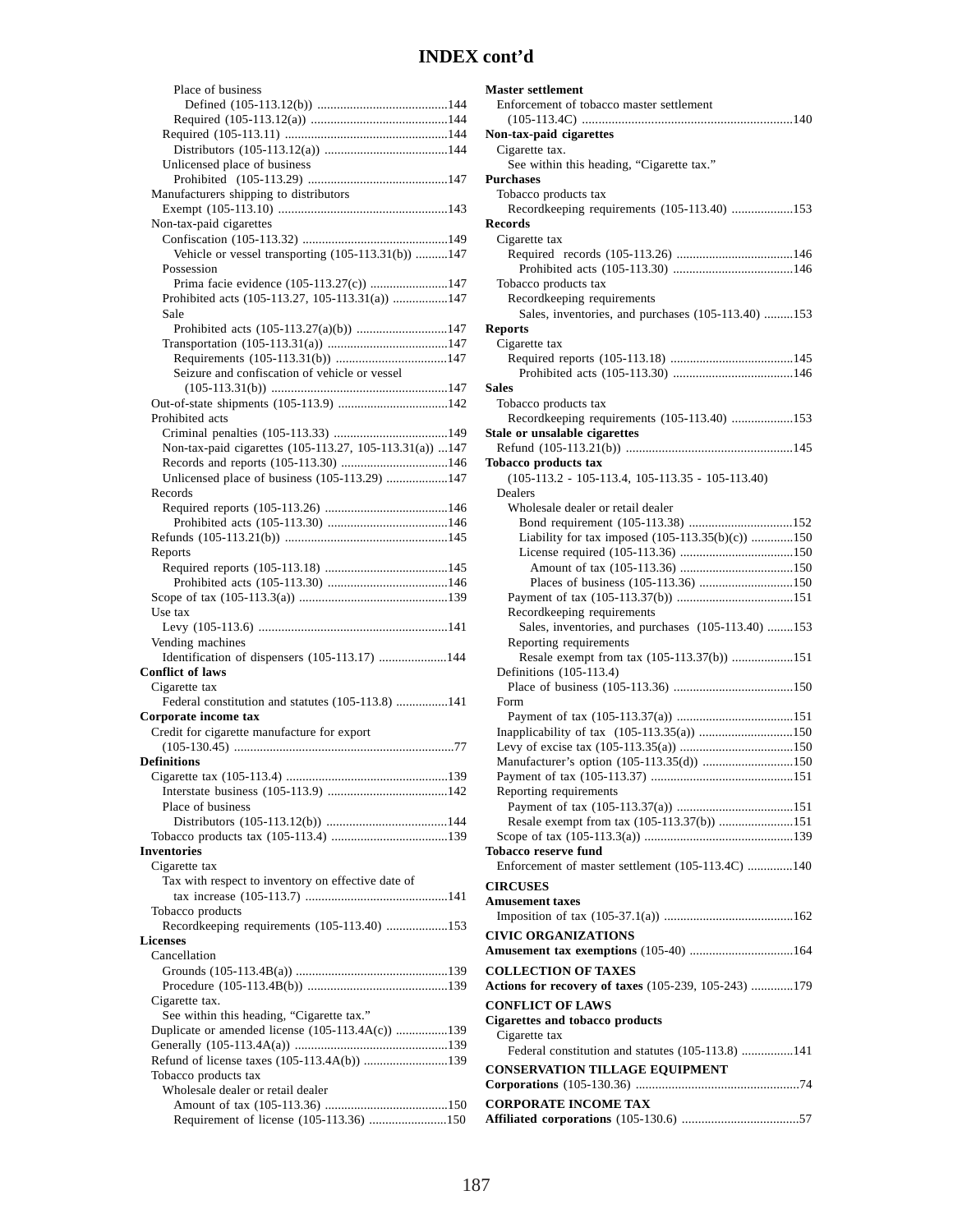| Place of business                                       |
|---------------------------------------------------------|
|                                                         |
|                                                         |
|                                                         |
| Unlicensed place of business                            |
|                                                         |
|                                                         |
| Manufacturers shipping to distributors                  |
| Non-tax-paid cigarettes                                 |
|                                                         |
| Vehicle or vessel transporting (105-113.31(b)) 147      |
| Possession                                              |
| Prima facie evidence (105-113.27(c)) 147                |
| Prohibited acts (105-113.27, 105-113.31(a)) 147         |
| Sale                                                    |
|                                                         |
|                                                         |
|                                                         |
| Seizure and confiscation of vehicle or vessel           |
|                                                         |
|                                                         |
| Prohibited acts                                         |
|                                                         |
| Non-tax-paid cigarettes (105-113.27, 105-113.31(a)) 147 |
|                                                         |
| Unlicensed place of business (105-113.29) 147           |
| Records                                                 |
|                                                         |
|                                                         |
|                                                         |
|                                                         |
| Reports                                                 |
|                                                         |
|                                                         |
| Use tax                                                 |
|                                                         |
| Vending machines                                        |
| Identification of dispensers (105-113.17) 144           |
| <b>Conflict of laws</b>                                 |
| Cigarette tax                                           |
| Federal constitution and statutes (105-113.8) 141       |
| Corporate income tax                                    |
| Credit for cigarette manufacture for export             |
|                                                         |
| <b>Definitions</b>                                      |
|                                                         |
|                                                         |
|                                                         |
|                                                         |
| Place of business                                       |
|                                                         |
|                                                         |
| Inventories                                             |
| Cigarette tax                                           |
| Tax with respect to inventory on effective date of      |
|                                                         |
| Tobacco products                                        |
| Recordkeeping requirements (105-113.40) 153             |
| Licenses                                                |
| Cancellation                                            |
|                                                         |
|                                                         |
| Cigarette tax.                                          |
| See within this heading, "Cigarette tax."               |
| Duplicate or amended license (105-113.4A(c)) 139        |
|                                                         |
| Refund of license taxes (105-113.4A(b)) 139             |
| Tobacco products tax                                    |
| Wholesale dealer or retail dealer                       |
| Requirement of license (105-113.36) 150                 |

| Master settlement                                    |  |
|------------------------------------------------------|--|
| Enforcement of tobacco master settlement             |  |
| Non-tax-paid cigarettes                              |  |
| Cigarette tax.                                       |  |
| See within this heading, "Cigarette tax."            |  |
| <b>Purchases</b>                                     |  |
| Tobacco products tax                                 |  |
| Recordkeeping requirements (105-113.40) 153          |  |
| Records                                              |  |
| Cigarette tax                                        |  |
|                                                      |  |
|                                                      |  |
| Tobacco products tax                                 |  |
| Recordkeeping requirements                           |  |
| Sales, inventories, and purchases (105-113.40) 153   |  |
| <b>Reports</b>                                       |  |
| Cigarette tax                                        |  |
|                                                      |  |
|                                                      |  |
| <b>Sales</b>                                         |  |
| Tobacco products tax                                 |  |
| Recordkeeping requirements (105-113.40) 153          |  |
| Stale or unsalable cigarettes                        |  |
| <b>Tobacco products tax</b>                          |  |
| $(105-113.2 - 105-113.4, 105-113.35 - 105-113.40)$   |  |
| Dealers                                              |  |
| Wholesale dealer or retail dealer                    |  |
|                                                      |  |
| Liability for tax imposed (105-113.35(b)(c)) 150     |  |
|                                                      |  |
|                                                      |  |
|                                                      |  |
|                                                      |  |
| Recordkeeping requirements                           |  |
| Sales, inventories, and purchases (105-113.40) 153   |  |
| Reporting requirements                               |  |
| Resale exempt from tax (105-113.37(b)) 151           |  |
| Definitions (105-113.4)                              |  |
|                                                      |  |
| Form                                                 |  |
|                                                      |  |
| Inapplicability of tax (105-113.35(a)) 150           |  |
|                                                      |  |
| Manufacturer's option (105-113.35(d)) 150            |  |
|                                                      |  |
| Reporting requirements                               |  |
| Resale exempt from tax (105-113.37(b)) 151           |  |
|                                                      |  |
| <b>Tobacco reserve fund</b>                          |  |
| Enforcement of master settlement (105-113.4C) 140    |  |
|                                                      |  |
| <b>CIRCUSES</b>                                      |  |
| Amusement taxes                                      |  |
|                                                      |  |
| <b>CIVIC ORGANIZATIONS</b>                           |  |
| Amusement tax exemptions (105-40) 164                |  |
| <b>COLLECTION OF TAXES</b>                           |  |
| Actions for recovery of taxes (105-239, 105-243) 179 |  |
| <b>CONFLICT OF LAWS</b>                              |  |
| Cigarettes and tobacco products                      |  |
| Cigarette tax                                        |  |
| Federal constitution and statutes (105-113.8) 141    |  |
| <b>CONSERVATION TILLAGE EQUIPMENT</b>                |  |
|                                                      |  |
|                                                      |  |
| <b>CORPORATE INCOME TAX</b>                          |  |
|                                                      |  |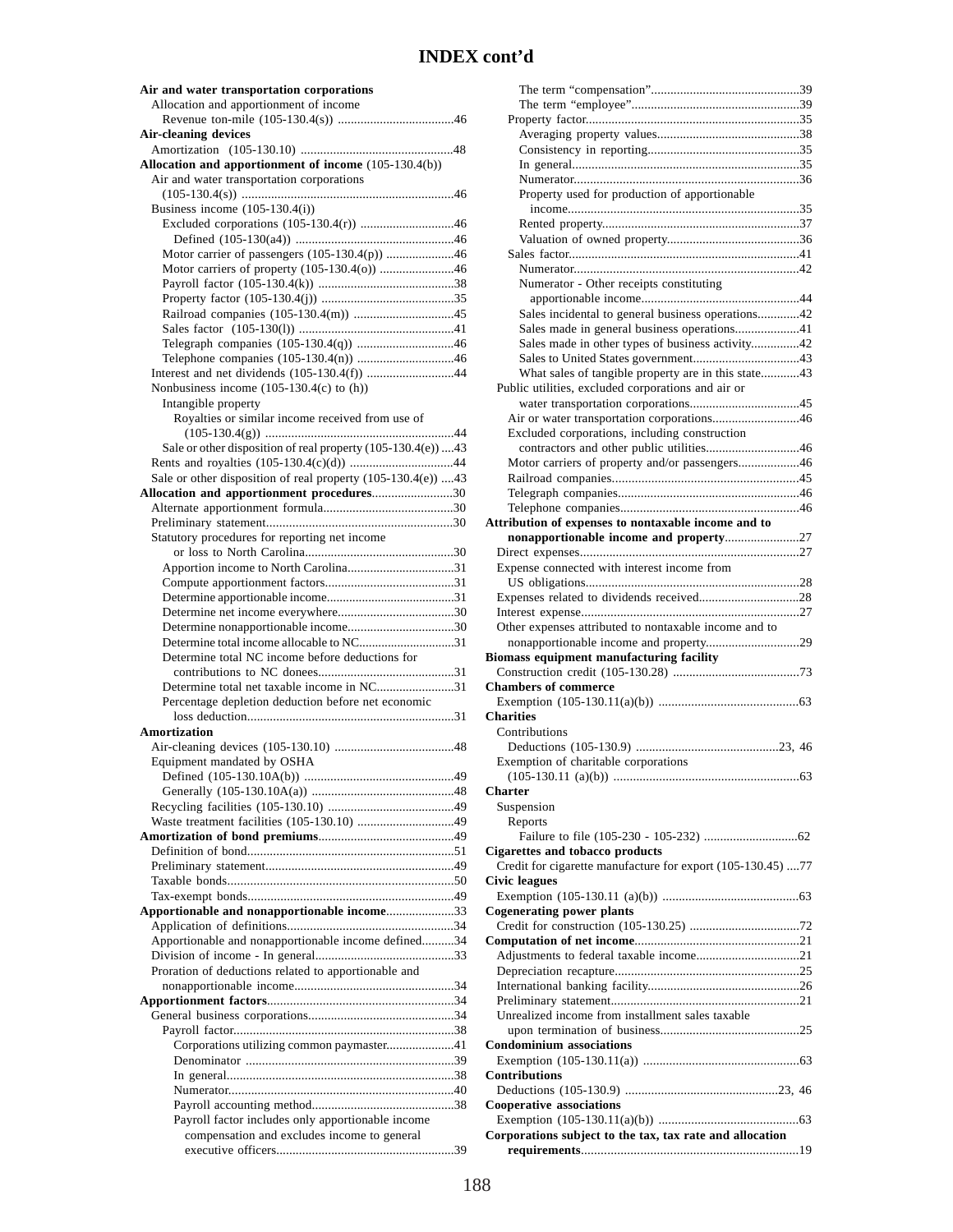| Air and water transportation corporations                                                                 |
|-----------------------------------------------------------------------------------------------------------|
| Allocation and apportionment of income                                                                    |
| <b>Air-cleaning devices</b>                                                                               |
|                                                                                                           |
| Allocation and apportionment of income (105-130.4(b))                                                     |
| Air and water transportation corporations                                                                 |
| Business income $(105-130.4(i))$                                                                          |
|                                                                                                           |
|                                                                                                           |
| Motor carrier of passengers (105-130.4(p)) 46<br>Motor carriers of property (105-130.4(o)) 46             |
|                                                                                                           |
|                                                                                                           |
|                                                                                                           |
| Telegraph companies (105-130.4(q)) 46                                                                     |
|                                                                                                           |
| Interest and net dividends (105-130.4(f)) 44                                                              |
| Nonbusiness income $(105-130.4(c)$ to $(h)$ )                                                             |
| Intangible property<br>Royalties or similar income received from use of                                   |
|                                                                                                           |
| Sale or other disposition of real property (105-130.4(e)) 43                                              |
|                                                                                                           |
| Sale or other disposition of real property (105-130.4(e)) 43<br>Allocation and apportionment procedures30 |
|                                                                                                           |
|                                                                                                           |
| Statutory procedures for reporting net income                                                             |
|                                                                                                           |
|                                                                                                           |
|                                                                                                           |
|                                                                                                           |
|                                                                                                           |
| Determine total income allocable to NC31<br>Determine total NC income before deductions for               |
|                                                                                                           |
| Determine total net taxable income in NC31                                                                |
| Percentage depletion deduction before net economic                                                        |
| <b>Amortization</b>                                                                                       |
|                                                                                                           |
| Equipment mandated by OSHA                                                                                |
| 49                                                                                                        |
|                                                                                                           |
|                                                                                                           |
|                                                                                                           |
|                                                                                                           |
|                                                                                                           |
|                                                                                                           |
| Apportionable and nonapportionable income33                                                               |
|                                                                                                           |
| Apportionable and nonapportionable income defined34                                                       |
|                                                                                                           |
| Proration of deductions related to apportionable and                                                      |
|                                                                                                           |
|                                                                                                           |
|                                                                                                           |
| Corporations utilizing common paymaster41                                                                 |
|                                                                                                           |
|                                                                                                           |
|                                                                                                           |
| Payroll factor includes only apportionable income<br>compensation and excludes income to general          |
|                                                                                                           |

| Property used for production of apportionable               |
|-------------------------------------------------------------|
|                                                             |
|                                                             |
|                                                             |
|                                                             |
|                                                             |
| Numerator - Other receipts constituting                     |
|                                                             |
| Sales incidental to general business operations42           |
| Sales made in general business operations41                 |
| Sales made in other types of business activity42            |
|                                                             |
|                                                             |
| What sales of tangible property are in this state43         |
| Public utilities, excluded corporations and air or          |
|                                                             |
| Air or water transportation corporations46                  |
| Excluded corporations, including construction               |
| contractors and other public utilities46                    |
| Motor carriers of property and/or passengers46              |
|                                                             |
|                                                             |
|                                                             |
| Attribution of expenses to nontaxable income and to         |
| nonapportionable income and property27                      |
|                                                             |
| Expense connected with interest income from                 |
|                                                             |
|                                                             |
|                                                             |
|                                                             |
|                                                             |
| Other expenses attributed to nontaxable income and to       |
| nonapportionable income and property29                      |
| Biomass equipment manufacturing facility                    |
|                                                             |
| <b>Chambers of commerce</b>                                 |
|                                                             |
| <b>Charities</b>                                            |
| Contributions                                               |
|                                                             |
| Exemption of charitable corporations                        |
|                                                             |
| <b>Charter</b>                                              |
| Suspension                                                  |
|                                                             |
| Reports                                                     |
|                                                             |
| <b>Cigarettes and tobacco products</b>                      |
| Credit for cigarette manufacture for export (105-130.45) 77 |
| <b>Civic leagues</b>                                        |
|                                                             |
| <b>Cogenerating power plants</b>                            |
|                                                             |
|                                                             |
| Adjustments to federal taxable income21                     |
|                                                             |
|                                                             |
|                                                             |
| Unrealized income from installment sales taxable            |
|                                                             |
| <b>Condominium associations</b>                             |
|                                                             |
| <b>Contributions</b>                                        |
|                                                             |
| <b>Cooperative associations</b>                             |
|                                                             |
| Corporations subject to the tax, tax rate and allocation    |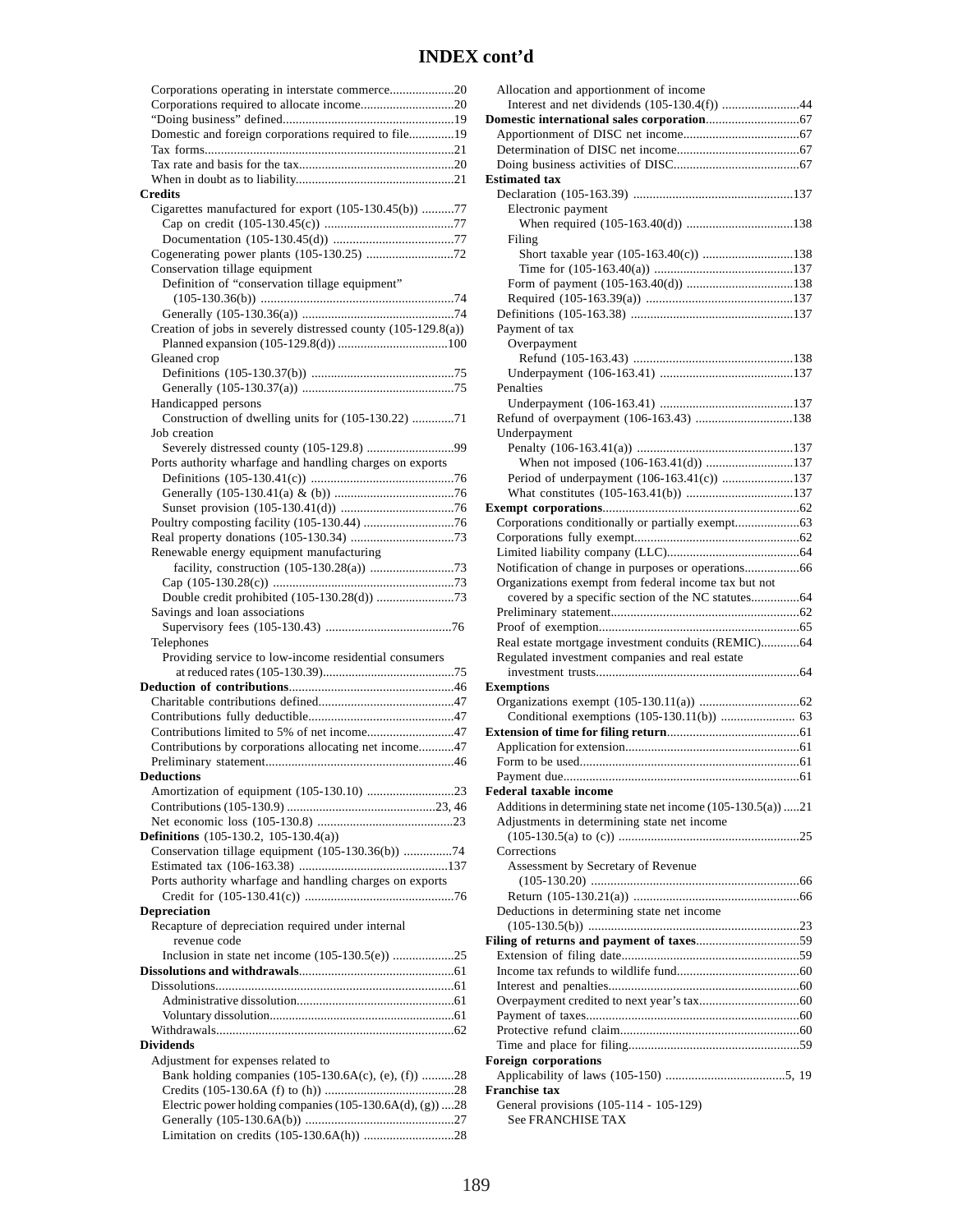| Corporations operating in interstate commerce20<br>Corporations required to allocate income20 |
|-----------------------------------------------------------------------------------------------|
|                                                                                               |
|                                                                                               |
|                                                                                               |
| Domestic and foreign corporations required to file19                                          |
|                                                                                               |
|                                                                                               |
|                                                                                               |
|                                                                                               |
| <b>Credits</b>                                                                                |
|                                                                                               |
| Cigarettes manufactured for export (105-130.45(b)) 77                                         |
|                                                                                               |
|                                                                                               |
|                                                                                               |
|                                                                                               |
| Conservation tillage equipment                                                                |
| Definition of "conservation tillage equipment"                                                |
|                                                                                               |
|                                                                                               |
|                                                                                               |
| Creation of jobs in severely distressed county (105-129.8(a))                                 |
|                                                                                               |
| Gleaned crop                                                                                  |
|                                                                                               |
|                                                                                               |
|                                                                                               |
| Handicapped persons                                                                           |
| Construction of dwelling units for (105-130.22) 71                                            |
|                                                                                               |
| Job creation                                                                                  |
| Severely distressed county (105-129.8) 99                                                     |
| Ports authority wharfage and handling charges on exports                                      |
|                                                                                               |
|                                                                                               |
|                                                                                               |
|                                                                                               |
|                                                                                               |
|                                                                                               |
|                                                                                               |
| Renewable energy equipment manufacturing                                                      |
|                                                                                               |
|                                                                                               |
|                                                                                               |
| Double credit prohibited (105-130.28(d)) 73                                                   |
| Savings and loan associations                                                                 |
|                                                                                               |
| Telephones                                                                                    |
|                                                                                               |
| Providing service to low-income residential consumers                                         |
|                                                                                               |
|                                                                                               |
|                                                                                               |
|                                                                                               |
|                                                                                               |
|                                                                                               |
| Contributions limited to 5% of net income47                                                   |
|                                                                                               |
| Contributions by corporations allocating net income47                                         |
|                                                                                               |
|                                                                                               |
| Amortization of equipment (105-130.10) 23                                                     |
|                                                                                               |
|                                                                                               |
|                                                                                               |
| <b>Definitions</b> (105-130.2, 105-130.4(a))                                                  |
|                                                                                               |
| Conservation tillage equipment (105-130.36(b)) 74                                             |
|                                                                                               |
| Ports authority wharfage and handling charges on exports                                      |
|                                                                                               |
| Depreciation                                                                                  |
|                                                                                               |
| Recapture of depreciation required under internal                                             |
| revenue code                                                                                  |
| Inclusion in state net income $(105-130.5(e))$ 25                                             |
|                                                                                               |
|                                                                                               |
|                                                                                               |
|                                                                                               |
|                                                                                               |
|                                                                                               |
| <b>Dividends</b>                                                                              |
|                                                                                               |
| Adjustment for expenses related to                                                            |
| Bank holding companies (105-130.6A(c), (e), (f)) 28                                           |
|                                                                                               |
|                                                                                               |
| Electric power holding companies (105-130.6A(d), (g)) 28                                      |
|                                                                                               |

| Allocation and apportionment of income                         |
|----------------------------------------------------------------|
| Interest and net dividends (105-130.4(f)) 44                   |
|                                                                |
|                                                                |
|                                                                |
|                                                                |
| <b>Estimated tax</b>                                           |
|                                                                |
| Electronic payment                                             |
|                                                                |
|                                                                |
| Filing<br>Short taxable year (105-163.40(c)) 138               |
|                                                                |
|                                                                |
|                                                                |
|                                                                |
|                                                                |
| Payment of tax                                                 |
| Overpayment                                                    |
|                                                                |
|                                                                |
| Penalties                                                      |
|                                                                |
| Refund of overpayment (106-163.43) 138                         |
| Underpayment                                                   |
|                                                                |
| When not imposed (106-163.41(d)) 137                           |
| Period of underpayment (106-163.41(c)) 137                     |
|                                                                |
|                                                                |
|                                                                |
|                                                                |
|                                                                |
|                                                                |
| Organizations exempt from federal income tax but not           |
|                                                                |
|                                                                |
|                                                                |
|                                                                |
| Real estate mortgage investment conduits (REMIC)64             |
| Regulated investment companies and real estate                 |
|                                                                |
| <b>Exemptions</b>                                              |
|                                                                |
|                                                                |
|                                                                |
|                                                                |
|                                                                |
| Payment due                                                    |
| Federal taxable income                                         |
| Additions in determining state net income $(105-130.5(a))$ 21  |
|                                                                |
| Adjustments in determining state net income                    |
| Corrections                                                    |
|                                                                |
| Assessment by Secretary of Revenue                             |
|                                                                |
|                                                                |
| Deductions in determining state net income                     |
|                                                                |
|                                                                |
|                                                                |
|                                                                |
|                                                                |
|                                                                |
|                                                                |
|                                                                |
|                                                                |
| Foreign corporations                                           |
|                                                                |
| <b>Franchise tax</b><br>General provisions (105-114 - 105-129) |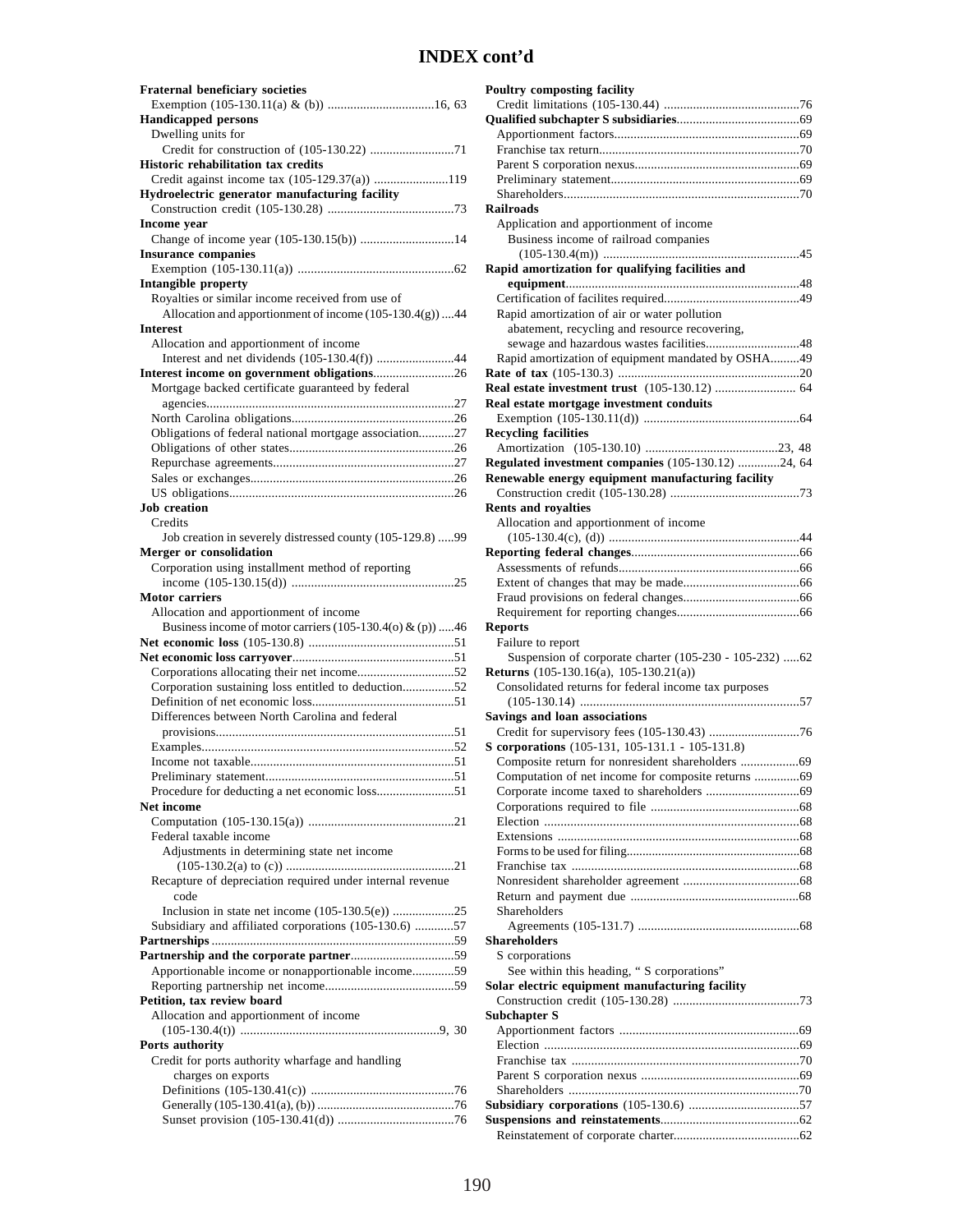| <b>Fraternal beneficiary societies</b>                                                 |
|----------------------------------------------------------------------------------------|
|                                                                                        |
| <b>Handicapped persons</b>                                                             |
| Dwelling units for                                                                     |
| Credit for construction of (105-130.22) 71                                             |
| <b>Historic rehabilitation tax credits</b>                                             |
| Credit against income tax (105-129.37(a)) 119                                          |
| Hydroelectric generator manufacturing facility                                         |
| <b>Income</b> year                                                                     |
| Change of income year (105-130.15(b)) 14                                               |
| <b>Insurance companies</b>                                                             |
|                                                                                        |
| <b>Intangible property</b>                                                             |
| Royalties or similar income received from use of                                       |
| Allocation and apportionment of income (105-130.4(g)) 44                               |
| <b>Interest</b>                                                                        |
| Allocation and apportionment of income<br>Interest and net dividends (105-130.4(f)) 44 |
| Interest income on government obligations26                                            |
| Mortgage backed certificate guaranteed by federal                                      |
|                                                                                        |
|                                                                                        |
| Obligations of federal national mortgage association27                                 |
|                                                                                        |
|                                                                                        |
|                                                                                        |
|                                                                                        |
| <b>Job</b> creation                                                                    |
| Credits                                                                                |
| Job creation in severely distressed county (105-129.8) 99                              |
| Merger or consolidation<br>Corporation using installment method of reporting           |
|                                                                                        |
| <b>Motor carriers</b>                                                                  |
|                                                                                        |
|                                                                                        |
| Allocation and apportionment of income                                                 |
| Business income of motor carriers $(105-130.4(o) \& (p))$ 46                           |
|                                                                                        |
| Corporations allocating their net income52                                             |
| Corporation sustaining loss entitled to deduction52                                    |
|                                                                                        |
| Differences between North Carolina and federal                                         |
|                                                                                        |
|                                                                                        |
|                                                                                        |
| 51                                                                                     |
| Procedure for deducting a net economic loss51                                          |
| Net income                                                                             |
| Federal taxable income                                                                 |
|                                                                                        |
| Adjustments in determining state net income                                            |
| Recapture of depreciation required under internal revenue                              |
| code                                                                                   |
|                                                                                        |
| Subsidiary and affiliated corporations (105-130.6) 57                                  |
|                                                                                        |
|                                                                                        |
| Apportionable income or nonapportionable income59                                      |
|                                                                                        |
| Petition, tax review board                                                             |
| Allocation and apportionment of income                                                 |
| Ports authority                                                                        |
| Credit for ports authority wharfage and handling                                       |
| charges on exports                                                                     |
|                                                                                        |
|                                                                                        |

| Railroads                                                                                             |
|-------------------------------------------------------------------------------------------------------|
| Application and apportionment of income<br>Business income of railroad companies                      |
|                                                                                                       |
| Rapid amortization for qualifying facilities and                                                      |
|                                                                                                       |
|                                                                                                       |
| Rapid amortization of air or water pollution                                                          |
| abatement, recycling and resource recovering,                                                         |
| sewage and hazardous wastes facilities48                                                              |
| Rapid amortization of equipment mandated by OSHA49                                                    |
|                                                                                                       |
|                                                                                                       |
| Real estate mortgage investment conduits                                                              |
|                                                                                                       |
| <b>Recycling facilities</b>                                                                           |
|                                                                                                       |
| Regulated investment companies (105-130.12) 24, 64                                                    |
| Renewable energy equipment manufacturing facility                                                     |
|                                                                                                       |
| <b>Rents and royalties</b>                                                                            |
| Allocation and apportionment of income                                                                |
|                                                                                                       |
|                                                                                                       |
|                                                                                                       |
|                                                                                                       |
|                                                                                                       |
|                                                                                                       |
| Reports                                                                                               |
| Failure to report                                                                                     |
|                                                                                                       |
| Suspension of corporate charter (105-230 - 105-232) 62                                                |
|                                                                                                       |
| <b>Returns</b> (105-130.16(a), 105-130.21(a))<br>Consolidated returns for federal income tax purposes |
|                                                                                                       |
| <b>Savings and loan associations</b>                                                                  |
|                                                                                                       |
| S corporations (105-131, 105-131.1 - 105-131.8)                                                       |
|                                                                                                       |
| Computation of net income for composite returns 69                                                    |
|                                                                                                       |
|                                                                                                       |
|                                                                                                       |
|                                                                                                       |
|                                                                                                       |
|                                                                                                       |
|                                                                                                       |
|                                                                                                       |
| Shareholders                                                                                          |
|                                                                                                       |
| Shareholders                                                                                          |
| S corporations                                                                                        |
| See within this heading, " S corporations"                                                            |
| Solar electric equipment manufacturing facility                                                       |
|                                                                                                       |
| Subchapter S                                                                                          |
|                                                                                                       |
|                                                                                                       |
|                                                                                                       |
|                                                                                                       |
|                                                                                                       |
|                                                                                                       |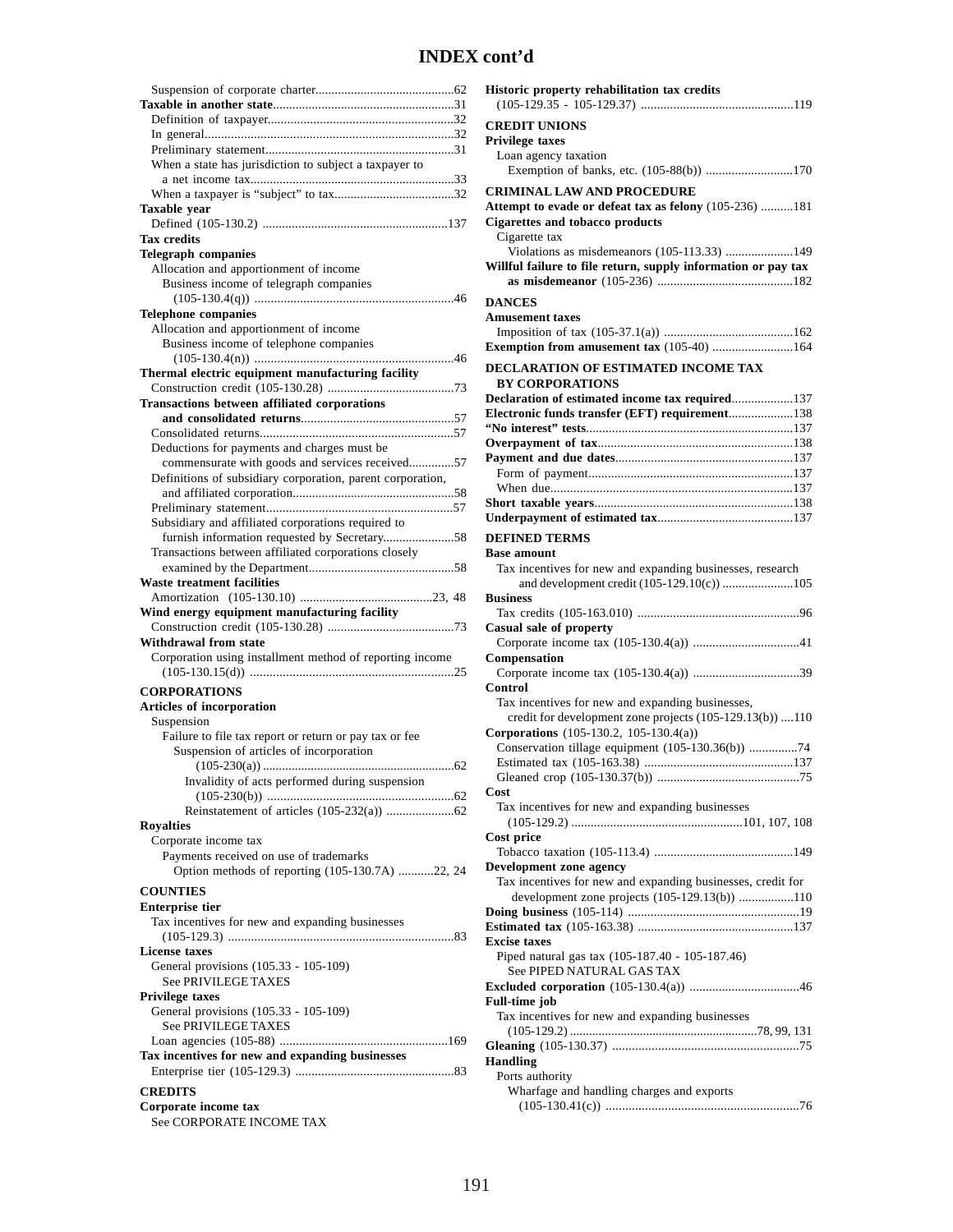| When a state has jurisdiction to subject a taxpayer to                                               |
|------------------------------------------------------------------------------------------------------|
|                                                                                                      |
|                                                                                                      |
| Taxable year                                                                                         |
| <b>Tax credits</b>                                                                                   |
| <b>Telegraph companies</b>                                                                           |
| Allocation and apportionment of income                                                               |
| Business income of telegraph companies                                                               |
|                                                                                                      |
| <b>Telephone companies</b>                                                                           |
| Allocation and apportionment of income                                                               |
| Business income of telephone companies                                                               |
|                                                                                                      |
| Thermal electric equipment manufacturing facility                                                    |
|                                                                                                      |
| <b>Transactions between affiliated corporations</b>                                                  |
|                                                                                                      |
|                                                                                                      |
| Deductions for payments and charges must be                                                          |
| commensurate with goods and services received57                                                      |
| Definitions of subsidiary corporation, parent corporation,                                           |
|                                                                                                      |
|                                                                                                      |
| Subsidiary and affiliated corporations required to                                                   |
| furnish information requested by Secretary58<br>Transactions between affiliated corporations closely |
|                                                                                                      |
| Waste treatment facilities                                                                           |
|                                                                                                      |
| Wind energy equipment manufacturing facility                                                         |
|                                                                                                      |
| Withdrawal from state                                                                                |
| Corporation using installment method of reporting income                                             |
|                                                                                                      |
| <b>CORPORATIONS</b>                                                                                  |
| Articles of incorporation                                                                            |
| Suspension                                                                                           |
| Failure to file tax report or return or pay tax or fee                                               |
| Suspension of articles of incorporation                                                              |
|                                                                                                      |
| Invalidity of acts performed during suspension                                                       |
|                                                                                                      |
|                                                                                                      |
| <b>Rovalties</b>                                                                                     |
| Corporate income tax<br>Payments received on use of trademarks                                       |
| Option methods of reporting (105-130.7A) 22, 24                                                      |
|                                                                                                      |
| <b>COUNTIES</b>                                                                                      |
| <b>Enterprise tier</b>                                                                               |
| Tax incentives for new and expanding businesses                                                      |
| <b>License taxes</b>                                                                                 |
| General provisions (105.33 - 105-109)                                                                |
| <b>See PRIVILEGE TAXES</b>                                                                           |
| <b>Privilege taxes</b>                                                                               |
| General provisions (105.33 - 105-109)                                                                |
| <b>See PRIVILEGE TAXES</b>                                                                           |
|                                                                                                      |
| Tax incentives for new and expanding businesses                                                      |
|                                                                                                      |
| <b>CREDITS</b>                                                                                       |
|                                                                                                      |
|                                                                                                      |
| Corporate income tax<br>See CORPORATE INCOME TAX                                                     |

| Historic property rehabilitation tax credits                                                  |
|-----------------------------------------------------------------------------------------------|
| <b>CREDIT UNIONS</b>                                                                          |
| Privilege taxes                                                                               |
| Loan agency taxation                                                                          |
| Exemption of banks, etc. (105-88(b)) 170                                                      |
| <b>CRIMINAL LAW AND PROCEDURE</b>                                                             |
| Attempt to evade or defeat tax as felony (105-236) 181                                        |
| <b>Cigarettes and tobacco products</b>                                                        |
| Cigarette tax                                                                                 |
| Violations as misdemeanors (105-113.33) 149                                                   |
| Willful failure to file return, supply information or pay tax                                 |
|                                                                                               |
| <b>DANCES</b>                                                                                 |
| <b>Amusement taxes</b>                                                                        |
|                                                                                               |
| Exemption from amusement tax (105-40) 164                                                     |
| DECLARATION OF ESTIMATED INCOME TAX                                                           |
| <b>BY CORPORATIONS</b>                                                                        |
| Declaration of estimated income tax required137                                               |
| Electronic funds transfer (EFT) requirement138                                                |
|                                                                                               |
|                                                                                               |
|                                                                                               |
|                                                                                               |
|                                                                                               |
|                                                                                               |
| <b>DEFINED TERMS</b>                                                                          |
| Base amount                                                                                   |
| Tax incentives for new and expanding businesses, research                                     |
| and development credit (105-129.10(c)) 105                                                    |
| <b>Business</b>                                                                               |
| Casual sale of property                                                                       |
|                                                                                               |
| Compensation                                                                                  |
|                                                                                               |
| Control                                                                                       |
| Tax incentives for new and expanding businesses,                                              |
| credit for development zone projects (105-129.13(b)) 110                                      |
| Corporations (105-130.2, 105-130.4(a))<br>Conservation tillage equipment (105-130.36(b)) 74   |
|                                                                                               |
|                                                                                               |
| Cost                                                                                          |
| Tax incentives for new and expanding businesses                                               |
|                                                                                               |
| Cost price                                                                                    |
|                                                                                               |
| <b>Development zone agency</b><br>Tax incentives for new and expanding businesses, credit for |
| development zone projects (105-129.13(b)) 110                                                 |
|                                                                                               |
| <b>Excise taxes</b>                                                                           |
| Piped natural gas tax (105-187.40 - 105-187.46)                                               |
| See PIPED NATURAL GAS TAX                                                                     |
|                                                                                               |
| Full-time job                                                                                 |
| Tax incentives for new and expanding businesses                                               |
|                                                                                               |
| Handling                                                                                      |
| Ports authority                                                                               |
| Wharfage and handling charges and exports                                                     |
|                                                                                               |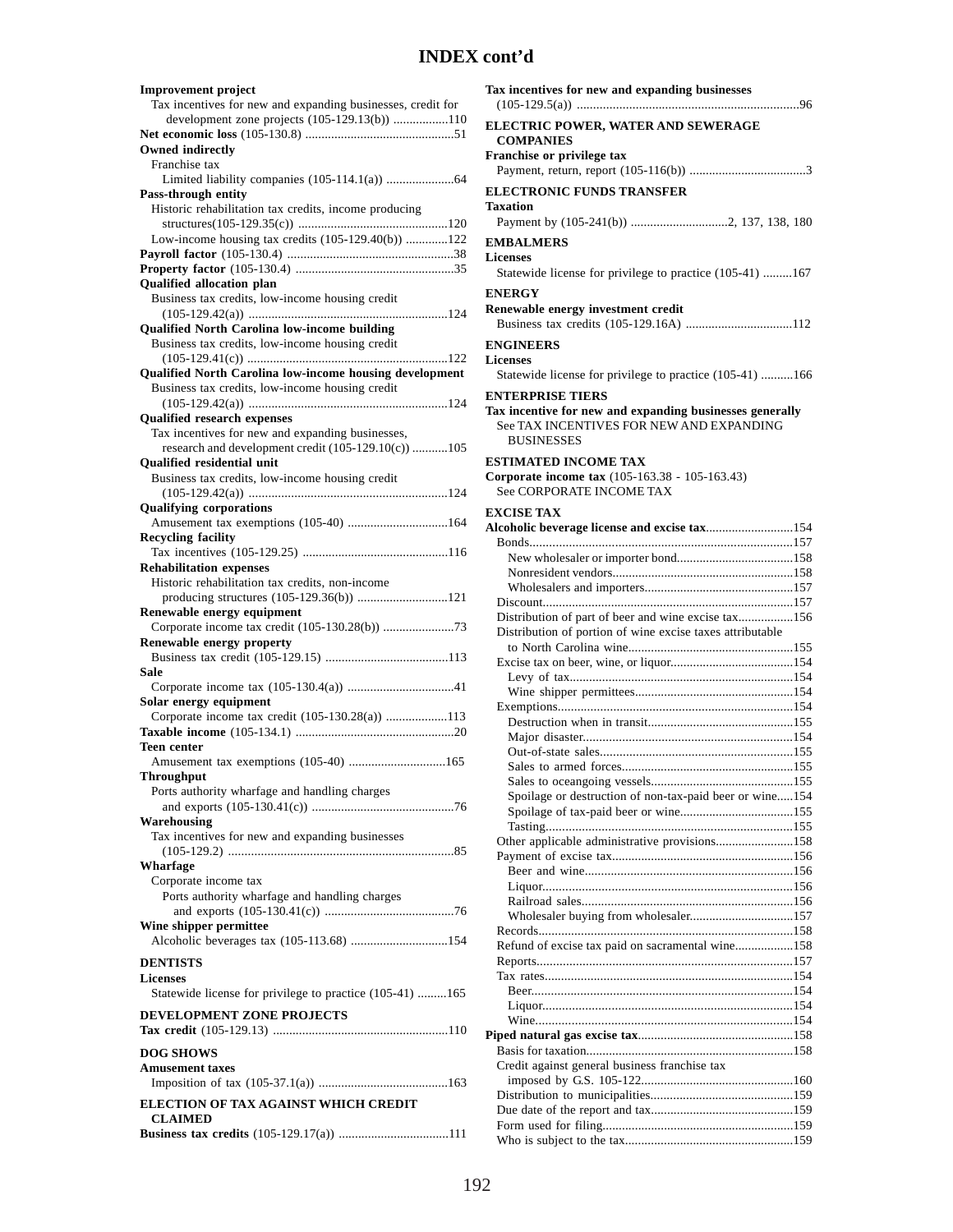| <b>Improvement</b> project<br>Tax incentives for new and expanding businesses, credit for       |
|-------------------------------------------------------------------------------------------------|
| development zone projects (105-129.13(b)) 110                                                   |
|                                                                                                 |
| <b>Owned indirectly</b><br>Franchise tax                                                        |
|                                                                                                 |
| Pass-through entity                                                                             |
| Historic rehabilitation tax credits, income producing                                           |
|                                                                                                 |
| Low-income housing tax credits (105-129.40(b)) 122                                              |
|                                                                                                 |
| Qualified allocation plan                                                                       |
| Business tax credits, low-income housing credit                                                 |
|                                                                                                 |
| Qualified North Carolina low-income building<br>Business tax credits, low-income housing credit |
|                                                                                                 |
| Qualified North Carolina low-income housing development                                         |
| Business tax credits, low-income housing credit                                                 |
|                                                                                                 |
| <b>Qualified research expenses</b><br>Tax incentives for new and expanding businesses,          |
| research and development credit (105-129.10(c)) 105                                             |
| <b>Oualified residential unit</b>                                                               |
| Business tax credits, low-income housing credit                                                 |
|                                                                                                 |
| <b>Qualifying corporations</b>                                                                  |
| Amusement tax exemptions (105-40) 164<br><b>Recycling facility</b>                              |
|                                                                                                 |
| <b>Rehabilitation expenses</b>                                                                  |
| Historic rehabilitation tax credits, non-income                                                 |
| producing structures (105-129.36(b)) 121                                                        |
| Renewable energy equipment                                                                      |
| Renewable energy property                                                                       |
|                                                                                                 |
| Sale                                                                                            |
|                                                                                                 |
| Solar energy equipment                                                                          |
| Corporate income tax credit (105-130.28(a)) 113                                                 |
| <b>Teen center</b>                                                                              |
| Amusement tax exemptions (105-40) 165                                                           |
| Throughput                                                                                      |
| Ports authority wharfage and handling charges                                                   |
|                                                                                                 |
| Warehousing<br>Tax incentives for new and expanding businesses                                  |
|                                                                                                 |
| Wharfage                                                                                        |
| Corporate income tax                                                                            |
| Ports authority wharfage and handling charges                                                   |
|                                                                                                 |
| Wine shipper permittee<br>Alcoholic beverages tax (105-113.68) 154                              |
|                                                                                                 |
| <b>DENTISTS</b><br><b>Licenses</b>                                                              |
| Statewide license for privilege to practice (105-41) 165                                        |
|                                                                                                 |
| DEVELOPMENT ZONE PROJECTS                                                                       |
|                                                                                                 |
| <b>DOG SHOWS</b>                                                                                |
| <b>Amusement taxes</b>                                                                          |
|                                                                                                 |
| ELECTION OF TAX AGAINST WHICH CREDIT<br><b>CLAIMED</b>                                          |
|                                                                                                 |
|                                                                                                 |

| ELECTRIC POWER, WATER AND SEWERAGE<br><b>COMPANIES</b>                                                                                               |
|------------------------------------------------------------------------------------------------------------------------------------------------------|
| Franchise or privilege tax                                                                                                                           |
| <b>ELECTRONIC FUNDS TRANSFER</b><br>Taxation                                                                                                         |
|                                                                                                                                                      |
| <b>EMBALMERS</b><br><b>Licenses</b><br>Statewide license for privilege to practice (105-41) 167                                                      |
| <b>ENERGY</b><br>Renewable energy investment credit                                                                                                  |
| <b>ENGINEERS</b><br><b>Licenses</b>                                                                                                                  |
| Statewide license for privilege to practice (105-41) 166                                                                                             |
| <b>ENTERPRISE TIERS</b><br>Tax incentive for new and expanding businesses generally<br>See TAX INCENTIVES FOR NEW AND EXPANDING<br><b>BUSINESSES</b> |
| <b>ESTIMATED INCOME TAX</b><br>Corporate income tax (105-163.38 - 105-163.43)<br>See CORPORATE INCOME TAX                                            |
| <b>EXCISE TAX</b>                                                                                                                                    |
| Alcoholic beverage license and excise tax154                                                                                                         |
|                                                                                                                                                      |
|                                                                                                                                                      |
|                                                                                                                                                      |
|                                                                                                                                                      |
| Distribution of part of beer and wine excise tax156                                                                                                  |
| Distribution of portion of wine excise taxes attributable                                                                                            |
|                                                                                                                                                      |
|                                                                                                                                                      |
|                                                                                                                                                      |
|                                                                                                                                                      |
|                                                                                                                                                      |
|                                                                                                                                                      |
|                                                                                                                                                      |
|                                                                                                                                                      |
|                                                                                                                                                      |
| Spoilage or destruction of non-tax-paid beer or wine154                                                                                              |
|                                                                                                                                                      |
|                                                                                                                                                      |
| Other applicable administrative provisions158                                                                                                        |
|                                                                                                                                                      |
|                                                                                                                                                      |
|                                                                                                                                                      |
| Wholesaler buying from wholesaler157                                                                                                                 |
|                                                                                                                                                      |
| Refund of excise tax paid on sacramental wine158                                                                                                     |
|                                                                                                                                                      |
|                                                                                                                                                      |
|                                                                                                                                                      |
|                                                                                                                                                      |
|                                                                                                                                                      |
|                                                                                                                                                      |
|                                                                                                                                                      |
|                                                                                                                                                      |
| Credit against general business franchise tax                                                                                                        |
|                                                                                                                                                      |
|                                                                                                                                                      |
|                                                                                                                                                      |

**Tax incentives for new and expanding businesses**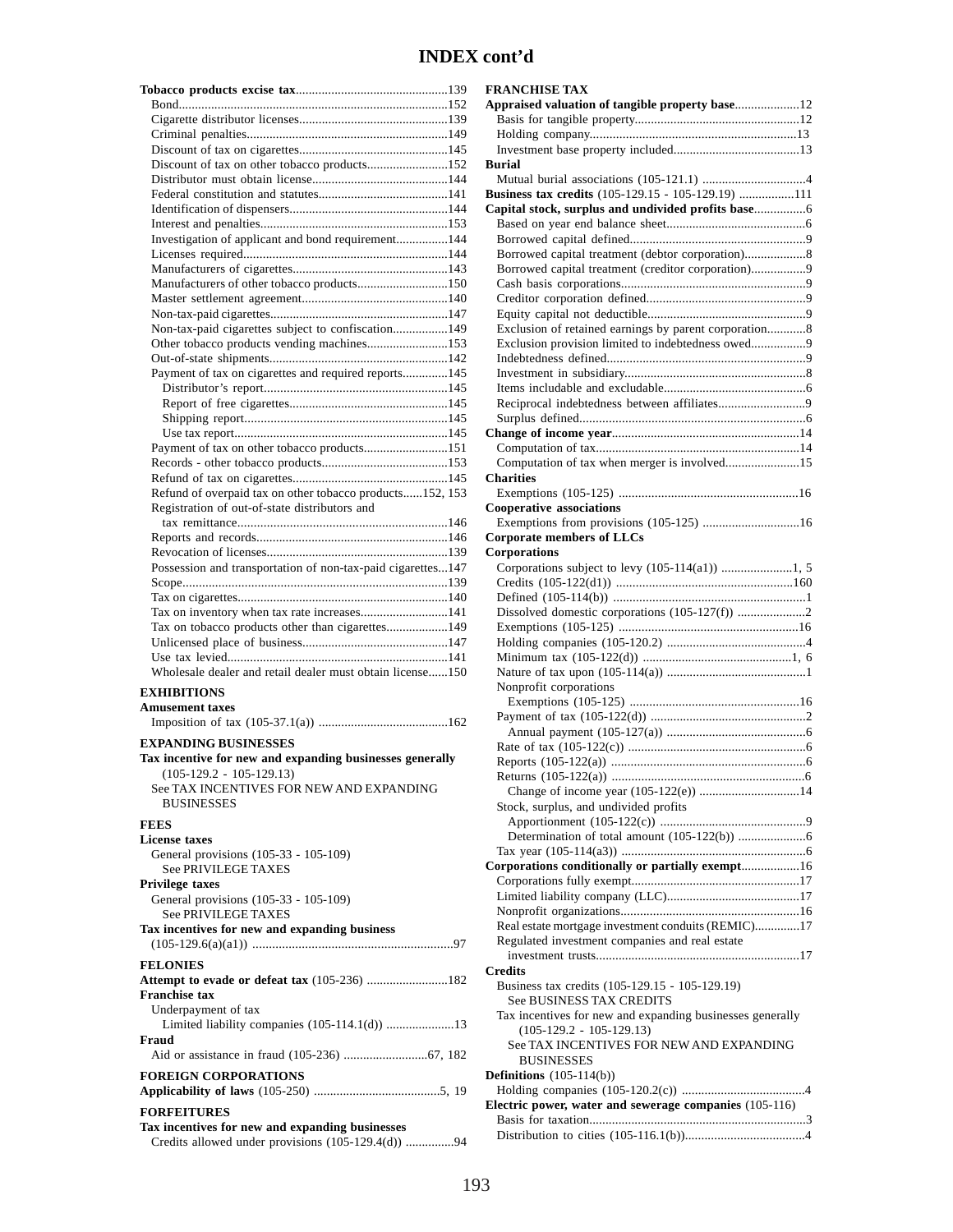| Discount of tax on other tobacco products152                                                          |
|-------------------------------------------------------------------------------------------------------|
|                                                                                                       |
|                                                                                                       |
|                                                                                                       |
| Investigation of applicant and bond requirement144                                                    |
|                                                                                                       |
| Manufacturers of other tobacco products150                                                            |
|                                                                                                       |
|                                                                                                       |
| Non-tax-paid cigarettes subject to confiscation149                                                    |
| Other tobacco products vending machines153                                                            |
| Payment of tax on cigarettes and required reports145                                                  |
|                                                                                                       |
|                                                                                                       |
|                                                                                                       |
| Payment of tax on other tobacco products151                                                           |
|                                                                                                       |
|                                                                                                       |
| Refund of overpaid tax on other tobacco products152, 153                                              |
| Registration of out-of-state distributors and                                                         |
|                                                                                                       |
|                                                                                                       |
| Possession and transportation of non-tax-paid cigarettes147                                           |
|                                                                                                       |
| Tax on inventory when tax rate increases141                                                           |
| Tax on tobacco products other than cigarettes149                                                      |
|                                                                                                       |
| Wholesale dealer and retail dealer must obtain license150                                             |
|                                                                                                       |
| <b>EXHIBITIONS</b><br><b>Amusement taxes</b>                                                          |
|                                                                                                       |
| <b>EXPANDING BUSINESSES</b>                                                                           |
| Tax incentive for new and expanding businesses generally<br>$(105-129.2 - 105-129.13)$                |
| See TAX INCENTIVES FOR NEW AND EXPANDING<br><b>BUSINESSES</b>                                         |
| <b>FEES</b>                                                                                           |
| <b>License taxes</b><br>General provisions (105-33 - 105-109)                                         |
| See PRIVILEGE TAXES<br><b>Privilege taxes</b>                                                         |
| General provisions (105-33 - 105-109)<br><b>See PRIVILEGE TAXES</b>                                   |
| Tax incentives for new and expanding business                                                         |
|                                                                                                       |
| <b>FELONIES</b><br>Attempt to evade or defeat tax (105-236) 182<br><b>Franchise tax</b>               |
| Underpayment of tax<br>Limited liability companies (105-114.1(d)) 13<br>Fraud                         |
|                                                                                                       |
| <b>FOREIGN CORPORATIONS</b>                                                                           |
| <b>FORFEITURES</b>                                                                                    |
| Tax incentives for new and expanding businesses<br>Credits allowed under provisions (105-129.4(d)) 94 |

| <b>FRANCHISE TAX</b>                                      |
|-----------------------------------------------------------|
| Appraised valuation of tangible property base12           |
|                                                           |
|                                                           |
|                                                           |
| Burial                                                    |
|                                                           |
|                                                           |
| Business tax credits (105-129.15 - 105-129.19) 111        |
|                                                           |
|                                                           |
|                                                           |
| Borrowed capital treatment (debtor corporation)8          |
| Borrowed capital treatment (creditor corporation)9        |
|                                                           |
|                                                           |
|                                                           |
|                                                           |
| Exclusion of retained earnings by parent corporation8     |
| Exclusion provision limited to indebtedness owed9         |
|                                                           |
|                                                           |
|                                                           |
| Reciprocal indebtedness between affiliates9               |
|                                                           |
|                                                           |
|                                                           |
| Computation of tax when merger is involved15              |
|                                                           |
| <b>Charities</b>                                          |
|                                                           |
| <b>Cooperative associations</b>                           |
| Exemptions from provisions (105-125) 16                   |
| <b>Corporate members of LLCs</b>                          |
| Corporations                                              |
| Corporations subject to levy (105-114(a1)) 1, 5           |
|                                                           |
|                                                           |
|                                                           |
|                                                           |
|                                                           |
|                                                           |
|                                                           |
|                                                           |
| Nonprofit corporations                                    |
|                                                           |
|                                                           |
|                                                           |
|                                                           |
|                                                           |
|                                                           |
|                                                           |
| Change of income year (105-122(e)) 14                     |
| Stock, surplus, and undivided profits                     |
|                                                           |
|                                                           |
|                                                           |
| Corporations conditionally or partially exempt16          |
|                                                           |
|                                                           |
|                                                           |
|                                                           |
| Real estate mortgage investment conduits (REMIC)17        |
| Regulated investment companies and real estate            |
|                                                           |
| <b>Credits</b>                                            |
| Business tax credits (105-129.15 - 105-129.19)            |
| See BUSINESS TAX CREDITS                                  |
| Tax incentives for new and expanding businesses generally |
|                                                           |
| $(105-129.2 - 105-129.13)$                                |
| See TAX INCENTIVES FOR NEW AND EXPANDING                  |
| <b>BUSINESSES</b>                                         |
| Definitions $(105-114(b))$                                |
|                                                           |
| Electric power, water and sewerage companies (105-116)    |
|                                                           |
|                                                           |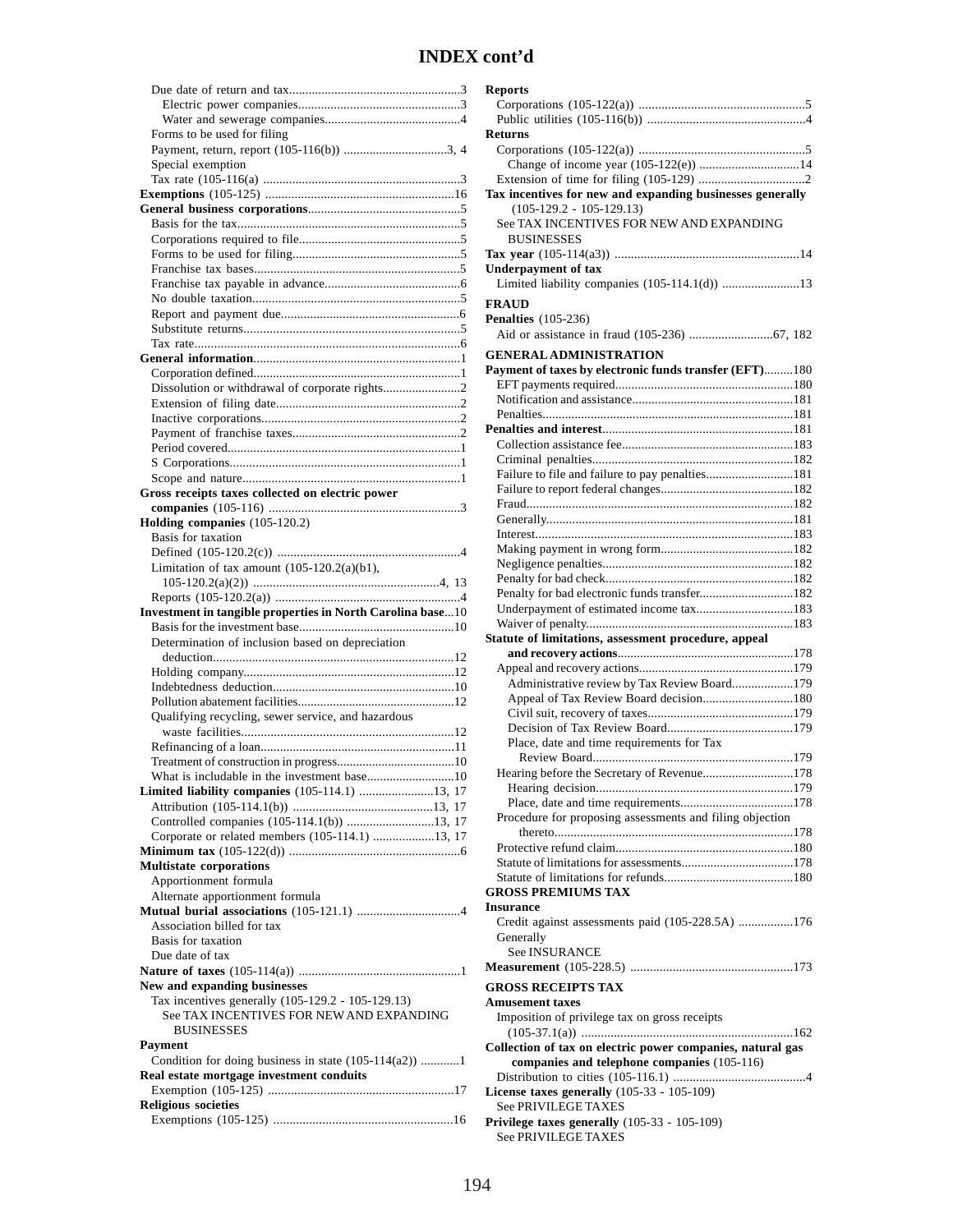**Reports**

| Forms to be used for filing                                |
|------------------------------------------------------------|
|                                                            |
| Special exemption                                          |
|                                                            |
|                                                            |
|                                                            |
|                                                            |
|                                                            |
|                                                            |
|                                                            |
|                                                            |
|                                                            |
|                                                            |
|                                                            |
|                                                            |
|                                                            |
|                                                            |
|                                                            |
|                                                            |
|                                                            |
|                                                            |
|                                                            |
|                                                            |
| Gross receipts taxes collected on electric power           |
|                                                            |
| Holding companies (105-120.2)                              |
| Basis for taxation                                         |
|                                                            |
| Limitation of tax amount $(105-120.2(a)(b1))$ ,            |
|                                                            |
|                                                            |
|                                                            |
|                                                            |
| Investment in tangible properties in North Carolina base10 |
| Determination of inclusion based on depreciation           |
|                                                            |
|                                                            |
|                                                            |
|                                                            |
|                                                            |
| Qualifying recycling, sewer service, and hazardous         |
|                                                            |
|                                                            |
| What is includable in the investment hase www.common. 10   |
| Limited liability companies (105-114.1) 13, 17             |
|                                                            |
| Controlled companies (105-114.1(b)) 13, 17                 |
| Corporate or related members (105-114.1) 13, 17            |
|                                                            |
| <b>Multistate corporations</b>                             |
| Apportionment formula                                      |
| Alternate apportionment formula                            |
|                                                            |
| Association billed for tax                                 |
| Basis for taxation                                         |
| Due date of tax                                            |
|                                                            |
| New and expanding businesses                               |
| Tax incentives generally (105-129.2 - 105-129.13)          |
| See TAX INCENTIVES FOR NEW AND EXPANDING                   |
| <b>BUSINESSES</b>                                          |
| Payment                                                    |
| Condition for doing business in state $(105-114(a2))$ 1    |
| Real estate mortgage investment conduits                   |
|                                                            |
| <b>Religious societies</b>                                 |

| <b>Returns</b>                                                    |  |
|-------------------------------------------------------------------|--|
|                                                                   |  |
| Change of income year (105-122(e)) 14                             |  |
|                                                                   |  |
| Tax incentives for new and expanding businesses generally         |  |
| $(105-129.2 - 105-129.13)$                                        |  |
| See TAX INCENTIVES FOR NEW AND EXPANDING                          |  |
| <b>BUSINESSES</b>                                                 |  |
|                                                                   |  |
| <b>Underpayment of tax</b>                                        |  |
| Limited liability companies (105-114.1(d)) 13                     |  |
| <b>FRAUD</b>                                                      |  |
| <b>Penalties</b> (105-236)                                        |  |
|                                                                   |  |
|                                                                   |  |
| <b>GENERAL ADMINISTRATION</b>                                     |  |
| Payment of taxes by electronic funds transfer (EFT)180            |  |
|                                                                   |  |
|                                                                   |  |
|                                                                   |  |
|                                                                   |  |
|                                                                   |  |
|                                                                   |  |
| Failure to file and failure to pay penalties181                   |  |
|                                                                   |  |
|                                                                   |  |
|                                                                   |  |
|                                                                   |  |
|                                                                   |  |
|                                                                   |  |
| Penalty for bad electronic funds transfer182                      |  |
|                                                                   |  |
| Underpayment of estimated income tax183                           |  |
|                                                                   |  |
|                                                                   |  |
| Statute of limitations, assessment procedure, appeal              |  |
|                                                                   |  |
|                                                                   |  |
| Administrative review by Tax Review Board179                      |  |
| Appeal of Tax Review Board decision180                            |  |
|                                                                   |  |
|                                                                   |  |
| Place, date and time requirements for Tax                         |  |
|                                                                   |  |
|                                                                   |  |
|                                                                   |  |
|                                                                   |  |
| Procedure for proposing assessments and filing objection          |  |
|                                                                   |  |
|                                                                   |  |
|                                                                   |  |
| <b>GROSS PREMIUMS TAX</b>                                         |  |
| <b>Insurance</b>                                                  |  |
|                                                                   |  |
| Credit against assessments paid (105-228.5A) 176                  |  |
| Generally<br><b>See INSURANCE</b>                                 |  |
|                                                                   |  |
|                                                                   |  |
| <b>GROSS RECEIPTS TAX</b>                                         |  |
| <b>Amusement taxes</b>                                            |  |
| Imposition of privilege tax on gross receipts                     |  |
|                                                                   |  |
| Collection of tax on electric power companies, natural gas        |  |
| companies and telephone companies (105-116)                       |  |
|                                                                   |  |
| License taxes generally (105-33 - 105-109)<br>See PRIVILEGE TAXES |  |
| Privilege taxes generally (105-33 - 105-109)                      |  |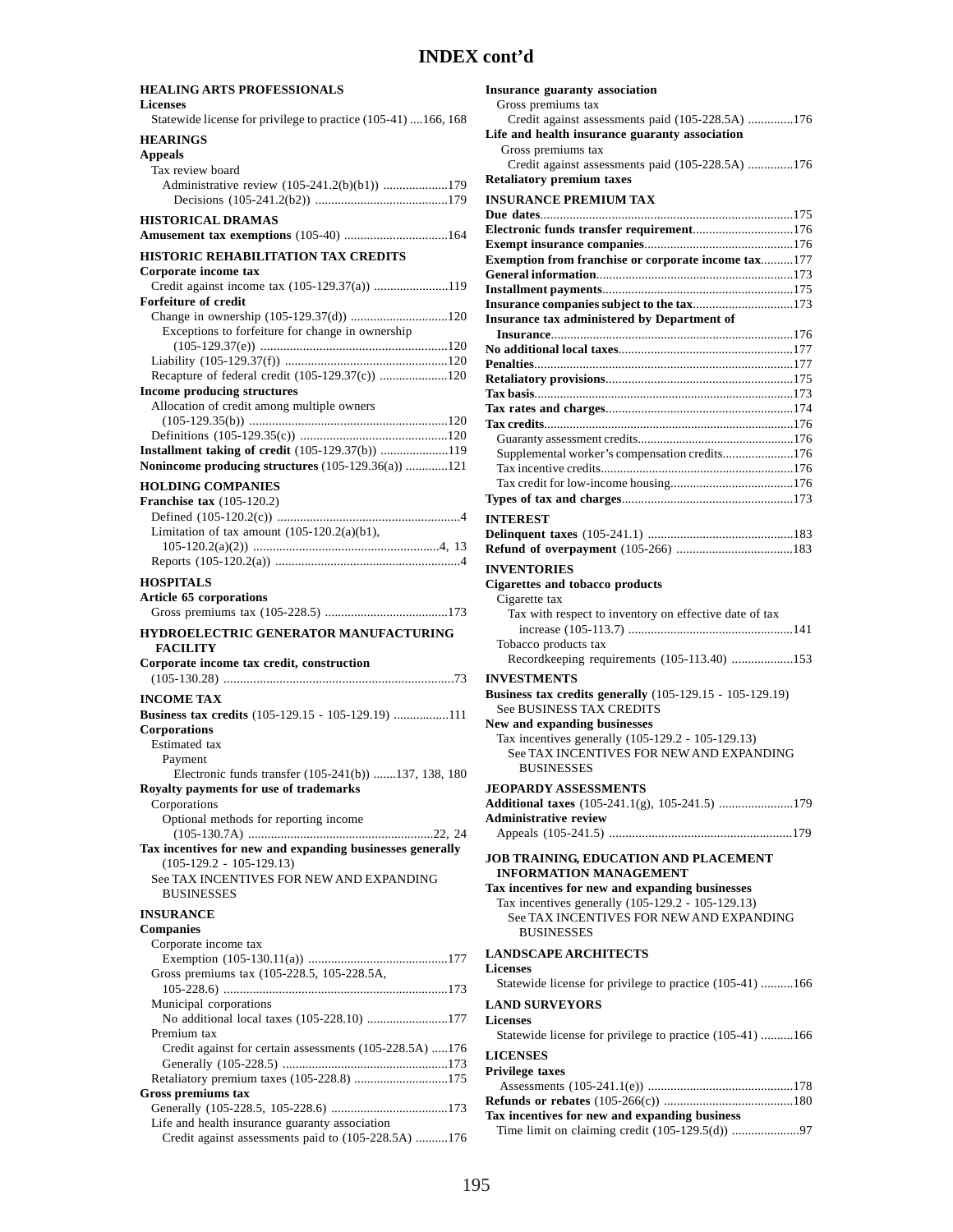| <b>HEALING ARTS PROFESSIONALS</b>                                                                      |
|--------------------------------------------------------------------------------------------------------|
| <b>Licenses</b>                                                                                        |
| Statewide license for privilege to practice (105-41) 166, 168                                          |
| <b>HEARINGS</b>                                                                                        |
| <b>Appeals</b><br>Tax review board                                                                     |
| Administrative review (105-241.2(b)(b1)) 179                                                           |
|                                                                                                        |
| <b>HISTORICAL DRAMAS</b>                                                                               |
| Amusement tax exemptions (105-40) 164                                                                  |
| <b>HISTORIC REHABILITATION TAX CREDITS</b>                                                             |
| Corporate income tax                                                                                   |
| Credit against income tax (105-129.37(a)) 119                                                          |
| <b>Forfeiture of credit</b>                                                                            |
|                                                                                                        |
| Exceptions to forfeiture for change in ownership                                                       |
|                                                                                                        |
| Recapture of federal credit (105-129.37(c)) 120                                                        |
| <b>Income producing structures</b>                                                                     |
| Allocation of credit among multiple owners                                                             |
|                                                                                                        |
|                                                                                                        |
| Installment taking of credit (105-129.37(b)) 119<br>Nonincome producing structures (105-129.36(a)) 121 |
|                                                                                                        |
| <b>HOLDING COMPANIES</b><br>Franchise tax $(105-120.2)$                                                |
|                                                                                                        |
| Limitation of tax amount $(105-120.2(a)(b1))$ ,                                                        |
|                                                                                                        |
|                                                                                                        |
| <b>HOSPITALS</b>                                                                                       |
| Article 65 corporations                                                                                |
|                                                                                                        |
| HYDROELECTRIC GENERATOR MANUFACTURING                                                                  |
| <b>FACILITY</b>                                                                                        |
| Corporate income tax credit, construction                                                              |
|                                                                                                        |
| <b>INCOME TAX</b><br>Business tax credits (105-129.15 - 105-129.19) 111                                |
| <b>Corporations</b>                                                                                    |
| <b>Estimated</b> tax                                                                                   |
|                                                                                                        |
| Payment                                                                                                |
| Electronic funds transfer (105-241(b)) 137, 138, 180                                                   |
| Royalty payments for use of trademarks                                                                 |
| Corporations                                                                                           |
| Optional methods for reporting income                                                                  |
| Tax incentives for new and expanding businesses generally                                              |
| $(105-129.2 - 105-129.13)$                                                                             |
| See TAX INCENTIVES FOR NEW AND EXPANDING                                                               |
| <b>BUSINESSES</b>                                                                                      |
| <b>INSURANCE</b>                                                                                       |
| <b>Companies</b>                                                                                       |
| Corporate income tax                                                                                   |
|                                                                                                        |
| Gross premiums tax (105-228.5, 105-228.5A,                                                             |
| Municipal corporations                                                                                 |
| No additional local taxes (105-228.10) 177                                                             |
| Premium tax                                                                                            |
| Credit against for certain assessments (105-228.5A) 176                                                |
|                                                                                                        |
| Retaliatory premium taxes (105-228.8) 175<br><b>Gross premiums tax</b>                                 |
|                                                                                                        |
| Life and health insurance guaranty association<br>Credit against assessments paid to (105-228.5A) 176  |

| <b>Insurance guaranty association</b><br>Gross premiums tax                                                                        |
|------------------------------------------------------------------------------------------------------------------------------------|
| Credit against assessments paid (105-228.5A) 176                                                                                   |
| Life and health insurance guaranty association<br>Gross premiums tax<br>Credit against assessments paid (105-228.5A) 176           |
| <b>Retaliatory premium taxes</b>                                                                                                   |
| <b>INSURANCE PREMIUM TAX</b>                                                                                                       |
|                                                                                                                                    |
| Electronic funds transfer requirement176                                                                                           |
| Exemption from franchise or corporate income tax177                                                                                |
|                                                                                                                                    |
|                                                                                                                                    |
|                                                                                                                                    |
| Insurance tax administered by Department of                                                                                        |
|                                                                                                                                    |
|                                                                                                                                    |
|                                                                                                                                    |
|                                                                                                                                    |
|                                                                                                                                    |
|                                                                                                                                    |
| Supplemental worker's compensation credits176                                                                                      |
|                                                                                                                                    |
|                                                                                                                                    |
|                                                                                                                                    |
| <b>INTEREST</b>                                                                                                                    |
|                                                                                                                                    |
| <b>INVENTORIES</b>                                                                                                                 |
| <b>Cigarettes and tobacco products</b>                                                                                             |
| Cigarette tax                                                                                                                      |
| Tax with respect to inventory on effective date of tax                                                                             |
| Tobacco products tax<br>Recordkeeping requirements (105-113.40) 153                                                                |
| <b>INVESTMENTS</b>                                                                                                                 |
| <b>Business tax credits generally</b> (105-129.15 - 105-129.19)<br><b>See BUSINESS TAX CREDITS</b><br>New and expanding businesses |
| Tax incentives generally (105-129.2 - 105-129.13)                                                                                  |
| See TAX INCENTIVES FOR NEW AND EXPANDING<br><b>BUSINESSES</b>                                                                      |
| <b>JEOPARDY ASSESSMENTS</b>                                                                                                        |
| Additional taxes (105-241.1(g), 105-241.5) 179                                                                                     |
| <b>Administrative review</b>                                                                                                       |
|                                                                                                                                    |
| JOB TRAINING, EDUCATION AND PLACEMENT<br><b>INFORMATION MANAGEMENT</b>                                                             |
| Tax incentives for new and expanding businesses                                                                                    |
| Tax incentives generally (105-129.2 - 105-129.13)                                                                                  |
| See TAX INCENTIVES FOR NEW AND EXPANDING<br><b>BUSINESSES</b>                                                                      |
|                                                                                                                                    |
| <b>LANDSCAPE ARCHITECTS</b>                                                                                                        |
| <b>Licenses</b><br>Statewide license for privilege to practice (105-41) 166                                                        |
|                                                                                                                                    |
| <b>LAND SURVEYORS</b><br><b>Licenses</b><br>Statewide license for privilege to practice (105-41) 166                               |
| <b>LICENSES</b>                                                                                                                    |
| <b>Privilege taxes</b>                                                                                                             |
|                                                                                                                                    |
| Tax incentives for new and expanding business<br>Time limit on claiming credit (105-129.5(d)) 97                                   |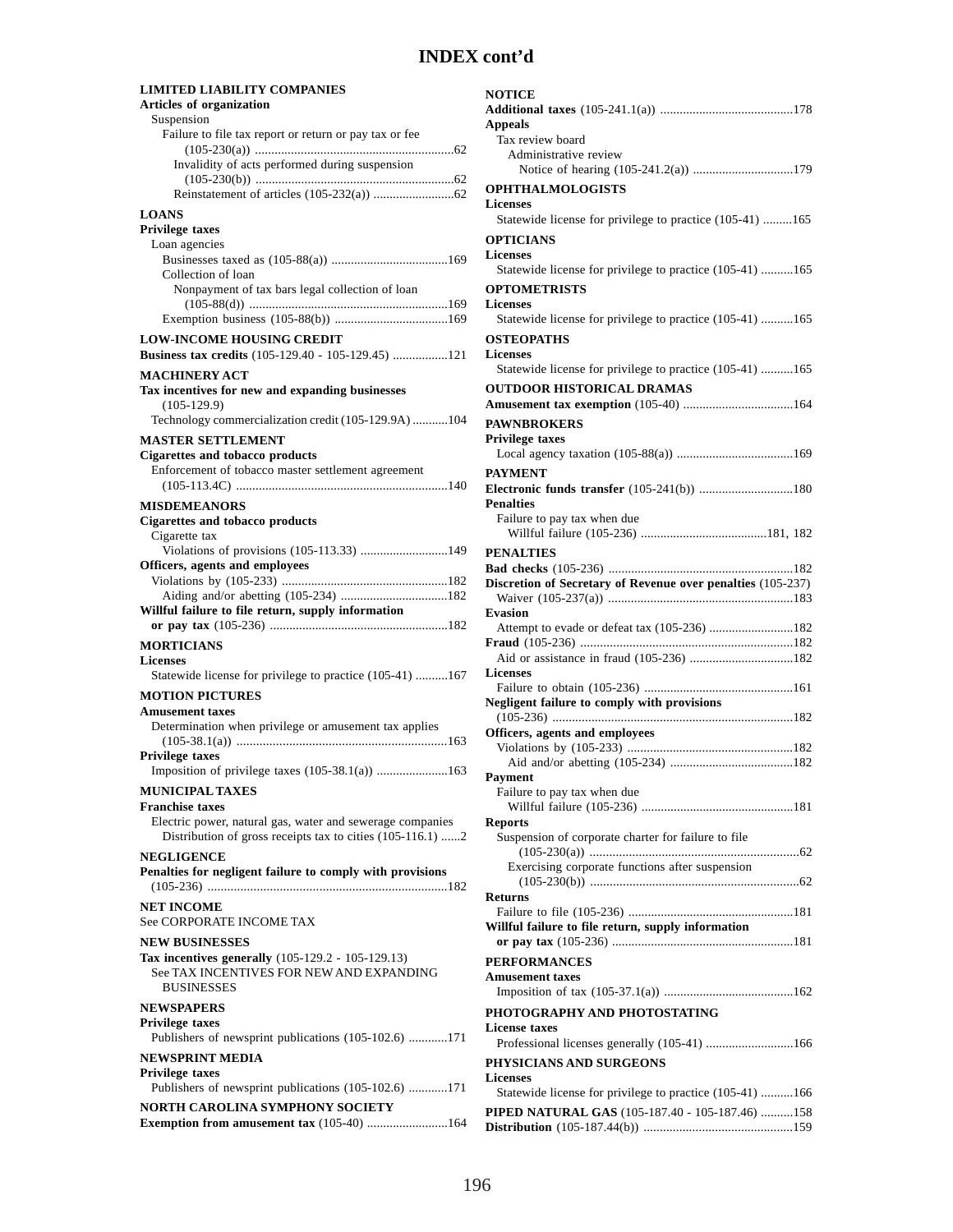#### **LIMITED LIABILITY COMPANIES Articles of organization** Suspension Failure to file tax report or return or pay tax or fee (105-230(a)) .............................................................62 Invalidity of acts performed during suspension (105-230(b)) .............................................................62 Reinstatement of articles (105-232(a)) .........................62 **LOANS Privilege taxes** Loan agencies Businesses taxed as (105-88(a)) ....................................169 Collection of loan Nonpayment of tax bars legal collection of loan (105-88(d)) .............................................................169 Exemption business (105-88(b)) ...................................169 **LOW-INCOME HOUSING CREDIT Business tax credits** (105-129.40 - 105-129.45) .................121 **MACHINERY ACT Tax incentives for new and expanding businesses** (105-129.9) Technology commercialization credit (105-129.9A) ...........104 **MASTER SETTLEMENT Cigarettes and tobacco products** Enforcement of tobacco master settlement agreement (105-113.4C) .................................................................140 **MISDEMEANORS Cigarettes and tobacco products** Cigarette tax Violations of provisions (105-113.33) ...........................149 **Officers, agents and employees** Violations by (105-233) ...................................................182 Aiding and/or abetting (105-234) .................................182 **Willful failure to file return, supply information or pay tax** (105-236) .......................................................182 **MORTICIANS Licenses** Statewide license for privilege to practice (105-41) ..........167 **MOTION PICTURES Amusement taxes** Determination when privilege or amusement tax applies (105-38.1(a)) ................................................................163 **Privilege taxes** Imposition of privilege taxes (105-38.1(a)) ......................163 **MUNICIPAL TAXES Franchise taxes** Electric power, natural gas, water and sewerage companies Distribution of gross receipts tax to cities (105-116.1) ......2 **NEGLIGENCE Penalties for negligent failure to comply with provisions** (105-236) .........................................................................182 **NET INCOME** See CORPORATE INCOME TAX **NEW BUSINESSES Tax incentives generally** (105-129.2 - 105-129.13) See TAX INCENTIVES FOR NEW AND EXPANDING **BUSINESSES NEWSPAPERS Privilege taxes** Publishers of newsprint publications (105-102.6) ............171 **NEWSPRINT MEDIA Privilege taxes** Publishers of newsprint publications (105-102.6) ............171 **NORTH CAROLINA SYMPHONY SOCIETY Exemption from amusement tax** (105-40) .........................164

#### **NOTICE Additional taxes** (105-241.1(a)) .........................................178 **Appeals** Tax review board Administrative review Notice of hearing (105-241.2(a)) ...............................179 **OPHTHALMOLOGISTS Licenses** Statewide license for privilege to practice (105-41) .........165 **OPTICIANS Licenses** Statewide license for privilege to practice (105-41) ..........165 **OPTOMETRISTS Licenses** Statewide license for privilege to practice (105-41) ..........165 **OSTEOPATHS Licenses** Statewide license for privilege to practice (105-41) ..........165 **OUTDOOR HISTORICAL DRAMAS Amusement tax exemption** (105-40) ..................................164 **PAWNBROKERS Privilege taxes** Local agency taxation (105-88(a)) ....................................169 **PAYMENT Electronic funds transfer** (105-241(b)) .............................180 **Penalties** Failure to pay tax when due Willful failure (105-236) .......................................181, 182 **PENALTIES Bad checks** (105-236) .........................................................182 **Discretion of Secretary of Revenue over penalties** (105-237) Waiver (105-237(a)) .........................................................183 **Evasion** Attempt to evade or defeat tax (105-236) ..........................182 **Fraud** (105-236) .................................................................182 Aid or assistance in fraud (105-236) ................................182 **Licenses** Failure to obtain (105-236) ..............................................161 **Negligent failure to comply with provisions** (105-236) ..........................................................................182 **Officers, agents and employees** Violations by (105-233) ...................................................182 Aid and/or abetting (105-234) ......................................182 **Payment** Failure to pay tax when due Willful failure (105-236) ...............................................181 **Reports** Suspension of corporate charter for failure to file (105-230(a)) ................................................................62 Exercising corporate functions after suspension (105-230(b)) ................................................................62 **Returns** Failure to file (105-236) ...................................................181 **Willful failure to file return, supply information or pay tax** (105-236) ........................................................181 **PERFORMANCES Amusement taxes** Imposition of tax (105-37.1(a)) ........................................162 **PHOTOGRAPHY AND PHOTOSTATING License taxes** Professional licenses generally (105-41) ...........................166 **PHYSICIANS AND SURGEONS Licenses** Statewide license for privilege to practice (105-41) ..........166 **PIPED NATURAL GAS** (105-187.40 - 105-187.46) ..........158 **Distribution** (105-187.44(b)) ..............................................159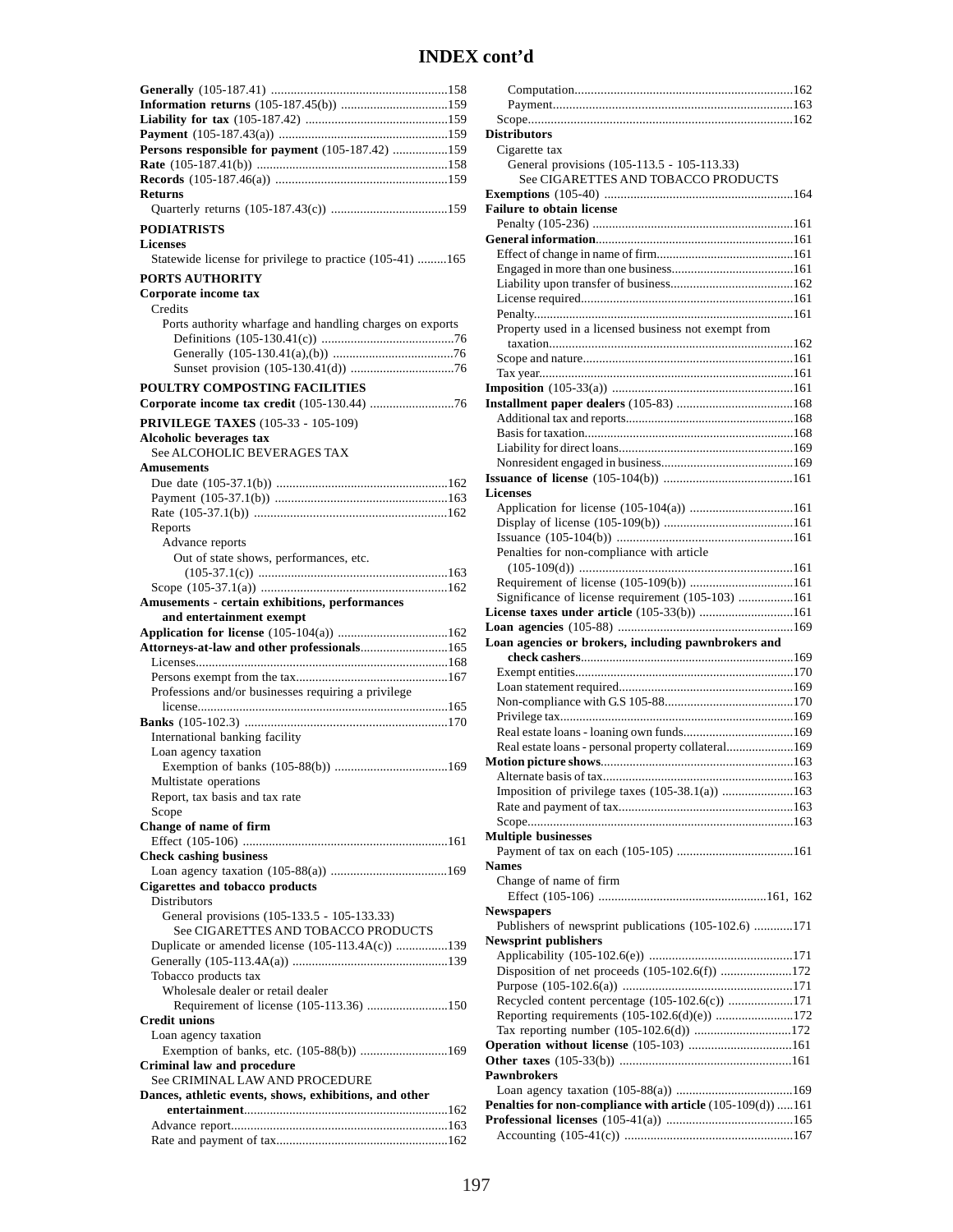| Persons responsible for payment (105-187.42) 159         |
|----------------------------------------------------------|
|                                                          |
|                                                          |
| <b>Returns</b>                                           |
|                                                          |
|                                                          |
| <b>PODIATRISTS</b>                                       |
| <b>Licenses</b>                                          |
| Statewide license for privilege to practice (105-41) 165 |
| <b>PORTS AUTHORITY</b>                                   |
| Corporate income tax                                     |
| Credits                                                  |
| Ports authority wharfage and handling charges on exports |
|                                                          |
|                                                          |
|                                                          |
| POULTRY COMPOSTING FACILITIES                            |
|                                                          |
|                                                          |
| <b>PRIVILEGE TAXES</b> (105-33 - 105-109)                |
| Alcoholic beverages tax                                  |
| See ALCOHOLIC BEVERAGES TAX                              |
| <b>Amusements</b>                                        |
|                                                          |
|                                                          |
|                                                          |
| Reports                                                  |
| Advance reports                                          |
| Out of state shows, performances, etc.                   |
|                                                          |
|                                                          |
| Amusements - certain exhibitions, performances           |
|                                                          |
| and entertainment exempt                                 |
|                                                          |
| Attorneys-at-law and other professionals165              |
|                                                          |
|                                                          |
| Professions and/or businesses requiring a privilege      |
|                                                          |
|                                                          |
| International banking facility                           |
| Loan agency taxation                                     |
|                                                          |
| Multistate operations                                    |
| Report, tax basis and tax rate                           |
| Scope                                                    |
| Change of name of firm                                   |
|                                                          |
| <b>Check cashing business</b>                            |
|                                                          |
| <b>Cigarettes and tobacco products</b>                   |
| <b>Distributors</b>                                      |
| General provisions (105-133.5 - 105-133.33)              |
| See CIGARETTES AND TOBACCO PRODUCTS                      |
| Duplicate or amended license (105-113.4A(c)) 139         |
|                                                          |
| Tobacco products tax                                     |
| Wholesale dealer or retail dealer                        |
| Requirement of license (105-113.36) 150                  |
| <b>Credit unions</b>                                     |
| Loan agency taxation                                     |
| Exemption of banks, etc. (105-88(b)) 169                 |
| Criminal law and procedure                               |
| See CRIMINAL LAW AND PROCEDURE                           |
| Dances, athletic events, shows, exhibitions, and other   |
|                                                          |
|                                                          |

| <b>Distributors</b>                                        |  |
|------------------------------------------------------------|--|
| Cigarette tax                                              |  |
| General provisions (105-113.5 - 105-113.33)                |  |
| See CIGARETTES AND TOBACCO PRODUCTS                        |  |
|                                                            |  |
|                                                            |  |
| <b>Failure to obtain license</b>                           |  |
|                                                            |  |
|                                                            |  |
|                                                            |  |
|                                                            |  |
|                                                            |  |
|                                                            |  |
|                                                            |  |
| Property used in a licensed business not exempt from       |  |
|                                                            |  |
|                                                            |  |
|                                                            |  |
|                                                            |  |
|                                                            |  |
|                                                            |  |
|                                                            |  |
|                                                            |  |
|                                                            |  |
|                                                            |  |
|                                                            |  |
| Licenses                                                   |  |
|                                                            |  |
| Application for license (105-104(a)) 161                   |  |
|                                                            |  |
|                                                            |  |
| Penalties for non-compliance with article                  |  |
|                                                            |  |
| Requirement of license (105-109(b)) 161                    |  |
| Significance of license requirement (105-103) 161          |  |
| License taxes under article (105-33(b)) 161                |  |
|                                                            |  |
|                                                            |  |
|                                                            |  |
| Loan agencies or brokers, including pawnbrokers and        |  |
|                                                            |  |
|                                                            |  |
|                                                            |  |
|                                                            |  |
|                                                            |  |
|                                                            |  |
|                                                            |  |
| Real estate loans - personal property collateral169        |  |
|                                                            |  |
|                                                            |  |
| Imposition of privilege taxes (105-38.1(a)) 163            |  |
|                                                            |  |
|                                                            |  |
|                                                            |  |
| <b>Multiple businesses</b>                                 |  |
|                                                            |  |
| <b>Names</b>                                               |  |
| Change of name of firm                                     |  |
|                                                            |  |
| Newspapers                                                 |  |
| Publishers of newsprint publications (105-102.6) 171       |  |
| <b>Newsprint publishers</b>                                |  |
|                                                            |  |
|                                                            |  |
| Disposition of net proceeds (105-102.6(f)) 172             |  |
|                                                            |  |
| Recycled content percentage (105-102.6(c)) 171             |  |
| Reporting requirements (105-102.6(d)(e)) 172               |  |
| Tax reporting number (105-102.6(d)) 172                    |  |
| Operation without license (105-103) 161                    |  |
|                                                            |  |
| Pawnbrokers                                                |  |
|                                                            |  |
| Penalties for non-compliance with article (105-109(d)) 161 |  |
|                                                            |  |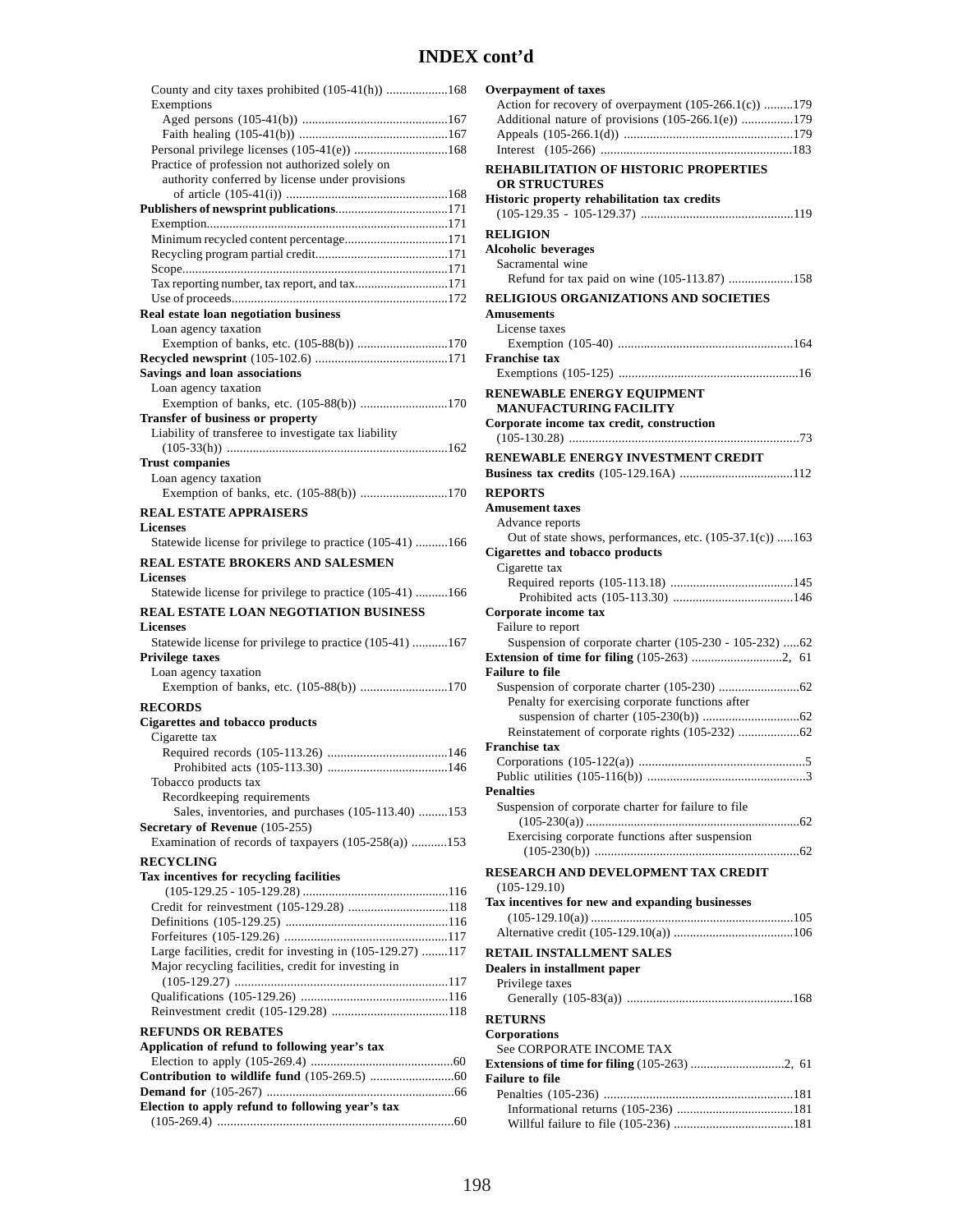| County and city taxes prohibited (105-41(h)) 168<br>Exemptions |
|----------------------------------------------------------------|
|                                                                |
|                                                                |
| Personal privilege licenses (105-41(e)) 168                    |
| Practice of profession not authorized solely on                |
| authority conferred by license under provisions                |
|                                                                |
|                                                                |
| Minimum recycled content percentage171                         |
|                                                                |
|                                                                |
| Tax reporting number, tax report, and tax171                   |
|                                                                |
| Real estate loan negotiation business                          |
| Loan agency taxation                                           |
| Exemption of banks, etc. (105-88(b)) 170                       |
| Savings and loan associations                                  |
| Loan agency taxation                                           |
| Exemption of banks, etc. (105-88(b)) 170                       |
| Transfer of business or property                               |
| Liability of transferee to investigate tax liability           |
|                                                                |
| <b>Trust companies</b>                                         |
| Loan agency taxation                                           |
| Exemption of banks, etc. (105-88(b)) 170                       |
| <b>REAL ESTATE APPRAISERS</b>                                  |
| <b>Licenses</b>                                                |
| Statewide license for privilege to practice (105-41) 166       |
| <b>REAL ESTATE BROKERS AND SALESMEN</b>                        |
| <b>Licenses</b>                                                |
| Statewide license for privilege to practice (105-41) 166       |
|                                                                |
| REAL ESTATE LOAN NEGOTIATION BUSINESS                          |
| <b>Licenses</b>                                                |
| Statewide license for privilege to practice (105-41) 167       |
| <b>Privilege taxes</b>                                         |
| Loan agency taxation                                           |
| Exemption of banks, etc. (105-88(b)) 170                       |
| <b>RECORDS</b>                                                 |
| <b>Cigarettes and tobacco products</b>                         |
| Cigarette tax                                                  |
|                                                                |
| Tobacco products tax                                           |
| Recordkeeping requirements                                     |
| Sales, inventories, and purchases (105-113.40) 153             |
| Secretary of Revenue (105-255)                                 |
| Examination of records of taxpayers (105-258(a)) 153           |
| <b>RECYCLING</b>                                               |
| Tax incentives for recycling facilities                        |
|                                                                |
| Credit for reinvestment (105-129.28) 118                       |
|                                                                |
|                                                                |
| Large facilities, credit for investing in (105-129.27) 117     |
| Major recycling facilities, credit for investing in            |
|                                                                |
|                                                                |
|                                                                |
| <b>REFUNDS OR REBATES</b>                                      |
| Application of refund to following year's tax                  |
|                                                                |
|                                                                |
| Election to apply refund to following year's tax               |

| <b>Overpayment of taxes</b>                              |
|----------------------------------------------------------|
| Action for recovery of overpayment (105-266.1(c)) 179    |
| Additional nature of provisions (105-266.1(e)) 179       |
|                                                          |
|                                                          |
|                                                          |
| REHABILITATION OF HISTORIC PROPERTIES                    |
| <b>OR STRUCTURES</b>                                     |
| Historic property rehabilitation tax credits             |
|                                                          |
| <b>RELIGION</b>                                          |
| <b>Alcoholic beverages</b>                               |
| Sacramental wine                                         |
|                                                          |
| Refund for tax paid on wine (105-113.87) 158             |
| RELIGIOUS ORGANIZATIONS AND SOCIETIES                    |
| <b>Amusements</b>                                        |
| License taxes                                            |
|                                                          |
| <b>Franchise tax</b>                                     |
|                                                          |
| RENEWABLE ENERGY EQUIPMENT                               |
| <b>MANUFACTURING FACILITY</b>                            |
|                                                          |
| Corporate income tax credit, construction                |
|                                                          |
| RENEWABLE ENERGY INVESTMENT CREDIT                       |
|                                                          |
| <b>REPORTS</b>                                           |
| <b>Amusement taxes</b>                                   |
| Advance reports                                          |
| Out of state shows, performances, etc. (105-37.1(c)) 163 |
| <b>Cigarettes and tobacco products</b>                   |
| Cigarette tax                                            |
|                                                          |
|                                                          |
| Corporate income tax                                     |
|                                                          |
|                                                          |
| Failure to report                                        |
| Suspension of corporate charter (105-230 - 105-232) 62   |
|                                                          |
| <b>Failure to file</b>                                   |
|                                                          |
| Penalty for exercising corporate functions after         |
|                                                          |
|                                                          |
| <b>Franchise tax</b>                                     |
|                                                          |
|                                                          |
| <b>Penalties</b>                                         |
| Suspension of corporate charter for failure to file      |
|                                                          |
| Exercising corporate functions after suspension          |
|                                                          |
|                                                          |
| RESEARCH AND DEVELOPMENT TAX CREDIT                      |
| $(105-129.10)$                                           |
| Tax incentives for new and expanding businesses          |
|                                                          |
|                                                          |
| <b>RETAIL INSTALLMENT SALES</b>                          |
| Dealers in installment paper                             |
|                                                          |
| Privilege taxes                                          |
|                                                          |
| <b>RETURNS</b>                                           |
| Corporations                                             |
| See CORPORATE INCOME TAX                                 |
|                                                          |
| <b>Failure to file</b>                                   |
|                                                          |
|                                                          |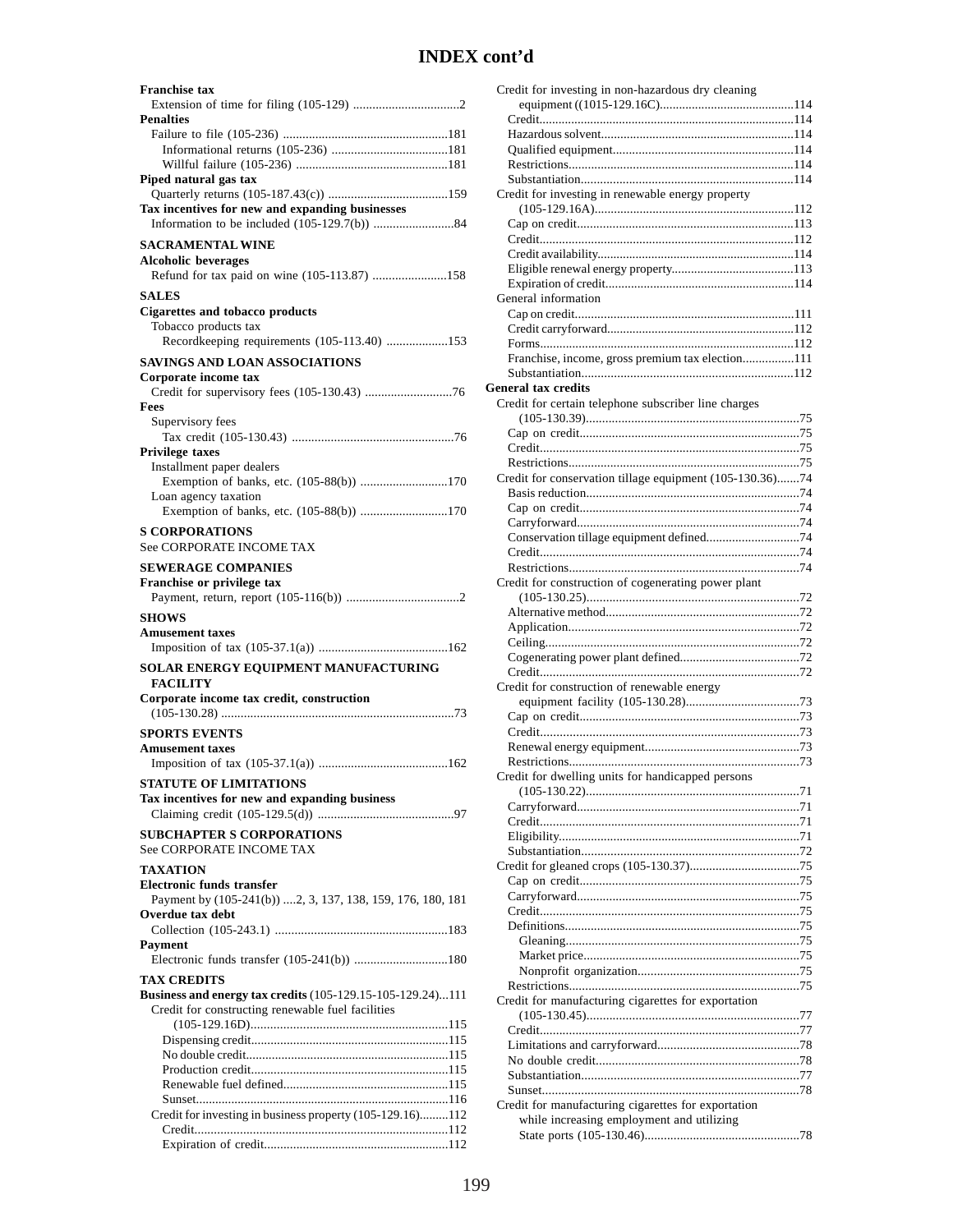| <b>Penalties</b>                                                                      |
|---------------------------------------------------------------------------------------|
|                                                                                       |
|                                                                                       |
| Piped natural gas tax                                                                 |
|                                                                                       |
| Tax incentives for new and expanding businesses                                       |
|                                                                                       |
| <b>SACRAMENTAL WINE</b><br><b>Alcoholic beverages</b>                                 |
| Refund for tax paid on wine (105-113.87) 158                                          |
| <b>SALES</b>                                                                          |
| Cigarettes and tobacco products                                                       |
| Tobacco products tax                                                                  |
| Recordkeeping requirements (105-113.40) 153                                           |
| <b>SAVINGS AND LOAN ASSOCIATIONS</b><br>Corporate income tax                          |
|                                                                                       |
| Fees                                                                                  |
| Supervisory fees                                                                      |
| <b>Privilege taxes</b>                                                                |
| Installment paper dealers                                                             |
| Exemption of banks, etc. (105-88(b)) 170<br>Loan agency taxation                      |
| Exemption of banks, etc. (105-88(b)) 170                                              |
| <b>S CORPORATIONS</b>                                                                 |
| <b>See CORPORATE INCOME TAX</b>                                                       |
| <b>SEWERAGE COMPANIES</b>                                                             |
| Franchise or privilege tax                                                            |
| <b>SHOWS</b>                                                                          |
| <b>Amusement taxes</b>                                                                |
|                                                                                       |
| SOLAR ENERGY EQUIPMENT MANUFACTURING                                                  |
| <b>FACILITY</b><br>Corporate income tax credit, construction                          |
|                                                                                       |
|                                                                                       |
| <b>SPORTS EVENTS</b>                                                                  |
| <b>Amusement taxes</b>                                                                |
|                                                                                       |
| <b>STATUTE OF LIMITATIONS</b>                                                         |
| Tax incentives for new and expanding business                                         |
| <b>SUBCHAPTER S CORPORATIONS</b>                                                      |
| See CORPORATE INCOME TAX                                                              |
| <b>TAXATION</b>                                                                       |
| <b>Electronic funds transfer</b>                                                      |
| Payment by (105-241(b)) 2, 3, 137, 138, 159, 176, 180, 181<br><b>Overdue tax debt</b> |
|                                                                                       |
| Payment                                                                               |
| Electronic funds transfer (105-241(b)) 180                                            |
| <b>TAX CREDITS</b><br>Business and energy tax credits (105-129.15-105-129.24)111      |
| Credit for constructing renewable fuel facilities                                     |
|                                                                                       |
|                                                                                       |
|                                                                                       |
|                                                                                       |
|                                                                                       |
| Credit for investing in business property (105-129.16)112                             |

| Credit for investing in non-hazardous dry cleaning       |
|----------------------------------------------------------|
|                                                          |
|                                                          |
|                                                          |
|                                                          |
|                                                          |
|                                                          |
| Credit for investing in renewable energy property        |
|                                                          |
|                                                          |
|                                                          |
|                                                          |
|                                                          |
|                                                          |
| General information                                      |
|                                                          |
|                                                          |
|                                                          |
| Franchise, income, gross premium tax election111         |
|                                                          |
| <b>General tax credits</b>                               |
| Credit for certain telephone subscriber line charges     |
|                                                          |
|                                                          |
|                                                          |
|                                                          |
| Credit for conservation tillage equipment (105-130.36)74 |
|                                                          |
|                                                          |
|                                                          |
|                                                          |
|                                                          |
|                                                          |
|                                                          |
| Credit for construction of cogenerating power plant      |
|                                                          |
|                                                          |
|                                                          |
|                                                          |
|                                                          |
|                                                          |
| Credit for construction of renewable energy              |
|                                                          |
|                                                          |
|                                                          |
|                                                          |
|                                                          |
| Credit for dwelling units for handicapped persons        |
|                                                          |
|                                                          |
|                                                          |
|                                                          |
|                                                          |
|                                                          |
|                                                          |
|                                                          |
|                                                          |
|                                                          |
|                                                          |
|                                                          |
|                                                          |
|                                                          |
| Credit for manufacturing cigarettes for exportation      |
|                                                          |
|                                                          |
|                                                          |
|                                                          |
|                                                          |
|                                                          |
|                                                          |
| Credit for manufacturing cigarettes for exportation      |
| while increasing employment and utilizing                |
|                                                          |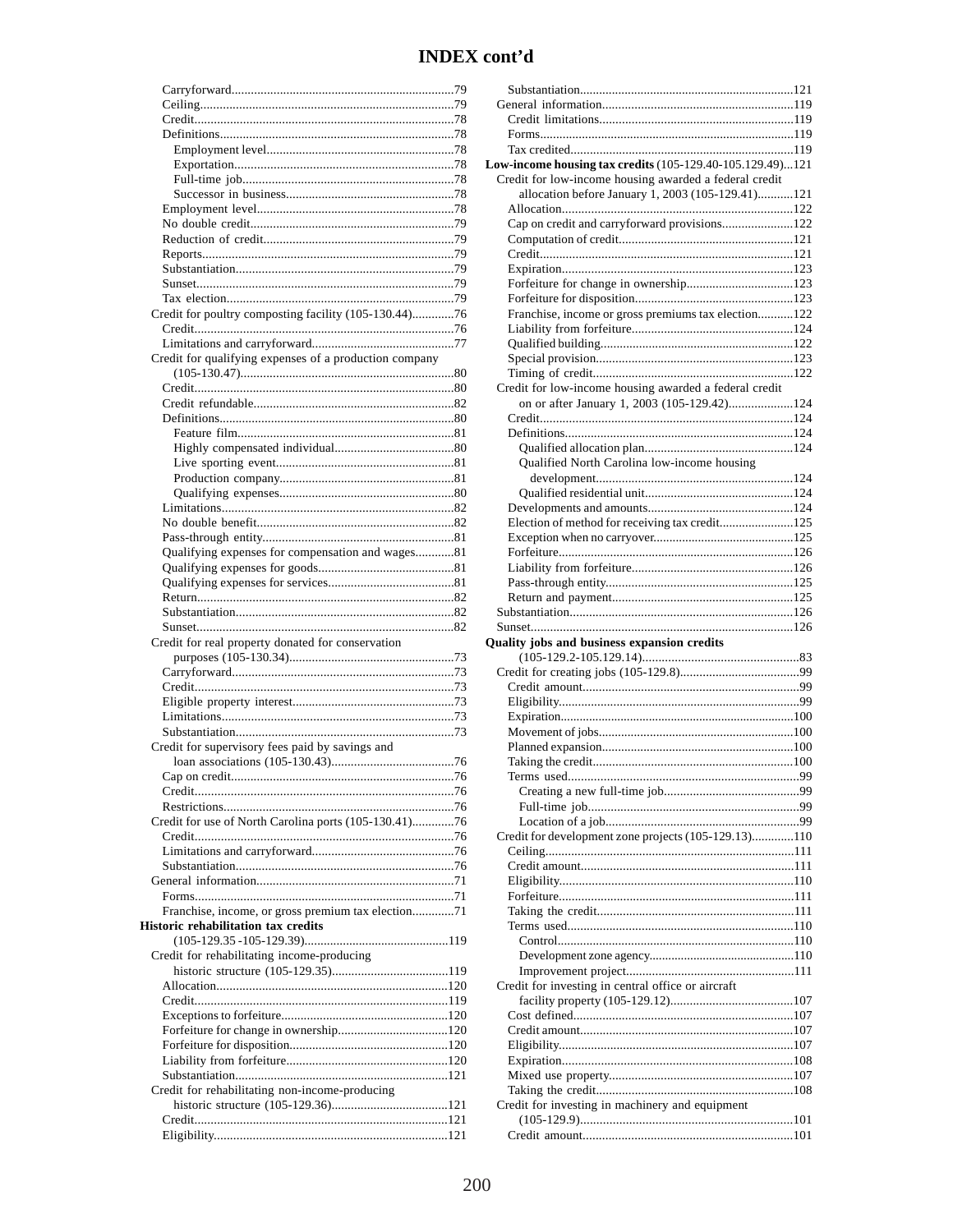| Credit for poultry composting facility (105-130.44)76  |
|--------------------------------------------------------|
|                                                        |
|                                                        |
| Credit for qualifying expenses of a production company |
|                                                        |
|                                                        |
|                                                        |
|                                                        |
|                                                        |
|                                                        |
|                                                        |
|                                                        |
|                                                        |
|                                                        |
|                                                        |
| Qualifying expenses for compensation and wages81       |
|                                                        |
|                                                        |
|                                                        |
|                                                        |
| Credit for real property donated for conservation      |
|                                                        |
|                                                        |
|                                                        |
|                                                        |
|                                                        |
| Credit for supervisory fees paid by savings and        |
|                                                        |
| Cap on credit.                                         |
|                                                        |
|                                                        |
| Credit for use of North Carolina ports (105-130.41)76  |
|                                                        |
|                                                        |
|                                                        |
|                                                        |
| Franchise, income, or gross premium tax election71     |
| Historic rehabilitation tax credits                    |
|                                                        |
| Credit for rehabilitating income-producing             |
|                                                        |
|                                                        |
|                                                        |
|                                                        |
|                                                        |
|                                                        |
|                                                        |
|                                                        |
| Credit for rehabilitating non-income-producing         |
|                                                        |
|                                                        |

| Low-income housing tax credits (105-129.40-105.129.49)121 |
|-----------------------------------------------------------|
| Credit for low-income housing awarded a federal credit    |
| allocation before January 1, 2003 (105-129.41)121         |
| Cap on credit and carryforward provisions122              |
|                                                           |
|                                                           |
|                                                           |
|                                                           |
|                                                           |
| Franchise, income or gross premiums tax election122       |
|                                                           |
|                                                           |
|                                                           |
| Credit for low-income housing awarded a federal credit    |
| on or after January 1, 2003 (105-129.42)124               |
|                                                           |
|                                                           |
|                                                           |
| Qualified North Carolina low-income housing               |
|                                                           |
|                                                           |
| Election of method for receiving tax credit125            |
|                                                           |
|                                                           |
|                                                           |
|                                                           |
|                                                           |
|                                                           |
|                                                           |
|                                                           |
| Quality jobs and business expansion credits               |
|                                                           |
|                                                           |
|                                                           |
|                                                           |
|                                                           |
|                                                           |
|                                                           |
| is used                                                   |
|                                                           |
|                                                           |
| Credit for development zone projects (105-129.13)110      |
|                                                           |
|                                                           |
|                                                           |
|                                                           |
|                                                           |
|                                                           |
|                                                           |
|                                                           |
| Credit for investing in central office or aircraft        |
|                                                           |
|                                                           |
|                                                           |
|                                                           |
|                                                           |
|                                                           |
| Credit for investing in machinery and equipment           |
|                                                           |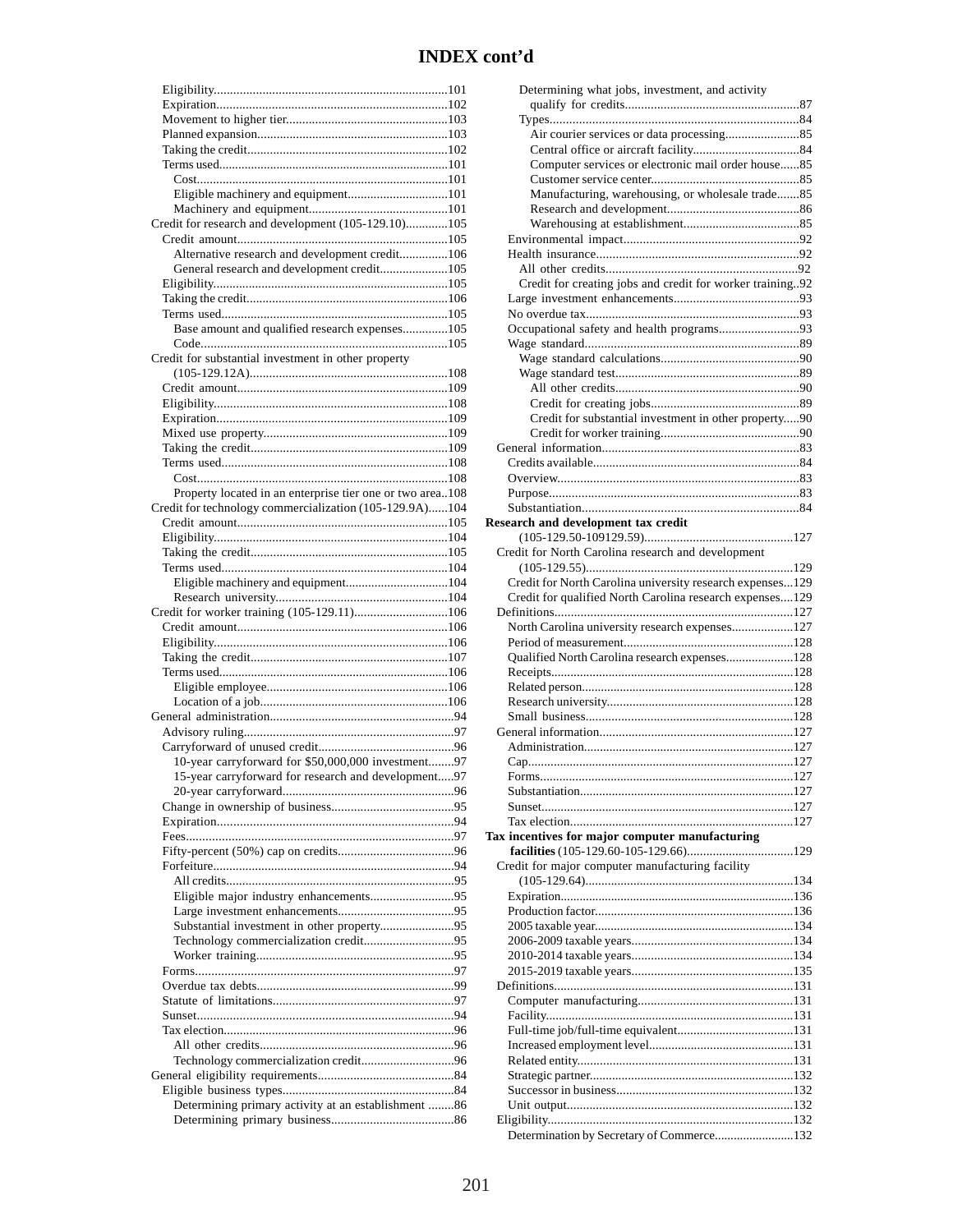| Eligible machinery and equipment101                       |  |
|-----------------------------------------------------------|--|
|                                                           |  |
| Credit for research and development (105-129.10)105       |  |
|                                                           |  |
| Alternative research and development credit106            |  |
| General research and development credit105                |  |
|                                                           |  |
|                                                           |  |
| Base amount and qualified research expenses105            |  |
|                                                           |  |
| Credit for substantial investment in other property       |  |
|                                                           |  |
|                                                           |  |
|                                                           |  |
|                                                           |  |
|                                                           |  |
|                                                           |  |
|                                                           |  |
| Property located in an enterprise tier one or two area108 |  |
| Credit for technology commercialization (105-129.9A)104   |  |
|                                                           |  |
|                                                           |  |
|                                                           |  |
|                                                           |  |
| Eligible machinery and equipment104                       |  |
|                                                           |  |
| Credit for worker training (105-129.11)106                |  |
|                                                           |  |
|                                                           |  |
|                                                           |  |
|                                                           |  |
|                                                           |  |
|                                                           |  |
|                                                           |  |
|                                                           |  |
|                                                           |  |
| 10-year carryforward for \$50,000,000 investment97        |  |
| 15-year carryforward for research and development97       |  |
|                                                           |  |
|                                                           |  |
|                                                           |  |
|                                                           |  |
|                                                           |  |
|                                                           |  |
| Eligible major industry enhancements95                    |  |
|                                                           |  |
| Substantial investment in other property95                |  |
| Technology commercialization credit95                     |  |
|                                                           |  |
|                                                           |  |
|                                                           |  |
|                                                           |  |
|                                                           |  |
|                                                           |  |
|                                                           |  |
|                                                           |  |
|                                                           |  |
| Determining primary activity at an establishment 86       |  |

| Determining what jobs, investment, and activity           |  |
|-----------------------------------------------------------|--|
|                                                           |  |
|                                                           |  |
|                                                           |  |
|                                                           |  |
| Computer services or electronic mail order house85        |  |
|                                                           |  |
| Manufacturing, warehousing, or wholesale trade85          |  |
|                                                           |  |
|                                                           |  |
|                                                           |  |
|                                                           |  |
| Credit for creating jobs and credit for worker training92 |  |
|                                                           |  |
|                                                           |  |
| Occupational safety and health programs93                 |  |
|                                                           |  |
|                                                           |  |
|                                                           |  |
|                                                           |  |
|                                                           |  |
| Credit for substantial investment in other property90     |  |
|                                                           |  |
|                                                           |  |
|                                                           |  |
|                                                           |  |
|                                                           |  |
| Research and development tax credit                       |  |
|                                                           |  |
| Credit for North Carolina research and development        |  |
|                                                           |  |
| Credit for North Carolina university research expenses129 |  |
| Credit for qualified North Carolina research expenses129  |  |
|                                                           |  |
| North Carolina university research expenses127            |  |
|                                                           |  |
| Qualified North Carolina research expenses128             |  |
|                                                           |  |
|                                                           |  |
|                                                           |  |
|                                                           |  |
|                                                           |  |
|                                                           |  |
|                                                           |  |
|                                                           |  |
|                                                           |  |
|                                                           |  |
|                                                           |  |
|                                                           |  |
| Tax incentives for major computer manufacturing           |  |
| Credit for major computer manufacturing facility          |  |
|                                                           |  |
|                                                           |  |
|                                                           |  |
|                                                           |  |
|                                                           |  |
|                                                           |  |
|                                                           |  |
|                                                           |  |
|                                                           |  |
|                                                           |  |
|                                                           |  |
|                                                           |  |
|                                                           |  |
|                                                           |  |
|                                                           |  |
| Determination by Secretary of Commerce132                 |  |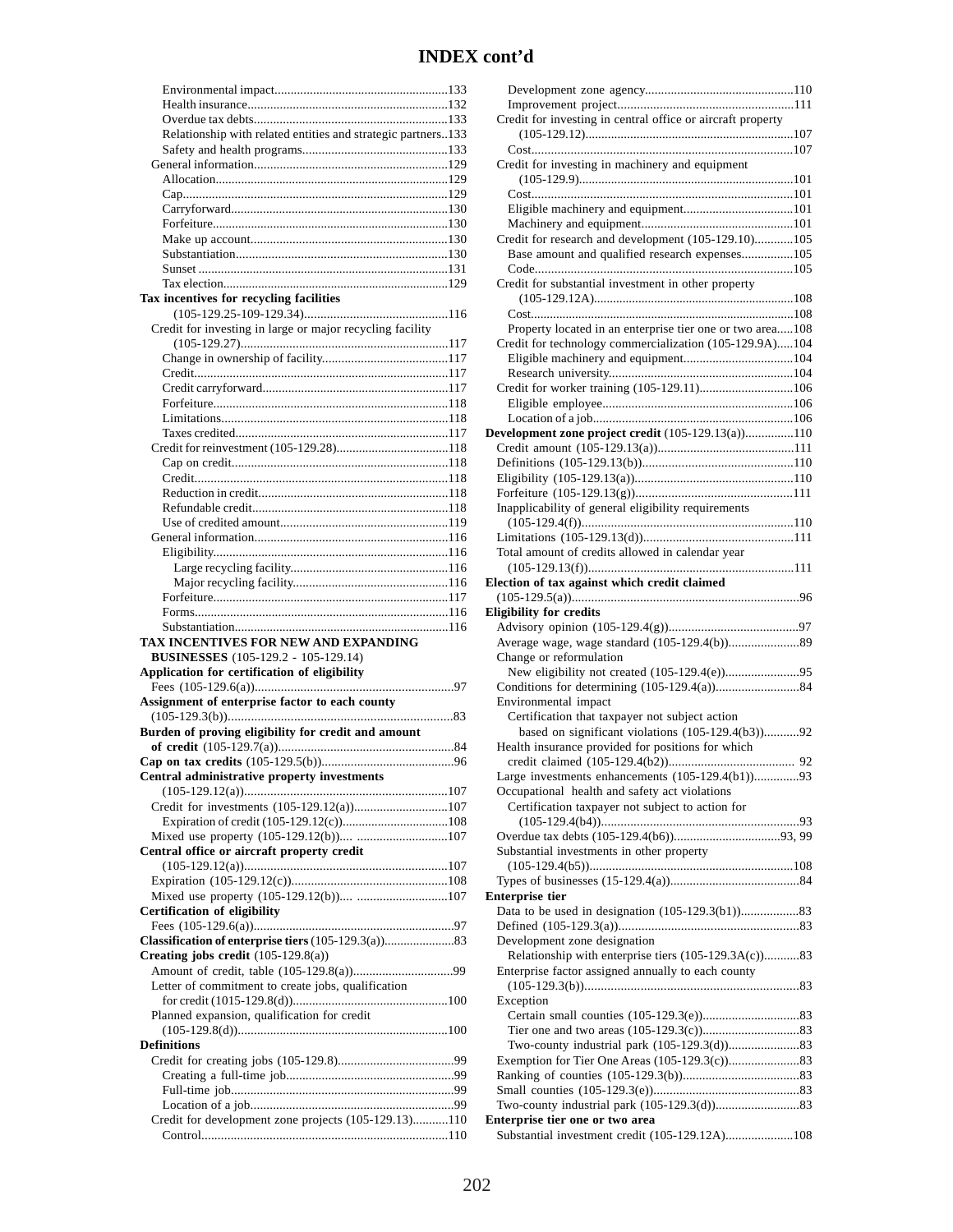| Relationship with related entities and strategic partners133           |
|------------------------------------------------------------------------|
|                                                                        |
|                                                                        |
|                                                                        |
|                                                                        |
|                                                                        |
|                                                                        |
|                                                                        |
|                                                                        |
|                                                                        |
| Tax incentives for recycling facilities                                |
|                                                                        |
| Credit for investing in large or major recycling facility              |
|                                                                        |
|                                                                        |
|                                                                        |
|                                                                        |
|                                                                        |
|                                                                        |
|                                                                        |
|                                                                        |
|                                                                        |
|                                                                        |
|                                                                        |
|                                                                        |
|                                                                        |
|                                                                        |
|                                                                        |
|                                                                        |
|                                                                        |
|                                                                        |
|                                                                        |
| TAX INCENTIVES FOR NEW AND EXPANDING                                   |
| <b>BUSINESSES</b> (105-129.2 - 105-129.14)                             |
| Application for certification of eligibility                           |
| Assignment of enterprise factor to each county                         |
|                                                                        |
| Burden of proving eligibility for credit and amount                    |
|                                                                        |
|                                                                        |
| Central administrative property investments                            |
|                                                                        |
| Credit for investments (105-129.12(a))107                              |
|                                                                        |
| Mixed use property (105-129.12(b)) 107                                 |
| Central office or aircraft property credit                             |
|                                                                        |
|                                                                        |
| Mixed use property (105-129.12(b)) 107<br>Certification of eligibility |
|                                                                        |
|                                                                        |
| Creating jobs credit $(105-129.8(a))$                                  |
|                                                                        |
| Letter of commitment to create jobs, qualification                     |
|                                                                        |
| Planned expansion, qualification for credit                            |
| <b>Definitions</b>                                                     |
|                                                                        |
|                                                                        |
|                                                                        |
|                                                                        |
| Credit for development zone projects (105-129.13)110                   |

| Credit for investing in central office or aircraft property                       |
|-----------------------------------------------------------------------------------|
|                                                                                   |
| Credit for investing in machinery and equipment                                   |
|                                                                                   |
|                                                                                   |
|                                                                                   |
| Credit for research and development (105-129.10)105                               |
| Base amount and qualified research expenses105                                    |
|                                                                                   |
| Credit for substantial investment in other property                               |
|                                                                                   |
|                                                                                   |
| Property located in an enterprise tier one or two area108                         |
| Credit for technology commercialization (105-129.9A)104                           |
|                                                                                   |
| Credit for worker training (105-129.11)106                                        |
|                                                                                   |
|                                                                                   |
| Development zone project credit (105-129.13(a))110                                |
|                                                                                   |
|                                                                                   |
|                                                                                   |
| Inapplicability of general eligibility requirements                               |
|                                                                                   |
|                                                                                   |
| Total amount of credits allowed in calendar year                                  |
|                                                                                   |
| Election of tax against which credit claimed                                      |
|                                                                                   |
|                                                                                   |
| <b>Eligibility for credits</b>                                                    |
|                                                                                   |
|                                                                                   |
| Change or reformulation                                                           |
|                                                                                   |
| Environmental impact                                                              |
| Certification that taxpayer not subject action                                    |
| based on significant violations (105-129.4(b3))92                                 |
| Health insurance provided for positions for which                                 |
|                                                                                   |
| Large investments enhancements $(105-129.4(b1))$ 93                               |
| Occupational health and safety act violations                                     |
| Certification taxpayer not subject to action for                                  |
|                                                                                   |
| Substantial investments in other property                                         |
|                                                                                   |
|                                                                                   |
| <b>Enterprise tier</b>                                                            |
|                                                                                   |
|                                                                                   |
| Development zone designation                                                      |
| Relationship with enterprise tiers (105-129.3A(c))83                              |
| Enterprise factor assigned annually to each county                                |
| Exception                                                                         |
|                                                                                   |
|                                                                                   |
|                                                                                   |
|                                                                                   |
|                                                                                   |
|                                                                                   |
| Enterprise tier one or two area<br>Substantial investment credit (105-129.12A)108 |